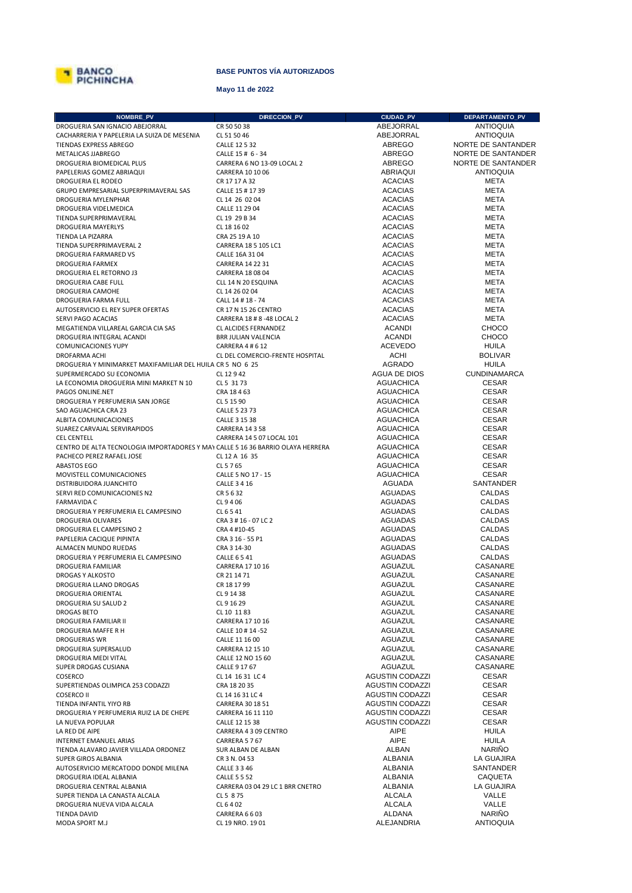

## **BASE PUNTOS VÍA AUTORIZADOS**

## **Mayo 11 de 2022**

| NOMBRE_PV                                                                       | DIRECCION_PV                                       | <b>CIUDAD_PV</b>                 | DEPARTAMENTO_PV        |
|---------------------------------------------------------------------------------|----------------------------------------------------|----------------------------------|------------------------|
| DROGUERIA SAN IGNACIO ABEJORRAL                                                 | CR 50 50 38                                        | ABEJORRAL                        | <b>ANTIOQUIA</b>       |
| CACHARRERIA Y PAPELERIA LA SUIZA DE MESENIA                                     | CL 51 50 46                                        | ABEJORRAL                        | <b>ANTIOQUIA</b>       |
| TIENDAS EXPRESS ABREGO                                                          | CALLE 12 5 32                                      | ABREGO                           | NORTE DE SANTANDER     |
| METALICAS JJABREGO                                                              | CALLE 15 # 6 - 34                                  | ABREGO                           | NORTE DE SANTANDER     |
| DROGUERIA BIOMEDICAL PLUS                                                       | CARRERA 6 NO 13-09 LOCAL 2                         | ABREGO                           | NORTE DE SANTANDER     |
| PAPELERIAS GOMEZ ABRIAQUI                                                       | CARRERA 10 10 06                                   | ABRIAQUI                         | <b>ANTIOQUIA</b>       |
| DROGUERIA EL RODEO                                                              | CR 17 17 A 32                                      | <b>ACACIAS</b>                   | <b>META</b>            |
| GRUPO EMPRESARIAL SUPERPRIMAVERAL SAS                                           | CALLE 15 # 17 39                                   | <b>ACACIAS</b>                   | <b>META</b>            |
| DROGUERIA MYLENPHAR                                                             | CL 14 26 02 04                                     | <b>ACACIAS</b>                   | META                   |
| DROGUERIA VIDELMEDICA                                                           | CALLE 11 29 04                                     | <b>ACACIAS</b>                   | META                   |
| TIENDA SUPERPRIMAVERAL                                                          | CL 19 29 B 34                                      | <b>ACACIAS</b>                   | META                   |
| <b>DROGUERIA MAYERLYS</b>                                                       | CL 18 16 02                                        | <b>ACACIAS</b>                   | META                   |
| TIENDA LA PIZARRA                                                               | CRA 25 19 A 10                                     | <b>ACACIAS</b>                   | <b>META</b>            |
| TIENDA SUPERPRIMAVERAL 2                                                        | CARRERA 18 5 105 LC1                               | <b>ACACIAS</b>                   | <b>META</b>            |
| DROGUERIA FARMARED VS                                                           | CALLE 16A 31 04                                    | <b>ACACIAS</b>                   | <b>META</b>            |
| DROGUERIA FARMEX                                                                | CARRERA 14 22 31                                   | <b>ACACIAS</b>                   | <b>META</b>            |
| DROGUERIA EL RETORNO J3                                                         | CARRERA 18 08 04                                   | <b>ACACIAS</b>                   | META                   |
| DROGUERIA CABE FULL                                                             | CLL 14 N 20 ESQUINA                                | <b>ACACIAS</b>                   | META                   |
| DROGUERIA CAMOHE                                                                | CL 14 26 02 04                                     | <b>ACACIAS</b>                   | META                   |
| DROGUERIA FARMA FULL                                                            | CALL 14 # 18 - 74                                  | <b>ACACIAS</b>                   | <b>META</b>            |
| AUTOSERVICIO EL REY SUPER OFERTAS<br>SERVI PAGO ACACIAS                         | CR 17 N 15 26 CENTRO                               | <b>ACACIAS</b><br><b>ACACIAS</b> | META<br><b>META</b>    |
| MEGATIENDA VILLAREAL GARCIA CIA SAS                                             | CARRERA 18 # 8 -48 LOCAL 2<br>CL ALCIDES FERNANDEZ | <b>ACANDI</b>                    | CHOCO                  |
| DROGUERIA INTEGRAL ACANDI                                                       | BRR JULIAN VALENCIA                                | <b>ACANDI</b>                    | CHOCO                  |
| <b>COMUNICACIONES YUPY</b>                                                      | CARRERA 4 # 6 12                                   | <b>ACEVEDO</b>                   | HUILA                  |
| DROFARMA ACHI                                                                   | CL DEL COMERCIO-FRENTE HOSPITAL                    | <b>ACHI</b>                      | <b>BOLIVAR</b>         |
| DROGUERIA Y MINIMARKET MAXIFAMILIAR DEL HUILA CR 5 NO 6 25                      |                                                    | <b>AGRADO</b>                    | HUILA                  |
| SUPERMERCADO SU ECONOMIA                                                        | CL 12 9 42                                         | AGUA DE DIOS                     | <b>CUNDINAMARCA</b>    |
| LA ECONOMIA DROGUERIA MINI MARKET N 10                                          | CL 5 31 73                                         | <b>AGUACHICA</b>                 | <b>CESAR</b>           |
| PAGOS ONLINE.NET                                                                | CRA 18463                                          | <b>AGUACHICA</b>                 | <b>CESAR</b>           |
| DROGUERIA Y PERFUMERIA SAN JORGE                                                | CL 5 15 90                                         | <b>AGUACHICA</b>                 | <b>CESAR</b>           |
| SAO AGUACHICA CRA 23                                                            | CALLE 5 23 73                                      | <b>AGUACHICA</b>                 | <b>CESAR</b>           |
| ALBITA COMUNICACIONES                                                           | CALLE 3 15 38                                      | <b>AGUACHICA</b>                 | <b>CESAR</b>           |
| SUAREZ CARVAJAL SERVIRAPIDOS                                                    | <b>CARRERA 14 3 58</b>                             | <b>AGUACHICA</b>                 | <b>CESAR</b>           |
| <b>CEL CENTELL</b>                                                              | CARRERA 14 5 07 LOCAL 101                          | <b>AGUACHICA</b>                 | <b>CESAR</b>           |
| CENTRO DE ALTA TECNOLOGIA IMPORTADORES Y MAY CALLE 5 16 36 BARRIO OLAYA HERRERA |                                                    | <b>AGUACHICA</b>                 | <b>CESAR</b>           |
| PACHECO PEREZ RAFAEL JOSE                                                       | CL 12 A 16 35                                      | <b>AGUACHICA</b>                 | <b>CESAR</b>           |
| ABASTOS EGO                                                                     | CL 5 7 65                                          | <b>AGUACHICA</b>                 | <b>CESAR</b>           |
| MOVISTELL COMUNICACIONES                                                        | CALLE 5 NO 17 - 15                                 | <b>AGUACHICA</b>                 | <b>CESAR</b>           |
| DISTRIBUIDORA JUANCHITO                                                         | <b>CALLE 3 4 16</b>                                | AGUADA                           | SANTANDER              |
| SERVI RED COMUNICACIONES N2                                                     | CR 5 6 32                                          | AGUADAS                          | <b>CALDAS</b>          |
| <b>FARMAVIDA C</b>                                                              | CL 9 4 06                                          | AGUADAS                          | <b>CALDAS</b>          |
| DROGUERIA Y PERFUMERIA EL CAMPESINO                                             | CL 6 5 41                                          | AGUADAS                          | CALDAS                 |
| DROGUERIA OLIVARES                                                              | CRA 3 # 16 - 07 LC 2                               | AGUADAS                          | <b>CALDAS</b>          |
| DROGUERIA EL CAMPESINO 2                                                        | CRA 4 #10-45                                       | AGUADAS                          | CALDAS                 |
| PAPELERIA CACIQUE PIPINTA                                                       | CRA 3 16 - 55 P1                                   | AGUADAS                          | CALDAS                 |
| ALMACEN MUNDO RUEDAS                                                            | CRA 3 14-30                                        | <b>AGUADAS</b>                   | CALDAS                 |
| DROGUERIA Y PERFUMERIA EL CAMPESINO                                             | <b>CALLE 6541</b>                                  | AGUADAS                          | CALDAS                 |
| <b>DROGUERIA FAMILIAR</b>                                                       | CARRERA 17 10 16                                   | AGUAZUL                          | CASANARE               |
| DROGAS Y ALKOSTO                                                                | CR 21 14 71                                        | AGUAZUL                          | CASANARE               |
| DROGUERIA LLANO DROGAS                                                          | CR 18 17 99                                        | AGUAZUL                          | CASANARE               |
| DROGUERIA ORIENTAL                                                              | CL 9 14 38                                         | <b>AGUAZUL</b><br>AGUAZUL        | CASANARE<br>CASANARE   |
| DROGUERIA SU SALUD 2<br>DROGAS BETO                                             | CL 9 16 29<br>CL 10 11 83                          | AGUAZUL                          | CASANARE               |
| DROGUERIA FAMILIAR II                                                           | CARRERA 17 10 16                                   | AGUAZUL                          | CASANARE               |
| DROGUERIA MAFFE R H                                                             | CALLE 10 # 14 -52                                  | AGUAZUL                          | CASANARE               |
| <b>DROGUERIAS WR</b>                                                            | CALLE 11 16 00                                     | AGUAZUL                          | CASANARE               |
| DROGUERIA SUPERSALUD                                                            | CARRERA 12 15 10                                   | AGUAZUL                          | CASANARE               |
| DROGUERIA MEDI VITAL                                                            | CALLE 12 NO 15 60                                  | AGUAZUL                          | CASANARE               |
| SUPER DROGAS CUSIANA                                                            | CALLE 9 17 67                                      | AGUAZUL                          | CASANARE               |
| COSERCO                                                                         | CL 14 16 31 LC 4                                   | <b>AGUSTIN CODAZZI</b>           | <b>CESAR</b>           |
| SUPERTIENDAS OLIMPICA 253 CODAZZI                                               | CRA 18 20 35                                       | <b>AGUSTIN CODAZZI</b>           | <b>CESAR</b>           |
| <b>COSERCO II</b>                                                               | CL 14 16 31 LC 4                                   | <b>AGUSTIN CODAZZI</b>           | <b>CESAR</b>           |
| TIENDA INFANTIL YIYO RB                                                         | CARRERA 30 18 51                                   | <b>AGUSTIN CODAZZI</b>           | <b>CESAR</b>           |
| DROGUERIA Y PERFUMERIA RUIZ LA DE CHEPE                                         | CARRERA 16 11 110                                  | <b>AGUSTIN CODAZZI</b>           | <b>CESAR</b>           |
| LA NUEVA POPULAR                                                                | CALLE 12 15 38                                     | <b>AGUSTIN CODAZZI</b>           | <b>CESAR</b>           |
| LA RED DE AIPE                                                                  | CARRERA 4 3 09 CENTRO                              | AIPE                             | <b>HUILA</b>           |
| INTERNET EMANUEL ARIAS                                                          | CARRERA 5 7 67                                     | AIPE                             | <b>HUILA</b>           |
| TIENDA ALAVARO JAVIER VILLADA ORDONEZ                                           | SUR ALBAN DE ALBAN                                 | ALBAN                            | <b>NARIÑO</b>          |
| SUPER GIROS ALBANIA                                                             | CR 3 N. 04 53                                      | ALBANIA                          | LA GUAJIRA             |
| AUTOSERVICIO MERCATODO DONDE MILENA                                             | <b>CALLE 3 3 46</b>                                | ALBANIA                          | SANTANDER              |
| DROGUERIA IDEAL ALBANIA                                                         | <b>CALLE 5 5 52</b>                                | <b>ALBANIA</b>                   | CAQUETA                |
| DROGUERIA CENTRAL ALBANIA                                                       | CARRERA 03 04 29 LC 1 BRR CNETRO                   | ALBANIA                          | LA GUAJIRA             |
| SUPER TIENDA LA CANASTA ALCALA                                                  | CL 5 8 75                                          | ALCALA                           | VALLE                  |
| DROGUERIA NUEVA VIDA ALCALA                                                     | CL 6 4 02                                          | <b>ALCALA</b><br>ALDANA          | VALLE<br><b>NARIÑO</b> |
| TIENDA DAVID<br>MODA SPORT M.J                                                  | CARRERA 6 6 03<br>CL 19 NRO. 19 01                 | ALEJANDRIA                       | <b>ANTIOQUIA</b>       |
|                                                                                 |                                                    |                                  |                        |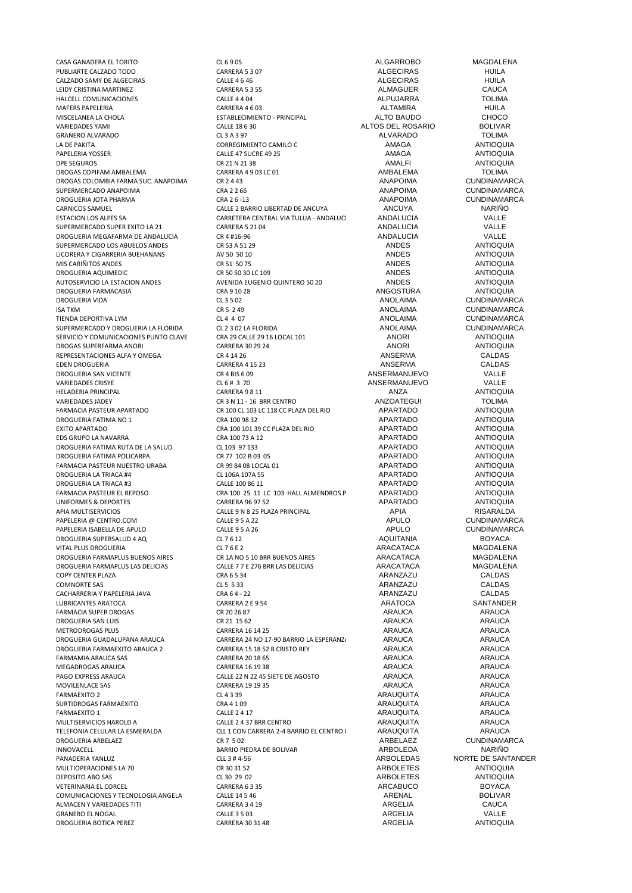PUBLIARTE CALZADO TODO CARRERA 5 3 07 ALGECIRAS HUILA CALZADO SAMY DE ALGECIRAS CALLE 4 6 46 ALGECIRAS HUILA LEIDY CRISTINA MARTINEZ<br>
LEIDY CRISTINA MARTINEZ<br>
CALLE 4 4 04 ALMAGUER ALP LIARRA TOI IMA HALCELL COMUNICACIONES CALLE 4 4 04 ALPUJARRA TOLIMA MAFERS PAPELERIA CARRERA 4 6 03 ALTAMIRA HUILA MISCELANEA LA CHOLA ESTABLECIMIENTO - PRINCIPAL ALTO BAUDO CHOCO GRANERO ALVARADO CL 3 A 3 97 ALVARADO TOLIMA LA DE PAKITA CORREGIMIENTO CAMILO C PAPELERIA YOSSER CALLE 47 SUCRE 49 25 AMAGA ANTIOQUIA DPE SEGUROS CR 21 N 21 38 AMALFI ANTIOQUIA DROGAS COPIFAM AMBALEMA CARRERA 4 9 03 LC 01 AMBALEMA TOLIMA DROGAS COLOMBIA FARMA SUC. ANAPOIMA CR 2 4 43 ANAPOIMA CUNDINAMARCA SUPERMERCADO ANAPOIMA CRA 2 2 66 ANAPOIMA CUNDINAMARCA DROGUERIA JOTA PHARMA CRA 2 6 -13 ANAPOIMA CUNDINAMARCA CARNICOS SAMUEL CALLE 2 BARRIO LIBERTAD DE ANCUYA ANCUYA NARIÑO SUPERMERCADO SUPER EXITO LA 21 CARRERA 5 21 04 ANDALUCIA ANDALUCIA VALLE<br>DROGUERIA MEGAFARMA DE ANDALUCIA CR 4 #16-96 CR 4 #16-96 ANDALUCIA ANDALUCIA VALLE DROGUERIA MEGAFARMA DE ANDALUCIA CR 4 #16-96 ANDALUCIA VALLE SUPERMERCADO LOS ABUELOS ANDES CR 53 A 51 29 ANDES ANTIOQUIA LICORERA Y CIGARRERIA BUEHANANS AV 50 50 10 ANDES ANTIOQUIA MIS CARIÑITOS ANDES **ANTIOQUIA** CR 51 50 75 **ANDES** ANDES ANTIOQUIA DROGUERIA AQUIMEDIC CR 50 50 30 LC 109 ANDES ANTIOQUIA AUTOSERVICIO LA ESTACION ANDES AVENIDA EUGENIO QUINTERO 50 20 ANDES ANTIOQUIA DROGUERIA FARMACASIA CRA 9 10 28 ANGOSTURA ANTIOQUIA DROGUERIA VIDA CL 3 5 02 ANOLAIMA CUNDINAMARCA ISA TKM CR 5 2 49 ANOLAIMA CUNDINAMARCA SUPERMERCADO Y DROGUERIA LA FLORIDA CL 2 3 02 LA FLORIDA<br>SERVICIO Y COMUNICACIONES PUNTO CLAVE CRA 29 CALLE 29 16 LOCAL 101 ANORI ANTIOQUIA SERVICIO Y COMUNICACIONES PUNTO CLAVE CRA 29 CALLE 29 16 LOCAL 101 ANORI ANTIOQUIA<br>DROGAS SUPERFARMA ANORI CARRERA 30 29 24 ANTIOQUIA DROGAS SUPERFARMA ANORI CARRERA 30 29 24 ANORI ANTIOQUIA REPRESENTACIONES ALFA Y OMEGA CR 4 14 26 ANSERMA CALDAS EDEN DROGUERIA CARRERA 4 15 23 ANSERMA CALDAS DROGUERIA SAN VICENTE CR 4 BIS 6 09 ANSERMANUEVO VALLE VARIEDADES CRISYE CL 6 # 3 70 ANSERMANUEVO VALLE HELADERIA PRINCIPAL CARRERA 9 8 11 ANZA ANTIOQUIA VARIEDADES JADEY CR 3 N 11 - 16 BRR CENTRO ANZOATEGUI TOLIMA DROGUERIA FATIMA NO 1 CRA 100 98 32 APARTADO ANTIOQUIA EDS GRUPO LA NAVARRA CRA 100 73 A 12 APARTADO ANTIOQUIA DROGUERIA FATIMA RUTA DE LA SALUD CL 103 97 133 APARTADO ANTIOQUIA DROGUERIA FATIMA POLICARPA<br>
CR 77 102 B 03 05<br>
CR 99 84 08 1 OCAL 01 CAL 01 APARTADO APARTADO ANTESTRO ILLEGADO ANTES FARMACIA PASTEUR NUESTRO URABA CR 99 84 08 LOCAL 01 APARTADO ANTIOQUIA DROGUERIA LA TRIACA #4 CL 106A 107A 55 APARTADO ANTIOQUIA DROGUERIA LA TRIACA #3 CALLE 100 86 11 APARTADO ANTIOQUIA FARMACIA PASTEUR EL REPOSO CRA 100 25 11 LC 103 HALL ALMENDROS PAPARTADO ANTIOQUIA UNIFORMES & DEPORTES **CARRERA 96 97 52** CARRERA 96 97 52 APARTADO **ANTIOQUIA** APIA MULTISERVICIOS CALLE 9 N 8 25 PLAZA PRINCIPAL APIA RISARALDA PAPELERIA @ CENTRO.COM CALLE 9 5 A 22 APULO CUNDINAMARCA PAPELERIA ISABELLA DE APULO CALLE 9 5 A 26 APULO CUNDINAMARCA DROGUERIA SUPERSALUD 4 AQ CL 7 6 12 AQUITANIA BOYACA VITAL PLUS DROGUERIA CL 7 6 E 2 ARACATACA MAGDALENA DROGUERIA FARMAPLUS BUENOS AIRES CR 1A NO 5 10 BRR BUENOS AIRES ARACATACA MAGDALENA DROGUERIA FARMAPLUS LAS DELICIAS CALLE 7 7 E 276 BRR LAS DELICIAS ARACATACA MAGDALENA COPY CENTER PLAZA CRA 6 5 34 CRA 6 5 34 CRA 6 5 34 ARANZAZU CALDAS<br>COMNORTE SAS COMORECAS COMORECAS CLES 5 33 COMNORTE SAS CL 5 5 33 CL 5 5 33 CL 5 5 33 CALDAS CACHARRERIA Y PAPELERIA JAVA CRA 6 4 - 22 ARANZAZU CALDAS LUBRICANTES ARATOCA CARRERA 2 E 9 54 ARATOCA SANTANDER FARMACIA SUPER DROGAS CR 20 26 87 ARAUCA ARAUCA DROGUERIA SAN LUIS CR 21 15 62 ARAUCA ARAUCA METRODROGAS PLUS CARRERA 16 14 25 ARAUCA ARAUCA DROGUERIA FARMAEXITO ARAUCA 2 CARRERA 15 18 52 B CRISTO REY ARAUCA ARAUCA FARMAMIA ARAUCA SAS CARRERA 20 18 65 ARAUCA ARAUCA MEGADROGAS ARAUCA CARRERA 16 19 38 ARAUCA ARAUCA PAGO EXPRESS ARAUCA 
PAGO EXPRESS ARAUCA

PAGO EXPRESS ARAUCA

PAGO EXPRESS ARAUCA

PAGO EXPRESS ARAUCA

PAGO EXPRESS ARAUCA

PAGO EXPRESS ARAUCA

PAGO EXPRESS ARAUCA

PAGO EXPRESS ARAUCA

PAGO EXPRESS ARAUCA MOVILENLACE SAS CARRERA 19 19 35 ARAUCA ARAUCA FARMAEXITO 2 CL 4 3 39 ARAUQUITA ARAUCA SURTIDROGAS FARMAEXITO CRA 4 1 09 ARAUQUITA ARAUCA FARMAEXITO 1 CALLE 2 4 17 ARAUQUITA ARAUCA MULTISERVICIOS HAROLD A CALLE 2437 BRR CENTRO ARAUQUITA ARAUCAL ARAUCALLE 2437 BRR CENTRO ARAUCALLE ARAUCALLE A<br>TEI EFONIA CELULAR LA ESMERALDA CILLO CON CARRERA 2-4 BARRIO EL CENTRO LA ARALIQUITA ARALICALLE ARAUCAL TELEFONIA CELULAR LA ESMERALDA CLL 1 CON CARRERA 2-4 BARRIO EL CENTRO LA ESMETIA ESTA LA ESMENALO ARAUCA ARAUCA<br>CR 7 5 02 DROGUERIA ARBELAEZ CUNDINAMARCA DROGUERIA ARBELAEZ CR 7 5 02 ARBELAEZ CUNDINAMARCA INNOVACELL BARRIO PIEDRA DE BOLIVAR ARBOLEDA NARIÑO NARIÑO ARBOLEDA NARIÑO ARBOLEDAS NORTE DE SANT MULTIOPERACIONES LA 70 CR 30 31 52 ARBOLETES ANTIOQUIA DEPOSITO ABO SAS CL 30 29 02 ARBOLETES ANTIOQUIA VETERINARIA EL CORCEL CORCEL CARRERA 6 3 35 ARCABUCO COMUNICACIONES Y TECNOLOGIA ANGELA CALLE 14 5 46 ARCABUCO COMUNICACIONES Y TECNOLOGIA ANGELA CALLE 14 5 46 ARENAL COMUNICACIONES Y TECNOLOGIA ANGELA CALLE 14 5 46 ARENAL ARENAL BOLIVARENAL BOLIVARENT ESTE EN LA CAUCA CAUCA C<br>CARENAL ALMACEN Y VARIEDADES TITI ALMACEN Y VARIEDADES TITI GRANERO EL NOGAL CALLE 3 5 03 CALLE 3 5 03 CALLE 3 5 03 CALLE ARGELIA CALLE ARGELIA CALLE ARGELIA DROGUERIA BOTICA PEREZ CARRERA 30 31 48 ARGELIA ANTIOQUIA

CASA GANADERA EL TORITO CL 6 9 05 ALGARROBO MAGDALENA CALLE 18 6 30 **ALTOS DEL ROSARIO** BOLIVAR CL 3 A 3 97 **ALTOS DEL ROSARIO BOLIVAR** ESTACION LOS ALPES EN TRACIONAL AND LOS ANDALUCIA CARRETERA CENTRAL VIA TULUA - ANDALUCIA ANDALUCIA VALLE TIENDA DEPORTIVA LYM CL 4 4 07 ANOLAIMA CUNDINAMARCA FRAMACIA PARTADO CR 100 CL 103 LC 118 CC PLAZA DEL RIO APARTADO ANTIOQUIA CRA 100 98 32 EXA 100 101 39 CC PLAZA DEL RIO APARTADO ANTIOQUIA CRA 100 73 A 12 CARRERA 24 NO 17-90 BARRIO LA ESPERANZA ARAUCA ARAUCA CARRERA 15 18 S2 B CRISTO REY ARAUCA

PANADERIA YANG DE SANTANDER<br>ARBOLETES ANTIOQUIA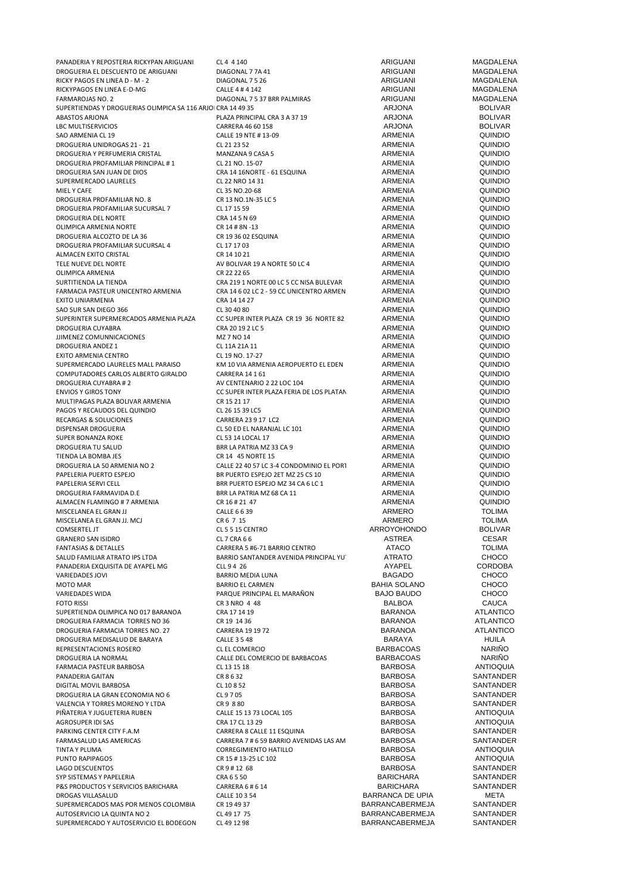| PANADERIA Y REPOSTERIA RICKYPAN ARIGUANI                     | CL 4 4 140                               | ARIGUANI                | MAGDALENA        |
|--------------------------------------------------------------|------------------------------------------|-------------------------|------------------|
| DROGUERIA EL DESCUENTO DE ARIGUANI                           | DIAGONAL 77A 41                          | ARIGUANI                | MAGDALENA        |
| RICKY PAGOS EN LINEA D - M - 2                               | DIAGONAL 7 5 26                          | ARIGUANI                | MAGDALENA        |
| RICKYPAGOS EN LINEA E-D-MG                                   | CALLE 4 # 4 142                          | ARIGUANI                | MAGDALENA        |
| FARMAROJAS NO. 2                                             | DIAGONAL 7 5 37 BRR PALMIRAS             | ARIGUANI                | MAGDALENA        |
| SUPERTIENDAS Y DROGUERIAS OLIMPICA SA 116 ARJOI CRA 14 49 35 |                                          | <b>ARJONA</b>           | <b>BOLIVAR</b>   |
| <b>ABASTOS ARJONA</b>                                        | PLAZA PRINCIPAL CRA 3 A 37 19            | ARJONA                  | <b>BOLIVAR</b>   |
| <b>LBC MULTISERVICIOS</b>                                    | CARRERA 46 60 158                        | ARJONA                  | <b>BOLIVAR</b>   |
| SAO ARMENIA CL 19                                            | CALLE 19 NTE #13-09                      | ARMENIA                 | <b>QUINDIO</b>   |
| DROGUERIA UNIDROGAS 21 - 21                                  | CL 21 23 52                              | ARMENIA                 | QUINDIO          |
|                                                              |                                          | ARMENIA                 |                  |
| DROGUERIA Y PERFUMERIA CRISTAL                               | MANZANA 9 CASA 5                         |                         | QUINDIO          |
| DROGUERIA PROFAMILIAR PRINCIPAL #1                           | CL 21 NO. 15-07                          | ARMENIA                 | QUINDIO          |
| DROGUERIA SAN JUAN DE DIOS                                   | CRA 14 16NORTE - 61 ESQUINA              | <b>ARMENIA</b>          | <b>QUINDIO</b>   |
| SUPERMERCADO LAURELES                                        | CL 22 NRO 14 31                          | <b>ARMENIA</b>          | QUINDIO          |
| MIEL Y CAFE                                                  | CL 35 NO.20-68                           | <b>ARMENIA</b>          | QUINDIO          |
| DROGUERIA PROFAMILIAR NO. 8                                  | CR 13 NO.1N-35 LC 5                      | ARMENIA                 | QUINDIO          |
| DROGUERIA PROFAMILIAR SUCURSAL 7                             | CL 17 15 59                              | ARMENIA                 | <b>QUINDIO</b>   |
| DROGUERIA DEL NORTE                                          | CRA 14 5 N 69                            | ARMENIA                 | <b>QUINDIO</b>   |
| OLIMPICA ARMENIA NORTE                                       | CR 14 # 8N -13                           | ARMENIA                 | QUINDIO          |
| DROGUERIA ALCOZTO DE LA 36                                   | CR 19 36 02 ESQUINA                      | ARMENIA                 | QUINDIO          |
| DROGUERIA PROFAMILIAR SUCURSAL 4                             | CL 17 17 03                              | ARMENIA                 | QUINDIO          |
| ALMACEN EXITO CRISTAL                                        | CR 14 10 21                              | ARMENIA                 | QUINDIO          |
| TELE NUEVE DEL NORTE                                         | AV BOLIVAR 19 A NORTE 50 LC 4            | ARMENIA                 | QUINDIO          |
| OLIMPICA ARMENIA                                             | CR 22 22 65                              | <b>ARMENIA</b>          | QUINDIO          |
| SURTITIENDA LA TIENDA                                        | CRA 219 1 NORTE 00 LC 5 CC NISA BULEVAR  | ARMENIA                 | <b>QUINDIO</b>   |
| FARMACIA PASTEUR UNICENTRO ARMENIA                           | CRA 14 6 02 LC 2 - 59 CC UNICENTRO ARMEN | ARMENIA                 | QUINDIO          |
| <b>EXITO UNIARMENIA</b>                                      | CRA 14 14 27                             | ARMENIA                 | QUINDIO          |
| SAO SUR SAN DIEGO 366                                        | CL 30 40 80                              | ARMENIA                 | QUINDIO          |
| SUPERINTER SUPERMERCADOS ARMENIA PLAZA                       | CC SUPER INTER PLAZA CR 19 36 NORTE 82   | ARMENIA                 | QUINDIO          |
|                                                              |                                          |                         |                  |
| DROGUERIA CUYABRA                                            | CRA 20 19 2 LC 5                         | ARMENIA                 | QUINDIO          |
| JJIMENEZ COMUNNICACIONES                                     | MZ 7 NO 14                               | ARMENIA                 | QUINDIO          |
| DROGUERIA ANDEZ 1                                            | CL 11A 21A 11                            | <b>ARMENIA</b>          | QUINDIO          |
| EXITO ARMENIA CENTRO                                         | CL 19 NO. 17-27                          | ARMENIA                 | QUINDIO          |
| SUPERMERCADO LAURELES MALL PARAISO                           | KM 10 VIA ARMENIA AEROPUERTO EL EDEN     | ARMENIA                 | <b>QUINDIO</b>   |
| COMPUTADORES CARLOS ALBERTO GIRALDO                          | CARRERA 14 1 61                          | ARMENIA                 | <b>QUINDIO</b>   |
| DROGUERIA CUYABRA # 2                                        | AV CENTENARIO 2 22 LOC 104               | ARMENIA                 | QUINDIO          |
| <b>ENVIOS Y GIROS TONY</b>                                   | CC SUPER INTER PLAZA FERIA DE LOS PLATAN | ARMENIA                 | QUINDIO          |
| MULTIPAGAS PLAZA BOLIVAR ARMENIA                             | CR 15 21 17                              | ARMENIA                 | QUINDIO          |
| PAGOS Y RECAUDOS DEL QUINDIO                                 | CL 26 15 39 LC5                          | ARMENIA                 | <b>QUINDIO</b>   |
| RECARGAS & SOLUCIONES                                        | CARRERA 23 9 17 LC2                      | ARMENIA                 | QUINDIO          |
| DISPENSAR DROGUERIA                                          | CL 50 ED EL NARANJAL LC 101              | ARMENIA                 | QUINDIO          |
| SUPER BONANZA ROKE                                           | CL 53 14 LOCAL 17                        | ARMENIA                 | QUINDIO          |
| DROGUERIA TU SALUD                                           | BRR LA PATRIA MZ 33 CA 9                 | ARMENIA                 | <b>QUINDIO</b>   |
| TIENDA LA BOMBA JES                                          | CR 14 45 NORTE 15                        | ARMENIA                 | QUINDIO          |
| DROGUERIA LA 50 ARMENIA NO 2                                 | CALLE 22 40 57 LC 3-4 CONDOMINIO EL PORT | ARMENIA                 | QUINDIO          |
| PAPELERIA PUERTO ESPEJO                                      | BR PUERTO ESPEJO 2ET MZ 25 CS 10         | ARMENIA                 | QUINDIO          |
| PAPELERIA SERVI CELL                                         | BRR PUERTO ESPEJO MZ 34 CA 6 LC 1        | ARMENIA                 | QUINDIO          |
| DROGUERIA FARMAVIDA D.E                                      | BRR LA PATRIA MZ 68 CA 11                | ARMENIA                 | QUINDIO          |
| ALMACEN FLAMINGO # 7 ARMENIA                                 | CR 16#21 47                              | ARMENIA                 | QUINDIO          |
| MISCELANEA EL GRAN JJ                                        | CALLE 6 6 39                             | ARMERO                  | <b>TOLIMA</b>    |
|                                                              | CR6 7 15                                 | <b>ARMERO</b>           | <b>TOLIMA</b>    |
| MISCELANEA EL GRAN JJ. MCJ                                   |                                          |                         |                  |
| COMSERTEL JT                                                 | CL 5 5 15 CENTRO                         | ARROYOHONDO             | <b>BOLIVAR</b>   |
| <b>GRANERO SAN ISIDRO</b>                                    | CL 7 CRA 6 6                             | ASTREA                  | CESAR            |
| <b>FANTASIAS &amp; DETALLES</b>                              | CARRERA 5 #6-71 BARRIO CENTRO            | ATACO                   | <b>TOLIMA</b>    |
| SALUD FAMILIAR ATRATO IPS LTDA                               | BARRIO SANTANDER AVENIDA PRINCIPAL YU    | ATRATO                  | CHOCO            |
| PANADERIA EXQUISITA DE AYAPEL MG                             | CLL 94 26                                | AYAPEL                  | <b>CORDOBA</b>   |
| VARIEDADES JOVI                                              | BARRIO MEDIA LUNA                        | <b>BAGADO</b>           | CHOCO            |
| MOTO MAR                                                     | BARRIO EL CARMEN                         | <b>BAHIA SOLANO</b>     | CHOCO            |
| VARIEDADES WIDA                                              | PARQUE PRINCIPAL EL MARAÑON              | <b>BAJO BAUDO</b>       | CHOCO            |
| <b>FOTO RISSI</b>                                            | CR 3 NRO 4 48                            | <b>BALBOA</b>           | CAUCA            |
| SUPERTIENDA OLIMPICA NO 017 BARANOA                          | CRA 17 14 19                             | <b>BARANOA</b>          | <b>ATLANTICO</b> |
| DROGUERIA FARMACIA TORRES NO 36                              | CR 19 14 36                              | BARANOA                 | ATLANTICO        |
| DROGUERIA FARMACIA TORRES NO. 27                             | CARRERA 19 19 72                         | <b>BARANOA</b>          | <b>ATLANTICO</b> |
| DROGUERIA MEDISALUD DE BARAYA                                | <b>CALLE 3 5 48</b>                      | BARAYA                  | <b>HUILA</b>     |
| REPRESENTACIONES ROSERO                                      | CL EL COMERCIO                           | <b>BARBACOAS</b>        | <b>NARIÑO</b>    |
| DROGUERIA LA NORMAL                                          | CALLE DEL COMERCIO DE BARBACOAS          | <b>BARBACOAS</b>        | <b>NARIÑO</b>    |
| FARMACIA PASTEUR BARBOSA                                     | CL 13 15 18                              | BARBOSA                 | <b>ANTIOQUIA</b> |
| PANADERIA GAITAN                                             | CR 8 6 32                                | <b>BARBOSA</b>          | SANTANDER        |
| DIGITAL MOVIL BARBOSA                                        | CL 10 8 52                               | BARBOSA                 | SANTANDER        |
| DROGUERIA LA GRAN ECONOMIA NO 6                              | CL 9 7 05                                | BARBOSA                 | SANTANDER        |
| VALENCIA Y TORRES MORENO Y LTDA                              | CR 9 8 80                                | BARBOSA                 | SANTANDER        |
| PIÑATERIA Y JUGUETERIA RUBEN                                 |                                          | <b>BARBOSA</b>          | <b>ANTIOQUIA</b> |
|                                                              | CALLE 15 13 73 LOCAL 105                 |                         |                  |
| AGROSUPER IDI SAS                                            | CRA 17 CL 13 29                          | <b>BARBOSA</b>          | <b>ANTIOQUIA</b> |
| PARKING CENTER CITY F.A.M                                    | CARRERA 8 CALLE 11 ESQUINA               | BARBOSA                 | SANTANDER        |
| FARMASALUD LAS AMERICAS                                      | CARRERA 7 # 6 59 BARRIO AVENIDAS LAS AM  | BARBOSA                 | SANTANDER        |
| TINTA Y PLUMA                                                | CORREGIMIENTO HATILLO                    | BARBOSA                 | <b>ANTIOQUIA</b> |
| PUNTO RAPIPAGOS                                              | CR 15 # 13-25 LC 102                     | BARBOSA                 | ANTIOQUIA        |
| LAGO DESCUENTOS                                              | CR 9 # 12 68                             | BARBOSA                 | SANTANDER        |
| SYP SISTEMAS Y PAPELERIA                                     | CRA 6 5 50                               | <b>BARICHARA</b>        | SANTANDER        |
| P&S PRODUCTOS Y SERVICIOS BARICHARA                          | CARRERA 6 # 6 14                         | <b>BARICHARA</b>        | SANTANDER        |
| DROGAS VILLASALUD                                            | CALLE 10 3 54                            | <b>BARRANCA DE UPIA</b> | META             |
| SUPERMERCADOS MAS POR MENOS COLOMBIA                         | CR 19 49 37                              | BARRANCABERMEJA         | SANTANDER        |
| AUTOSERVICIO LA QUINTA NO 2                                  | CL 49 17 75                              | BARRANCABERMEJA         | SANTANDER        |
| SUPERMERCADO Y AUTOSERVICIO EL BODEGON                       | CL 49 12 98                              | BARRANCABERMEJA         | SANTANDER        |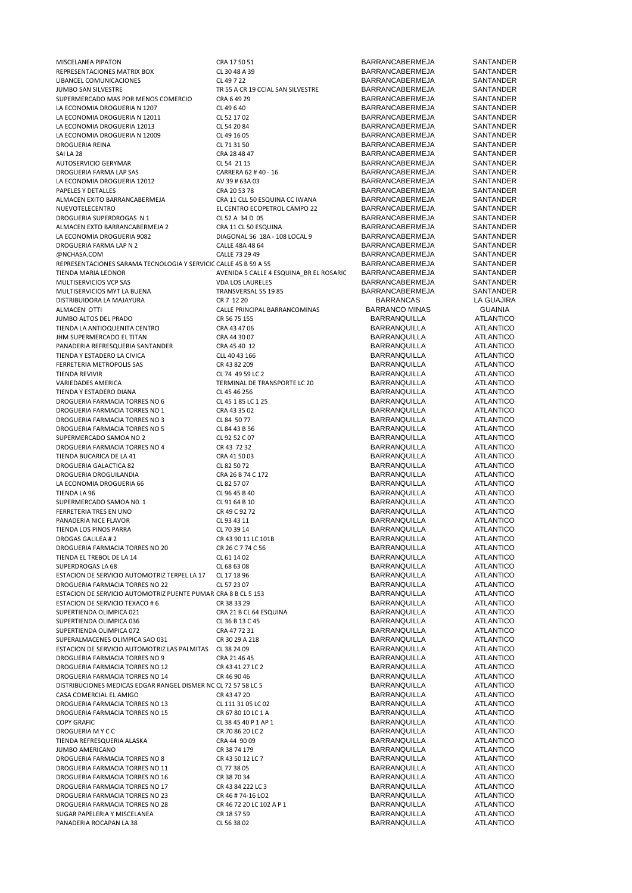MISCELANEA PIPATON CRA 17 SO 51 CRA 17 SO 51 BARRANCABERMEJA SANTANDER<br>REPRESENTACIONES MATRIX BOX CL 30 48 A 39 BARRANCABERMEJA SANTANDER REPRESENTACIONES MATRIX BOX CL 30 48 A 39 BARRANCABERMEJA SANTANDER LIBANCEL COMUNICACIONES CL 49 7 22 BARRANCABERMEJA SANTANDER SUPERMERCADO MAS POR MENOS COMERCIO CRA 6 49 29 BARRANCABERMEJA SANTANDER<br>LA ECONOMIA DROGUERIA N 1207 CL 49 6 40 CL 49 6 40 BARRANCABERMEJA SANTANDER LA ECONOMIA DROGUERIA N 1207 CL 49 6 40 BARRANCABERMEJA SANTANDER LA ECONOMIA DROGUERIA N 12011 CL 52 17 02<br>LA ECONOMIA DROGUERIA 12013 CL 54 20 84 CL 54 20 84 BARRANCABERMEJA SANTANDER LA ECONOMIA DROGUERIA 12013 CL 54 20 84 BARRANCABERMEJA SANTANDER LA ECONOMIA DROGUERIA N 12009 CL 49 16 05 BARRANCABERMEJA SANTANDER DROGUERIA REINA CL 71 31 50 BARRANCABERMEJA SAI LA 28 CRA 28 48 47 BARRANCABERMEJA SANTANDER AUTOSERVICIO GERYMAR CL 54 21 15 BARRANCABERMEJA SANTANDER DROGUERIA FARMA LAP SAS CARRERA 62 # 40 - 16 BARRANCABERMEJA SANTANDER LA ECONOMIA DROGUERIA 12012 AV 39 # 63A 03 BARRANCABERMEJA SANTANDER ALMACEN EXITO BARRANCABERMEJA CRA 11 CLL 50 ESQUINA CC IWANA BARRANCABERMEJA SANTANDER DROGUERIA SUPERDROGAS N 1 CL 52 A 34 D 05 BARRANCABERMEJA SANTANDER ALMACEN EXTO BARRANCABERMEJA 2 CRA 11 CL 50 ESQUINA BARRANCABERMEJA SANTANDER LA ECONOMIA DROGUERIA 9082 DIAGONAL 56 18A - 108 LOCAL 9 BARRANCABERMEJA SANTANDER<br>DROGUERIA FARMA I AP N 2 CALE 48A 48 FA 48A 48 FARRANCABERMEJA SANTANDER DROGUERIA FARMA LAP N 2 CALLE 48A 48 64 BARRANCABERMEJA SANTANDER<br>CALLE 73 29 49 BARRANCARERME IA SANTANDER @NCHASA.COM CALLE 73 29 49 BARRANCABERMEJA SANTANDER REPRESENTACIONES SARAMA TECNOLOGIA Y SERVICIC CALLE 45 B 59 A 55 BARRANCABERMEJA SANTANDER<br>AVENIDA 5 CALLE 4 ESQUINA BR EL ROSARIC BARRANCABERMEJA SANTANDER MULTISERVICIOS VCP SAS VDA LOS LAURELES BARRANCABERMEJA SANTANDER MULTISERVICIOS MYT LA BUENA FRANSVERSAL 55 19 85 BARRANCABERMEJA SANTANDER SANTANDER<br>DISTRIBUIDORA LA MAJAYURA FRANCAS DE RETURIS CRITILEZZO EN SUBSIGNATA DE LA GUAJIRA DISTRIBUIDORA LA MAJAYURA CR 7 12 20 BARRANCAS LA GUAJIRA JUMBO ALTOS DEL PRADO CR 56 75 155 BARRANQUILLA ATLANTICO TIENDA LA ANTIOQUENITA CENTRO CRA 43 47 06 BARRANQUILLA ATLANTICO JHM SUPERMERCADO EL TITAN CRA 44 30 07 BARRANQUILLA ATLANTICO PANADERIA REFRESQUERIA SANTANDER CRA 45 40 12 BARRANQUILLA ATLANTICO TIENDA Y ESTADERO LA CIVICA CLL 40 43 166 BARRANQUILLA ATLANTICO FERRETERIA METROPOLIS SAS CR 43 82 209 BARRANQUILLA ATLANTICO CR 43 82 209 BARRANQUILLA ATLANTICO TIENDA REVIVIR CL 74 49 59 LC 2 BARRANQUILLA ATLANTICO VARIEDADES AMERICA TERMINAL DE TRANSPORTE LC 20 BARRANQUILLA ATLANTICO TIENDA Y ESTADERO DIANA CLAS AS ANGLES AND CLAS 46 256 CLAS ASSOCIATES AND ANNO BARRANQUILLA ATLANTICO ATLANTICO<br>DROGUERIA FARMACIA TORRES NO 6 CLAS 185 LC 1 25 CLASS CONTRANTICO BARRANQUILLA ATLANTICO DROGUERIA FARMACIA TORRES NO 6 CL 45 1 85 LC 1 25 CL 45 1 85 LC 1 25 BARRANQUILLA ATLANTICO<br>DROGUERIA FARMACIA TORRES NO 1 CRA 43 35 02 BARRANQUILLA ATLANTICO DROGUERIA FARMACIA TORRES NO 1 CRA 43 35 02 BARRANQUILLA ATLANTICO DROGUERIA FARMACIA TORRES NO 3 CL 84 50 77 CL 84 50 77 BARRANQUILLA ATLANTICO ATLANTICO ANNO 2012 ANNO 2012 ATLANTICO<br>DROGUERIA FARMACIA TORRES NO 5 CL 84 43 B 56 CL 84 43 B 56 CL 84 43 B 56 CL 84 ATLANTICO DROGUERIA FARMACIA TORRES NO 5 CL 84 43 B 56 CL 84 43 B 56 BARRANQUILLA ATLANTICO<br>SUPERMERCADO SAMOA NO 2 CL 92 52 C 07 CL 92 52 C 07 BARRANQUILLA ATLANTICO SUPERMERCADO SAMOA NO 2 CL 92 52 C 07 BARRANQUILLA ATLANTICO DROGUERIA FARMACIA TORRES NO 4 CR 43 72 32 BARRANQUILLA ATLANTICO TIENDA BUCARICA DE LA 41 DROGUERIA GALACTICA 82 CL 82 50 72 BARRANQUILLA ATLANTICO DROGUERIA DROGUILANDIA CRA 26 B 74 C 172 BARRANQUILLA ATLANTICO LA ECONOMIA DROGUERIA 66 CL 82 57 07 TIENDA LA 96 CL 96 45 B 40 BARRANQUILLA ATLANTICO SUPERMERCADO SAMOA NO. 1 CL 91 64 B 10 BARRANQUILLA ATLANTICO FERRETERIA TRES EN UNO CR 49 C 92 72 BARRANQUILLA ATLANTICO PANADERIA NICE FLAVOR CL 93 43 11 BARRANQUILLA ATLANTICO TIENDA LOS PINOS PARRA CL 70 39 14 BARRANQUILLA ATLANTICO DROGAS GALILEA # 2 CR 43 90 11 LC 101B<br>DROGUERIA FARMACIA TORRES NO 20 CR 26 C 7 74 C 56 BARRANQUILLA BARRANQUILLA ATLANTICO DROGUERIA FARMACIA TORRES NO 20 CR 26 C 7 74 C 56 CR 26 CR 26 CR 26 CR 26 CR 26 CR 26 CR 26 CR 26 CR 26 CR 26 C<br>TIENDA EL TREBOL DE LA 14 ATLANTICO CL 61 14 02 CL 61 14 02 TIENDA EL TREBOL DE LA 14 CL 61 14 OCL 61 14 O2<br>SUPERDROGAS LA 68 ATLANTICO CL 68 63 O8 CL 68 63 O8 BARRANQUILLA ATLANTICO ESTACION DE SERVICIO AUTOMOTRIZ TERPEL LA 17 CL 17 18 96 BARRANQUILLA BARRANQUILLA ATLANTICO ESTROVIDENTE DE LA CL 57 23 07 CL 57 23 07 BARRANQUILLA ATLANTICO DROGUERIA FARMACIA TORRES NO 22 ESTACION DE SERVICIO AUTOMOTRIZ PUENTE PUMAR CRA 8 B CL 5 153 BARRANQUILLA ATLANTICO<br>ESTACION DE SERVICIO TEXACO # 6 GR 38 23 29 GR 38 23 29 BARRANQUILLA ATLANTICO ESTACION DE SERVICIO TEXACO # 6 CR 38 33 29 BARRANQUILLA ATLANTICO ANNO 2012 ANNO 2012 ANNO 2012 ANNO 2012 ATLANTICO<br>SLIPERTIENDA OLIMPICA 021 ANTICO SUPERTIENDA OLIMPICA 021 CRA 21 B CL 64 ESQUINA BARRANQUILLA ATLANTICO SUPERTIENDA OLIMPICA 036 CL 36 B 13 C 45 BARRANQUILLA ATLANTICO SUPERTIENDA OLIMPICA 072 CRA 47 72 31 BARRANQUILLA ATLANTICO SUPERALMACENES OLIMPICA SAO 031 CR 30 29 A 218 BARRANQUILLA ATLANTICO CONSERVATION CR 30 29 A 218 CR 30 29 A 218 CR 30 29 A 218 CR 30 29 ATLANTICO CESTACION DE SERVICIO AUTOMOTRIZ LAS PALMITAS CL 38 24 09 CR 30 ATLANTICO C ESTACION DE SERVICIO AUTOMOTRIZ LAS PALMITAS CL 38 24 09 BARRANQUILLA ATLANTICO ANNO 19 DE RASSERVICIO ANNO 19<br>DROGUERIA FARMACIA TORRES NO 9 CRA 21 46 45 DE RASSERVICIO BARRANQUILLA ATLANTICO DROGUERIA FARMACIA TORRES NO 9 CRA 21 46 45<br>DROGUERIA FARMACIA TORRES NO 12 CR 43 41 27 LC 2 BARRANQUILLA ATLANTICO DROGUERIA FARMACIA TORRES NO 12 CR 43 41 27 LC 2 CR 43 41 27 LC 2 BARRANQUILLA ATLANTICO DROGUERIA FARMACIA TORRES NO 14 CR 46 90 46 CR 46 90 46 DROGUERIA FARMACIA TORRES NO 14 CR 46 90 46 CR 46 90 46 BARRANQUILLA ATLANTICO DISTRIBUCIONES MEDICAS EDGAR RANGEL DISMER NC CL 72 57 58 LC 5 BARRANQUILLA DISTRIBUCIONES MEDICAS EDGAR RANGEL DISMER NC CL 72 57 58 LC 5 BARRANQUILLA ATLANTICO CASA COMERCIAL EL AMIGO<br>CASA COMERCIAL EL AMIGO CRESSO CR 43 47 20 CR 43 47 20 CASA COMERCIAL EL AMIGO CR 43 47 20 BARRANQUILLA ATLANTICO DROGUERIA FARMACIA TORRES NO 13<br>
CL 111 31 05 LC 02 BARRANQUILLA ATLANTICO<br>
DROGUERIA FARMACIA TORRES NO 15 CR 57 80 10 LC 1 A BARRANOUILLA ATLANTICO DROGUERIA FARMACIA TORRES NO 15 CR 67 80 10 LC 1 A<br>COPY GRAFIC BARRANQUILLA COPY GRAFIC BARRANO UILLA COPY GRAFIC GRAFIC CL 38 45 40 P 1 AP 1 BARRANQUILLA ATLANTICO DROGUERIA M Y C C<br>TIENDA REFRESCUERIA AIASKA CRA AL OR A AL OR ORA AL ORO DO CRA AL PORTO DE RAPRANOUIILIA ATLANTICO TIENDA REFRESQUERIA ALASKA CRA 44 90 09 BARRANQUILLA ATLANTICO JUMBO AMERICANO CR 38 74 179 BARRANQUILLA ATLANTICO DROGUERIA FARMACIA TORRES NO 8 CR 43 50 12 LC 7 CR 43 50 12 LC 7<br>DROGUERIA FARMACIA TORRES NO 11 CL 77 38 05 CL 77 28 05 CR 47 BARRANQUILLA CONFINICO DROGUERIA FARMACIA TORRES NO 11 CL 77 38 05<br>DROGUERIA FARMACIA TORRES NO 16 CR 38 70 34 CR 38 70 34 BARRANQUILLA ATLANTICO DROGUERIA FARMACIA TORRES NO 16 CR 38 70 34 BARRANQUILLA ATLANTICO DROGUERIA FARMACIA TORRES NO 17  $\begin{array}{c} \text{CR 43 84 222 LC 3 \\ \text{CR 45 # 74-16 LO2 \end{array}$  BARRANQUILLA ATLANTICO DROGUERIA FARMACIA TORRES NO 23 CR 46 # 74-16 LO2 BARRANQUILLA ATLANTICO ANNO ANNO 23 CR 46 72 20 LC 102 A P 1 CR 46 FOR BARRANQUILLA ATLANTICO DROGUERIA FARMACIA TORRES NO 28 SUGAR PAPELERIA Y MISCELANEA CR 18 57 59 BARRANQUILLA ATLANTICO PANADERIA ROCAPAN LA 38 CL 56 38 02 CL 56 38 02 BARRANQUILLA ATLANTICO

TR 55 A CR 19 CCIAL SAN SILVESTRE BARRANCABERMEJA SANTANDER<br>CRA 6 49 29 CRA SANTANDER PAPELES Y DETALLES CRA 20 53 78 BARRANCABERMEJA SANTANDER EL CENTRO ECOPETROL CAMPO 22 BARRANCABERMEJA SANTANDER<br>CL 52 A 34 D 05 BARRANCABERMEJA SANTANDER AVENIDA 5 CALLE 4 ESQUINA\_BR EL ROSARIC CALLE PRINCIPAL BARRANCOMINAS BARRANCO MINAS GUAINIA<br>CR 56 75 155 GUAINICO

BARRANQUILLA ATLANTICO<br>BARRANQUILLA ATLANTICO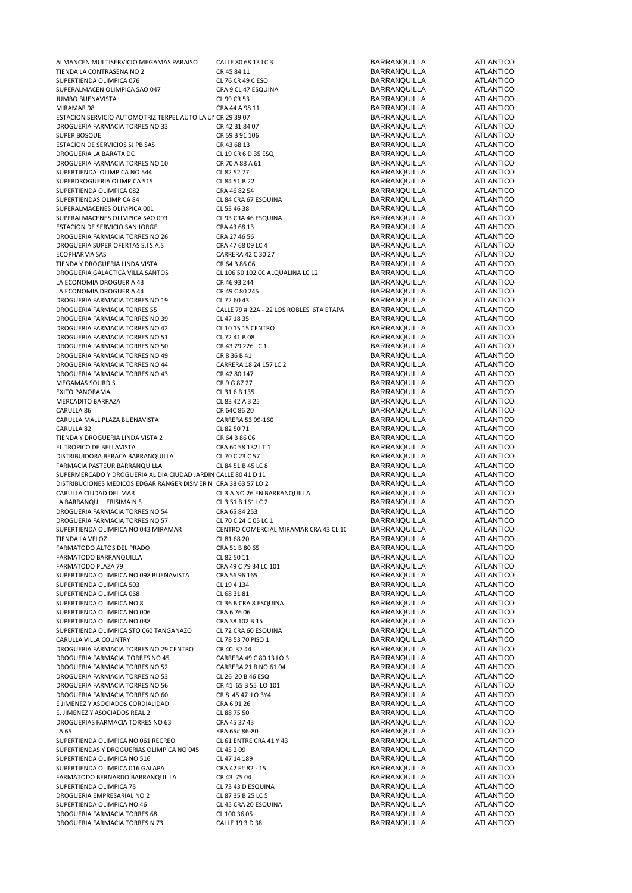| ALMANCEN MULTISERVICIO MEGAMAS PARAISO                          | CALLE 80 68 13 LC 3                      | <b>BARRANQUILLA</b>                 | <b>ATLANTICO</b>              |
|-----------------------------------------------------------------|------------------------------------------|-------------------------------------|-------------------------------|
|                                                                 |                                          |                                     |                               |
| TIENDA LA CONTRASENA NO 2                                       | CR 45 84 11                              | <b>BARRANQUILLA</b>                 | <b>ATLANTICO</b>              |
| SUPERTIENDA OLIMPICA 076                                        | CL 76 CR 49 C ESQ                        | <b>BARRANQUILLA</b>                 | <b>ATLANTICO</b>              |
| SUPERALMACEN OLIMPICA SAO 047                                   | CRA 9 CL 47 ESQUINA                      | <b>BARRANQUILLA</b>                 | <b>ATLANTICO</b>              |
| JUMBO BUENAVISTA                                                | CL 99 CR 53                              | <b>BARRANQUILLA</b>                 | <b>ATLANTICO</b>              |
| MIRAMAR 98                                                      | CRA 44 A 98 11                           | <b>BARRANQUILLA</b>                 | <b>ATLANTICO</b>              |
|                                                                 |                                          |                                     |                               |
| ESTACION SERVICIO AUTOMOTRIZ TERPEL AUTO LA UN CR 29 39 07      |                                          | <b>BARRANQUILLA</b>                 | <b>ATLANTICO</b>              |
| DROGUERIA FARMACIA TORRES NO 33                                 | CR 42 B1 84 07                           | <b>BARRANQUILLA</b>                 | <b>ATLANTICO</b>              |
| SUPER BOSQUE                                                    | CR 59 B 91 106                           | <b>BARRANQUILLA</b>                 | <b>ATLANTICO</b>              |
| ESTACION DE SERVICIOS SJ PB SAS                                 | CR 43 68 13                              | <b>BARRANQUILLA</b>                 | <b>ATLANTICO</b>              |
| DROGUERIA LA BARATA DC                                          | CL 19 CR 6 D 35 ESQ                      | <b>BARRANQUILLA</b>                 | <b>ATLANTICO</b>              |
| DROGUERIA FARMACIA TORRES NO 10                                 |                                          |                                     | <b>ATLANTICO</b>              |
|                                                                 | CR 70 A 88 A 61                          | <b>BARRANQUILLA</b>                 |                               |
| SUPERTIENDA OLIMPICA NO 544                                     | CL 82 52 77                              | <b>BARRANQUILLA</b>                 | <b>ATLANTICO</b>              |
| SUPERDROGUERIA OLIMPICA 515                                     | CL 84 51 B 22                            | <b>BARRANQUILLA</b>                 | <b>ATLANTICO</b>              |
| SUPERTIENDA OLIMPICA 082                                        | CRA 46 82 54                             | <b>BARRANQUILLA</b>                 | <b>ATLANTICO</b>              |
| SUPERTIENDAS OLIMPICA 84                                        | CL 84 CRA 67 ESQUINA                     | <b>BARRANQUILLA</b>                 | <b>ATLANTICO</b>              |
| SUPERALMACENES OLIMPICA 001                                     |                                          | <b>BARRANQUILLA</b>                 | <b>ATLANTICO</b>              |
|                                                                 | CL 53 46 38                              |                                     |                               |
| SUPERALMACENES OLIMPICA SAO 093                                 | CL 93 CRA 46 ESQUINA                     | <b>BARRANQUILLA</b>                 | <b>ATLANTICO</b>              |
| ESTACION DE SERVICIO SAN JORGE                                  | CRA 43 68 13                             | <b>BARRANQUILLA</b>                 | <b>ATLANTICO</b>              |
| DROGUERIA FARMACIA TORRES NO 26                                 | CRA 27 46 56                             | <b>BARRANQUILLA</b>                 | <b>ATLANTICO</b>              |
| DROGUERIA SUPER OFERTAS S.I S.A.S                               | CRA 47 68 09 LC 4                        | <b>BARRANQUILLA</b>                 | <b>ATLANTICO</b>              |
| <b>ECOPHARMA SAS</b>                                            | CARRERA 42 C 30 27                       | <b>BARRANQUILLA</b>                 | <b>ATLANTICO</b>              |
|                                                                 |                                          |                                     |                               |
| TIENDA Y DROGUERIA LINDA VISTA                                  | CR 64 B 86 06                            | <b>BARRANQUILLA</b>                 | <b>ATLANTICO</b>              |
| DROGUERIA GALACTICA VILLA SANTOS                                | CL 106 50 102 CC ALQUALINA LC 12         | <b>BARRANQUILLA</b>                 | <b>ATLANTICO</b>              |
| LA ECONOMIA DROGUERIA 43                                        | CR 46 93 244                             | <b>BARRANQUILLA</b>                 | <b>ATLANTICO</b>              |
| LA ECONOMIA DROGUERIA 44                                        | CR 49 C 80 245                           | <b>BARRANQUILLA</b>                 | <b>ATLANTICO</b>              |
| DROGUERIA FARMACIA TORRES NO 19                                 | CL 72 60 43                              | <b>BARRANQUILLA</b>                 | <b>ATLANTICO</b>              |
|                                                                 |                                          |                                     | <b>ATLANTICO</b>              |
| DROGUERIA FARMACIA TORRES 55                                    | CALLE 79 # 22A - 22 LOS ROBLES 6TA ETAPA | <b>BARRANQUILLA</b>                 |                               |
| DROGUERIA FARMACIA TORRES NO 39                                 | CL 47 18 35                              | <b>BARRANQUILLA</b>                 | <b>ATLANTICO</b>              |
| DROGUERIA FARMACIA TORRES NO 42                                 | CL 10 15 15 CENTRO                       | <b>BARRANQUILLA</b>                 | <b>ATLANTICO</b>              |
| DROGUERIA FARMACIA TORRES NO 51                                 | CL 72 41 B 08                            | <b>BARRANQUILLA</b>                 | <b>ATLANTICO</b>              |
| DROGUERIA FARMACIA TORRES NO 50                                 | CR 43 79 226 LC 1                        | <b>BARRANQUILLA</b>                 | <b>ATLANTICO</b>              |
|                                                                 |                                          |                                     |                               |
| DROGUERIA FARMACIA TORRES NO 49                                 | CR 8 36 B 41                             | <b>BARRANQUILLA</b>                 | <b>ATLANTICO</b>              |
| DROGUERIA FARMACIA TORRES NO 44                                 | CARRERA 18 24 157 LC 2                   | <b>BARRANQUILLA</b>                 | <b>ATLANTICO</b>              |
| DROGUERIA FARMACIA TORRES NO 43                                 | CR 42 80 147                             | <b>BARRANQUILLA</b>                 | <b>ATLANTICO</b>              |
| MEGAMAS SOURDIS                                                 | CR 9 G 87 27                             | <b>BARRANQUILLA</b>                 | <b>ATLANTICO</b>              |
| EXITO PANORAMA                                                  | CL 31 6 B 135                            | <b>BARRANQUILLA</b>                 | <b>ATLANTICO</b>              |
|                                                                 |                                          |                                     |                               |
| MERCADITO BARRAZA                                               | CL 83 42 A 3 25                          | <b>BARRANQUILLA</b>                 | <b>ATLANTICO</b>              |
| CARULLA 86                                                      | CR 64C 86 20                             | <b>BARRANQUILLA</b>                 | <b>ATLANTICO</b>              |
| CARULLA MALL PLAZA BUENAVISTA                                   | CARRERA 53 99-160                        | <b>BARRANQUILLA</b>                 | <b>ATLANTICO</b>              |
| CARULLA 82                                                      | CL 82 50 71                              | <b>BARRANQUILLA</b>                 | <b>ATLANTICO</b>              |
| TIENDA Y DROGUERIA LINDA VISTA 2                                | CR 64 B 86 06                            | <b>BARRANQUILLA</b>                 | <b>ATLANTICO</b>              |
|                                                                 |                                          |                                     |                               |
| EL TROPICO DE BELLAVISTA                                        | CRA 60 58 132 LT 1                       | <b>BARRANQUILLA</b>                 | <b>ATLANTICO</b>              |
| DISTRIBUIDORA BERACA BARRANQUILLA                               | CL 70 C 23 C 57                          | <b>BARRANQUILLA</b>                 | <b>ATLANTICO</b>              |
| FARMACIA PASTEUR BARRANQUILLA                                   | CL 84 51 B 45 LC 8                       | <b>BARRANQUILLA</b>                 | <b>ATLANTICO</b>              |
| SUPERMERCADO Y DROGUERIA AL DIA CIUDAD JARDIN CALLE 80 41 D 11  |                                          | <b>BARRANQUILLA</b>                 | <b>ATLANTICO</b>              |
| DISTRIBUCIONES MEDICOS EDGAR RANGER DISMER N. CRA 38 63 57 LO 2 |                                          | <b>BARRANQUILLA</b>                 | <b>ATLANTICO</b>              |
|                                                                 |                                          |                                     |                               |
| CARULLA CIUDAD DEL MAR                                          | CL 3 A NO 26 EN BARRANQUILLA             | <b>BARRANQUILLA</b>                 | <b>ATLANTICO</b>              |
| LA BARRANQUILLERISIMA N 5                                       | CL 3 51 B 161 LC 2                       | <b>BARRANQUILLA</b>                 | <b>ATLANTICO</b>              |
| DROGUERIA FARMACIA TORRES NO 54                                 | CRA 65 84 253                            | <b>BARRANQUILLA</b>                 | <b>ATLANTICO</b>              |
| DROGUERIA FARMACIA TORRES NO 57                                 | CL 70 C 24 C 05 LC 1                     | <b>BARRANQUILLA</b>                 | <b>ATLANTICO</b>              |
| SUPERTIENDA OLIMPICA NO 043 MIRAMAR                             | CENTRO COMERCIAL MIRAMAR CRA 43 CL 10    | <b>BARRANQUILLA</b>                 | <b>ATLANTICO</b>              |
|                                                                 |                                          |                                     |                               |
| TIENDA LA VELOZ                                                 | CL 81 68 20                              | <b>BARRANQUILLA</b>                 | <b>ATLANTICO</b>              |
| FARMATODO ALTOS DEL PRADO                                       | CRA 51 B 80 65                           | <b>BARRANQUILLA</b>                 | <b>ATLANTICO</b>              |
| FARMATODO BARRANQUILLA                                          | CL 82 50 11                              | <b>BARRANQUILLA</b>                 | <b>ATLANTICO</b>              |
| FARMATODO PLAZA 79                                              | CRA 49 C 79 34 LC 101                    | <b>BARRANQUILLA</b>                 | <b>ATLANTICO</b>              |
| SUPERTIENDA OLIMPICA NO 098 BUENAVISTA                          | CRA 56 96 165                            | <b>BARRANQUILLA</b>                 | <b>ATLANTICO</b>              |
|                                                                 |                                          |                                     |                               |
| SUPERTIENDA OLIMPICA 503                                        | CL 19 4 134                              | <b>BARRANQUILLA</b>                 | <b>ATLANTICO</b>              |
| SUPERTIENDA OLIMPICA 068                                        | CL 68 31 81                              | <b>BARRANQUILLA</b>                 | <b>ATLANTICO</b>              |
| SUPERTIENDA OLIMPICA NO 8                                       | CL 36 B CRA 8 ESQUINA                    | <b>BARRANQUILLA</b>                 | <b>ATLANTICO</b>              |
| SUPERTIENDA OLIMPICA NO 006                                     | CRA 67606                                | <b>BARRANQUILLA</b>                 | <b>ATLANTICO</b>              |
| SUPERTIENDA OLIMPICA NO 038                                     | CRA 38 102 B 15                          | <b>BARRANQUILLA</b>                 | <b>ATLANTICO</b>              |
| SUPERTIENDA OLIMPICA STO 060 TANGANAZO                          |                                          |                                     | <b>ATLANTICO</b>              |
|                                                                 | CL 72 CRA 60 ESQUINA                     | <b>BARRANQUILLA</b>                 |                               |
| CARULLA VILLA COUNTRY                                           | CL 78 53 70 PISO 1                       | <b>BARRANQUILLA</b>                 | <b>ATLANTICO</b>              |
| DROGUERIA FARMACIA TORRES NO 29 CENTRO                          | CR 40 37 44                              | <b>BARRANQUILLA</b>                 | <b>ATLANTICO</b>              |
| DROGUERIA FARMACIA TORRES NO 45                                 | CARRERA 49 C 80 13 LO 3                  | <b>BARRANQUILLA</b>                 | <b>ATLANTICO</b>              |
| DROGUERIA FARMACIA TORRES NO 52                                 | CARRERA 21 B NO 61 04                    | <b>BARRANQUILLA</b>                 | <b>ATLANTICO</b>              |
|                                                                 |                                          |                                     |                               |
| DROGUERIA FARMACIA TORRES NO 53                                 | CL 26 20 B 46 ESQ                        | <b>BARRANQUILLA</b>                 | <b>ATLANTICO</b>              |
| DROGUERIA FARMACIA TORRES NO 56                                 | CR 41 65 B 55 LO 101                     | <b>BARRANQUILLA</b>                 | <b>ATLANTICO</b>              |
| DROGUERIA FARMACIA TORRES NO 60                                 | CR 8 45 47 LO 3Y4                        | <b>BARRANQUILLA</b>                 | <b>ATLANTICO</b>              |
| E JIMENEZ Y ASOCIADOS CORDIALIDAD                               | CRA 6 91 26                              | <b>BARRANQUILLA</b>                 | <b>ATLANTICO</b>              |
| E. JIMENEZ Y ASOCIADOS REAL 2                                   | CL 88 75 50                              | <b>BARRANQUILLA</b>                 | <b>ATLANTICO</b>              |
|                                                                 |                                          |                                     |                               |
| DROGUERIAS FARMACIA TORRES NO 63                                | CRA 45 37 43                             | <b>BARRANQUILLA</b>                 | <b>ATLANTICO</b>              |
| LA 65                                                           | KRA 65# 86-80                            | <b>BARRANQUILLA</b>                 | <b>ATLANTICO</b>              |
| SUPERTIENDA OLIMPICA NO 061 RECREO                              | CL 61 ENTRE CRA 41 Y 43                  | <b>BARRANQUILLA</b>                 | <b>ATLANTICO</b>              |
| SUPERTIENDAS Y DROGUERIAS OLIMPICA NO 045                       | CL 45 2 09                               | <b>BARRANQUILLA</b>                 | <b>ATLANTICO</b>              |
| SUPERTIENDA OLIMPICA NO 516                                     | CL 47 14 189                             | <b>BARRANQUILLA</b>                 | <b>ATLANTICO</b>              |
|                                                                 |                                          | <b>BARRANQUILLA</b>                 | <b>ATLANTICO</b>              |
| SUPERTIENDA OLIMPICA 016 GALAPA                                 | CRA 42 F# 82 - 15                        |                                     |                               |
| FARMATODO BERNARDO BARRANQUILLA                                 | CR 43 75 04                              | <b>BARRANQUILLA</b>                 | <b>ATLANTICO</b>              |
| SUPERTIENDA OLIMPICA 73                                         | CL 73 43 D ESQUINA                       | <b>BARRANQUILLA</b>                 | <b>ATLANTICO</b>              |
| DROGUERIA EMPRESARIAL NO 2                                      |                                          |                                     |                               |
|                                                                 | CL 87 35 B 25 LC 5                       | <b>BARRANQUILLA</b>                 | <b>ATLANTICO</b>              |
|                                                                 |                                          |                                     |                               |
| SUPERTIENDA OLIMPICA NO 46                                      | CL 45 CRA 20 ESQUINA                     | <b>BARRANQUILLA</b>                 | <b>ATLANTICO</b>              |
| DROGUERIA FARMACIA TORRES 68<br>DROGUERIA FARMACIA TORRES N 73  | CL 100 36 05<br>CALLE 19 3 D 38          | <b>BARRANQUILLA</b><br>BARRANQUILLA | <b>ATLANTICO</b><br>ATLANTICO |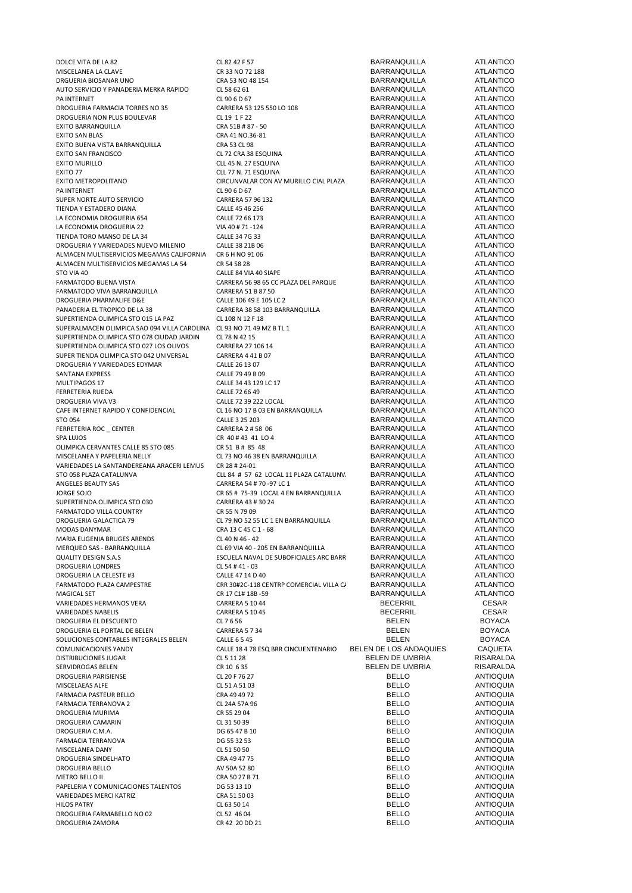| DOLCE VITA DE LA 82                                                   | CL 82 42 F 57                           | <b>BARRANQUILLA</b>    | <b>ATLANTICO</b> |
|-----------------------------------------------------------------------|-----------------------------------------|------------------------|------------------|
| MISCELANEA LA CLAVE                                                   | CR 33 NO 72 188                         | BARRANQUILLA           | <b>ATLANTICO</b> |
| DRGUERIA BIOSANAR UNO                                                 | CRA 53 NO 48 154                        | BARRANQUILLA           | ATLANTICO        |
| AUTO SERVICIO Y PANADERIA MERKA RAPIDO                                | CL 58 62 61                             | <b>BARRANQUILLA</b>    | <b>ATLANTICO</b> |
| <b>PA INTERNET</b>                                                    | CL 90 6 D 67                            | <b>BARRANQUILLA</b>    | <b>ATLANTICO</b> |
|                                                                       |                                         |                        |                  |
| DROGUERIA FARMACIA TORRES NO 35                                       | CARRERA 53 125 550 LO 108               | BARRANQUILLA           | <b>ATLANTICO</b> |
| DROGUERIA NON PLUS BOULEVAR                                           | CL 19 1 F 22                            | <b>BARRANQUILLA</b>    | <b>ATLANTICO</b> |
| EXITO BARRANQUILLA                                                    | CRA 51B # 87 - 50                       | <b>BARRANQUILLA</b>    | <b>ATLANTICO</b> |
| <b>EXITO SAN BLAS</b>                                                 | CRA 41 NO.36-81                         | BARRANQUILLA           | <b>ATLANTICO</b> |
| EXITO BUENA VISTA BARRANQUILLA                                        | CRA 53 CL 98                            | BARRANQUILLA           | <b>ATLANTICO</b> |
|                                                                       |                                         | <b>BARRANQUILLA</b>    | <b>ATLANTICO</b> |
| <b>EXITO SAN FRANCISCO</b>                                            | CL 72 CRA 38 ESQUINA                    |                        |                  |
| <b>EXITO MURILLO</b>                                                  | CLL 45 N. 27 ESQUINA                    | <b>BARRANQUILLA</b>    | <b>ATLANTICO</b> |
| EXITO 77                                                              | CLL 77 N. 71 ESQUINA                    | <b>BARRANQUILLA</b>    | <b>ATLANTICO</b> |
| EXITO METROPOLITANO                                                   | CIRCUNVALAR CON AV MURILLO CIAL PLAZA   | <b>BARRANQUILLA</b>    | <b>ATLANTICO</b> |
| PA INTERNET                                                           | CL 90 6 D 67                            | <b>BARRANQUILLA</b>    | <b>ATLANTICO</b> |
|                                                                       |                                         |                        |                  |
| SUPER NORTE AUTO SERVICIO                                             | CARRERA 57 96 132                       | <b>BARRANQUILLA</b>    | <b>ATLANTICO</b> |
| TIENDA Y ESTADERO DIANA                                               | CALLE 45 46 256                         | <b>BARRANQUILLA</b>    | <b>ATLANTICO</b> |
| LA ECONOMIA DROGUERIA 654                                             | CALLE 72 66 173                         | BARRANQUILLA           | ATLANTICO        |
| LA ECONOMIA DROGUERIA 22                                              | VIA 40 # 71 - 124                       | <b>BARRANQUILLA</b>    | <b>ATLANTICO</b> |
|                                                                       |                                         |                        |                  |
| TIENDA TORO MANSO DE LA 34                                            | CALLE 34 7G 33                          | <b>BARRANQUILLA</b>    | <b>ATLANTICO</b> |
| DROGUERIA Y VARIEDADES NUEVO MILENIO                                  | CALLE 38 21B 06                         | <b>BARRANQUILLA</b>    | <b>ATLANTICO</b> |
| ALMACEN MULTISERVICIOS MEGAMAS CALIFORNIA                             | CR 6 H NO 91 06                         | <b>BARRANQUILLA</b>    | <b>ATLANTICO</b> |
| ALMACEN MULTISERVICIOS MEGAMAS LA 54                                  | CR 54 58 28                             | <b>BARRANQUILLA</b>    | <b>ATLANTICO</b> |
|                                                                       |                                         |                        |                  |
| STO VIA 40                                                            | CALLE 84 VIA 40 SIAPE                   | <b>BARRANQUILLA</b>    | <b>ATLANTICO</b> |
| FARMATODO BUENA VISTA                                                 | CARRERA 56 98 65 CC PLAZA DEL PARQUE    | <b>BARRANQUILLA</b>    | ATLANTICO        |
| FARMATODO VIVA BARRANQUILLA                                           | CARRERA 51 B 87 50                      | <b>BARRANQUILLA</b>    | <b>ATLANTICO</b> |
| DROGUERIA PHARMALIFE D&E                                              | CALLE 106 49 E 105 LC 2                 | <b>BARRANQUILLA</b>    | <b>ATLANTICO</b> |
|                                                                       |                                         |                        |                  |
| PANADERIA EL TROPICO DE LA 38                                         | CARRERA 38 58 103 BARRANQUILLA          | BARRANQUILLA           | <b>ATLANTICO</b> |
| SUPERTIENDA OLIMPICA STO 015 LA PAZ                                   | CL 108 N 12 F 18                        | <b>BARRANQUILLA</b>    | <b>ATLANTICO</b> |
| SUPERALMACEN OLIMPICA SAO 094 VILLA CAROLINA CL 93 NO 71 49 MZ B TL 1 |                                         | <b>BARRANQUILLA</b>    | <b>ATLANTICO</b> |
| SUPERTIENDA OLIMPICA STO 078 CIUDAD JARDIN                            | CL 78 N 42 15                           | <b>BARRANQUILLA</b>    | <b>ATLANTICO</b> |
|                                                                       |                                         |                        |                  |
| SUPERTIENDA OLIMPICA STO 027 LOS OLIVOS                               | CARRERA 27 106 14                       | <b>BARRANQUILLA</b>    | <b>ATLANTICO</b> |
| SUPER TIENDA OLIMPICA STO 042 UNIVERSAL                               | CARRERA 4 41 B 07                       | <b>BARRANQUILLA</b>    | ATLANTICO        |
| DROGUERIA Y VARIEDADES EDYMAR                                         | CALLE 26 13 07                          | <b>BARRANQUILLA</b>    | <b>ATLANTICO</b> |
|                                                                       |                                         |                        |                  |
| SANTANA EXPRESS                                                       | CALLE 79 49 B 09                        | <b>BARRANQUILLA</b>    | ATLANTICO        |
| MULTIPAGOS 17                                                         | CALLE 34 43 129 LC 17                   | BARRANQUILLA           | <b>ATLANTICO</b> |
| FERRETERIA RUEDA                                                      | CALLE 72 66 49                          | <b>BARRANQUILLA</b>    | <b>ATLANTICO</b> |
| DROGUERIA VIVA V3                                                     | CALLE 72 39 222 LOCAL                   | <b>BARRANQUILLA</b>    | <b>ATLANTICO</b> |
| CAFE INTERNET RAPIDO Y CONFIDENCIAL                                   | CL 16 NO 17 B 03 EN BARRANQUILLA        | <b>BARRANQUILLA</b>    | <b>ATLANTICO</b> |
|                                                                       |                                         |                        |                  |
| STO 054                                                               | CALLE 3 25 203                          | <b>BARRANQUILLA</b>    | <b>ATLANTICO</b> |
| FERRETERIA ROC_CENTER                                                 | CARRERA 2 # 58 06                       | <b>BARRANQUILLA</b>    | <b>ATLANTICO</b> |
| SPA LUJOS                                                             | CR 40#43 41 LO 4                        | <b>BARRANQUILLA</b>    | ATLANTICO        |
| OLIMPICA CERVANTES CALLE 85 STO 085                                   | CR 51 B# 85 48                          | <b>BARRANQUILLA</b>    | ATLANTICO        |
|                                                                       |                                         |                        |                  |
| MISCELANEA Y PAPELERIA NELLY                                          | CL 73 NO 46 38 EN BARRANQUILLA          | BARRANQUILLA           | ATLANTICO        |
| VARIEDADES LA SANTANDEREANA ARACERI LEMUS                             | CR 28 # 24-01                           | <b>BARRANQUILLA</b>    | <b>ATLANTICO</b> |
| STO 058 PLAZA CATALUNVA                                               | CLL 84 # 57 62 LOCAL 11 PLAZA CATALUNV. | <b>BARRANQUILLA</b>    | <b>ATLANTICO</b> |
| ANGELES BEAUTY SAS                                                    | CARRERA 54 # 70 -97 LC 1                | <b>BARRANQUILLA</b>    | ATLANTICO        |
|                                                                       |                                         |                        |                  |
| JORGE SOJO                                                            | CR 65 # 75-39 LOCAL 4 EN BARRANQUILLA   | <b>BARRANQUILLA</b>    | <b>ATLANTICO</b> |
| SUPERTIENDA OLIMPICA STO 030                                          | CARRERA 43 # 30 24                      | <b>BARRANQUILLA</b>    | <b>ATLANTICO</b> |
| FARMATODO VILLA COUNTRY                                               | CR 55 N 79 09                           | BARRANQUILLA           | ATLANTICO        |
| DROGUERIA GALACTICA 79                                                | CL 79 NO 52 55 LC 1 EN BARRANQUILLA     | <b>BARRANQUILLA</b>    | <b>ATLANTICO</b> |
|                                                                       | CRA 13 C 45 C 1 - 68                    | BARRANQUILLA           | ATLANTICO        |
| MODAS DANYMAR                                                         |                                         |                        |                  |
| MARIA EUGENIA BRUGES ARENDS                                           | CL 40 N 46 - 42                         | <b>BARRANQUILLA</b>    | ATLANTICO        |
| MERQUEO SAS - BARRANQUILLA                                            | CL 69 VIA 40 - 205 EN BARRANQUILLA      | <b>BARRANQUILLA</b>    | ATLANTICO        |
| <b>QUALITY DESIGN S.A.S</b>                                           | ESCUELA NAVAL DE SUBOFICIALES ARC BARR  | <b>BARRANQUILLA</b>    | <b>ATLANTICO</b> |
| DROGUERIA LONDRES                                                     | CL 54 #41 - 03                          | <b>BARRANQUILLA</b>    | ATLANTICO        |
|                                                                       |                                         |                        |                  |
| DROGUERIA LA CELESTE #3                                               | CALLE 47 14 D 40                        | <b>BARRANQUILLA</b>    | ATLANTICO        |
| FARMATODO PLAZA CAMPESTRE                                             | CRR 30#2C-118 CENTRP COMERCIAL VILLA C/ | <b>BARRANQUILLA</b>    | <b>ATLANTICO</b> |
| MAGICAL SET                                                           | CR 17 C1# 18B -59                       | <b>BARRANQUILLA</b>    | ATLANTICO        |
| VARIEDADES HERMANOS VERA                                              | <b>CARRERA 5 10 44</b>                  | <b>BECERRIL</b>        | <b>CESAR</b>     |
| VARIEDADES NABELIS                                                    | <b>CARRERA 5 10 45</b>                  | <b>BECERRIL</b>        | <b>CESAR</b>     |
|                                                                       |                                         |                        |                  |
| DROGUERIA EL DESCUENTO                                                | CL 7 6 56                               | BELEN                  | <b>BOYACA</b>    |
| DROGUERIA EL PORTAL DE BELEN                                          | CARRERA 5 7 34                          | BELEN                  | <b>BOYACA</b>    |
| SOLUCIONES CONTABLES INTEGRALES BELEN                                 | <b>CALLE 6545</b>                       | BELEN                  | <b>BOYACA</b>    |
| COMUNICACIONES YANDY                                                  | CALLE 18 4 78 ESQ BRR CINCUENTENARIO    | BELEN DE LOS ANDAQUIES | CAQUETA          |
| DISTRIBUCIONES JUGAR                                                  | CL 5 11 28                              | BELEN DE UMBRIA        | RISARALDA        |
|                                                                       |                                         |                        |                  |
| SERVIDROGAS BELEN                                                     | CR 10 6 35                              | BELEN DE UMBRIA        | RISARALDA        |
| DROGUERIA PARISIENSE                                                  | CL 20 F 76 27                           | <b>BELLO</b>           | <b>ANTIOQUIA</b> |
| MISCELAEAS ALFE                                                       | CL 51 A 51 03                           | BELLO                  | <b>ANTIOQUIA</b> |
| FARMACIA PASTEUR BELLO                                                | CRA 49 49 72                            | BELLO                  | <b>ANTIOQUIA</b> |
|                                                                       |                                         |                        |                  |
| FARMACIA TERRANOVA 2                                                  | CL 24A 57A 96                           | BELLO                  | <b>ANTIOQUIA</b> |
| DROGUERIA MURIMA                                                      | CR 55 29 04                             | BELLO                  | <b>ANTIOQUIA</b> |
| DROGUERIA CAMARIN                                                     | CL 31 50 39                             | BELLO                  | <b>ANTIOQUIA</b> |
| DROGUERIA C.M.A.                                                      | DG 65 47 B 10                           | BELLO                  | <b>ANTIOQUIA</b> |
|                                                                       |                                         |                        |                  |
| FARMACIA TERRANOVA                                                    | DG 55 32 53                             | BELLO                  | <b>ANTIOQUIA</b> |
| MISCELANEA DANY                                                       | CL 51 50 50                             | BELLO                  | <b>ANTIOQUIA</b> |
| DROGUERIA SINDELHATO                                                  | CRA 49 47 75                            | BELLO                  | <b>ANTIOQUIA</b> |
| DROGUERIA BELLO                                                       | AV 50A 52 80                            | BELLO                  | <b>ANTIOQUIA</b> |
|                                                                       |                                         |                        | <b>ANTIOQUIA</b> |
| METRO BELLO II                                                        | CRA 50 27 B 71                          | BELLO                  |                  |
| PAPELERIA Y COMUNICACIONES TALENTOS                                   | DG 53 13 10                             | BELLO                  | <b>ANTIOQUIA</b> |
| VARIEDADES MERCI KATRIZ                                               | CRA 51 50 03                            | BELLO                  | <b>ANTIOQUIA</b> |
| <b>HILOS PATRY</b>                                                    | CL 63 50 14                             | BELLO                  | <b>ANTIOQUIA</b> |
| DROGUERIA FARMABELLO NO 02                                            | CL 52 46 04                             | BELLO                  | <b>ANTIOQUIA</b> |
|                                                                       |                                         |                        |                  |
| DROGUERIA ZAMORA                                                      | CR 42 20 DD 21                          | BELLO                  | <b>ANTIOQUIA</b> |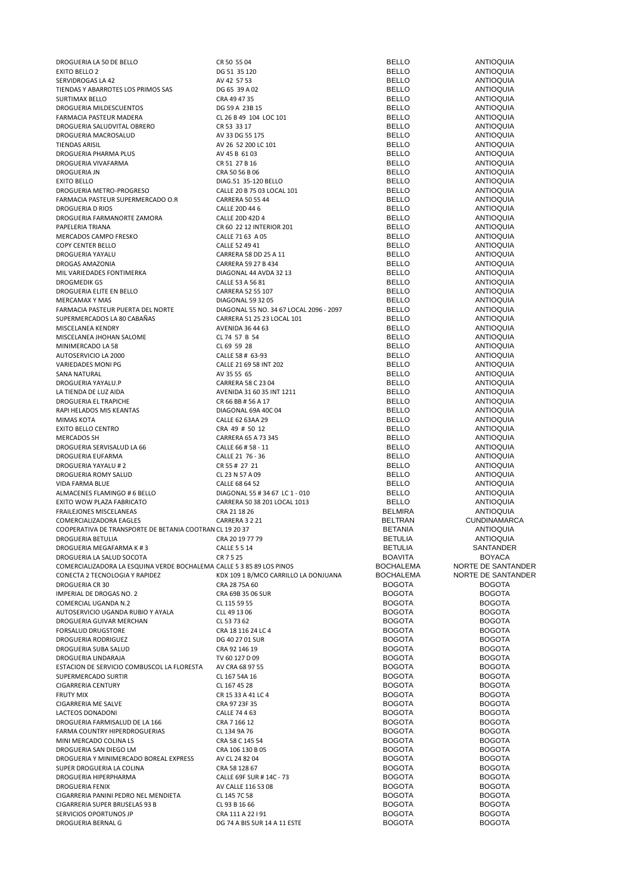| DROGUERIA LA 50 DE BELLO                                              | CR 50 55 04                                       | <b>BELLO</b>                   | <b>ANTIOQUIA</b>               |
|-----------------------------------------------------------------------|---------------------------------------------------|--------------------------------|--------------------------------|
| EXITO BELLO 2                                                         | DG 51 35 120                                      | <b>BELLO</b>                   | <b>ANTIOQUIA</b>               |
| SERVIDROGAS LA 42                                                     | AV 42 57 53                                       | <b>BELLO</b>                   | <b>ANTIOQUIA</b>               |
| TIENDAS Y ABARROTES LOS PRIMOS SAS                                    | DG 65 39 A 02                                     | <b>BELLO</b>                   | <b>ANTIOQUIA</b>               |
| <b>SURTIMAX BELLO</b>                                                 | CRA 49 47 35                                      | <b>BELLO</b>                   | <b>ANTIOQUIA</b>               |
| DROGUERIA MILDESCUENTOS                                               | DG 59 A 23B 15                                    | <b>BELLO</b>                   | <b>ANTIOQUIA</b>               |
| FARMACIA PASTEUR MADERA                                               | CL 26 B 49 104 LOC 101                            | <b>BELLO</b>                   | <b>ANTIOQUIA</b>               |
| DROGUERIA SALUDVITAL OBRERO                                           | CR 53 33 17                                       | <b>BELLO</b>                   | <b>ANTIOQUIA</b>               |
| DROGUERIA MACROSALUD                                                  | AV 33 DG 55 175                                   | <b>BELLO</b>                   | <b>ANTIOQUIA</b>               |
| <b>TIENDAS ARISIL</b>                                                 | AV 26 52 200 LC 101                               | <b>BELLO</b>                   | <b>ANTIOQUIA</b>               |
| DROGUERIA PHARMA PLUS                                                 | AV 45 B 61 03                                     | <b>BELLO</b>                   | <b>ANTIOQUIA</b>               |
| DROGUERIA VIVAFARMA                                                   | CR 51 27 B 16                                     | <b>BELLO</b>                   | <b>ANTIOQUIA</b>               |
| DROGUERIA JN                                                          | CRA 50 56 B 06                                    | <b>BELLO</b>                   | <b>ANTIOQUIA</b>               |
| <b>EXITO BELLO</b>                                                    | DIAG.51 35-120 BELLO                              | <b>BELLO</b>                   | <b>ANTIOQUIA</b>               |
| DROGUERIA METRO-PROGRESO                                              | CALLE 20 B 75 03 LOCAL 101                        | <b>BELLO</b>                   | <b>ANTIOQUIA</b>               |
| FARMACIA PASTEUR SUPERMERCADO O.R                                     | <b>CARRERA 50 55 44</b>                           | <b>BELLO</b>                   | <b>ANTIOQUIA</b>               |
|                                                                       |                                                   |                                |                                |
| <b>DROGUERIA D RIOS</b>                                               | CALLE 20D 44 6                                    | <b>BELLO</b>                   | <b>ANTIOQUIA</b>               |
| DROGUERIA FARMANORTE ZAMORA                                           | CALLE 20D 42D 4                                   | <b>BELLO</b>                   | <b>ANTIOQUIA</b>               |
| PAPELERIA TRIANA                                                      | CR 60 22 12 INTERIOR 201                          | <b>BELLO</b>                   | <b>ANTIOQUIA</b>               |
| MERCADOS CAMPO FRESKO                                                 | CALLE 71 63 A 05                                  | <b>BELLO</b>                   | <b>ANTIOQUIA</b>               |
| <b>COPY CENTER BELLO</b>                                              | CALLE 52 49 41                                    | <b>BELLO</b>                   | <b>ANTIOQUIA</b>               |
| DROGUERIA YAYALU                                                      | CARRERA 58 DD 25 A 11                             | <b>BELLO</b>                   | <b>ANTIOQUIA</b>               |
| DROGAS AMAZONIA                                                       | CARRERA 59 27 B 434                               | <b>BELLO</b>                   | <b>ANTIOQUIA</b>               |
| MIL VARIEDADES FONTIMERKA                                             | DIAGONAL 44 AVDA 32 13                            | <b>BELLO</b>                   | <b>ANTIOQUIA</b>               |
| <b>DROGMEDIK GS</b>                                                   | CALLE 53 A 56 81                                  | <b>BELLO</b>                   | <b>ANTIOQUIA</b>               |
| DROGUERIA ELITE EN BELLO                                              | CARRERA 52 55 107                                 | <b>BELLO</b>                   | <b>ANTIOQUIA</b>               |
| <b>MERCAMAX Y MAS</b>                                                 | <b>DIAGONAL 59 32 05</b>                          | <b>BELLO</b>                   | <b>ANTIOQUIA</b>               |
| FARMACIA PASTEUR PUERTA DEL NORTE                                     | DIAGONAL 55 NO. 34 67 LOCAL 2096 - 2097           | <b>BELLO</b>                   | <b>ANTIOQUIA</b>               |
| SUPERMERCADOS LA 80 CABAÑAS                                           | CARRERA 51 25 23 LOCAL 101                        | <b>BELLO</b>                   | <b>ANTIOQUIA</b>               |
| MISCELANEA KENDRY                                                     | AVENIDA 36 44 63                                  | <b>BELLO</b>                   | <b>ANTIOQUIA</b>               |
| MISCELANEA JHOHAN SALOME                                              | CL 74 57 B 54                                     | <b>BELLO</b>                   | <b>ANTIOQUIA</b>               |
|                                                                       |                                                   | <b>BELLO</b>                   |                                |
| MINIMERCADO LA 58                                                     | CL 69 59 28                                       |                                | <b>ANTIOQUIA</b>               |
| AUTOSERVICIO LA 2000                                                  | CALLE 58 # 63-93                                  | <b>BELLO</b>                   | <b>ANTIOQUIA</b>               |
| VARIEDADES MONI PG                                                    | CALLE 21 69 58 INT 202                            | <b>BELLO</b>                   | <b>ANTIOQUIA</b>               |
| <b>SANA NATURAL</b>                                                   | AV 35 55 65                                       | <b>BELLO</b>                   | <b>ANTIOQUIA</b>               |
| DROGUERIA YAYALU.P                                                    | CARRERA 58 C 23 04                                | <b>BELLO</b>                   | <b>ANTIOQUIA</b>               |
| LA TIENDA DE LUZ AIDA                                                 | AVENIDA 31 60 35 INT 1211                         | <b>BELLO</b>                   | <b>ANTIOQUIA</b>               |
| DROGUERIA EL TRAPICHE                                                 | CR 66 BB # 56 A 17                                | <b>BELLO</b>                   | <b>ANTIOQUIA</b>               |
| RAPI HELADOS MIS KEANTAS                                              | DIAGONAL 69A 40C 04                               | <b>BELLO</b>                   | <b>ANTIOQUIA</b>               |
| <b>MIMAS KOTA</b>                                                     | CALLE 62 63AA 29                                  | <b>BELLO</b>                   | <b>ANTIOQUIA</b>               |
| <b>EXITO BELLO CENTRO</b>                                             | CRA 49 # 50 12                                    | <b>BELLO</b>                   | <b>ANTIOQUIA</b>               |
| <b>MERCADOS SH</b>                                                    | CARRERA 65 A 73 345                               | <b>BELLO</b>                   | <b>ANTIOQUIA</b>               |
| DROGUERIA SERVISALUD LA 66                                            | CALLE 66 # 58 - 11                                | <b>BELLO</b>                   | <b>ANTIOQUIA</b>               |
| DROGUERIA EUFARMA                                                     | CALLE 21 76 - 36                                  | <b>BELLO</b>                   | <b>ANTIOQUIA</b>               |
| DROGUERIA YAYALU #2                                                   | CR 55 # 27 21                                     | <b>BELLO</b>                   | <b>ANTIOQUIA</b>               |
| DROGUERIA ROMY SALUD                                                  | CL 23 N 57 A 09                                   | <b>BELLO</b>                   | <b>ANTIOQUIA</b>               |
| VIDA FARMA BLUE                                                       | CALLE 68 64 52                                    | <b>BELLO</b>                   | <b>ANTIOQUIA</b>               |
| ALMACENES FLAMINGO # 6 BELLO                                          | DIAGONAL 55 # 34 67 LC 1 - 010                    | <b>BELLO</b>                   | <b>ANTIOQUIA</b>               |
|                                                                       |                                                   |                                | <b>ANTIOQUIA</b>               |
| EXITO WOW PLAZA FABRICATO                                             | CARRERA 50 38 201 LOCAL 1013                      | <b>BELLO</b>                   |                                |
| FRAILEJONES MISCELANEAS                                               | CRA 21 18 26                                      | <b>BELMIRA</b>                 | <b>ANTIOQUIA</b>               |
| COMERCIALIZADORA EAGLES                                               | CARRERA 3 2 21                                    | <b>BELTRAN</b>                 | <b>CUNDINAMARCA</b>            |
| COOPERATIVA DE TRANSPORTE DE BETANIA COOTRAN CL 19 20 37              |                                                   | <b>BETANIA</b>                 | <b>ANTIOQUIA</b>               |
| DROGUERIA BETULIA                                                     | CRA 20 19 77 79                                   | <b>BETULIA</b>                 | ANTIOQUIA                      |
| DROGUERIA MEGAFARMA K #3                                              | <b>CALLE 5 5 14</b>                               | <b>BETULIA</b>                 | <b>SANTANDER</b>               |
| DROGUERIA LA SALUD SOCOTA                                             | CR 7 5 25                                         | BOAVITA                        | <b>BOYACA</b>                  |
| COMERCIALIZADORA LA ESQUINA VERDE BOCHALEMA CALLE 5 3 85 89 LOS PINOS |                                                   | <b>BOCHALEMA</b>               | NORTE DE SANTANDER             |
| CONECTA 2 TECNOLOGIA Y RAPIDEZ                                        | KDX 109 1 B/MCO CARRILLO LA DONJUANA              | <b>BOCHALEMA</b>               | NORTE DE SANTANDER             |
| <b>DROGUERIA CR 30</b>                                                | CRA 28 75A 60                                     | <b>BOGOTA</b>                  | <b>BOGOTA</b>                  |
| IMPERIAL DE DROGAS NO. 2                                              | CRA 69B 35 06 SUR                                 | <b>BOGOTA</b>                  | <b>BOGOTA</b>                  |
| COMERCIAL UGANDA N.2                                                  | CL 115 59 55                                      | <b>BOGOTA</b>                  | <b>BOGOTA</b>                  |
| AUTOSERVICIO UGANDA RUBIO Y AYALA                                     | CLL 49 13 06                                      | <b>BOGOTA</b>                  | <b>BOGOTA</b>                  |
| DROGUERIA GUIVAR MERCHAN                                              | CL 53 73 62                                       | <b>BOGOTA</b>                  | <b>BOGOTA</b>                  |
| <b>FORSALUD DRUGSTORE</b>                                             | CRA 18 116 24 LC 4                                | <b>BOGOTA</b>                  | <b>BOGOTA</b>                  |
| DROGUERIA RODRIGUEZ                                                   | DG 40 27 01 SUR                                   | <b>BOGOTA</b>                  | <b>BOGOTA</b>                  |
| DROGUERIA SUBA SALUD                                                  | CRA 92 146 19                                     | <b>BOGOTA</b>                  | <b>BOGOTA</b>                  |
| <b>DROGUERIA LINDARAJA</b>                                            | TV 60 127 D 09                                    | <b>BOGOTA</b>                  | <b>BOGOTA</b>                  |
|                                                                       | AV CRA 68 97 55                                   | <b>BOGOTA</b>                  | <b>BOGOTA</b>                  |
| ESTACION DE SERVICIO COMBUSCOL LA FLORESTA                            |                                                   |                                |                                |
| SUPERMERCADO SURTIR                                                   | CL 167 54A 16                                     | <b>BOGOTA</b>                  | <b>BOGOTA</b>                  |
| <b>CIGARRERIA CENTURY</b>                                             | CL 167 45 28                                      | <b>BOGOTA</b>                  | <b>BOGOTA</b>                  |
| <b>FRUTY MIX</b>                                                      | CR 15 33 A 41 LC 4                                | <b>BOGOTA</b>                  | <b>BOGOTA</b>                  |
| CIGARRERIA ME SALVE                                                   | CRA 97 23F 35                                     | <b>BOGOTA</b>                  | <b>BOGOTA</b>                  |
| LACTEOS DONADONI                                                      | CALLE 74 4 63                                     | <b>BOGOTA</b>                  | <b>BOGOTA</b>                  |
| DROGUERIA FARMISALUD DE LA 166                                        | CRA 7 166 12                                      | <b>BOGOTA</b>                  | <b>BOGOTA</b>                  |
| FARMA COUNTRY HIPERDROGUERIAS                                         | CL 134 9A 76                                      | <b>BOGOTA</b>                  | <b>BOGOTA</b>                  |
| MINI MERCADO COLINA LS                                                | CRA 58 C 145 54                                   | <b>BOGOTA</b>                  | <b>BOGOTA</b>                  |
| DROGUERIA SAN DIEGO LM                                                | CRA 106 130 B 05                                  | <b>BOGOTA</b>                  | <b>BOGOTA</b>                  |
| DROGUERIA Y MINIMERCADO BOREAL EXPRESS                                | AV CL 24 82 04                                    | <b>BOGOTA</b>                  | <b>BOGOTA</b>                  |
| SUPER DROGUERIA LA COLINA                                             | CRA 58 128 67                                     | <b>BOGOTA</b>                  | <b>BOGOTA</b>                  |
| DROGUERIA HIPERPHARMA                                                 |                                                   |                                |                                |
|                                                                       | CALLE 69F SUR # 14C - 73                          | <b>BOGOTA</b>                  | <b>BOGOTA</b>                  |
| <b>DROGUERIA FENIX</b>                                                | AV CALLE 116 53 08                                | <b>BOGOTA</b>                  | <b>BOGOTA</b>                  |
|                                                                       |                                                   | <b>BOGOTA</b>                  | <b>BOGOTA</b>                  |
| CIGARRERIA PANINI PEDRO NEL MENDIETA                                  | CL 145 7C 58                                      |                                |                                |
| CIGARRERIA SUPER BRUSELAS 93 B                                        | CL 93 B 16 66                                     | <b>BOGOTA</b>                  | <b>BOGOTA</b>                  |
| SERVICIOS OPORTUNOS JP<br>DROGUERIA BERNAL G                          | CRA 111 A 22 I 91<br>DG 74 A BIS SUR 14 A 11 ESTE | <b>BOGOTA</b><br><b>BOGOTA</b> | <b>BOGOTA</b><br><b>BOGOTA</b> |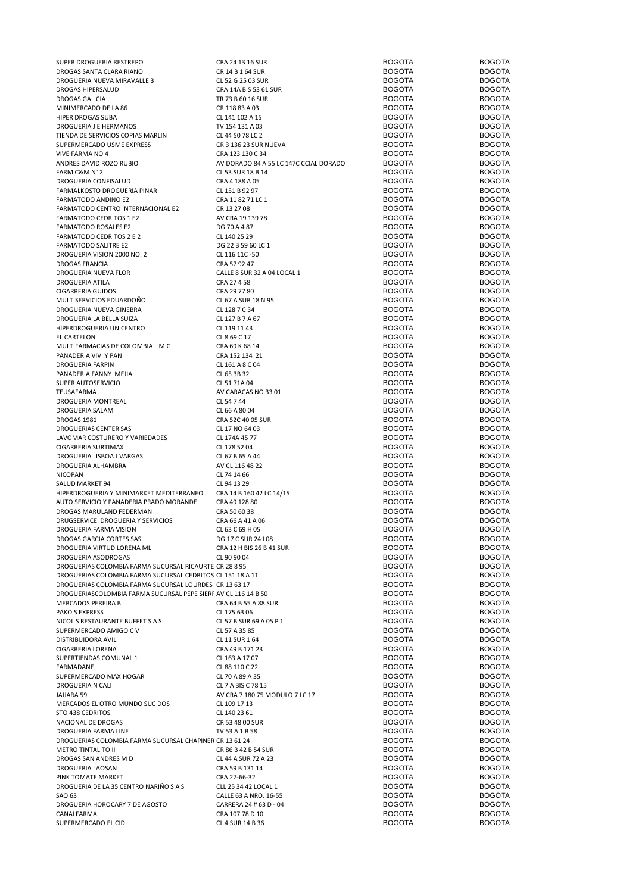|                                                                | CRA 24 13 16 SUR                       | <b>BOGOTA</b> | <b>BOGOTA</b> |
|----------------------------------------------------------------|----------------------------------------|---------------|---------------|
| SUPER DROGUERIA RESTREPO                                       |                                        |               |               |
| DROGAS SANTA CLARA RIANO                                       | CR 14 B 1 64 SUR                       | <b>BOGOTA</b> | <b>BOGOTA</b> |
| DROGUERIA NUEVA MIRAVALLE 3                                    | CL 52 G 25 03 SUR                      | <b>BOGOTA</b> | <b>BOGOTA</b> |
| DROGAS HIPERSALUD                                              | CRA 14A BIS 53 61 SUR                  | <b>BOGOTA</b> | <b>BOGOTA</b> |
| DROGAS GALICIA                                                 | TR 73 B 60 16 SUR                      | <b>BOGOTA</b> | <b>BOGOTA</b> |
| MINIMERCADO DE LA 86                                           |                                        | <b>BOGOTA</b> | <b>BOGOTA</b> |
|                                                                | CR 118 83 A 03                         |               |               |
| HIPER DROGAS SUBA                                              | CL 141 102 A 15                        | <b>BOGOTA</b> | <b>BOGOTA</b> |
| DROGUERIA J E HERMANOS                                         | TV 154 131 A 03                        | <b>BOGOTA</b> | <b>BOGOTA</b> |
| TIENDA DE SERVICIOS COPIAS MARLIN                              | CL 44 50 78 LC 2                       | <b>BOGOTA</b> | <b>BOGOTA</b> |
| SUPERMERCADO USME EXPRESS                                      | CR 3 136 23 SUR NUEVA                  | <b>BOGOTA</b> | <b>BOGOTA</b> |
| VIVE FARMA NO 4                                                | CRA 123 130 C 34                       | <b>BOGOTA</b> | <b>BOGOTA</b> |
|                                                                |                                        |               |               |
| ANDRES DAVID ROZO RUBIO                                        | AV DORADO 84 A 55 LC 147C CCIAL DORADO | <b>BOGOTA</b> | <b>BOGOTA</b> |
| FARM C&M N°2                                                   | CL 53 SUR 18 B 14                      | <b>BOGOTA</b> | <b>BOGOTA</b> |
| DROGUERIA CONFISALUD                                           | CRA 4 188 A 05                         | <b>BOGOTA</b> | <b>BOGOTA</b> |
| FARMALKOSTO DROGUERIA PINAR                                    | CL 151 B 92 97                         | <b>BOGOTA</b> | <b>BOGOTA</b> |
| FARMATODO ANDINO E2                                            | CRA 11 82 71 LC 1                      | <b>BOGOTA</b> | <b>BOGOTA</b> |
|                                                                |                                        |               |               |
| FARMATODO CENTRO INTERNACIONAL E2                              | CR 13 27 08                            | <b>BOGOTA</b> | <b>BOGOTA</b> |
| FARMATODO CEDRITOS 1 E2                                        | AV CRA 19 139 78                       | <b>BOGOTA</b> | <b>BOGOTA</b> |
| FARMATODO ROSALES E2                                           | DG 70 A 4 87                           | <b>BOGOTA</b> | <b>BOGOTA</b> |
| FARMATODO CEDRITOS 2 E 2                                       | CL 140 25 29                           | <b>BOGOTA</b> | <b>BOGOTA</b> |
| FARMATODO SALITRE E2                                           | DG 22 B 59 60 LC 1                     | <b>BOGOTA</b> | <b>BOGOTA</b> |
|                                                                |                                        |               |               |
| DROGUERIA VISION 2000 NO. 2                                    | CL 116 11C -50                         | <b>BOGOTA</b> | <b>BOGOTA</b> |
| DROGAS FRANCIA                                                 | CRA 57 92 47                           | <b>BOGOTA</b> | <b>BOGOTA</b> |
| DROGUERIA NUEVA FLOR                                           | CALLE 8 SUR 32 A 04 LOCAL 1            | <b>BOGOTA</b> | <b>BOGOTA</b> |
| DROGUERIA ATILA                                                | CRA 27458                              | <b>BOGOTA</b> | <b>BOGOTA</b> |
| <b>CIGARRERIA GUIDOS</b>                                       | CRA 29 77 80                           | <b>BOGOTA</b> | <b>BOGOTA</b> |
|                                                                |                                        |               |               |
| MULTISERVICIOS EDUARDOÑO                                       | CL 67 A SUR 18 N 95                    | <b>BOGOTA</b> | <b>BOGOTA</b> |
| DROGUERIA NUEVA GINEBRA                                        | CL 128 7 C 34                          | <b>BOGOTA</b> | <b>BOGOTA</b> |
| DROGUERIA LA BELLA SUIZA                                       | CL 127 B 7 A 67                        | <b>BOGOTA</b> | <b>BOGOTA</b> |
| HIPERDROGUERIA UNICENTRO                                       | CL 119 11 43                           | <b>BOGOTA</b> | <b>BOGOTA</b> |
| EL CARTELON                                                    |                                        | <b>BOGOTA</b> | <b>BOGOTA</b> |
|                                                                | CL 8 69 C 17                           |               |               |
| MULTIFARMACIAS DE COLOMBIA L M C                               | CRA 69 K 68 14                         | <b>BOGOTA</b> | <b>BOGOTA</b> |
| PANADERIA VIVI Y PAN                                           | CRA 152 134 21                         | <b>BOGOTA</b> | <b>BOGOTA</b> |
| DROGUERIA FARPIN                                               | CL 161 A 8 C 04                        | <b>BOGOTA</b> | <b>BOGOTA</b> |
| PANADERIA FANNY MEJIA                                          | CL 65 3B 32                            | <b>BOGOTA</b> | <b>BOGOTA</b> |
|                                                                |                                        |               |               |
| SUPER AUTOSERVICIO                                             | CL 51 71A 04                           | <b>BOGOTA</b> | <b>BOGOTA</b> |
| TEUSAFARMA                                                     | AV CARACAS NO 33 01                    | <b>BOGOTA</b> | <b>BOGOTA</b> |
| DROGUERIA MONTREAL                                             | CL 54 7 44                             | <b>BOGOTA</b> | <b>BOGOTA</b> |
| DROGUERIA SALAM                                                | CL 66 A 80 04                          | <b>BOGOTA</b> | <b>BOGOTA</b> |
| DROGAS 1981                                                    | CRA 52C 40 05 SUR                      | <b>BOGOTA</b> | <b>BOGOTA</b> |
|                                                                |                                        |               |               |
| DROGUERIAS CENTER SAS                                          | CL 17 NO 64 03                         | <b>BOGOTA</b> | <b>BOGOTA</b> |
| LAVOMAR COSTURERO Y VARIEDADES                                 | CL 174A 45 77                          | <b>BOGOTA</b> | <b>BOGOTA</b> |
| CIGARRERIA SURTIMAX                                            | CL 178 52 04                           | <b>BOGOTA</b> | <b>BOGOTA</b> |
| DROGUERIA LISBOA J VARGAS                                      | CL 67 B 65 A 44                        | <b>BOGOTA</b> | <b>BOGOTA</b> |
|                                                                |                                        | <b>BOGOTA</b> |               |
| DROGUERIA ALHAMBRA                                             | AV CL 116 48 22                        |               | <b>BOGOTA</b> |
| <b>NICOPAN</b>                                                 | CL 74 14 66                            | <b>BOGOTA</b> | <b>BOGOTA</b> |
| SALUD MARKET 94                                                | CL 94 13 29                            | <b>BOGOTA</b> | <b>BOGOTA</b> |
| HIPERDROGUERIA Y MINIMARKET MEDITERRANEO                       | CRA 14 B 160 42 LC 14/15               | <b>BOGOTA</b> | <b>BOGOTA</b> |
| AUTO SERVICIO Y PANADERIA PRADO MORANDE                        | CRA 49 128 80                          | <b>BOGOTA</b> | <b>BOGOTA</b> |
|                                                                |                                        |               |               |
| DROGAS MARULAND FEDERMAN                                       | CRA 50 60 38                           | <b>BOGOTA</b> | <b>BOGOTA</b> |
| DRUGSERVICE DROGUERIA Y SERVICIOS                              | CRA 66 A 41 A 06                       | <b>BOGOTA</b> | <b>BOGOTA</b> |
| DROGUERIA FARMA VISION                                         | CL 63 C 69 H 05                        | <b>BOGOTA</b> | <b>BOGOTA</b> |
| DROGAS GARCIA CORTES SAS                                       | DG 17 C SUR 24 I 08                    | <b>BOGOTA</b> | <b>BOGOTA</b> |
|                                                                | CRA 12 H BIS 26 B 41 SUR               | <b>BOGOTA</b> | <b>BOGOTA</b> |
| DROGUERIA VIRTUD LORENA ML                                     |                                        |               |               |
| DROGUERIA ASODROGAS                                            | CL 90 90 04                            | <b>BOGOTA</b> | <b>BOGOTA</b> |
| DROGUERIAS COLOMBIA FARMA SUCURSAL RICAURTE CR 28 8 95         |                                        | <b>BOGOTA</b> | <b>BOGOTA</b> |
| DROGUERIAS COLOMBIA FARMA SUCURSAL CEDRITOS CL 151 18 A 11     |                                        | <b>BOGOTA</b> | <b>BOGOTA</b> |
| DROGUERIAS COLOMBIA FARMA SUCURSAL LOURDES CR 13 63 17         |                                        | <b>BOGOTA</b> | <b>BOGOTA</b> |
| DROGUERIASCOLOMBIA FARMA SUCURSAL PEPE SIERF AV CL 116 14 B 50 |                                        | <b>BOGOTA</b> | <b>BOGOTA</b> |
|                                                                |                                        |               |               |
| <b>MERCADOS PEREIRA B</b>                                      | CRA 64 B 55 A 88 SUR                   | <b>BOGOTA</b> | <b>BOGOTA</b> |
| PAKO S EXPRESS                                                 | CL 175 63 06                           | <b>BOGOTA</b> | <b>BOGOTA</b> |
| NICOL S RESTAURANTE BUFFET S A S                               | CL 57 B SUR 69 A 05 P 1                | <b>BOGOTA</b> | <b>BOGOTA</b> |
| SUPERMERCADO AMIGO C V                                         | CL 57 A 35 85                          | <b>BOGOTA</b> | <b>BOGOTA</b> |
|                                                                |                                        |               | <b>BOGOTA</b> |
| DISTRIBUIDORA AVIL                                             | CL 11 SUR 1 64                         | <b>BOGOTA</b> |               |
| CIGARRERIA LORENA                                              | CRA 49 B 171 23                        | <b>BOGOTA</b> | <b>BOGOTA</b> |
| SUPERTIENDAS COMUNAL 1                                         | CL 163 A 17 07                         | <b>BOGOTA</b> | <b>BOGOTA</b> |
| FARMADANE                                                      | CL 88 110 C 22                         | <b>BOGOTA</b> | <b>BOGOTA</b> |
| SUPERMERCADO MAXIHOGAR                                         | CL 70 A 89 A 35                        | <b>BOGOTA</b> | <b>BOGOTA</b> |
|                                                                |                                        |               |               |
| DROGUERIA N CALI                                               | CL 7 A BIS C 78 15                     | <b>BOGOTA</b> | <b>BOGOTA</b> |
| JAIJARA 59                                                     | AV CRA 7 180 75 MODULO 7 LC 17         | <b>BOGOTA</b> | <b>BOGOTA</b> |
| MERCADOS EL OTRO MUNDO SUC DOS                                 | CL 109 17 13                           | <b>BOGOTA</b> | <b>BOGOTA</b> |
| STO 438 CEDRITOS                                               | CL 140 23 61                           | <b>BOGOTA</b> | <b>BOGOTA</b> |
|                                                                |                                        | <b>BOGOTA</b> | <b>BOGOTA</b> |
| NACIONAL DE DROGAS                                             | CR 53 48 00 SUR                        |               |               |
| DROGUERIA FARMA LINE                                           | TV 53 A 1 B 58                         | <b>BOGOTA</b> | <b>BOGOTA</b> |
| DROGUERIAS COLOMBIA FARMA SUCURSAL CHAPINER CR 13 61 24        |                                        | <b>BOGOTA</b> | <b>BOGOTA</b> |
| METRO TINTALITO II                                             | CR 86 B 42 B 54 SUR                    | <b>BOGOTA</b> | <b>BOGOTA</b> |
| DROGAS SAN ANDRES M D                                          | CL 44 A SUR 72 A 23                    | <b>BOGOTA</b> | <b>BOGOTA</b> |
|                                                                |                                        |               |               |
| DROGUERIA LAOSAN                                               | CRA 59 B 131 14                        | <b>BOGOTA</b> | <b>BOGOTA</b> |
| PINK TOMATE MARKET                                             | CRA 27-66-32                           | <b>BOGOTA</b> | <b>BOGOTA</b> |
| DROGUERIA DE LA 35 CENTRO NARIÑO S A S                         | CLL 25 34 42 LOCAL 1                   | <b>BOGOTA</b> | <b>BOGOTA</b> |
| SAO 63                                                         | CALLE 63 A NRO. 16-55                  | <b>BOGOTA</b> | <b>BOGOTA</b> |
| DROGUERIA HOROCARY 7 DE AGOSTO                                 | CARRERA 24 # 63 D - 04                 | <b>BOGOTA</b> | <b>BOGOTA</b> |
|                                                                |                                        |               |               |
| CANALFARMA                                                     | CRA 107 78 D 10                        | <b>BOGOTA</b> | <b>BOGOTA</b> |
| SUPERMERCADO EL CID                                            | CL 4 SUR 14 B 36                       | <b>BOGOTA</b> | <b>BOGOTA</b> |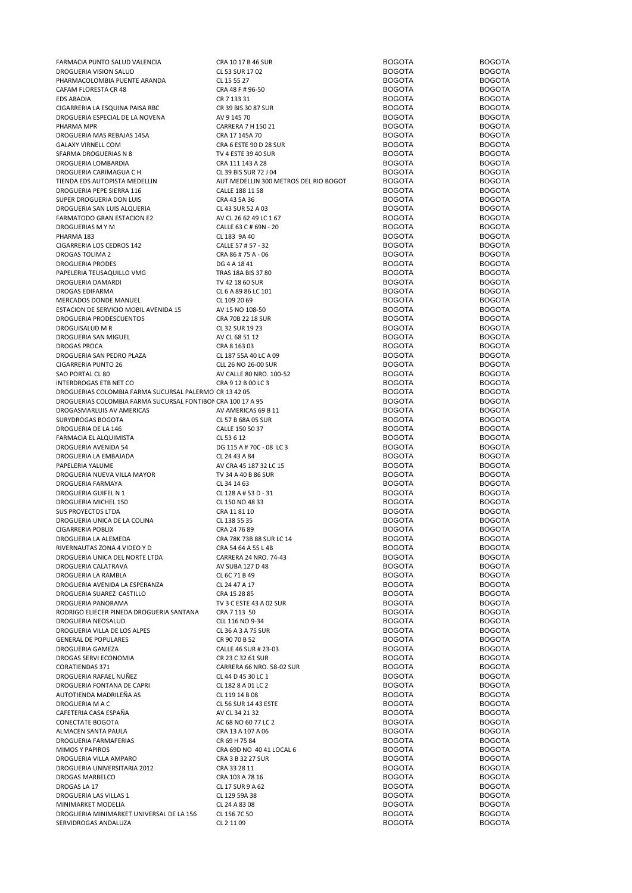| FARMACIA PUNTO SALUD VALENCIA                               | CRA 10 17 B 46 SUR                    | <b>BOGOTA</b> | <b>BOGOTA</b> |
|-------------------------------------------------------------|---------------------------------------|---------------|---------------|
| DROGUERIA VISION SALUD                                      | CL 53 SUR 17 02                       | <b>BOGOTA</b> | <b>BOGOTA</b> |
| PHARMACOLOMBIA PUENTE ARANDA                                | CL 15 55 27                           | <b>BOGOTA</b> | <b>BOGOTA</b> |
|                                                             |                                       |               |               |
| CAFAM FLORESTA CR 48                                        | CRA 48 F # 96-50                      | <b>BOGOTA</b> | <b>BOGOTA</b> |
| <b>EDS ABADIA</b>                                           | CR 7 133 31                           | <b>BOGOTA</b> | <b>BOGOTA</b> |
| CIGARRERIA LA ESQUINA PAISA RBC                             | CR 39 BIS 30 87 SUR                   | <b>BOGOTA</b> | <b>BOGOTA</b> |
| DROGUERIA ESPECIAL DE LA NOVENA                             | AV 9 145 70                           | <b>BOGOTA</b> | <b>BOGOTA</b> |
| PHARMA MPR                                                  | CARRERA 7 H 150 21                    | <b>BOGOTA</b> | <b>BOGOTA</b> |
|                                                             |                                       | <b>BOGOTA</b> | <b>BOGOTA</b> |
| DROGUERIA MAS REBAJAS 145A                                  | CRA 17 145A 70                        |               |               |
| <b>GALAXY VIRNELL COM</b>                                   | CRA 6 ESTE 90 D 28 SUR                | <b>BOGOTA</b> | <b>BOGOTA</b> |
| SFARMA DROGUERIAS N 8                                       | TV 4 ESTE 39 40 SUR                   | <b>BOGOTA</b> | <b>BOGOTA</b> |
| DROGUERIA LOMBARDIA                                         | CRA 111 143 A 28                      | <b>BOGOTA</b> | <b>BOGOTA</b> |
| DROGUERIA CARIMAGUA C H                                     | CL 39 BIS SUR 72 J 04                 | <b>BOGOTA</b> | <b>BOGOTA</b> |
|                                                             |                                       |               |               |
| TIENDA EDS AUTOPISTA MEDELLIN                               | AUT MEDELLIN 300 METROS DEL RIO BOGOT | <b>BOGOTA</b> | <b>BOGOTA</b> |
| DROGUERIA PEPE SIERRA 116                                   | CALLE 188 11 58                       | <b>BOGOTA</b> | <b>BOGOTA</b> |
| SUPER DROGUERIA DON LUIS                                    | CRA 43 5A 36                          | <b>BOGOTA</b> | <b>BOGOTA</b> |
| DROGUERIA SAN LUIS ALQUERIA                                 | CL 43 SUR 52 A 03                     | <b>BOGOTA</b> | <b>BOGOTA</b> |
|                                                             |                                       | <b>BOGOTA</b> | <b>BOGOTA</b> |
| FARMATODO GRAN ESTACION E2                                  | AV CL 26 62 49 LC 1 67                |               |               |
| DROGUERIAS M Y M                                            | CALLE 63 C # 69N - 20                 | <b>BOGOTA</b> | <b>BOGOTA</b> |
| PHARMA 183                                                  | CL 183 9A 40                          | <b>BOGOTA</b> | <b>BOGOTA</b> |
| CIGARRERIA LOS CEDROS 142                                   | CALLE 57 # 57 - 32                    | <b>BOGOTA</b> | <b>BOGOTA</b> |
| DROGAS TOLIMA 2                                             | CRA 86 # 75 A - 06                    | <b>BOGOTA</b> | <b>BOGOTA</b> |
|                                                             |                                       |               |               |
| DROGUERIA PRODES                                            | DG 4 A 18 41                          | <b>BOGOTA</b> | <b>BOGOTA</b> |
| PAPELERIA TEUSAQUILLO VMG                                   | TRAS 18A BIS 37 80                    | <b>BOGOTA</b> | <b>BOGOTA</b> |
| DROGUERIA DAMARDI                                           | TV 42 18 60 SUR                       | <b>BOGOTA</b> | <b>BOGOTA</b> |
| DROGAS EDIFARMA                                             | CL 6 A 89 86 LC 101                   | <b>BOGOTA</b> | <b>BOGOTA</b> |
|                                                             |                                       |               |               |
| MERCADOS DONDE MANUEL                                       | CL 109 20 69                          | <b>BOGOTA</b> | <b>BOGOTA</b> |
| ESTACION DE SERVICIO MOBIL AVENIDA 15                       | AV 15 NO 108-50                       | <b>BOGOTA</b> | <b>BOGOTA</b> |
| DROGUERIA PRODESCUENTOS                                     | CRA 70B 22 18 SUR                     | <b>BOGOTA</b> | <b>BOGOTA</b> |
| DROGUISALUD M R                                             |                                       | <b>BOGOTA</b> | <b>BOGOTA</b> |
|                                                             | CL 32 SUR 19 23                       |               |               |
| DROGUERIA SAN MIGUEL                                        | AV CL 68 51 12                        | <b>BOGOTA</b> | <b>BOGOTA</b> |
| DROGAS PROCA                                                | CRA 8 163 03                          | <b>BOGOTA</b> | <b>BOGOTA</b> |
| DROGUERIA SAN PEDRO PLAZA                                   | CL 187 55A 40 LC A 09                 | <b>BOGOTA</b> | <b>BOGOTA</b> |
|                                                             |                                       |               | <b>BOGOTA</b> |
| CIGARRERIA PUNTO 26                                         | CLL 26 NO 26-00 SUR                   | <b>BOGOTA</b> |               |
| SAO PORTAL CL 80                                            | AV CALLE 80 NRO. 100-52               | <b>BOGOTA</b> | <b>BOGOTA</b> |
| INTERDROGAS ETB NET CO                                      | CRA 9 12 B 00 LC 3                    | <b>BOGOTA</b> | <b>BOGOTA</b> |
| DROGUERIAS COLOMBIA FARMA SUCURSAL PALERMO CR 13 42 05      |                                       | <b>BOGOTA</b> | <b>BOGOTA</b> |
|                                                             |                                       |               |               |
| DROGUERIAS COLOMBIA FARMA SUCURSAL FONTIBON CRA 100 17 A 95 |                                       | <b>BOGOTA</b> | <b>BOGOTA</b> |
| DROGASMARLUIS AV AMERICAS                                   | AV AMERICAS 69 B 11                   | <b>BOGOTA</b> | <b>BOGOTA</b> |
| SURYDROGAS BOGOTA                                           | CL 57 B 68A 05 SUR                    | <b>BOGOTA</b> | <b>BOGOTA</b> |
| DROGUERIA DE LA 146                                         | CALLE 150 50 37                       | <b>BOGOTA</b> | <b>BOGOTA</b> |
|                                                             |                                       |               | <b>BOGOTA</b> |
| FARMACIA EL ALQUIMISTA                                      | CL 53 6 12                            | <b>BOGOTA</b> |               |
| DROGUERIA AVENIDA 54                                        | DG 115 A # 70C - 08 LC 3              | <b>BOGOTA</b> | <b>BOGOTA</b> |
| DROGUERIA LA EMBAJADA                                       | CL 24 43 A 84                         | <b>BOGOTA</b> | <b>BOGOTA</b> |
| PAPELERIA YALUME                                            | AV CRA 45 187 32 LC 15                | <b>BOGOTA</b> | <b>BOGOTA</b> |
|                                                             |                                       | <b>BOGOTA</b> |               |
| DROGUERIA NUEVA VILLA MAYOR                                 | TV 34 A 40 B 86 SUR                   |               | <b>BOGOTA</b> |
| DROGUERIA FARMAYA                                           | CL 34 14 63                           | <b>BOGOTA</b> | <b>BOGOTA</b> |
| DROGUERIA GUIFEL N 1                                        | CL 128 A # 53 D - 31                  | <b>BOGOTA</b> | <b>BOGOTA</b> |
| DROGUERIA MICHEL 150                                        | CL 150 NO 48 33                       | <b>BOGOTA</b> | <b>BOGOTA</b> |
| <b>SUS PROYECTOS LTDA</b>                                   | CRA 11 81 10                          | <b>BOGOTA</b> | <b>BOGOTA</b> |
|                                                             |                                       |               |               |
| DROGUERIA UNICA DE LA COLINA                                | CL 138 55 35                          | <b>BOGOTA</b> | <b>BOGOTA</b> |
| <b>CIGARRERIA POBLIX</b>                                    | CRA 24 76 89                          | <b>BOGOTA</b> | <b>BOGOTA</b> |
| DROGUERIA LA ALEMEDA                                        | CRA 78K 73B 88 SUR LC 14              | <b>BOGOTA</b> | <b>BOGOTA</b> |
| RIVERNAUTAS ZONA 4 VIDEO Y D                                | CRA 54 64 A 55 L 4B                   | <b>BOGOTA</b> | <b>BOGOTA</b> |
|                                                             |                                       |               |               |
| DROGUERIA UNICA DEL NORTE LTDA                              | CARRERA 24 NRO. 74-43                 | <b>BOGOTA</b> | <b>BOGOTA</b> |
| DROGUERIA CALATRAVA                                         | AV SUBA 127 D 48                      | <b>BOGOTA</b> | <b>BOGOTA</b> |
| DROGUERIA LA RAMBLA                                         | CL 6C 71 B 49                         | <b>BOGOTA</b> | <b>BOGOTA</b> |
| DROGUERIA AVENIDA LA ESPERANZA                              | CL 24 47 A 17                         | <b>BOGOTA</b> | <b>BOGOTA</b> |
|                                                             |                                       | <b>BOGOTA</b> | <b>BOGOTA</b> |
| DROGUERIA SUAREZ CASTILLO                                   | CRA 15 28 85                          |               |               |
| DROGUERIA PANORAMA                                          | TV 3 C ESTE 43 A 02 SUR               | <b>BOGOTA</b> | <b>BOGOTA</b> |
| RODRIGO ELIECER PINEDA DROGUERIA SANTANA                    | CRA 7 113 50                          | <b>BOGOTA</b> | <b>BOGOTA</b> |
| DROGUERIA NEOSALUD                                          | CLL 116 NO 9-34                       | <b>BOGOTA</b> | <b>BOGOTA</b> |
| DROGUERIA VILLA DE LOS ALPES                                | CL 36 A 3 A 75 SUR                    | <b>BOGOTA</b> | <b>BOGOTA</b> |
|                                                             |                                       |               |               |
| <b>GENERAL DE POPULARES</b>                                 | CR 90 70 B 52                         | <b>BOGOTA</b> | <b>BOGOTA</b> |
| DROGUERIA GAMEZA                                            | CALLE 46 SUR # 23-03                  | <b>BOGOTA</b> | <b>BOGOTA</b> |
| DROGAS SERVI ECONOMIA                                       | CR 23 C 32 61 SUR                     | <b>BOGOTA</b> | <b>BOGOTA</b> |
| <b>CORATIENDAS 371</b>                                      | CARRERA 66 NRO. 58-02 SUR             | <b>BOGOTA</b> | <b>BOGOTA</b> |
| DROGUERIA RAFAEL NUÑEZ                                      | CL 44 D 45 30 LC 1                    | <b>BOGOTA</b> | <b>BOGOTA</b> |
|                                                             |                                       |               |               |
| DROGUERIA FONTANA DE CAPRI                                  | CL 182 8 A 01 LC 2                    | <b>BOGOTA</b> | <b>BOGOTA</b> |
| AUTOTIENDA MADRILEÑA AS                                     | CL 119 14 B 08                        | <b>BOGOTA</b> | <b>BOGOTA</b> |
| DROGUERIA M A C                                             | CL 56 SUR 14 43 ESTE                  | <b>BOGOTA</b> | <b>BOGOTA</b> |
| CAFETERIA CASA ESPAÑA                                       |                                       | <b>BOGOTA</b> | <b>BOGOTA</b> |
|                                                             | AV CL 34 21 32                        |               |               |
| CONECTATE BOGOTA                                            | AC 68 NO 60 77 LC 2                   | <b>BOGOTA</b> | <b>BOGOTA</b> |
| ALMACEN SANTA PAULA                                         | CRA 13 A 107 A 06                     | <b>BOGOTA</b> | <b>BOGOTA</b> |
| DROGUERIA FARMAFERIAS                                       | CR 69 H 75 84                         | <b>BOGOTA</b> | <b>BOGOTA</b> |
| <b>MIMOS Y PAPIROS</b>                                      | CRA 69D NO 40 41 LOCAL 6              | <b>BOGOTA</b> | <b>BOGOTA</b> |
|                                                             |                                       |               |               |
| DROGUERIA VILLA AMPARO                                      | CRA 3 B 32 27 SUR                     | <b>BOGOTA</b> | <b>BOGOTA</b> |
| DROGUERIA UNIVERSITARIA 2012                                | CRA 33 28 11                          | <b>BOGOTA</b> | <b>BOGOTA</b> |
| DROGAS MARBELCO                                             | CRA 103 A 78 16                       | <b>BOGOTA</b> | <b>BOGOTA</b> |
|                                                             |                                       | <b>BOGOTA</b> | <b>BOGOTA</b> |
| DROGAS LA 17                                                | CL 17 SUR 9 A 62                      |               |               |
| DROGUERIA LAS VILLAS 1                                      | CL 129 59A 38                         | <b>BOGOTA</b> | <b>BOGOTA</b> |
| MINIMARKET MODELIA                                          | CL 24 A 83 08                         | <b>BOGOTA</b> | <b>BOGOTA</b> |
| DROGUERIA MINIMARKET UNIVERSAL DE LA 156                    | CL 156 7C 50                          | <b>BOGOTA</b> | <b>BOGOTA</b> |
|                                                             |                                       |               |               |
| SERVIDROGAS ANDALUZA                                        | CL 2 11 09                            | <b>BOGOTA</b> | <b>BOGOTA</b> |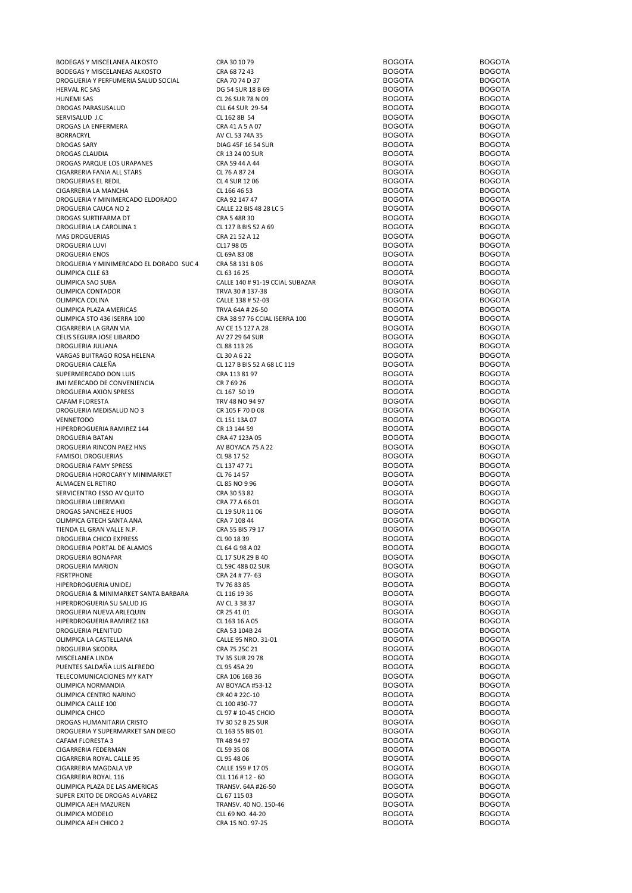| BODEGAS Y MISCELANEA ALKOSTO                 | CRA 30 10 79                          | <b>BOGOTA</b>                  | <b>BOGOTA</b>                  |
|----------------------------------------------|---------------------------------------|--------------------------------|--------------------------------|
| BODEGAS Y MISCELANEAS ALKOSTO                | CRA 68 72 43                          | <b>BOGOTA</b>                  | <b>BOGOTA</b>                  |
| DROGUERIA Y PERFUMERIA SALUD SOCIAL          | CRA 70 74 D 37                        | <b>BOGOTA</b>                  | <b>BOGOTA</b>                  |
| <b>HERVAL RC SAS</b>                         | DG 54 SUR 18 B 69                     | <b>BOGOTA</b>                  | <b>BOGOTA</b>                  |
| <b>HUNEMI SAS</b>                            | CL 26 SUR 78 N 09                     | <b>BOGOTA</b>                  | <b>BOGOTA</b>                  |
| DROGAS PARASUSALUD                           | CLL 64 SUR 29-54                      | <b>BOGOTA</b>                  | <b>BOGOTA</b>                  |
| SERVISALUD J.C                               | CL 162 8B 54                          | <b>BOGOTA</b>                  | <b>BOGOTA</b>                  |
| DROGAS LA ENFERMERA                          | CRA 41 A 5 A 07                       | <b>BOGOTA</b>                  | <b>BOGOTA</b>                  |
| <b>BORRACRYL</b>                             | AV CL 53 74A 35                       | <b>BOGOTA</b>                  | <b>BOGOTA</b>                  |
| <b>DROGAS SARY</b>                           | DIAG 45F 16 54 SUR                    | <b>BOGOTA</b>                  | <b>BOGOTA</b>                  |
| <b>DROGAS CLAUDIA</b>                        | CR 13 24 00 SUR                       | <b>BOGOTA</b>                  | <b>BOGOTA</b>                  |
| DROGAS PARQUE LOS URAPANES                   | CRA 59 44 A 44                        | <b>BOGOTA</b>                  | <b>BOGOTA</b>                  |
| CIGARRERIA FANIA ALL STARS                   | CL 76 A 87 24                         | <b>BOGOTA</b>                  | <b>BOGOTA</b>                  |
| <b>DROGUERIAS EL REDIL</b>                   | CL 4 SUR 12 06                        | <b>BOGOTA</b>                  | <b>BOGOTA</b>                  |
| CIGARRERIA LA MANCHA                         | CL 166 46 53                          | <b>BOGOTA</b>                  | <b>BOGOTA</b>                  |
| DROGUERIA Y MINIMERCADO ELDORADO             | CRA 92 147 47                         | <b>BOGOTA</b>                  | <b>BOGOTA</b>                  |
| DROGUERIA CAUCA NO 2                         | CALLE 22 BIS 48 28 LC 5               | <b>BOGOTA</b>                  | <b>BOGOTA</b>                  |
| DROGAS SURTIFARMA DT                         | CRA 5 48R 30                          | <b>BOGOTA</b>                  | <b>BOGOTA</b>                  |
| DROGUERIA LA CAROLINA 1                      | CL 127 B BIS 52 A 69                  | <b>BOGOTA</b>                  | <b>BOGOTA</b>                  |
| <b>MAS DROGUERIAS</b>                        | CRA 21 52 A 12                        | <b>BOGOTA</b>                  | <b>BOGOTA</b>                  |
| DROGUERIA LUVI                               | CL17 98 05                            | <b>BOGOTA</b>                  | <b>BOGOTA</b>                  |
|                                              | CL 69A 83 08                          | <b>BOGOTA</b>                  | <b>BOGOTA</b>                  |
| <b>DROGUERIA ENOS</b>                        |                                       |                                | <b>BOGOTA</b>                  |
| DROGUERIA Y MINIMERCADO EL DORADO SUC 4      | CRA 58 131 B 06                       | <b>BOGOTA</b>                  |                                |
| OLIMPICA CLLE 63                             | CL 63 16 25                           | <b>BOGOTA</b>                  | <b>BOGOTA</b>                  |
| OLIMPICA SAO SUBA                            | CALLE 140 # 91-19 CCIAL SUBAZAR       | <b>BOGOTA</b>                  | <b>BOGOTA</b>                  |
| OLIMPICA CONTADOR                            | TRVA 30 #137-38                       | <b>BOGOTA</b>                  | <b>BOGOTA</b>                  |
| OLIMPICA COLINA                              | CALLE 138 # 52-03                     | <b>BOGOTA</b>                  | <b>BOGOTA</b>                  |
| OLIMPICA PLAZA AMERICAS                      | TRVA 64A # 26-50                      | <b>BOGOTA</b>                  | <b>BOGOTA</b>                  |
| OLIMPICA STO 436 ISERRA 100                  | CRA 38 97 76 CCIAL ISERRA 100         | <b>BOGOTA</b>                  | <b>BOGOTA</b>                  |
| CIGARRERIA LA GRAN VIA                       | AV CE 15 127 A 28                     | <b>BOGOTA</b>                  | <b>BOGOTA</b>                  |
| CELIS SEGURA JOSE LIBARDO                    | AV 27 29 64 SUR                       | <b>BOGOTA</b>                  | <b>BOGOTA</b>                  |
| DROGUERIA JULIANA                            | CL 88 113 26                          | <b>BOGOTA</b>                  | <b>BOGOTA</b>                  |
| VARGAS BUITRAGO ROSA HELENA                  | CL 30 A 6 22                          | <b>BOGOTA</b>                  | <b>BOGOTA</b>                  |
| DROGUERIA CALEÑA                             | CL 127 B BIS 52 A 68 LC 119           | <b>BOGOTA</b>                  | <b>BOGOTA</b>                  |
| SUPERMERCADO DON LUIS                        | CRA 113 81 97                         | <b>BOGOTA</b>                  | <b>BOGOTA</b>                  |
| JMI MERCADO DE CONVENIENCIA                  | CR 7 69 26                            | <b>BOGOTA</b>                  | <b>BOGOTA</b>                  |
| DROGUERIA AXION SPRESS                       | CL 167 50 19                          | <b>BOGOTA</b>                  | <b>BOGOTA</b>                  |
| CAFAM FLORESTA                               | TRV 48 NO 94 97                       | <b>BOGOTA</b>                  | <b>BOGOTA</b>                  |
| DROGUERIA MEDISALUD NO 3                     | CR 105 F 70 D 08                      | <b>BOGOTA</b>                  | <b>BOGOTA</b>                  |
| <b>VENNETODO</b>                             | CL 151 13A 07                         | <b>BOGOTA</b>                  | <b>BOGOTA</b>                  |
| HIPERDROGUERIA RAMIREZ 144                   | CR 13 144 59                          | <b>BOGOTA</b>                  | <b>BOGOTA</b>                  |
| <b>DROGUERIA BATAN</b>                       | CRA 47 123A 05                        | <b>BOGOTA</b>                  | <b>BOGOTA</b>                  |
| DROGUERIA RINCON PAEZ HNS                    | AV BOYACA 75 A 22                     | <b>BOGOTA</b>                  | <b>BOGOTA</b>                  |
| <b>FAMISOL DROGUERIAS</b>                    | CL 98 17 52                           | <b>BOGOTA</b>                  | <b>BOGOTA</b>                  |
| DROGUERIA FAMY SPRESS                        | CL 137 47 71                          | <b>BOGOTA</b>                  | <b>BOGOTA</b>                  |
| DROGUERIA HOROCARY Y MINIMARKET              | CL 76 14 57                           | <b>BOGOTA</b>                  | <b>BOGOTA</b>                  |
| ALMACEN EL RETIRO                            | CL 85 NO 9 96                         | <b>BOGOTA</b>                  | <b>BOGOTA</b>                  |
| SERVICENTRO ESSO AV QUITO                    | CRA 30 53 82                          | <b>BOGOTA</b>                  | <b>BOGOTA</b>                  |
| DROGUERIA LIBERMAXI                          | CRA 77 A 66 01                        | <b>BOGOTA</b>                  | <b>BOGOTA</b>                  |
| DROGAS SANCHEZ E HIJOS                       | CL 19 SUR 11 06                       | <b>BOGOTA</b>                  | <b>BOGOTA</b>                  |
| OLIMPICA GTECH SANTA ANA                     | CRA 7 108 44                          | <b>BOGOTA</b>                  | <b>BOGOTA</b>                  |
| TIENDA EL GRAN VALLE N.P.                    | CRA 55 BIS 79 17                      | <b>BOGOTA</b>                  | <b>BOGOTA</b>                  |
| DROGUERIA CHICO EXPRESS                      | CL 90 18 39                           | <b>BOGOTA</b>                  | <b>BOGOTA</b>                  |
| DROGUERIA PORTAL DE ALAMOS                   | CL 64 G 98 A 02                       | <b>BOGOTA</b>                  | <b>BOGOTA</b>                  |
| DROGUERIA BONAPAR                            | CL 17 SUR 29 B 40                     | <b>BOGOTA</b>                  | <b>BOGOTA</b>                  |
| DROGUERIA MARION                             | CL 59C 48B 02 SUR                     | <b>BOGOTA</b>                  | <b>BOGOTA</b>                  |
| <b>FISRTPHONE</b>                            | CRA 24 # 77-63                        | <b>BOGOTA</b>                  | <b>BOGOTA</b>                  |
| HIPERDROGUERIA UNIDEJ                        | TV 76 83 85                           | <b>BOGOTA</b>                  | <b>BOGOTA</b>                  |
| DROGUERIA & MINIMARKET SANTA BARBARA         | CL 116 19 36                          | <b>BOGOTA</b>                  | <b>BOGOTA</b>                  |
| HIPERDROGUERIA SU SALUD JG                   | AV CL 3 38 37                         | <b>BOGOTA</b>                  | <b>BOGOTA</b>                  |
| DROGUERIA NUEVA ARLEQUIN                     | CR 25 41 01                           | <b>BOGOTA</b>                  | <b>BOGOTA</b>                  |
| HIPERDROGUERIA RAMIREZ 163                   | CL 163 16 A 05                        | <b>BOGOTA</b>                  | <b>BOGOTA</b>                  |
|                                              |                                       |                                |                                |
| DROGUERIA PLENITUD<br>OLIMPICA LA CASTELLANA | CRA 53 104B 24<br>CALLE 95 NRO. 31-01 | <b>BOGOTA</b><br><b>BOGOTA</b> | <b>BOGOTA</b><br><b>BOGOTA</b> |
| <b>DROGUERIA SKODRA</b>                      |                                       | <b>BOGOTA</b>                  | <b>BOGOTA</b>                  |
| MISCELANEA LINDA                             | CRA 75 25C 21                         | <b>BOGOTA</b>                  | <b>BOGOTA</b>                  |
|                                              | TV 35 SUR 29 78                       |                                | <b>BOGOTA</b>                  |
| PUENTES SALDAÑA LUIS ALFREDO                 | CL 95 45A 29                          | <b>BOGOTA</b>                  |                                |
| TELECOMUNICACIONES MY KATY                   | CRA 106 16B 36                        | <b>BOGOTA</b>                  | <b>BOGOTA</b>                  |
| OLIMPICA NORMANDIA                           | AV BOYACA #53-12                      | <b>BOGOTA</b>                  | <b>BOGOTA</b>                  |
| OLIMPICA CENTRO NARINO                       | CR 40 # 22C-10                        | <b>BOGOTA</b>                  | <b>BOGOTA</b>                  |
| OLIMPICA CALLE 100                           | CL 100 #30-77                         | <b>BOGOTA</b>                  | <b>BOGOTA</b>                  |
| OLIMPICA CHICO                               | CL 97 # 10-45 CHCIO                   | <b>BOGOTA</b>                  | <b>BOGOTA</b>                  |
| DROGAS HUMANITARIA CRISTO                    | TV 30 52 B 25 SUR                     | <b>BOGOTA</b>                  | <b>BOGOTA</b>                  |
| DROGUERIA Y SUPERMARKET SAN DIEGO            | CL 163 55 BIS 01                      | <b>BOGOTA</b>                  | <b>BOGOTA</b>                  |
| CAFAM FLORESTA 3                             | TR 48 94 97                           | <b>BOGOTA</b>                  | <b>BOGOTA</b>                  |
| CIGARRERIA FEDERMAN                          | CL 59 35 08                           | <b>BOGOTA</b>                  | <b>BOGOTA</b>                  |
| CIGARRERIA ROYAL CALLE 95                    | CL 95 48 06                           | <b>BOGOTA</b>                  | <b>BOGOTA</b>                  |
| CIGARRERIA MAGDALA VP                        | CALLE 159 # 17 05                     | <b>BOGOTA</b>                  | <b>BOGOTA</b>                  |
| CIGARRERIA ROYAL 116                         | CLL 116 # 12 - 60                     | <b>BOGOTA</b>                  | <b>BOGOTA</b>                  |
| OLIMPICA PLAZA DE LAS AMERICAS               |                                       |                                |                                |
|                                              | TRANSV. 64A #26-50                    | <b>BOGOTA</b>                  | <b>BOGOTA</b>                  |
| SUPER EXITO DE DROGAS ALVAREZ                | CL 67 115 03                          | <b>BOGOTA</b>                  | <b>BOGOTA</b>                  |
| OLIMPICA AEH MAZUREN                         | TRANSV. 40 NO. 150-46                 | <b>BOGOTA</b>                  | <b>BOGOTA</b>                  |
| OLIMPICA MODELO<br>OLIMPICA AEH CHICO 2      | CLL 69 NO. 44-20<br>CRA 15 NO. 97-25  | <b>BOGOTA</b><br><b>BOGOTA</b> | <b>BOGOTA</b><br><b>BOGOTA</b> |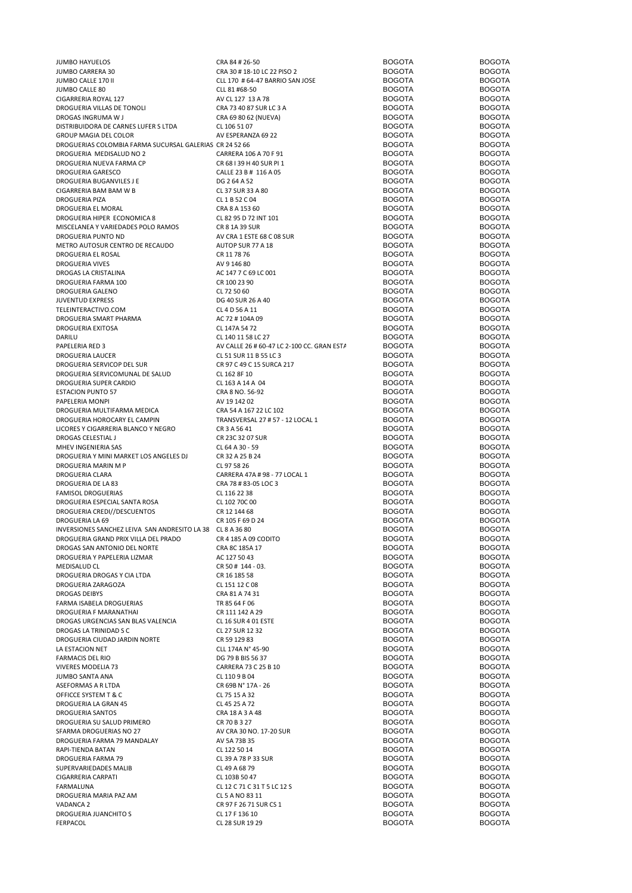| <b>JUMBO HAYUELOS</b>                                      | CRA 84 # 26-50                             | <b>BOGOTA</b> | <b>BOGOTA</b> |
|------------------------------------------------------------|--------------------------------------------|---------------|---------------|
| JUMBO CARRERA 30                                           | CRA 30 # 18-10 LC 22 PISO 2                | <b>BOGOTA</b> | <b>BOGOTA</b> |
| JUMBO CALLE 170 II                                         | CLL 170 # 64-47 BARRIO SAN JOSE            | <b>BOGOTA</b> | <b>BOGOTA</b> |
| <b>JUMBO CALLE 80</b>                                      | CLL 81 #68-50                              | <b>BOGOTA</b> | <b>BOGOTA</b> |
| CIGARRERIA ROYAL 127                                       | AV CL 127 13 A 78                          | <b>BOGOTA</b> | <b>BOGOTA</b> |
| DROGUERIA VILLAS DE TONOLI                                 | CRA 73 40 87 SUR LC 3 A                    | <b>BOGOTA</b> | <b>BOGOTA</b> |
| DROGAS INGRUMA W J                                         |                                            | <b>BOGOTA</b> | <b>BOGOTA</b> |
|                                                            | CRA 69 80 62 (NUEVA)                       |               |               |
| DISTRIBUIDORA DE CARNES LUFER S LTDA                       | CL 106 51 07                               | <b>BOGOTA</b> | <b>BOGOTA</b> |
| GROUP MAGIA DEL COLOR                                      | AV ESPERANZA 69 22                         | <b>BOGOTA</b> | <b>BOGOTA</b> |
| DROGUERIAS COLOMBIA FARMA SUCURSAL GALERIAS CR 24 52 66    |                                            | <b>BOGOTA</b> | <b>BOGOTA</b> |
| DROGUERIA MEDISALUD NO 2                                   | CARRERA 106 A 70 F 91                      | <b>BOGOTA</b> | <b>BOGOTA</b> |
| DROGUERIA NUEVA FARMA CP                                   | CR 68   39 H 40 SUR PI 1                   | <b>BOGOTA</b> | <b>BOGOTA</b> |
| DROGUERIA GARESCO                                          | CALLE 23 B # 116 A 05                      | <b>BOGOTA</b> | <b>BOGOTA</b> |
| DROGUERIA BUGANVILES J E                                   | DG 264 A 52                                | <b>BOGOTA</b> | <b>BOGOTA</b> |
| CIGARRERIA BAM BAM W B                                     | CL 37 SUR 33 A 80                          | <b>BOGOTA</b> | <b>BOGOTA</b> |
|                                                            |                                            | <b>BOGOTA</b> | <b>BOGOTA</b> |
| <b>DROGUERIA PIZA</b>                                      | CL 1 B 52 C 04                             |               |               |
| DROGUERIA EL MORAL                                         | CRA 8 A 153 60                             | <b>BOGOTA</b> | <b>BOGOTA</b> |
| DROGUERIA HIPER ECONOMICA 8                                | CL 82 95 D 72 INT 101                      | <b>BOGOTA</b> | <b>BOGOTA</b> |
| MISCELANEA Y VARIEDADES POLO RAMOS                         | CR 8 1A 39 SUR                             | <b>BOGOTA</b> | <b>BOGOTA</b> |
| DROGUERIA PUNTO ND                                         | AV CRA 1 ESTE 68 C 08 SUR                  | <b>BOGOTA</b> | <b>BOGOTA</b> |
| METRO AUTOSUR CENTRO DE RECAUDO                            | AUTOP SUR 77 A 18                          | <b>BOGOTA</b> | <b>BOGOTA</b> |
| DROGUERIA EL ROSAL                                         | CR 11 78 76                                | <b>BOGOTA</b> | <b>BOGOTA</b> |
|                                                            |                                            |               |               |
| <b>DROGUERIA VIVES</b>                                     | AV 9 146 80                                | <b>BOGOTA</b> | <b>BOGOTA</b> |
| DROGAS LA CRISTALINA                                       | AC 147 7 C 69 LC 001                       | <b>BOGOTA</b> | <b>BOGOTA</b> |
| DROGUERIA FARMA 100                                        | CR 100 23 90                               | <b>BOGOTA</b> | <b>BOGOTA</b> |
| DROGUERIA GALENO                                           | CL 72 50 60                                | <b>BOGOTA</b> | <b>BOGOTA</b> |
| <b>JUVENTUD EXPRESS</b>                                    | DG 40 SUR 26 A 40                          | <b>BOGOTA</b> | <b>BOGOTA</b> |
| TELEINTERACTIVO.COM                                        | CL 4 D 56 A 11                             | <b>BOGOTA</b> | <b>BOGOTA</b> |
| DROGUERIA SMART PHARMA                                     | AC 72 # 104A 09                            | <b>BOGOTA</b> | <b>BOGOTA</b> |
|                                                            |                                            |               | <b>BOGOTA</b> |
| DROGUERIA EXITOSA                                          | CL 147A 54 72                              | <b>BOGOTA</b> |               |
| DARILU                                                     | CL 140 11 58 LC 27                         | <b>BOGOTA</b> | <b>BOGOTA</b> |
| PAPELERIA RED 3                                            | AV CALLE 26 # 60-47 LC 2-100 CC. GRAN EST/ | <b>BOGOTA</b> | <b>BOGOTA</b> |
| DROGUERIA LAUCER                                           | CL 51 SUR 11 B 55 LC 3                     | <b>BOGOTA</b> | <b>BOGOTA</b> |
| DROGUERIA SERVICOP DEL SUR                                 | CR 97 C 49 C 15 SURCA 217                  | <b>BOGOTA</b> | <b>BOGOTA</b> |
| DROGUERIA SERVICOMUNAL DE SALUD                            | CL 162 8F 10                               | <b>BOGOTA</b> | <b>BOGOTA</b> |
|                                                            |                                            |               |               |
| DROGUERIA SUPER CARDIO                                     | CL 163 A 14 A 04                           | <b>BOGOTA</b> | <b>BOGOTA</b> |
| <b>ESTACION PUNTO 57</b>                                   | CRA 8 NO. 56-92                            | <b>BOGOTA</b> | <b>BOGOTA</b> |
| PAPELERIA MONPI                                            | AV 19 142 02                               | <b>BOGOTA</b> | <b>BOGOTA</b> |
| DROGUERIA MULTIFARMA MEDICA                                | CRA 54 A 167 22 LC 102                     | <b>BOGOTA</b> | <b>BOGOTA</b> |
| DROGUERIA HOROCARY EL CAMPIN                               | TRANSVERSAL 27 # 57 - 12 LOCAL 1           | <b>BOGOTA</b> | <b>BOGOTA</b> |
| LICORES Y CIGARRERIA BLANCO Y NEGRO                        | CR 3 A 56 41                               | <b>BOGOTA</b> | <b>BOGOTA</b> |
| DROGAS CELESTIAL J                                         | CR 23C 32 07 SUR                           | <b>BOGOTA</b> | <b>BOGOTA</b> |
|                                                            |                                            |               |               |
| MHEV INGENIERIA SAS                                        | CL 64 A 30 - 59                            | <b>BOGOTA</b> | <b>BOGOTA</b> |
| DROGUERIA Y MINI MARKET LOS ANGELES DJ                     | CR 32 A 25 B 24                            | <b>BOGOTA</b> | <b>BOGOTA</b> |
| DROGUERIA MARIN M P                                        | CL 97 58 26                                | <b>BOGOTA</b> | <b>BOGOTA</b> |
| DROGUERIA CLARA                                            | CARRERA 47A # 98 - 77 LOCAL 1              | <b>BOGOTA</b> | <b>BOGOTA</b> |
| DROGUERIA DE LA 83                                         | CRA 78 # 83-05 LOC 3                       | <b>BOGOTA</b> | <b>BOGOTA</b> |
| <b>FAMISOL DROGUERIAS</b>                                  | CL 116 22 38                               | <b>BOGOTA</b> | <b>BOGOTA</b> |
|                                                            |                                            | <b>BOGOTA</b> | <b>BOGOTA</b> |
| DROGUERIA ESPECIAL SANTA ROSA                              | CL 102 70C 00                              |               |               |
| DROGUERIA CREDI//DESCUENTOS                                | CR 12 144 68                               | <b>BOGOTA</b> | <b>BOGOTA</b> |
| <b>DROGUERIA LA 69</b>                                     | CR 105 F 69 D 24                           | <b>BOGOTA</b> | <b>BOGOTA</b> |
| INVERSIONES SANCHEZ LEIVA SAN ANDRESITO LA 38 CL 8 A 36 80 |                                            | <b>BOGOTA</b> | <b>BOGOTA</b> |
| DROGUERIA GRAND PRIX VILLA DEL PRADO                       | CR 4 185 A 09 CODITO                       | <b>BOGOTA</b> | <b>BOGOTA</b> |
| DROGAS SAN ANTONIO DEL NORTE                               | CRA 8C 185A 17                             | <b>BOGOTA</b> | <b>BOGOTA</b> |
| DROGUERIA Y PAPELERIA LIZMAR                               | AC 127 50 43                               | <b>BOGOTA</b> | <b>BOGOTA</b> |
|                                                            |                                            | <b>BOGOTA</b> | <b>BOGOTA</b> |
| MEDISALUD CL                                               | CR 50 # 144 - 03.                          |               |               |
| DROGUERIA DROGAS Y CIA LTDA                                | CR 16 185 58                               | <b>BOGOTA</b> | <b>BOGOTA</b> |
| DROGUERIA ZARAGOZA                                         | CL 151 12 C 08                             | <b>BOGOTA</b> | <b>BOGOTA</b> |
| <b>DROGAS DEIBYS</b>                                       | CRA 81 A 74 31                             | <b>BOGOTA</b> | <b>BOGOTA</b> |
| FARMA ISABELA DROGUERIAS                                   | TR 85 64 F 06                              | <b>BOGOTA</b> | <b>BOGOTA</b> |
| DROGUERIA F MARANATHAI                                     | CR 111 142 A 29                            | <b>BOGOTA</b> | <b>BOGOTA</b> |
| DROGAS URGENCIAS SAN BLAS VALENCIA                         | CL 16 SUR 4 01 ESTE                        | <b>BOGOTA</b> | <b>BOGOTA</b> |
| DROGAS LA TRINIDAD S C                                     | CL 27 SUR 12 32                            | <b>BOGOTA</b> | <b>BOGOTA</b> |
| DROGUERIA CIUDAD JARDIN NORTE                              |                                            | <b>BOGOTA</b> | <b>BOGOTA</b> |
|                                                            | CR 59 129 83                               |               |               |
| LA ESTACION NET                                            | CLL 174A N° 45-90                          | <b>BOGOTA</b> | <b>BOGOTA</b> |
| <b>FARMACIS DEL RIO</b>                                    | DG 79 B BIS 56 37                          | <b>BOGOTA</b> | <b>BOGOTA</b> |
| <b>VIVERES MODELIA 73</b>                                  | CARRERA 73 C 25 B 10                       | <b>BOGOTA</b> | <b>BOGOTA</b> |
| JUMBO SANTA ANA                                            | CL 1109B04                                 | <b>BOGOTA</b> | <b>BOGOTA</b> |
| ASEFORMAS A R LTDA                                         | CR 69B N° 17A - 26                         | <b>BOGOTA</b> | <b>BOGOTA</b> |
| OFFICCE SYSTEM T & C                                       | CL 75 15 A 32                              | <b>BOGOTA</b> | <b>BOGOTA</b> |
| DROGUERIA LA GRAN 45                                       | CL 45 25 A 72                              | <b>BOGOTA</b> | <b>BOGOTA</b> |
|                                                            |                                            |               |               |
| DROGUERIA SANTOS                                           | CRA 18 A 3 A 48                            | <b>BOGOTA</b> | <b>BOGOTA</b> |
| DROGUERIA SU SALUD PRIMERO                                 | CR 70 B 3 27                               | <b>BOGOTA</b> | <b>BOGOTA</b> |
| SFARMA DROGUERIAS NO 27                                    | AV CRA 30 NO. 17-20 SUR                    | <b>BOGOTA</b> | <b>BOGOTA</b> |
| DROGUERIA FARMA 79 MANDALAY                                | AV 5A 73B 35                               | <b>BOGOTA</b> | <b>BOGOTA</b> |
| RAPI-TIENDA BATAN                                          | CL 122 50 14                               | <b>BOGOTA</b> | <b>BOGOTA</b> |
| DROGUERIA FARMA 79                                         | CL 39 A 78 P 33 SUR                        | <b>BOGOTA</b> | <b>BOGOTA</b> |
| SUPERVARIEDADES MALIB                                      | CL 49 A 68 79                              | <b>BOGOTA</b> | <b>BOGOTA</b> |
|                                                            |                                            |               |               |
| CIGARRERIA CARPATI                                         | CL 103B 50 47                              | <b>BOGOTA</b> | <b>BOGOTA</b> |
| FARMALUNA                                                  | CL 12 C 71 C 31 T 5 LC 12 S                | <b>BOGOTA</b> | <b>BOGOTA</b> |
| DROGUERIA MARIA PAZ AM                                     | CL 5 A NO 83 11                            | <b>BOGOTA</b> | <b>BOGOTA</b> |
| VADANCA 2                                                  | CR 97 F 26 71 SUR CS 1                     | <b>BOGOTA</b> | <b>BOGOTA</b> |
| DROGUERIA JUANCHITO S                                      | CL 17 F 136 10                             | <b>BOGOTA</b> | <b>BOGOTA</b> |
| FERPACOL                                                   | CL 28 SUR 19 29                            | <b>BOGOTA</b> | <b>BOGOTA</b> |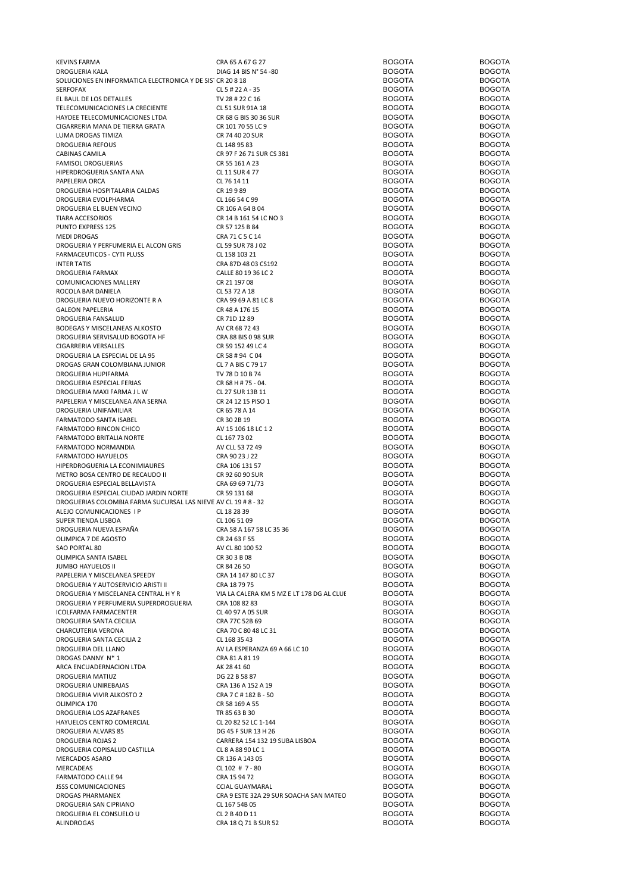| <b>KEVINS FARMA</b>                                            | CRA 65 A 67 G 27                          | <b>BOGOTA</b> | <b>BOGOTA</b> |
|----------------------------------------------------------------|-------------------------------------------|---------------|---------------|
| DROGUERIA KALA                                                 | DIAG 14 BIS N° 54 -80                     | <b>BOGOTA</b> | <b>BOGOTA</b> |
| SOLUCIONES EN INFORMATICA ELECTRONICA Y DE SISTICR 20 8 18     |                                           | <b>BOGOTA</b> | <b>BOGOTA</b> |
| SERFOFAX                                                       | CL 5 # 22 A - 35                          | <b>BOGOTA</b> | <b>BOGOTA</b> |
| EL BAUL DE LOS DETALLES                                        | TV 28 # 22 C 16                           | <b>BOGOTA</b> | <b>BOGOTA</b> |
| TELECOMUNICACIONES LA CRECIENTE                                | CL 51 SUR 91A 18                          | <b>BOGOTA</b> | <b>BOGOTA</b> |
| HAYDEE TELECOMUNICACIONES LTDA                                 | CR 68 G BIS 30 36 SUR                     | <b>BOGOTA</b> | <b>BOGOTA</b> |
| CIGARRERIA MANA DE TIERRA GRATA                                |                                           | <b>BOGOTA</b> | <b>BOGOTA</b> |
|                                                                | CR 101 70 55 LC 9                         |               |               |
| LUMA DROGAS TIMIZA                                             | CR 74 40 20 SUR                           | <b>BOGOTA</b> | <b>BOGOTA</b> |
| <b>DROGUERIA REFOUS</b>                                        | CL 148 95 83                              | <b>BOGOTA</b> | <b>BOGOTA</b> |
| <b>CABINAS CAMILA</b>                                          | CR 97 F 26 71 SUR CS 381                  | <b>BOGOTA</b> | <b>BOGOTA</b> |
| FAMISOL DROGUERIAS                                             | CR 55 161 A 23                            | <b>BOGOTA</b> | <b>BOGOTA</b> |
| HIPERDROGUERIA SANTA ANA                                       | CL 11 SUR 4 77                            | <b>BOGOTA</b> | <b>BOGOTA</b> |
| PAPELERIA ORCA                                                 | CL 76 14 11                               | <b>BOGOTA</b> | <b>BOGOTA</b> |
| DROGUERIA HOSPITALARIA CALDAS                                  | CR 19989                                  | <b>BOGOTA</b> | <b>BOGOTA</b> |
| DROGUERIA EVOLPHARMA                                           | CL 166 54 C 99                            | <b>BOGOTA</b> | <b>BOGOTA</b> |
| DROGUERIA EL BUEN VECINO                                       | CR 106 A 64 B 04                          | <b>BOGOTA</b> | <b>BOGOTA</b> |
|                                                                |                                           |               | <b>BOGOTA</b> |
| <b>TIARA ACCESORIOS</b>                                        | CR 14 B 161 54 LC NO 3                    | <b>BOGOTA</b> |               |
| PUNTO EXPRESS 125                                              | CR 57 125 B 84                            | <b>BOGOTA</b> | <b>BOGOTA</b> |
| MEDI DROGAS                                                    | CRA 71 C 5 C 14                           | <b>BOGOTA</b> | <b>BOGOTA</b> |
| DROGUERIA Y PERFUMERIA EL ALCON GRIS                           | CL 59 SUR 78 J 02                         | <b>BOGOTA</b> | <b>BOGOTA</b> |
| FARMACEUTICOS - CYTI PLUSS                                     | CL 158 103 21                             | <b>BOGOTA</b> | <b>BOGOTA</b> |
| <b>INTER TATIS</b>                                             | CRA 87D 48 03 CS192                       | <b>BOGOTA</b> | <b>BOGOTA</b> |
| DROGUERIA FARMAX                                               | CALLE 80 19 36 LC 2                       | <b>BOGOTA</b> | <b>BOGOTA</b> |
| COMUNICACIONES MALLERY                                         | CR 21 197 08                              | <b>BOGOTA</b> | <b>BOGOTA</b> |
| ROCOLA BAR DANIELA                                             | CL 53 72 A 18                             | <b>BOGOTA</b> | <b>BOGOTA</b> |
|                                                                | CRA 99 69 A 81 LC 8                       | <b>BOGOTA</b> | <b>BOGOTA</b> |
| DROGUERIA NUEVO HORIZONTE R A                                  |                                           |               |               |
| <b>GALEON PAPELERIA</b>                                        | CR 48 A 176 15                            | <b>BOGOTA</b> | <b>BOGOTA</b> |
| DROGUERIA FANSALUD                                             | CR 71D 12 89                              | <b>BOGOTA</b> | <b>BOGOTA</b> |
| BODEGAS Y MISCELANEAS ALKOSTO                                  | AV CR 68 72 43                            | <b>BOGOTA</b> | <b>BOGOTA</b> |
| DROGUERIA SERVISALUD BOGOTA HF                                 | CRA 88 BIS 0 98 SUR                       | <b>BOGOTA</b> | <b>BOGOTA</b> |
| CIGARRERIA VERSALLES                                           | CR 59 152 49 LC 4                         | <b>BOGOTA</b> | <b>BOGOTA</b> |
| DROGUERIA LA ESPECIAL DE LA 95                                 | CR 58 # 94 C 04                           | <b>BOGOTA</b> | <b>BOGOTA</b> |
| DROGAS GRAN COLOMBIANA JUNIOR                                  | CL 7 A BIS C 79 17                        | <b>BOGOTA</b> | <b>BOGOTA</b> |
| DROGUERIA HUPIFARMA                                            | TV 78 D 10 B 74                           | <b>BOGOTA</b> | <b>BOGOTA</b> |
|                                                                |                                           |               | <b>BOGOTA</b> |
| DROGUERIA ESPECIAL FERIAS                                      | CR 68 H # 75 - 04.                        | <b>BOGOTA</b> |               |
| DROGUERIA MAXI FARMA J L W                                     | CL 27 SUR 13B 11                          | <b>BOGOTA</b> | <b>BOGOTA</b> |
| PAPELERIA Y MISCELANEA ANA SERNA                               | CR 24 12 15 PISO 1                        | <b>BOGOTA</b> | <b>BOGOTA</b> |
| DROGUERIA UNIFAMILIAR                                          | CR 65 78 A 14                             | <b>BOGOTA</b> | <b>BOGOTA</b> |
| FARMATODO SANTA ISABEL                                         | CR 30 2B 19                               | <b>BOGOTA</b> | <b>BOGOTA</b> |
| <b>FARMATODO RINCON CHICO</b>                                  | AV 15 106 18 LC 1 2                       | <b>BOGOTA</b> | <b>BOGOTA</b> |
| FARMATODO BRITALIA NORTE                                       | CL 167 73 02                              | <b>BOGOTA</b> | <b>BOGOTA</b> |
| FARMATODO NORMANDIA                                            | AV CLL 53 72 49                           | <b>BOGOTA</b> | <b>BOGOTA</b> |
| <b>FARMATODO HAYUELOS</b>                                      | CRA 90 23 J 22                            | <b>BOGOTA</b> | <b>BOGOTA</b> |
| HIPERDROGUERIA LA ECONIMIAURES                                 | CRA 106 131 57                            | <b>BOGOTA</b> | <b>BOGOTA</b> |
|                                                                |                                           | <b>BOGOTA</b> | <b>BOGOTA</b> |
| METRO BOSA CENTRO DE RECAUDO II                                | CR 92 60 90 SUR                           |               |               |
| DROGUERIA ESPECIAL BELLAVISTA                                  | CRA 69 69 71/73                           | <b>BOGOTA</b> | <b>BOGOTA</b> |
| DROGUERIA ESPECIAL CIUDAD JARDIN NORTE                         | CR 59 131 68                              | <b>BOGOTA</b> | <b>BOGOTA</b> |
| DROGUERIAS COLOMBIA FARMA SUCURSAL LAS NIEVE AV CL 19 # 8 - 32 |                                           | <b>BOGOTA</b> | <b>BOGOTA</b> |
| ALEJO COMUNICACIONES I P                                       | CL 18 28 39                               | <b>BOGOTA</b> | <b>BOGOTA</b> |
| SUPER TIENDA LISBOA                                            | CL 106 51 09                              | <b>BOGOTA</b> | <b>BOGOTA</b> |
| DROGUERIA NUEVA ESPAÑA                                         | CRA 58 A 167 58 LC 35 36                  | <b>BOGOTA</b> | <b>BOGOTA</b> |
| OLIMPICA 7 DE AGOSTO                                           | CR 24 63 F 55                             | <b>BOGOTA</b> | <b>BOGOTA</b> |
| SAO PORTAL 80                                                  | AV CL 80 100 52                           | <b>BOGOTA</b> | <b>BOGOTA</b> |
|                                                                |                                           |               |               |
| OLIMPICA SANTA ISABEL                                          | CR 30 3 B 08                              | <b>BOGOTA</b> | <b>BOGOTA</b> |
| JUMBO HAYUELOS II                                              | CR 84 26 50                               | <b>BOGOTA</b> | <b>BOGOTA</b> |
| PAPELERIA Y MISCELANEA SPEEDY                                  | CRA 14 147 80 LC 37                       | <b>BOGOTA</b> | <b>BOGOTA</b> |
| DROGUERIA Y AUTOSERVICIO ARISTI II                             | CRA 187975                                | <b>BOGOTA</b> | <b>BOGOTA</b> |
| DROGUERIA Y MISCELANEA CENTRAL H Y R                           | VIA LA CALERA KM 5 MZ E LT 178 DG AL CLUI | <b>BOGOTA</b> | <b>BOGOTA</b> |
| DROGUERIA Y PERFUMERIA SUPERDROGUERIA                          | CRA 108 82 83                             | <b>BOGOTA</b> | <b>BOGOTA</b> |
| <b>ICOLFARMA FARMACENTER</b>                                   | CL 40 97 A 05 SUR                         | <b>BOGOTA</b> | <b>BOGOTA</b> |
| DROGUERIA SANTA CECILIA                                        | CRA 77C 52B 69                            | <b>BOGOTA</b> | <b>BOGOTA</b> |
| CHARCUTERIA VERONA                                             | CRA 70 C 80 48 LC 31                      | <b>BOGOTA</b> | <b>BOGOTA</b> |
| DROGUERIA SANTA CECILIA 2                                      | CL 168 35 43                              | <b>BOGOTA</b> | <b>BOGOTA</b> |
|                                                                |                                           |               |               |
| DROGUERIA DEL LLANO                                            | AV LA ESPERANZA 69 A 66 LC 10             | <b>BOGOTA</b> | <b>BOGOTA</b> |
| DROGAS DANNY N*1                                               | CRA 81 A 81 19                            | <b>BOGOTA</b> | <b>BOGOTA</b> |
| ARCA ENCUADERNACION LTDA                                       | AK 28 41 60                               | <b>BOGOTA</b> | <b>BOGOTA</b> |
| DROGUERIA MATIUZ                                               | DG 22 B 58 87                             | <b>BOGOTA</b> | <b>BOGOTA</b> |
| DROGUERIA UNIREBAJAS                                           | CRA 136 A 152 A 19                        | <b>BOGOTA</b> | <b>BOGOTA</b> |
| DROGUERIA VIVIR ALKOSTO 2                                      | CRA 7 C # 182 B - 50                      | <b>BOGOTA</b> | <b>BOGOTA</b> |
| OLIMPICA 170                                                   | CR 58 169 A 55                            | <b>BOGOTA</b> | <b>BOGOTA</b> |
| DROGUERIA LOS AZAFRANES                                        | TR 85 63 B 30                             | <b>BOGOTA</b> | <b>BOGOTA</b> |
| HAYUELOS CENTRO COMERCIAL                                      | CL 20 82 52 LC 1-144                      | <b>BOGOTA</b> | <b>BOGOTA</b> |
|                                                                |                                           |               |               |
| DROGUERIA ALVARS 85                                            | DG 45 F SUR 13 H 26                       | <b>BOGOTA</b> | <b>BOGOTA</b> |
| DROGUERIA ROJAS 2                                              | CARRERA 154 132 19 SUBA LISBOA            | <b>BOGOTA</b> | <b>BOGOTA</b> |
| DROGUERIA COPISALUD CASTILLA                                   | CL 8 A 88 90 LC 1                         | <b>BOGOTA</b> | <b>BOGOTA</b> |
| MERCADOS ASARO                                                 | CR 136 A 143 05                           | <b>BOGOTA</b> | <b>BOGOTA</b> |
| MERCADEAS                                                      | CL 102 # 7 - 80                           | <b>BOGOTA</b> | <b>BOGOTA</b> |
| <b>FARMATODO CALLE 94</b>                                      | CRA 15 94 72                              | <b>BOGOTA</b> | <b>BOGOTA</b> |
| <b>JSSS COMUNICACIONES</b>                                     | <b>CCIAL GUAYMARAL</b>                    | <b>BOGOTA</b> | <b>BOGOTA</b> |
| DROGAS PHARMANEX                                               | CRA 9 ESTE 32A 29 SUR SOACHA SAN MATEO    | <b>BOGOTA</b> | <b>BOGOTA</b> |
| DROGUERIA SAN CIPRIANO                                         | CL 167 54B 05                             | <b>BOGOTA</b> | <b>BOGOTA</b> |
|                                                                |                                           |               |               |
| DROGUERIA EL CONSUELO U                                        | CL 2 B 40 D 11                            | <b>BOGOTA</b> | <b>BOGOTA</b> |
| ALINDROGAS                                                     | CRA 18 Q 71 B SUR 52                      | <b>BOGOTA</b> | <b>BOGOTA</b> |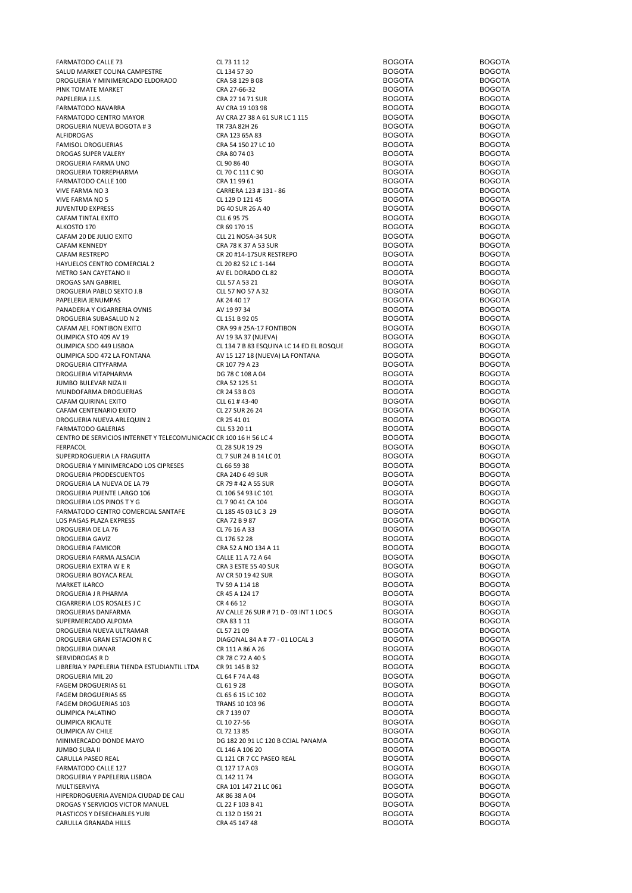| <b>FARMATODO CALLE 73</b>                                          | CL 73 11 12                              | <b>BOGOTA</b>                  | <b>BOGOTA</b>                  |
|--------------------------------------------------------------------|------------------------------------------|--------------------------------|--------------------------------|
| SALUD MARKET COLINA CAMPESTRE                                      | CL 134 57 30                             | <b>BOGOTA</b>                  | <b>BOGOTA</b>                  |
| DROGUERIA Y MINIMERCADO ELDORADO                                   | CRA 58 129 B 08                          | <b>BOGOTA</b>                  | <b>BOGOTA</b>                  |
|                                                                    |                                          |                                |                                |
| PINK TOMATE MARKET                                                 | CRA 27-66-32                             | <b>BOGOTA</b>                  | <b>BOGOTA</b>                  |
| PAPELERIA J.J.S.                                                   | CRA 27 14 71 SUR                         | <b>BOGOTA</b>                  | <b>BOGOTA</b>                  |
| FARMATODO NAVARRA                                                  | AV CRA 19 103 98                         | <b>BOGOTA</b>                  | <b>BOGOTA</b>                  |
| FARMATODO CENTRO MAYOR                                             | AV CRA 27 38 A 61 SUR LC 1 115           | <b>BOGOTA</b>                  | <b>BOGOTA</b>                  |
|                                                                    |                                          |                                |                                |
| DROGUERIA NUEVA BOGOTA #3                                          | TR 73A 82H 26                            | <b>BOGOTA</b>                  | <b>BOGOTA</b>                  |
| ALFIDROGAS                                                         | CRA 123 65A 83                           | <b>BOGOTA</b>                  | <b>BOGOTA</b>                  |
| <b>FAMISOL DROGUERIAS</b>                                          | CRA 54 150 27 LC 10                      | <b>BOGOTA</b>                  | <b>BOGOTA</b>                  |
| DROGAS SUPER VALERY                                                | CRA 80 74 03                             | <b>BOGOTA</b>                  | <b>BOGOTA</b>                  |
|                                                                    |                                          |                                |                                |
| DROGUERIA FARMA UNO                                                | CL 90 86 40                              | <b>BOGOTA</b>                  | <b>BOGOTA</b>                  |
| DROGUERIA TORREPHARMA                                              | CL 70 C 111 C 90                         | <b>BOGOTA</b>                  | <b>BOGOTA</b>                  |
| <b>FARMATODO CALLE 100</b>                                         | CRA 11 99 61                             | <b>BOGOTA</b>                  | <b>BOGOTA</b>                  |
| VIVE FARMA NO 3                                                    | CARRERA 123 # 131 - 86                   | <b>BOGOTA</b>                  | <b>BOGOTA</b>                  |
|                                                                    |                                          |                                |                                |
| VIVE FARMA NO 5                                                    | CL 129 D 121 45                          | <b>BOGOTA</b>                  | <b>BOGOTA</b>                  |
| <b>JUVENTUD EXPRESS</b>                                            | DG 40 SUR 26 A 40                        | <b>BOGOTA</b>                  | <b>BOGOTA</b>                  |
| CAFAM TINTAL EXITO                                                 | CLL 6 95 75                              | <b>BOGOTA</b>                  | <b>BOGOTA</b>                  |
| ALKOSTO 170                                                        | CR 69 170 15                             | <b>BOGOTA</b>                  | <b>BOGOTA</b>                  |
|                                                                    |                                          |                                |                                |
| CAFAM 20 DE JULIO EXITO                                            | <b>CLL 21 NO5A-34 SUR</b>                | <b>BOGOTA</b>                  | <b>BOGOTA</b>                  |
| CAFAM KENNEDY                                                      | CRA 78 K 37 A 53 SUR                     | <b>BOGOTA</b>                  | <b>BOGOTA</b>                  |
| CAFAM RESTREPO                                                     | CR 20 #14-17SUR RESTREPO                 | <b>BOGOTA</b>                  | <b>BOGOTA</b>                  |
|                                                                    |                                          | <b>BOGOTA</b>                  | <b>BOGOTA</b>                  |
| HAYUELOS CENTRO COMERCIAL 2                                        | CL 20 82 52 LC 1-144                     |                                |                                |
| METRO SAN CAYETANO II                                              | AV EL DORADO CL 82                       | <b>BOGOTA</b>                  | <b>BOGOTA</b>                  |
| DROGAS SAN GABRIEL                                                 | CLL 57 A 53 21                           | <b>BOGOTA</b>                  | <b>BOGOTA</b>                  |
| DROGUERIA PABLO SEXTO J.B                                          | CLL 57 NO 57 A 32                        | <b>BOGOTA</b>                  | <b>BOGOTA</b>                  |
|                                                                    |                                          |                                | <b>BOGOTA</b>                  |
| PAPELERIA JENUMPAS                                                 | AK 24 40 17                              | <b>BOGOTA</b>                  |                                |
| PANADERIA Y CIGARRERIA OVNIS                                       | AV 19 97 34                              | <b>BOGOTA</b>                  | <b>BOGOTA</b>                  |
| DROGUERIA SUBASALUD N 2                                            | CL 151 B 92 05                           | <b>BOGOTA</b>                  | <b>BOGOTA</b>                  |
| CAFAM AEL FONTIBON EXITO                                           | CRA 99 # 25A-17 FONTIBON                 | <b>BOGOTA</b>                  | <b>BOGOTA</b>                  |
|                                                                    |                                          |                                |                                |
| OLIMPICA STO 409 AV 19                                             | AV 19 3A 37 (NUEVA)                      | <b>BOGOTA</b>                  | <b>BOGOTA</b>                  |
| OLIMPICA SDO 449 LISBOA                                            | CL 134 7 B 83 ESQUINA LC 14 ED EL BOSQUE | <b>BOGOTA</b>                  | <b>BOGOTA</b>                  |
| OLIMPICA SDO 472 LA FONTANA                                        | AV 15 127 18 (NUEVA) LA FONTANA          | <b>BOGOTA</b>                  | <b>BOGOTA</b>                  |
| DROGUERIA CITYFARMA                                                | CR 107 79 A 23                           | <b>BOGOTA</b>                  | <b>BOGOTA</b>                  |
|                                                                    |                                          |                                |                                |
| DROGUERIA VITAPHARMA                                               | DG 78 C 108 A 04                         | <b>BOGOTA</b>                  | <b>BOGOTA</b>                  |
| JUMBO BULEVAR NIZA II                                              | CRA 52 125 51                            | <b>BOGOTA</b>                  | <b>BOGOTA</b>                  |
| MUNDOFARMA DROGUERIAS                                              | CR 24 53 B 03                            | <b>BOGOTA</b>                  | <b>BOGOTA</b>                  |
|                                                                    |                                          | <b>BOGOTA</b>                  | <b>BOGOTA</b>                  |
| CAFAM QUIRINAL EXITO                                               | CLL 61 #43-40                            |                                |                                |
| CAFAM CENTENARIO EXITO                                             | CL 27 SUR 26 24                          | <b>BOGOTA</b>                  | <b>BOGOTA</b>                  |
| DROGUERIA NUEVA ARLEQUIN 2                                         | CR 25 41 01                              | <b>BOGOTA</b>                  | <b>BOGOTA</b>                  |
| <b>FARMATODO GALERIAS</b>                                          | CLL 53 20 11                             | <b>BOGOTA</b>                  | <b>BOGOTA</b>                  |
|                                                                    |                                          | <b>BOGOTA</b>                  | <b>BOGOTA</b>                  |
| CENTRO DE SERVICIOS INTERNET Y TELECOMUNICACIC CR 100 16 H 56 LC 4 |                                          |                                |                                |
| FERPACOL                                                           | CL 28 SUR 19 29                          | <b>BOGOTA</b>                  | <b>BOGOTA</b>                  |
| SUPERDROGUERIA LA FRAGUITA                                         | CL 7 SUR 24 B 14 LC 01                   | <b>BOGOTA</b>                  | <b>BOGOTA</b>                  |
| DROGUERIA Y MINIMERCADO LOS CIPRESES                               | CL 66 59 38                              | <b>BOGOTA</b>                  | <b>BOGOTA</b>                  |
|                                                                    |                                          |                                |                                |
|                                                                    |                                          |                                |                                |
| DROGUERIA PRODESCUENTOS                                            | CRA 24D 6 49 SUR                         | <b>BOGOTA</b>                  | <b>BOGOTA</b>                  |
| DROGUERIA LA NUEVA DE LA 79                                        | CR 79 #42 A 55 SUR                       | <b>BOGOTA</b>                  | <b>BOGOTA</b>                  |
| DROGUERIA PUENTE LARGO 106                                         | CL 106 54 93 LC 101                      | <b>BOGOTA</b>                  | <b>BOGOTA</b>                  |
|                                                                    |                                          |                                |                                |
| DROGUERIA LOS PINOS T Y G                                          | CL 7 90 41 CA 104                        | <b>BOGOTA</b>                  | <b>BOGOTA</b>                  |
| FARMATODO CENTRO COMERCIAL SANTAFE                                 | CL 185 45 03 LC 3 29                     | <b>BOGOTA</b>                  | <b>BOGOTA</b>                  |
| LOS PAISAS PLAZA EXPRESS                                           | CRA 72 B 9 87                            | <b>BOGOTA</b>                  | <b>BOGOTA</b>                  |
| DROGUERIA DE LA 76                                                 | CL 76 16 A 33                            | <b>BOGOTA</b>                  | <b>BOGOTA</b>                  |
|                                                                    |                                          |                                |                                |
| DROGUERIA GAVIZ                                                    | CL 176 52 28                             | <b>BOGOTA</b>                  | <b>BOGOTA</b>                  |
| <b>DROGUERIA FAMICOR</b>                                           | CRA 52 A NO 134 A 11                     | <b>BOGOTA</b>                  | <b>BOGOTA</b>                  |
| DROGUERIA FARMA ALSACIA                                            | CALLE 11 A 72 A 64                       | <b>BOGOTA</b>                  | <b>BOGOTA</b>                  |
|                                                                    |                                          |                                |                                |
| DROGUERIA EXTRA W E R                                              | CRA 3 ESTE 55 40 SUR                     | <b>BOGOTA</b>                  | <b>BOGOTA</b>                  |
| DROGUERIA BOYACA REAL                                              | AV CR 50 19 42 SUR                       | <b>BOGOTA</b>                  | <b>BOGOTA</b>                  |
| <b>MARKET ILARCO</b>                                               | TV 59 A 114 18                           | <b>BOGOTA</b>                  | <b>BOGOTA</b>                  |
| DROGUERIA J R PHARMA                                               | CR 45 A 124 17                           | <b>BOGOTA</b>                  | <b>BOGOTA</b>                  |
| CIGARRERIA LOS ROSALES J C                                         | CR 4 66 12                               | <b>BOGOTA</b>                  | <b>BOGOTA</b>                  |
|                                                                    |                                          |                                |                                |
| DROGUERIAS DANFARMA                                                | AV CALLE 26 SUR # 71 D - 03 INT 1 LOC 5  | <b>BOGOTA</b>                  | <b>BOGOTA</b>                  |
| SUPERMERCADO ALPOMA                                                | CRA 83 1 11                              | <b>BOGOTA</b>                  | <b>BOGOTA</b>                  |
| DROGUERIA NUEVA ULTRAMAR                                           | CL 57 21 09                              | <b>BOGOTA</b>                  | <b>BOGOTA</b>                  |
| DROGUERIA GRAN ESTACION R C                                        | DIAGONAL 84 A # 77 - 01 LOCAL 3          | <b>BOGOTA</b>                  | <b>BOGOTA</b>                  |
| <b>DROGUERIA DIANAR</b>                                            | CR 111 A 86 A 26                         | <b>BOGOTA</b>                  | <b>BOGOTA</b>                  |
|                                                                    |                                          |                                |                                |
| SERVIDROGAS R D                                                    | CR 78 C 72 A 40 S                        | <b>BOGOTA</b>                  | <b>BOGOTA</b>                  |
| LIBRERIA Y PAPELERIA TIENDA ESTUDIANTIL LTDA                       | CR 91 145 B 32                           | <b>BOGOTA</b>                  | <b>BOGOTA</b>                  |
| DROGUERIA MIL 20                                                   | CL 64 F 74 A 48                          | <b>BOGOTA</b>                  | <b>BOGOTA</b>                  |
| <b>FAGEM DROGUERIAS 61</b>                                         | CL 61928                                 | <b>BOGOTA</b>                  | <b>BOGOTA</b>                  |
|                                                                    |                                          |                                |                                |
| <b>FAGEM DROGUERIAS 65</b>                                         | CL 65 6 15 LC 102                        | <b>BOGOTA</b>                  | <b>BOGOTA</b>                  |
| FAGEM DROGUERIAS 103                                               | TRANS 10 103 96                          | <b>BOGOTA</b>                  | <b>BOGOTA</b>                  |
| OLIMPICA PALATINO                                                  | CR 7 139 07                              | <b>BOGOTA</b>                  | <b>BOGOTA</b>                  |
| OLIMPICA RICAUTE                                                   | CL 10 27-56                              | <b>BOGOTA</b>                  | <b>BOGOTA</b>                  |
|                                                                    |                                          |                                |                                |
| OLIMPICA AV CHILE                                                  | CL 72 13 85                              | <b>BOGOTA</b>                  | <b>BOGOTA</b>                  |
| MINIMERCADO DONDE MAYO                                             | DG 182 20 91 LC 120 B CCIAL PANAMA       | <b>BOGOTA</b>                  | <b>BOGOTA</b>                  |
| <b>JUMBO SUBA II</b>                                               | CL 146 A 106 20                          | <b>BOGOTA</b>                  | <b>BOGOTA</b>                  |
| CARULLA PASEO REAL                                                 | CL 121 CR 7 CC PASEO REAL                | <b>BOGOTA</b>                  | <b>BOGOTA</b>                  |
|                                                                    |                                          |                                |                                |
| FARMATODO CALLE 127                                                | CL 127 17 A 03                           | <b>BOGOTA</b>                  | <b>BOGOTA</b>                  |
| DROGUERIA Y PAPELERIA LISBOA                                       | CL 142 11 74                             | <b>BOGOTA</b>                  | <b>BOGOTA</b>                  |
| MULTISERVIYA                                                       | CRA 101 147 21 LC 061                    | <b>BOGOTA</b>                  | <b>BOGOTA</b>                  |
| HIPERDROGUERIA AVENIDA CIUDAD DE CALI                              | AK 86 38 A 04                            | <b>BOGOTA</b>                  | <b>BOGOTA</b>                  |
|                                                                    |                                          |                                |                                |
| DROGAS Y SERVICIOS VICTOR MANUEL                                   | CL 22 F 103 B 41                         | <b>BOGOTA</b>                  | <b>BOGOTA</b>                  |
| PLASTICOS Y DESECHABLES YURI<br>CARULLA GRANADA HILLS              | CL 132 D 159 21<br>CRA 45 147 48         | <b>BOGOTA</b><br><b>BOGOTA</b> | <b>BOGOTA</b><br><b>BOGOTA</b> |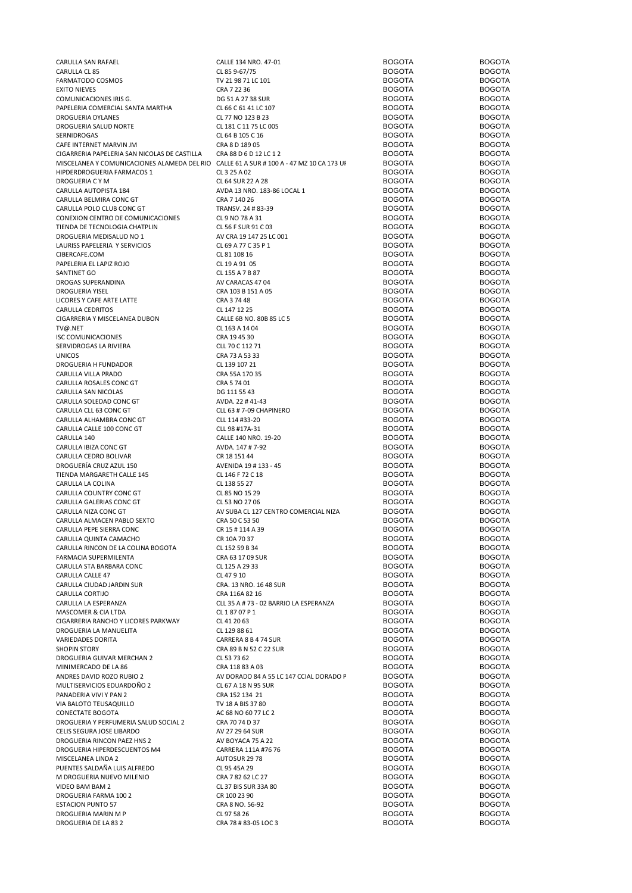| CARULLA SAN RAFAEL                                                                      | CALLE 134 NRO. 47-01                    | <b>BOGOTA</b> | <b>BOGOTA</b> |
|-----------------------------------------------------------------------------------------|-----------------------------------------|---------------|---------------|
| CARULLA CL 85                                                                           | CL 85 9-67/75                           | <b>BOGOTA</b> | <b>BOGOTA</b> |
|                                                                                         |                                         |               |               |
| FARMATODO COSMOS                                                                        | TV 21 98 71 LC 101                      | <b>BOGOTA</b> | <b>BOGOTA</b> |
| <b>EXITO NIEVES</b>                                                                     | CRA 7 22 36                             | <b>BOGOTA</b> | <b>BOGOTA</b> |
| COMUNICACIONES IRIS G.                                                                  | DG 51 A 27 38 SUR                       | <b>BOGOTA</b> | <b>BOGOTA</b> |
| PAPELERIA COMERCIAL SANTA MARTHA                                                        | CL 66 C 61 41 LC 107                    | <b>BOGOTA</b> | <b>BOGOTA</b> |
|                                                                                         |                                         |               |               |
| <b>DROGUERIA DYLANES</b>                                                                | CL 77 NO 123 B 23                       | <b>BOGOTA</b> | <b>BOGOTA</b> |
| DROGUERIA SALUD NORTE                                                                   | CL 181 C 11 75 LC 005                   | <b>BOGOTA</b> | <b>BOGOTA</b> |
| SERNIDROGAS                                                                             | CL 64 B 105 C 16                        | <b>BOGOTA</b> | <b>BOGOTA</b> |
|                                                                                         |                                         | <b>BOGOTA</b> | <b>BOGOTA</b> |
| CAFE INTERNET MARVIN JM                                                                 | CRA 8 D 189 05                          |               |               |
| CIGARRERIA PAPELERIA SAN NICOLAS DE CASTILLA                                            | CRA 88 D 6 D 12 LC 1 2                  | <b>BOGOTA</b> | <b>BOGOTA</b> |
| MISCELANEA Y COMUNICACIONES ALAMEDA DEL RIO CALLE 61 A SUR # 100 A - 47 MZ 10 CA 173 UF |                                         | <b>BOGOTA</b> | <b>BOGOTA</b> |
| HIPDERDROGUERIA FARMACOS 1                                                              | CL 3 25 A 02                            | <b>BOGOTA</b> | <b>BOGOTA</b> |
|                                                                                         |                                         |               |               |
| DROGUERIA C Y M                                                                         | CL 64 SUR 22 A 28                       | <b>BOGOTA</b> | <b>BOGOTA</b> |
| CARULLA AUTOPISTA 184                                                                   | AVDA 13 NRO. 183-86 LOCAL 1             | <b>BOGOTA</b> | <b>BOGOTA</b> |
| CARULLA BELMIRA CONC GT                                                                 | CRA 7 140 26                            | <b>BOGOTA</b> | <b>BOGOTA</b> |
|                                                                                         |                                         |               |               |
| CARULLA POLO CLUB CONC GT                                                               | TRANSV. 24 # 83-39                      | <b>BOGOTA</b> | <b>BOGOTA</b> |
| CONEXION CENTRO DE COMUNICACIONES                                                       | CL 9 NO 78 A 31                         | <b>BOGOTA</b> | <b>BOGOTA</b> |
| TIENDA DE TECNOLOGIA CHATPLIN                                                           | CL 56 F SUR 91 C 03                     | <b>BOGOTA</b> | <b>BOGOTA</b> |
| DROGUERIA MEDISALUD NO 1                                                                | AV CRA 19 147 25 LC 001                 | <b>BOGOTA</b> | <b>BOGOTA</b> |
|                                                                                         |                                         |               |               |
| LAURISS PAPELERIA Y SERVICIOS                                                           | CL 69 A 77 C 35 P 1                     | <b>BOGOTA</b> | <b>BOGOTA</b> |
| CIBERCAFE.COM                                                                           | CL 81 108 16                            | <b>BOGOTA</b> | <b>BOGOTA</b> |
| PAPELERIA EL LAPIZ ROJO                                                                 | CL 19 A 91 05                           | <b>BOGOTA</b> | <b>BOGOTA</b> |
|                                                                                         |                                         |               |               |
| SANTINET GO                                                                             | CL 155 A 7 B 87                         | <b>BOGOTA</b> | <b>BOGOTA</b> |
| DROGAS SUPERANDINA                                                                      | AV CARACAS 4704                         | <b>BOGOTA</b> | <b>BOGOTA</b> |
| <b>DROGUERIA YISEL</b>                                                                  | CRA 103 B 151 A 05                      | <b>BOGOTA</b> | <b>BOGOTA</b> |
|                                                                                         |                                         |               |               |
| LICORES Y CAFE ARTE LATTE                                                               | CRA 37448                               | <b>BOGOTA</b> | <b>BOGOTA</b> |
| <b>CARULLA CEDRITOS</b>                                                                 | CL 147 12 25                            | <b>BOGOTA</b> | <b>BOGOTA</b> |
| CIGARRERIA Y MISCELANEA DUBON                                                           | CALLE 6B NO. 80B 85 LC 5                | <b>BOGOTA</b> | <b>BOGOTA</b> |
|                                                                                         |                                         |               | <b>BOGOTA</b> |
| TV@.NET                                                                                 | CL 163 A 14 04                          | <b>BOGOTA</b> |               |
| <b>ISC COMUNICACIONES</b>                                                               | CRA 19 45 30                            | <b>BOGOTA</b> | <b>BOGOTA</b> |
| SERVIDROGAS LA RIVIERA                                                                  | CLL 70 C 112 71                         | <b>BOGOTA</b> | <b>BOGOTA</b> |
| <b>UNICOS</b>                                                                           | CRA 73 A 53 33                          | <b>BOGOTA</b> | <b>BOGOTA</b> |
|                                                                                         |                                         |               |               |
| DROGUERIA H FUNDADOR                                                                    | CL 139 107 21                           | <b>BOGOTA</b> | <b>BOGOTA</b> |
| CARULLA VILLA PRADO                                                                     | CRA 55A 170 35                          | <b>BOGOTA</b> | <b>BOGOTA</b> |
| CARULLA ROSALES CONC GT                                                                 | CRA 5 74 01                             | <b>BOGOTA</b> | <b>BOGOTA</b> |
|                                                                                         |                                         |               |               |
| CARULLA SAN NICOLAS                                                                     | DG 111 55 43                            | <b>BOGOTA</b> | <b>BOGOTA</b> |
| CARULLA SOLEDAD CONC GT                                                                 | AVDA. 22 # 41-43                        | <b>BOGOTA</b> | <b>BOGOTA</b> |
| CARULLA CLL 63 CONC GT                                                                  | CLL 63 # 7-09 CHAPINERO                 | <b>BOGOTA</b> | <b>BOGOTA</b> |
|                                                                                         |                                         |               |               |
| CARULLA ALHAMBRA CONC GT                                                                | CLL 114 #33-20                          | <b>BOGOTA</b> | <b>BOGOTA</b> |
| CARULLA CALLE 100 CONC GT                                                               | CLL 98 #17A-31                          | <b>BOGOTA</b> | <b>BOGOTA</b> |
| CARULLA 140                                                                             | CALLE 140 NRO. 19-20                    | <b>BOGOTA</b> | <b>BOGOTA</b> |
| CARULLA IBIZA CONC GT                                                                   | AVDA. 147 # 7-92                        | <b>BOGOTA</b> | <b>BOGOTA</b> |
|                                                                                         |                                         |               |               |
| CARULLA CEDRO BOLIVAR                                                                   | CR 18 151 44                            | <b>BOGOTA</b> | <b>BOGOTA</b> |
| DROGUERÍA CRUZ AZUL 150                                                                 | AVENIDA 19 # 133 - 45                   | <b>BOGOTA</b> | <b>BOGOTA</b> |
| TIENDA MARGARETH CALLE 145                                                              | CL 146 F 72 C 18                        | <b>BOGOTA</b> | <b>BOGOTA</b> |
|                                                                                         |                                         |               |               |
| CARULLA LA COLINA                                                                       | CL 138 55 27                            | <b>BOGOTA</b> | <b>BOGOTA</b> |
| CARULLA COUNTRY CONC GT                                                                 | CL 85 NO 15 29                          | <b>BOGOTA</b> | <b>BOGOTA</b> |
| CARULLA GALERIAS CONC GT                                                                | CL 53 NO 27 06                          | <b>BOGOTA</b> | <b>BOGOTA</b> |
| CARULLA NIZA CONC GT                                                                    | AV SUBA CL 127 CENTRO COMERCIAL NIZA    | <b>BOGOTA</b> | <b>BOGOTA</b> |
|                                                                                         |                                         |               |               |
| CARULLA ALMACEN PABLO SEXTO                                                             | CRA 50 C 53 50                          | <b>BOGOTA</b> | <b>BOGOTA</b> |
| CARULLA PEPE SIERRA CONC                                                                | CR 15 # 114 A 39                        | <b>BOGOTA</b> | <b>BOGOTA</b> |
| CARULLA QUINTA CAMACHO                                                                  | CR 10A 70 37                            | <b>BOGOTA</b> | <b>BOGOTA</b> |
|                                                                                         |                                         |               |               |
| CARULLA RINCON DE LA COLINA BOGOTA                                                      | CL 152 59 B 34                          | <b>BOGOTA</b> | <b>BOGOTA</b> |
| FARMACIA SUPERMILENTA                                                                   | CRA 63 17 09 SUR                        | <b>BOGOTA</b> | <b>BOGOTA</b> |
| CARULLA STA BARBARA CONC                                                                | CL 125 A 29 33                          | <b>BOGOTA</b> | <b>BOGOTA</b> |
|                                                                                         |                                         |               |               |
| CARULLA CALLE 47                                                                        | CL 47 9 10                              | <b>BOGOTA</b> | <b>BOGOTA</b> |
| CARULLA CIUDAD JARDIN SUR                                                               | CRA. 13 NRO. 16 48 SUR                  | <b>BOGOTA</b> | <b>BOGOTA</b> |
| CARULLA CORTIJO                                                                         | CRA 116A 82 16                          | <b>BOGOTA</b> | <b>BOGOTA</b> |
| CARULLA LA ESPERANZA                                                                    | CLL 35 A # 73 - 02 BARRIO LA ESPERANZA  | <b>BOGOTA</b> | <b>BOGOTA</b> |
|                                                                                         |                                         |               |               |
| MASCOMER & CIA LTDA                                                                     | CL 18707P1                              | <b>BOGOTA</b> | <b>BOGOTA</b> |
| CIGARRERIA RANCHO Y LICORES PARKWAY                                                     | CL 41 20 63                             | <b>BOGOTA</b> | <b>BOGOTA</b> |
| DROGUERIA LA MANUELITA                                                                  | CL 129 88 61                            | <b>BOGOTA</b> | <b>BOGOTA</b> |
| VARIEDADES DORITA                                                                       | CARRERA 8 B 4 74 SUR                    | <b>BOGOTA</b> | <b>BOGOTA</b> |
|                                                                                         |                                         |               |               |
| <b>SHOPIN STORY</b>                                                                     | CRA 89 B N 52 C 22 SUR                  | <b>BOGOTA</b> | <b>BOGOTA</b> |
| DROGUERIA GUIVAR MERCHAN 2                                                              | CL 53 73 62                             | <b>BOGOTA</b> | <b>BOGOTA</b> |
| MINIMERCADO DE LA 86                                                                    | CRA 118 83 A 03                         | <b>BOGOTA</b> | <b>BOGOTA</b> |
|                                                                                         |                                         |               |               |
| ANDRES DAVID ROZO RUBIO 2                                                               | AV DORADO 84 A 55 LC 147 CCIAL DORADO F | <b>BOGOTA</b> | <b>BOGOTA</b> |
| MULTISERVICIOS EDUARDOÑO 2                                                              | CL 67 A 18 N 95 SUR                     | <b>BOGOTA</b> | <b>BOGOTA</b> |
| PANADERIA VIVI Y PAN 2                                                                  | CRA 152 134 21                          | <b>BOGOTA</b> | <b>BOGOTA</b> |
|                                                                                         |                                         |               |               |
| VIA BALOTO TEUSAQUILLO                                                                  | TV 18 A BIS 37 80                       | <b>BOGOTA</b> | <b>BOGOTA</b> |
| CONECTATE BOGOTA                                                                        | AC 68 NO 60 77 LC 2                     | <b>BOGOTA</b> | <b>BOGOTA</b> |
| DROGUERIA Y PERFUMERIA SALUD SOCIAL 2                                                   | CRA 70 74 D 37                          | <b>BOGOTA</b> | <b>BOGOTA</b> |
|                                                                                         |                                         |               | <b>BOGOTA</b> |
| CELIS SEGURA JOSE LIBARDO                                                               | AV 27 29 64 SUR                         | <b>BOGOTA</b> |               |
| DROGUERIA RINCON PAEZ HNS 2                                                             | AV BOYACA 75 A 22                       | <b>BOGOTA</b> | <b>BOGOTA</b> |
| DROGUERIA HIPERDESCUENTOS M4                                                            | CARRERA 111A #76 76                     | <b>BOGOTA</b> | <b>BOGOTA</b> |
| MISCELANEA LINDA 2                                                                      |                                         | <b>BOGOTA</b> | <b>BOGOTA</b> |
|                                                                                         | AUTOSUR 29 78                           |               |               |
| PUENTES SALDAÑA LUIS ALFREDO                                                            | CL 95 45A 29                            | <b>BOGOTA</b> | <b>BOGOTA</b> |
| M DROGUERIA NUEVO MILENIO                                                               | CRA 7 82 62 LC 27                       | <b>BOGOTA</b> | <b>BOGOTA</b> |
| VIDEO BAM BAM 2                                                                         | CL 37 BIS SUR 33A 80                    | <b>BOGOTA</b> | <b>BOGOTA</b> |
|                                                                                         |                                         |               |               |
| DROGUERIA FARMA 100 2                                                                   | CR 100 23 90                            | <b>BOGOTA</b> | <b>BOGOTA</b> |
| <b>ESTACION PUNTO 57</b>                                                                | CRA 8 NO. 56-92                         | <b>BOGOTA</b> | <b>BOGOTA</b> |
| DROGUERIA MARIN M P                                                                     | CL 97 58 26                             | <b>BOGOTA</b> | <b>BOGOTA</b> |
|                                                                                         |                                         |               |               |
| DROGUERIA DE LA 832                                                                     | CRA 78 # 83-05 LOC 3                    | <b>BOGOTA</b> | <b>BOGOTA</b> |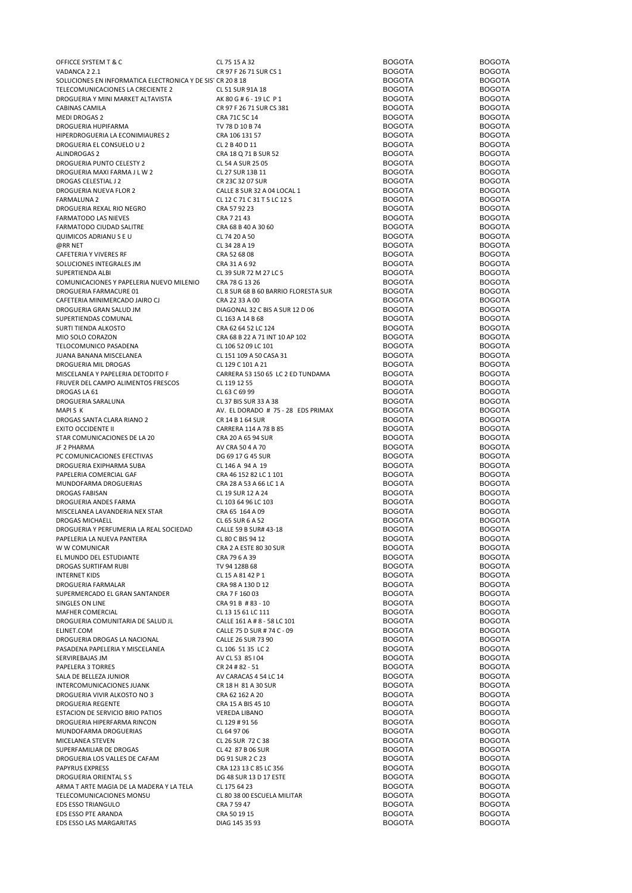| OFFICCE SYSTEM T & C                                       | CL 75 15 A 32                        | <b>BOGOTA</b> | <b>BOGOTA</b> |
|------------------------------------------------------------|--------------------------------------|---------------|---------------|
| VADANCA 22.1                                               | CR 97 F 26 71 SUR CS 1               | <b>BOGOTA</b> | <b>BOGOTA</b> |
| SOLUCIONES EN INFORMATICA ELECTRONICA Y DE SISTICR 20 8 18 |                                      | <b>BOGOTA</b> | <b>BOGOTA</b> |
| TELECOMUNICACIONES LA CRECIENTE 2                          | CL 51 SUR 91A 18                     | <b>BOGOTA</b> | <b>BOGOTA</b> |
| DROGUERIA Y MINI MARKET ALTAVISTA                          | AK 80 G # 6 - 19 LC P 1              | <b>BOGOTA</b> | <b>BOGOTA</b> |
| CABINAS CAMILA                                             | CR 97 F 26 71 SUR CS 381             | <b>BOGOTA</b> | <b>BOGOTA</b> |
| <b>MEDI DROGAS 2</b>                                       | CRA 71C 5C 14                        | <b>BOGOTA</b> | <b>BOGOTA</b> |
|                                                            |                                      |               |               |
| DROGUERIA HUPIFARMA                                        | TV 78 D 10 B 74                      | <b>BOGOTA</b> | <b>BOGOTA</b> |
| HIPERDROGUERIA LA ECONIMIAURES 2                           | CRA 106 131 57                       | <b>BOGOTA</b> | <b>BOGOTA</b> |
| DROGUERIA EL CONSUELO U 2                                  | CL 2 B 40 D 11                       | <b>BOGOTA</b> | <b>BOGOTA</b> |
| ALINDROGAS 2                                               | CRA 18 Q 71 B SUR 52                 | <b>BOGOTA</b> | <b>BOGOTA</b> |
| DROGUERIA PUNTO CELESTY 2                                  | CL 54 A SUR 25 05                    | <b>BOGOTA</b> | <b>BOGOTA</b> |
| DROGUERIA MAXI FARMA J L W 2                               | CL 27 SUR 13B 11                     | <b>BOGOTA</b> | <b>BOGOTA</b> |
| DROGAS CELESTIAL J 2                                       | CR 23C 32 07 SUR                     | <b>BOGOTA</b> | <b>BOGOTA</b> |
|                                                            |                                      | <b>BOGOTA</b> |               |
| DROGUERIA NUEVA FLOR 2                                     | CALLE 8 SUR 32 A 04 LOCAL 1          |               | <b>BOGOTA</b> |
| <b>FARMALUNA 2</b>                                         | CL 12 C 71 C 31 T 5 LC 12 S          | <b>BOGOTA</b> | <b>BOGOTA</b> |
| DROGUERIA REXAL RIO NEGRO                                  | CRA 57 92 23                         | <b>BOGOTA</b> | <b>BOGOTA</b> |
| <b>FARMATODO LAS NIEVES</b>                                | CRA 7 21 43                          | <b>BOGOTA</b> | <b>BOGOTA</b> |
| FARMATODO CIUDAD SALITRE                                   | CRA 68 B 40 A 30 60                  | <b>BOGOTA</b> | <b>BOGOTA</b> |
| QUIMICOS ADRIANUSEU                                        | CL 74 20 A 50                        | <b>BOGOTA</b> | <b>BOGOTA</b> |
| @RR NET                                                    | CL 34 28 A 19                        | <b>BOGOTA</b> | <b>BOGOTA</b> |
|                                                            |                                      |               |               |
| CAFETERIA Y VIVERES RF                                     | CRA 52 68 08                         | <b>BOGOTA</b> | <b>BOGOTA</b> |
| SOLUCIONES INTEGRALES JM                                   | CRA 31 A 6 92                        | <b>BOGOTA</b> | <b>BOGOTA</b> |
| SUPERTIENDA ALBI                                           | CL 39 SUR 72 M 27 LC 5               | <b>BOGOTA</b> | <b>BOGOTA</b> |
| COMUNICACIONES Y PAPELERIA NUEVO MILENIO                   | CRA 78 G 13 26                       | <b>BOGOTA</b> | <b>BOGOTA</b> |
| DROGUERIA FARMACURE 01                                     | CL 8 SUR 68 B 60 BARRIO FLORESTA SUR | <b>BOGOTA</b> | <b>BOGOTA</b> |
| CAFETERIA MINIMERCADO JAIRO CJ                             | CRA 22 33 A 00                       | <b>BOGOTA</b> | <b>BOGOTA</b> |
| DROGUERIA GRAN SALUD JM                                    | DIAGONAL 32 C BIS A SUR 12 D 06      | <b>BOGOTA</b> | <b>BOGOTA</b> |
|                                                            |                                      |               |               |
| SUPERTIENDAS COMUNAL                                       | CL 163 A 14 B 68                     | <b>BOGOTA</b> | <b>BOGOTA</b> |
| SURTI TIENDA ALKOSTO                                       | CRA 62 64 52 LC 124                  | <b>BOGOTA</b> | <b>BOGOTA</b> |
| MIO SOLO CORAZON                                           | CRA 68 B 22 A 71 INT 10 AP 102       | <b>BOGOTA</b> | <b>BOGOTA</b> |
| TELOCOMUNICO PASADENA                                      | CL 106 52 09 LC 101                  | <b>BOGOTA</b> | <b>BOGOTA</b> |
| JUANA BANANA MISCELANEA                                    | CL 151 109 A 50 CASA 31              | <b>BOGOTA</b> | <b>BOGOTA</b> |
| DROGUERIA MIL DROGAS                                       | CL 129 C 101 A 21                    | <b>BOGOTA</b> | <b>BOGOTA</b> |
|                                                            |                                      |               |               |
| MISCELANEA Y PAPELERIA DETODITO F                          | CARRERA 53 150 65 LC 2 ED TUNDAMA    | <b>BOGOTA</b> | <b>BOGOTA</b> |
| FRUVER DEL CAMPO ALIMENTOS FRESCOS                         | CL 119 12 55                         | <b>BOGOTA</b> | <b>BOGOTA</b> |
| DROGAS LA 61                                               | CL 63 C 69 99                        | <b>BOGOTA</b> | <b>BOGOTA</b> |
| DROGUERIA SARALUNA                                         | CL 37 BIS SUR 33 A 38                | <b>BOGOTA</b> | <b>BOGOTA</b> |
| MAPISK                                                     | AV. EL DORADO # 75 - 28 EDS PRIMAX   | <b>BOGOTA</b> | <b>BOGOTA</b> |
| DROGAS SANTA CLARA RIANO 2                                 | CR 14 B 1 64 SUR                     | <b>BOGOTA</b> | <b>BOGOTA</b> |
| <b>EXITO OCCIDENTE II</b>                                  | CARRERA 114 A 78 B 85                | <b>BOGOTA</b> | <b>BOGOTA</b> |
|                                                            |                                      |               |               |
| STAR COMUNICACIONES DE LA 20                               | CRA 20 A 65 94 SUR                   | <b>BOGOTA</b> | <b>BOGOTA</b> |
| JF 2 PHARMA                                                | AV CRA 50 4 A 70                     | <b>BOGOTA</b> | <b>BOGOTA</b> |
| PC COMUNICACIONES EFECTIVAS                                | DG 69 17 G 45 SUR                    | <b>BOGOTA</b> | <b>BOGOTA</b> |
| DROGUERIA EXIPHARMA SUBA                                   | CL 146 A 94 A 19                     | <b>BOGOTA</b> | <b>BOGOTA</b> |
| PAPELERIA COMERCIAL GAF                                    | CRA 46 152 82 LC 1 101               | <b>BOGOTA</b> | <b>BOGOTA</b> |
| MUNDOFARMA DROGUERIAS                                      | CRA 28 A 53 A 66 LC 1 A              | <b>BOGOTA</b> | <b>BOGOTA</b> |
| <b>DROGAS FABISAN</b>                                      | CL 19 SUR 12 A 24                    | <b>BOGOTA</b> | <b>BOGOTA</b> |
|                                                            |                                      |               |               |
| DROGUERIA ANDES FARMA                                      | CL 103 64 96 LC 103                  | <b>BOGOTA</b> | <b>BOGOTA</b> |
| MISCELANEA LAVANDERIA NEX STAR                             | CRA 65 164 A 09                      | <b>BOGOTA</b> | <b>BOGOTA</b> |
| DROGAS MICHAELL                                            | CL 65 SUR 6 A 52                     | <b>BOGOTA</b> | <b>BOGOTA</b> |
| DROGUERIA Y PERFUMERIA LA REAL SOCIEDAD                    | CALLE 59 B SUR# 43-18                | <b>BOGOTA</b> | <b>BOGOTA</b> |
| PAPELERIA LA NUEVA PANTERA                                 | CL 80 C BIS 94 12                    | <b>BOGOTA</b> | <b>BOGOTA</b> |
| W W COMUNICAR                                              | CRA 2 A ESTE 80 30 SUR               | <b>BOGOTA</b> | <b>BOGOTA</b> |
| EL MUNDO DEL ESTUDIANTE                                    |                                      | <b>BOGOTA</b> | <b>BOGOTA</b> |
|                                                            | CRA 79 6 A 39                        |               |               |
| DROGAS SURTIFAM RUBI                                       | TV 94 128B 68                        | <b>BOGOTA</b> | <b>BOGOTA</b> |
| <b>INTERNET KIDS</b>                                       | CL 15 A 81 42 P 1                    | <b>BOGOTA</b> | <b>BOGOTA</b> |
| DROGUERIA FARMALAR                                         | CRA 98 A 130 D 12                    | <b>BOGOTA</b> | <b>BOGOTA</b> |
| SUPERMERCADO EL GRAN SANTANDER                             | CRA 7 F 160 03                       | <b>BOGOTA</b> | <b>BOGOTA</b> |
| SINGLES ON LINE                                            | CRA 91 B #83 - 10                    | <b>BOGOTA</b> | <b>BOGOTA</b> |
| MAFHER COMERCIAL                                           | CL 13 15 61 LC 111                   | <b>BOGOTA</b> | <b>BOGOTA</b> |
| DROGUERIA COMUNITARIA DE SALUD JL                          | CALLE 161 A # 8 - 58 LC 101          | <b>BOGOTA</b> | <b>BOGOTA</b> |
| ELINET.COM                                                 |                                      | <b>BOGOTA</b> | <b>BOGOTA</b> |
|                                                            | CALLE 75 D SUR # 74 C - 09           |               |               |
| DROGUERIA DROGAS LA NACIONAL                               | CALLE 26 SUR 73 90                   | <b>BOGOTA</b> | <b>BOGOTA</b> |
| PASADENA PAPELERIA Y MISCELANEA                            | CL 106 51 35 LC 2                    | <b>BOGOTA</b> | <b>BOGOTA</b> |
| SERVIREBAJAS JM                                            | AV CL 53 85 I 04                     | <b>BOGOTA</b> | <b>BOGOTA</b> |
| PAPELERA 3 TORRES                                          | CR 24 # 82 - 51                      | <b>BOGOTA</b> | <b>BOGOTA</b> |
| SALA DE BELLEZA JUNIOR                                     | AV CARACAS 4 54 LC 14                | <b>BOGOTA</b> | <b>BOGOTA</b> |
| INTERCOMUNICACIONES JUANK                                  | CR 18 H 81 A 30 SUR                  | <b>BOGOTA</b> | <b>BOGOTA</b> |
| DROGUERIA VIVIR ALKOSTO NO 3                               | CRA 62 162 A 20                      | <b>BOGOTA</b> | <b>BOGOTA</b> |
|                                                            |                                      |               |               |
| DROGUERIA REGENTE                                          | CRA 15 A BIS 45 10                   | <b>BOGOTA</b> | <b>BOGOTA</b> |
| ESTACION DE SERVICIO BRIO PATIOS                           | <b>VEREDA LIBANO</b>                 | <b>BOGOTA</b> | <b>BOGOTA</b> |
| DROGUERIA HIPERFARMA RINCON                                | CL 129 # 91 56                       | <b>BOGOTA</b> | <b>BOGOTA</b> |
| MUNDOFARMA DROGUERIAS                                      | CL 64 97 06                          | <b>BOGOTA</b> | <b>BOGOTA</b> |
| MICELANEA STEVEN                                           | CL 26 SUR 72 C 38                    | <b>BOGOTA</b> | <b>BOGOTA</b> |
| SUPERFAMILIAR DE DROGAS                                    | CL 42 87 B 06 SUR                    | <b>BOGOTA</b> | <b>BOGOTA</b> |
| DROGUERIA LOS VALLES DE CAFAM                              | DG 91 SUR 2 C 23                     | <b>BOGOTA</b> | <b>BOGOTA</b> |
|                                                            |                                      |               |               |
| PAPYRUS EXPRESS                                            | CRA 123 13 C 85 LC 356               | <b>BOGOTA</b> | <b>BOGOTA</b> |
| DROGUERIA ORIENTAL S S                                     | DG 48 SUR 13 D 17 ESTE               | <b>BOGOTA</b> | <b>BOGOTA</b> |
| ARMA T ARTE MAGIA DE LA MADERA Y LA TELA                   | CL 175 64 23                         | <b>BOGOTA</b> | <b>BOGOTA</b> |
| TELECOMUNICACIONES MONSU                                   | CL 80 38 00 ESCUELA MILITAR          | <b>BOGOTA</b> | <b>BOGOTA</b> |
| <b>EDS ESSO TRIANGULO</b>                                  | CRA 7 59 47                          | <b>BOGOTA</b> | <b>BOGOTA</b> |
| EDS ESSO PTE ARANDA                                        | CRA 50 19 15                         | <b>BOGOTA</b> | <b>BOGOTA</b> |
| EDS ESSO LAS MARGARITAS                                    |                                      | <b>BOGOTA</b> | <b>BOGOTA</b> |
|                                                            | DIAG 145 35 93                       |               |               |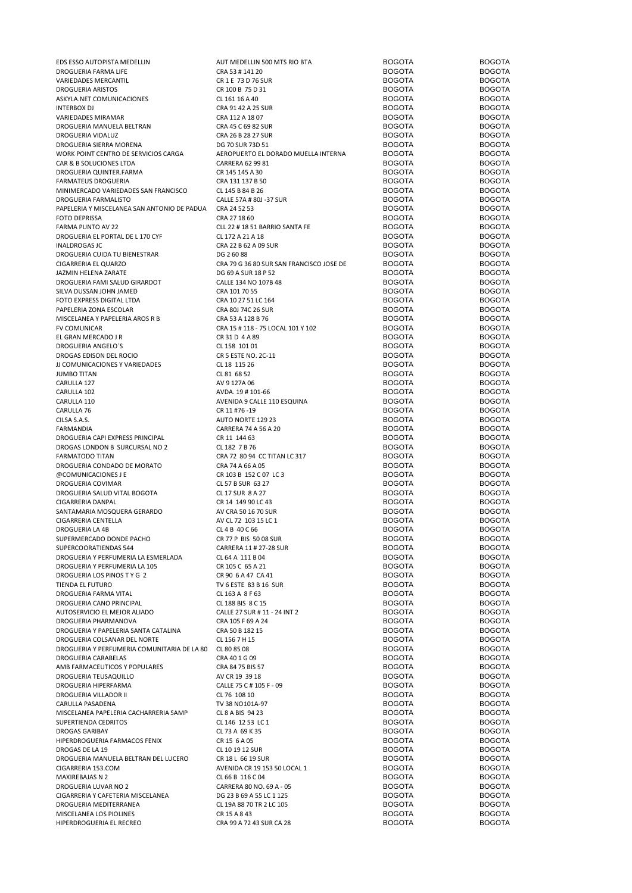| EDS ESSO AUTOPISTA MEDELLIN                 | AUT MEDELLIN 500 MTS RIO BTA             | <b>BOGOTA</b> | <b>BOGOTA</b> |
|---------------------------------------------|------------------------------------------|---------------|---------------|
| DROGUERIA FARMA LIFE                        | CRA 53 # 141 20                          | <b>BOGOTA</b> | <b>BOGOTA</b> |
| <b>VARIEDADES MERCANTIL</b>                 | CR 1 E 73 D 76 SUR                       | <b>BOGOTA</b> | <b>BOGOTA</b> |
| DROGUERIA ARISTOS                           | CR 100 B 75 D 31                         | <b>BOGOTA</b> | <b>BOGOTA</b> |
| ASKYLA.NET COMUNICACIONES                   | CL 161 16 A 40                           | <b>BOGOTA</b> | <b>BOGOTA</b> |
| <b>INTERBOX DJ</b>                          | CRA 91 42 A 25 SUR                       | <b>BOGOTA</b> | <b>BOGOTA</b> |
| VARIEDADES MIRAMAR                          | CRA 112 A 18 07                          | <b>BOGOTA</b> | <b>BOGOTA</b> |
| DROGUERIA MANUELA BELTRAN                   | CRA 45 C 69 82 SUR                       | <b>BOGOTA</b> | <b>BOGOTA</b> |
| DROGUERIA VIDALUZ                           | CRA 26 B 28 27 SUR                       | <b>BOGOTA</b> | <b>BOGOTA</b> |
| DROGUERIA SIERRA MORENA                     | DG 70 SUR 73D 51                         | <b>BOGOTA</b> | <b>BOGOTA</b> |
| WORK POINT CENTRO DE SERVICIOS CARGA        | AEROPUERTO EL DORADO MUELLA INTERNA      | <b>BOGOTA</b> | <b>BOGOTA</b> |
| CAR & B SOLUCIONES LTDA                     | CARRERA 62 99 81                         | <b>BOGOTA</b> | <b>BOGOTA</b> |
| DROGUERIA QUINTER.FARMA                     | CR 145 145 A 30                          | <b>BOGOTA</b> | <b>BOGOTA</b> |
| <b>FARMATEUS DROGUERIA</b>                  | CRA 131 137 B 50                         | <b>BOGOTA</b> | <b>BOGOTA</b> |
| MINIMERCADO VARIEDADES SAN FRANCISCO        | CL 145 B 84 B 26                         | <b>BOGOTA</b> | <b>BOGOTA</b> |
| DROGUERIA FARMALISTO                        | CALLE 57A # 80J -37 SUR                  | <b>BOGOTA</b> | <b>BOGOTA</b> |
| PAPELERIA Y MISCELANEA SAN ANTONIO DE PADUA | CRA 24 52 53                             | <b>BOGOTA</b> | <b>BOGOTA</b> |
| <b>FOTO DEPRISSA</b>                        | CRA 27 18 60                             | <b>BOGOTA</b> | <b>BOGOTA</b> |
| FARMA PUNTO AV 22                           | CLL 22 # 18 51 BARRIO SANTA FE           | <b>BOGOTA</b> | <b>BOGOTA</b> |
| DROGUERIA EL PORTAL DE L 170 CYF            | CL 172 A 21 A 18                         | <b>BOGOTA</b> | <b>BOGOTA</b> |
| <b>INALDROGAS JC</b>                        | CRA 22 B 62 A 09 SUR                     | <b>BOGOTA</b> | <b>BOGOTA</b> |
| DROGUERIA CUIDA TU BIENESTRAR               | DG 26088                                 | <b>BOGOTA</b> | <b>BOGOTA</b> |
| CIGARRERIA EL QUARZO                        | CRA 79 G 36 80 SUR SAN FRANCISCO JOSE DE | <b>BOGOTA</b> | <b>BOGOTA</b> |
|                                             | DG 69 A SUR 18 P 52                      | <b>BOGOTA</b> | <b>BOGOTA</b> |
| JAZMIN HELENA ZARATE                        |                                          |               | <b>BOGOTA</b> |
| DROGUERIA FAMI SALUD GIRARDOT               | CALLE 134 NO 107B 48                     | <b>BOGOTA</b> |               |
| SILVA DUSSAN JOHN JAMED                     | CRA 101 70 55                            | <b>BOGOTA</b> | <b>BOGOTA</b> |
| FOTO EXPRESS DIGITAL LTDA                   | CRA 10 27 51 LC 164                      | <b>BOGOTA</b> | <b>BOGOTA</b> |
| PAPELERIA ZONA ESCOLAR                      | CRA 80J 74C 26 SUR                       | <b>BOGOTA</b> | <b>BOGOTA</b> |
| MISCELANEA Y PAPELERIA AROS R B             | CRA 53 A 128 B 76                        | <b>BOGOTA</b> | <b>BOGOTA</b> |
| <b>FV COMUNICAR</b>                         | CRA 15 # 118 - 75 LOCAL 101 Y 102        | <b>BOGOTA</b> | <b>BOGOTA</b> |
| EL GRAN MERCADO J R                         | CR 31 D 4 A 89                           | <b>BOGOTA</b> | <b>BOGOTA</b> |
| DROGUERIA ANGELO'S                          | CL 158 101 01                            | <b>BOGOTA</b> | <b>BOGOTA</b> |
| DROGAS EDISON DEL ROCIO                     | CR 5 ESTE NO. 2C-11                      | <b>BOGOTA</b> | <b>BOGOTA</b> |
| JJ COMUNICACIONES Y VARIEDADES              | CL 18 115 26                             | <b>BOGOTA</b> | <b>BOGOTA</b> |
| <b>JUMBO TITAN</b>                          | CL 81 68 52                              | <b>BOGOTA</b> | <b>BOGOTA</b> |
| CARULLA 127                                 | AV 9 127A 06                             | <b>BOGOTA</b> | <b>BOGOTA</b> |
| CARULLA 102                                 | AVDA. 19 # 101-66                        | <b>BOGOTA</b> | <b>BOGOTA</b> |
| CARULLA 110                                 | AVENIDA 9 CALLE 110 ESQUINA              | <b>BOGOTA</b> | <b>BOGOTA</b> |
| CARULLA 76                                  | CR 11 #76 -19                            | <b>BOGOTA</b> | <b>BOGOTA</b> |
| CILSA S.A.S.                                | AUTO NORTE 129 23                        | <b>BOGOTA</b> | <b>BOGOTA</b> |
| FARMANDIA                                   | CARRERA 74 A 56 A 20                     | <b>BOGOTA</b> | <b>BOGOTA</b> |
| DROGUERIA CAPI EXPRESS PRINCIPAL            | CR 11 144 63                             | <b>BOGOTA</b> | <b>BOGOTA</b> |
| DROGAS LONDON B SURCURSAL NO 2              | CL 182 7 B 76                            | <b>BOGOTA</b> | <b>BOGOTA</b> |
| <b>FARMATODO TITAN</b>                      | CRA 72 80 94 CC TITAN LC 317             | <b>BOGOTA</b> | <b>BOGOTA</b> |
| DROGUERIA CONDADO DE MORATO                 | CRA 74 A 66 A 05                         | <b>BOGOTA</b> | <b>BOGOTA</b> |
| @COMUNICACIONES J E                         | CR 103 B 152 C 07 LC 3                   | <b>BOGOTA</b> | <b>BOGOTA</b> |
| DROGUERIA COVIMAR                           | CL 57 B SUR 63 27                        | <b>BOGOTA</b> | <b>BOGOTA</b> |
| DROGUERIA SALUD VITAL BOGOTA                | CL 17 SUR 8 A 27                         | <b>BOGOTA</b> | <b>BOGOTA</b> |
| CIGARRERIA DANPAL                           | CR 14 149 90 LC 43                       | <b>BOGOTA</b> | <b>BOGOTA</b> |
| SANTAMARIA MOSQUERA GERARDO                 | AV CRA 50 16 70 SUR                      | <b>BOGOTA</b> | <b>BOGOTA</b> |
| CIGARRERIA CENTELLA                         | AV CL 72 103 15 LC 1                     | <b>BOGOTA</b> | <b>BOGOTA</b> |
|                                             |                                          |               |               |
| DROGUERIA LA 4B                             | CL 4 B 40 C 66                           | <b>BOGOTA</b> | <b>BOGOTA</b> |
| SUPERMERCADO DONDE PACHO                    | CR 77 P BIS 50 08 SUR                    | <b>BOGOTA</b> | <b>BOGOTA</b> |
| SUPERCOORATIENDAS 544                       | CARRERA 11 # 27-28 SUR                   | <b>BOGOTA</b> | <b>BOGOTA</b> |
| DROGUERIA Y PERFUMERIA LA ESMERLADA         | CL 64 A 111 B 04                         | <b>BOGOTA</b> | <b>BOGOTA</b> |
| DROGUERIA Y PERFUMERIA LA 105               | CR 105 C 65 A 21                         | <b>BOGOTA</b> | <b>BOGOTA</b> |
| DROGUERIA LOS PINOS T Y G 2                 | CR 90 6 A 47 CA 41                       | <b>BOGOTA</b> | <b>BOGOTA</b> |
| TIENDA EL FUTURO                            | TV 6 ESTE 83 B 16 SUR                    | <b>BOGOTA</b> | <b>BOGOTA</b> |
| DROGUERIA FARMA VITAL                       | CL 163 A 8 F 63                          | <b>BOGOTA</b> | <b>BOGOTA</b> |
| DROGUERIA CANO PRINCIPAL                    | CL 188 BIS 8 C 15                        | <b>BOGOTA</b> | <b>BOGOTA</b> |
| AUTOSERVICIO EL MEJOR ALIADO                | CALLE 27 SUR # 11 - 24 INT 2             | <b>BOGOTA</b> | <b>BOGOTA</b> |
| DROGUERIA PHARMANOVA                        | CRA 105 F 69 A 24                        | <b>BOGOTA</b> | <b>BOGOTA</b> |
| DROGUERIA Y PAPELERIA SANTA CATALINA        | CRA 50 B 182 15                          | <b>BOGOTA</b> | <b>BOGOTA</b> |
| DROGUERIA COLSANAR DEL NORTE                | CL 156 7 H 15                            | <b>BOGOTA</b> | <b>BOGOTA</b> |
| DROGUERIA Y PERFUMERIA COMUNITARIA DE LA 80 | CL 80 85 08                              | <b>BOGOTA</b> | <b>BOGOTA</b> |
| DROGUERIA CARABELAS                         | CRA 40 1 G 09                            | <b>BOGOTA</b> | <b>BOGOTA</b> |
| AMB FARMACEUTICOS Y POPULARES               | CRA 84 75 BIS 57                         | <b>BOGOTA</b> | <b>BOGOTA</b> |
| DROGUERIA TEUSAQUILLO                       | AV CR 19 39 18                           | <b>BOGOTA</b> | <b>BOGOTA</b> |
| DROGUERIA HIPERFARMA                        | CALLE 75 C # 105 F - 09                  | <b>BOGOTA</b> | <b>BOGOTA</b> |
| DROGUERIA VILLADOR II                       | CL 76 108 10                             | <b>BOGOTA</b> | <b>BOGOTA</b> |
| CARULLA PASADENA                            | TV 38 NO101A-97                          | <b>BOGOTA</b> | <b>BOGOTA</b> |
| MISCELANEA PAPELERIA CACHARRERIA SAMP       | CL 8 A BIS 94 23                         | <b>BOGOTA</b> | <b>BOGOTA</b> |
| SUPERTIENDA CEDRITOS                        | CL 146 12 53 LC 1                        | <b>BOGOTA</b> | <b>BOGOTA</b> |
| <b>DROGAS GARIBAY</b>                       | CL 73 A 69 K 35                          | <b>BOGOTA</b> | <b>BOGOTA</b> |
| HIPERDROGUERIA FARMACOS FENIX               | CR 15 6 A 05                             | <b>BOGOTA</b> | <b>BOGOTA</b> |
| DROGAS DE LA 19                             | CL 10 19 12 SUR                          | <b>BOGOTA</b> | <b>BOGOTA</b> |
| DROGUERIA MANUELA BELTRAN DEL LUCERO        | CR 18 L 66 19 SUR                        | <b>BOGOTA</b> | <b>BOGOTA</b> |
| CIGARRERIA 153.COM                          | AVENIDA CR 19 153 50 LOCAL 1             | <b>BOGOTA</b> | <b>BOGOTA</b> |
| MAXIREBAJAS N 2                             | CL 66 B 116 C 04                         | <b>BOGOTA</b> | <b>BOGOTA</b> |
| DROGUERIA LUVAR NO 2                        | CARRERA 80 NO. 69 A - 05                 | <b>BOGOTA</b> | <b>BOGOTA</b> |
| CIGARRERIA Y CAFETERIA MISCELANEA           | DG 23 B 69 A 55 LC 1 125                 | <b>BOGOTA</b> | <b>BOGOTA</b> |
| DROGUERIA MEDITERRANEA                      | CL 19A 88 70 TR 2 LC 105                 | <b>BOGOTA</b> | <b>BOGOTA</b> |
| MISCELANEA LOS PIOLINES                     | CR 15 A 8 43                             | <b>BOGOTA</b> | <b>BOGOTA</b> |
| HIPERDROGUERIA EL RECREO                    |                                          | <b>BOGOTA</b> | <b>BOGOTA</b> |
|                                             | CRA 99 A 72 43 SUR CA 28                 |               |               |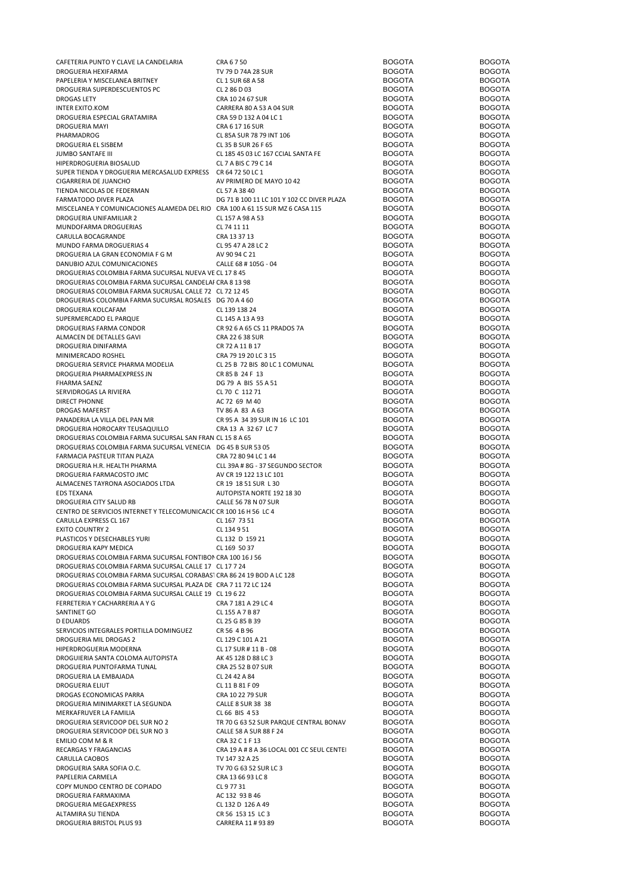| CAFETERIA PUNTO Y CLAVE LA CANDELARIA                                         | CRA 6750                                   | <b>BOGOTA</b> | <b>BOGOTA</b> |
|-------------------------------------------------------------------------------|--------------------------------------------|---------------|---------------|
| DROGUERIA HEXIFARMA                                                           | TV 79 D 74A 28 SUR                         | <b>BOGOTA</b> | <b>BOGOTA</b> |
| PAPELERIA Y MISCELANEA BRITNEY                                                | CL 1 SUR 68 A 58                           | <b>BOGOTA</b> | <b>BOGOTA</b> |
| DROGUERIA SUPERDESCUENTOS PC                                                  | CL 2 86 D 03                               | <b>BOGOTA</b> | <b>BOGOTA</b> |
| <b>DROGAS LETY</b>                                                            | CRA 10 24 67 SUR                           | <b>BOGOTA</b> | <b>BOGOTA</b> |
| INTER EXITO.KOM                                                               | CARRERA 80 A 53 A 04 SUR                   | <b>BOGOTA</b> | <b>BOGOTA</b> |
| DROGUERIA ESPECIAL GRATAMIRA                                                  | CRA 59 D 132 A 04 LC 1                     | <b>BOGOTA</b> | <b>BOGOTA</b> |
| DROGUERIA MAYI                                                                | CRA 6 17 16 SUR                            | <b>BOGOTA</b> | <b>BOGOTA</b> |
| PHARMADROG                                                                    | CL 85A SUR 78 79 INT 106                   | <b>BOGOTA</b> | <b>BOGOTA</b> |
| DROGUERIA EL SISBEM                                                           | CL 35 B SUR 26 F 65                        | <b>BOGOTA</b> | <b>BOGOTA</b> |
| JUMBO SANTAFE III                                                             | CL 185 45 03 LC 167 CCIAL SANTA FE         | <b>BOGOTA</b> | <b>BOGOTA</b> |
| HIPERDROGUERIA BIOSALUD                                                       | CL 7 A BIS C 79 C 14                       | <b>BOGOTA</b> | <b>BOGOTA</b> |
| SUPER TIENDA Y DROGUERIA MERCASALUD EXPRESS CR 64 72 50 LC 1                  |                                            | <b>BOGOTA</b> | <b>BOGOTA</b> |
|                                                                               |                                            |               |               |
| CIGARRERIA DE JUANCHO                                                         | AV PRIMERO DE MAYO 10 42                   | <b>BOGOTA</b> | <b>BOGOTA</b> |
| TIENDA NICOLAS DE FEDERMAN                                                    | CL 57 A 38 40                              | <b>BOGOTA</b> | <b>BOGOTA</b> |
| FARMATODO DIVER PLAZA                                                         | DG 71 B 100 11 LC 101 Y 102 CC DIVER PLAZA | <b>BOGOTA</b> | <b>BOGOTA</b> |
| MISCELANEA Y COMUNICACIONES ALAMEDA DEL RIO CRA 100 A 61 15 SUR MZ 6 CASA 115 |                                            | <b>BOGOTA</b> | <b>BOGOTA</b> |
| DROGUERIA UNIFAMILIAR 2                                                       | CL 157 A 98 A 53                           | <b>BOGOTA</b> | <b>BOGOTA</b> |
| MUNDOFARMA DROGUERIAS                                                         | CL 74 11 11                                | <b>BOGOTA</b> | <b>BOGOTA</b> |
| CARULLA BOCAGRANDE                                                            | CRA 13 37 13                               | <b>BOGOTA</b> | <b>BOGOTA</b> |
| MUNDO FARMA DROGUERIAS 4                                                      | CL 95 47 A 28 LC 2                         | <b>BOGOTA</b> | <b>BOGOTA</b> |
| DROGUERIA LA GRAN ECONOMIA F G M                                              | AV 90 94 C 21                              | <b>BOGOTA</b> | <b>BOGOTA</b> |
| DANUBIO AZUL COMUNICACIONES                                                   | CALLE 68 # 105G - 04                       | <b>BOGOTA</b> | <b>BOGOTA</b> |
| DROGUERIAS COLOMBIA FARMA SUCURSAL NUEVA VE CL 17 8 45                        |                                            | <b>BOGOTA</b> | <b>BOGOTA</b> |
| DROGUERIAS COLOMBIA FARMA SUCURSAL CANDELAI CRA 8 13 98                       |                                            | <b>BOGOTA</b> | <b>BOGOTA</b> |
| DROGUERIAS COLOMBIA FARMA SUCRUSAL CALLE 72 CL 72 12 45                       |                                            | <b>BOGOTA</b> | <b>BOGOTA</b> |
| DROGUERIAS COLOMBIA FARMA SUCURSAL ROSALES DG 70 A 4 60                       |                                            | <b>BOGOTA</b> | <b>BOGOTA</b> |
| DROGUERIA KOLCAFAM                                                            | CL 139 138 24                              | <b>BOGOTA</b> | <b>BOGOTA</b> |
| SUPERMERCADO EL PARQUE                                                        | CL 145 A 13 A 93                           | <b>BOGOTA</b> | <b>BOGOTA</b> |
| DROGUERIAS FARMA CONDOR                                                       | CR 92 6 A 65 CS 11 PRADOS 7A               | <b>BOGOTA</b> | <b>BOGOTA</b> |
| ALMACEN DE DETALLES GAVI                                                      | CRA 22 6 38 SUR                            | <b>BOGOTA</b> | <b>BOGOTA</b> |
| DROGUERIA DINIFARMA                                                           |                                            |               |               |
|                                                                               | CR 72 A 11 B 17                            | <b>BOGOTA</b> | <b>BOGOTA</b> |
| MINIMERCADO ROSHEL                                                            | CRA 79 19 20 LC 3 15                       | <b>BOGOTA</b> | <b>BOGOTA</b> |
| DROGUERIA SERVICE PHARMA MODELIA                                              | CL 25 B 72 BIS 80 LC 1 COMUNAL             | <b>BOGOTA</b> | <b>BOGOTA</b> |
| DROGUERIA PHARMAEXPRESS JN                                                    | CR 85 B 24 F 13                            | <b>BOGOTA</b> | <b>BOGOTA</b> |
| <b>FHARMA SAENZ</b>                                                           | DG 79 A BIS 55 A 51                        | <b>BOGOTA</b> | <b>BOGOTA</b> |
| SERVIDROGAS LA RIVIERA                                                        | CL 70 C 112 71                             | <b>BOGOTA</b> | <b>BOGOTA</b> |
| DIRECT PHONNE                                                                 | AC 72 69 M 40                              | <b>BOGOTA</b> | <b>BOGOTA</b> |
| DROGAS MAFERST                                                                | TV 86 A 83 A 63                            | <b>BOGOTA</b> | <b>BOGOTA</b> |
| PANADERIA LA VILLA DEL PAN MR                                                 | CR 95 A 34 39 SUR IN 16 LC 101             | <b>BOGOTA</b> | <b>BOGOTA</b> |
| DROGUERIA HOROCARY TEUSAQUILLO                                                | CRA 13 A 32 67 LC 7                        | <b>BOGOTA</b> | <b>BOGOTA</b> |
| DROGUERIAS COLOMBIA FARMA SUCURSAL SAN FRAN CL 15 8 A 65                      |                                            | <b>BOGOTA</b> | <b>BOGOTA</b> |
| DROGUERIAS COLOMBIA FARMA SUCURSAL VENECIA DG 45 B SUR 53 05                  |                                            | <b>BOGOTA</b> | <b>BOGOTA</b> |
| FARMACIA PASTEUR TITAN PLAZA                                                  | CRA 72 80 94 LC 1 44                       | <b>BOGOTA</b> | <b>BOGOTA</b> |
| DROGUERIA H.R. HEALTH PHARMA                                                  | CLL 39A # 8G - 37 SEGUNDO SECTOR           | <b>BOGOTA</b> | <b>BOGOTA</b> |
| DROGUERIA FARMACOSTO JMC                                                      | AV CR 19 122 13 LC 101                     | <b>BOGOTA</b> | <b>BOGOTA</b> |
| ALMACENES TAYRONA ASOCIADOS LTDA                                              | CR 19 18 51 SUR L 30                       | <b>BOGOTA</b> | <b>BOGOTA</b> |
| EDS TEXANA                                                                    | AUTOPISTA NORTE 192 18 30                  | <b>BOGOTA</b> | <b>BOGOTA</b> |
| DROGUERIA CITY SALUD RB                                                       | CALLE 56 78 N 07 SUR                       | <b>BOGOTA</b> | <b>BOGOTA</b> |
| CENTRO DE SERVICIOS INTERNET Y TELECOMUNICACIC CR 100 16 H 56 LC 4            |                                            | <b>BOGOTA</b> | <b>BOGOTA</b> |
| CARULLA EXPRESS CL 167                                                        | CL 167 73 51                               | <b>BOGOTA</b> | <b>BOGOTA</b> |
| <b>EXITO COUNTRY 2</b>                                                        | CL 134 9 51                                | <b>BOGOTA</b> | <b>BOGOTA</b> |
|                                                                               |                                            |               |               |
| PLASTICOS Y DESECHABLES YURI                                                  | CL 132 D 159 21                            | <b>BOGOTA</b> | <b>BOGOTA</b> |
| DROGUERIA KAPY MEDICA                                                         | CL 169 50 37                               | <b>BOGOTA</b> | <b>BOGOTA</b> |
| DROGUERIAS COLOMBIA FARMA SUCURSAL FONTIBON CRA 100 16 J 56                   |                                            | <b>BOGOTA</b> | <b>BOGOTA</b> |
| DROGUERIAS COLOMBIA FARMA SUCURSAL CALLE 17 CL 17 7 24                        |                                            | <b>BOGOTA</b> | <b>BOGOTA</b> |
| DROGUERIAS COLOMBIA FARMA SUCURSAL CORABAST CRA 86 24 19 BOD A LC 128         |                                            | <b>BOGOTA</b> | <b>BOGOTA</b> |
| DROGUERIAS COLOMBIA FARMA SUCURSAL PLAZA DE CRA 7 11 72 LC 124                |                                            | <b>BOGOTA</b> | <b>BOGOTA</b> |
| DROGUERIAS COLOMBIA FARMA SUCURSAL CALLE 19 CL 19 6 22                        |                                            | <b>BOGOTA</b> | <b>BOGOTA</b> |
| FERRETERIA Y CACHARRERIA A Y G                                                | CRA 7 181 A 29 LC 4                        | <b>BOGOTA</b> | <b>BOGOTA</b> |
| SANTINET GO                                                                   | CL 155 A 7 B 87                            | <b>BOGOTA</b> | <b>BOGOTA</b> |
| D EDUARDS                                                                     | CL 25 G 85 B 39                            | <b>BOGOTA</b> | <b>BOGOTA</b> |
| SERVICIOS INTEGRALES PORTILLA DOMINGUEZ                                       | CR 56 4 B 96                               | <b>BOGOTA</b> | <b>BOGOTA</b> |
| DROGUERIA MIL DROGAS 2                                                        | CL 129 C 101 A 21                          | <b>BOGOTA</b> | <b>BOGOTA</b> |
| HIPERDROGUERIA MODERNA                                                        | CL 17 SUR # 11 B - 08                      | <b>BOGOTA</b> | <b>BOGOTA</b> |
| DROGUIERIA SANTA COLOMA AUTOPISTA                                             | AK 45 128 D 88 LC 3                        | <b>BOGOTA</b> | <b>BOGOTA</b> |
| DROGUERIA PUNTOFARMA TUNAL                                                    | CRA 25 52 B 07 SUR                         | <b>BOGOTA</b> | <b>BOGOTA</b> |
| DROGUERIA LA EMBAJADA                                                         | CL 24 42 A 84                              | <b>BOGOTA</b> | <b>BOGOTA</b> |
| DROGUERIA ELIUT                                                               | CL 11 B 81 F 09                            | <b>BOGOTA</b> | <b>BOGOTA</b> |
| DROGAS ECONOMICAS PARRA                                                       | CRA 10 22 79 SUR                           | <b>BOGOTA</b> | <b>BOGOTA</b> |
| DROGUERIA MINIMARKET LA SEGUNDA                                               | CALLE 8 SUR 38 38                          | <b>BOGOTA</b> | <b>BOGOTA</b> |
| MERKAFRUVER LA FAMILIA                                                        | CL 66 BIS 4 53                             | <b>BOGOTA</b> | <b>BOGOTA</b> |
| DROGUERIA SERVICOOP DEL SUR NO 2                                              | TR 70 G 63 52 SUR PARQUE CENTRAL BONAV     | <b>BOGOTA</b> | <b>BOGOTA</b> |
| DROGUERIA SERVICOOP DEL SUR NO 3                                              | CALLE 58 A SUR 88 F 24                     | <b>BOGOTA</b> | <b>BOGOTA</b> |
|                                                                               | CRA 32 C 1 F 13                            | <b>BOGOTA</b> | <b>BOGOTA</b> |
| <b>EMILIO COM M &amp; R</b>                                                   |                                            |               |               |
| RECARGAS Y FRAGANCIAS                                                         | CRA 19 A # 8 A 36 LOCAL 001 CC SEUL CENTE  | <b>BOGOTA</b> | <b>BOGOTA</b> |
| CARULLA CAOBOS                                                                | TV 147 32 A 25                             | <b>BOGOTA</b> | <b>BOGOTA</b> |
| DROGUERIA SARA SOFIA O.C.                                                     | TV 70 G 63 52 SUR LC 3                     | <b>BOGOTA</b> | <b>BOGOTA</b> |
| PAPELERIA CARMELA                                                             | CRA 13 66 93 LC 8                          | <b>BOGOTA</b> | <b>BOGOTA</b> |
| COPY MUNDO CENTRO DE COPIADO                                                  | CL 9 77 31                                 | <b>BOGOTA</b> | <b>BOGOTA</b> |
| DROGUERIA FARMAXIMA                                                           | AC 132 93 B 46                             | <b>BOGOTA</b> | <b>BOGOTA</b> |
| DROGUERIA MEGAEXPRESS                                                         | CL 132 D 126 A 49                          | <b>BOGOTA</b> | <b>BOGOTA</b> |
| ALTAMIRA SU TIENDA                                                            | CR 56 153 15 LC 3                          | <b>BOGOTA</b> | <b>BOGOTA</b> |
| DROGUERIA BRISTOL PLUS 93                                                     | CARRERA 11 # 93 89                         | <b>BOGOTA</b> | <b>BOGOTA</b> |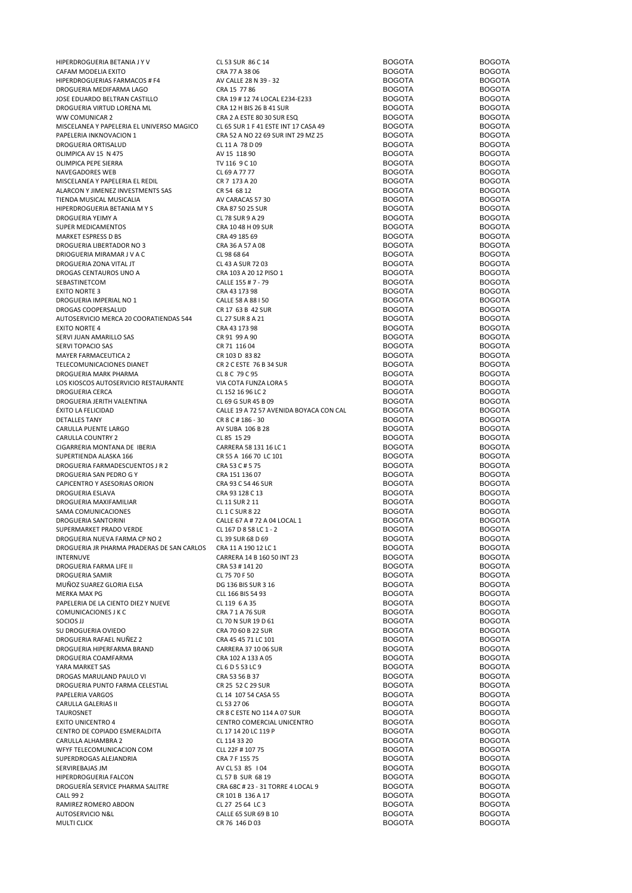| HIPERDROGUERIA BETANIA J Y V                               |                                         | <b>BOGOTA</b>                  | <b>BOGOTA</b>                  |
|------------------------------------------------------------|-----------------------------------------|--------------------------------|--------------------------------|
|                                                            | CL 53 SUR 86 C 14                       |                                |                                |
| CAFAM MODELIA EXITO                                        | CRA 77 A 38 06                          | <b>BOGOTA</b>                  | <b>BOGOTA</b>                  |
| HIPERDROGUERIAS FARMACOS # F4                              | AV CALLE 28 N 39 - 32                   | <b>BOGOTA</b>                  | <b>BOGOTA</b>                  |
| DROGUERIA MEDIFARMA LAGO                                   | CRA 15 77 86                            | <b>BOGOTA</b>                  | <b>BOGOTA</b>                  |
| JOSE EDUARDO BELTRAN CASTILLO                              | CRA 19 # 12 74 LOCAL E234-E233          | <b>BOGOTA</b>                  | <b>BOGOTA</b>                  |
| DROGUERIA VIRTUD LORENA ML                                 | CRA 12 H BIS 26 B 41 SUR                | <b>BOGOTA</b>                  | <b>BOGOTA</b>                  |
| WW COMUNICAR 2                                             | CRA 2 A ESTE 80 30 SUR ESQ              | <b>BOGOTA</b>                  | <b>BOGOTA</b>                  |
| MISCELANEA Y PAPELERIA EL UNIVERSO MAGICO                  | CL 65 SUR 1 F 41 ESTE INT 17 CASA 49    | <b>BOGOTA</b>                  | <b>BOGOTA</b>                  |
| PAPELERIA INKNOVACION 1                                    | CRA 52 A NO 22 69 SUR INT 29 MZ 25      | <b>BOGOTA</b>                  | <b>BOGOTA</b>                  |
| DROGUERIA ORTISALUD                                        | CL 11 A 78 D 09                         | <b>BOGOTA</b>                  | <b>BOGOTA</b>                  |
| OLIMPICA AV 15 N 475                                       | AV 15 118 90                            | <b>BOGOTA</b>                  | <b>BOGOTA</b>                  |
| OLIMPICA PEPE SIERRA                                       | TV 116 9 C 10                           | <b>BOGOTA</b>                  | <b>BOGOTA</b>                  |
| NAVEGADORES WEB                                            | CL 69 A 77 77                           | <b>BOGOTA</b>                  | <b>BOGOTA</b>                  |
| MISCELANEA Y PAPELERIA EL REDIL                            | CR 7 173 A 20                           | <b>BOGOTA</b>                  | <b>BOGOTA</b>                  |
| ALARCON Y JIMENEZ INVESTMENTS SAS                          | CR 54 68 12                             | <b>BOGOTA</b>                  | <b>BOGOTA</b>                  |
| TIENDA MUSICAL MUSICALIA                                   | AV CARACAS 57 30                        | <b>BOGOTA</b>                  | <b>BOGOTA</b>                  |
|                                                            | CRA 87 50 25 SUR                        | <b>BOGOTA</b>                  | <b>BOGOTA</b>                  |
| HIPERDROGUERIA BETANIA M Y S                               |                                         |                                |                                |
| DROGUERIA YEIMY A                                          | CL 78 SUR 9 A 29                        | <b>BOGOTA</b>                  | <b>BOGOTA</b>                  |
| SUPER MEDICAMENTOS                                         | CRA 10 48 H 09 SUR                      | <b>BOGOTA</b>                  | <b>BOGOTA</b>                  |
| MARKET ESPRESS D BS                                        | CRA 49 185 69                           | <b>BOGOTA</b>                  | <b>BOGOTA</b>                  |
| DROGUERIA LIBERTADOR NO 3                                  | CRA 36 A 57 A 08                        | <b>BOGOTA</b>                  | <b>BOGOTA</b>                  |
| DRIOGUERIA MIRAMAR J V A C                                 | CL 98 68 64                             | <b>BOGOTA</b>                  | <b>BOGOTA</b>                  |
| DROGUERIA ZONA VITAL JT                                    | CL 43 A SUR 72 03                       | <b>BOGOTA</b>                  | <b>BOGOTA</b>                  |
| DROGAS CENTAUROS UNO A                                     | CRA 103 A 20 12 PISO 1                  | <b>BOGOTA</b>                  | <b>BOGOTA</b>                  |
| SEBASTINETCOM                                              | CALLE 155 # 7 - 79                      | <b>BOGOTA</b>                  | <b>BOGOTA</b>                  |
| <b>EXITO NORTE 3</b>                                       | CRA 43 173 98                           | <b>BOGOTA</b>                  | <b>BOGOTA</b>                  |
| DROGUERIA IMPERIAL NO 1                                    | CALLE 58 A 88 I 50                      | <b>BOGOTA</b>                  | <b>BOGOTA</b>                  |
| DROGAS COOPERSALUD                                         | CR 17 63 B 42 SUR                       | <b>BOGOTA</b>                  | <b>BOGOTA</b>                  |
| AUTOSERVICIO MERCA 20 COORATIENDAS 544                     | CL 27 SUR 8 A 21                        | <b>BOGOTA</b>                  | <b>BOGOTA</b>                  |
| <b>EXITO NORTE 4</b>                                       | CRA 43 173 98                           | <b>BOGOTA</b>                  | <b>BOGOTA</b>                  |
|                                                            | CR 91 99 A 90                           | <b>BOGOTA</b>                  | <b>BOGOTA</b>                  |
| SERVI JUAN AMARILLO SAS                                    |                                         |                                |                                |
| SERVI TOPACIO SAS                                          | CR 71 116 04                            | <b>BOGOTA</b>                  | <b>BOGOTA</b>                  |
| MAYER FARMACEUTICA 2                                       | CR 103 D 83 82                          | <b>BOGOTA</b>                  | <b>BOGOTA</b>                  |
| TELECOMUNICACIONES DIANET                                  | CR 2 C ESTE 76 B 34 SUR                 | <b>BOGOTA</b>                  | <b>BOGOTA</b>                  |
| DROGUERIA MARK PHARMA                                      | CL 8 C 79 C 95                          | <b>BOGOTA</b>                  | <b>BOGOTA</b>                  |
| LOS KIOSCOS AUTOSERVICIO RESTAURANTE                       | VIA COTA FUNZA LORA 5                   | <b>BOGOTA</b>                  | <b>BOGOTA</b>                  |
| DROGUERIA CERCA                                            | CL 152 16 96 LC 2                       | <b>BOGOTA</b>                  | <b>BOGOTA</b>                  |
| DROGUERIA JERITH VALENTINA                                 | CL 69 G SUR 45 B 09                     | <b>BOGOTA</b>                  | <b>BOGOTA</b>                  |
| ÉXITO LA FELICIDAD                                         | CALLE 19 A 72 57 AVENIDA BOYACA CON CAL | <b>BOGOTA</b>                  | <b>BOGOTA</b>                  |
| <b>DETALLES TANY</b>                                       | CR 8 C # 186 - 30                       | <b>BOGOTA</b>                  | <b>BOGOTA</b>                  |
| CARULLA PUENTE LARGO                                       | AV SUBA 106 B 28                        | <b>BOGOTA</b>                  | <b>BOGOTA</b>                  |
| CARULLA COUNTRY 2                                          | CL 85 15 29                             | <b>BOGOTA</b>                  | <b>BOGOTA</b>                  |
| CIGARRERIA MONTANA DE IBERIA                               | CARRERA 58 131 16 LC 1                  | <b>BOGOTA</b>                  | <b>BOGOTA</b>                  |
| SUPERTIENDA ALASKA 166                                     | CR 55 A 166 70 LC 101                   | <b>BOGOTA</b>                  | <b>BOGOTA</b>                  |
|                                                            |                                         | <b>BOGOTA</b>                  | <b>BOGOTA</b>                  |
| DROGUERIA FARMADESCUENTOS J R 2<br>DROGUERIA SAN PEDRO G Y | CRA 53 C # 5 75                         |                                |                                |
|                                                            | CRA 151 136 07                          | <b>BOGOTA</b>                  | <b>BOGOTA</b>                  |
| CAPICENTRO Y ASESORIAS ORION                               | CRA 93 C 54 46 SUR                      | <b>BOGOTA</b>                  | <b>BOGOTA</b>                  |
| DROGUERIA ESLAVA                                           | CRA 93 128 C 13                         | <b>BOGOTA</b>                  | <b>BOGOTA</b>                  |
| DROGUERIA MAXIFAMILIAR                                     | CL 11 SUR 2 11                          | <b>BOGOTA</b>                  | <b>BOGOTA</b>                  |
| SAMA COMUNICACIONES                                        | <b>CL1CSUR822</b>                       | <b>BOGOTA</b>                  | <b>BOGOTA</b>                  |
| DROGUERIA SANTORINI                                        | CALLE 67 A # 72 A 04 LOCAL 1            | <b>BOGOTA</b>                  | <b>BOGOTA</b>                  |
| SUPERMARKET PRADO VERDE                                    | CL 167 D 8 58 LC 1 - 2                  | <b>BOGOTA</b>                  | <b>BOGOTA</b>                  |
| DROGUERIA NUEVA FARMA CP NO 2                              | CL 39 SUR 68 D 69                       | <b>BOGOTA</b>                  | <b>BOGOTA</b>                  |
| DROGUERIA JR PHARMA PRADERAS DE SAN CARLOS                 | CRA 11 A 190 12 LC 1                    | <b>BOGOTA</b>                  | <b>BOGOTA</b>                  |
| INTERNUVE                                                  | CARRERA 14 B 160 50 INT 23              | <b>BOGOTA</b>                  | <b>BOGOTA</b>                  |
| DROGUERIA FARMA LIFE II                                    | CRA 53 # 141 20                         | <b>BOGOTA</b>                  | <b>BOGOTA</b>                  |
| DROGUERIA SAMIR                                            | CL 75 70 F 50                           | <b>BOGOTA</b>                  | <b>BOGOTA</b>                  |
| MUÑOZ SUAREZ GLORIA ELSA                                   | DG 136 BIS SUR 3 16                     | <b>BOGOTA</b>                  | <b>BOGOTA</b>                  |
| MERKA MAX PG                                               | CLL 166 BIS 54 93                       | <b>BOGOTA</b>                  | <b>BOGOTA</b>                  |
| PAPELERIA DE LA CIENTO DIEZ Y NUEVE                        | CL 119 6 A 35                           | <b>BOGOTA</b>                  | <b>BOGOTA</b>                  |
| COMUNICACIONES J K C                                       | CRA 7 1 A 76 SUR                        | <b>BOGOTA</b>                  | <b>BOGOTA</b>                  |
| <b>SOCIOS JJ</b>                                           | CL 70 N SUR 19 D 61                     | <b>BOGOTA</b>                  | <b>BOGOTA</b>                  |
|                                                            | CRA 70 60 B 22 SUR                      | <b>BOGOTA</b>                  | <b>BOGOTA</b>                  |
| SU DROGUERIA OVIEDO                                        |                                         |                                |                                |
| DROGUERIA RAFAEL NUÑEZ 2                                   | CRA 45 45 71 LC 101                     | <b>BOGOTA</b>                  | <b>BOGOTA</b>                  |
| DROGUERIA HIPERFARMA BRAND                                 | <b>CARRERA 37 10 06 SUR</b>             | <b>BOGOTA</b>                  | <b>BOGOTA</b>                  |
| DROGUERIA COAMFARMA                                        | CRA 102 A 133 A 05                      | <b>BOGOTA</b>                  | <b>BOGOTA</b>                  |
| YARA MARKET SAS                                            | CL 6 D 5 53 LC 9                        | <b>BOGOTA</b>                  | <b>BOGOTA</b>                  |
| DROGAS MARULAND PAULO VI                                   | CRA 53 56 B 37                          | <b>BOGOTA</b>                  | <b>BOGOTA</b>                  |
| DROGUERIA PUNTO FARMA CELESTIAL                            | CR 25 52 C 29 SUR                       | <b>BOGOTA</b>                  | <b>BOGOTA</b>                  |
| PAPELERIA VARGOS                                           | CL 14 107 54 CASA 55                    | <b>BOGOTA</b>                  | <b>BOGOTA</b>                  |
| CARULLA GALERIAS II                                        | CL 53 27 06                             | <b>BOGOTA</b>                  | <b>BOGOTA</b>                  |
| TAUROSNET                                                  | CR 8 C ESTE NO 114 A 07 SUR             | <b>BOGOTA</b>                  | <b>BOGOTA</b>                  |
| <b>EXITO UNICENTRO 4</b>                                   | CENTRO COMERCIAL UNICENTRO              | <b>BOGOTA</b>                  | <b>BOGOTA</b>                  |
| CENTRO DE COPIADO ESMERALDITA                              | CL 17 14 20 LC 119 P                    | <b>BOGOTA</b>                  | <b>BOGOTA</b>                  |
| CARULLA ALHAMBRA 2                                         | CL 114 33 20                            | <b>BOGOTA</b>                  | <b>BOGOTA</b>                  |
| WFYF TELECOMUNICACION COM                                  | CLL 22F #10775                          | <b>BOGOTA</b>                  | <b>BOGOTA</b>                  |
| SUPERDROGAS ALEJANDRIA                                     | CRA 7 F 155 75                          | <b>BOGOTA</b>                  | <b>BOGOTA</b>                  |
|                                                            |                                         |                                |                                |
| SERVIREBAJAS JM                                            | AV CL 53 85 104                         | <b>BOGOTA</b>                  | <b>BOGOTA</b>                  |
| HIPERDROGUERIA FALCON                                      | CL 57 B SUR 68 19                       | <b>BOGOTA</b>                  | <b>BOGOTA</b>                  |
| DROGUERÍA SERVICE PHARMA SALITRE                           | CRA 68C # 23 - 31 TORRE 4 LOCAL 9       | <b>BOGOTA</b>                  | <b>BOGOTA</b>                  |
| <b>CALL 99 2</b>                                           | CR 101 B 136 A 17                       | <b>BOGOTA</b>                  | <b>BOGOTA</b>                  |
| RAMIREZ ROMERO ABDON                                       | CL 27 25 64 LC 3                        | <b>BOGOTA</b>                  | <b>BOGOTA</b>                  |
|                                                            |                                         |                                |                                |
| AUTOSERVICIO N&L                                           | CALLE 65 SUR 69 B 10<br>CR 76 146 D 03  | <b>BOGOTA</b><br><b>BOGOTA</b> | <b>BOGOTA</b><br><b>BOGOTA</b> |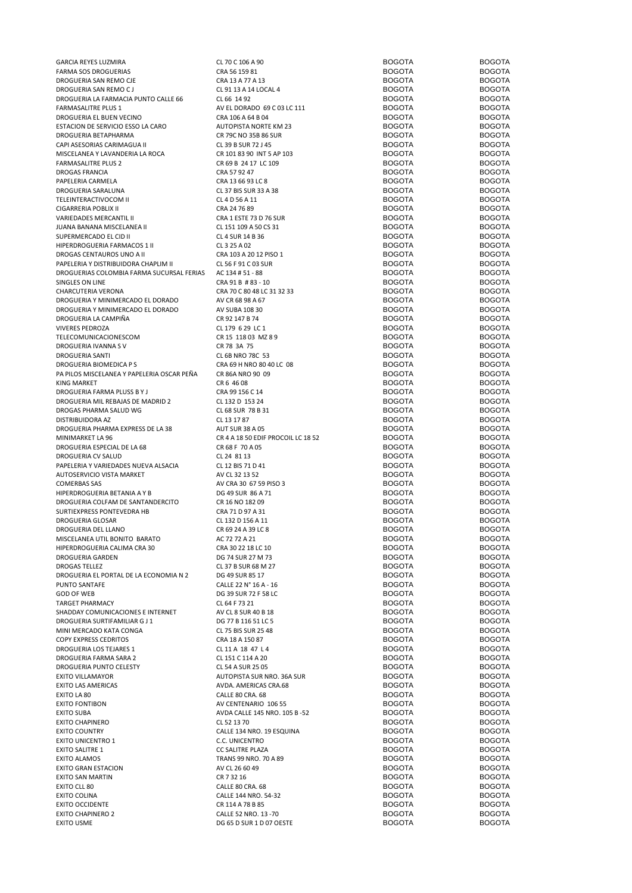| GARCIA REYES LUZMIRA                       | CL 70 C 106 A 90                   | <b>BOGOTA</b> | <b>BOGOTA</b> |
|--------------------------------------------|------------------------------------|---------------|---------------|
| FARMA SOS DROGUERIAS                       | CRA 56 159 81                      | <b>BOGOTA</b> | <b>BOGOTA</b> |
| DROGUERIA SAN REMO CJE                     | CRA 13 A 77 A 13                   | <b>BOGOTA</b> | <b>BOGOTA</b> |
| DROGUERIA SAN REMO C J                     | CL 91 13 A 14 LOCAL 4              | <b>BOGOTA</b> | <b>BOGOTA</b> |
| DROGUERIA LA FARMACIA PUNTO CALLE 66       | CL 66 14 92                        | <b>BOGOTA</b> | <b>BOGOTA</b> |
| FARMASALITRE PLUS 1                        | AV EL DORADO 69 C 03 LC 111        | <b>BOGOTA</b> | <b>BOGOTA</b> |
| DROGUERIA EL BUEN VECINO                   | CRA 106 A 64 B 04                  | <b>BOGOTA</b> | <b>BOGOTA</b> |
|                                            |                                    |               |               |
| ESTACION DE SERVICIO ESSO LA CARO          | AUTOPISTA NORTE KM 23              | <b>BOGOTA</b> | <b>BOGOTA</b> |
| DROGUERIA BETAPHARMA                       | CR 79C NO 35B 86 SUR               | <b>BOGOTA</b> | <b>BOGOTA</b> |
| CAPI ASESORIAS CARIMAGUA II                | CL 39 B SUR 72 J 45                | <b>BOGOTA</b> | <b>BOGOTA</b> |
| MISCELANEA Y LAVANDERIA LA ROCA            | CR 101 83 90 INT 5 AP 103          | <b>BOGOTA</b> | <b>BOGOTA</b> |
| FARMASALITRE PLUS 2                        | CR 69 B 24 17 LC 109               | <b>BOGOTA</b> | <b>BOGOTA</b> |
| DROGAS FRANCIA                             | CRA 57 92 47                       | <b>BOGOTA</b> | <b>BOGOTA</b> |
| PAPELERIA CARMELA                          | CRA 13 66 93 LC 8                  | <b>BOGOTA</b> | <b>BOGOTA</b> |
| DROGUERIA SARALUNA                         | CL 37 BIS SUR 33 A 38              | <b>BOGOTA</b> | <b>BOGOTA</b> |
| TELEINTERACTIVOCOM II                      | CL 4 D 56 A 11                     | <b>BOGOTA</b> | <b>BOGOTA</b> |
|                                            |                                    |               |               |
| CIGARRERIA POBLIX II                       | CRA 24 76 89                       | <b>BOGOTA</b> | <b>BOGOTA</b> |
| VARIEDADES MERCANTIL II                    | CRA 1 ESTE 73 D 76 SUR             | <b>BOGOTA</b> | <b>BOGOTA</b> |
| JUANA BANANA MISCELANEA II                 | CL 151 109 A 50 CS 31              | <b>BOGOTA</b> | <b>BOGOTA</b> |
| SUPERMERCADO EL CID II                     | CL 4 SUR 14 B 36                   | <b>BOGOTA</b> | <b>BOGOTA</b> |
| HIPERDROGUERIA FARMACOS 1 II               | CL 3 25 A 02                       | <b>BOGOTA</b> | <b>BOGOTA</b> |
| DROGAS CENTAUROS UNO A II                  | CRA 103 A 20 12 PISO 1             | <b>BOGOTA</b> | <b>BOGOTA</b> |
| PAPELERIA Y DISTRIBUIDORA CHAPLIM II       | CL 56 F 91 C 03 SUR                | <b>BOGOTA</b> | <b>BOGOTA</b> |
|                                            |                                    |               |               |
| DROGUERIAS COLOMBIA FARMA SUCURSAL FERIAS  | AC 134 # 51 - 88                   | <b>BOGOTA</b> | <b>BOGOTA</b> |
| SINGLES ON LINE                            | CRA 91 B #83 - 10                  | <b>BOGOTA</b> | <b>BOGOTA</b> |
| CHARCUTERIA VERONA                         | CRA 70 C 80 48 LC 31 32 33         | <b>BOGOTA</b> | <b>BOGOTA</b> |
| DROGUERIA Y MINIMERCADO EL DORADO          | AV CR 68 98 A 67                   | <b>BOGOTA</b> | <b>BOGOTA</b> |
| DROGUERIA Y MINIMERCADO EL DORADO          | AV SUBA 108 30                     | <b>BOGOTA</b> | <b>BOGOTA</b> |
| DROGUERIA LA CAMPIÑA                       | CR 92 147 B 74                     | <b>BOGOTA</b> | <b>BOGOTA</b> |
| <b>VIVERES PEDROZA</b>                     | CL 179 6 29 LC 1                   | <b>BOGOTA</b> | <b>BOGOTA</b> |
|                                            |                                    |               |               |
| TELECOMUNICACIONESCOM                      | CR 15 118 03 MZ 89                 | <b>BOGOTA</b> | <b>BOGOTA</b> |
| DROGUERIA IVANNA S V                       | CR 78 3A 75                        | <b>BOGOTA</b> | <b>BOGOTA</b> |
| DROGUERIA SANTI                            | CL 6B NRO 78C 53                   | <b>BOGOTA</b> | <b>BOGOTA</b> |
| DROGUERIA BIOMEDICA P S                    | CRA 69 H NRO 80 40 LC 08           | <b>BOGOTA</b> | <b>BOGOTA</b> |
| PA PILOS MISCELANEA Y PAPELERIA OSCAR PEÑA | CR 86A NRO 90 09                   | <b>BOGOTA</b> | <b>BOGOTA</b> |
| KING MARKET                                | CR 6 46 08                         | <b>BOGOTA</b> | <b>BOGOTA</b> |
|                                            |                                    |               |               |
| DROGUERIA FARMA PLUSS B Y J                | CRA 99 156 C 14                    | <b>BOGOTA</b> | <b>BOGOTA</b> |
| DROGUERIA MIL REBAJAS DE MADRID 2          | CL 132 D 153 24                    | <b>BOGOTA</b> | <b>BOGOTA</b> |
| DROGAS PHARMA SALUD WG                     | CL 68 SUR 78 B 31                  | <b>BOGOTA</b> | <b>BOGOTA</b> |
| DISTRIBUIDORA AZ                           | CL 13 17 87                        | <b>BOGOTA</b> | <b>BOGOTA</b> |
| DROGUERIA PHARMA EXPRESS DE LA 38          | <b>AUT SUR 38 A 05</b>             | <b>BOGOTA</b> | <b>BOGOTA</b> |
| MINIMARKET LA 96                           | CR 4 A 18 50 EDIF PROCOIL LC 18 52 | <b>BOGOTA</b> | <b>BOGOTA</b> |
|                                            |                                    |               |               |
| DROGUERIA ESPECIAL DE LA 68                | CR 68 F 70 A 05                    | <b>BOGOTA</b> | <b>BOGOTA</b> |
| DROGUERIA CV SALUD                         | CL 24 81 13                        | <b>BOGOTA</b> | <b>BOGOTA</b> |
| PAPELERIA Y VARIEDADES NUEVA ALSACIA       | CL 12 BIS 71 D 41                  | <b>BOGOTA</b> | <b>BOGOTA</b> |
| AUTOSERVICIO VISTA MARKET                  | AV CL 32 13 52                     | <b>BOGOTA</b> | <b>BOGOTA</b> |
| COMERBAS SAS                               | AV CRA 30 67 59 PISO 3             | <b>BOGOTA</b> | <b>BOGOTA</b> |
| HIPERDROGUERIA BETANIA A Y B               | DG 49 SUR 86 A 71                  | <b>BOGOTA</b> | <b>BOGOTA</b> |
|                                            | CR 16 NO 182 09                    | <b>BOGOTA</b> | <b>BOGOTA</b> |
| DROGUERIA COLFAM DE SANTANDERCITO          |                                    |               |               |
| SURTIEXPRESS PONTEVEDRA HB                 | CRA 71 D 97 A 31                   | <b>BOGOTA</b> | <b>BOGOTA</b> |
| DROGUERIA GLOSAR                           | CL 132 D 156 A 11                  | <b>BOGOTA</b> | <b>BOGOTA</b> |
| DROGUERIA DEL LLANO                        | CR 69 24 A 39 LC 8                 | <b>BOGOTA</b> | <b>BOGOTA</b> |
| MISCELANEA UTIL BONITO BARATO              | AC 72 72 A 21                      | <b>BOGOTA</b> | <b>BOGOTA</b> |
| HIPERDROGUERIA CALIMA CRA 30               | CRA 30 22 18 LC 10                 | <b>BOGOTA</b> | <b>BOGOTA</b> |
| DROGUERIA GARDEN                           | DG 74 SUR 27 M 73                  | <b>BOGOTA</b> | <b>BOGOTA</b> |
|                                            |                                    |               |               |
| <b>DROGAS TELLEZ</b>                       | CL 37 B SUR 68 M 27                | <b>BOGOTA</b> | <b>BOGOTA</b> |
| DROGUERIA EL PORTAL DE LA ECONOMIA N 2     | DG 49 SUR 85 17                    | <b>BOGOTA</b> | <b>BOGOTA</b> |
| PUNTO SANTAFE                              | CALLE 22 N° 16 A - 16              | <b>BOGOTA</b> | <b>BOGOTA</b> |
| <b>GOD OF WEB</b>                          | DG 39 SUR 72 F 58 LC               | <b>BOGOTA</b> | <b>BOGOTA</b> |
| TARGET PHARMACY                            | CL 64 F 73 21                      | <b>BOGOTA</b> | <b>BOGOTA</b> |
| SHADDAY COMUNICACIONES E INTERNET          | AV CL 8 SUR 40 B 18                | <b>BOGOTA</b> | <b>BOGOTA</b> |
| DROGUERIA SURTIFAMILIAR G J 1              | DG 77 B 116 51 LC 5                | <b>BOGOTA</b> | <b>BOGOTA</b> |
| MINI MERCADO KATA CONGA                    | CL 75 BIS SUR 25 48                | <b>BOGOTA</b> | <b>BOGOTA</b> |
|                                            |                                    |               |               |
| COPY EXPRESS CEDRITOS                      | CRA 18 A 150 87                    | <b>BOGOTA</b> | <b>BOGOTA</b> |
| DROGUERIA LOS TEJARES 1                    | CL 11 A 18 47 L 4                  | <b>BOGOTA</b> | <b>BOGOTA</b> |
| DROGUERIA FARMA SARA 2                     | CL 151 C 114 A 20                  | <b>BOGOTA</b> | <b>BOGOTA</b> |
| DROGUERIA PUNTO CELESTY                    | CL 54 A SUR 25 05                  | <b>BOGOTA</b> | <b>BOGOTA</b> |
| EXITO VILLAMAYOR                           | AUTOPISTA SUR NRO. 36A SUR         | <b>BOGOTA</b> | <b>BOGOTA</b> |
| EXITO LAS AMERICAS                         | AVDA. AMERICAS CRA.68              | <b>BOGOTA</b> | <b>BOGOTA</b> |
|                                            |                                    |               |               |
| EXITO LA 80                                | CALLE 80 CRA. 68                   | <b>BOGOTA</b> | <b>BOGOTA</b> |
| EXITO FONTIBON                             | AV CENTENARIO 106 55               | <b>BOGOTA</b> | <b>BOGOTA</b> |
| EXITO SUBA                                 | AVDA CALLE 145 NRO. 105 B-52       | <b>BOGOTA</b> | <b>BOGOTA</b> |
| EXITO CHAPINERO                            | CL 52 13 70                        | <b>BOGOTA</b> | <b>BOGOTA</b> |
| EXITO COUNTRY                              | CALLE 134 NRO. 19 ESQUINA          | <b>BOGOTA</b> | <b>BOGOTA</b> |
| EXITO UNICENTRO 1                          | C.C. UNICENTRO                     | <b>BOGOTA</b> | <b>BOGOTA</b> |
|                                            |                                    |               |               |
| EXITO SALITRE 1                            | <b>CC SALITRE PLAZA</b>            | <b>BOGOTA</b> | <b>BOGOTA</b> |
| <b>EXITO ALAMOS</b>                        | TRANS 99 NRO. 70 A 89              | <b>BOGOTA</b> | <b>BOGOTA</b> |
| EXITO GRAN ESTACION                        | AV CL 26 60 49                     | <b>BOGOTA</b> | <b>BOGOTA</b> |
| EXITO SAN MARTIN                           | CR 7 32 16                         | <b>BOGOTA</b> | <b>BOGOTA</b> |
| EXITO CLL 80                               | CALLE 80 CRA. 68                   | <b>BOGOTA</b> | <b>BOGOTA</b> |
| EXITO COLINA                               | CALLE 144 NRO. 54-32               | <b>BOGOTA</b> | <b>BOGOTA</b> |
|                                            |                                    | <b>BOGOTA</b> | <b>BOGOTA</b> |
| EXITO OCCIDENTE                            | CR 114 A 78 B 85                   |               |               |
| EXITO CHAPINERO 2                          | CALLE 52 NRO. 13 -70               | <b>BOGOTA</b> | <b>BOGOTA</b> |
| EXITO USME                                 | DG 65 D SUR 1 D 07 OESTE           | <b>BOGOTA</b> | <b>BOGOTA</b> |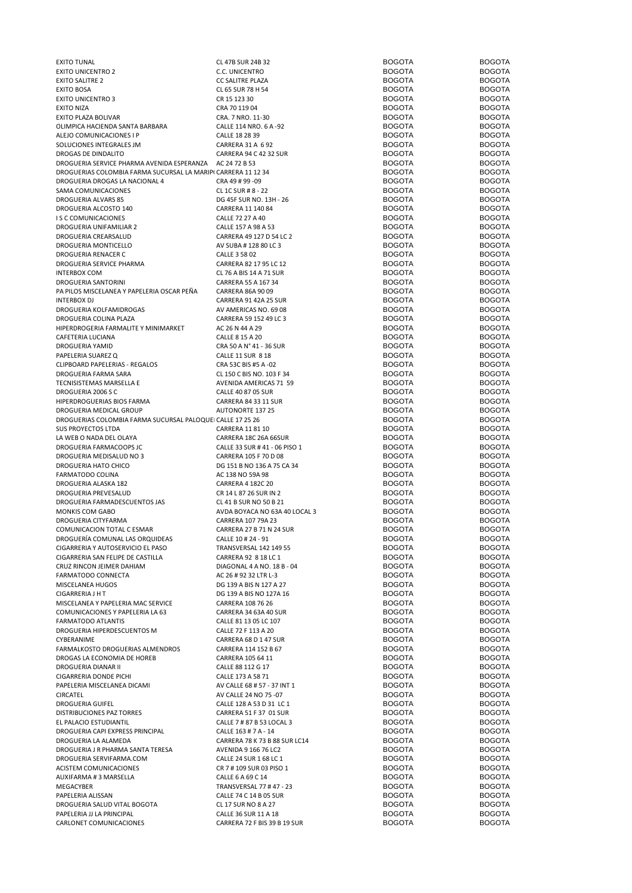| <b>EXITO TUNAL</b>                                            | CL 47B SUR 24B 32                                    | <b>BOGOTA</b>                  | <b>BOGOTA</b>                  |
|---------------------------------------------------------------|------------------------------------------------------|--------------------------------|--------------------------------|
| <b>EXITO UNICENTRO 2</b>                                      | C.C. UNICENTRO                                       | <b>BOGOTA</b>                  | <b>BOGOTA</b>                  |
| <b>EXITO SALITRE 2</b>                                        | <b>CC SALITRE PLAZA</b>                              | <b>BOGOTA</b>                  | <b>BOGOTA</b>                  |
| <b>EXITO BOSA</b>                                             | CL 65 SUR 78 H 54                                    | <b>BOGOTA</b>                  | <b>BOGOTA</b>                  |
|                                                               |                                                      |                                |                                |
| <b>EXITO UNICENTRO 3</b>                                      | CR 15 123 30                                         | <b>BOGOTA</b>                  | <b>BOGOTA</b>                  |
| <b>EXITO NIZA</b>                                             | CRA 70 119 04                                        | <b>BOGOTA</b>                  | <b>BOGOTA</b>                  |
| EXITO PLAZA BOLIVAR                                           | CRA. 7 NRO. 11-30                                    | <b>BOGOTA</b>                  | <b>BOGOTA</b>                  |
| OLIMPICA HACIENDA SANTA BARBARA                               | CALLE 114 NRO. 6 A -92                               | <b>BOGOTA</b>                  | <b>BOGOTA</b>                  |
| ALEJO COMUNICACIONES I P                                      | CALLE 18 28 39                                       | <b>BOGOTA</b>                  | <b>BOGOTA</b>                  |
| SOLUCIONES INTEGRALES JM                                      | CARRERA 31 A 692                                     | <b>BOGOTA</b>                  | <b>BOGOTA</b>                  |
|                                                               |                                                      |                                |                                |
| DROGAS DE DINDALITO                                           | CARRERA 94 C 42 32 SUR                               | <b>BOGOTA</b>                  | <b>BOGOTA</b>                  |
| DROGUERIA SERVICE PHARMA AVENIDA ESPERANZA AC 24 72 B 53      |                                                      | <b>BOGOTA</b>                  | <b>BOGOTA</b>                  |
| DROGUERIAS COLOMBIA FARMA SUCURSAL LA MARIPI CARRERA 11 12 34 |                                                      | <b>BOGOTA</b>                  | <b>BOGOTA</b>                  |
| DROGUERIA DROGAS LA NACIONAL 4                                | CRA 49 # 99 -09                                      | <b>BOGOTA</b>                  | <b>BOGOTA</b>                  |
| SAMA COMUNICACIONES                                           | CL 1C SUR # 8 - 22                                   | <b>BOGOTA</b>                  | <b>BOGOTA</b>                  |
| DROGUERIA ALVARS 85                                           | DG 45F SUR NO. 13H - 26                              | <b>BOGOTA</b>                  | <b>BOGOTA</b>                  |
|                                                               |                                                      |                                |                                |
| DROGUERIA ALCOSTO 140                                         | CARRERA 11 140 84                                    | <b>BOGOTA</b>                  | <b>BOGOTA</b>                  |
| <b>IS C COMUNICACIONES</b>                                    | CALLE 72 27 A 40                                     | <b>BOGOTA</b>                  | <b>BOGOTA</b>                  |
| DROGUERIA UNIFAMILIAR 2                                       | CALLE 157 A 98 A 53                                  | <b>BOGOTA</b>                  | <b>BOGOTA</b>                  |
| DROGUERIA CREARSALUD                                          | CARRERA 49 127 D 54 LC 2                             | <b>BOGOTA</b>                  | <b>BOGOTA</b>                  |
| DROGUERIA MONTICELLO                                          | AV SUBA #128 80 LC 3                                 | <b>BOGOTA</b>                  | <b>BOGOTA</b>                  |
| DROGUERIA RENACER C                                           | CALLE 3 58 02                                        | <b>BOGOTA</b>                  | <b>BOGOTA</b>                  |
|                                                               |                                                      |                                |                                |
| DROGUERIA SERVICE PHARMA                                      | CARRERA 82 17 95 LC 12                               | <b>BOGOTA</b>                  | <b>BOGOTA</b>                  |
| <b>INTERBOX COM</b>                                           | CL 76 A BIS 14 A 71 SUR                              | <b>BOGOTA</b>                  | <b>BOGOTA</b>                  |
| DROGUERIA SANTORINI                                           | CARRERA 55 A 167 34                                  | <b>BOGOTA</b>                  | <b>BOGOTA</b>                  |
| PA PILOS MISCELANEA Y PAPELERIA OSCAR PEÑA                    | CARRERA 86A 90 09                                    | <b>BOGOTA</b>                  | <b>BOGOTA</b>                  |
| INTERBOX DJ                                                   | CARRERA 91 42A 25 SUR                                | <b>BOGOTA</b>                  | <b>BOGOTA</b>                  |
| DROGUERIA KOLFAMIDROGAS                                       | AV AMERICAS NO. 69 08                                | <b>BOGOTA</b>                  | <b>BOGOTA</b>                  |
|                                                               |                                                      |                                |                                |
| DROGUERIA COLINA PLAZA                                        | CARRERA 59 152 49 LC 3                               | <b>BOGOTA</b>                  | <b>BOGOTA</b>                  |
| HIPERDROGERIA FARMALITE Y MINIMARKET                          | AC 26 N 44 A 29                                      | <b>BOGOTA</b>                  | <b>BOGOTA</b>                  |
| CAFETERIA LUCIANA                                             | CALLE 8 15 A 20                                      | <b>BOGOTA</b>                  | <b>BOGOTA</b>                  |
| DROGUERIA YAMID                                               | CRA 50 A N° 41 - 36 SUR                              | <b>BOGOTA</b>                  | <b>BOGOTA</b>                  |
| PAPELERIA SUAREZ Q                                            | CALLE 11 SUR 8 18                                    | <b>BOGOTA</b>                  | <b>BOGOTA</b>                  |
| CLIPBOARD PAPELERIAS - REGALOS                                |                                                      | <b>BOGOTA</b>                  | <b>BOGOTA</b>                  |
|                                                               | CRA 53C BIS #5 A -02                                 |                                |                                |
| DROGUERIA FARMA SARA                                          | CL 150 C BIS NO. 103 F 34                            | <b>BOGOTA</b>                  | <b>BOGOTA</b>                  |
| TECNISISTEMAS MARSELLA E                                      | AVENIDA AMERICAS 71 59                               | <b>BOGOTA</b>                  | <b>BOGOTA</b>                  |
| DROGUERIA 2006 S C                                            | <b>CALLE 40 87 05 SUR</b>                            | <b>BOGOTA</b>                  | <b>BOGOTA</b>                  |
| HIPERDROGUERIAS BIOS FARMA                                    | CARRERA 84 33 11 SUR                                 | <b>BOGOTA</b>                  | <b>BOGOTA</b>                  |
| DROGUERIA MEDICAL GROUP                                       | <b>AUTONORTE 137 25</b>                              | <b>BOGOTA</b>                  | <b>BOGOTA</b>                  |
|                                                               |                                                      | <b>BOGOTA</b>                  | <b>BOGOTA</b>                  |
| DROGUERIAS COLOMBIA FARMA SUCURSAL PALOQUEI CALLE 17 25 26    |                                                      |                                |                                |
| <b>SUS PROYECTOS LTDA</b>                                     | CARRERA 11 81 10                                     | <b>BOGOTA</b>                  | <b>BOGOTA</b>                  |
| LA WEB O NADA DEL OLAYA                                       | CARRERA 18C 26A 66SUR                                | <b>BOGOTA</b>                  | <b>BOGOTA</b>                  |
| DROGUERIA FARMACOOPS JC                                       | CALLE 33 SUR # 41 - 06 PISO 1                        | <b>BOGOTA</b>                  | <b>BOGOTA</b>                  |
| DROGUERIA MEDISALUD NO 3                                      | CARRERA 105 F 70 D 08                                | <b>BOGOTA</b>                  | <b>BOGOTA</b>                  |
| DROGUERIA HATO CHICO                                          | DG 151 B NO 136 A 75 CA 34                           | <b>BOGOTA</b>                  | <b>BOGOTA</b>                  |
| FARMATODO COLINA                                              | AC 138 NO 59A 98                                     | <b>BOGOTA</b>                  | <b>BOGOTA</b>                  |
|                                                               |                                                      |                                |                                |
| DROGUERIA ALASKA 182                                          | CARRERA 4 182C 20                                    | <b>BOGOTA</b>                  | <b>BOGOTA</b>                  |
| DROGUERIA PREVESALUD                                          | CR 14 L 87 26 SUR IN 2                               | <b>BOGOTA</b>                  | <b>BOGOTA</b>                  |
| DROGUERIA FARMADESCUENTOS JAS                                 | CL 41 B SUR NO 50 B 21                               | <b>BOGOTA</b>                  | <b>BOGOTA</b>                  |
| MONKIS COM GABO                                               | AVDA BOYACA NO 63A 40 LOCAL 3                        | <b>BOGOTA</b>                  | <b>BOGOTA</b>                  |
| DROGUERIA CITYFARMA                                           | CARRERA 107 79A 23                                   | <b>BOGOTA</b>                  | <b>BOGOTA</b>                  |
| COMUNICACION TOTAL C ESMAR                                    | CARRERA 27 B 71 N 24 SUR                             | <b>BOGOTA</b>                  | <b>BOGOTA</b>                  |
|                                                               |                                                      |                                |                                |
| DROGUERÍA COMUNAL LAS ORQUIDEAS                               | CALLE 10 # 24 - 91                                   | <b>BOGOTA</b>                  | <b>BOGOTA</b>                  |
| CIGARRERIA Y AUTOSERVICIO EL PASO                             | <b>TRANSVERSAL 142 149 55</b>                        | <b>BOGOTA</b>                  | <b>BOGOTA</b>                  |
| CIGARRERIA SAN FELIPE DE CASTILLA                             | CARRERA 92 8 18 LC 1                                 | <b>BOGOTA</b>                  | <b>BOGOTA</b>                  |
| CRUZ RINCON JEIMER DAHIAM                                     | DIAGONAL 4 A NO. 18 B - 04                           | <b>BOGOTA</b>                  | <b>BOGOTA</b>                  |
| FARMATODO CONNECTA                                            | AC 26 # 92 32 LTR L-3                                | <b>BOGOTA</b>                  | <b>BOGOTA</b>                  |
| MISCELANEA HUGOS                                              | DG 139 A BIS N 127 A 27                              | <b>BOGOTA</b>                  | <b>BOGOTA</b>                  |
|                                                               |                                                      |                                |                                |
| CIGARRERIA J H T                                              | DG 139 A BIS NO 127A 16                              | <b>BOGOTA</b>                  | <b>BOGOTA</b>                  |
| MISCELANEA Y PAPELERIA MAC SERVICE                            | CARRERA 108 76 26                                    | <b>BOGOTA</b>                  | <b>BOGOTA</b>                  |
| COMUNICACIONES Y PAPELERIA LA 63                              | CARRERA 34 63A 40 SUR                                | <b>BOGOTA</b>                  | <b>BOGOTA</b>                  |
| <b>FARMATODO ATLANTIS</b>                                     | CALLE 81 13 05 LC 107                                | <b>BOGOTA</b>                  | <b>BOGOTA</b>                  |
| DROGUERIA HIPERDESCUENTOS M                                   | CALLE 72 F 113 A 20                                  | <b>BOGOTA</b>                  | <b>BOGOTA</b>                  |
| CYBERANIME                                                    | CARRERA 68 D 1 47 SUR                                | <b>BOGOTA</b>                  | <b>BOGOTA</b>                  |
| <b>FARMALKOSTO DROGUERIAS ALMENDROS</b>                       |                                                      |                                |                                |
|                                                               | CARRERA 114 152 B 67                                 | <b>BOGOTA</b>                  | <b>BOGOTA</b>                  |
| DROGAS LA ECONOMIA DE HOREB                                   | CARRERA 105 64 11                                    | <b>BOGOTA</b>                  | <b>BOGOTA</b>                  |
| DROGUERIA DIANAR II                                           | CALLE 88 112 G 17                                    | <b>BOGOTA</b>                  | <b>BOGOTA</b>                  |
| CIGARRERIA DONDE PICHI                                        | CALLE 173 A 58 71                                    | <b>BOGOTA</b>                  | <b>BOGOTA</b>                  |
| PAPELERIA MISCELANEA DICAMI                                   | AV CALLE 68 # 57 - 37 INT 1                          | <b>BOGOTA</b>                  | <b>BOGOTA</b>                  |
| CIRCATEL                                                      | AV CALLE 24 NO 75 -07                                | <b>BOGOTA</b>                  | <b>BOGOTA</b>                  |
|                                                               |                                                      |                                |                                |
| <b>DROGUERIA GUIFEL</b>                                       | CALLE 128 A 53 D 31 LC 1                             | <b>BOGOTA</b>                  | <b>BOGOTA</b>                  |
| DISTRIBUCIONES PAZ TORRES                                     | CARRERA 51 F 37 01 SUR                               | <b>BOGOTA</b>                  | <b>BOGOTA</b>                  |
| EL PALACIO ESTUDIANTIL                                        | CALLE 7 # 87 B 53 LOCAL 3                            | <b>BOGOTA</b>                  | <b>BOGOTA</b>                  |
| DROGUERIA CAPI EXPRESS PRINCIPAL                              | CALLE 163 # 7 A - 14                                 | <b>BOGOTA</b>                  | <b>BOGOTA</b>                  |
| DROGUERIA LA ALAMEDA                                          | CARRERA 78 K 73 B 88 SUR LC14                        | <b>BOGOTA</b>                  | <b>BOGOTA</b>                  |
| DROGUERIA J R PHARMA SANTA TERESA                             | AVENIDA 9 166 76 LC2                                 | <b>BOGOTA</b>                  | <b>BOGOTA</b>                  |
|                                                               |                                                      |                                |                                |
| DROGUERIA SERVIFARMA.COM                                      | CALLE 24 SUR 1 68 LC 1                               | <b>BOGOTA</b>                  | <b>BOGOTA</b>                  |
| ACISTEM COMUNICACIONES                                        | CR 7 # 109 SUR 03 PISO 1                             | <b>BOGOTA</b>                  | <b>BOGOTA</b>                  |
| AUXIFARMA #3 MARSELLA                                         |                                                      | <b>BOGOTA</b>                  | <b>BOGOTA</b>                  |
|                                                               | CALLE 6 A 69 C 14                                    |                                |                                |
| MEGACYBER                                                     | TRANSVERSAL 77 #47 - 23                              | <b>BOGOTA</b>                  |                                |
|                                                               |                                                      |                                | <b>BOGOTA</b>                  |
| PAPELERIA ALISSAN                                             | CALLE 74 C 14 B 05 SUR                               | <b>BOGOTA</b>                  | <b>BOGOTA</b>                  |
| DROGUERIA SALUD VITAL BOGOTA                                  | CL 17 SUR NO 8 A 27                                  | <b>BOGOTA</b>                  | <b>BOGOTA</b>                  |
| PAPELERIA JJ LA PRINCIPAL<br>CARLONET COMUNICACIONES          | CALLE 36 SUR 11 A 18<br>CARRERA 72 F BIS 39 B 19 SUR | <b>BOGOTA</b><br><b>BOGOTA</b> | <b>BOGOTA</b><br><b>BOGOTA</b> |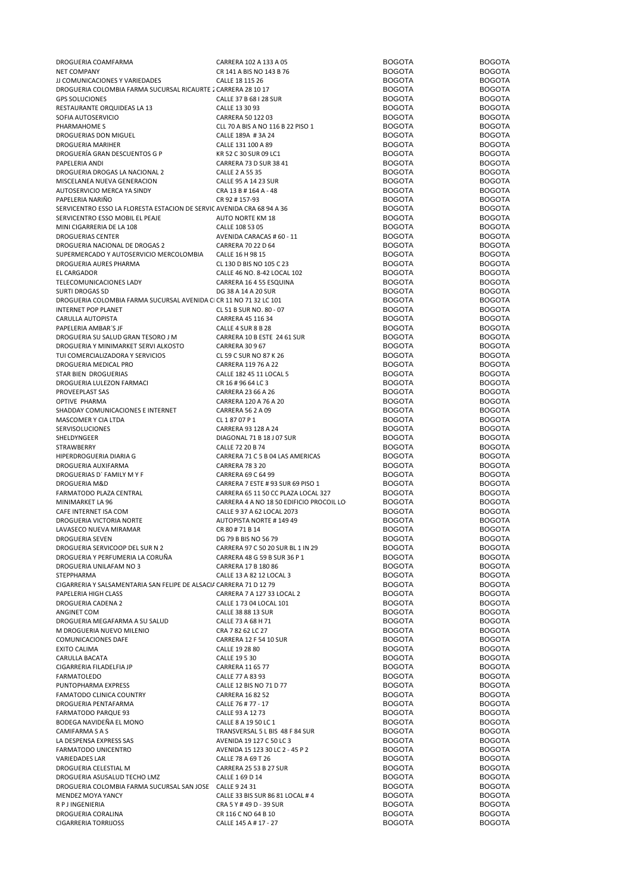| DROGUERIA COAMFARMA                                                    | CARRERA 102 A 133 A 05                       | <b>BOGOTA</b>                  | <b>BOGOTA</b>                  |
|------------------------------------------------------------------------|----------------------------------------------|--------------------------------|--------------------------------|
| <b>NET COMPANY</b>                                                     | CR 141 A BIS NO 143 B 76                     | <b>BOGOTA</b>                  | <b>BOGOTA</b>                  |
| JJ COMUNICACIONES Y VARIEDADES                                         | CALLE 18 115 26                              | <b>BOGOTA</b>                  | <b>BOGOTA</b>                  |
| DROGUERIA COLOMBIA FARMA SUCURSAL RICAURTE 2 CARRERA 28 10 17          |                                              | <b>BOGOTA</b>                  | <b>BOGOTA</b>                  |
|                                                                        |                                              |                                |                                |
| <b>GPS SOLUCIONES</b>                                                  | CALLE 37 B 68 I 28 SUR                       | <b>BOGOTA</b>                  | <b>BOGOTA</b>                  |
| RESTAURANTE ORQUIDEAS LA 13                                            | CALLE 13 30 93                               | <b>BOGOTA</b>                  | <b>BOGOTA</b>                  |
| SOFIA AUTOSERVICIO                                                     | CARRERA 50 122 03                            | <b>BOGOTA</b>                  | <b>BOGOTA</b>                  |
| PHARMAHOME S                                                           | CLL 70 A BIS A NO 116 B 22 PISO 1            | <b>BOGOTA</b>                  | <b>BOGOTA</b>                  |
| DROGUERIAS DON MIGUEL                                                  | CALLE 189A #3A 24                            | <b>BOGOTA</b>                  | <b>BOGOTA</b>                  |
| DROGUERIA MARIHER                                                      | CALLE 131 100 A 89                           | <b>BOGOTA</b>                  | <b>BOGOTA</b>                  |
|                                                                        |                                              |                                |                                |
| DROGUERÍA GRAN DESCUENTOS G P                                          | KR 52 C 30 SUR 09 LC1                        | <b>BOGOTA</b>                  | <b>BOGOTA</b>                  |
| PAPELERIA ANDI                                                         | CARRERA 73 D SUR 38 41                       | <b>BOGOTA</b>                  | <b>BOGOTA</b>                  |
| DROGUERIA DROGAS LA NACIONAL 2                                         | CALLE 2 A 55 35                              | <b>BOGOTA</b>                  | <b>BOGOTA</b>                  |
| MISCELANEA NUEVA GENERACION                                            | CALLE 95 A 14 23 SUR                         | <b>BOGOTA</b>                  | <b>BOGOTA</b>                  |
| AUTOSERVICIO MERCA YA SINDY                                            | CRA 13 B # 164 A - 48                        | <b>BOGOTA</b>                  | <b>BOGOTA</b>                  |
| PAPELERIA NARIÑO                                                       | CR 92 # 157-93                               | <b>BOGOTA</b>                  | <b>BOGOTA</b>                  |
|                                                                        |                                              |                                |                                |
| SERVICENTRO ESSO LA FLORESTA ESTACION DE SERVIC AVENIDA CRA 68 94 A 36 |                                              | <b>BOGOTA</b>                  | <b>BOGOTA</b>                  |
| SERVICENTRO ESSO MOBIL EL PEAJE                                        | AUTO NORTE KM 18                             | <b>BOGOTA</b>                  | <b>BOGOTA</b>                  |
| MINI CIGARRERIA DE LA 108                                              | CALLE 108 53 05                              | <b>BOGOTA</b>                  | <b>BOGOTA</b>                  |
| DROGUERIAS CENTER                                                      | AVENIDA CARACAS # 60 - 11                    | <b>BOGOTA</b>                  | <b>BOGOTA</b>                  |
| DROGUERIA NACIONAL DE DROGAS 2                                         | CARRERA 70 22 D 64                           | <b>BOGOTA</b>                  | <b>BOGOTA</b>                  |
|                                                                        |                                              |                                |                                |
| SUPERMERCADO Y AUTOSERVICIO MERCOLOMBIA                                | CALLE 16 H 98 15                             | <b>BOGOTA</b>                  | <b>BOGOTA</b>                  |
| DROGUERIA AURES PHARMA                                                 | CL 130 D BIS NO 105 C 23                     | <b>BOGOTA</b>                  | <b>BOGOTA</b>                  |
| EL CARGADOR                                                            | CALLE 46 NO. 8-42 LOCAL 102                  | <b>BOGOTA</b>                  | <b>BOGOTA</b>                  |
| TELECOMUNICACIONES LADY                                                | CARRERA 16 4 55 ESQUINA                      | <b>BOGOTA</b>                  | <b>BOGOTA</b>                  |
| <b>SURTI DROGAS SD</b>                                                 | DG 38 A 14 A 20 SUR                          | <b>BOGOTA</b>                  | <b>BOGOTA</b>                  |
| DROGUERIA COLOMBIA FARMA SUCURSAL AVENIDA CI CR 11 NO 71 32 LC 101     |                                              | <b>BOGOTA</b>                  | <b>BOGOTA</b>                  |
|                                                                        |                                              |                                |                                |
| <b>INTERNET POP PLANET</b>                                             | CL 51 B SUR NO. 80 - 07                      | <b>BOGOTA</b>                  | <b>BOGOTA</b>                  |
| CARULLA AUTOPISTA                                                      | CARRERA 45 116 34                            | <b>BOGOTA</b>                  | <b>BOGOTA</b>                  |
| PAPELERIA AMBAR'S JF                                                   | CALLE 4 SUR 8 B 28                           | <b>BOGOTA</b>                  | <b>BOGOTA</b>                  |
| DROGUERIA SU SALUD GRAN TESORO J M                                     | CARRERA 10 B ESTE 24 61 SUR                  | <b>BOGOTA</b>                  | <b>BOGOTA</b>                  |
|                                                                        |                                              | <b>BOGOTA</b>                  | <b>BOGOTA</b>                  |
| DROGUERIA Y MINIMARKET SERVI ALKOSTO                                   | CARRERA 30967                                |                                |                                |
| TUI COMERCIALIZADORA Y SERVICIOS                                       | CL 59 C SUR NO 87 K 26                       | <b>BOGOTA</b>                  | <b>BOGOTA</b>                  |
| DROGUERIA MEDICAL PRO                                                  | CARRERA 119 76 A 22                          | <b>BOGOTA</b>                  | <b>BOGOTA</b>                  |
| STAR BIEN DROGUERIAS                                                   | CALLE 182 45 11 LOCAL 5                      | <b>BOGOTA</b>                  | <b>BOGOTA</b>                  |
| DROGUERIA LULEZON FARMACI                                              | CR 16 # 96 64 LC 3                           | <b>BOGOTA</b>                  | <b>BOGOTA</b>                  |
| PROVEEPLAST SAS                                                        | CARRERA 23 66 A 26                           | <b>BOGOTA</b>                  | <b>BOGOTA</b>                  |
|                                                                        |                                              |                                |                                |
| OPTIVE PHARMA                                                          | CARRERA 120 A 76 A 20                        | <b>BOGOTA</b>                  | <b>BOGOTA</b>                  |
| SHADDAY COMUNICACIONES E INTERNET                                      | CARRERA 56 2 A 09                            | <b>BOGOTA</b>                  | <b>BOGOTA</b>                  |
| MASCOMER Y CIA LTDA                                                    | CL 18707P1                                   | <b>BOGOTA</b>                  | <b>BOGOTA</b>                  |
| SERVISOLUCIONES                                                        | CARRERA 93 128 A 24                          | <b>BOGOTA</b>                  | <b>BOGOTA</b>                  |
| SHELDYNGEER                                                            | DIAGONAL 71 B 18 J 07 SUR                    | <b>BOGOTA</b>                  | <b>BOGOTA</b>                  |
|                                                                        |                                              | <b>BOGOTA</b>                  | <b>BOGOTA</b>                  |
| STRAWBERRY                                                             | CALLE 72 20 B 74                             |                                |                                |
| HIPERDROGUERIA DIARIA G                                                | CARRERA 71 C 5 B 04 LAS AMERICAS             | <b>BOGOTA</b>                  | <b>BOGOTA</b>                  |
| DROGUERIA AUXIFARMA                                                    | <b>CARRERA 78 3 20</b>                       | <b>BOGOTA</b>                  | <b>BOGOTA</b>                  |
| DROGUERIAS D' FAMILY MY F                                              | CARRERA 69 C 64 99                           | <b>BOGOTA</b>                  | <b>BOGOTA</b>                  |
| DROGUERIA M&D                                                          | CARRERA 7 ESTE # 93 SUR 69 PISO 1            | <b>BOGOTA</b>                  | <b>BOGOTA</b>                  |
| FARMATODO PLAZA CENTRAL                                                | CARRERA 65 11 50 CC PLAZA LOCAL 327          | <b>BOGOTA</b>                  | <b>BOGOTA</b>                  |
|                                                                        |                                              |                                |                                |
| MINIMARKET LA 96                                                       | CARRERA 4 A NO 18 50 EDIFICIO PROCOIL LO     | <b>BOGOTA</b>                  | <b>BOGOTA</b>                  |
| CAFE INTERNET ISA COM                                                  | CALLE 9 37 A 62 LOCAL 2073                   | <b>BOGOTA</b>                  | <b>BOGOTA</b>                  |
| DROGUERIA VICTORIA NORTE                                               | <b>AUTOPISTA NORTE #14949</b>                | <b>BOGOTA</b>                  | <b>BOGOTA</b>                  |
| LAVASECO NUEVA MIRAMAR                                                 | CR 80 # 71 B 14                              | <b>BOGOTA</b>                  | <b>BOGOTA</b>                  |
| <b>DROGUERIA SEVEN</b>                                                 | DG 79 B BIS NO 56 79                         | <b>BOGOTA</b>                  | <b>BOGOTA</b>                  |
|                                                                        | CARRERA 97 C 50 20 SUR BL 1 IN 29            | <b>BOGOTA</b>                  | <b>BOGOTA</b>                  |
| DROGUERIA SERVICOOP DEL SUR N 2                                        |                                              |                                |                                |
| DROGUERIA Y PERFUMERIA LA CORUÑA                                       | CARRERA 48 G 59 B SUR 36 P 1                 | <b>BOGOTA</b>                  | <b>BOGOTA</b>                  |
| DROGUERIA UNILAFAM NO 3                                                | CARRERA 17 B 180 86                          | <b>BOGOTA</b>                  | <b>BOGOTA</b>                  |
| STEPPHARMA                                                             | CALLE 13 A 82 12 LOCAL 3                     | <b>BOGOTA</b>                  | <b>BOGOTA</b>                  |
| CIGARRERIA Y SALSAMENTARIA SAN FELIPE DE ALSACI/ CARRERA 71 D 12 79    |                                              | <b>BOGOTA</b>                  | <b>BOGOTA</b>                  |
| PAPELERIA HIGH CLASS                                                   | CARRERA 7 A 127 33 LOCAL 2                   | <b>BOGOTA</b>                  | <b>BOGOTA</b>                  |
|                                                                        |                                              |                                |                                |
| DROGUERIA CADENA 2                                                     | CALLE 1 73 04 LOCAL 101                      | <b>BOGOTA</b>                  | <b>BOGOTA</b>                  |
| ANGINET COM                                                            | CALLE 38 88 13 SUR                           | <b>BOGOTA</b>                  | <b>BOGOTA</b>                  |
| DROGUERIA MEGAFARMA A SU SALUD                                         | CALLE 73 A 68 H 71                           | <b>BOGOTA</b>                  | <b>BOGOTA</b>                  |
| M DROGUERIA NUEVO MILENIO                                              | CRA 7 82 62 LC 27                            | <b>BOGOTA</b>                  | <b>BOGOTA</b>                  |
| <b>COMUNICACIONES DAFE</b>                                             | <b>CARRERA 12 F 54 10 SUR</b>                | <b>BOGOTA</b>                  | <b>BOGOTA</b>                  |
| <b>EXITO CALIMA</b>                                                    | CALLE 19 28 80                               | <b>BOGOTA</b>                  | <b>BOGOTA</b>                  |
|                                                                        |                                              |                                |                                |
| CARULLA BACATA                                                         | CALLE 19 5 30                                | <b>BOGOTA</b>                  | <b>BOGOTA</b>                  |
| CIGARRERIA FILADELFIA JP                                               | CARRERA 11 65 77                             | <b>BOGOTA</b>                  | <b>BOGOTA</b>                  |
| <b>FARMATOLEDO</b>                                                     | CALLE 77 A 83 93                             | <b>BOGOTA</b>                  | <b>BOGOTA</b>                  |
| PUNTOPHARMA EXPRESS                                                    | CALLE 12 BIS NO 71 D 77                      | <b>BOGOTA</b>                  | <b>BOGOTA</b>                  |
| FAMATODO CLINICA COUNTRY                                               | <b>CARRERA 16 82 52</b>                      | <b>BOGOTA</b>                  | <b>BOGOTA</b>                  |
| DROGUERIA PENTAFARMA                                                   | CALLE 76 # 77 - 17                           | <b>BOGOTA</b>                  | <b>BOGOTA</b>                  |
|                                                                        |                                              |                                |                                |
| FARMATODO PARQUE 93                                                    | CALLE 93 A 12 73                             | <b>BOGOTA</b>                  | <b>BOGOTA</b>                  |
| BODEGA NAVIDEÑA EL MONO                                                | CALLE 8 A 19 50 LC 1                         | <b>BOGOTA</b>                  | <b>BOGOTA</b>                  |
| CAMIFARMA S A S                                                        | TRANSVERSAL 5 L BIS 48 F 84 SUR              | <b>BOGOTA</b>                  | <b>BOGOTA</b>                  |
| LA DESPENSA EXPRESS SAS                                                | AVENIDA 19 127 C 50 LC 3                     | <b>BOGOTA</b>                  | <b>BOGOTA</b>                  |
| FARMATODO UNICENTRO                                                    |                                              | <b>BOGOTA</b>                  | <b>BOGOTA</b>                  |
|                                                                        |                                              |                                |                                |
|                                                                        | AVENIDA 15 123 30 LC 2 - 45 P 2              |                                |                                |
| <b>VARIEDADES LAR</b>                                                  | CALLE 78 A 69 T 26                           | <b>BOGOTA</b>                  | <b>BOGOTA</b>                  |
| DROGUERIA CELESTIAL M                                                  | <b>CARRERA 25 53 B 27 SUR</b>                | <b>BOGOTA</b>                  | <b>BOGOTA</b>                  |
| DROGUERIA ASUSALUD TECHO LMZ                                           | CALLE 1 69 D 14                              | <b>BOGOTA</b>                  | <b>BOGOTA</b>                  |
| DROGUERIA COLOMBIA FARMA SUCURSAL SAN JOSE CALLE 9 24 31               |                                              | <b>BOGOTA</b>                  | <b>BOGOTA</b>                  |
|                                                                        |                                              |                                |                                |
| MENDEZ MOYA YANCY                                                      | CALLE 33 BIS SUR 86 81 LOCAL # 4             | <b>BOGOTA</b>                  | <b>BOGOTA</b>                  |
| R P J INGENIERIA                                                       | CRA 5 Y # 49 D - 39 SUR                      | <b>BOGOTA</b>                  | <b>BOGOTA</b>                  |
| DROGUERIA CORALINA<br><b>CIGARRERIA TORRIJOSS</b>                      | CR 116 C NO 64 B 10<br>CALLE 145 A # 17 - 27 | <b>BOGOTA</b><br><b>BOGOTA</b> | <b>BOGOTA</b><br><b>BOGOTA</b> |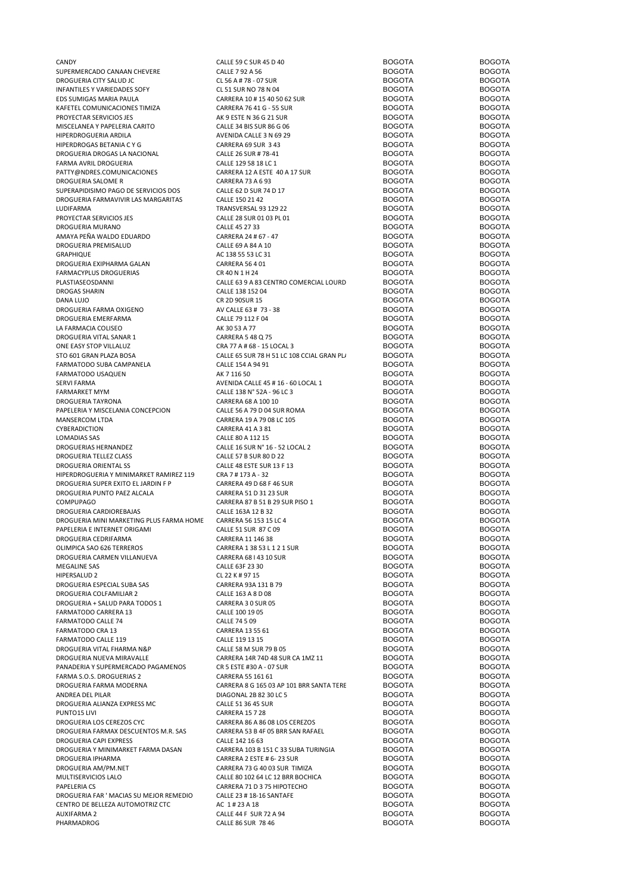| CANDY                                    | CALLE 59 C SUR 45 D 40                     | <b>BOGOTA</b> | <b>BOGOTA</b> |
|------------------------------------------|--------------------------------------------|---------------|---------------|
| SUPERMERCADO CANAAN CHEVERE              | CALLE 7 92 A 56                            | <b>BOGOTA</b> | <b>BOGOTA</b> |
| DROGUERIA CITY SALUD JC                  | CL 56 A # 78 - 07 SUR                      | <b>BOGOTA</b> | <b>BOGOTA</b> |
| INFANTILES Y VARIEDADES SOFY             | CL 51 SUR NO 78 N 04                       | <b>BOGOTA</b> | <b>BOGOTA</b> |
| EDS SUMIGAS MARIA PAULA                  | CARRERA 10 # 15 40 50 62 SUR               | <b>BOGOTA</b> | <b>BOGOTA</b> |
| KAFETEL COMUNICACIONES TIMIZA            | CARRERA 76 41 G - 55 SUR                   | <b>BOGOTA</b> | <b>BOGOTA</b> |
| PROYECTAR SERVICIOS JES                  | AK 9 ESTE N 36 G 21 SUR                    | <b>BOGOTA</b> | <b>BOGOTA</b> |
| MISCELANEA Y PAPELERIA CARITO            | CALLE 34 BIS SUR 86 G 06                   | <b>BOGOTA</b> | <b>BOGOTA</b> |
| HIPERDROGUERIA ARDILA                    | AVENIDA CALLE 3 N 69 29                    | <b>BOGOTA</b> | <b>BOGOTA</b> |
| HIPERDROGAS BETANIA C Y G                | CARRERA 69 SUR 3 43                        | <b>BOGOTA</b> | <b>BOGOTA</b> |
| DROGUERIA DROGAS LA NACIONAL             | CALLE 26 SUR # 78-41                       | <b>BOGOTA</b> | <b>BOGOTA</b> |
| FARMA AVRIL DROGUERIA                    | CALLE 129 58 18 LC 1                       | <b>BOGOTA</b> | <b>BOGOTA</b> |
| PATTY@NDRES.COMUNICACIONES               | CARRERA 12 A ESTE 40 A 17 SUR              | <b>BOGOTA</b> | <b>BOGOTA</b> |
| DROGUERIA SALOME R                       | <b>CARRERA 73 A 6 93</b>                   | <b>BOGOTA</b> | <b>BOGOTA</b> |
| SUPERAPIDISIMO PAGO DE SERVICIOS DOS     | CALLE 62 D SUR 74 D 17                     | <b>BOGOTA</b> | <b>BOGOTA</b> |
| DROGUERIA FARMAVIVIR LAS MARGARITAS      | CALLE 150 21 42                            | <b>BOGOTA</b> | <b>BOGOTA</b> |
| LUDIFARMA                                | TRANSVERSAL 93 129 22                      | <b>BOGOTA</b> | <b>BOGOTA</b> |
| PROYECTAR SERVICIOS JES                  | CALLE 28 SUR 01 03 PL 01                   | <b>BOGOTA</b> | <b>BOGOTA</b> |
| DROGUERIA MURANO                         | CALLE 45 27 33                             | <b>BOGOTA</b> | <b>BOGOTA</b> |
| AMAYA PEÑA WALDO EDUARDO                 | CARRERA 24 # 67 - 47                       | <b>BOGOTA</b> | <b>BOGOTA</b> |
| DROGUERIA PREMISALUD                     | CALLE 69 A 84 A 10                         | <b>BOGOTA</b> | <b>BOGOTA</b> |
| GRAPHIQUE                                | AC 138 55 53 LC 31                         | <b>BOGOTA</b> | <b>BOGOTA</b> |
| DROGUERIA EXIPHARMA GALAN                | <b>CARRERA 56 4 01</b>                     | <b>BOGOTA</b> | <b>BOGOTA</b> |
| FARMACYPLUS DROGUERIAS                   | CR 40 N 1 H 24                             | <b>BOGOTA</b> | <b>BOGOTA</b> |
| PLASTIASEOSDANNI                         | CALLE 63 9 A 83 CENTRO COMERCIAL LOURD     | <b>BOGOTA</b> | <b>BOGOTA</b> |
| <b>DROGAS SHARIN</b>                     | CALLE 138 152 04                           | <b>BOGOTA</b> | <b>BOGOTA</b> |
| DANA LUJO                                | CR 2D 90SUR 15                             | <b>BOGOTA</b> | <b>BOGOTA</b> |
| DROGUERIA FARMA OXIGENO                  | AV CALLE 63 # 73 - 38                      | <b>BOGOTA</b> | <b>BOGOTA</b> |
| DROGUERIA EMERFARMA                      | CALLE 79 112 F 04                          | <b>BOGOTA</b> | <b>BOGOTA</b> |
| LA FARMACIA COLISEO                      | AK 30 53 A 77                              | <b>BOGOTA</b> | <b>BOGOTA</b> |
| DROGUERIA VITAL SANAR 1                  | CARRERA 5 48 Q 75                          | <b>BOGOTA</b> | <b>BOGOTA</b> |
| ONE EASY STOP VILLALUZ                   | CRA 77 A # 68 - 15 LOCAL 3                 | <b>BOGOTA</b> | <b>BOGOTA</b> |
| STO 601 GRAN PLAZA BOSA                  | CALLE 65 SUR 78 H 51 LC 108 CCIAL GRAN PL/ | <b>BOGOTA</b> | <b>BOGOTA</b> |
| FARMATODO SUBA CAMPANELA                 | CALLE 154 A 94 91                          | <b>BOGOTA</b> | <b>BOGOTA</b> |
| FARMATODO USAQUEN                        | AK 7 116 50                                | <b>BOGOTA</b> | <b>BOGOTA</b> |
|                                          |                                            | <b>BOGOTA</b> | <b>BOGOTA</b> |
| SERVI FARMA                              | AVENIDA CALLE 45 # 16 - 60 LOCAL 1         | <b>BOGOTA</b> | <b>BOGOTA</b> |
| FARMARKET MYM                            | CALLE 138 N° 52A - 96 LC 3                 | <b>BOGOTA</b> | <b>BOGOTA</b> |
| DROGUERIA TAYRONA                        | CARRERA 68 A 100 10                        |               |               |
| PAPELERIA Y MISCELANIA CONCEPCION        | CALLE 56 A 79 D 04 SUR ROMA                | <b>BOGOTA</b> | <b>BOGOTA</b> |
| MANSERCOM LTDA                           | CARRERA 19 A 79 08 LC 105                  | <b>BOGOTA</b> | <b>BOGOTA</b> |
| CYBERADICTION                            | CARRERA 41 A 3 81                          | <b>BOGOTA</b> | <b>BOGOTA</b> |
| LOMADIAS SAS                             | CALLE 80 A 112 15                          | <b>BOGOTA</b> | <b>BOGOTA</b> |
| DROGUERIAS HERNANDEZ                     | CALLE 16 SUR N° 16 - 52 LOCAL 2            | <b>BOGOTA</b> | <b>BOGOTA</b> |
| DROGUERIA TELLEZ CLASS                   | CALLE 57 B SUR 80 D 22                     | <b>BOGOTA</b> | <b>BOGOTA</b> |
| <b>DROGUERIA ORIENTAL SS</b>             | CALLE 48 ESTE SUR 13 F 13                  | <b>BOGOTA</b> | <b>BOGOTA</b> |
| HIPERDROGUERIA Y MINIMARKET RAMIREZ 119  | CRA 7 # 173 A - 32                         | <b>BOGOTA</b> | <b>BOGOTA</b> |
| DROGUERIA SUPER EXITO EL JARDIN F P      | CARRERA 49 D 68 F 46 SUR                   | <b>BOGOTA</b> | <b>BOGOTA</b> |
| DROGUERIA PUNTO PAEZ ALCALA              | CARRERA 51 D 31 23 SUR                     | <b>BOGOTA</b> | <b>BOGOTA</b> |
| <b>COMPUPAGO</b>                         | CARRERA 87 B 51 B 29 SUR PISO 1            | <b>BOGOTA</b> | <b>BOGOTA</b> |
| DROGUERIA CARDIOREBAJAS                  | CALLE 163A 12 B 32                         | <b>BOGOTA</b> | <b>BOGOTA</b> |
| DROGUERIA MINI MARKETING PLUS FARMA HOME | CARRERA 56 153 15 LC 4                     | <b>BOGOTA</b> | <b>BOGOTA</b> |
| PAPELERIA E INTERNET ORIGAMI             | CALLE 51 SUR 87 C 09                       | <b>BOGOTA</b> | <b>BOGOTA</b> |
| DROGUERIA CEDRIFARMA                     | CARRERA 11 146 38                          | <b>BOGOTA</b> | <b>BOGOTA</b> |
| OLIMPICA SAO 626 TERREROS                | CARRERA 1 38 53 L 1 2 1 SUR                | <b>BOGOTA</b> | <b>BOGOTA</b> |
| DROGUERIA CARMEN VILLANUEVA              | CARRERA 68   43 10 SUR                     | <b>BOGOTA</b> | <b>BOGOTA</b> |
| MEGALINE SAS                             | CALLE 63F 23 30                            | <b>BOGOTA</b> | <b>BOGOTA</b> |
| HIPERSALUD 2                             | CL 22 K # 97 15                            | <b>BOGOTA</b> | <b>BOGOTA</b> |
| DROGUERIA ESPECIAL SUBA SAS              | CARRERA 93A 131 B 79                       | <b>BOGOTA</b> | <b>BOGOTA</b> |
| DROGUERIA COLFAMILIAR 2                  | CALLE 163 A 8 D 08                         | <b>BOGOTA</b> | <b>BOGOTA</b> |
| DROGUERIA + SALUD PARA TODOS 1           | CARRERA 3 0 SUR 05                         | <b>BOGOTA</b> | <b>BOGOTA</b> |
| FARMATODO CARRERA 13                     | CALLE 100 19 05                            | <b>BOGOTA</b> | <b>BOGOTA</b> |
| FARMATODO CALLE 74                       | CALLE 74 5 09                              | <b>BOGOTA</b> | <b>BOGOTA</b> |
| FARMATODO CRA 13                         | CARRERA 13 55 61                           | <b>BOGOTA</b> | <b>BOGOTA</b> |
| FARMATODO CALLE 119                      | CALLE 119 13 15                            | <b>BOGOTA</b> | <b>BOGOTA</b> |
| DROGUERIA VITAL FHARMA N&P               | CALLE 58 M SUR 79 B 05                     | <b>BOGOTA</b> | <b>BOGOTA</b> |
| DROGUERIA NUEVA MIRAVALLE                | CARRERA 14R 74D 48 SUR CA 1MZ 11           | <b>BOGOTA</b> | <b>BOGOTA</b> |
| PANADERIA Y SUPERMERCADO PAGAMENOS       | CR 5 ESTE #30 A - 07 SUR                   | <b>BOGOTA</b> | <b>BOGOTA</b> |
| FARMA S.O.S. DROGUERIAS 2                | CARRERA 55 161 61                          | <b>BOGOTA</b> | <b>BOGOTA</b> |
|                                          |                                            | <b>BOGOTA</b> | <b>BOGOTA</b> |
| DROGUERIA FARMA MODERNA                  | CARRERA 8 G 165 03 AP 101 BRR SANTA TERE   | <b>BOGOTA</b> | <b>BOGOTA</b> |
| ANDREA DEL PILAR                         | DIAGONAL 2B 82 30 LC 5                     |               |               |
| DROGUERIA ALIANZA EXPRESS MC             | <b>CALLE 51 36 45 SUR</b>                  | <b>BOGOTA</b> | <b>BOGOTA</b> |
| PUNTO15 LIVI                             | <b>CARRERA 15 7 28</b>                     | <b>BOGOTA</b> | <b>BOGOTA</b> |
| DROGUERIA LOS CEREZOS CYC                | CARRERA 86 A 86 08 LOS CEREZOS             | <b>BOGOTA</b> | <b>BOGOTA</b> |
| DROGUERIA FARMAX DESCUENTOS M.R. SAS     | CARRERA 53 B 4F 05 BRR SAN RAFAEL          | <b>BOGOTA</b> | <b>BOGOTA</b> |
| DROGUERIA CAPI EXPRESS                   | CALLE 142 16 63                            | <b>BOGOTA</b> | <b>BOGOTA</b> |
| DROGUERIA Y MINIMARKET FARMA DASAN       | CARRERA 103 B 151 C 33 SUBA TURINGIA       | <b>BOGOTA</b> | <b>BOGOTA</b> |
| DROGUERIA IPHARMA                        | CARRERA 2 ESTE # 6-23 SUR                  | <b>BOGOTA</b> | <b>BOGOTA</b> |
| DROGUERIA AM/PM.NET                      | CARRERA 73 G 40 03 SUR TIMIZA              | <b>BOGOTA</b> | <b>BOGOTA</b> |
| MULTISERVICIOS LALO                      | CALLE 80 102 64 LC 12 BRR BOCHICA          | <b>BOGOTA</b> | <b>BOGOTA</b> |
| PAPELERIA CS                             | CARRERA 71 D 3 75 HIPOTECHO                | <b>BOGOTA</b> | <b>BOGOTA</b> |
| DROGUERIA FAR ' MACIAS SU MEJOR REMEDIO  | CALLE 23 # 18-16 SANTAFE                   | <b>BOGOTA</b> | <b>BOGOTA</b> |
| CENTRO DE BELLEZA AUTOMOTRIZ CTC         | AC 1#23 A 18                               | <b>BOGOTA</b> | <b>BOGOTA</b> |
| AUXIFARMA 2                              | CALLE 44 F SUR 72 A 94                     | <b>BOGOTA</b> | <b>BOGOTA</b> |
| PHARMADROG                               | CALLE 86 SUR 78 46                         | <b>BOGOTA</b> | <b>BOGOTA</b> |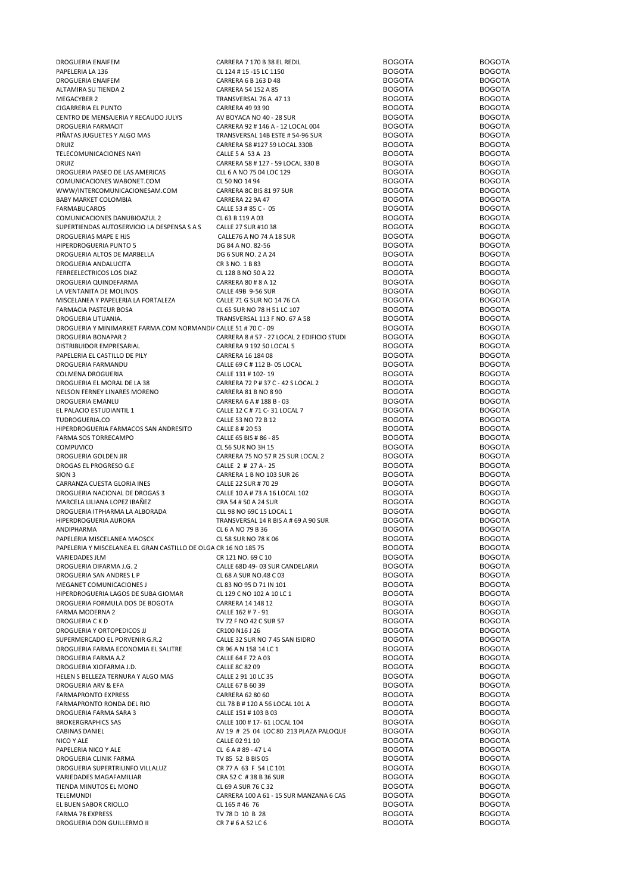| DROGUERIA ENAIFEM                                               | CARRERA 7 170 B 38 EL REDIL                | <b>BOGOTA</b> | <b>BOGOTA</b> |
|-----------------------------------------------------------------|--------------------------------------------|---------------|---------------|
| PAPELERIA LA 136                                                | CL 124 # 15 -15 LC 1150                    | <b>BOGOTA</b> | <b>BOGOTA</b> |
| DROGUERIA ENAIFEM                                               | CARRERA 6 B 163 D 48                       | <b>BOGOTA</b> | <b>BOGOTA</b> |
| ALTAMIRA SU TIENDA 2                                            | CARRERA 54 152 A 85                        | <b>BOGOTA</b> | <b>BOGOTA</b> |
| <b>MEGACYBER 2</b>                                              | TRANSVERSAL 76 A 47 13                     | <b>BOGOTA</b> | <b>BOGOTA</b> |
| CIGARRERIA EL PUNTO                                             | <b>CARRERA 49 93 90</b>                    | <b>BOGOTA</b> | <b>BOGOTA</b> |
| CENTRO DE MENSAJERIA Y RECAUDO JULYS                            | AV BOYACA NO 40 - 28 SUR                   | <b>BOGOTA</b> | <b>BOGOTA</b> |
|                                                                 |                                            | <b>BOGOTA</b> |               |
| DROGUERIA FARMACIT                                              | CARRERA 92 # 146 A - 12 LOCAL 004          |               | <b>BOGOTA</b> |
| PIÑATAS JUGUETES Y ALGO MAS                                     | TRANSVERSAL 14B ESTE # 54-96 SUR           | <b>BOGOTA</b> | <b>BOGOTA</b> |
| <b>DRUIZ</b>                                                    | CARRERA 58 #127 59 LOCAL 330B              | <b>BOGOTA</b> | <b>BOGOTA</b> |
| TELECOMUNICACIONES NAYI                                         | CALLE 5 A 53 A 23                          | <b>BOGOTA</b> | <b>BOGOTA</b> |
| <b>DRUIZ</b>                                                    | CARRERA 58 #127 - 59 LOCAL 330 B           | <b>BOGOTA</b> | <b>BOGOTA</b> |
| DROGUERIA PASEO DE LAS AMERICAS                                 | CLL 6 A NO 75 04 LOC 129                   | <b>BOGOTA</b> | <b>BOGOTA</b> |
| COMUNICACIONES WABONET.COM                                      | CL 50 NO 14 94                             | <b>BOGOTA</b> | <b>BOGOTA</b> |
| WWW/INTERCOMUNICACIONESAM.COM                                   | CARRERA 8C BIS 81 97 SUR                   | <b>BOGOTA</b> | <b>BOGOTA</b> |
| BABY MARKET COLOMBIA                                            | CARRERA 22 9A 47                           | <b>BOGOTA</b> | <b>BOGOTA</b> |
| <b>FARMABUCAROS</b>                                             | CALLE 53 # 85 C - 05                       | <b>BOGOTA</b> | <b>BOGOTA</b> |
|                                                                 |                                            |               |               |
| COMUNICACIONES DANUBIOAZUL 2                                    | CL 63 B 119 A 03                           | <b>BOGOTA</b> | <b>BOGOTA</b> |
| SUPERTIENDAS AUTOSERVICIO LA DESPENSA S A S                     | CALLE 27 SUR #10 38                        | <b>BOGOTA</b> | <b>BOGOTA</b> |
| DROGUERIAS MAPE E HJS                                           | CALLE76 A NO 74 A 18 SUR                   | <b>BOGOTA</b> | <b>BOGOTA</b> |
| HIPERDROGUERIA PUNTO 5                                          | DG 84 A NO. 82-56                          | <b>BOGOTA</b> | <b>BOGOTA</b> |
| DROGUERIA ALTOS DE MARBELLA                                     | DG 6 SUR NO. 2 A 24                        | <b>BOGOTA</b> | <b>BOGOTA</b> |
| DROGUERIA ANDALUCITA                                            | CR 3 NO. 1 B 83                            | <b>BOGOTA</b> | <b>BOGOTA</b> |
| FERREELECTRICOS LOS DIAZ                                        | CL 128 B NO 50 A 22                        | <b>BOGOTA</b> | <b>BOGOTA</b> |
| DROGUERIA QUINDEFARMA                                           | CARRERA 80 # 8 A 12                        | <b>BOGOTA</b> | <b>BOGOTA</b> |
| LA VENTANITA DE MOLINOS                                         | CALLE 49B 9-56 SUR                         | <b>BOGOTA</b> | <b>BOGOTA</b> |
| MISCELANEA Y PAPELERIA LA FORTALEZA                             |                                            | <b>BOGOTA</b> | <b>BOGOTA</b> |
|                                                                 | CALLE 71 G SUR NO 14 76 CA                 |               |               |
| FARMACIA PASTEUR BOSA                                           | CL 65 SUR NO 78 H 51 LC 107                | <b>BOGOTA</b> | <b>BOGOTA</b> |
| DROGUERIA LITUANIA.                                             | TRANSVERSAL 113 F NO. 67 A 58              | <b>BOGOTA</b> | <b>BOGOTA</b> |
| DROGUERIA Y MINIMARKET FARMA.COM NORMANDI/ CALLE 51 # 70 C - 09 |                                            | <b>BOGOTA</b> | <b>BOGOTA</b> |
| DROGUERIA BONAPAR 2                                             | CARRERA 8 # 57 - 27 LOCAL 2 EDIFICIO STUDI | <b>BOGOTA</b> | <b>BOGOTA</b> |
| DISTRIBUIDOR EMPRESARIAL                                        | CARRERA 9 192 50 LOCAL 5                   | <b>BOGOTA</b> | <b>BOGOTA</b> |
| PAPELERIA EL CASTILLO DE PILY                                   | CARRERA 16 184 08                          | <b>BOGOTA</b> | <b>BOGOTA</b> |
| DROGUERIA FARMANDU                                              | CALLE 69 C # 112 B- 05 LOCAL               | <b>BOGOTA</b> | <b>BOGOTA</b> |
| COLMENA DROGUERIA                                               | CALLE 131 # 102-19                         | <b>BOGOTA</b> | <b>BOGOTA</b> |
|                                                                 |                                            | <b>BOGOTA</b> | <b>BOGOTA</b> |
| DROGUERIA EL MORAL DE LA 38                                     | CARRERA 72 P # 37 C - 42 S LOCAL 2         |               |               |
| NELSON FERNEY LINARES MORENO                                    | CARRERA 81 B NO 8 90                       | <b>BOGOTA</b> | <b>BOGOTA</b> |
| DROGUERIA EMANLU                                                | CARRERA 6 A # 188 B - 03                   | <b>BOGOTA</b> | <b>BOGOTA</b> |
| EL PALACIO ESTUDIANTIL 1                                        | CALLE 12 C # 71 C- 31 LOCAL 7              | <b>BOGOTA</b> | <b>BOGOTA</b> |
| TUDROGUERIA.CO                                                  | CALLE 53 NO 72 B 12                        | <b>BOGOTA</b> | <b>BOGOTA</b> |
| HIPERDROGUERIA FARMACOS SAN ANDRESITO                           | CALLE 8 # 20 53                            | <b>BOGOTA</b> | <b>BOGOTA</b> |
| FARMA SOS TORRECAMPO                                            | CALLE 65 BIS # 86 - 85                     | <b>BOGOTA</b> | <b>BOGOTA</b> |
| COMPUVICO                                                       | CL 56 SUR NO 3H 15                         | <b>BOGOTA</b> | <b>BOGOTA</b> |
| DROGUERIA GOLDEN JIR                                            | CARRERA 75 NO 57 R 25 SUR LOCAL 2          | <b>BOGOTA</b> | <b>BOGOTA</b> |
| DROGAS EL PROGRESO G.E                                          | CALLE 2 # 27 A - 25                        | <b>BOGOTA</b> | <b>BOGOTA</b> |
| SION <sub>3</sub>                                               | CARRERA 1 B NO 103 SUR 26                  | <b>BOGOTA</b> | <b>BOGOTA</b> |
|                                                                 |                                            |               |               |
| CARRANZA CUESTA GLORIA INES                                     | CALLE 22 SUR # 70 29                       | <b>BOGOTA</b> | <b>BOGOTA</b> |
| DROGUERIA NACIONAL DE DROGAS 3                                  | CALLE 10 A # 73 A 16 LOCAL 102             | <b>BOGOTA</b> | <b>BOGOTA</b> |
| MARCELA LILIANA LOPEZ IBAÑEZ                                    | CRA 54 # 50 A 24 SUR                       | <b>BOGOTA</b> | <b>BOGOTA</b> |
| DROGUERIA ITPHARMA LA ALBORADA                                  | CLL 98 NO 69C 15 LOCAL 1                   | <b>BOGOTA</b> | <b>BOGOTA</b> |
| HIPERDROGUERIA AURORA                                           | TRANSVERSAL 14 R BIS A # 69 A 90 SUR       | <b>BOGOTA</b> | <b>BOGOTA</b> |
| <b>ANDIPHARMA</b>                                               | CL 6 A NO 79 B 36                          | <b>BOGOTA</b> | <b>BOGOTA</b> |
| PAPELERIA MISCELANEA MAOSCK                                     | CL 58 SUR NO 78 K 06                       | <b>BOGOTA</b> | <b>BOGOTA</b> |
| PAPELERIA Y MISCELANEA EL GRAN CASTILLO DE OLGA CR 16 NO 185 75 |                                            | <b>BOGOTA</b> | <b>BOGOTA</b> |
| <b>VARIEDADES JLM</b>                                           | CR 121 NO. 69 C 10                         | <b>BOGOTA</b> | <b>BOGOTA</b> |
|                                                                 |                                            |               |               |
| DROGUERIA DIFARMA J.G. 2                                        | CALLE 68D 49-03 SUR CANDELARIA             | <b>BOGOTA</b> | <b>BOGOTA</b> |
| DROGUERIA SAN ANDRES L P                                        | CL 68 A SUR NO.48 C 03                     | <b>BOGOTA</b> | <b>BOGOTA</b> |
| MEGANET COMUNICACIONES J                                        | CL 83 NO 95 D 71 IN 101                    | <b>BOGOTA</b> | <b>BOGOTA</b> |
| HIPERDROGUERIA LAGOS DE SUBA GIOMAR                             | CL 129 C NO 102 A 10 LC 1                  | <b>BOGOTA</b> | <b>BOGOTA</b> |
| DROGUERIA FORMULA DOS DE BOGOTA                                 | CARRERA 14 148 12                          | <b>BOGOTA</b> | <b>BOGOTA</b> |
| FARMA MODERNA 2                                                 | CALLE 162 # 7 - 91                         | <b>BOGOTA</b> | <b>BOGOTA</b> |
| <b>DROGUERIA CKD</b>                                            | TV 72 F NO 42 C SUR 57                     | <b>BOGOTA</b> | <b>BOGOTA</b> |
| DROGUERIA Y ORTOPEDICOS JJ                                      | CR100 N16 J 26                             | <b>BOGOTA</b> | <b>BOGOTA</b> |
| SUPERMERCADO EL PORVENIR G.R.2                                  | CALLE 32 SUR NO 7 45 SAN ISIDRO            | <b>BOGOTA</b> | <b>BOGOTA</b> |
| DROGUERIA FARMA ECONOMIA EL SALITRE                             | CR 96 A N 158 14 LC 1                      | <b>BOGOTA</b> | <b>BOGOTA</b> |
|                                                                 | CALLE 64 F 72 A 03                         |               | <b>BOGOTA</b> |
| DROGUERIA FARMA A.Z                                             |                                            | <b>BOGOTA</b> |               |
| DROGUERIA XIOFARMA J.D.                                         | CALLE 8C 82 09                             | <b>BOGOTA</b> | <b>BOGOTA</b> |
| HELEN S BELLEZA TERNURA Y ALGO MAS                              | CALLE 2 91 10 LC 35                        | <b>BOGOTA</b> | <b>BOGOTA</b> |
| DROGUERIA ARV & EFA                                             | CALLE 67 B 60 39                           | <b>BOGOTA</b> | <b>BOGOTA</b> |
| <b>FARMAPRONTO EXPRESS</b>                                      | CARRERA 62 80 60                           | <b>BOGOTA</b> | <b>BOGOTA</b> |
| FARMAPRONTO RONDA DEL RIO                                       | CLL 78 B # 120 A 56 LOCAL 101 A            | <b>BOGOTA</b> | <b>BOGOTA</b> |
| DROGUERIA FARMA SARA 3                                          | CALLE 151 # 103 B 03                       | <b>BOGOTA</b> | <b>BOGOTA</b> |
| <b>BROKERGRAPHICS SAS</b>                                       | CALLE 100 # 17- 61 LOCAL 104               | <b>BOGOTA</b> | <b>BOGOTA</b> |
| CABINAS DANIEL                                                  | AV 19 # 25 04 LOC 80 213 PLAZA PALOQUE     | <b>BOGOTA</b> | <b>BOGOTA</b> |
|                                                                 |                                            | <b>BOGOTA</b> | <b>BOGOTA</b> |
| NICO Y ALE                                                      | CALLE 02 91 10                             |               |               |
| PAPELERIA NICO Y ALE                                            | CL 6 A # 89 - 47 L 4                       | <b>BOGOTA</b> | <b>BOGOTA</b> |
| DROGUERIA CLINIK FARMA                                          | TV 85 52 B BIS 05                          | <b>BOGOTA</b> | <b>BOGOTA</b> |
| DROGUERIA SUPERTRIUNFO VILLALUZ                                 | CR 77 A 63 F 54 LC 101                     | <b>BOGOTA</b> | <b>BOGOTA</b> |
| VARIEDADES MAGAFAMILIAR                                         | CRA 52 C # 38 B 36 SUR                     | <b>BOGOTA</b> | <b>BOGOTA</b> |
| TIENDA MINUTOS EL MONO                                          | CL 69 A SUR 76 C 32                        | <b>BOGOTA</b> | <b>BOGOTA</b> |
| TELEMUNDI                                                       | CARRERA 100 A 61 - 15 SUR MANZANA 6 CAS    | <b>BOGOTA</b> | <b>BOGOTA</b> |
| EL BUEN SABOR CRIOLLO                                           | CL 165 #46 76                              | <b>BOGOTA</b> | <b>BOGOTA</b> |
| <b>FARMA 78 EXPRESS</b>                                         | TV 78 D 10 B 28                            | <b>BOGOTA</b> | <b>BOGOTA</b> |
| DROGUERIA DON GUILLERMO II                                      | CR 7 # 6 A 52 LC 6                         | <b>BOGOTA</b> | <b>BOGOTA</b> |
|                                                                 |                                            |               |               |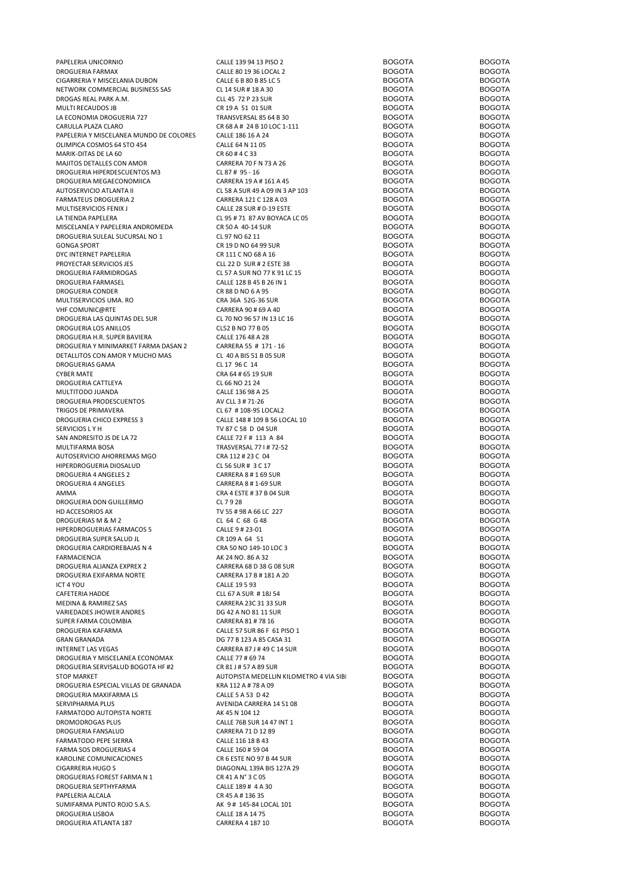PAPELERIA UNICORNIO CALLE 139 94 13 PISO 2 BOGOTA BOGOTA DROGUERIA FARMAX CALLE 80 19 36 LOCAL 2 BOGOTA BOGOTA CIGARRERIA Y MISCELANIA DUBON CALLE 6 B 80 B 85 LC 5 BOGOTA<br>
CL 14 SUR # 18 A 30 BOGOTA BOGOTA BOGOTA BOGOTA BOGOTA NETWORK COMMERCIAL BUSINESS SAS CL 14 SUR # 18 A 30 BOGOTA BOGOTA DROGAS REAL PARK A.M. CLL 45 72 P 23 SUR BOGOTA BOGOTA MULTI RECAUDOS JB CR 19 A 51 01 SUR BOGOTA BOGOTA LA ECONOMIA DROGUERIA 727 TRANSVERSAL 85 64 B 30 BOGOTA BOGOTA BOGOTA BOGOTA BOGOTA BOGOTA BOGOTA  $C \triangle B$  and  $C \triangle B$  and  $C \triangle B$  and  $C \triangle B$  and  $C \triangle B$  and  $C \triangle B$  and  $C \triangle B$  and  $C \triangle B$  and  $C \triangle B$  both  $C \triangle B$  both  $C \triangle B$  and  $C \triangle B$  both  $C \triangle B$  both  $C \triangle B$  both  $C \triangle B$  both  $C \triangle B$  both  $C \triangle B$  both  $C \triangle B$  both  $C \triangle B$  both  $C$ PAPELERIA Y MISCELANEA MUNDO DE COLORES CALLE 186 16 A 24 BOGOTA BOGOTA BOGOTA OLIMPICA COSMOS 64 STO 454 CALLE 64 N 11 05 CALLE 64 N 11 05 BOGOTA BOGOTA MARIK-DITAS DE LA 60 60 CR 60 # 4 C 33 CR 60 # 4 C 33 BOGOTA BOGOTA MAJITOS DETALLES CON AMOR
BOGOTA
BOGOTA
BOGOTA
BOGOTA
BOGOTA
BOGOTA
BOGOTA
BOGOTA
BOGOTA
BOGOTA
BOGOTA
BOGOTA
BOGOTA
BOGOTA
BOGOTA
BOGOTA
BOGOTA
BOGOTA
BOGOTA
BOGOTA
BOGOTA
BOGOTA
BOGOTA
BOGOTA
BOGOTA
BOGOTA
BOGOTA
BOGOTA DROGUERIA HIPERDESCUENTOS M3 CL 87 # 95 - 16 BOGOTA BOGOTA DROGUERIA MEGAECONOMIICA 
CARRERA 19 A # 161 A 45 BOGOTA
BOGOTA
BOGOTA
BOGOTA
BOGOTA
BOGOTA
BOGOTA
BOGOTA
BOGOTA
BOGOTA FARMATEUS DROGUERIA 2 CARRERA 121 C 128 A 03 BOGOTA BOGOTA BOGOTA<br>
MULTISERVICIOS FENIX JUNIS ANNO 2000 TA CALLE 28 SUR # 0-19 ESTE BOGOTA BOGOTA BOGOTA MULTISERVICIOS FENIX J CALLE 28 SUR # 0-19 ESTE BOGOTA BOGOTA MISCELANEA Y PAPELERIA ANDROMEDA CR 50 A 40-14 SUR CR SON A BOGOTA BOGOTA BOGOTA BOGOTA BOGOTA BOGOTA BOGOTA BOGOTA DROGUERIA SULEAL SUCURSAL NO 1 GONGA SPORT CR 19 D NO 64 99 SUR BOGOTA BOGOTA DYC INTERNET PAPELERIA CR 111 C NO 68 A 16 BOGOTA BOGOTA BOGOTA PROYECTAR SERVICIOS JES CLL 22 D SUR # 2 ESTE 38 BOGOTA BOGOTA DROGUERIA FARMASEL CALLE 128 B 45 B 26 IN 1 BOGOTA BOGOTA DROGUERIA CONDER CR 88 D NO 6 A 95 BOGOTA BOGOTA MULTISERVICIOS UMA. RO CRA 36A 52G-36 SUR BOGOTA BOGOTA DROGUERIA LAS QUINTAS DEL SUR CL 70 NO 96 57 IN 13 LC 16 BOGOTA BOGOTA BOGOTA BOGOTA DE ROGOTA BOGOTA BOGOTA BOGOTA DROGUERIA LOS ANILLOS CL52 B NO 77 B 05 BOGOTA BOGOTA DROGUERIA H.R. SUPER BAVIERA CALLE 176 48 A 28 BOGOTA BOGOTA DROGUERIA Y MINIMARKET FARMA DASAN 2 CARRERA 55 # 171 - 16 BOGOTA<br>DETALLITOS CON AMOR Y MUCHO MAS CL 40 A BIS 51 B 05 SUR BOGOTA BOGOTA BOGOTA DETALLITOS CON AMOR Y MUCHO MAS CL 40 A BIS 51 B 05 SUR<br>DROGUERIAS GAMA BOGOTA CL 17 96 C 14 A BIS 14 BOGOTA BOGOTA BOGOTA DROGUERIAS GAMA BOGOTA CL 17 96 C 14 BOGOTA BOGOTA BOGOTA CYBER MATE CRA 64 # 65 19 SUR BOGOTA BOGOTA DROGUERIA CATTLEYA **BOGOTA** CL 66 NO 21 24 BOGOTA BOGOTA MULTITODO JUANDA CALLE 136 98 A 25 BOGOTA BOGOTA DROGUERIA PRODESCUENTOS AV CLL 3 # 71-26 BOGOTA BOGOTA DROGUERIA CHICO EXPRESS 3 CALLE 148 # 109 B 56 LOCAL 10 BOGOTA BOGOTA<br>SERVICIOS LY H BOGOTA BOGOTA BOGOTA BOGOTA SERVICIOS LY H GOGOTA BOGOTA DE TV 87 C 58 D 04 SUR SERVICIOS LY BOGOTA BOGOTA SAN ANDRESITO JS DE LA 72 CALLE 72 F # 113 A 84 BOGOTA BOGOTA AUTOSERVICIO AHORREMAS MGO HIPERDROGUERIA DIOSALUD CL 56 SUR # 3 C 17 BOGOTA BOGOTA DROGUERIA 4 ANGELES 2 CARRERA 8 # 1 69 SUR BOGOTA BOGOTA BOGOTA DROGUERIA 4 ANGELES CARRERA 8 # 1-69 SUR BOGOTA BOGOTA BOGOTA AMMA BOGOTA CRA 4 ESTE # 37 B 04 SUR BOGOTA BOGOTA BOGOTA DROGUERIA DON GUILLERMO CL 7 9 28 BOGOTA BOGOTA DROGUERIAS M & M 2 BOGOTA BOGOTA DEL E4 C 68 G 48 BOGOTA DE ROGOTA DE ROGOTA DE ROGOTA DE ROGOTA DE ROGOTA DE <br>HIPERDROGUERIAS FARMACOS 5 CALLE 9 # 23-01 DE ROGOTA DE ROGOTA DE ROGOTA DE ROGOTA DE ROGOTA DE ROGOTA DE ROGO HIPERDROGUERIAS FARMACOS 5 CALLE 9 # 23-01 BOGOTA BOGOTA DROGUERIA SUPER SALUD JL CR 109 A 64 51 BOGOTA BOGOTA DROGUERIA CARDIOREBAJAS N 4 CRA 50 NO 149-10 LOC 3 BOGOTA BOGOTA BOGOTA BOGOTA BOGOTA BOGOTA BOGOTA BOGOTA BOGOTA DROGUERIA ALIANZA EXPREX 2 CARRERA 68 D 38 G 08 SUR BOGOTA BOGOTA DROGUERIA EXIFARMA NORTE CARRERA 17 B # 181 A 20 BOGOTA BOGOTA BOGOTA BOGOTA<br>ICT 4 YOU BOGOTA BOGOTA ICT 4 YOU ALLE 19 5 93 CALLE 19 5 93 CALLE 19 5 93 BOGOTA BOGOTA CAFETERIA HADDE CLL 67 A SUR # 18J 54 BOGOTA BOGOTA MEDINA & RAMIREZ SAS CARRERA 23C 31 33 SUR BOGOTA BOGOTA BOGOTA VARIEDADES JHOWER ANDRES DG 42 A NO 81 11 SUR BOGOTA BOGOTA SUPER FARMA COLOMBIA CARRERA 81 # 78 16 BOGOTA BOGOTA GRAN GRANADA DG 77 B 123 A 85 CASA 31 BOGOTA BOGOTA DROGUERIA Y MISCELANEA ECONOMAX CALLE 77 # 69 74<br>DROGUERIA SERVISALUD BOGOTA HE #2 CR 81 I # 57 A 89 SUR BOGOTA BOGOTA BOGOTA BOGOTA DROGUERIA SERVISALUD BOGOTA HF #2 CR 81 J # 57 A 89 SUR AND TROGOTA BOGOTA BOGOTA BOGOTA BOGOTA BOGOTA BOGOTA DROGUERIA ESPECIAL VILLAS DE GRANADA KRA 112 A # 78 A 09 BOGOTA BOGOTA DROGUERIA MAXIFARMA LS<br>
CALLE 5 A 53 D 42 SERVIPHARMA PLUS CONTROLLED ANENIDA CARRERA 14 51 08 BOGOTA BOGOTA FARMATODO AUTOPISTA NORTE AK 45 N 104 12 AK 45 N 104 12 BOGOTA BOGOTA DROMODROGAS PLUS CALLE 76B SUR 14 47 INT 1 BOGOTA BOGOTA DROGUERIA FANSALUD CARRERA 71 D 12 89 BOGOTA BOGOTA FARMATODO PEPE SIERRA CALLE 116 18 B 43 BOGOTA BOGOTA FARMA SOS DROGUERIAS 4 CALLE 160 # 59 04 BOGOTA BOGOTA CIGARRERIA HUGO S<br>CIGARRERIA HUGO S<br>DROGLIFRIAS FORFST FARMA N 1 CRATA Nº 3 C OS COS CONSTA BOGOTA DO BOGOTA BOGOTA DROGUERIAS FOREST FARMA N 1 CR 41 A N° 3 C 05 BOGOTA BOGOTA DROGUERIA SEPTHYFARMA CALLE 189 # 4 A 30 BOGOTA BOGOTA PAPELERIA ALCALA CR 45 A # 136 35 BOGOTA BOGOTA SUMIFARMA PUNTO ROJO S.A.S. AK 9 # 145-84 LOCAL 101 BOGOTA BOGOTA BOGOTA DROGUERIA LISBOA DE CALLE 18 A 14 75 DOGOTA DE CALLE 18 A 14 75 DOGOTA DE CALLE 18 A 14 75 DOGOTA DE CALLE 18 A 14 75 DOGOTA DROGUERIA ATLANTA 187 CARRERA 4 187 10 BOGOTA BOGOTA

CL 57 A SUR NO 77 K 91 LC 15 CL 67 # 108-95 LOCAL2 BOGOTA<br>CALLE 148 # 109 B 56 LOCAL 10 BOGOTA CALLE 57 SUR 86 F 61 PISO 1 KAROLINE COMUNICACIONES CR 6 ESTE NO 97 B 44 SUR BOGOTA BOGOTA

CL 58 A SUR 49 A 09 IN 3 AP 103<br>
CARRERA 121 C 128 A 03 BOGOTA<br>
BOGOTA BOGOTA CL 95 # 71 87 AV BOYACA LC 05<br>
CR 50 A 40-14 SUR<br>
CR 50 A 40-14 SUR<br>
BOGOTA<br>
BOGOTA CARRERA 90 # 69 A 40 BOGOTA<br>
CL 70 NO 96 57 IN 13 LC 16 BOGOTA<br>
BOGOTA BOGOTA TRASVERSAL 77 I # 72-52 BOGOTA<br>CRA 112 # 23 C 04 BOGOTA BOGOTA BOGOTA TV 55 # 98 A 66 LC 227 BOGOTA<br>CL 64 C 68 G 48 BOGOTA BOGOTA FARMACIENCIA AK 24 NO. 86 A 32 BOGOTA BOGOTA INTERNET LAS VEGAS CARRERA 87 J # 49 C 14 SUR BOGOTA BOGOTA AUTOPISTA MEDELLIN KILOMETRO 4 VIA SIBI<br>RTA 112 A # 78 A 09 BOGOTA BOGOTA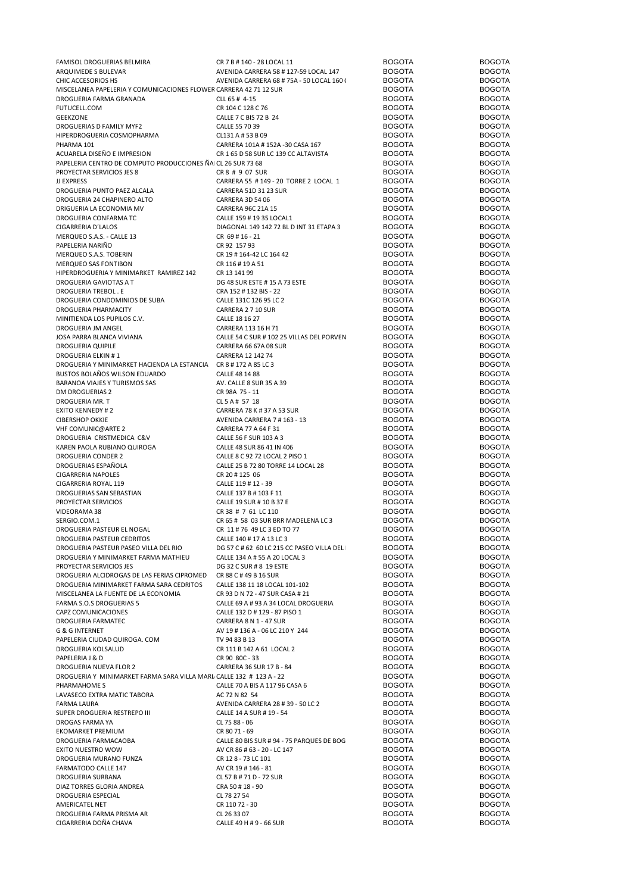| FAMISOL DROGUERIAS BELMIRA                                          | CR 7 B # 140 - 28 LOCAL 11                | <b>BOGOTA</b> | <b>BOGOTA</b> |
|---------------------------------------------------------------------|-------------------------------------------|---------------|---------------|
| ARQUIMEDE S BULEVAR                                                 | AVENIDA CARRERA 58 #127-59 LOCAL 147      | <b>BOGOTA</b> | <b>BOGOTA</b> |
| CHIC ACCESORIOS HS                                                  | AVENIDA CARRERA 68 # 75A - 50 LOCAL 160 ( | <b>BOGOTA</b> | <b>BOGOTA</b> |
| MISCELANEA PAPELERIA Y COMUNICACIONES FLOWER CARRERA 42 71 12 SUR   |                                           | <b>BOGOTA</b> | <b>BOGOTA</b> |
|                                                                     | CLL 65 # 4-15                             | <b>BOGOTA</b> | <b>BOGOTA</b> |
| DROGUERIA FARMA GRANADA                                             |                                           |               |               |
| FUTUCELL.COM                                                        | CR 104 C 128 C 76                         | <b>BOGOTA</b> | <b>BOGOTA</b> |
| <b>GEEKZONE</b>                                                     | CALLE 7 C BIS 72 B 24                     | <b>BOGOTA</b> | <b>BOGOTA</b> |
| DROGUERIAS D FAMILY MYF2                                            | CALLE 55 70 39                            | <b>BOGOTA</b> | <b>BOGOTA</b> |
| HIPERDROGUERIA COSMOPHARMA                                          | CL131 A # 53 B 09                         | <b>BOGOTA</b> | <b>BOGOTA</b> |
| PHARMA 101                                                          | CARRERA 101A # 152A -30 CASA 167          | <b>BOGOTA</b> | <b>BOGOTA</b> |
| ACUARELA DISEÑO E IMPRESION                                         | CR 1 65 D 58 SUR LC 139 CC ALTAVISTA      | <b>BOGOTA</b> | <b>BOGOTA</b> |
| PAPELERIA CENTRO DE COMPUTO PRODUCCIONES ÑAI CL 26 SUR 73 68        |                                           | <b>BOGOTA</b> | <b>BOGOTA</b> |
|                                                                     |                                           |               |               |
| PROYECTAR SERVICIOS JES 8                                           | CR 8 # 9 07 SUR                           | <b>BOGOTA</b> | <b>BOGOTA</b> |
| <b>JJ EXPRESS</b>                                                   | CARRERA 55 #149 - 20 TORRE 2 LOCAL 1      | <b>BOGOTA</b> | <b>BOGOTA</b> |
| DROGUERIA PUNTO PAEZ ALCALA                                         | CARRERA 51D 31 23 SUR                     | <b>BOGOTA</b> | <b>BOGOTA</b> |
| DROGUERIA 24 CHAPINERO ALTO                                         | CARRERA 3D 54 06                          | <b>BOGOTA</b> | <b>BOGOTA</b> |
| DRIGUERIA LA ECONOMIA MV                                            | CARRERA 96C 21A 15                        | <b>BOGOTA</b> | <b>BOGOTA</b> |
| DROGUERIA CONFARMA TC                                               | CALLE 159 # 19 35 LOCAL1                  | <b>BOGOTA</b> | <b>BOGOTA</b> |
|                                                                     |                                           |               |               |
| CIGARRERIA D'LALOS                                                  | DIAGONAL 149 142 72 BL D INT 31 ETAPA 3   | <b>BOGOTA</b> | <b>BOGOTA</b> |
| MERQUEO S.A.S. - CALLE 13                                           | CR 69 # 16 - 21                           | <b>BOGOTA</b> | <b>BOGOTA</b> |
| PAPELERIA NARIÑO                                                    | CR 92 157 93                              | <b>BOGOTA</b> | <b>BOGOTA</b> |
| MERQUEO S.A.S. TOBERIN                                              | CR 19 # 164-42 LC 164 42                  | <b>BOGOTA</b> | <b>BOGOTA</b> |
| MERQUEO SAS FONTIBON                                                | CR 116#19A51                              | <b>BOGOTA</b> | <b>BOGOTA</b> |
| HIPERDROGUERIA Y MINIMARKET RAMIREZ 142                             | CR 13 141 99                              | <b>BOGOTA</b> | <b>BOGOTA</b> |
|                                                                     |                                           |               |               |
| DROGUERIA GAVIOTAS A T                                              | DG 48 SUR ESTE #15 A 73 ESTE              | <b>BOGOTA</b> | <b>BOGOTA</b> |
| DROGUERIA TREBOL. E                                                 | CRA 152 # 132 BIS - 22                    | <b>BOGOTA</b> | <b>BOGOTA</b> |
| DROGUERIA CONDOMINIOS DE SUBA                                       | CALLE 131C 126 95 LC 2                    | <b>BOGOTA</b> | <b>BOGOTA</b> |
| DROGUERIA PHARMACITY                                                | CARRERA 2 7 10 SUR                        | <b>BOGOTA</b> | <b>BOGOTA</b> |
| MINITIENDA LOS PUPILOS C.V.                                         | CALLE 18 16 27                            | <b>BOGOTA</b> | <b>BOGOTA</b> |
| DROGUERIA JM ANGEL                                                  | CARRERA 113 16 H 71                       | <b>BOGOTA</b> | <b>BOGOTA</b> |
|                                                                     |                                           | <b>BOGOTA</b> | <b>BOGOTA</b> |
| JOSA PARRA BLANCA VIVIANA                                           | CALLE 54 C SUR # 102 25 VILLAS DEL PORVEN |               |               |
| DROGUERIA QUIPILE                                                   | CARRERA 66 67A 08 SUR                     | <b>BOGOTA</b> | <b>BOGOTA</b> |
| DROGUERIA ELKIN#1                                                   | CARRERA 12 142 74                         | <b>BOGOTA</b> | <b>BOGOTA</b> |
| DROGUERIA Y MINIMARKET HACIENDA LA ESTANCIA CR 8 # 172 A 85 LC 3    |                                           | <b>BOGOTA</b> | <b>BOGOTA</b> |
| BUSTOS BOLAÑOS WILSON EDUARDO                                       | CALLE 48 14 88                            | <b>BOGOTA</b> | <b>BOGOTA</b> |
| BARANOA VIAJES Y TURISMOS SAS                                       | AV. CALLE 8 SUR 35 A 39                   | <b>BOGOTA</b> | <b>BOGOTA</b> |
|                                                                     |                                           | <b>BOGOTA</b> | <b>BOGOTA</b> |
| <b>DM DROGUERIAS 2</b>                                              | CR 98A 75 - 11                            |               |               |
| DROGUERIA MR. T                                                     | CL 5 A # 57 18                            | <b>BOGOTA</b> | <b>BOGOTA</b> |
| <b>EXITO KENNEDY #2</b>                                             | CARRERA 78 K # 37 A 53 SUR                | <b>BOGOTA</b> | <b>BOGOTA</b> |
| <b>CIBERSHOP OKKIE</b>                                              | AVENIDA CARRERA 7 # 163 - 13              | <b>BOGOTA</b> | <b>BOGOTA</b> |
| VHF COMUNIC@ARTE 2                                                  | CARRERA 77 A 64 F 31                      | <b>BOGOTA</b> | <b>BOGOTA</b> |
| DROGUERIA CRISTMEDICA C&V                                           | CALLE 56 F SUR 103 A 3                    | <b>BOGOTA</b> | <b>BOGOTA</b> |
| KAREN PAOLA RUBIANO QUIROGA                                         | CALLE 48 SUR 86 41 IN 406                 | <b>BOGOTA</b> | <b>BOGOTA</b> |
|                                                                     |                                           |               |               |
| DROGUERIA CONDER 2                                                  | CALLE 8 C 92 72 LOCAL 2 PISO 1            | <b>BOGOTA</b> | <b>BOGOTA</b> |
| DROGUERIAS ESPAÑOLA                                                 | CALLE 25 B 72 80 TORRE 14 LOCAL 28        | <b>BOGOTA</b> | <b>BOGOTA</b> |
| <b>CIGARRERIA NAPOLES</b>                                           | CR 20 # 125 06                            | <b>BOGOTA</b> | <b>BOGOTA</b> |
| CIGARRERIA ROYAL 119                                                | CALLE 119 # 12 - 39                       | <b>BOGOTA</b> | <b>BOGOTA</b> |
| DROGUERIAS SAN SEBASTIAN                                            | CALLE 137 B # 103 F 11                    | <b>BOGOTA</b> | <b>BOGOTA</b> |
| PROYECTAR SERVICIOS                                                 | CALLE 19 SUR # 10 B 37 E                  | <b>BOGOTA</b> | <b>BOGOTA</b> |
|                                                                     |                                           | <b>BOGOTA</b> | <b>BOGOTA</b> |
| VIDEORAMA 38                                                        | CR 38 # 7 61 LC 110                       |               |               |
| SERGIO.COM.1                                                        | CR 65 # 58 03 SUR BRR MADELENA LC 3       | <b>BOGOTA</b> | <b>BOGOTA</b> |
| DROGUERIA PASTEUR EL NOGAL                                          | CR 11 # 76 49 LC 3 ED TO 77               | <b>BOGOTA</b> | <b>BOGOTA</b> |
| DROGUERIA PASTEUR CEDRITOS                                          | CALLE 140 # 17 A 13 LC 3                  | <b>BOGOTA</b> | <b>BOGOTA</b> |
| DROGUERIA PASTEUR PASEO VILLA DEL RIO                               | DG 57 C # 62 60 LC 215 CC PASEO VILLA DEL | <b>BOGOTA</b> | <b>BOGOTA</b> |
| DROGUERIA Y MINIMARKET FARMA MATHIEU                                | CALLE 134 A # 55 A 20 LOCAL 3             | <b>BOGOTA</b> | <b>BOGOTA</b> |
| PROYECTAR SERVICIOS JES                                             | DG 32 C SUR # 8 19 ESTE                   | <b>BOGOTA</b> | <b>BOGOTA</b> |
|                                                                     |                                           |               |               |
| DROGUERIA ALCIDROGAS DE LAS FERIAS CIPROMED                         | CR 88 C # 49 B 16 SUR                     | <b>BOGOTA</b> | <b>BOGOTA</b> |
| DROGUERIA MINIMARKET FARMA SARA CEDRITOS                            | CALLE 138 11 18 LOCAL 101-102             | <b>BOGOTA</b> | <b>BOGOTA</b> |
| MISCELANEA LA FUENTE DE LA ECONOMIA                                 | CR 93 D N 72 - 47 SUR CASA # 21           | <b>BOGOTA</b> | <b>BOGOTA</b> |
| FARMA S.O.S DROGUERIAS 5                                            | CALLE 69 A # 93 A 34 LOCAL DROGUERIA      | <b>BOGOTA</b> | <b>BOGOTA</b> |
| CAPZ COMUNICACIONES                                                 | CALLE 132 D # 129 - 87 PISO 1             | <b>BOGOTA</b> | <b>BOGOTA</b> |
| DROGUERIA FARMATEC                                                  | CARRERA 8 N 1 - 47 SUR                    | <b>BOGOTA</b> | <b>BOGOTA</b> |
| G & G INTERNET                                                      | AV 19 # 136 A - 06 LC 210 Y 244           | <b>BOGOTA</b> | <b>BOGOTA</b> |
|                                                                     |                                           |               |               |
| PAPELERIA CIUDAD QUIROGA. COM                                       | TV 94 83 B 13                             | <b>BOGOTA</b> | <b>BOGOTA</b> |
| DROGUERIA KOLSALUD                                                  | CR 111 B 142 A 61 LOCAL 2                 | <b>BOGOTA</b> | <b>BOGOTA</b> |
| PAPELERIA J & D                                                     | CR 90 80C - 33                            | <b>BOGOTA</b> | <b>BOGOTA</b> |
| DROGUERIA NUEVA FLOR 2                                              | CARRERA 36 SUR 17 B - 84                  | <b>BOGOTA</b> | <b>BOGOTA</b> |
| DROGUERIA Y MINIMARKET FARMA SARA VILLA MARI CALLE 132 # 123 A - 22 |                                           | <b>BOGOTA</b> | <b>BOGOTA</b> |
| PHARMAHOME S                                                        | CALLE 70 A BIS A 117 96 CASA 6            | <b>BOGOTA</b> | <b>BOGOTA</b> |
|                                                                     | AC 72 N 82 54                             | <b>BOGOTA</b> | <b>BOGOTA</b> |
| LAVASECO EXTRA MATIC TABORA                                         |                                           |               |               |
| <b>FARMA LAURA</b>                                                  | AVENIDA CARRERA 28 # 39 - 50 LC 2         | <b>BOGOTA</b> | <b>BOGOTA</b> |
| SUPER DROGUERIA RESTREPO III                                        | CALLE 14 A SUR # 19 - 54                  | <b>BOGOTA</b> | <b>BOGOTA</b> |
| DROGAS FARMA YA                                                     | CL 75 88 - 06                             | <b>BOGOTA</b> | <b>BOGOTA</b> |
| EKOMARKET PREMIUM                                                   | CR 80 71 - 69                             | <b>BOGOTA</b> | <b>BOGOTA</b> |
| DROGUERIA FARMACAOBA                                                | CALLE 80 BIS SUR # 94 - 75 PARQUES DE BOG | <b>BOGOTA</b> | <b>BOGOTA</b> |
| EXITO NUESTRO WOW                                                   |                                           | <b>BOGOTA</b> | <b>BOGOTA</b> |
|                                                                     | AV CR 86 # 63 - 20 - LC 147               |               |               |
| DROGUERIA MURANO FUNZA                                              | CR 128 - 73 LC 101                        | <b>BOGOTA</b> | <b>BOGOTA</b> |
| FARMATODO CALLE 147                                                 | AV CR 19 # 146 - 81                       | <b>BOGOTA</b> | <b>BOGOTA</b> |
| DROGUERIA SURBANA                                                   | CL 57 B # 71 D - 72 SUR                   | <b>BOGOTA</b> | <b>BOGOTA</b> |
| DIAZ TORRES GLORIA ANDREA                                           | CRA 50 # 18 - 90                          | <b>BOGOTA</b> | <b>BOGOTA</b> |
| DROGUERIA ESPECIAL                                                  | CL 78 27 54                               | <b>BOGOTA</b> | <b>BOGOTA</b> |
| AMERICATEL NET                                                      | CR 11072 - 30                             | <b>BOGOTA</b> | <b>BOGOTA</b> |
|                                                                     |                                           |               |               |
| DROGUERIA FARMA PRISMA AR                                           | CL 26 33 07                               | <b>BOGOTA</b> | <b>BOGOTA</b> |
| CIGARRERIA DOÑA CHAVA                                               | CALLE 49 H # 9 - 66 SUR                   | <b>BOGOTA</b> | <b>BOGOTA</b> |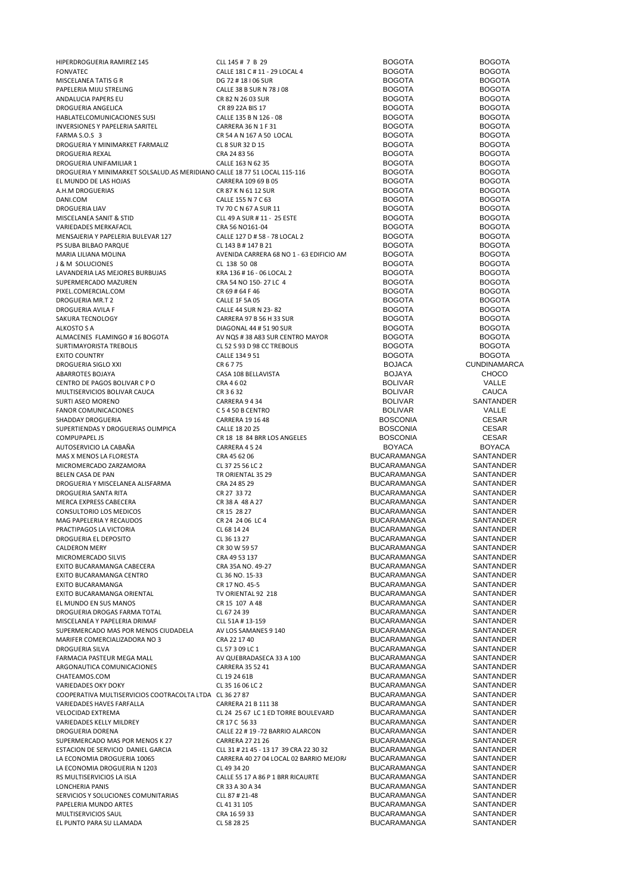| HIPERDROGUERIA RAMIREZ 145                                                 | CLL 145# 7 B 29                          | <b>BOGOTA</b>                     | <b>BOGOTA</b>          |
|----------------------------------------------------------------------------|------------------------------------------|-----------------------------------|------------------------|
| <b>FONVATEC</b>                                                            | CALLE 181 C # 11 - 29 LOCAL 4            | <b>BOGOTA</b>                     | <b>BOGOTA</b>          |
| MISCELANEA TATIS G R                                                       | DG 72 # 18   06 SUR                      | <b>BOGOTA</b>                     | <b>BOGOTA</b>          |
| PAPELERIA MIJU STRELING                                                    | CALLE 38 B SUR N 78 J 08                 | <b>BOGOTA</b>                     | <b>BOGOTA</b>          |
| ANDALUCIA PAPERS EU                                                        | CR 82 N 26 03 SUR                        | <b>BOGOTA</b>                     | <b>BOGOTA</b>          |
| DROGUERIA ANGELICA                                                         | CR 89 22A BIS 17                         | <b>BOGOTA</b>                     | <b>BOGOTA</b>          |
| HABLATELCOMUNICACIONES SUSI                                                | CALLE 135 B N 126 - 08                   | <b>BOGOTA</b>                     | <b>BOGOTA</b>          |
| INVERSIONES Y PAPELERIA SARITEL                                            | CARRERA 36 N 1 F 31                      | <b>BOGOTA</b>                     | <b>BOGOTA</b>          |
| FARMA S.O.S 3                                                              | CR 54 A N 167 A 50 LOCAL                 | <b>BOGOTA</b>                     | <b>BOGOTA</b>          |
| DROGUERIA Y MINIMARKET FARMALIZ                                            | CL 8 SUR 32 D 15                         | <b>BOGOTA</b>                     | <b>BOGOTA</b>          |
| DROGUERIA REXAL                                                            | CRA 24 83 56                             | <b>BOGOTA</b>                     | <b>BOGOTA</b>          |
| DROGUERIA UNIFAMILIAR 1                                                    | CALLE 163 N 62 35                        | <b>BOGOTA</b>                     | <b>BOGOTA</b>          |
| DROGUERIA Y MINIMARKET SOLSALUD. AS MERIDIANO CALLE 18 77 51 LOCAL 115-116 |                                          | <b>BOGOTA</b>                     | <b>BOGOTA</b>          |
| EL MUNDO DE LAS HOJAS                                                      | CARRERA 109 69 B 05                      | <b>BOGOTA</b>                     | <b>BOGOTA</b>          |
| A.H.M DROGUERIAS                                                           | CR 87 K N 61 12 SUR                      | <b>BOGOTA</b>                     | <b>BOGOTA</b>          |
| DANI.COM                                                                   | CALLE 155 N 7 C 63                       | <b>BOGOTA</b>                     | <b>BOGOTA</b>          |
| <b>DROGUERIA LIAV</b>                                                      | TV 70 C N 67 A SUR 11                    | <b>BOGOTA</b>                     | <b>BOGOTA</b>          |
| MISCELANEA SANIT & STID                                                    | CLL 49 A SUR # 11 - 25 ESTE              | <b>BOGOTA</b>                     | <b>BOGOTA</b>          |
| VARIEDADES MERKAFACIL                                                      | CRA 56 NO161-04                          | <b>BOGOTA</b>                     | <b>BOGOTA</b>          |
| MENSAJERIA Y PAPELERIA BULEVAR 127                                         | CALLE 127 D # 58 - 78 LOCAL 2            | <b>BOGOTA</b>                     | <b>BOGOTA</b>          |
| PS SUBA BILBAO PARQUE                                                      | CL 143 B # 147 B 21                      | <b>BOGOTA</b>                     | <b>BOGOTA</b>          |
| MARIA LILIANA MOLINA                                                       | AVENIDA CARRERA 68 NO 1 - 63 EDIFICIO AN | <b>BOGOTA</b>                     | <b>BOGOTA</b>          |
| <b>J &amp; M SOLUCIONES</b>                                                | CL 138 50 08                             | <b>BOGOTA</b>                     | <b>BOGOTA</b>          |
| LAVANDERIA LAS MEJORES BURBUJAS                                            | KRA 136 #16 - 06 LOCAL 2                 | <b>BOGOTA</b>                     | <b>BOGOTA</b>          |
| SUPERMERCADO MAZUREN                                                       | CRA 54 NO 150-27 LC 4                    | <b>BOGOTA</b>                     | <b>BOGOTA</b>          |
| PIXEL.COMERCIAL.COM                                                        | CR 69 # 64 F 46                          | <b>BOGOTA</b>                     | <b>BOGOTA</b>          |
| DROGUERIA MR.T 2                                                           | CALLE 1F 5A 05                           | <b>BOGOTA</b>                     | <b>BOGOTA</b>          |
| DROGUERIA AVILA F                                                          | CALLE 44 SUR N 23-82                     | <b>BOGOTA</b>                     | <b>BOGOTA</b>          |
| SAKURA TECNOLOGY                                                           | CARRERA 97 B 56 H 33 SUR                 | <b>BOGOTA</b>                     | <b>BOGOTA</b>          |
| <b>ALKOSTO S A</b>                                                         | DIAGONAL 44 # 51 90 SUR                  | <b>BOGOTA</b>                     | <b>BOGOTA</b>          |
| ALMACENES FLAMINGO #16 BOGOTA                                              | AV NQS #38 A83 SUR CENTRO MAYOR          | <b>BOGOTA</b>                     | <b>BOGOTA</b>          |
| SURTIMAYORISTA TREBOLIS                                                    | CL 52 S 93 D 98 CC TREBOLIS              | <b>BOGOTA</b>                     | <b>BOGOTA</b>          |
| <b>EXITO COUNTRY</b>                                                       | CALLE 134 9 51                           | <b>BOGOTA</b>                     | <b>BOGOTA</b>          |
| DROGUERIA SIGLO XXI                                                        | CR 6 7 75                                | <b>BOJACA</b>                     | <b>CUNDINAMARCA</b>    |
| ABARROTES BOJAYA                                                           | CASA 108 BELLAVISTA                      | <b>BOJAYA</b>                     | <b>CHOCO</b>           |
| CENTRO DE PAGOS BOLIVAR C P O                                              | CRA 4 6 02                               | <b>BOLIVAR</b>                    | VALLE                  |
| MULTISERVICIOS BOLIVAR CAUCA                                               | CR 3 6 32                                | <b>BOLIVAR</b>                    | <b>CAUCA</b>           |
| SURTI ASEO MORENO                                                          | CARRERA 9434                             | <b>BOLIVAR</b>                    | SANTANDER              |
| <b>FANOR COMUNICACIONES</b>                                                | C 5 4 50 B CENTRO                        | <b>BOLIVAR</b>                    | VALLE                  |
| SHADDAY DROGUERIA                                                          | CARRERA 19 16 48                         | <b>BOSCONIA</b>                   | <b>CESAR</b>           |
| SUPERTIENDAS Y DROGUERIAS OLIMPICA                                         | CALLE 18 20 25                           | <b>BOSCONIA</b>                   | <b>CESAR</b>           |
| <b>COMPUPAPEL JS</b>                                                       | CR 18 18 84 BRR LOS ANGELES              | <b>BOSCONIA</b>                   | <b>CESAR</b>           |
| AUTOSERVICIO LA CABAÑA                                                     | CARRERA 4524                             | <b>BOYACA</b>                     | <b>BOYACA</b>          |
| MAS X MENOS LA FLORESTA                                                    | CRA 45 62 06                             | <b>BUCARAMANGA</b>                | SANTANDER              |
| MICROMERCADO ZARZAMORA                                                     | CL 37 25 56 LC 2                         | <b>BUCARAMANGA</b>                | <b>SANTANDER</b>       |
| BELEN CASA DE PAN                                                          | TR ORIENTAL 35 29                        | <b>BUCARAMANGA</b>                | SANTANDER              |
| DROGUERIA Y MISCELANEA ALISFARMA                                           | CRA 24 85 29                             | <b>BUCARAMANGA</b>                | SANTANDER              |
| DROGUERIA SANTA RITA                                                       | CR 27 33 72                              | <b>BUCARAMANGA</b>                | SANTANDER              |
| MERCA EXPRESS CABECERA                                                     | CR 38 A 48 A 27                          | <b>BUCARAMANGA</b>                | SANTANDER              |
| <b>CONSULTORIO LOS MEDICOS</b>                                             | CR 15 28 27                              | <b>BUCARAMANGA</b>                | <b>SANTANDER</b>       |
| MAG PAPELERIA Y RECAUDOS                                                   | CR 24 24 06 LC 4                         | <b>BUCARAMANGA</b>                | SANTANDER              |
| PRACTIPAGOS LA VICTORIA                                                    | CL 68 14 24                              | <b>BUCARAMANGA</b>                | SANTANDER              |
| DROGUERIA EL DEPOSITO                                                      | CL 36 13 27                              | <b>BUCARAMANGA</b>                | SANTANDER              |
| <b>CALDERON MERY</b>                                                       | CR 30 W 59 57                            | <b>BUCARAMANGA</b>                | SANTANDER              |
| MICROMERCADO SILVIS                                                        | CRA 49 53 137                            | <b>BUCARAMANGA</b>                | SANTANDER              |
| EXITO BUCARAMANGA CABECERA                                                 | CRA 35A NO. 49-27                        | <b>BUCARAMANGA</b>                | SANTANDER              |
| EXITO BUCARAMANGA CENTRO                                                   | CL 36 NO. 15-33                          | <b>BUCARAMANGA</b>                | SANTANDER              |
| EXITO BUCARAMANGA                                                          | CR 17 NO. 45-5                           | <b>BUCARAMANGA</b>                | SANTANDER              |
| EXITO BUCARAMANGA ORIENTAL                                                 | TV ORIENTAL 92 218                       | <b>BUCARAMANGA</b>                | SANTANDER              |
| EL MUNDO EN SUS MANOS                                                      | CR 15 107 A 48                           | <b>BUCARAMANGA</b>                | SANTANDER              |
| DROGUERIA DROGAS FARMA TOTAL                                               | CL 67 24 39                              | <b>BUCARAMANGA</b>                | SANTANDER              |
| MISCELANEA Y PAPELERIA DRIMAF                                              | CLL 51A #13-159                          | <b>BUCARAMANGA</b>                | SANTANDER              |
| SUPERMERCADO MAS POR MENOS CIUDADELA                                       | AV LOS SAMANES 9 140                     | <b>BUCARAMANGA</b>                | SANTANDER              |
| MARIFER COMERCIALIZADORA NO 3                                              | CRA 22 17 40                             | <b>BUCARAMANGA</b>                | SANTANDER              |
| DROGUERIA SILVA                                                            | CL 57 3 09 LC 1                          | <b>BUCARAMANGA</b>                | SANTANDER              |
| FARMACIA PASTEUR MEGA MALL                                                 | AV QUEBRADASECA 33 A 100                 | <b>BUCARAMANGA</b>                | SANTANDER              |
| ARGONAUTICA COMUNICACIONES                                                 | CARRERA 35 52 41                         | <b>BUCARAMANGA</b>                | SANTANDER              |
| CHATEAMOS.COM                                                              | CL 19 24 61B                             | <b>BUCARAMANGA</b>                | SANTANDER              |
| VARIEDADES OKY DOKY                                                        | CL 35 16 06 LC 2                         | <b>BUCARAMANGA</b>                | SANTANDER              |
| COOPERATIVA MULTISERVICIOS COOTRACOLTA LTDA CL 36 27 87                    |                                          | <b>BUCARAMANGA</b>                | SANTANDER              |
| VARIEDADES HAVES FARFALLA                                                  | CARRERA 21 B 111 38                      | <b>BUCARAMANGA</b>                | SANTANDER              |
| VELOCIDAD EXTREMA                                                          | CL 24 25 67 LC 1 ED TORRE BOULEVARD      | <b>BUCARAMANGA</b>                | SANTANDER              |
| VARIEDADES KELLY MILDREY                                                   | CR 17 C 56 33                            | <b>BUCARAMANGA</b>                | SANTANDER              |
| DROGUERIA DORENA                                                           | CALLE 22 # 19 -72 BARRIO ALARCON         | <b>BUCARAMANGA</b>                | SANTANDER              |
| SUPERMERCADO MAS POR MENOS K 27                                            | CARRERA 27 21 26                         | <b>BUCARAMANGA</b>                | SANTANDER              |
| ESTACION DE SERVICIO DANIEL GARCIA                                         | CLL 31 # 21 45 - 13 17 39 CRA 22 30 32   | BUCARAMANGA                       | SANTANDER              |
| LA ECONOMIA DROGUERIA 10065                                                | CARRERA 40 27 04 LOCAL 02 BARRIO MEJOR/  | <b>BUCARAMANGA</b>                | SANTANDER              |
| LA ECONOMIA DROGUERIA N 1203                                               |                                          |                                   | SANTANDER              |
| RS MULTISERVICIOS LA ISLA                                                  |                                          |                                   |                        |
|                                                                            | CL 49 34 20                              | <b>BUCARAMANGA</b>                |                        |
|                                                                            | CALLE 55 17 A 86 P 1 BRR RICAURTE        | <b>BUCARAMANGA</b>                | SANTANDER              |
| LONCHERIA PANIS                                                            | CR 33 A 30 A 34                          | <b>BUCARAMANGA</b>                | SANTANDER              |
| SERVICIOS Y SOLUCIONES COMUNITARIAS                                        | CLL 87 # 21-48                           | <b>BUCARAMANGA</b>                | SANTANDER              |
| PAPELERIA MUNDO ARTES                                                      | CL 41 31 105                             | <b>BUCARAMANGA</b>                | SANTANDER              |
| MULTISERVICIOS SAUL<br>EL PUNTO PARA SU LLAMADA                            | CRA 16 59 33<br>CL 58 28 25              | <b>BUCARAMANGA</b><br>BUCARAMANGA | SANTANDER<br>SANTANDER |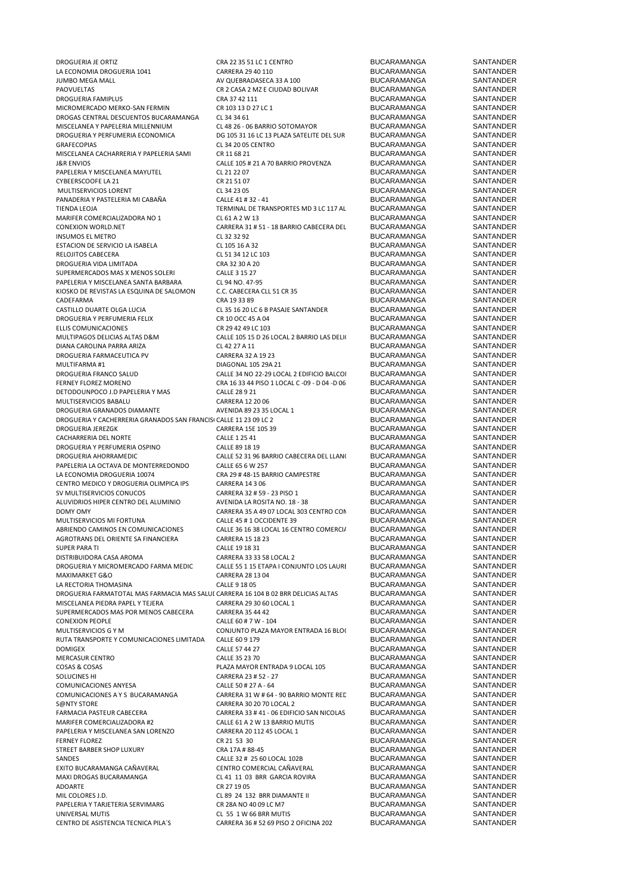LA ECONOMIA DROGUERIA 1041 CARRERA 29 40 110 BUCARAMANGA SANTANDER JUMBO MEGA MALL AV QUEBRADASECA 33 A 100 BUCARAMANGA SANTANDER DROGUERIA FAMIPLUS CRA 37 42 111 BUCARAMANGA SANTANDER MICROMERCADO MERKO-SAN FERMIN CR 103 13 D 27 LC 1 BUCARAMANGA SANTANDER<br>DROGAS CENTRAL DESCUENTOS BUCARAMANGA CL 34 34 61 SANTANDER BUCARAMANGA SANTANDER DROGAS CENTRAL DESCUENTOS BUCARAMANGA CL 34 34 61 BUCARAMANGA BUCARAMANGA SANTANDER<br>MISCELANEA Y PAPELERIA MILLENNILIM (CL 48 26 - 06 RARRIO SOTOMAYOR RICARAMANGA SANTANDER MISCELANEA Y PAPELERIA MILLENNIUM CL 48 26 - 06 BARRIO SOTOMAYOR BUCARAMANGA SANTANDER<br>DROGUERIA Y PERFUMERIA ECONOMICA DG 105 31 16 I.C 13 PLAZA SATELITE DEL SUR BUCARAMANGA SANTANDER DROGUERIA Y PERFUMERIA ECONOMICA DE 105 31 16 LC 13 PLAZA SATELITE DEL SUR BUCARAMANGA SANTANDER<br>GRAFECOPIAS SANTANDER CL 34 20 05 CENTRO GRAFECOPIAS CL 34 20 05 CENTRO BUCARAMANGA SANTANDER MISCELANEA CACHARRERIA Y PAPELERIA SAMI CR 11 68 21 BUCARAMANGA SANTANDER J&R ENVIOS CALLE 105 # 21 A 70 BARRIO PROVENZA BUCARAMANGA SANTANDER PAPELERIA Y MISCELANEA MAYUTEL CL 21 22 07 BUCARAMANGA SANTANDER CYBEERSCOOFE LA 21 CR 21 51 07 BUCARAMANGA SANTANDER MULTISERVICIOS LORENT CL 34 23 05 BUCARAMANGA SANTANDER PANADERIA Y PASTELERIA MI CABAÑA CALLE 41 # 32 - 41 BUCARAMANGA SANTANDER<br>TIENDA LEOJA SANTANDER TERMINAL DE TRANSPORTES MD 3 LC 117 AL BUCARAMANGA SANTANDER MARIFER COMERCIALIZADORA NO 1 CL 61 A 2 W 13<br>COMEXION WORLD.NET COMEXION CORRERA 31 # 51 - 18 BARRIO CABECERA DEL BUCARAMANGA SANTANDER CONEXION WORLD.NET 
CONEXION WORLD.NET

CONEXION CONEXION CLOSURERA 31 # 51 - 18 BARRIO CABECERA DEL BUCARAMANGA

CLOSURERERA 292 INSUMOS EL METRO CL 32 32 92 BUCARAMANGA SANTANDER ESTACION DE SERVICIO LA ISABELA CL 105 16 A 32 BUCARAMANGA SANTANDER<br>
EL QUEO CARECERA CL 51 34 12 JC 103 BUCARAMANGA SANTANDER RELOJITOS CABECERA CL 51 34 12 LC 103 BUCARAMANGA SANTANDER DROGUERIA VIDA LIMITADA CRA 32 30 A 20 BUCARAMANGA SANTANDER SUPERMERCADOS MAS X MENOS SOLERI PAPELERIA Y MISCELANEA SANTA BARBARA CL 94 NO. 47-95 BUCARAMANGA BUCARAMANGA SANTANDER<br>KIOSKO DE REVISTAS LA ESQUINA DE SALOMON C.C. CABECERA CLL 51 CR 35 BUCARAMANGA SANTANDER KIOSKO DE REVISTAS LA ESQUINA DE SALOMON C.C. CABECERA CLL 51 CR 35 BUCARAMANGA SANTANDER<br>CADEFARMA SANTANDER CRA 19 33 89 BUCARAMANGA SANTANDER CADEFARMA CADEFARMA CRA 1933 89 CRA 19 33 89 BUCARAMANGA SANTANDER<br>CASTILLO DUARTE OLGA LUCIA CL 35 16 20 LC 6 B PASAJE SANTANDER BUCARAMANGA SANTANDER DROGUERIA Y PERFUMERIA FELIX<br>
CR 10 OCC 45 A 04 BUCARAMANGA SANTANDER<br>
ELLIS COMUNICACIONES SANTANDER CR 29 42 49 LC 103 BUCARAMANGA SANTANDER ELLIS COMUNICACIONES CR 29 42 49 LC 103 BUCARAMANGA SANTANDER DIANA CAROLINA PARRA ARIZA CL 42 27 A 11 BUCARAMANGA SANTANDER DROGUERIA FARMACEUTICA PV CARRERA 32 A 19 23 BUCARAMANGA SANTANDER MULTIFARMA #1 DIAGONAL 105 29A 21 BUCARAMANGA SANTANDER DROGUERIA FRANCO SALUD CALLE 34 NO 22-29 LOCAL 2 EDIFICIO BALCONES DEL ORIENTE BUCARAMANGA SANTANDER FERNEY FLOREZ MORENO<br>
CRA 16 33 44 PISO 1 LOCAL C -09 - D 04 -D 06 BUCARAMANGA SANTANDER<br>
DETODOLINPOCO I DPAPELERIA Y MAS CALLE 28 9 21 DETODOUNPOCO J.D PAPELERIA Y MAS CALLE 28 9 21 BUCARAMANGA SANTANDER<br>MULTISERVICIOS BABALU CARRERA 12 20 06 BUCARAMANGA SANTANDER MULTISERVICIOS BABALU CARRERA 12 20 06 BUCARAMANGA SANTANDER DROGUERIA GRANADOS DIAMANTE AVENIDA 89 23 35 LOCAL 1 BUCARAMANGA SANTANDER DROGUERIA Y CACHERRERIA GRANADOS SAN FRANCISI CALLE 11 23 09 LC 2 BUCARAMANGA BOROGUERIA LEREZGK ANTANDER<br>DROGUERIA JEREZGK SANTANDER CARRERA 15E 105 39 BUCARAMANGA SANTANDER CACHARRERIA DEL NORTE CALLE 1 25 41 BUCARAMANGA SANTANDER DROGUERIA Y PERFUMERIA OSPINO CALLE 89 18 19 BUCARAMANGA SANTANDER PAPELERIA LA OCTAVA DE MONTERREDONDO CALLE 65 6 W 257 BUCARAMANGA SANTANDER LA ECONOMIA DROGUERIA 10074 CRA 29 # 48-15 BARRIO CAMPESTRE BUCARAMANGA SANTANDER<br>CENTRO MEDICO Y DROGUERIA OLIMPICA IPS CARRERA 14 3 06 BUCARAMANGA SANTANDER CENTRO MEDICO Y DROGUERIA OLIMPICA IPS CARRERA 14 3 06 BUCARAMANGA SANTANDER<br>CARRERA 32 # 59 - 23 PISO 1 BUCARAMANGA SANTANDER SV MULTISERVICIOS CONUCOS CONUCOS CARRERA 32 # 59 - 23 PISO 1 BUCARAMANGA ALUVIDRIOS HIPER CENTRO DEL ALUMINIO AVENIDA LA ROSITA NO. 18 - 38 BUCARAMANGA SANTANDER DOMY OMY OMY CARRERA 35 A 49 07 LOCAL 303 CENTRO CON BUCARAMANGA SANTANDER<br>MULTISERVICIOS MI FORTUNA CALLE 45 #1 OCCIDENTE 39 BUCARAMANGA SANTANDER MULTISERVICIOS MI FORTUNA 
CALLE 45 # 1 OCCIDENTE 39 BUCARAMANGA SANTANDER<br>
ABRIENDO CAMINOS EN COMUNICACIONES CALLE 36 16 38 LOCAL 16 CENTRO COMERCI/ BUCARAMANGA SANTANDER AGROTRANS DEL ORIENTE SA FINANCIERA CARRERA 15 18 23 BUCARAMANGA SANTANDER SUPER PARA TI SANTANDER SANTANDER SANTANDER SANTANDER SANTANDER SANTANDER SANTANDER SANTANDER DISTRIBUIDORA CASA AROMA CARRERA 33 33 58 LOCAL 2 BUCARAMANGA SANTANDER<br>DROGUERIA Y MICROMERCADO FARMA MEDIC CALLE 55 1 15 ETAPA I CONJUNTO LOS LAURI BUCARAMANGA SANTANDER DROGUERIA Y MICROMERCADO FARMA MEDIC CALLE 55 1 15 ETAPA I CONJUNTO LOS LAURI BUCARAMANGA SANTANDER<br>CARRERA 28 13 04 CARA 3 BUCARAMANGA SANTANDER MAXIMARKET G&O CARRERA 28 13 04 BUCARAMANGA SANTANDER LA RECTORIA THOMASINA CALLE 9 18 05 CALLE 9 18 05 BUCARAMANGA SANTANDER<br>DROGUERIA EARMATOTAL MAS EARMACIA MAS SALUI CARRERA 16 10A R.O? RRR DELICIAS ALTAS RIICARAMANGA SANTANDER DROGUERIA FARMATOTAL MAS FARMACIA MAS SALUI CARRERA 16 104 B 02 BRR DELICIAS ALTAS BUCARAMANGA SANTANDER<br>MISCELANEA PIEDRA PAPEL Y TEIERA CARRERA DE CARRERA 29 30 60 LOCAL 1 MISCELANEA PIEDRA PAPEL Y TEJERA CARRERA 29 30 60 LOCAL 1 BUCARAMANGA SANTANDER<br>SI PERMERCADOS MAS POR MENOS CARECERA CARRERA 35 44 42 BILGARAMANGA SANTANDER SUPERMERCADOS MAS POR MENOS CABECERA CARRERA 35 44 42 BUCARAMANGA SANTANDER<br>CONEXION PEOPLE SANTANDER COLLE 60 # 7 W - 104 BUCARAMANGA SANTANDER CONEXION PEOPLE CONEXION PEOPLE CALLE 60 # 7 W - 104 BUCARAMANGA<br>
CONJUNTO PLAZA MAYOR ENTRADA 16 BLOI BUCARAMANGA SANTANDER RUTA TRANSPORTE Y COMUNICACIONES LIMITADA CALLE 60 9 179 BUCARAMANGA SANTANDER DOMIGEX CALLE 57 44 27 BUCARAMANGA SANTANDER MERCASUR CENTRO CALLE 35 23 70 BUCARAMANGA SANTANDER COSAS & COSAS COSAS PLAZA MAYOR ENTRADA 9 LOCAL 105 BUCARAMANGA SANTANDER<br>COLOCINES HI SANTANDER CORRERA 23 # 52 - 27 BUCARAMANGA SANTANDER COMUNICACIONES ANYESA CALLE 50 # 27 A - 64 BUCARAMANGA SANTANDER<br>COMUNICACIONES A Y S BUCARAMANGA CARRERA 31 W # 64 - 90 BARRIO MONTE REC BUCARAMANGA SANTANDER COMUNICACIONES A Y S BUCARAMANGA CARRERA 31 W # 64 - 90 BARRIO MONTE RED BUCARAMANGA SANTANDER<br>CARRERA 30 20 70 I OCAI 2 - BUCARAMANGA SANTANDER S@NTY STORE SANTANDER<br>FARMACIA PASTELIR CARECERA SANTANDER CARRERA 33 # 41 - 06 EDIFICIO SAN NICOLAS RIICARAMANGA SANTANDER FARMACIA PASTEUR CABECERA CARRERA 33 # 41 - 06 EDIFICIO SAN NICOLAS BUCARAMANGA SANTANDER<br>CALLEGA 2 MARIER COMERCIALIZADORA #2 CALLEGA A 2 M 13 BARRIO MILITIS RI LO ARAMANGA SANTANDER MARIFER COMERCIALIZADORA #2 CALLE 61 A 2 W 13 BARRIO MUTIS PAPELERIA Y MISCELANEA SAN LORENZO CARRERA 20 112 45 LOCAL 1 BUCARAMANGA SANTANDER FERNEY FLOREZ CR 21 53 30 BUCARAMANGA SANTANDER STREET BARBER SHOP LUXURY CRA 17A # 88-45<br>SANDES SANTANDER SANTANDER CALLE 32 # 25 60 LOCAL 102B BUCARAMANGA SANTANDER EXITO BUCARAMANGA CAÑAVERAL CENTRO COMERCIAL CAÑAVERAL CAÑAVERAL BUCARAMANGA SANTANDER<br>CL41 11 03 BRR GARCIA ROVIRA BUCARAMANGA SANTANDER MAXI DROGAS BUCARAMANGA CL 41 11 03 BRR GARCIA ROVIRA BUCARAMANGA SANTANDER ADOARTE CR 27 19 05 BUCARAMANGA SANTANDER PAPELERIA Y TARJETERIA SERVIMARG CR 28A NO 40 09 LC M7 BUCARAMANGA SANTANDER<br>CISS 1 MINTERSAL MULTIS CRESS 1 M 66 BRR MUTIS BUCARAMANGA SANTANDER UNIVERSAL MUTIS CL 55 1 W 66 BRR MUTIS BUCARAMANGA SANTANDER<br>CENTRO DE ASISTENCIA TECNICA PILA'S CARRERA 36 # 52 69 PISO 2 OFICINA 202 RIICARAMANGA SANTANDER

CR 2 CASA 2 MZ E CIUDAD BOLIVAR BUCARAMANGA SANTANDER<br>
CRA 37 42 111 CR ARTANDER BUCARAMANGA SANTANDER TIENDA LEOJA TERMINAL DE TRANSPORTES MD 3 LC 117 AL 120 BUCARAMANGA SANTANDER CL 35 16 20 LC 6 B PASAJE SANTANDER BUCARAMANGA SANTANDER<br>CR 10 OCC 45 A 04 BUCARAMANGA SANTANDER CALLE 105 15 D 26 LOCAL 2 BARRIO LAS DELI BUCARAMANGA SANTANDER<br>CL 42 27 A 11 BUCARAMANGA SANTANDER CARRERA 15E 105 39 BUCARAMANGA SANTANDER<br>CALLE 1 25 41 BUCARAMANGA SANTANDER CALLE 52 31 96 BARRIO CABECERA DEL LLANI BUCARAMANGA SANTANDER<br>CALLE 65 6 W 257 BUCARAMANGA SANTANDER CALLE 36 16 38 LOCAL 16 CENTRO COMERCI/ BUCARAMANGA SANTANDER<br>CARRERA 15 18 23 CARRERA BUCARAMANGA SANTANDER MULTIMIST CONJUNTO PLAZA MAYOR ENTRADA 16 BLO<br/>  $\text{BUCARAMANGA} \text{SANTANDER}$ SANDER AND CALLE 32 # 25 60 LOCAL 102B<br>CENTRO COMERCIAL CAÑAVERAL BUCARAMANGA SANTANDER CL 89 24 132 BRR DIAMANTE II BUCARAMANGA SANTANDER<br>CR 28A NO 40 09 LC M7 BUCARAMANGA SANTANDER CARRERA 36 # 52 69 PISO 2 OFICINA 202

DROGUERIA JE ORTIZ CRA 22 35 51 LC 1 CENTRO BUCARAMANGA SANTANDER SOLUCINES HI CARRERA 23 # 52 - 27 BUCARAMANGA SANTANDER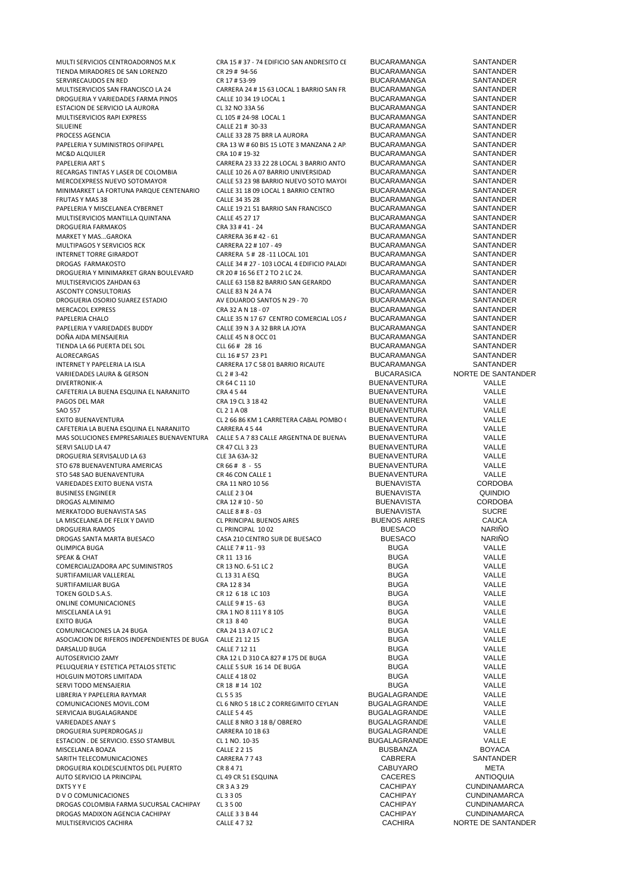MULTI SERVICIOS CENTROADORNOS M.K CRA 15 # 37 - 74 EDIFICIO SAN ANDRESITO CENTRO PUCARAMANGA SANTANDER<br>TIENDA MIRADORES DE SAN LORENZO CR 29 # 94-56 - D30 - D30 - BUCARAMANGA SANTANDER TIENDA MIRADORES DE SAN LORENZO<br>1991 - SERVIRECAUDOS EN RED CR 2001 - CR 17 # 53-99 BUCARAMANGA BUCARAMANGA SANTANDER SERVIRECAUDOS EN RED CR 17 # 53-99 CR 17 # 53-99 BUCARAMANGA SANTANDER<br>SANTANDER CARRERA 24 # 15 63 LOCAL 1 BARRIO SAN FR BUCARAMANGA SANTANDER DROGUERIA Y VARIEDADES FARMA PINOS CALLE 10 34 19 LOCAL 1 BUCARAMANGA SANTANDER<br>CALLE 12 NO 33A 56 BUCARAMANGA SANTANDER ESTACION DE SERVICIO LA AURORA CL 32 NO 33A 56 BUCARAMANGA SANTANDER MULTISERVICIOS RAPI EXPRESS CL 105 # 24-98 LOCAL 1 BUCARAMANGA SANTANDER<br>CALLE 21 # 30-33 RAILGARAMANGA SANTANDER SILUEINE CALLE 21 # 30-33 BUCARAMANGA SANTANDER PROCESS AGENCIA CALLE 33 28 75 BRR LA AURORA BUCARAMANGA SANTANDER<br>PAPELERIA Y SUMINISTROS OFIPAPEL CRA 13 W # 60 BIS 15 LOTE 3 MANZANA 2 AP BUCARAMANGA SANTANDER MC&D ALQUILER CRA 10 # 19-32 CRA 10 # 19-32 BUCARAMANGA SANTANDER PAPELERIA ART S<br>
CARRERA 23 33 22 28 LOCAL 3 BARRIO ANTO BUCARAMANGA SANTANDER<br>
RECARGAS TINTAS Y LASER DE COLOMBIA CALLE 10 26 A 07 BARRIO UNIVERSIDAD BUCARAMANGA SANTANDER RECARGAS TINTAS Y LASER DE COLOMBIA CALLE 10 26 A 07 BARRIO UNIVERSIDAD BUCARAMANGA SANTANDER MINIMARKET LA FORTUNA PARQUE CENTENARIO CALLE 31 18 09 LOCAL 1 BARRIO CENTRO BUCARAMANGA SANTANDER<br>CALLE 34 35 28 CALLE 34 35 28 BUCARAMANGA SANTANDER FRUTAS Y MAS 38 SANTANDER CALLE 34 35 28 SANTAMO BUCARAMANGA SANTANDER PAPELERIA Y MISCELANEA CYBERNET CALLE 19 21 51 BARRIO SAN FRANCISCO BUCARAMANGA SANTANDER MULTISERVICIOS MANTILLA QUINTANA CALLE 45 27 17 BUCARAMANGA SANTANDER DROGUERIA FARMAKOS CRA 33 # 41 - 24 BUCARAMANGA SANTANDER MARKET Y MAS...GAROKA CARRERA 36 # 42 - 61 BUCARAMANGA SANTANDER MULTIPAGOS Y SERVICIOS RCK CARRERA 22 # 107 - 49 BUCARAMANGA SANTANDER<br>CARRERA 5 # 28.11 I QCAL 101 BUCARAMANGA SANTANDER DROGAS FARMAKOSTO CALLE 34 # 27 - 103 LOCAL 4 EDIFICIO PALADIO BUCARAMANGA SANTANDER DROGUERIA Y MINIMARKET GRAN BOULEVARD MULTISERVICIOS ZAHDAN 63 CALLE 63 15B 82 BARRIO SAN GERARDO BUCARAMANGA SANTANDER ASCONTY CONSULTORIAS 
ASCONTY CONSULTORIAS 
A CALLE 83 N 24 A 74 BUCARAMANGA 
CALLE 83 N 24 A 74 COUARDO SANTOS N 29 - 70 BUCARAMANGA SANTANDER DROGUERIA OSORIO SUAREZ ESTADIO AV EDUARDO SANTOS N 29 - 70 BUCARAMANGA SANTANDER MERCACOL EXPRESS CRA 32 A N 18 - 07 BUCARAMANGA SANTANDER PAPELERIA Y VARIEDADES BUDDY CALLE 39 N 3 A 32 BRR LA JOYA BUCARAMANGA SANTANDER<br>DOÑA AIDA MENSAJERIA SANTANDER CALLE 45 N 8 OCC 01 BUCARAMANGA SANTANDER DOÑA AIDA MENSAJERIA CALLE 45 N 8 OCC 01 BUCARAMANGA SANTANDER<br>TIENDA LA 66 PUERTA DEL SOL CLOSE DE LA 66 # 28 16 BUCARAMANGA SANTANDER TIENDA LA 66 PUERTA DEL SOL CONTRADER CLL 66 # 28 16 BUCARAMANGA SANTANDER<br>CLL 16 # 57 23 P1 BUCARAMANGA SANTANDER ALORECARGAS ALORECARGAS CLL 16 # 57 23 P1 BUCARAMANGA SANTANDER INTERNET Y PAPELERIA LA ISLA CARRERA 17 C 58 01 BARRIO RICAUTE BUCARAMANGA SANTANDER VARIIEDADES LAURA & GERSON CL 2 # 3-42 BUCARASICA NORTE DE SANTANDER DIVERTRONIK-A CR 64 C 11 10 BUENAVENTURA VALLE CAFETERIA LA BUENA ESQUINA EL NARANJITO CRA 4 5 44 BUENA CALLE DE LA ACCESSIONALE PAGOS DEL MARANTENTURA CRA 19 CL 3 18 42 BUENAVENTURA VALLE PAGOS DEL MAR CRA 19 CL 3 18 42 BUENAVENTURA VALLE EXITO BUENAVENTURA CL 2 66 86 KM 1 CARRETERA CABAL POMBO CCIAL SHOPING BUENAVENTURA VALLE CAFETERIA LA BUENA ESQUINA EL NARANJITO CARRERA 4 5 44 BUENA EL DE DE ROLUCIONES EMPRESARIALES BUENAVENTURA CALLE 5 A 7 83 CALLE ARGENTNA DE BUENAVENTURA BUENAVENTURA VALLE MAS SOLUCIONES EMPRESARIALES BUENAVENTURA CALLE 5 A 7 83 CALLE ARGENTNA DE BUENAVENTURA BUENAVENTURA VALLE SERVI SALUD LA 47 CLL 3 23 CR 47 CLL 3 23 DROGUERIA SERVISALUD LA 63 STO 678 BUENAVENTURA AMERICAS CR 66 # 8 - 55 BUENAVENTURA DE REGION CALLE<br>STO 548 SAO RIJENAVENTURA CR 46 CON CALLE 1 BUENAVENTURA DE REGION CALLE STO 548 SAO BUENAVENTURA CR 46 CON CALLE 1 BUENAVENTURA VALLE VARIEDADES EXITO BUENA VISTA CRA 11 NRO 10 56 BUSINESS ENGINEER CALLE 2 3 04 CALLE 2 3 04 BUENAVISTA QUINDIO DROGAS ALMINIMO CRA 12 # 10 - 50 BUENAVISTA CORDOBA MERKATODO BUENAVISTA SAS CALLE 8 # 8 - 03 BUENAVISTA SUCRE LA MISCELANEA DE FELIX Y DAVID CL PRINCIPAL BUENOS AIRES BUENOS AIRES CAUCA DROGUERIA RAMOS CL PRINCIPAL 10 02 BUESACO NARIÑO DROGAS SANTA MARTA BUESACO CASA 210 CENTRO SUR DE BUESACO BUESACO NARIÑO OLIMPICA BUGA CALLE 7 # 11 - 93 BUGA VALLE SPEAK & CHAT CR 11 13 16 BUGA VALLE COMERCIALIZADORA APC SUMINISTROS CR 13 NO. 6-51 LC 2<br>CL 13 31 A ESO SUMINISTROS CL 13 31 A ESO CL 13 A ESO COMERCIALE BUGA NALLE SURTIFAMILIAR VALLEREAL CL 13 31 A ESQ BUGA VALLE SURTIFAMILIAR BUGA TOKEN GOLD S.A.S. CR 12 6 18 LC 103 BUGA VALLE ONLINE COMUNICACIONES 
CALLE 9 # 15 - 63<br>
CALLE 9 # 15 - 63 BUGA BUGA VALLE<br>
MISCELANEA LA 91 CRA 1 NO 8 111 Y 8 105 BUGA BUGA VALLE MISCELANEA LA 91 CRA 1 NO 8 111 Y 8 105 BUGA VALLE EXITO BUGA CR 13 8 40 BUGA VALLE COMUNICACIONES LA 24 BUGA CRA 24 13 A 07 LC 2 BUGA BUGA COMUNICACIONES LA 24 BUGA CRA 24 13 A 07 LC 2 ASOCIACION DE RIFEROS INDEPENDIENTES DE BUGA CALLE 21 12 15<br>DARSALUD BUGA VALLE 2006 CALLE 7 12 11 CALLE 21 11 DARSALUD BUGA CALLE 7 12 11 BUGA VALLE AUTOSERVICIO ZAMY CRA 12 L D 310 CA 827 # 175 DE BUGA BUGA VALLE PELUQUERIA Y ESTETICA PETALOS STETIC<br>
PELUQUERIA Y ESTETICA PETALOS STETIC<br>
CALLE 4 18 02<br>
CALLE 4 18 02<br>
CALLE 4 18 02 HOLGUIN MOTORS LIMITADA CALLE 4 18 02 BUGA VALLE SERVI TODO MENSAJERIA CR 18 # 14 102 BUGA VALLE LIBRERIA Y PAPELERIA RAYMAR CL 5 5 35 BUGALAGRANDE VALLE SERVICAJA BUGALAGRANDE CALLE 5 4 45 BUGALAGRANDE VALLE VARIEDADES ANAY S CALLE 8 NRO 3 18 B/ OBRERO BUGALAGRANDE VALLE DROGUERIA SUPERDROGAS JJ CARRERA 10 1B 63 BUGALAGRANDE VALLE ESTACION . DE SERVICIO. ESSO STAMBUL CL 1 NO. 10-35 BUGALAGRANDE VALLE MISCELANEA BOAZA CALLE 2 2 15 BUSBANZA BOYACA SARITH TELECOMUNICACIONES CARRERA 7 7 43 CABRERA SANTANDER DROGUERIA KOLDESCUENTOS DEL PUERTO CR 8 4 71 CABUYARO CABUYARO META NETA DE LA CABUYARO DEL PUERTO CON LA CABU<br>CACERES ANTIOQUIA AUTO SERVICIO LA PRINCIPAL<br>
DXTS Y Y E CACERES DXTS Y Y E CACHIPAY D V O COMUNICACIONES CL 3 3 05 CACHIPAY CUNDINAMARCA DROGAS COLOMBIA FARMA SUCURSAL CACHIPAY CL 3 5 00 CACHIPAY CUNDINAMARCA DROGAS MADIXON AGENCIA CACHIPAY CALLE 3 3 B 44 CACHIPAY MULTISERVICIOS CACHIRA CALLE 4 7 32 CACHIRA NORTE DE SANTANDER

CARRERA 24 # 15 63 LOCAL 1 BARRIO SAN FR<br>CALLE 10 34 19 LOCAL 1 BARRIO SAN FRANCISCO BUCARAMANGA SANTANDER CRA 13 W # 60 BIS 15 LOTE 3 MANZANA 2 APARTAMENTO 101 BARRAMANGA CALLE 53 23 98 BARRIO NUEVO SOTO MAYOI BUCARAMANGA SANTANDER<br>CALLE 31 18 09 LOCAL 1 BARRIO CENTRO BUCARAMANGA SANTANDER CARRERA 5 # 28 -11 LOCAL 101 BUCARAMANGA SANTANDER<br>CALLE 34 # 27 - 103 LOCAL 4 EDIFICIO PALAD BUCARAMANGA SANTANDER PALLE 35 N 17 67 CENTRO COMERCIAL LOS / BUCARAMANGA SANTANDER<br>
CALLE 39 N 3 A 32 BRR LA JOYA BUCARAMANGA SANTANDER SERVI CR 47 CLL 3 23 CR 47 CLL 3 23 CR 47 CLL 3 23 CR 47 CLL 3 23 CR 47 CLL 4 23 CR 47 CLL 4 A 47 CR 47 CR 47 CR 47 CR 47 CR 47 CR 47 CR 47 CR 47 CR 47 CR 47 CR 47 CR 47 CR 47 CR 47 CR 47 CR 47 CR 47 CR 47 CR 47 CR 47 CR 4 CL 6 NRO 5 18 LC 2 CORREGIMITO CEYLAN BUGALAGRANDE VALLE<br>CALLES 4 45 VALLE CR 3 A 3 29 CACHIPAY CONDINAMARCA<br>CL 3 3 05 CACHIPAY CACHIPAY CUNDINAMARCA

BUENAVENTURA VALLE<br>BUENAVENTURA VALLE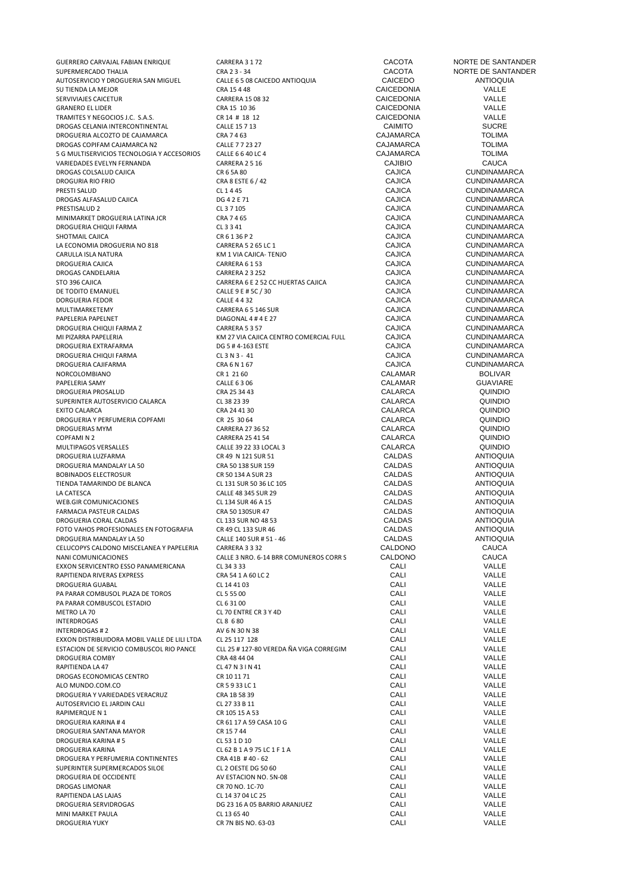GUERRERO CARVAJAL FABIAN ENRIQUE 
CARRERA 3172

COLO CONSULTAN ENGLISHED E SANTANDER

COLO COLO CONSULTAN ENGLISHED E SANTANDER

COLO COLO COLO CRAZ 2-34

COLO COLO COLO COLO CRAZ 2-34

COLO COLO COLO COLO COLO COLO CRAZ 2 AUTOSERVICIO Y DROGUERIA SAN MIGUEL CALLE 6 5 08 CAICEDO ANTIOQUIA CAICEDO ANTIOQUIA SU TIENDA LA MEJOR<br>SERVIVIAIES CAICETIIR CRA ENTRE CARRERA 15 08 32 CAICEDONIA CAICEDONIA CAICEDONIA VALLE SERVIVIAJES CAICETUR CARRERA 15 OB 32 CARRERA 15 OB 32 CAICEDONIA CAICEDONIA CALLE<br>GRANERO EL LIDER CARRERA LEGRA 15 10 36 CAICEDONIA CAICEDONIA VALLE GRANERO EL LIDER CALLE CRA 15 10 36 CAICEDONIA CAICEDONIA CALLE CRA 15 10 36 CAICEDONIA CALLE CRA 15 10 36 CAICEDONIA CALLE CRA 15 12 TRAMITES Y NEGOCIOS J.C. S.A.S. CR 14 # 18 12 CAICEDONIA VALLE DROGAS CELANIA INTERCONTINENTAL CALLE 15 7 13 DROGUERIA ALCOZTO DE CAJAMARCA CRA 7 4 63 CAJAMARCA TOLIMA DROGAS COPIFAM CAJAMARCA N2 CALLE 7 7 23 27 CAJAMARCA TOLIMA 5 G MULTISERVICIOS TECNOLOGIA Y ACCESORIOS CALLE 6 6 40 LC 4 CAJAMARCA TOLIMA VARIEDADES EVELYN FERNANDA CARRERA 2 5 16 CAJIBIO CAUCA DROGAS COLSALUD CAJICA CR 6 5A 80 CAJICA CUNDINAMARCA DROGURIA RIO FRIO CONSECTE E CRA 8 ESTE 6 / 42 CAJICA CAJICA CAJICA CAJICA CAJICA CAJICA CAJICA CAJICA CAJICA CONDE DROGAS ALFASALUD CAJICA DG 4 2 E 71 CAJICA CUNDINAMARCA MINIMARKET DROGUERIA LATINA JCR CRA 7 4 65 CAJICA CUNDINAMARCA DROGUERIA CHIQUI FARMA CL 3 3 41 CAJICA CAJICA CAJICA CAJICA CAJICA CAJICA CAJICA CAJICA CAJICA CAJICA CAJICA LA ECONOMIA DROGUERIA NO 818 CARRERA 5 2 65 LC 1 CAJICA CAJICA CUNDINAMARCA<br>CARLILLA ISLA NATURA CUNDINAMARCA KAJI VALO CAJICA TENIO CAJICA CONORINAMENTA CARULLA ISLA NATURA KM 1 VIA CAJICA- TENJO CAJICA CUNDINAMARCA DROGUERIA CAJICA CARRERA 6 1 53 CAJICA CUNDINAMARCA DROGAS CANDELARIA CARRERA 2 3 252 CAJICA CUNDINAMARCA STO 396 CAIICA CUNDINAMARCA CARRERA 6 E 2 52 CC HUERTAS CAJICA CAJICA CUNDINAMARCA<br>DE TODITO EMANUEL CALLE 9 E # 5C / 30 CAJICA CAJICA CUNDINAMARCA DE TODITO EMANUEL<br>DORGUERIA FEDOR CALLE 1999 DELLE 4 A 20 CALLE 4 A 32 DORGUERIA FEDOR CALLE 4 4 32 CAJICA CUNDINAMARCA MULTIMARKETEMY CARRERA 6 5 146 SUR CAJICA CUNDINAMARCA DROGUERIA CHIQUI FARMA Z CARRERA 5 3 57 CAJICA CUNDINAMARCA MI PIZARRA PAPELERIA NA AMBARA KONGOLOGO KOMERCIAL A CAJICA COMERCIAL EULLA CAJICA CUNDINAMARCA NA ANGGORE LOCAL CUNDINAMARCA NA ANGGORE LOCAL EURO DE SHI 4-163 ESTE NA ANGGORE COMERCAL EURO DE CUNDINAMARCA NA ANGGORE LOCA DROGUERIA EXTRAFARMA DG 5 # 4-163 ESTE CAJICA CUNDINAMARCA DROGUERIA CHIQUI FARMA CL 3 N 3 - 41 CAJICA CUNDINAMARCA DROGUERIA CAJIFARMA CRA CRA 6 N 1 67 CRA 6 N 1 67 CAJICA CUNDINAMAR<br>NORCOLOMBIANO CRI 21 60 CR 1 21 60 CALAMAR CALAMAR NORCOLOMBIANO CR 1 21 60 CALAMAR BOLIVAR PAPELERIA SAMY CALLE 6 3 06 CALAMAR GUAVIARE DROGUERIA PROSALUD CRA 25 34 43 CALARCA QUINDIO SUPERINTER AUTOSERVICIO CALARCA CL 38 23 39 CALARCA QUINDIO EXITO CALARCA CRA 24 41 30 CALARCA QUINDIO DROGUERIA Y PERFUMERIA COPFAMI CR 25 30 64 CALARCA QUINDIO DROGUERIAS MYM CARRERA 27 36 52 CALARCA QUINDIO COPFAMI N 2 CARRERA 25 41 54 CALARCA QUINDIO DROGUERIA LUZFARMA DROGUERIA MANDALAY LA 50 CRA 50 138 SUR 159 CALDAS ANTIOQUIA BOBINADOS ELECTROSUR CR 50 134 A SUR 23 CALDAS ANTIOQUIA TIENDA TAMARINDO DE BLANCA CL 131 SUR 50 36 LC 105 CALDAS CALDAS ANTIOQUIA LA CATESCA CALLE 48 345 SUR 29 CALDAS ANTIOQUIA WEB.GIR COMUNICACIONES CL 134 SUR 46 A 15 CALDAS CALDAS ANTIOQUIA FARMACIA PASTEUR CALDAS CRA 50 130SUR 47 CALDAS ANTIOQUIA DROGUERIA CORAL CALDAS CL 133 SUR NO 48 53 CALDAS ANTIOQUIA FOTO VAHOS PROFESIONALES EN FOTOGRAFIA CR 49 CL 133 SUR 46 CALDAS CALDAS ANTIOQUIA<br>DROGUERIA MANDALAY LA 50 CALLE 140 SUR # 51 - 46 CALDAS CALDAS ANTIOQUIA DROGUERIA MANDALAY LA 50 CALLE 140 SUR # 51 - 46 CALDAS CALDAS ANTIOQU<br>CELUCOPYS CALDONO MISCELANEA Y PAPELERIA CARRERA 3 3 32 CALDONO CALDONO CAUCA CELUCOPYS CALDONO MISCELANEA Y PAPELERIA CARRERA 3 32 CALDONO CAUCA<br>CALLE 3 NRO. 6-14 BRR COMUNEROS CORR S CALDONO CAUCA EXXON SERVICENTRO ESSO PANAMERICANA CL 34 3 33 CALI VALLE RAPITIENDA RIVERAS EXPRESS CRA 54 1 A 60 LC 2 CALI VALLE DROGUERIA GUABAL CL 14 41 03 CALI VALLE PA PARAR COMBUSOL PLAZA DE TOROS CL 5 55 00 CALI VALLE PA PARAR COMBUSCOL ESTADIO CL 6 31 00 CALI VALLE METRO LA 70 CL 70 ENTRE CR 3 Y 4D CALI CALI CALI VALLE<br>
CL 8 6 80 CALI CL 8 6 80 CALI CALI VALLE INTERDROGAS CL 8 6 80 CALI VALLE INTERDROGAS # 2 AV 6 N 30 N 38 CALI VALLE EXXON DISTRIBUIDORA MOBIL VALLE DE LILI LTDA CL 25 117 128<br>ESTACION DE SERVICIO COMBUSCOL RIO PANCE CLL 25 # 127-80 VEREDA ÑA VIGA CORREGIM CALI CALI VALLE VALLE ESTACION DE SERVICIO COMBUSCOL RIO PANCE CLL 25 # 127-80 VEREDA ÑA VIGA CORREGIM CALI CALI VALLE<br>CRA 48 44 04 CALI CRA 48 44 04 DROGUERIA COMBY CRA 48 44 04 CALI VALLE RAPITIENDA LA 47 CL 47 N 3 I N 41 CALI VALLE DROGAS ECONOMICAS CENTRO CR 10 11 71 CALI VALLE ALO MUNDO.COM.CO CR 5 9 33 LC 1 CALI VALLE DROGUERIA Y VARIEDADES VERACRUZ CRA 1B 58 39 CALI VALLE AUTOSERVICIO EL JARDIN CALI CL 27 33 B 11 CALI VALLE RAPIMERQUE N 1 CR 105 15 A 53 CALI VALLE DROGUERIA KARINA # 4 CR 61 17 A 59 CASA 10 G CALI VALLE DROGUERIA SANTANA MAYOR CR 15 7 44 CALI VALLE DROGUERIA KARINA # 5 CL 53 1 D 10 CL 53 1 D 10 CALI CALI CALI CALI VALLE<br>DROGUERIA KARINA CL 62 B 1 A 9 75 LC 1 F 1 A CALI CALI CALI VALLE DROGUERA Y PERFUMERIA CONTINENTES CRA 41B # 40 - 62 CALI CALI CALI CALI VALLE<br>SUPERINTER SUPERMERCADOS SILOE CL 2 OESTE DG 50 60 CALI CALI CALI VALLE SUPERINTER SUPERMERCADOS SILOE CL 2 OESTE DG 50 60 CALI VALLE DROGUERIA DE OCCIDENTE AV ESTACION NO. 5N-08 CALI VALLE DROGAS LIMONAR CR 70 NO. 1C-70 CALI VALLE RAPITIENDA LAS LAJAS CL 14 37 04 LC 25 CALI VALLE MINI MARKET PAULA CL 13 65 40 CALI VALLE

SUPERMERCADO TA CACOTA SUPERMERCADO TENSORIA CALLEGADO E SANTANDER<br>CALLEGADO CALCEDO ANTIOQUIA CALCEDO ANTIOQUIA CL 1445<br>
PRESETT SALUD CAJICA CUNDINAMARCA<br>
CAJICA CUNDINAMARCA CL 3 7 105<br>
CAJICA CHA CUNDINAMARCA<br>
CAJICA CUNDINAMARCA DIAGONAL 4 # 4 E 27 CAJICA CAJICA CUNDINAMARCA<br>CARRERA 5 3 57 CAJICA CAJICA CUNDINAMARCA CALLE 39 22 33 LOCAL 3 CALARCA CALLE 39 22 33 LOCAL 3 CALARCA CALARCA CALARCA CALARCA CALARCA CALARCA CALARCA CALARCA CALLE 3 NRO. 6-14 BRR COMUNEROS CORR S
CALDONO

CL 34 3 33

CAL CL 34 3 33

CALLE CL 62 B 1 A 9 75 LC 1 F 1 A CALI CRA 41B # 40 - 62<br>CRA 41B # 40 - 62 CALI CRA 41B + 40 - 62 DG 23 16 A 05 BARRIO ARANJUEZ DROGUERIA YUKY CR 7N BIS NO. 63-03 CALI VALLE

CUNDINAMARCA<br>CUNDINAMARCA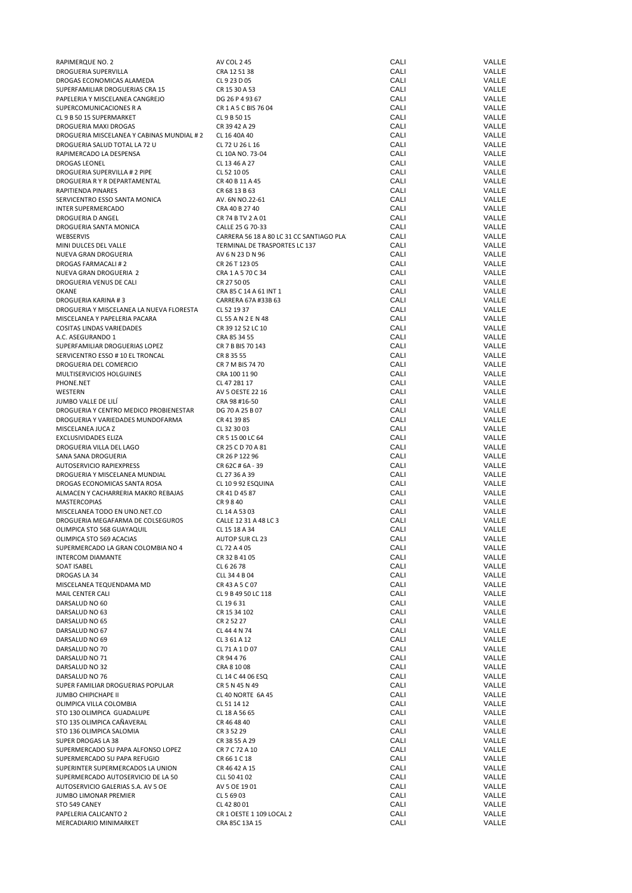| RAPIMERQUE NO. 2                          | AV COL 245                               | CALI | VALLE |
|-------------------------------------------|------------------------------------------|------|-------|
| DROGUERIA SUPERVILLA                      | CRA 12 51 38                             | CALI | VALLE |
| DROGAS ECONOMICAS ALAMEDA                 | CL 9 23 D 05                             | CALI | VALLE |
| SUPERFAMILIAR DROGUERIAS CRA 15           | CR 15 30 A 53                            | CALI | VALLE |
| PAPELERIA Y MISCELANEA CANGREJO           | DG 26 P 4 93 67                          | CALI | VALLE |
| SUPERCOMUNICACIONES R A                   | CR 1 A 5 C BIS 76 04                     | CALI | VALLE |
| CL 9 B 50 15 SUPERMARKET                  | CL 9 B 50 15                             | CALI | VALLE |
|                                           |                                          |      |       |
| DROGUERIA MAXI DROGAS                     | CR 39 42 A 29                            | CALI | VALLE |
| DROGUERIA MISCELANEA Y CABINAS MUNDIAL #2 | CL 16 40A 40                             | CALI | VALLE |
| DROGUERIA SALUD TOTAL LA 72 U             | CL 72 U 26 L 16                          | CALI | VALLE |
| RAPIMERCADO LA DESPENSA                   | CL 10A NO. 73-04                         | CALI | VALLE |
| DROGAS LEONEL                             | CL 13 46 A 27                            | CALI | VALLE |
| DROGUERIA SUPERVILLA # 2 PIPE             | CL 52 10 05                              | CALI | VALLE |
| DROGUERIA R Y R DEPARTAMENTAL             | CR 40 B 11 A 45                          | CALI | VALLE |
| RAPITIENDA PINARES                        | CR 68 13 B 63                            | CALI | VALLE |
| SERVICENTRO ESSO SANTA MONICA             | AV. 6N NO.22-61                          | CALI | VALLE |
|                                           |                                          |      |       |
| <b>INTER SUPERMERCADO</b>                 | CRA 40 B 27 40                           | CALI | VALLE |
| DROGUERIA D ANGEL                         | CR 74 B TV 2 A 01                        | CALI | VALLE |
| DROGUERIA SANTA MONICA                    | CALLE 25 G 70-33                         | CALI | VALLE |
| WEBSERVIS                                 | CARRERA 56 18 A 80 LC 31 CC SANTIAGO PLA | CALI | VALLE |
| MINI DULCES DEL VALLE                     | TERMINAL DE TRASPORTES LC 137            | CALI | VALLE |
| NUEVA GRAN DROGUERIA                      | AV 6 N 23 D N 96                         | CALI | VALLE |
| DROGAS FARMACALI#2                        | CR 26 T 123 05                           | CALI | VALLE |
| NUEVA GRAN DROGUERIA 2                    | CRA 1 A 5 70 C 34                        | CALI | VALLE |
|                                           |                                          |      |       |
| DROGUERIA VENUS DE CALI                   | CR 27 50 05                              | CALI | VALLE |
| OKANE                                     | CRA 85 C 14 A 61 INT 1                   | CALI | VALLE |
| <b>DROGUERIA KARINA #3</b>                | CARRERA 67A #33B 63                      | CALI | VALLE |
| DROGUERIA Y MISCELANEA LA NUEVA FLORESTA  | CL 52 19 37                              | CALI | VALLE |
| MISCELANEA Y PAPELERIA PACARA             | CL 55 A N 2 E N 48                       | CALI | VALLE |
| COSITAS LINDAS VARIEDADES                 | CR 39 12 52 LC 10                        | CALI | VALLE |
| A.C. ASEGURANDO 1                         | CRA 85 34 55                             | CALI | VALLE |
| SUPERFAMILIAR DROGUERIAS LOPEZ            | CR 7 B BIS 70 143                        | CALI | VALLE |
|                                           |                                          |      |       |
| SERVICENTRO ESSO # 10 EL TRONCAL          | CR 8 35 55                               | CALI | VALLE |
| DROGUERIA DEL COMERCIO                    | CR 7 M BIS 74 70                         | CALI | VALLE |
| MULTISERVICIOS HOLGUINES                  | CRA 100 11 90                            | CALI | VALLE |
| PHONE.NET                                 | CL 47 2B1 17                             | CALI | VALLE |
| WESTERN                                   | AV 5 OESTE 22 16                         | CALI | VALLE |
| JUMBO VALLE DE LILÍ                       | CRA 98 #16-50                            | CALI | VALLE |
|                                           |                                          |      |       |
| DROGUERIA Y CENTRO MEDICO PROBIENESTAR    | DG 70 A 25 B 07                          | CALI | VALLE |
| DROGUERIA Y VARIEDADES MUNDOFARMA         | CR 41 39 85                              | CALI | VALLE |
| MISCELANEA JUCA Z                         | CL 32 30 03                              | CALI | VALLE |
| EXCLUSIVIDADES ELIZA                      | CR 5 15 00 LC 64                         | CALI | VALLE |
| DROGUERIA VILLA DEL LAGO                  | CR 25 C D 70 A 81                        | CALI | VALLE |
| SANA SANA DROGUERIA                       | CR 26 P 122 96                           | CALI | VALLE |
| AUTOSERVICIO RAPIEXPRESS                  | CR 62C # 6A - 39                         | CALI | VALLE |
|                                           |                                          |      |       |
| DROGUERIA Y MISCELANEA MUNDIAL            | CL 27 36 A 39                            | CALI | VALLE |
| DROGAS ECONOMICAS SANTA ROSA              | CL 10 9 92 ESQUINA                       | CALI | VALLE |
| ALMACEN Y CACHARRERIA MAKRO REBAJAS       | CR 41 D 45 87                            | CALI | VALLE |
| <b>MASTERCOPIAS</b>                       | CR 9 8 40                                | CALI | VALLE |
| MISCELANEA TODO EN UNO.NET.CO             | CL 14 A 53 03                            | CALI | VALLE |
| DROGUERIA MEGAFARMA DE COLSEGUROS         | CALLE 12 31 A 48 LC 3                    | CALI | VALLE |
| OLIMPICA STO 568 GUAYAQUIL                | CL 15 18 A 34                            | CALI | VALLE |
|                                           |                                          |      |       |
| OLIMPICA STO 569 ACACIAS                  | AUTOP SUR CL 23                          | CALI | VALLE |
| SUPERMERCADO LA GRAN COLOMBIA NO 4        | CL 72 A 4 05                             | CALI | VALLE |
| <b>INTERCOM DIAMANTE</b>                  | CR 32 B 41 05                            | CALI | VALLE |
| SOAT ISABEL                               | CL 6 26 78                               | CALI | VALLE |
| DROGAS LA 34                              | CLL 34 4 B 04                            | CALI | VALLE |
| MISCELANEA TEQUENDAMA MD                  | CR 43 A 5 C 07                           | CALI | VALLE |
| MAIL CENTER CALI                          | CL 9 B 49 50 LC 118                      | CALI | VALLE |
|                                           |                                          | CALI | VALLE |
| DARSALUD NO 60                            | CL 19631                                 |      |       |
| DARSALUD NO 63                            | CR 15 34 102                             | CALI | VALLE |
| DARSALUD NO 65                            | CR 2 52 27                               | CALI | VALLE |
| DARSALUD NO 67                            | CL 44 4 N 74                             | CALI | VALLE |
| DARSALUD NO 69                            | CL 3 61 A 12                             | CALI | VALLE |
| DARSALUD NO 70                            | CL 71 A 1 D 07                           | CALI | VALLE |
| DARSALUD NO 71                            | CR 94 4 76                               | CALI | VALLE |
| DARSALUD NO 32                            | CRA 8 10 08                              | CALI | VALLE |
|                                           |                                          |      |       |
| DARSALUD NO 76                            | CL 14 C 44 06 ESQ                        | CALI | VALLE |
| SUPER FAMILIAR DROGUERIAS POPULAR         | CR 5 N 45 N 49                           | CALI | VALLE |
| <b>JUMBO CHIPICHAPE II</b>                | <b>CL 40 NORTE 6A 45</b>                 | CALI | VALLE |
| OLIMPICA VILLA COLOMBIA                   | CL 51 14 12                              | CALI | VALLE |
| STO 130 OLIMPICA GUADALUPE                | CL 18 A 56 65                            | CALI | VALLE |
| STO 135 OLIMPICA CAÑAVERAL                | CR 46 48 40                              | CALI | VALLE |
| STO 136 OLIMPICA SALOMIA                  | CR 3 52 29                               | CALI | VALLE |
|                                           |                                          |      |       |
| SUPER DROGAS LA 38                        | CR 38 55 A 29                            | CALI | VALLE |
| SUPERMERCADO SU PAPA ALFONSO LOPEZ        | CR 7 C 72 A 10                           | CALI | VALLE |
| SUPERMERCADO SU PAPA REFUGIO              | CR 66 1 C 18                             | CALI | VALLE |
| SUPERINTER SUPERMERCADOS LA UNION         | CR 46 42 A 15                            | CALI | VALLE |
| SUPERMERCADO AUTOSERVICIO DE LA 50        | CLL 50 41 02                             | CALI | VALLE |
| AUTOSERVICIO GALERIAS S.A. AV 5 OE        | AV 5 OE 19 01                            | CALI | VALLE |
|                                           |                                          | CALI | VALLE |
| JUMBO LIMONAR PREMIER                     | CL 5 69 03                               |      |       |
| STO 549 CANEY                             | CL 42 80 01                              | CALI | VALLE |
| PAPELERIA CALICANTO 2                     | CR 1 OESTE 1 109 LOCAL 2                 | CALI | VALLE |
| MERCADIARIO MINIMARKET                    | CRA 85C 13A 15                           | CALI | VALLE |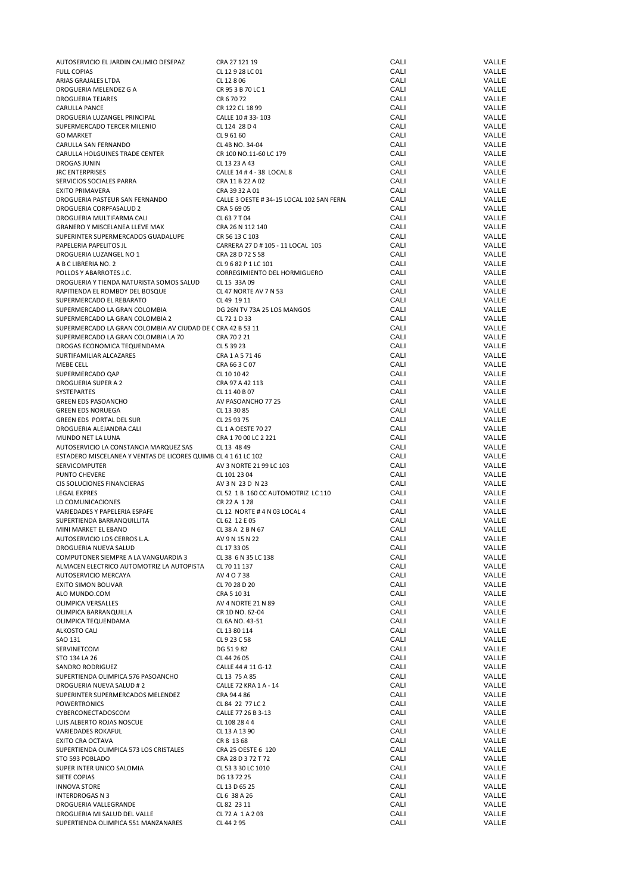| AUTOSERVICIO EL JARDIN CALIMIO DESEPAZ                          | CRA 27 121 19                             | CALI | VALLE |
|-----------------------------------------------------------------|-------------------------------------------|------|-------|
| <b>FULL COPIAS</b>                                              | CL 12 9 28 LC 01                          | CALI | VALLE |
| ARIAS GRAJALES LTDA                                             | CL 12 8 06                                | CALI | VALLE |
| DROGUERIA MELENDEZ G A                                          | CR 95 3 B 70 LC 1                         | CALI | VALLE |
| <b>DROGUERIA TEJARES</b>                                        | CR 6 70 72                                | CALI | VALLE |
| CARULLA PANCE                                                   | CR 122 CL 18 99                           | CALI | VALLE |
| DROGUERIA LUZANGEL PRINCIPAL                                    | CALLE 10 # 33-103                         | CALI | VALLE |
| SUPERMERCADO TERCER MILENIO                                     | CL 124 28 D 4                             | CALI | VALLE |
| <b>GO MARKET</b>                                                | CL 9 61 60                                | CALI | VALLE |
| CARULLA SAN FERNANDO                                            | CL 4B NO. 34-04                           | CALI | VALLE |
| CARULLA HOLGUINES TRADE CENTER                                  | CR 100 NO.11-60 LC 179                    | CALI | VALLE |
| DROGAS JUNIN                                                    | CL 13 23 A 43                             | CALI | VALLE |
| <b>JRC ENTERPRISES</b>                                          | CALLE 14 # 4 - 38 LOCAL 8                 | CALI | VALLE |
| SERVICIOS SOCIALES PARRA                                        | CRA 11 B 22 A 02                          | CALI | VALLE |
| <b>EXITO PRIMAVERA</b>                                          | CRA 39 32 A 01                            | CALI | VALLE |
| DROGUERIA PASTEUR SAN FERNANDO                                  | CALLE 3 OESTE # 34-15 LOCAL 102 SAN FERN. | CALI | VALLE |
| DROGUERIA CORPFASALUD 2                                         | CRA 5 69 05                               | CALI | VALLE |
| DROGUERIA MULTIFARMA CALI                                       | CL 63 7 T 04                              | CALI | VALLE |
| <b>GRANERO Y MISCELANEA LLEVE MAX</b>                           | CRA 26 N 112 140                          | CALI | VALLE |
| SUPERINTER SUPERMERCADOS GUADALUPE                              | CR 56 13 C 103                            | CALI | VALLE |
| PAPELERIA PAPELITOS JL                                          | CARRERA 27 D # 105 - 11 LOCAL 105         | CALI | VALLE |
| DROGUERIA LUZANGEL NO 1                                         | CRA 28 D 72 S 58                          | CALI | VALLE |
| A B C LIBRERIA NO. 2                                            | CL 9 6 82 P 1 LC 101                      | CALI | VALLE |
| POLLOS Y ABARROTES J.C.                                         | CORREGIMIENTO DEL HORMIGUERO              | CALI | VALLE |
| DROGUERIA Y TIENDA NATURISTA SOMOS SALUD                        | CL 15 33A 09                              | CALI | VALLE |
| RAPITIENDA EL ROMBOY DEL BOSQUE                                 | CL 47 NORTE AV 7 N 53                     | CALI | VALLE |
| SUPERMERCADO EL REBARATO                                        | CL 49 19 11                               | CALI | VALLE |
|                                                                 |                                           | CALI | VALLE |
| SUPERMERCADO LA GRAN COLOMBIA                                   | DG 26N TV 73A 25 LOS MANGOS               |      |       |
| SUPERMERCADO LA GRAN COLOMBIA 2                                 | CL 72 1 D 33                              | CALI | VALLE |
| SUPERMERCADO LA GRAN COLOMBIA AV CIUDAD DE C CRA 42 B 53 11     |                                           | CALI | VALLE |
| SUPERMERCADO LA GRAN COLOMBIA LA 70                             | CRA 70 2 21                               | CALI | VALLE |
| DROGAS ECONOMICA TEQUENDAMA                                     | CL 5 39 23                                | CALI | VALLE |
| SURTIFAMILIAR ALCAZARES                                         | CRA 1 A 5 71 46                           | CALI | VALLE |
| MEBE CELL                                                       | CRA 66 3 C 07                             | CALI | VALLE |
| SUPERMERCADO QAP                                                | CL 10 10 42                               | CALI | VALLE |
| DROGUERIA SUPER A 2                                             | CRA 97 A 42 113                           | CALI | VALLE |
| SYSTEPARTES                                                     | CL 11 40 B 07                             | CALI | VALLE |
| <b>GREEN EDS PASOANCHO</b>                                      | AV PASOANCHO 77 25                        | CALI | VALLE |
| <b>GREEN EDS NORUEGA</b>                                        | CL 13 30 85                               | CALI | VALLE |
| GREEN EDS PORTAL DEL SUR                                        | CL 25 93 75                               | CALI | VALLE |
| DROGUERIA ALEJANDRA CALI                                        | CL 1 A OESTE 70 27                        | CALI | VALLE |
| MUNDO NET LA LUNA                                               | CRA 1 70 00 LC 2 221                      | CALI | VALLE |
| AUTOSERVICIO LA CONSTANCIA MARQUEZ SAS                          | CL 13 48 49                               | CALI | VALLE |
| ESTADERO MISCELANEA Y VENTAS DE LICORES QUIMB. CL 4 1 61 LC 102 |                                           | CALI | VALLE |
| <b>SERVICOMPUTER</b>                                            | AV 3 NORTE 21 99 LC 103                   | CALI | VALLE |
| <b>PUNTO CHEVERE</b>                                            | CL 101 23 04                              | CALI | VALLE |
| CIS SOLUCIONES FINANCIERAS                                      | AV 3 N 23 D N 23                          | CALI | VALLE |
| <b>LEGAL EXPRES</b>                                             | CL 52 1 B 160 CC AUTOMOTRIZ LC 110        | CALI | VALLE |
| LD COMUNICACIONES                                               | CR 22 A 1 28                              | CALI | VALLE |
| VARIEDADES Y PAPELERIA ESPAFE                                   | CL 12 NORTE # 4 N 03 LOCAL 4              | CALI | VALLE |
| SUPERTIENDA BARRANQUILLITA                                      | CL 62 12 E 05                             | CALI | VALLE |
| MINI MARKET EL EBANO                                            | CL 38 A 2 B N 67                          | CALI | VALLE |
| AUTOSERVICIO LOS CERROS L.A.                                    | AV 9 N 15 N 22                            | CALI | VALLE |
| DROGUERIA NUEVA SALUD                                           | CL 17 33 05                               | CALI | VALLE |
| COMPUTONER SIEMPRE A LA VANGUARDIA 3                            | CL 38 6 N 35 LC 138                       | CALI | VALLE |
| ALMACEN ELECTRICO AUTOMOTRIZ LA AUTOPISTA                       | CL 70 11 137                              | CALI | VALLE |
| AUTOSERVICIO MERCAYA                                            | AV 4 0 7 38                               | CALI | VALLE |
| <b>EXITO SIMON BOLIVAR</b>                                      | CL 70 28 D 20                             | CALI | VALLE |
| ALO MUNDO.COM                                                   | CRA 5 10 31                               | CALI | VALLE |
| OLIMPICA VERSALLES                                              | AV 4 NORTE 21 N 89                        | CALI | VALLE |
| OLIMPICA BARRANQUILLA                                           | CR 1D NO. 62-04                           | CALI | VALLE |
| OLIMPICA TEQUENDAMA                                             | CL 6A NO. 43-51                           | CALI | VALLE |
| <b>ALKOSTO CALI</b>                                             | CL 13 80 114                              | CALI | VALLE |
| SAO 131                                                         | CL 9 23 C 58                              | CALI | VALLE |
| SERVINETCOM                                                     | DG 51982                                  | CALI | VALLE |
| STO 134 LA 26                                                   | CL 44 26 05                               | CALI | VALLE |
| SANDRO RODRIGUEZ                                                | CALLE 44 # 11 G-12                        | CALI | VALLE |
|                                                                 | CL 13 75 A 85                             | CALI | VALLE |
| SUPERTIENDA OLIMPICA 576 PASOANCHO                              |                                           | CALI | VALLE |
| DROGUERIA NUEVA SALUD # 2                                       | CALLE 72 KRA 1 A - 14                     |      |       |
| SUPERINTER SUPERMERCADOS MELENDEZ                               | CRA 94 4 86                               | CALI | VALLE |
| <b>POWERTRONICS</b>                                             | CL 84 22 77 LC 2                          | CALI | VALLE |
| CYBERCONECTADOSCOM                                              | CALLE 77 26 B 3-13                        | CALI | VALLE |
| LUIS ALBERTO ROJAS NOSCUE                                       | CL 108 28 4 4                             | CALI | VALLE |
| VARIEDADES ROKAFUL                                              | CL 13 A 13 90                             | CALI | VALLE |
| EXITO CRA OCTAVA                                                | CR 8 13 68                                | CALI | VALLE |
| SUPERTIENDA OLIMPICA 573 LOS CRISTALES                          | CRA 25 OESTE 6 120                        | CALI | VALLE |
| STO 593 POBLADO                                                 | CRA 28 D 3 72 T 72                        | CALI | VALLE |
| SUPER INTER UNICO SALOMIA                                       | CL 53 3 30 LC 1010                        | CALI | VALLE |
| SIETE COPIAS                                                    | DG 13 72 25                               | CALI | VALLE |
| <b>INNOVA STORE</b>                                             | CL 13 D 65 25                             | CALI | VALLE |
| INTERDROGAS N 3                                                 | CL 6 38 A 26                              | CALI | VALLE |
| DROGUERIA VALLEGRANDE                                           | CL 82 23 11                               | CALI | VALLE |
| DROGUERIA MI SALUD DEL VALLE                                    | CL 72 A 1 A 2 03                          | CALI | VALLE |
| SUPERTIENDA OLIMPICA 551 MANZANARES                             | CL 44 2 95                                | CALI | VALLE |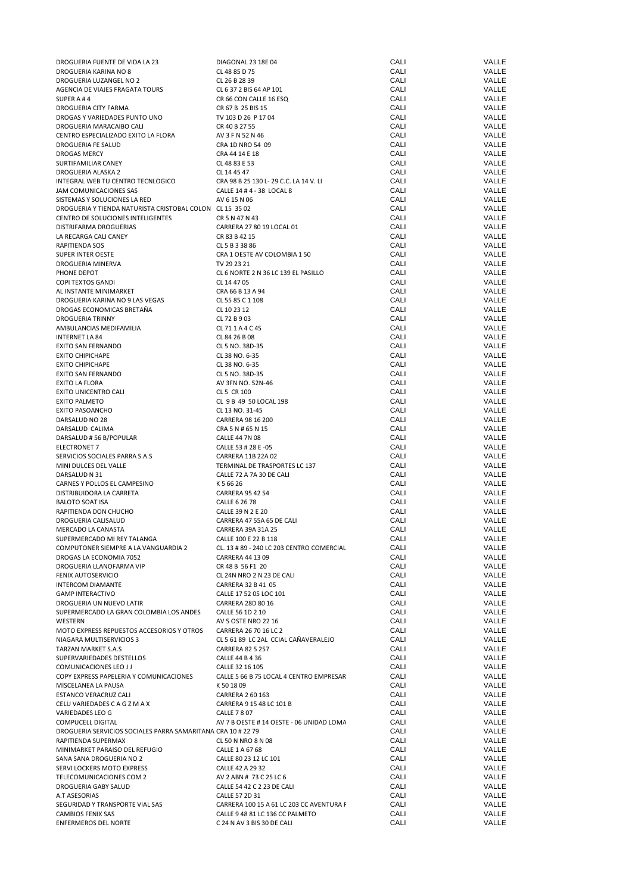| DROGUERIA FUENTE DE VIDA LA 23                               | DIAGONAL 23 18E 04                                        | CALI | VALLE        |
|--------------------------------------------------------------|-----------------------------------------------------------|------|--------------|
| DROGUERIA KARINA NO 8                                        | CL 48 85 D 75                                             | CALI | VALLE        |
| DROGUERIA LUZANGEL NO 2                                      | CL 26 B 28 39                                             | CALI | VALLE        |
| AGENCIA DE VIAJES FRAGATA TOURS                              | CL 6 37 2 BIS 64 AP 101                                   | CALI | VALLE        |
| SUPER A#4                                                    | CR 66 CON CALLE 16 ESQ                                    | CALI | <b>VALLE</b> |
| DROGUERIA CITY FARMA                                         | CR 67 B 25 BIS 15                                         | CALI | VALLE        |
| DROGAS Y VARIEDADES PUNTO UNO                                | TV 103 D 26 P 17 04                                       | CALI | VALLE        |
| DROGUERIA MARACAIBO CALI                                     | CR 40 B 27 55                                             | CALI | VALLE        |
| CENTRO ESPECIALIZADO EXITO LA FLORA                          | AV 3 F N 52 N 46                                          | CALI | VALLE        |
| DROGUERIA FE SALUD                                           | CRA 1D NRO 54 09                                          | CALI | VALLE        |
| <b>DROGAS MERCY</b>                                          | CRA 44 14 E 18                                            | CALI | VALLE        |
| SURTIFAMILIAR CANEY                                          | CL 48 83 E 53                                             | CALI | VALLE        |
| DROGUERIA ALASKA 2                                           | CL 14 45 47                                               | CALI | VALLE        |
| INTEGRAL WEB TU CENTRO TECNLOGICO                            | CRA 98 B 25 130 L- 29 C.C. LA 14 V. LI                    | CALI | VALLE        |
| JAM COMUNICACIONES SAS                                       | CALLE 14 # 4 - 38 LOCAL 8                                 | CALI | VALLE        |
| SISTEMAS Y SOLUCIONES LA RED                                 | AV 6 15 N 06                                              | CALI | VALLE        |
| DROGUERIA Y TIENDA NATURISTA CRISTOBAL COLON CL 15 35 02     |                                                           | CALI | VALLE        |
| CENTRO DE SOLUCIONES INTELIGENTES                            | CR 5 N 47 N 43                                            | CALI | VALLE        |
| DISTRIFARMA DROGUERIAS                                       | CARRERA 27 80 19 LOCAL 01                                 | CALI | VALLE        |
|                                                              |                                                           | CALI | VALLE        |
| LA RECARGA CALI CANEY                                        | CR 83 B 42 15                                             | CALI | VALLE        |
| RAPITIENDA SOS                                               | CL 5 B 3 38 86                                            |      |              |
| <b>SUPER INTER OESTE</b>                                     | CRA 1 OESTE AV COLOMBIA 1 50                              | CALI | VALLE        |
| DROGUERIA MINERVA                                            | TV 29 23 21                                               | CALI | VALLE        |
| PHONE DEPOT                                                  | CL 6 NORTE 2 N 36 LC 139 EL PASILLO                       | CALI | VALLE        |
| COPI TEXTOS GANDI                                            | CL 14 47 05                                               | CALI | VALLE        |
| AL INSTANTE MINIMARKET                                       | CRA 66 B 13 A 94                                          | CALI | VALLE        |
| DROGUERIA KARINA NO 9 LAS VEGAS                              | CL 55 85 C 1 108                                          | CALI | VALLE        |
| DROGAS ECONOMICAS BRETAÑA                                    | CL 10 23 12                                               | CALI | VALLE        |
| <b>DROGUERIA TRINNY</b>                                      | CL 72 B 9 03                                              | CALI | VALLE        |
| AMBULANCIAS MEDIFAMILIA                                      | CL 711A4C45                                               | CALI | VALLE        |
| <b>INTERNET LA 84</b>                                        | CL 84 26 B 08                                             | CALI | VALLE        |
| <b>EXITO SAN FERNANDO</b>                                    | CL 5 NO. 38D-35                                           | CALI | VALLE        |
| <b>EXITO CHIPICHAPE</b>                                      | CL 38 NO. 6-35                                            | CALI | VALLE        |
| <b>EXITO CHIPICHAPE</b>                                      | CL 38 NO. 6-35                                            | CALI | VALLE        |
| EXITO SAN FERNANDO                                           | CL 5 NO. 38D-35                                           | CALI | VALLE        |
| EXITO LA FLORA                                               | AV 3FN NO. 52N-46                                         | CALI | VALLE        |
| EXITO UNICENTRO CALI                                         | CL 5 CR 100                                               | CALI | VALLE        |
| <b>EXITO PALMETO</b>                                         | CL 9 B 49 50 LOCAL 198                                    | CALI | VALLE        |
| EXITO PASOANCHO                                              | CL 13 NO. 31-45                                           | CALI | VALLE        |
| DARSALUD NO 28                                               | CARRERA 98 16 200                                         | CALI | VALLE        |
| DARSALUD CALIMA                                              | CRA 5 N # 65 N 15                                         | CALI | VALLE        |
| DARSALUD #56 B/POPULAR                                       | CALLE 44 7N 08                                            | CALI | VALLE        |
| ELECTRONET 7                                                 | CALLE 53 # 28 E -05                                       | CALI | VALLE        |
| SERVICIOS SOCIALES PARRA S.A.S                               | CARRERA 11B 22A 02                                        | CALI | VALLE        |
|                                                              |                                                           | CALI | VALLE        |
| MINI DULCES DEL VALLE                                        | TERMINAL DE TRASPORTES LC 137<br>CALLE 72 A 7A 30 DE CALI | CALI | VALLE        |
| DARSALUD N 31                                                |                                                           | CALI | VALLE        |
| CARNES Y POLLOS EL CAMPESINO                                 | K 5 66 26                                                 | CALI | VALLE        |
| DISTRIBUIDORA LA CARRETA                                     | <b>CARRERA 95 42 54</b>                                   |      | VALLE        |
| <b>BALOTO SOAT ISA</b>                                       | CALLE 6 26 78                                             | CALI |              |
| RAPITIENDA DON CHUCHO                                        | CALLE 39 N 2 E 20                                         | CALI | VALLE        |
| DROGUERIA CALISALUD                                          | CARRERA 47 55A 65 DE CALI                                 | CALI | VALLE        |
| MERCADO LA CANASTA                                           | CARRERA 39A 31A 25                                        | CALI | VALLE        |
| SUPERMERCADO MI REY TALANGA                                  | CALLE 100 E 22 B 118                                      | CALI | VALLE        |
| COMPUTONER SIEMPRE A LA VANGUARDIA 2                         | CL. 13 # 89 - 240 LC 203 CENTRO COMERCIAL                 | CALI | VALLE        |
| DROGAS LA ECONOMIA 7052                                      | CARRERA 44 13 09                                          | CALI | VALLE        |
| DROGUERIA LLANOFARMA VIP                                     | CR 48 B 56 F1 20                                          | CALI | VALLE        |
| FENIX AUTOSERVICIO                                           | CL 24N NRO 2 N 23 DE CALI                                 | CALI | VALLE        |
| <b>INTERCOM DIAMANTE</b>                                     | CARRERA 32 B 41 05                                        | CALI | VALLE        |
| <b>GAMP INTERACTIVO</b>                                      | CALLE 17 52 05 LOC 101                                    | CALI | VALLE        |
| DROGUERIA UN NUEVO LATIR                                     | CARRERA 28D 80 16                                         | CALI | VALLE        |
| SUPERMERCADO LA GRAN COLOMBIA LOS ANDES                      | CALLE 56 1D 2 10                                          | CALI | VALLE        |
| WESTERN                                                      | AV 5 OSTE NRO 22 16                                       | CALI | VALLE        |
| MOTO EXPRESS REPUESTOS ACCESORIOS Y OTROS                    | CARRERA 26 70 16 LC 2                                     | CALI | VALLE        |
| NIAGARA MULTISERVICIOS 3                                     | CL 5 61 89 LC 2AL CCIAL CAÑAVERALEJO                      | CALI | VALLE        |
| <b>TARZAN MARKET S.A.S</b>                                   | <b>CARRERA 82 5 257</b>                                   | CALI | VALLE        |
| SUPERVARIEDADES DESTELLOS                                    | CALLE 44 B 4 36                                           | CALI | VALLE        |
| COMUNICACIONES LEO J J                                       | CALLE 32 16 105                                           | CALI | VALLE        |
| COPY EXPRESS PAPELERIA Y COMUNICACIONES                      | CALLE 5 66 B 75 LOCAL 4 CENTRO EMPRESAR                   | CALI | VALLE        |
| MISCELANEA LA PAUSA                                          | K 50 18 09                                                | CALI | VALLE        |
| ESTANCO VERACRUZ CALI                                        | CARRERA 2 60 163                                          | CALI | VALLE        |
| CELU VARIEDADES C A G Z M A X                                | CARRERA 9 15 48 LC 101 B                                  | CALI | VALLE        |
| VARIEDADES LEO G                                             | <b>CALLE 7 8 07</b>                                       | CALI | VALLE        |
| COMPUCELL DIGITAL                                            | AV 7 B OESTE # 14 OESTE - 06 UNIDAD LOMA                  | CALI | VALLE        |
| DROGUERIA SERVICIOS SOCIALES PARRA SAMARITANA CRA 10 # 22 79 |                                                           | CALI | VALLE        |
| RAPITIENDA SUPERMAX                                          | CL 50 N NRO 8 N 08                                        | CALI | VALLE        |
| MINIMARKET PARAISO DEL REFUGIO                               | CALLE 1 A 67 68                                           | CALI | VALLE        |
| SANA SANA DROGUERIA NO 2                                     | CALLE 80 23 12 LC 101                                     | CALI | VALLE        |
| SERVI LOCKERS MOTO EXPRESS                                   | CALLE 42 A 29 32                                          | CALI | VALLE        |
|                                                              |                                                           | CALI | VALLE        |
| TELECOMUNICACIONES COM 2                                     | AV 2 ABN # 73 C 25 LC 6                                   |      |              |
| DROGUERIA GABY SALUD                                         | CALLE 54 42 C 2 23 DE CALI                                | CALI | VALLE        |
| A.T ASESORIAS                                                | CALLE 57 2D 31                                            | CALI | VALLE        |
| SEGURIDAD Y TRANSPORTE VIAL SAS                              | CARRERA 100 15 A 61 LC 203 CC AVENTURA F                  | CALI | VALLE        |
| <b>CAMBIOS FENIX SAS</b>                                     | CALLE 9 48 81 LC 136 CC PALMETO                           | CALI | VALLE        |
| ENFERMEROS DEL NORTE                                         | C 24 N AV 3 BIS 30 DE CALI                                | CALI | VALLE        |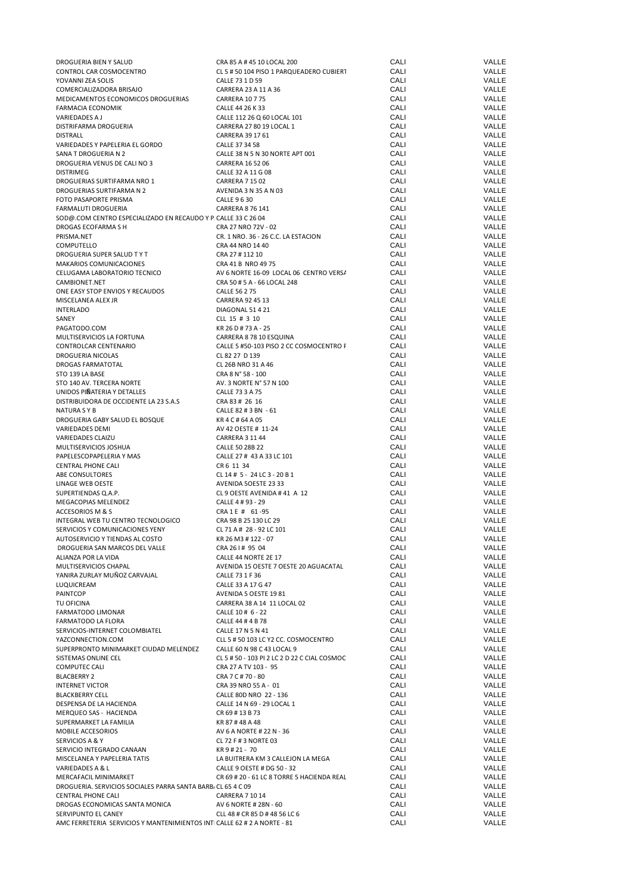| DROGUERIA BIEN Y SALUD                                                   | CRA 85 A # 45 10 LOCAL 200                   | CALI | VALLE |
|--------------------------------------------------------------------------|----------------------------------------------|------|-------|
| CONTROL CAR COSMOCENTRO                                                  | CL 5 # 50 104 PISO 1 PARQUEADERO CUBIER1     | CALI | VALLE |
| YOVANNI ZEA SOLIS                                                        | CALLE 73 1 D 59                              | CALI | VALLE |
|                                                                          |                                              |      |       |
| COMERCIALIZADORA BRISAJO                                                 | CARRERA 23 A 11 A 36                         | CALI | VALLE |
| MEDICAMENTOS ECONOMICOS DROGUERIAS                                       | <b>CARRERA 10 7 75</b>                       | CALI | VALLE |
| FARMACIA ECONOMIK                                                        | CALLE 44 26 K 33                             | CALI | VALLE |
| VARIEDADES A J                                                           | CALLE 112 26 Q 60 LOCAL 101                  | CALI | VALLE |
| DISTRIFARMA DROGUERIA                                                    | CARRERA 27 80 19 LOCAL 1                     | CALI | VALLE |
|                                                                          |                                              |      |       |
| <b>DISTRALL</b>                                                          | CARRERA 39 17 61                             | CALI | VALLE |
| VARIEDADES Y PAPELERIA EL GORDO                                          | CALLE 37 34 58                               | CALI | VALLE |
| SANA T DROGUERIA N 2                                                     | CALLE 38 N 5 N 30 NORTE APT 001              | CALI | VALLE |
| DROGUERIA VENUS DE CALI NO 3                                             | CARRERA 16 52 06                             | CALI | VALLE |
| <b>DISTRIMEG</b>                                                         | CALLE 32 A 11 G 08                           | CALI | VALLE |
|                                                                          |                                              |      |       |
| DROGUERIAS SURTIFARMA NRO 1                                              | <b>CARRERA 7 15 02</b>                       | CALI | VALLE |
| DROGUERIAS SURTIFARMA N 2                                                | AVENIDA 3 N 35 A N 03                        | CALI | VALLE |
| FOTO PASAPORTE PRISMA                                                    | CALLE 9 6 30                                 | CALI | VALLE |
| FARMALUTI DROGUERIA                                                      | CARRERA 8 76 141                             | CALI | VALLE |
|                                                                          |                                              |      |       |
| SOD@.COM CENTRO ESPECIALIZADO EN RECAUDO Y P. CALLE 33 C 26 04           |                                              | CALI | VALLE |
| DROGAS ECOFARMA S H                                                      | CRA 27 NRO 72V - 02                          | CALI | VALLE |
| PRISMA.NET                                                               | CR. 1 NRO. 36 - 26 C.C. LA ESTACION          | CALI | VALLE |
| COMPUTELLO                                                               | CRA 44 NRO 14 40                             | CALI | VALLE |
|                                                                          |                                              | CALI |       |
| DROGUERIA SUPER SALUD TYT                                                | CRA 27 # 112 10                              |      | VALLE |
| MAKARIOS COMUNICACIONES                                                  | CRA 41 B NRO 49 75                           | CALI | VALLE |
| CELUGAMA LABORATORIO TECNICO                                             | AV 6 NORTE 16-09 LOCAL 06 CENTRO VERS/       | CALI | VALLE |
| CAMBIONET.NET                                                            | CRA 50 # 5 A - 66 LOCAL 248                  | CALI | VALLE |
|                                                                          |                                              |      |       |
| ONE EASY STOP ENVIOS Y RECAUDOS                                          | <b>CALLE 56 2 75</b>                         | CALI | VALLE |
| MISCELANEA ALEX JR                                                       | CARRERA 92 45 13                             | CALI | VALLE |
| <b>INTERLADO</b>                                                         | DIAGONAL 51 4 21                             | CALI | VALLE |
| SANEY                                                                    | CLL 15 # 3 10                                | CALI | VALLE |
|                                                                          |                                              |      |       |
| PAGATODO.COM                                                             | KR 26 D # 73 A - 25                          | CALI | VALLE |
| MULTISERVICIOS LA FORTUNA                                                | CARRERA 8 78 10 ESQUINA                      | CALI | VALLE |
| CONTROLCAR CENTENARIO                                                    | CALLE 5 #50-103 PISO 2 CC COSMOCENTRO F      | CALI | VALLE |
| DROGUERIA NICOLAS                                                        | CL 82 27 D 139                               | CALI | VALLE |
|                                                                          |                                              |      |       |
| DROGAS FARMATOTAL                                                        | CL 26B NRO 31 A 46                           | CALI | VALLE |
| STO 139 LA BASE                                                          | CRA 8 N° 58 - 100                            | CALI | VALLE |
| STO 140 AV. TERCERA NORTE                                                | AV. 3 NORTE N° 57 N 100                      | CALI | VALLE |
| UNIDOS PIÑATERIA Y DETALLES                                              | CALLE 73 3 A 75                              | CALI | VALLE |
|                                                                          |                                              |      |       |
| DISTRIBUIDORA DE OCCIDENTE LA 23 S.A.S                                   | CRA 83 # 26 16                               | CALI | VALLE |
| NATURA S Y B                                                             | CALLE 82 # 3 BN - 61                         | CALI | VALLE |
| DROGUERIA GABY SALUD EL BOSQUE                                           | KR4C#64A05                                   | CALI | VALLE |
| <b>VARIEDADES DEMI</b>                                                   | AV 42 OESTE # 11-24                          | CALI | VALLE |
|                                                                          |                                              |      |       |
| VARIEDADES CLAIZU                                                        | <b>CARRERA 3 11 44</b>                       | CALI | VALLE |
| MULTISERVICIOS JOSHUA                                                    | CALLE 50 28B 22                              | CALI | VALLE |
| PAPELESCOPAPELERIA Y MAS                                                 | CALLE 27 # 43 A 33 LC 101                    | CALI | VALLE |
| CENTRAL PHONE CALI                                                       | CR 6 11 34                                   | CALI | VALLE |
|                                                                          |                                              |      |       |
| ABE CONSULTORES                                                          | CL 14 # 5 - 24 LC 3 - 20 B 1                 | CALI | VALLE |
| LINAGE WEB OESTE                                                         | AVENIDA 50ESTE 23 33                         | CALI | VALLE |
| SUPERTIENDAS Q.A.P.                                                      | CL 9 OESTE AVENIDA #41 A 12                  | CALI | VALLE |
| MEGACOPIAS MELENDEZ                                                      | CALLE 4 # 93 - 29                            | CALI | VALLE |
|                                                                          |                                              |      |       |
| ACCESORIOS M & S                                                         | CRA1E # 61-95                                | CALI | VALLE |
| INTEGRAL WEB TU CENTRO TECNOLOGICO                                       | CRA 98 B 25 130 LC 29                        | CALI | VALLE |
| SERVICIOS Y COMUNICACIONES YENY                                          | CL 71 A # 28 - 92 LC 101                     | CALI | VALLE |
| AUTOSERVICIO Y TIENDAS AL COSTO                                          | KR 26 M3 # 122 - 07                          | CALI | VALLE |
|                                                                          |                                              |      |       |
| DROGUERIA SAN MARCOS DEL VALLE                                           | CRA 26   # 95 04                             | CALI | VALLE |
| ALIANZA POR LA VIDA                                                      | CALLE 44 NORTE 2E 17                         | CALI | VALLE |
| MULTISERVICIOS CHAPAL                                                    | AVENIDA 15 OESTE 7 OESTE 20 AGUACATAL        | CALI | VALLE |
| YANIRA ZURLAY MUÑOZ CARVAJAL                                             | CALLE 73 1 F 36                              | CALI | VALLE |
|                                                                          | CALLE 33 A 17 G 47                           |      |       |
| LUQUICREAM                                                               |                                              | CALI | VALLE |
| PAINTCOP                                                                 | AVENIDA 5 OESTE 1981                         | CALI | VALLE |
| TU OFICINA                                                               | CARRERA 38 A 14 11 LOCAL 02                  | CALI | VALLE |
| FARMATODO LIMONAR                                                        | CALLE 10 # 6 - 22                            | CALI | VALLE |
| <b>FARMATODO LA FLORA</b>                                                | CALLE 44 # 4 B 78                            | CALI | VALLE |
|                                                                          |                                              |      |       |
| SERVICIOS-INTERNET COLOMBIATEL                                           | CALLE 17 N 5 N 41                            | CALI | VALLE |
| YAZCONNECTION.COM                                                        | CLL 5 # 50 103 LC Y2 CC. COSMOCENTRO         | CALI | VALLE |
| SUPERPRONTO MINIMARKET CIUDAD MELENDEZ                                   | CALLE 60 N 98 C 43 LOCAL 9                   | CALI | VALLE |
| SISTEMAS ONLINE CEL                                                      | CL 5 # 50 - 103 PI 2 LC 2 D 22 C CIAL COSMOC | CALI | VALLE |
|                                                                          |                                              |      |       |
| <b>COMPUTEC CALI</b>                                                     | CRA 27 A TV 103 - 95                         | CALI | VALLE |
| <b>BLACBERRY 2</b>                                                       | CRA 7 C # 70 - 80                            | CALI | VALLE |
| <b>INTERNET VICTOR</b>                                                   | CRA 39 NRO 55 A - 01                         | CALI | VALLE |
| <b>BLACKBERRY CELL</b>                                                   | CALLE 80D NRO 22 - 136                       | CALI | VALLE |
| DESPENSA DE LA HACIENDA                                                  | CALLE 14 N 69 - 29 LOCAL 1                   | CALI | VALLE |
|                                                                          |                                              |      |       |
| MERQUEO SAS - HACIENDA                                                   | CR 69 # 13 B 73                              | CALI | VALLE |
| SUPERMARKET LA FAMILIA                                                   | KR 87#48A48                                  | CALI | VALLE |
| MOBILE ACCESORIOS                                                        | AV 6 A NORTE # 22 N - 36                     | CALI | VALLE |
| SERVICIOS A & Y                                                          | CL 72 F # 3 NORTE 03                         | CALI | VALLE |
|                                                                          |                                              |      |       |
| SERVICIO INTEGRADO CANAAN                                                | KR 9 # 21 - 70                               | CALI | VALLE |
| MISCELANEA Y PAPELERIA TATIS                                             | LA BUITRERA KM 3 CALLEJON LA MEGA            | CALI | VALLE |
| VARIEDADES A & L                                                         | CALLE 9 OESTE # DG 50 - 32                   | CALI | VALLE |
| MERCAFACIL MINIMARKET                                                    | CR 69 # 20 - 61 LC 8 TORRE 5 HACIENDA REAL   | CALI | VALLE |
|                                                                          |                                              |      |       |
| DROGUERIA. SERVICIOS SOCIALES PARRA SANTA BARB, CL 65 4 C 09             |                                              | CALI | VALLE |
| <b>CENTRAL PHONE CALI</b>                                                | <b>CARRERA 7 10 14</b>                       | CALI | VALLE |
| DROGAS ECONOMICAS SANTA MONICA                                           | AV 6 NORTE # 28N - 60                        | CALI | VALLE |
| SERVIPUNTO EL CANEY                                                      | CLL 48 # CR 85 D # 48 56 LC 6                | CALI | VALLE |
|                                                                          |                                              |      |       |
| AMC FERRETERIA SERVICIOS Y MANTENIMIENTOS INTI CALLE 62 # 2 A NORTE - 81 |                                              | CALI | VALLE |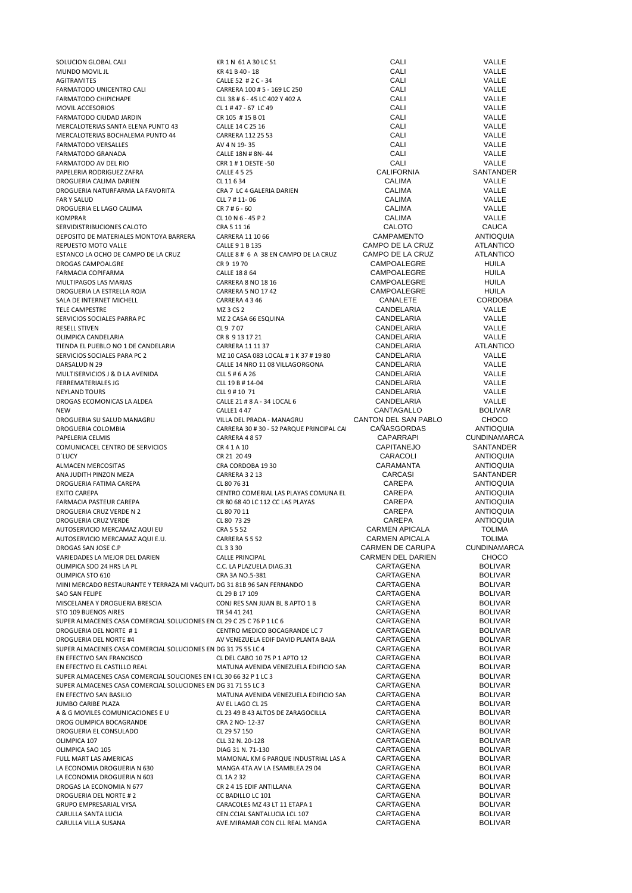| SOLUCION GLOBAL CALI                                                    | KR 1 N 61 A 30 LC 51                                           | CALI                   | VALLE                            |
|-------------------------------------------------------------------------|----------------------------------------------------------------|------------------------|----------------------------------|
| MUNDO MOVIL JL                                                          | KR 41 B 40 - 18                                                | CALI                   | VALLE                            |
| <b>AGITRAMITES</b>                                                      | CALLE 52 # 2 C - 34                                            | CALI                   | VALLE                            |
| <b>FARMATODO UNICENTRO CALI</b>                                         | CARRERA 100 # 5 - 169 LC 250                                   | CALI                   | VALLE                            |
| FARMATODO CHIPICHAPE                                                    | CLL 38 # 6 - 45 LC 402 Y 402 A                                 | CALI                   | VALLE                            |
| MOVIL ACCESORIOS                                                        | CL 1 # 47 - 67 LC 49                                           | CALI                   | VALLE                            |
| <b>FARMATODO CIUDAD JARDIN</b>                                          | CR 105 #15 B 01                                                | CALI                   | VALLE                            |
| MERCALOTERIAS SANTA ELENA PUNTO 43                                      | CALLE 14 C 25 16                                               | CALI                   | VALLE                            |
| MERCALOTERIAS BOCHALEMA PUNTO 44                                        | CARRERA 112 25 53                                              | CALI                   | VALLE                            |
| <b>FARMATODO VERSALLES</b>                                              | AV 4 N 19-35                                                   | CALI                   | VALLE                            |
| <b>FARMATODO GRANADA</b>                                                | CALLE 18N # 8N-44                                              | CALI                   | VALLE                            |
| FARMATODO AV DEL RIO                                                    | CRR 1 # 1 OESTE -50                                            | CALI                   | VALLE                            |
| PAPELERIA RODRIGUEZ ZAFRA                                               | <b>CALLE 4525</b>                                              | <b>CALIFORNIA</b>      | SANTANDER                        |
| DROGUERIA CALIMA DARIEN                                                 | CL 11 6 34                                                     | <b>CALIMA</b>          | VALLE                            |
| DROGUERIA NATURFARMA LA FAVORITA                                        | CRA 7 LC 4 GALERIA DARIEN                                      | <b>CALIMA</b>          | VALLE                            |
| <b>FAR Y SALUD</b>                                                      | CLL 7 # 11-06                                                  | <b>CALIMA</b>          | VALLE                            |
|                                                                         |                                                                |                        |                                  |
| DROGUERIA EL LAGO CALIMA                                                | CR 7 # 6 - 60                                                  | <b>CALIMA</b>          | VALLE                            |
| <b>KOMPRAR</b>                                                          | CL 10 N 6 - 45 P 2                                             | <b>CALIMA</b>          | VALLE                            |
| SERVIDISTRIBUCIONES CALOTO                                              | CRA 5 11 16                                                    | <b>CALOTO</b>          | <b>CAUCA</b>                     |
| DEPOSITO DE MATERIALES MONTOYA BARRERA                                  | CARRERA 11 10 66                                               | CAMPAMENTO             | <b>ANTIOQUIA</b>                 |
| REPUESTO MOTO VALLE                                                     | CALLE 9 1 B 135                                                | CAMPO DE LA CRUZ       | <b>ATLANTICO</b>                 |
| ESTANCO LA OCHO DE CAMPO DE LA CRUZ                                     | CALLE 8 # 6 A 38 EN CAMPO DE LA CRUZ                           | CAMPO DE LA CRUZ       | <b>ATLANTICO</b>                 |
| DROGAS CAMPOALGRE                                                       | CR 9 19 70                                                     | CAMPOALEGRE            | <b>HUILA</b>                     |
| FARMACIA COPIFARMA                                                      | CALLE 18 8 64                                                  | CAMPOALEGRE            | <b>HUILA</b>                     |
| MULTIPAGOS LAS MARIAS                                                   | CARRERA 8 NO 18 16                                             | CAMPOALEGRE            | <b>HUILA</b>                     |
| DROGUERIA LA ESTRELLA ROJA                                              | CARRERA 5 NO 17 42                                             | CAMPOALEGRE            | <b>HUILA</b>                     |
| SALA DE INTERNET MICHELL                                                | CARRERA 4346                                                   | CANALETE               | <b>CORDOBA</b>                   |
| TELE CAMPESTRE                                                          | MZ 3 CS 2                                                      | CANDELARIA             | VALLE                            |
| SERVICIOS SOCIALES PARRA PC                                             | MZ 2 CASA 66 ESQUINA                                           | CANDELARIA             | VALLE                            |
| <b>RESELL STIVEN</b>                                                    | CL 9 7 07                                                      | CANDELARIA             | VALLE                            |
| OLIMPICA CANDELARIA                                                     | CR 8 9 13 17 21                                                | CANDELARIA             | VALLE                            |
| TIENDA EL PUEBLO NO 1 DE CANDELARIA                                     | CARRERA 11 11 37                                               | CANDELARIA             | <b>ATLANTICO</b>                 |
| SERVICIOS SOCIALES PARA PC 2                                            | MZ 10 CASA 083 LOCAL # 1 K 37 # 19 80                          | CANDELARIA             | VALLE                            |
| DARSALUD N 29                                                           | CALLE 14 NRO 11 08 VILLAGORGONA                                | CANDELARIA             | VALLE                            |
|                                                                         |                                                                | CANDELARIA             | VALLE                            |
| MULTISERVICIOS J & D LA AVENIDA                                         | CLL 5 # 6 A 26                                                 |                        |                                  |
| <b>FERREMATERIALES JG</b>                                               | CLL 19 B # 14-04                                               | CANDELARIA             | VALLE                            |
| <b>NEYLAND TOURS</b>                                                    | CLL 9 # 10 71                                                  | CANDELARIA             | VALLE                            |
| DROGAS ECOMONICAS LA ALDEA                                              | CALLE 21 # 8 A - 34 LOCAL 6                                    | CANDELARIA             | VALLE                            |
| <b>NEW</b>                                                              | <b>CALLE1 4 47</b>                                             | CANTAGALLO             | <b>BOLIVAR</b>                   |
| DROGUERIA SU SALUD MANAGRU                                              | VILLA DEL PRADA - MANAGRU                                      | CANTON DEL SAN PABLO   | <b>CHOCO</b>                     |
| DROGUERIA COLOMBIA                                                      | CARRERA 30 # 30 - 52 PARQUE PRINCIPAL CA                       | CAÑASGORDAS            | <b>ANTIOQUIA</b>                 |
| PAPELERIA CELMIS                                                        | CARRERA 4857                                                   | <b>CAPARRAPI</b>       | <b>CUNDINAMARCA</b>              |
| COMUNICACEL CENTRO DE SERVICIOS                                         | CR41A10                                                        | <b>CAPITANEJO</b>      | SANTANDER                        |
| <b>D'LUCY</b>                                                           | CR 21 20 49                                                    | CARACOLI               | <b>ANTIOQUIA</b>                 |
| ALMACEN MERCOSITAS                                                      | CRA CORDOBA 1930                                               | CARAMANTA              | <b>ANTIOQUIA</b>                 |
| ANA JUDITH PINZON MEZA                                                  | CARRERA 3 2 13                                                 | CARCASI                | SANTANDER                        |
| DROGUERIA FATIMA CAREPA                                                 | CL 80 76 31                                                    | CAREPA                 | <b>ANTIOQUIA</b>                 |
| <b>EXITO CAREPA</b>                                                     | CENTRO COMERIAL LAS PLAYAS COMUNA EL                           | CAREPA                 | <b>ANTIOQUIA</b>                 |
| FARMACIA PASTEUR CAREPA                                                 | CR 80 68 40 LC 112 CC LAS PLAYAS                               | CAREPA                 | <b>ANTIOQUIA</b>                 |
| DROGUERIA CRUZ VERDE N 2                                                | CL 80 70 11                                                    | <b>CAREPA</b>          | <b>ANTIOQUIA</b>                 |
| <b>DROGUERIA CRUZ VERDE</b>                                             | CL 80 73 29                                                    | CAREPA                 | <b>ANTIOQUIA</b>                 |
| AUTOSERVICIO MERCAMAZ AQUI EU                                           | CRA 5 5 52                                                     | <b>CARMEN APICALA</b>  | <b>TOLIMA</b>                    |
| AUTOSERVICIO MERCAMAZ AQUI E.U.                                         | CARRERA 5 5 52                                                 | CARMEN APICALA         | TOLIMA                           |
| DROGAS SAN JOSE C.P                                                     | CL 3 3 30                                                      | CARMEN DE CARUPA       | <b>CUNDINAMARCA</b>              |
| VARIEDADES LA MEJOR DEL DARIEN                                          | <b>CALLE PRINCIPAL</b>                                         | CARMEN DEL DARIEN      | <b>CHOCO</b>                     |
| OLIMPICA SDO 24 HRS LA PL                                               | C.C. LA PLAZUELA DIAG.31                                       | CARTAGENA              | <b>BOLIVAR</b>                   |
| OLIMPICA STO 610                                                        | CRA 3A NO.5-381                                                | CARTAGENA              | <b>BOLIVAR</b>                   |
| MINI MERCADO RESTAURANTE Y TERRAZA MI VAQUIT/ DG 31 81B 96 SAN FERNANDO |                                                                | CARTAGENA              | <b>BOLIVAR</b>                   |
|                                                                         |                                                                | CARTAGENA              | <b>BOLIVAR</b>                   |
| SAO SAN FELIPE                                                          | CL 29 B 17 109                                                 |                        |                                  |
| MISCELANEA Y DROGUERIA BRESCIA<br>STO 109 BUENOS AIRES                  | CONJ RES SAN JUAN BL 8 APTO 1 B<br>TR 54 41 241                | CARTAGENA<br>CARTAGENA | <b>BOLIVAR</b><br><b>BOLIVAR</b> |
|                                                                         |                                                                |                        |                                  |
| SUPER ALMACENES CASA COMERCIAL SOLUCIONES EN CL 29 C 25 C 76 P 1 LC 6   |                                                                | CARTAGENA              | <b>BOLIVAR</b>                   |
| DROGUERIA DEL NORTE #1                                                  | CENTRO MEDICO BOCAGRANDE LC 7                                  | CARTAGENA              | <b>BOLIVAR</b>                   |
| DROGUERIA DEL NORTE #4                                                  | AV VENEZUELA EDIF DAVID PLANTA BAJA                            | CARTAGENA              | <b>BOLIVAR</b>                   |
| SUPER ALMACENES CASA COMERCIAL SOLUCIONES EN DG 31 75 55 LC 4           |                                                                | CARTAGENA              | <b>BOLIVAR</b>                   |
| EN EFECTIVO SAN FRANCISCO                                               | CL DEL CABO 10 75 P 1 APTO 12                                  | CARTAGENA              | <b>BOLIVAR</b>                   |
| EN EFECTIVO EL CASTILLO REAL                                            | MATUNA AVENIDA VENEZUELA EDIFICIO SAN                          | CARTAGENA              | <b>BOLIVAR</b>                   |
| SUPER ALMACENES CASA COMERCIAL SOUCIONES EN I CL 30 66 32 P 1 LC 3      |                                                                | CARTAGENA              | <b>BOLIVAR</b>                   |
| SUPER ALMACENES CASA COMERCIAL SOLUCIONES EN DG 31 71 55 LC 3           |                                                                | CARTAGENA              | <b>BOLIVAR</b>                   |
| EN EFECTIVO SAN BASILIO                                                 | MATUNA AVENIDA VENEZUELA EDIFICIO SAN                          | CARTAGENA              | <b>BOLIVAR</b>                   |
| JUMBO CARIBE PLAZA                                                      | AV EL LAGO CL 25                                               | CARTAGENA              | <b>BOLIVAR</b>                   |
| A & G MOVILES COMUNICACIONES E U                                        | CL 23 49 B 43 ALTOS DE ZARAGOCILLA                             | CARTAGENA              | <b>BOLIVAR</b>                   |
| DROG OLIMPICA BOCAGRANDE                                                | CRA 2 NO- 12-37                                                | CARTAGENA              | <b>BOLIVAR</b>                   |
| DROGUERIA EL CONSULADO                                                  | CL 29 57 150                                                   | CARTAGENA              | <b>BOLIVAR</b>                   |
| OLIMPICA 107                                                            | CLL 32 N. 20-128                                               | CARTAGENA              | <b>BOLIVAR</b>                   |
| OLIMPICA SAO 105                                                        | DIAG 31 N. 71-130                                              | CARTAGENA              | <b>BOLIVAR</b>                   |
| FULL MART LAS AMERICAS                                                  | MAMONAL KM 6 PARQUE INDUSTRIAL LAS A                           | CARTAGENA              | <b>BOLIVAR</b>                   |
| LA ECONOMIA DROGUERIA N 630                                             | MANGA 4TA AV LA ESAMBLEA 29 04                                 | CARTAGENA              | <b>BOLIVAR</b>                   |
| LA ECONOMIA DROGUERIA N 603                                             | CL 1A 2 32                                                     | CARTAGENA              | <b>BOLIVAR</b>                   |
| DROGAS LA ECONOMIA N 677                                                | CR 2 4 15 EDIF ANTILLANA                                       | CARTAGENA              | <b>BOLIVAR</b>                   |
| DROGUERIA DEL NORTE #2                                                  | CC BADILLO LC 101                                              | CARTAGENA              | <b>BOLIVAR</b>                   |
| <b>GRUPO EMPRESARIAL VYSA</b>                                           | CARACOLES MZ 43 LT 11 ETAPA 1                                  | CARTAGENA              | <b>BOLIVAR</b>                   |
|                                                                         |                                                                | CARTAGENA              |                                  |
| CARULLA SANTA LUCIA<br>CARULLA VILLA SUSANA                             | CEN.CCIAL SANTALUCIA LCL 107<br>AVE.MIRAMAR CON CLL REAL MANGA | CARTAGENA              | <b>BOLIVAR</b><br><b>BOLIVAR</b> |
|                                                                         |                                                                |                        |                                  |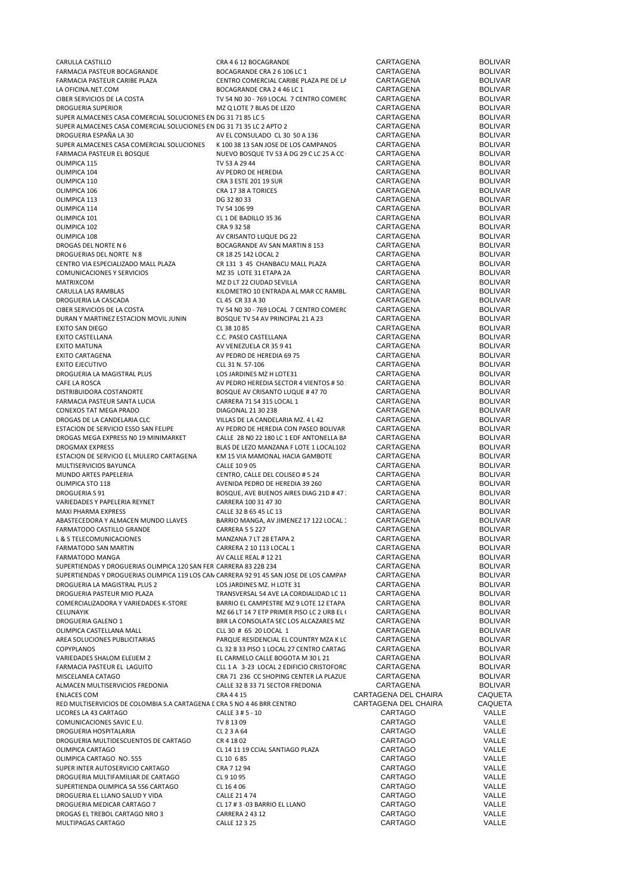| CARULLA CASTILLO                                                                       | CRA 4 6 12 BOCAGRANDE                       | CARTAGENA            | <b>BOLIVAR</b> |
|----------------------------------------------------------------------------------------|---------------------------------------------|----------------------|----------------|
| FARMACIA PASTEUR BOCAGRANDE                                                            | BOCAGRANDE CRA 2 6 106 LC 1                 | CARTAGENA            | <b>BOLIVAR</b> |
| FARMACIA PASTEUR CARIBE PLAZA                                                          | CENTRO COMERCIAL CARIBE PLAZA PIE DE LA     | CARTAGENA            | <b>BOLIVAR</b> |
|                                                                                        |                                             |                      |                |
| LA OFICINA.NET.COM                                                                     | BOCAGRANDE CRA 2 4 46 LC 1                  | CARTAGENA            | <b>BOLIVAR</b> |
| CIBER SERVICIOS DE LA COSTA                                                            | TV 54 N0 30 - 769 LOCAL 7 CENTRO COMERC     | CARTAGENA            | <b>BOLIVAR</b> |
| <b>DROGUERIA SUPERIOR</b>                                                              | MZ Q LOTE 7 BLAS DE LEZO                    | CARTAGENA            | <b>BOLIVAR</b> |
| SUPER ALMACENES CASA COMERCIAL SOLUCIONES EN DG 31 71 85 LC 5                          |                                             | CARTAGENA            | <b>BOLIVAR</b> |
| SUPER ALMACENES CASA COMERCIAL SOLUCIONES EN DG 31 71 35 LC 2 APTO 2                   |                                             | CARTAGENA            | <b>BOLIVAR</b> |
|                                                                                        |                                             |                      |                |
| DROGUERIA ESPAÑA LA 30                                                                 | AV EL CONSULADO CL 30 50 A 136              | CARTAGENA            | <b>BOLIVAR</b> |
| SUPER ALMACENES CASA COMERCIAL SOLUCIONES                                              | K 100 38 13 SAN JOSE DE LOS CAMPANOS        | CARTAGENA            | <b>BOLIVAR</b> |
| FARMACIA PASTEUR EL BOSQUE                                                             | NUEVO BOSQUE TV 53 A DG 29 C LC 25 A CC     | CARTAGENA            | <b>BOLIVAR</b> |
| OLIMPICA 115                                                                           | TV 53 A 29 44                               | CARTAGENA            | <b>BOLIVAR</b> |
|                                                                                        |                                             |                      |                |
| OLIMPICA 104                                                                           | AV PEDRO DE HEREDIA                         | CARTAGENA            | <b>BOLIVAR</b> |
| OLIMPICA 110                                                                           | CRA 3 ESTE 201 19 SUR                       | CARTAGENA            | <b>BOLIVAR</b> |
| OLIMPICA 106                                                                           | CRA 1738 A TORICES                          | CARTAGENA            | <b>BOLIVAR</b> |
| OLIMPICA 113                                                                           | DG 32 80 33                                 | CARTAGENA            | <b>BOLIVAR</b> |
|                                                                                        |                                             |                      |                |
| OLIMPICA 114                                                                           | TV 54 106 99                                | CARTAGENA            | <b>BOLIVAR</b> |
| OLIMPICA 101                                                                           | CL 1 DE BADILLO 35 36                       | CARTAGENA            | <b>BOLIVAR</b> |
| OLIMPICA 102                                                                           | CRA 9 32 58                                 | CARTAGENA            | <b>BOLIVAR</b> |
| OLIMPICA 108                                                                           | AV CRISANTO LUQUE DG 22                     | CARTAGENA            | <b>BOLIVAR</b> |
|                                                                                        |                                             |                      |                |
| DROGAS DEL NORTE N 6                                                                   | BOCAGRANDE AV SAN MARTIN 8 153              | CARTAGENA            | <b>BOLIVAR</b> |
| DROGUERIAS DEL NORTE N 8                                                               | CR 18 25 142 LOCAL 2                        | CARTAGENA            | <b>BOLIVAR</b> |
| CENTRO VIA ESPECIALIZADO MALL PLAZA                                                    | CR 131 3 45 CHANBACU MALL PLAZA             | CARTAGENA            | <b>BOLIVAR</b> |
| <b>COMUNICACIONES Y SERVICIOS</b>                                                      | MZ 35 LOTE 31 ETAPA 2A                      | CARTAGENA            | <b>BOLIVAR</b> |
|                                                                                        |                                             |                      |                |
| MATRIXCOM                                                                              | MZ D LT 22 CIUDAD SEVILLA                   | CARTAGENA            | <b>BOLIVAR</b> |
| CARULLA LAS RAMBLAS                                                                    | KILOMETRO 10 ENTRADA AL MAR CC RAMBL        | CARTAGENA            | <b>BOLIVAR</b> |
| DROGUERIA LA CASCADA                                                                   | CL 45 CR 33 A 30                            | CARTAGENA            | <b>BOLIVAR</b> |
| CIBER SERVICIOS DE LA COSTA                                                            | TV 54 N0 30 - 769 LOCAL 7 CENTRO COMERC     | CARTAGENA            | <b>BOLIVAR</b> |
|                                                                                        |                                             |                      |                |
| DURAN Y MARTINEZ ESTACION MOVIL JUNIN                                                  | BOSQUE TV 54 AV PRINCIPAL 21 A 23           | CARTAGENA            | <b>BOLIVAR</b> |
| EXITO SAN DIEGO                                                                        | CL 38 10 85                                 | CARTAGENA            | <b>BOLIVAR</b> |
| EXITO CASTELLANA                                                                       | C.C. PASEO CASTELLANA                       | CARTAGENA            | <b>BOLIVAR</b> |
| EXITO MATUNA                                                                           | AV VENEZUELA CR 35 9 41                     | CARTAGENA            | <b>BOLIVAR</b> |
|                                                                                        |                                             |                      |                |
| <b>EXITO CARTAGENA</b>                                                                 | AV PEDRO DE HEREDIA 69 75                   | CARTAGENA            | <b>BOLIVAR</b> |
| EXITO EJECUTIVO                                                                        | CLL 31 N. 57-106                            | CARTAGENA            | <b>BOLIVAR</b> |
| DROGUERIA LA MAGISTRAL PLUS                                                            | LOS JARDINES MZ H LOTE31                    | CARTAGENA            | <b>BOLIVAR</b> |
| CAFE LA ROSCA                                                                          | AV PEDRO HEREDIA SECTOR 4 VIENTOS # 50      | CARTAGENA            | <b>BOLIVAR</b> |
|                                                                                        |                                             |                      |                |
| DISTRIBUIDORA COSTANORTE                                                               | BOSQUE AV CRISANTO LUQUE # 47 70            | CARTAGENA            | <b>BOLIVAR</b> |
| FARMACIA PASTEUR SANTA LUCIA                                                           | CARRERA 71 54 315 LOCAL 1                   | CARTAGENA            | <b>BOLIVAR</b> |
| CONEXOS TAT MEGA PRADO                                                                 | DIAGONAL 21 30 238                          | CARTAGENA            | <b>BOLIVAR</b> |
| DROGAS DE LA CANDELARIA CLC                                                            | VILLAS DE LA CANDELARIA MZ. 4 L 42          | CARTAGENA            | <b>BOLIVAR</b> |
|                                                                                        |                                             | CARTAGENA            | <b>BOLIVAR</b> |
| ESTACION DE SERVICIO ESSO SAN FELIPE                                                   | AV PEDRO DE HEREDIA CON PASEO BOLIVAR       |                      |                |
| DROGAS MEGA EXPRESS NO 19 MINIMARKET                                                   | CALLE 28 NO 22 180 LC 1 EDF ANTONELLA BA    | CARTAGENA            | <b>BOLIVAR</b> |
| DROGMAX EXPRESS                                                                        | BLAS DE LEZO MANZANA F LOTE 1 LOCAL102      | CARTAGENA            | <b>BOLIVAR</b> |
| ESTACION DE SERVICIO EL MULERO CARTAGENA                                               | KM 15 VIA MAMONAL HACIA GAMBOTE             | CARTAGENA            | <b>BOLIVAR</b> |
| MULTISERVICIOS BAYUNCA                                                                 | CALLE 10 9 05                               | CARTAGENA            | <b>BOLIVAR</b> |
|                                                                                        |                                             |                      |                |
| MUNDO ARTES PAPELERIA                                                                  | CENTRO, CALLE DEL COLISEO # 5 24            | CARTAGENA            | <b>BOLIVAR</b> |
| OLIMPICA STO 118                                                                       | AVENIDA PEDRO DE HEREDIA 39 260             | CARTAGENA            | <b>BOLIVAR</b> |
| <b>DROGUERIA S 91</b>                                                                  | BOSQUE, AVE BUENOS AIRES DIAG 21D # 47      | CARTAGENA            | <b>BOLIVAR</b> |
| VARIEDADES Y PAPELERIA REYNET                                                          | CARRERA 100 31 47 30                        | CARTAGENA            | <b>BOLIVAR</b> |
|                                                                                        |                                             |                      |                |
| MAXI PHARMA EXPRESS                                                                    | CALLE 32 B 65 45 LC 13                      | CARTAGENA            | <b>BOLIVAR</b> |
| ABASTECEDORA Y ALMACEN MUNDO LLAVES                                                    | BARRIO MANGA, AV JIMENEZ 17 122 LOCAL :     | CARTAGENA            | <b>BOLIVAR</b> |
| FARMATODO CASTILLO GRANDE                                                              | <b>CARRERA 5 5 227</b>                      | CARTAGENA            | <b>BOLIVAR</b> |
| L & S TELECOMUNICACIONES                                                               | MANZANA 7 LT 28 ETAPA 2                     | CARTAGENA            | <b>BOLIVAR</b> |
|                                                                                        |                                             | CARTAGENA            |                |
| FARMATODO SAN MARTIN                                                                   | CARRERA 2 10 113 LOCAL 1                    |                      | <b>BOLIVAR</b> |
| FARMATODO MANGA                                                                        | AV CALLE REAL # 12 21                       | CARTAGENA            | <b>BOLIVAR</b> |
| SUPERTIENDAS Y DROGUERIAS OLIMPICA 120 SAN FERI CARRERA 83 22B 234                     |                                             | CARTAGENA            | <b>BOLIVAR</b> |
| SUPERTIENDAS Y DROGUERIAS OLIMPICA 119 LOS CAN CARRERA 92 91 45 SAN JOSE DE LOS CAMPAN |                                             | CARTAGENA            | <b>BOLIVAR</b> |
| DROGUERIA LA MAGISTRAL PLUS 2                                                          | LOS JARDINES MZ. H LOTE 31                  | CARTAGENA            | <b>BOLIVAR</b> |
|                                                                                        |                                             |                      |                |
| DROGUERIA PASTEUR MIO PLAZA                                                            | TRANSVERSAL 54 AVE LA CORDIALIDAD LC 11     | CARTAGENA            | <b>BOLIVAR</b> |
| COMERCIALIZADORA Y VARIEDADES K-STORE                                                  | BARRIO EL CAMPESTRE MZ 9 LOTE 12 ETAPA      | CARTAGENA            | <b>BOLIVAR</b> |
| CELUNAYIK                                                                              | MZ 66 LT 14 7 ETP PRIMER PISO LC 2 URB EL ( | CARTAGENA            | <b>BOLIVAR</b> |
| DROGUERIA GALENO 1                                                                     | BRR LA CONSOLATA SEC LOS ALCAZARES MZ       | CARTAGENA            | <b>BOLIVAR</b> |
|                                                                                        |                                             |                      | <b>BOLIVAR</b> |
| OLIMPICA CASTELLANA MALL                                                               | CLL 30 # 65 20 LOCAL 1                      | CARTAGENA            |                |
| AREA SOLUCIONES PUBLICITARIAS                                                          | PARQUE RESIDENCIAL EL COUNTRY MZA K LC      | CARTAGENA            | <b>BOLIVAR</b> |
| COPYPLANOS                                                                             | CL 32 8 33 PISO 1 LOCAL 27 CENTRO CARTAG    | CARTAGENA            | <b>BOLIVAR</b> |
| VARIEDADES SHALOM ELEIJEM 2                                                            | EL CARMELO CALLE BOGOTA M 30 L 21           | CARTAGENA            | <b>BOLIVAR</b> |
| FARMACIA PASTEUR EL LAGUITO                                                            | CLL 1 A 3-23 LOCAL 2 EDIFICIO CRISTOFORC    | CARTAGENA            | <b>BOLIVAR</b> |
|                                                                                        |                                             | CARTAGENA            | <b>BOLIVAR</b> |
| MISCELANEA CATAGO                                                                      | CRA 71 236 CC SHOPING CENTER LA PLAZUE      |                      |                |
| ALMACEN MULTISERVICIOS FREDONIA                                                        | CALLE 32 B 33 71 SECTOR FREDONIA            | CARTAGENA            | <b>BOLIVAR</b> |
| <b>ENLACES COM</b>                                                                     | CRA 4 4 15                                  | CARTAGENA DEL CHAIRA | CAQUETA        |
| RED MULTISERVICIOS DE COLOMBIA S.A CARTAGENA E CRA 5 NO 4 46 BRR CENTRO                |                                             | CARTAGENA DEL CHAIRA | CAQUETA        |
| LICORES LA 43 CARTAGO                                                                  |                                             | CARTAGO              | VALLE          |
|                                                                                        | CALLE 3 # 5 - 10                            |                      |                |
| COMUNICACIONES SAVIC E.U.                                                              | TV 8 13 09                                  | CARTAGO              | VALLE          |
| DROGUERIA HOSPITALARIA                                                                 | CL 2 3 A 64                                 | CARTAGO              | VALLE          |
| DROGUERIA MULTIDESCUENTOS DE CARTAGO                                                   | CR 4 18 02                                  | CARTAGO              | VALLE          |
| OLIMPICA CARTAGO                                                                       | CL 14 11 19 CCIAL SANTIAGO PLAZA            | CARTAGO              | VALLE          |
|                                                                                        |                                             |                      |                |
| OLIMPICA CARTAGO NO. 555                                                               | CL 10 6 85                                  | CARTAGO              | VALLE          |
| SUPER INTER AUTOSERVICIO CARTAGO                                                       | CRA 7 12 94                                 | CARTAGO              | VALLE          |
| DROGUERIA MULTIFAMILIAR DE CARTAGO                                                     | CL 9 10 95                                  | CARTAGO              | VALLE          |
| SUPERTIENDA OLIMPICA SA 556 CARTAGO                                                    | CL 16 4 06                                  | CARTAGO              | VALLE          |
|                                                                                        | CALLE 21 4 74                               | CARTAGO              | VALLE          |
| DROGUERIA EL LLANO SALUD Y VIDA                                                        |                                             |                      |                |
|                                                                                        |                                             |                      |                |
| DROGUERIA MEDICAR CARTAGO 7                                                            | CL 17 # 3 -03 BARRIO EL LLANO               | CARTAGO              | VALLE          |
| DROGAS EL TREBOL CARTAGO NRO 3                                                         | CARRERA 2 43 12                             | CARTAGO              | VALLE          |
| MULTIPAGAS CARTAGO                                                                     | CALLE 12 3 25                               | CARTAGO              | VALLE          |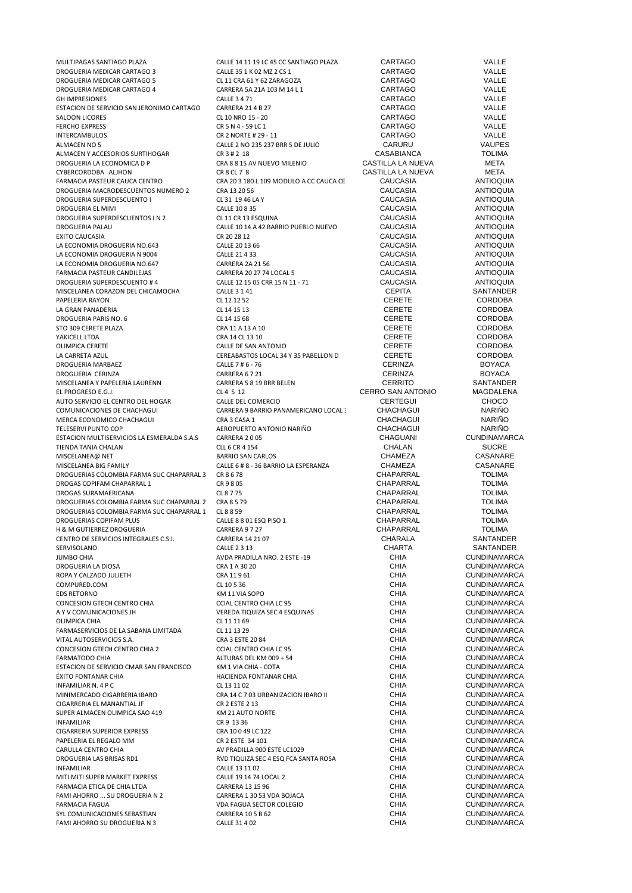| MULTIPAGAS SANTIAGO PLAZA                  | CALLE 14 11 19 LC 45 CC SANTIAGO PLAZA  | CARTAGO                  | VALLE               |
|--------------------------------------------|-----------------------------------------|--------------------------|---------------------|
| DROGUERIA MEDICAR CARTAGO 3                | CALLE 35 1 K 02 MZ 2 CS 1               | CARTAGO                  | VALLE               |
| DROGUERIA MEDICAR CARTAGO 5                | CL 11 CRA 61 Y 62 ZARAGOZA              | CARTAGO                  | <b>VALLE</b>        |
| DROGUERIA MEDICAR CARTAGO 4                | CARRERA 5A 21A 103 M 14 L 1             | <b>CARTAGO</b>           | VALLE               |
| <b>GH IMPRESIONES</b>                      | <b>CALLE 3 4 71</b>                     | CARTAGO                  | VALLE               |
| ESTACION DE SERVICIO SAN JERONIMO CARTAGO  | <b>CARRERA 21 4 B 27</b>                | <b>CARTAGO</b>           | VALLE               |
| SALOON LICORES                             | CL 10 NRO 15 - 20                       | <b>CARTAGO</b>           | VALLE               |
| <b>FERCHO EXPRESS</b>                      | CR 5 N 4 - 59 LC 1                      | <b>CARTAGO</b>           | VALLE               |
| <b>INTERCAMBULOS</b>                       | CR 2 NORTE # 29 - 11                    | <b>CARTAGO</b>           | VALLE               |
| ALMACEN NO 5                               | CALLE 2 NO 235 237 BRR 5 DE JULIO       | CARURU                   | <b>VAUPES</b>       |
| ALMACEN Y ACCESORIOS SURTIHOGAR            | CR 3 # 2 18                             | <b>CASABIANCA</b>        | <b>TOLIMA</b>       |
| DROGUERIA LA ECONOMICA D P                 | CRA 8 8 15 AV NUEVO MILENIO             | CASTILLA LA NUEVA        | META                |
| CYBERCORDOBA ALJHON                        | CR 8 CL 7 8                             | CASTILLA LA NUEVA        | META                |
| <b>FARMACIA PASTEUR CAUCA CENTRO</b>       | CRA 20 3 180 L 109 MODULO A CC CAUCA CE | <b>CAUCASIA</b>          | <b>ANTIOQUIA</b>    |
| DROGUERIA MACRODESCUENTOS NUMERO 2         | CRA 13 20 56                            | CAUCASIA                 | <b>ANTIOQUIA</b>    |
| DROGUERIA SUPERDESCUENTO I                 | CL 31 19 46 LAY                         | CAUCASIA                 | <b>ANTIOQUIA</b>    |
| DROGUERIA EL MIMI                          | CALLE 10 8 35                           | CAUCASIA                 | <b>ANTIOQUIA</b>    |
|                                            |                                         | CAUCASIA                 | <b>ANTIOQUIA</b>    |
| DROGUERIA SUPERDESCUENTOS IN 2             | CL 11 CR 13 ESQUINA                     |                          |                     |
| DROGUERIA PALAU                            | CALLE 10 14 A 42 BARRIO PUEBLO NUEVO    | CAUCASIA                 | <b>ANTIOQUIA</b>    |
| EXITO CAUCASIA                             | CR 20 28 12                             | CAUCASIA                 | <b>ANTIOQUIA</b>    |
| LA ECONOMIA DROGUERIA NO.643               | CALLE 20 13 66                          | CAUCASIA                 | <b>ANTIOQUIA</b>    |
| LA ECONOMIA DROGUERIA N 9004               | CALLE 21 4 33                           | CAUCASIA                 | <b>ANTIOQUIA</b>    |
| LA ECONOMIA DROGUERIA NO.647               | <b>CARRERA 2A 21 56</b>                 | CAUCASIA                 | <b>ANTIOQUIA</b>    |
| FARMACIA PASTEUR CANDILEJAS                | CARRERA 20 27 74 LOCAL 5                | CAUCASIA                 | <b>ANTIOQUIA</b>    |
| DROGUERIA SUPERDESCUENTO #4                | CALLE 12 15 05 CRR 15 N 11 - 71         | CAUCASIA                 | <b>ANTIOQUIA</b>    |
| MISCELANEA CORAZON DEL CHICAMOCHA          | <b>CALLE 3 1 41</b>                     | <b>CEPITA</b>            | SANTANDER           |
| PAPELERIA RAYON                            | CL 12 12 52                             | <b>CERETE</b>            | <b>CORDOBA</b>      |
| LA GRAN PANADERIA                          | CL 14 15 13                             | <b>CERETE</b>            | <b>CORDOBA</b>      |
| DROGUERIA PARIS NO. 6                      | CL 14 15 68                             | <b>CERETE</b>            | <b>CORDOBA</b>      |
| STO 309 CERETE PLAZA                       | CRA 11 A 13 A 10                        | <b>CERETE</b>            | <b>CORDOBA</b>      |
| YAKICELL LTDA                              | CRA 14 CL 13 10                         | <b>CERETE</b>            | <b>CORDOBA</b>      |
| OLIMPICA CERETE                            | CALLE DE SAN ANTONIO                    | <b>CERETE</b>            | <b>CORDOBA</b>      |
| LA CARRETA AZUL                            | CEREABASTOS LOCAL 34 Y 35 PABELLON D    | <b>CERETE</b>            | <b>CORDOBA</b>      |
|                                            |                                         | <b>CERINZA</b>           | <b>BOYACA</b>       |
| DROGUERIA MARBAEZ                          | CALLE 7 # 6 - 76                        |                          |                     |
| DROGUERIA CERINZA                          | CARRERA 6721                            | <b>CERINZA</b>           | <b>BOYACA</b>       |
| MISCELANEA Y PAPELERIA LAURENN             | CARRERA 5 8 19 BRR BELEN                | <b>CERRITO</b>           | SANTANDER           |
| EL PROGRESO E.G.J.                         | CL 4 5 12                               | <b>CERRO SAN ANTONIO</b> | MAGDALENA           |
| AUTO SERVICIO EL CENTRO DEL HOGAR          | CALLE DEL COMERCIO                      | <b>CERTEGUI</b>          | <b>CHOCO</b>        |
| COMUNICACIONES DE CHACHAGUI                | CARRERA 9 BARRIO PANAMERICANO LOCAL :   | <b>CHACHAGUI</b>         | <b>NARIÑO</b>       |
| MERCA ECONOMICO CHACHAGUI                  | CRA 3 CASA 1                            | <b>CHACHAGUI</b>         | <b>NARIÑO</b>       |
| TELESERVI PUNTO COP                        | AEROPUERTO ANTONIO NARIÑO               | <b>CHACHAGUI</b>         | <b>NARIÑO</b>       |
| ESTACION MULTISERVICIOS LA ESMERALDA S.A.S | CARRERA 2005                            | <b>CHAGUANI</b>          | <b>CUNDINAMARCA</b> |
| TIENDA TANIA CHALAN                        | CLL 6 CR 4 154                          | CHALAN                   | <b>SUCRE</b>        |
| MISCELANEA@ NET                            | <b>BARRIO SAN CARLOS</b>                | <b>CHAMEZA</b>           | CASANARE            |
| MISCELANEA BIG FAMILY                      | CALLE 6 # 8 - 36 BARRIO LA ESPERANZA    | <b>CHAMEZA</b>           | CASANARE            |
| DROGUERIAS COLOMBIA FARMA SUC CHAPARRAL 3  | CR 8678                                 | <b>CHAPARRAL</b>         | <b>TOLIMA</b>       |
| DROGAS COPIFAM CHAPARRAL 1                 | CR 9 8 05                               | CHAPARRAL                | <b>TOLIMA</b>       |
| DROGAS SURAMAERICANA                       | CL 8 7 75                               | CHAPARRAL                | <b>TOLIMA</b>       |
| DROGUERIAS COLOMBIA FARMA SUC CHAPARRAL 2  | CRA 8 5 79                              | <b>CHAPARRAL</b>         | <b>TOLIMA</b>       |
| DROGUERIAS COLOMBIA FARMA SUC CHAPARRAL 1  | CL 8 8 59                               | CHAPARRAL                | <b>TOLIMA</b>       |
| DROGUERIAS COPIFAM PLUS                    | CALLE 8 8 01 ESQ PISO 1                 | CHAPARRAL                | <b>TOLIMA</b>       |
| H & M GUTIERREZ DROGUERIA                  | CARRERA 9727                            | CHAPARRAL                | <b>TOLIMA</b>       |
|                                            |                                         |                          |                     |
| CENTRO DE SERVICIOS INTEGRALES C.S.I.      | CARRERA 14 21 07                        | CHARALA<br><b>CHARTA</b> | SANTANDER           |
| SERVISOLANO                                | <b>CALLE 2313</b>                       |                          | SANTANDER           |
| JUMBO CHIA                                 | AVDA PRADILLA NRO. 2 ESTE -19           | CHIA                     | <b>CUNDINAMARCA</b> |
| DROGUERIA LA DIOSA                         | CRA 1 A 30 20                           | CHIA                     | <b>CUNDINAMARCA</b> |
| ROPA Y CALZADO JULIETH                     | CRA 11961                               | CHIA                     | <b>CUNDINAMARCA</b> |
| COMPURED.COM                               | CL 10 5 36                              | <b>CHIA</b>              | <b>CUNDINAMARCA</b> |
| EDS RETORNO                                | KM 11 VIA SOPO                          | <b>CHIA</b>              | <b>CUNDINAMARCA</b> |
| CONCESION GTECH CENTRO CHIA                | <b>CCIAL CENTRO CHIA LC 95</b>          | CHIA                     | <b>CUNDINAMARCA</b> |
| A Y V COMUNICACIONES JH                    | VEREDA TIQUIZA SEC 4 ESQUINAS           | <b>CHIA</b>              | <b>CUNDINAMARCA</b> |
| OLIMPICA CHIA                              | CL 11 11 69                             | <b>CHIA</b>              | <b>CUNDINAMARCA</b> |
| FARMASERVICIOS DE LA SABANA LIMITADA       | CL 11 13 29                             | <b>CHIA</b>              | <b>CUNDINAMARCA</b> |
| VITAL AUTOSERVICIOS S.A.                   | CRA 3 ESTE 20 84                        | CHIA                     | <b>CUNDINAMARCA</b> |
| CONCESION GTECH CENTRO CHIA 2              | <b>CCIAL CENTRO CHIA LC 95</b>          | <b>CHIA</b>              | <b>CUNDINAMARCA</b> |
| FARMATODO CHIA                             | ALTURAS DEL KM 009 + 54                 | <b>CHIA</b>              | <b>CUNDINAMARCA</b> |
| ESTACION DE SERVICIO CMAR SAN FRANCISCO    | KM 1 VIA CHIA - COTA                    | CHIA                     | <b>CUNDINAMARCA</b> |
| ÉXITO FONTANAR CHIA                        | HACIENDA FONTANAR CHIA                  | <b>CHIA</b>              | <b>CUNDINAMARCA</b> |
| INFAMILIAR N. 4 P C                        | CL 13 11 02                             | <b>CHIA</b>              | <b>CUNDINAMARCA</b> |
| MINIMERCADO CIGARRERIA IBARO               | CRA 14 C 7 03 URBANIZACION IBARO II     | <b>CHIA</b>              | <b>CUNDINAMARCA</b> |
| CIGARRERIA EL MANANTIAL JF                 | CR 2 ESTE 2 13                          | <b>CHIA</b>              | <b>CUNDINAMARCA</b> |
| SUPER ALMACEN OLIMPICA SAO 419             | KM 21 AUTO NORTE                        | <b>CHIA</b>              | <b>CUNDINAMARCA</b> |
| INFAMILIAR                                 | CR 9 13 36                              | <b>CHIA</b>              | <b>CUNDINAMARCA</b> |
| CIGARRERIA SUPERIOR EXPRESS                | CRA 10 0 49 LC 122                      | CHIA                     | <b>CUNDINAMARCA</b> |
|                                            |                                         | <b>CHIA</b>              |                     |
| PAPELERIA EL REGALO MM                     | CR 2 ESTE 34 101                        |                          | <b>CUNDINAMARCA</b> |
| CARULLA CENTRO CHIA                        | AV PRADILLA 900 ESTE LC1029             | CHIA                     | <b>CUNDINAMARCA</b> |
| DROGUERIA LAS BRISAS RD1                   | RVD TIQUIZA SEC 4 ESQ FCA SANTA ROSA    | <b>CHIA</b>              | <b>CUNDINAMARCA</b> |
| INFAMILIAR                                 | CALLE 13 11 02                          | <b>CHIA</b>              | <b>CUNDINAMARCA</b> |
| MITI MITI SUPER MARKET EXPRESS             | CALLE 19 14 74 LOCAL 2                  | <b>CHIA</b>              | <b>CUNDINAMARCA</b> |
| FARMACIA ETICA DE CHIA LTDA                | CARRERA 13 15 96                        | CHIA                     | <b>CUNDINAMARCA</b> |
| FAMI AHORRO  SU DROGUERIA N 2              | CARRERA 1 30 53 VDA BOJACA              | <b>CHIA</b>              | <b>CUNDINAMARCA</b> |
| FARMACIA FAGUA                             | VDA FAGUA SECTOR COLEGIO                | CHIA                     | <b>CUNDINAMARCA</b> |
| SYL COMUNICACIONES SEBASTIAN               | <b>CARRERA 10 5 B 62</b>                | <b>CHIA</b>              | <b>CUNDINAMARCA</b> |
| FAMI AHORRO SU DROGUERIA N 3               | CALLE 31 4 02                           | <b>CHIA</b>              | <b>CUNDINAMARCA</b> |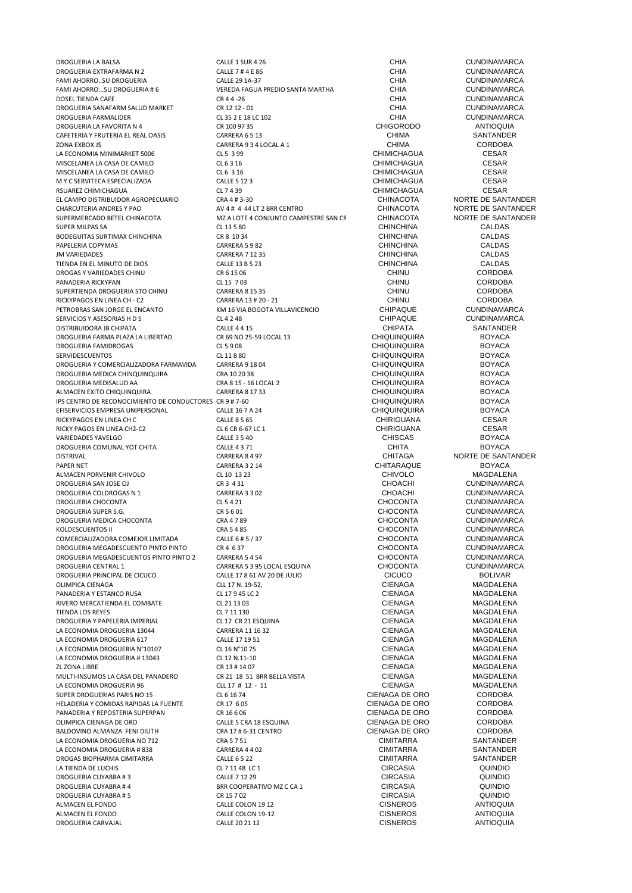DROGUERIA LA BALSA CALLE 1 SUR 4 26 CALLE 1 SUR 4 26 CHIA CUNDINAMARCA CHIA CUNDINAMARCA DROGUERIA EXTRAFARMA N 2 CALLE 7 # 4 E 86 CHIA CUNDINAMARCA FAMI AHORRO..SU DROGUERIA CALLE 29 1A-37 CHIA CUNDINAMARCA FAMI AHORRO...SU DROGUERIA # 6 VEREDA FAGUA PREDIO SANTA MARTHA CHIA CHIA CUNDINAMARCA<br>DOSEI TIENDA CAFE CINDINAMARCA CR 4 4 - 26 CR 4 4 - 26 CHIA CUNDINAMARCA DOSEL TIENDA CAFE CR 4 4 -26 CHIA CUNDINAMARCA DROGUERIA SANAFARM SALUD MARKET CR 12 12 - 01<br>DROGUERIA FARMALIDER CR 12 12 - 25 2 E 18 LC 102 CHIA CHIA CUNDINAMARCA DROGUERIA FARMALIDER CL 35 2 E 18 LC 102 CHIA CUNDINAMARCA DROGUERIA LA FAVORITA N 4 CR 100 97 35 CHIGORODO ANTIOQUIA CAFETERIA Y FRUTERIA EL REAL OASIS CARRERA 6 5 13 CHIMA CHIMA CHIMA SANTANDEI<br>2004 EXROX IS CORDORA CARRERA 9 3 4 I OCAL A 1 ZONA EXBOX JS CARRERA 9 3 4 LOCAL A 1 LA ECONOMIA MINIMARKET 5006 CL 5 3 99 CL 5 3 99 CHIMICHAGUA CESAR MISCELANEA LA CASA DE CAMILO CL 6 3 16 CHIMICHAGUA CESAR MISCELANEA LA CASA DE CAMILO CL 6 3 16 CHIMICHAGUA CESAR M Y C SERVITECA ESPECIALIZADA CALLE 5 12 3 CHIMICHAGUA CESAR RSUAREZ CHIMICHAGUA CESAR<br>
CHINACOTA CESAR CESAR CESAR CHINACOTA CHINACOTA CHINACOTA CHINACOTE DE SANTANDER EL CAMPO DISTRIBUIDOR AGROPECUARIO CRA 4 # 3-30 CHINACOTA NORTE DE SANTANDER CHARCUTERIA ANDRES Y PAO **AV 4 # 4 44 LT 2 BRR CENTRO AV CHINACOTA** NORTE DE SANTANDER<br>SUPERMERCADO BETEL CHINACOTA MIZ A LOTE 4 CONJUNTO CAMPESTRE SAN CF CHINACOTA NORTE DE SANTANDER SUPERMERCADO BETEL CHINACOTA MZ A LOTE 4 CONJUNTO CAMPESTRE SAN CRISTOBAL CHINACOTA NORTE DE SANTANDER SUPER MILPAS SA CLOSS CLOSS CLOSS CLOSS CLOSS CHINCHINA CALDAS BODEGUITAS SURTIMAX CHINCHINA<br>PAPELERIA COPYMAS CHINCHINA CALDAS CONTRERA S 9 82 CHINCHINA CHINCHINA CALDAS CALDAS PAPELERIA COPYMAS CARRERA 5 9 82 CHINCHINA CALDAS JM VARIEDADES CARRERA 7 12 35 CHINCHINA CALDAS TIENDA EN EL MINUTO DE DIOS CALLE 13 B 5 23 CHINCHINA CALDAS DROGAS Y VARIEDADES CHINU PANADERIA RICKYPAN CL 15 7 03 CHINU CORDOBA SUPERTIENDA DROGUERIA STO CHINU<br>RICKYPAGOS EN LINEA CH - C2 CARRERA 13 # 20 - 21 CHINU CORDOBA CORDOBA RICKYPAGOS EN LINEA CH - C2 CARRERA 13 # 20 - 21 CHINU CORDOBA<br>PETROBRAS SAN JORGE EL ENCANTO KM 16 VIA BOGOTA VILLAVICENCIO CHIPAQUE CUNDINAMARCA PETROBRAS SAN JORGE EL ENCANTO KM 16 VIA BOGOTA VILLAVICENCIO CHIPAQUE CUNDINAMARCA SERVICIOS Y ASESORIAS H D S CL 4 2 48 CHIPAQUE CUNDINAMARCA DISTRIBUIDORA JB CHIPATA CALLE 4 4 15 CHIPATA SANTANDER DROGUERIA FARMA PLAZA LA LIBERTAD CR 69 NO 25-59 LOCAL 13 CHIQUINQUIRA BOYACA BOYACA<br>DROGUERIA FAMIDROGAS CL 59 08 CL 59 08 CHIQUINQUIRA BOYACA DROGUERIA FAMIDROGAS CL 5 9 08 CHIQUINQUIRA BOYACA SERVIDESCUENTOS CL 11 8 80 CHIQUINQUIRA BOYACA DROGUERIA Y COMERCIALIZADORA FARMAVIDA CARRERA 9 18 04 CHIQUINQUIRA BOYACA DROGUERIA MEDICA CHINOUINOURA CRA 10 20 38 DROGUERIA MEDISALUD AA CRA 8 15 - 16 LOCAL 2 CHIQUINQUIRA BOYACA ALMACEN EXITO CHIQUINQUIRA CARRERA 8 17 33 CHIQUINQUIRA BOYACA IPS CENTRO DE RECONOCIMIENTO DE CONDUCTORES CR 9 # 7-60 CHIQUINQUIRA CHIQUINQUIRA BOYACA<br>
EFISERVICIOS EMPRESA UNIPERSONAL CALLE 16 7 A 24 CHIQUINQUIRA BOYACA EFISERVICIOS EMPRESA UNIPERSONAL CALLE 16 7 A 24 CHIQUINGUA CHIQUINQUIRA<br>RICKYPAGOS EN LINEA CH C<br>CALLE 8 5 65 CHIRIGUANA RICKYPAGOS EN LINEA CH C CALLE 8 5 65 CHIRIGUANA CESAR RICKY PAGOS EN LINEA CH2-C2 CL 6 CR 6-67 LC 1 CHIRIGUANA CESAR VARIEDADES YAVELGO CALLE 3 5 40 CHISCAS BOYACA DROGUERIA COMUNAL YOT CHITA CALLE 4 3 71 CHITA BOYACA PAPER NET SAN SERVER SERVER CONTRERA 2 2 14 CHITARAQUE SERVERA SOLUTION CONTRERA SOLUTION CONTRERA SOLUTION CONTRERA ALMACEN PORVENIR CHIVOLO<br>
CL 10 13 23 CL 10 14 CHIVOLO CHIVOLO CHIVOLO MAGDALENA<br>
CHOACHI CUNDINAMARCA CR 3 4 31 CHOACHI CUNDINAMARCA DROGUERIA SAN JOSE OJ CR 3 4 31 CHOACHI CUNDINAMARCA DROGUERIA COLDROGAS N 1 CARRERA 3 3 02 CHOACHI CUNDINAMARCA DROGUERIA CHOCONTA CL 5 4 21 CHOCONTA CUNDINAMARCA DROGUERIA SUPER S.G. CR 5 6 01 CHOCONTA CUNDINAMARCA DROGUERIA MEDICA CHOCONTA CRA 4 7 89 CHOCONTA CUNDINAMARCA XOLDESCUENTOS II CRA 5 4 85 CHOCONTA CUNDINAMARCA<br>COMERCIALIZADORA COMEJOR LIMITADA CALLE 6 # 5 / 37 CHOCONTA CHOCONTA CUNDINAMARCA COMERCIALIZADORA COMEJOR LIMITADA CALLE 6 # 5 / 37 CHOCONTA CHOCONTA CUNDINAMARCA<br>DROGUERIA MEGADESCUENTO PINTO PINTO CR 4 6 37 CHOCONTA CHOCONTA CUNDINAMARCA DROGUERIA MEGADESCUENTO PINTO PINTO CR 4 637 CHOCONTA CUNDINAMARCA<br>DROGUERIA MEGADESCUENTOS PINTO PINTO 2 CARRERA 5 4 54 CHOCONTA CHOCONTA CUNDINAMARCA DROGUERIA MEGADESCUENTOS PINTO PINTO 2 CARRERA 5 4 54 CHOCONTA CHOCONTA CUNDINAMARCA<br>DROGUERIA CENTRAL 1 CARRERA 5 3 95 LOCAL ESQUINA CHOCONTA CUNDINAMARCA DROGUERIA PRINCIPAL DE CICUCO CALLE 17 8 61 AV 20 DE JULIO CICUCO BOLIVAR OLIMPICA CIENAGA CLL 17 N. 19-52, CIENAGA MAGDALENA PANADERIA Y ESTANCO RUSA CL 17 9 45 LC 2 CL 17 9 45 LC 2 CIENAGA CHENAGA MAGDALENA<br>PIVERO MERCATIENDA EL COMBATE CL 21 13 03 CL 21 13 03 RIVERO MERCATIENDA EL COMBATE CL 21 13 03<br>TIENDA LOS REYES CL ENAGA CL 21 11 130 TIENDA LOS REYES CL 7 11 130 CIENAGA MAGDALENA DROGUERIA Y PAPELERIA IMPERIAL CL 17 CR 21 ESQUINA CIENAGA CIENAGA MAGDALENA CON A MAGDALENA CON ESTE EN CARRERA 11 16 32 LA ECONOMIA DROGUERIA 13044 CARRERA 11 16 32 CIENAGA CIENAGA MAGDALENA CONOMIA DROGUERIA SITUALENA CALLE 17 19 51 CALLET CHINAGO CIENAGA MAGDALENA LA ECONOMIA DROGUERIA 617 CALLE 17 19 51 CIENAGA MAGDALENA LA ECONOMIA DROGUERIA N°10107 CL 16 N°10 75 CIENAGA MAGDALENA LA ECONOMIA DROGUERIA # 13043 CL 12 N.11-10 CL 12 N.11-10 CIENAGA CL 12 N.12 CONOMIA DROGUERIA # 13043 CL 12 N.11-10 CL 12 N.11-10 CL 12 N.12 CONOMIA CL 12 N.12 CL 12 N.11-10 CL 12 ON ALGOALENA ZL ZONA LIBRE CR 13 # 14 07 CIENAGA MAGDALENA MULTI-INSUMOS LA CASA DEL PANADERO CR 21 18 51 BRR BELLA VISTA CIENAGA CIENAGA MAGDALENA CONOMIA DROGUERIA SOLO<br>CASA CONOMIA DROGUERIA 96 CLI 17 # 17 - 11 CLI 17 + 12 - 11 LA ECONOMIA DROGUERIA 96 CLL 17 # 12 - 11 CLL 17 + 12 - 11 CIENAGA CLENAGA MAGDALEN.<br>CLEO SUPER DROGUERIAS PARIS NO 15 CL 6 16 74 CLEO CLEO CLEO CORDOBA SUPER DROGUERIAS PARIS NO 15 CL 6 16 74 CIENAGA DE ORO CORDOBA HELADERIA Y COMIDAS RAPIDAS LA FUENTE CR 17 6 05 CR 17 CORDOBA<br>PANADERIA Y REPOSTERIA SUPERPAN CR 16 06 CR 16 6 06 CORDOBA PANADERIA Y REPOSTERIA SUPERPAN CR 16 6 06 CR 16 6 06 CENAGA DE ORO CORDOBA<br>CULMPICA CIENAGA DE ORO CORDOBA OLIMPICA CIENAGA DE ORO CALLE 5 CRA 18 ESQUINA CIENAGA DE ORO CORDOBA CORDOBA CORDOBA CORDOBA CORDOBA CORDOBA CORDOBA CORDOBA CORDOBA CORDOBA CORDOBA CORDOBA CORDOBA CORDOBA CORDOBA CORDOBA CORDOBA CORDOBA CORDOBA CORDOBA BALDOVINO ALMANZA FENI DIUTH CRA 17 # 6-31 CENTRO CLENAGA DE ORO CORDOBA<br>LA ECONOMIA DROGLIFRIA NO 712 CRA 5 751 CRA 5 751 CLENAGA CLENAGA CLIMITARRA SANTANDER LA ECONOMIA DROGUERIA NO 712 CRA 5 7 51 CHA FORDER CONOMIA DROGUERIA NO 712 CARRERA 44 02 CHA CONOMIA DROGUERIA # 838 LA ECONOMIA DROGUERIA # 838 CARRERA 4 4 02 CIMITARRA CIMITARRA SANTANDER<br>DROGAS BIOPHARMA CIMITARRA CALLE 65 22 CALLE 65 22 CIMITARRA SANTANDER DROGAS BIOPHARMA CIMITARRA CALLE 6 5 22 CALLE 6 5 22 CIMITARRA CIMITARRA SANTANDE<br>LA TIENDA DE LUCHIS QUINDIO CALLE CALLE CALLE CALLE CALLE CALLE CALLE CALLE CALLE CALLE CALLE CALLE CALLE CALL LA TIENDA DE LUCHIS CL 7 11 48 LC 1 CIRCASIA QUINDIO DROGUERIA CUYABRA # 3 CALLE 7 12 29 CALLE 7 12 29<br>DROGUERIA CUYABRA # 4 COOPERATIVO MZ C CA 1 CIRCASIA COOPERATIVO MZ C CA 1 DROGUERIA CUYABRA # 5 CR 15 7 02 CR 15 7 02<br>ALMACEN EL FONDO CALLE COLON 19 12 CALLE COLON 19 12 CISNEROS ANTIOQUIA ALMACEN EL FONDO CALLE COLON 19-12 CISNEROS ANTIOQUIA DROGUERIA CARVAJAL CALLE 20 21 12 CISNEROS ANTIOQUIA

DROGUERIA CENTRAL 1 CARRERA 5 3 95 LOCAL ESQUINA CHOCONTA CUNDINAMARCA DROGUERIA CUYABRA # 4 BRR COOPERATIVO MZ C CA 1 CIRCASIA QUINDIO CALLE COLON 19 12 CONTRO CONTROL CONTROLLE COLON 1912<br>CALLE COLON 19-12 CALLE CUSNEROS ANTIOQUIA

CHITAGA **NORTE DE SANTANDER**<br>CHITARAQUE BOYACA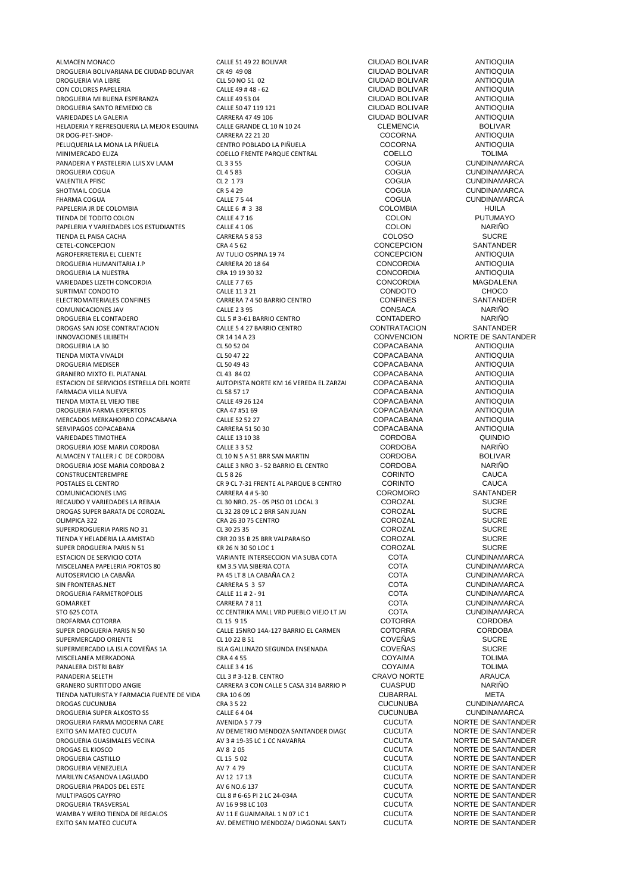ALMACEN MONACO CALLE 51 49 22 BOLIVAR CIUDAD BOLIVAR ANTIOQUIA DROGUERIA BOLIVARIANA DE CIUDAD BOLIVAR CR 49 49 08 CIUDAD BOLIVAR ANTIOQUIA DROGUERIA VIA LIBRE CLL 50 NO 51 02 CIUDAD BOLIVAR ANTIOQUIA DROGUERIA MI BUENA ESPERANZA CALLE 49 53 04 CIUDAD BOLIVAR ANTIOQUIA DROGUERIA SANTO REMEDIO CB CALLE 50 47 119 121 CIUDAD BOLIVAR ANTIOQUIA VARIEDADES LA GALERIA CARRERA 47 49 106 CIUDAD BOLIVAR ANTIOQUIA HELADERIA Y REFRESQUERIA LA MEJOR ESQUINA CALLE GRANDE CL 10 N 10 24 CLEMENCIA COCORNA<br>COCORNA COCORNA DR DOG-PET-SHOP- CARRERA 22 21 20 COCORNA ANTIOQUIA MINIMERCADO ELIZA COELLO FRENTE PARQUE CENTRAL COELLO TOLIMA PANADERIA Y PASTELERIA LUIS XV LAAM CL 3 3 55 CL 3 2 55 COGUA CUNDINAMARCA<br>DROGUERIA COGUA CL 4 5 83 CL 4 5 83 COGUA CUNDINAMARCA DROGUERIA COGUA CL 4 5 83<br>
CL 4 5 83 COGUA COGUA CUNDINAMARCA CL 2 1 73 COGUA VALENTILA PFISC CL 2 1 73 COGUA CUNDINAMARCA SHOTMAIL COGUA CR 5 4 29 COGUA CUNDINAMARCA FHARMA COGUA CALLE 7 5 44 CALLE 7 5 44 COGUA COGUA CUNDINAMARCA PAPELERIA JR DE COLOMBIA CALLE 6 # 3 38 COLOMBIA HUILA TIENDA DE TODITO COLON 
TRESPORTED A LEGAL E A COLOL E A LEGAL E A LEGAL E A LEGAL E A LEGAL E A LEGAL E A LEG<br>
CALE E A LEGAL E A LEGAL E A LEGAL E A LEGAL E A LEGAL E COLON COLON NARIÑO PAPELERIA Y VARIEDADES LOS ESTUDIANTES CALLE 4 1 06 COLON COLON NARIÑO COLON NARIÑO COLOS COLOS COLOS COLOS COLOS COLOS COLOS COLOS COLOS COLOS COLOS COLOS COLOS COLOS COLOS COLOS COLOS COLOS COLOS COLOS COLOS COLOS COLOS TIENDA EL PAISA CACHA CARRERA 5 8 53 COLOSO SUCRE CETEL-CONCEPCION CRA 4 5 62 CONCEPCION SANTANDER AGROFERRETERIA EL CLIENTE AV TULIO OSPINA 19 74 CONCEPCION ANTIOQUIA<br>ANTIOQUIA CARRERA 2018 64 CONCORDIA ANTIOQUIA DROGUERIA HUMANITARIA J.P CARRERA 20 18 64 CONCORDIA ANTIOQUIA DROGUERIA LA NUESTRA VARIEDADES LIZETH CONCORDIA CALLE 7 7 65 CONCORDIA MAGDALENA SURTIMAT CONDOTO CALLE 11 3 21 CONDOTO CHOCO COMUNICACIONES JAV CALLE 2 3 95 CONSACA NARIÑO DROGAS SAN JOSE CONTRATACION CALLE 5 4 27 BARRIO CENTRO CONTRATACION CONTRATACION CONTRATACION CR 14 14 A 23 DROGUERIA LA 30 CL 50 52 04 COPACABANA ANTIOQUIA TIENDA MIXTA VIVALDI CL 50 47 22 COPACABANA ANTIOQUIA DROGUERIA MEDISER CL 50 49 43 COPACABANA ANTIOQUIA GRANERO MIXTO EL PLATANAL CL 43 84 02 COPACABANA ANTIOQUIA ESTACION DE SERVICIOS ESTRELLA DEL NORTE AUTOPISTA NORTE KM 16 VEREDA EL ZARZAI COPACABANA ANTIOQUIA<br>FARMACIA VII I A NIFVA ANTIOQUIIA FARMACIA VILLA NUEVA CL 58 57 17 COPACABANA ANTIOQUIA TIENDA MIXTA EL VIEJO TIBE CALLE 49 26 124 COPACABANA ANTIOQUIA DROGUERIA FARMA EXPERTOS CRA 47 #51 69 COPACABANA ANTIOQUIA MERCADOS MERKAHORRO COPACABANA CALLE 52 52 27 COPACABANA ANTIOQUIA SERVIPAGOS COPACABANA CARRERA 51 50 30 COPACABANA ANTIOQUIA VARIEDADES TIMOTHEA CALLE 13 10 38 CORDOBA QUINDIO DROGUERIA JOSE MARIA CORDOBA CALLE 3 3 52 CORDOBA NARIÑO ALMACEN Y TALLER J C DE CORDOBA CL 10 N 5 A 51 BRR SAN MARTIN CORDOBA<br>CALLER AND 3 - 52 BARRIO EL CENTRO CORDOBA DROGUERIA JOSE MARIA CORDOBA 2 CALLE 3 NRO 3 - 52 BARRIO EL CENTRO CORDOBA NARIÑO CONSTRUCENTEREMPRE CL 5 8 26 CORINTO CAUCA POSTALES EL CENTRO CR 9 CL 7-31 FRENTE AL PARQUE B CENTRO CORINTO CAUCA COMUNICACIONES LMG CARRERA 4 # 5-30 COROMORO SANTANDER RECAUDO Y VARIEDADES LA REBAJA CL 30 NRO. 25 - 05 PISO 01 LOCAL 3 COROZAL SUCRE DROGAS SUPER BARATA DE COROZAL CL 32 28 09 LC 2 BRR SAN JUAN COROZAL SUCRE OLIMPICA 322 CRA 26 30 75 CENTRO COROZAL COROZAL SUCRE SUCRE SUCRE COROZAL SUCRE SUCRE SUCRE SUCRE<br>
COROZAL CL 30 25 35 CL 30 25 35 CENTRO COROZAL SUCRE SUPERDROGUERIA PARIS NO 31 CL 30 25 35 COROZAL COROZAL SUCRE<br>TIENDA Y HELADERIA LA AMISTAD CRR 20 35 B 25 BRR VALPARAISO COROZAL COROZAL SUCRE TIENDA Y HELADERIA LA AMISTAD CRR 20 35 B 25 BRR VALPARAISO COROZAL SUCRE SUPER DROGUERIA PARIS N 51 KR 26 N 30 50 LOC 1 COROZAL SUCRE SUCRE SUCRE SUCRE SUCRE SUSPENSION OF SERVICIO COTA MISCELANEA PAPELERIA PORTOS 80 KM 3.5 VIA SIBERIA COTA COTA COTA CUNDINAMARCA<br>AUTOSERVICIO LA CABAÑA PARTO PARTO A PARTE EL CABAÑA CA 2 COTA CUNDINAMARCA AUTOSERVICIO LA CABAÑA 
AUTOSERVICIO LA CABAÑA 
PA 45 LT 8 LA CABAÑA CA 2 COTA CUNDINAMARCA<br>
COTA CUNDINAMARCA CARRERA 5 3 57 SIN FRONTERAS.NET CARRERA 5 3 57 COTA CUNDINAMARCA DROGUERIA FARMETROPOLIS CALLE 11 # 2 - 91 COTA CUNDINAMARCA<br>COMARKET CORPERA 7 8 11 COTA COTA CUNDINAMARCA GOMARKET CARRERA 7 8 11 COTA CUNDINAMARCA STO 625 COTA COTA CC CENTRIKA MALL VRD PUEBLO VIEJO LT JA COTA CUNDINAMARCA COTORRA COTORRA CORDOBA DROFARMA COTORRA CORDOBA<br>
CORDOBA SUPER DROGUERIA PARIS N 50 COLLE 15NRO 14A-127 BARRIO EL CARMEN COTORRA CORDOBA SUPERMERCADO ORIENTE CL 10 22 B 51 COVEÑAS SUCRE MISCELANEA MERKADONA CRA 4 4 55 COYAIMA TOLIMA PANALERA DISTRI BABY CALLE 3 4 16 COYAIMA TOLIMA PANADERIA SELETH CLL 3 # 3-12 B. CENTRO CRAVO NORTE ARAUCA TIENDA NATURISTA Y FARMACIA FUENTE DE VIDA CRA 10 6 09 CUBARRAL CUBARRAL COUBARRAL DROGAS CUCINUIRA DROGAS CUCUNUBA<br>
DROGAS CUCUNUBA<br>
DROGUERIA SUPER ALKOSTO SS CALLE 6 4 04 CALLE 6 4 04 CUCUNUBA CUCUNUBA CUNDINAMARCA DROGUERIA SUPER ALKOSTO SS CALLE 6 4 04 CUCUNUBA CUNDINAMARCA DROGUERIA FARMA MODERNA CARE AVENIDA 5 7 79 CUCUTA NORTE DE SANTANDER DE SANTANDER DE SANTANDER DE SANTANDER D EXITO SAN MATEO CUCUTA AV DEMETRIO MENDOZA SANTANDER DIAGONAL CUCUTA NORTE DE SANTANDER DROGUERIA GUASIMALES VECINA AV 3 # 19-35 LC 1 CC NAVARRA CUCUTA NORTE DE SANTANDER DROGAS EL KIOSCO AV 8 2 05 CUCUTA NORTE DE SANTANDER DROGUERIA VENEZUELA AV 7 4 79 CUCUTA NORTE DE SANTANDER DROGUERIA PRADOS DEL ESTE AV 6 NO.6 137 CUCUTA NORTE DE SANTANDER MULTIPAGOS CAYPRO CLL 8 # 6-65 PI 2 LC 24-034A CUCUTA NORTE DE SANTANDER WAMBA Y WERO TIENDA DE REGALOS AV 11 E GUAIMARAL 1 N 07 LC 1 CUCUTA CUCUTA NORTE DE SANTANDER EXITO SAN MATEO CUCUTA 
AV. DEMETRIO MENDOZA/ DIAGONAL SANTA 
AV. DEMETRIO MENDOZA/ DIAGONAL SANTANO A CUCUTA NORTE DE SANTANDER

CALLE 49 # 48 - 62 CONTROLLE ANTIOQUIA<br>CALLE 49 53 04 COUDAD BOLIVAR ANTIOQUIA CENTRO POBLADO LA PIÑUELA COCORNA COCORNA ANTIOQUIA CARRERA 7 4 50 BARRIO CENTRO<br>CALLE 2 3 95 CONSACA CONSACA NARIÑO CLL 5 # 3-61 BARRIO CENTRO CONTADERO CONTRADERO NARIÑO<br>CALLE 5 4 27 BARRIO CENTRO CONTRO CONTRATACION SANTANDER CR 14 14 A 23 CONVENCION NORTE DE SANTANDER<br>CL 50 52 04 COPACABANA ANTIOQUIA VARIANTE INTERSECCION VIA SUBA COTA COTA COTA CUNDINAMARCA<br>
KM 3.5 VIA SIBERIA COTA COTA COTA CUNDINAMARCA CALLE 15NRO 14A-127 BARRIO EL CARMEN CL 10 22 B 51 COVEÑAS SUR GALLINAZO SEGUNDA ENSENADA 1A ISLA GOVEÑAS 1A ISLA GOVEÑAS SUCRE<br>19 ISLA 44 ISLA COVAIMA COVAIMA COVEÑAS SUCRE CARRERA 3 CON CALLE 5 CASA 314 BARRIO PORTITODO ANGINO CARRERA 3 CON CALLE 5 CASA 314 BARRIO POR CUBARRAL MARILYN CASANOVA LAGUADO AV 12 17 13 CUCUTA NORTE DE SANTANDER DROGUERIA TRASVERSAL AV 16 9 98 LC 103 CUCUTA NORTE DE SANTANDER

CUCUTA NORTE DE SANTANDER<br>CUCUTA NORTE DE SANTANDER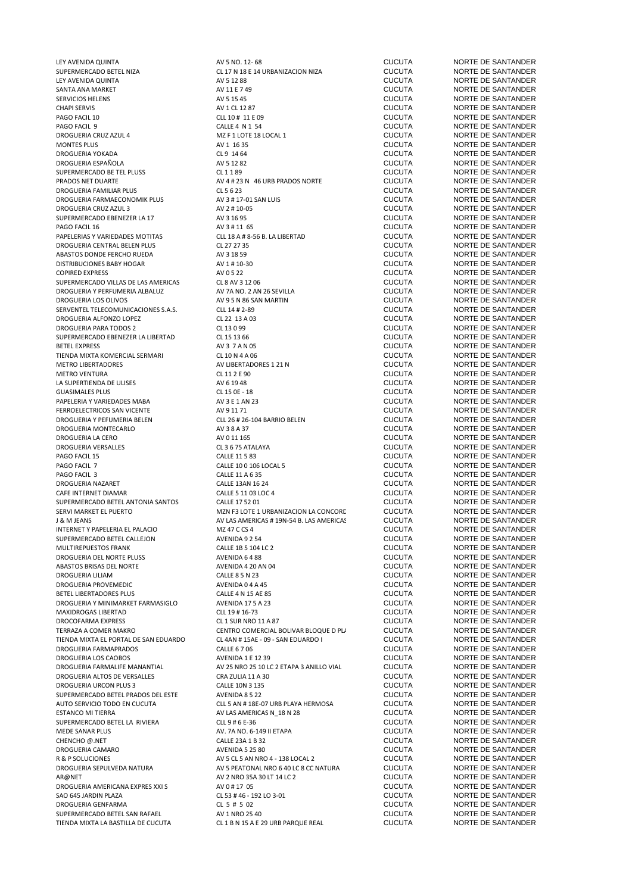SUPERMERCADO BETEL NIZA CL 17 N 18 E 14 URBANIZACION NIZA<br>LEY AVENIDA QUINTA CLOUTA AV 5 12 88 LEY AVENIDA QUINTA AV 5 12 88 CUCUTA NORTE DE SANTANDER SANTA ANA MARKET AV 11 E 7 49 CUCUTA NORTE DE SANTANDER SERVICIOS HELENS **SERVICIOS HELENS**<br>
SERVICIOS HELENS **AV 5 15 45** CUCUTA **DE SANTANDER**<br>
CHAPI SERVIS **AV 1 CL 12 87** CUCUTA NORTE DE SANTANDER CHAPI SERVIS AV 1 CL 12 87 CUCUTA NORTE DE SANTANDER PAGO FACIL 9 CALLE 4 N 1 54 CUCUTA NORTE DE SANTANDER DROGUERIA CRUZ AZUL 4 MZ F 1 LOTE 18 LOCAL 1 CUCUTA MONTES PLUS CUCUTA NORTE DE SANTANDER DROGUERIA YOKADA CL 9 14 64 CUCUTA NORTE DE SANTANDER DROGUERIA ESPAÑOLA AV 5 12 82 CUCUTA NORTE DE SANTANDER SUPERMERCADO BE TEL PLUSS CL 11 89<br>
PRADOS NET DUARTE DE SANTANDER<br>
PRADOS NET DUARTE DE SANTANDER PRADOS NET DUARTE AV 4 # 23 N 46 URB PRADOS NORTE CUCUTA NORTE DE SANTANDER DROGUERIA FARMAECONOMIK PLUS AV 3 # 17-01 SAN LUIS<br>DROGUERIA CRUZ AZUL 3 AV 2 # 10-05 SUPERMERCADO EBENEZER LA 17 AV 3 16 95 CUCUTA<br>PAGO FACIL 16 CUCUTA AV 3 # 11 65 CUCUTA PAPELERIAS Y VARIEDADES MOTITAS CLL 18 A # 8-56 B. LA LIBERTAD CUCUTA NORTE DE SANTANDER<br>DROGUERIA CENTRAL BELEN PLUS CLL 2007 27 25 CLL 2007 27 35 DROGUERIA CENTRAL BELEN PLUS CL 27 27 35 CUCUTA NORTE DE SANTANDER ABASTOS DONDE FERCHO RUEDA AV 3 18 59 CUCUTA NORTE DE SANTANDER DISTRIBUCIONES BABY HOGAR AV 1 # 10-30 CUCUTA NORTE DE SANTANDER SUPERMERCADO VILLAS DE LAS AMERICAS CL 8 AV 3 12 06 CUCUTA COLOUTA DE SANTANDER ANNO 2 AV 7A NORTE DE SANTANDER<br>DROGUERIA Y PERFUMERIA ALBALUZ AV 7A NO. 2 AN 7A NO. 2 AN 26 SEVILLA CUCUTA DORTE DE SANTANDER DROGUERIA Y PERFUMERIA ALBALUZ AV 7A NO. 2 AN 26 SEVILLA CUCUTA NORTE DE SANTANDER DROGUERIA LOS OLIVOS CONTRA EN ENGLOS DE LA AVISIÓN DE SANTANDER AVIS EN ENGLOS ANGELES ANTERNATION DE LA AVIS<br>DE SERVENTEL TELECOMUNICACIONES S.A.S. CLESS CLEVA EN ENGLOS EN ENGLOS EN ENGLOS DE SANTANDER EN ENGLOS DE SANT SERVENTEL TELECOMUNICACIONES S.A.S. CLL 14 # 2-89 CUCUTA CUCUTA NORTE DE SANTANDER<br>DROGUERIA ALFONZO LOPEZ COPES CL 22 13 A 03 CUCUTA CUCUTA NORTE DE SANTANDER DROGUERIA ALFONZO LOPEZ CL 22 13 A 03 CUCUTA NORTE DE SANTANDER SUPERMERCADO EBENEZER LA LIBERTAD CL 15 13 66 CUCUTA<br>BETEL EXPRESS CUCUTA NORTE DE SANTANDER DE SANTANDER CONTE DE SANTANDER DE SANTANDER DE SANTANDER DE SANTANDER TIENDA MIXTA KOMERCIAL SERMARI CL 10 N 4 A 06 CUCUTA CUCUTA NORTE DE SANTANDER<br>METRO LIBERTADORES ANTANDER AV LIBERTADORES 1 21 N METRO VENTURA CL 11 2 E 90 CUCUTA NORTE DE SANTANDER LA SUPERTIENDA DE ULISES  $\begin{array}{ccc}\n\text{A} & \text{A} & \text{B} & \text{B} & \text{C} & \text{A} \\
\text{A} & \text{B} & \text{C} & \text{A} & \text{A} \\
\text{C} & \text{A} & \text{A} & \text{A} \\
\text{D} & \text{A} & \text{A} & \text{A} \\
\text{D} & \text{A} & \text{A} & \text{A}\n\end{array}$ PAPELERIA Y VARIEDADES MABA AV 3 E 1 AN 23 CUCUTA NORTE DE SANTANDER DROGUERIA Y PEFUMERIA BELEN CLL 26 # 26-104 BARRIO BELEN CUCUTA<br>DROGUERIA MONTECARLO AN SANTANDER AV 3 8 A 37 DROGUERIA MONTECARLO AV 3 8 A 37 CUCUTA NORTE DE SANTANDER DROGUERIA LA CERO AV 0 11 165 CUCUTA NORTE DE SANTANDER DROGUERIA VERSALLES CL 3 6 75 ATALAYA CUCUTA NORTE DE SANTANDER PAGO FACIL 7 CALLE 10 0 106 LOCAL 5 CUCUTA NORTE DE SANTANDER PAGO FACIL 3 CALLE 11 A 6 35 CUCUTA NORTE DE SANTANDER DROGUERIA NAZARET CALLE 13AN 16 24 CALLE 13AN 16 24 CUCUTA NORTE DE SANTANDER CAFE INTERNET DIAMAR CALLE 5 11 03 LOC 4 CUCUTA NORTE DE SANTANDER SUPERMERCADO BETEL ANTONIA SANTOS CALLE 17 52 01 CUCUTA NORTE DE SANTANDER SERVI MARKET EL PUERTO SERVI DE SANTANDER MARIA EL PORTO DE SANTANDER ANGLES DE SANTANDER ANNORTE DE SANTANDER<br>I EL MIEANS DE SANTANDER ANNORTE DE SANTANDER ANNORTE DE SANTANDER J & M JEANS AV LAS AMERICAS # 19N-54 B. LAS AMERICAS COCUTA NORTE DE SANTANDER<br>INTERNET Y PAPELERIA EL PALACIO MZ 47 C CS 4 CORTE DE SANTANDER INTERNET Y PAPELERIA EL PALACIO MZ 47 C CS 4 CUCUTA NORTE DE SANTANDER SUPERMERCADO BETEL CALLEJON AVENIDA 9 2 54 CUCUTA NORTE DE SANTANDER DROGUERIA DEL NORTE PLUSS AVENIDA 6 4 88 CUCUTA NORTE DE SANTANDER ABASTOS BRISAS DEL NORTE AVENIDA 4 20 AN 04 CUCUTA NORTE DE SANTANDER DROGUERIA LILIAM CALLE 8 5 N 23 CUCUTA NORTE DE SANTANDER BETEL LIBERTADORES PLUS (CALLE 4 N 15 AE 85 CUCUTA NORTE DE SANTANDER<br>DROGLIERIA Y MINIMARKET EARMASIGLO (AVENIDA 17 5 A 23 CUCUTA NORTE DE SANTANDER DROGUERIA Y MINIMARKET FARMASIGLO<br>MAXIDROGAS LIBERTAD CILLO AVENIDA 17 5 A 23 CUCUTA NORTE DE SANTANDEROGAS LIBERTAD MAXIDROGAS LIBERTAD CLL 19 # 16-73 CUCUTA NORTE DE SANTANDER DROCOFARMA EXPRESS 
DROCOFARMA EXPRESS

CL 1 SUR NRO 11 A 87

CL 1 SUR NRO 11 A 87

CL 1 SUR NRO 11 A 87

CL 1 SUR NRO 11 A 87

CL 1 SUR NRO 11 A 87

CL 1 SUR NRO 11 A 87

CL 1 SUR NRO 11 A 87

CL 1 SUR NRO 11 A 87

CL 1 S TIENDA MIXTA EL PORTAL DE SAN EDUARDO CL 4AN # 15AE - 09 - SAN EDUARDO I CUCUTA DROGUERIA FARMAPRADOS CALLE 6 7 06 DROGUERIA FARMAPRADOS CALLE 6 7 06 CUCUTA NORTE DE SANTANDER DROGUERIA LOS CAOBOS AVENIDA 1 E 12 39 CUCUTA NORTE DE SANTANDER DROGUERIA ALTOS DE VERSALLES CRA ZULIA 11 A 30 CUCUTA NORTE DE SANTANDER SUPERMERCADO BETEL PRADOS DEL ESTE AVENIDA 8 5 22 CUCUTA NORTE DE SANTANDER<br>ALITO SERVICIO TODO EN CILCUTA CILS AN #18E-07 URB PLAYA HERMOSA CUCUTA NORTE DE SANTANDER ESTANCO MI TIERRA 
ESTANCO MI TIERRA 
AVIAS AMERICAS N\_18 N 28 CUCUTA 
AVIAS AMERICAS A UN ALGERA EL SANTANDER<br>
SU DERMERCADO BETELLA RIVIERA CURTA CURTA CURTA CURTA O CUCUTA NORTE DE SANTANDER SUPERMERCADO BETEL LA RIVIERA CLL 9 # 6 F-36 CUCUTA NORTE DE SANTANDER CLUCUTA MEDE SANAR PLUS AV. 7A NO. 6-149 II ETAPA CUCUTA NORTE DE SANTANDER CHENCHO @.NET CALLE 23A 1 B 32 CUCUTA NORTE DE SANTANDER DROGUERIA CAMARO AVENIDA 5 25 80 CUCUTA NORTE DE SANTANDER DROGUERIA SEPULVEDA NATURA AV 5 PEATONAL NRO 6 40 LC 8 CC NATURA CUCUTA<br>AR@NFT AR@NFT CLICLITA DROGUERIA AMERICANA EXPRES XXI S AV 0 # 17 05 CUCUTA NORTE DE SANTANDER SAO 645 JARDIN PLAZA CL 53 # 46 - 192 LO 3-01 CUCUTA NORTE DE SANTANDER SUPERMERCADO BETEL SAN RAFAEL AV 1 NRO 25 40 CUCUTA NORTE DE SANTANDER TIENDA MIXTA LA BASTILLA DE CUCUTA CL 1 B N 15 A E 29 URB PARQUE REAL CUCUTA

CL 5 6 23<br>
DROGUER AV 3 # 17-01 SAN LUIS<br>
CUCUTA NORTE DE SANTANDER AV 2 # 10-05 CUCUTA CUCUTA NORTE DE SANTANDER<br>
AV 3 16 95 CUCUTA NORTE DE SANTANDER AV 3 # 11 65<br>
PAGO FACIL 18 A # 8-56 B. LA LIBERTAD<br>
CUCUTA NORTE DE SANTANDER CL 13 0 99 CUCUTA NORTE DE SANTANDER<br>CL 15 13 66 CL 25 CL 25 CUCUTA NORTE DE SANTANDER AV 3 7 A N 05 CUCUTA<br>CL 10 N 4 A 06 CUCUTA NORTE DE SANTANDER AV LIBERTADORES 1 21 N<br>CL11 2 E 90<br>CLICUTA CL 15 0E - 18<br>
GUCUTA NORTE DE SANTANDER<br>
AV 3 E 1 AN 23 CUCUTA NORTE DE SANTANDER AV 9 11 71 CUCUTA NORTE DE SANTANDER<br>CLL 26 # 26-104 BARRIO BELEN CUCUTA NORTE DE SANTANDER CALLE 1B 5 104 LC 2 CUCUTA COCUTA NORTE DE SANTANDER<br>AVENIDA 6 4 88 2 CUCUTA NORTE DE SANTANDER TERRAZA COMERCIAL BOLIVAR BLOQUE D PLAZOLETA CENTRO COMERCIAL BOLIVAR BLOQUE D PLAZOLETA DE COMITA NORTE DE SANTANDER AV 25 NRO 25 10 LC 2 ETAPA 3 ANILLO VIAL CUCUTA NORTE DE SANTANDER<br>CRA ZULIA 11 A 30 CUCUTA CUCUTA NORTE DE SANTANDER CLL 5 AN # 18E-07 URB PLAYA HERMOSA CUCUTA NORTE DE SANTANDER<br>AV LAS AMERICAS N. 18 N. 28 AV 5 CL 5 AN NRO 4 - 138 LOCAL 2 CUCUTA NORTE DE SANTANDER<br>AV 5 PEATONAL NRO 6 40 LC 8 CC NATURA CUCUTA NORTE DE SANTANDER AV 2 NRO 35A 30 LT 14 LC 2 CUCUTA<br>
AV 0 # 17 05 CUCUTA CUCUTA NORTE DE SANTANDER CL 5 # 5 02<br>
DROGUERIA GENERAL MORTE DE SANTANDER<br>
CLICIJTA NORTE DE SANTANDER

LEY AVENIDA QUINTA AV 5 NO. 12- 68 CUCUTA NORTE DE SANTANDER PAGO FACIL 10 ANDREE DE SANTANDER<br>PAGO FACIL 10 ANDREE DE SANTANDER NORTE DE SANTANDER **CUCUTA FACIL 15 INORTE DE SANTANDER<br>PAGO TELES ANTANDER CUCUTA** NORTE DE SANTANDER CUCUTA NORTE DE SANTANDER<br>CUCUTA NORTE DE SANTANDER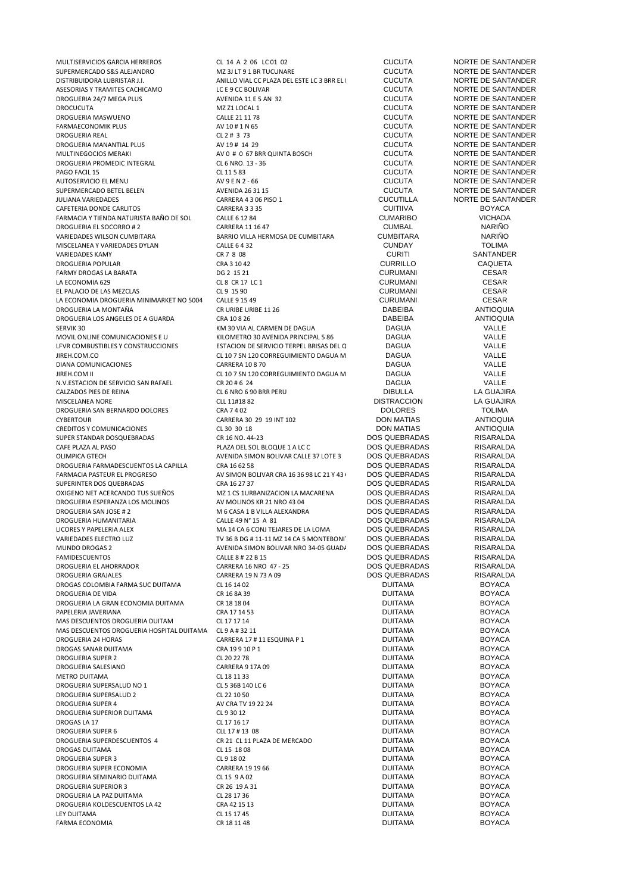MULTISERVICIOS GARCIA HERREROS CL 14 A 2 06 LC 01 02 CUCUTA NORTE DE SANTANDER SUPERMERCADO S&S ALEJANDRO MZ 3J LT 9 1 BR TUCUNARE CUCUTA NORTE DE SANTANDER ASESORIAS Y TRAMITES CACHICAMO LC E 9 CC BOLIVAR CUCUTA NORTE DE SANTANDER DROGUERIA 24/7 MEGA PLUS ANEXANDA 11 E 5 AN 32 CUCUTA NORTE DE SANTANDER DE SANTANDER DE SANTANDER DE SANTANDER<br>ANZ 21 LOCAL 1 DROCUCUTA MZ Z1 LOCAL 1 CUCUTA NORTE DE SANTANDER DROGUERIA MASWUENO<br>
CALLE 21 11 78 CUCUTA NORTE DE SANTANDER<br>
CLICIITA NORTE DE SANTANDER DROGUERIA REAL CL 2 # 3 73 CUCUTA NORTE DE SANTANDER DROGUERIA MANANTIAL PLUS AV 19 # 14 29 CUCUTA NORTE DE SANTANDER MULTINEGOCIOS MERAKI **AV O # 0 67 BRR QUINTA BOSCH CUCUTA CUCUTA** NORTE DE SANTANDER DROGUERIA PROMEDIC INTEGRAL CL 6 NRO. 13 - 36 CUCUTA NORTE DE SANTANDER<br>PAGO FACIL 15 DE SANTANDER CL 11 5 83 CUCUTA NORTE DE SANTANDER PAGO FACIL 15 CL 11 5 83<br>
PAGO FACIL 15 CL 11 5 83<br>
AUTOSERVICIO EL MENU SUPERMERCADO BETEL BELEN AVENIDA 26 31 15 CUCUTA NORTE DE SANTANDER CAFETERIA DONDE CARLITOS CARRERA 3 3 35 CUITIIVA BOYACA FARMACIA Y TIENDA NATURISTA BAÑO DE SOL CALLE 6 12 84 CUMARIBO CUMARIBO COMARIBO COMBAL CONSIDENTADA CONSIDENT<br>DROGUERIA EL SOCORRO # 2 CARRERA 11 16 47 CARRERA 11 16 47 CUMBAL COMBAL DROGUERIA EL SOCORRO # 2 CARRERA 11 16 47 COMBITARA COMBAL COMBAL NARIÑO<br>19 D'ARIEDADES WILSON CUMBITARA DE RARIO VILLA HERMOSA DE CUMBITARA CUMBITARA NARIÑO MISCELANEA Y VARIEDADES DYLAN CALLE 6 4 32 CUNDAY TOLIMA VARIEDADES KAMY CR 7 8 08 CURITI SANTANDER DROGUERIA POPULAR CRA 3 10 42 CURRILLO CAQUETA FARMY DROGAS LA BARATA LA ECONOMIA 629 CL 8 CR 17 LC 1 CURUMANI CESAR EL PALACIO DE LAS MEZCLAS CL 9 15 90 CURUMANI CESAR LA ECONOMIA DROGUERIA MINIMARKET NO 5004 CALLE 9 15 49<br>DROGUERIA LA MONTAÑA CRURIBE URIBE URIBE 11 26 CRURIBE 11 26 DABEIBA ANTIOQUIA DROGUERIA LA MONTAÑA CR URIBE URIBE 11 26 DABEIBA ANTIOQUIA DROGUERIA LOS ANGELES DE A GUARDA CRA 10 8 26 DABEIBA ANTIOXA E CRA 10 8 26 DAGUA CARNEN DE DAGUA DAGUA DAGUA SERVIK 30 SERVIK 30 VALLE SERVIK 30 VIA AL CARMEN DE DAGUA SAGUA DAGUA DAGUA SERVIK 30 AVENIDA PRINCIPAL 5 86 SAGUA DAGUA DALLE DAGUA DALLE DAGUARE SAGUA DALLE DAGUARE SAGUARE SAGUARE SAGUARE SAGUARE SAGUARE SAGUARE SAGUAR LFVR COMBUSTIBLES Y CONSTRUCCIONES ESTACION DE SERVICIO TERPEL BRISAS DEL QUEREMAL DAGUA VALLE DIANA COMUNICACIONES CARRERA 10 8 70 DAGUA VALLE JIREH.COM II CL 10 7 SN 120 CORREGUIMIENTO DAGUA MZ CL 1 200 KM 30 LC 2 DE DAGUA DAGUA VALLE N.V.ESTACION DE SERVICIO SAN RAFAEL CR 20 # 6 24 DAGUA DAGUA DE SERVICIO SAN RAFAEL CALISA DE SERVICIO SAN DE<br>CALIZADOS PIES DE REINA IN RATIONALE CRISTINA DE LA GELIA IN RATIONALE CALISA DE LA GELIA IN RATIONALE CALISA CALZADOS PIES DE REINA CL 6 NRO 6 90 BRR PERU DIBULLA LA GUAJIRA MISCELANEA NORE CLL 11#18 82 CLL 11#18 82 DISTRACCION LA GUAJIR<br>1 DROGUERIA SAN BERNARDO DOLORES CRA 7 4 02 DOLORES DOLORES TOLIMA DROGUERIA SAN BERNARDO DOLORES CRA 7 4 02 DOLORES TOLIMA CYBERTOUR CONUNICACIONES CONSULTED USING CARRERA 30 29 19 INT 102 DON MATIAS ANTIOQUIA<br>CREDITOS Y COMUNICACIONES CL 30 30 18 DON MATIAS ANTIOQUIA CREDITOS Y COMUNICACIONES CL 30 30 18 DON MATIAS ANTIOQUIA SUPER STANDAR DOSQUEBRADAS CR 16 NO. 44-23 DOS QUEBRADAS RISARALDA CAFE PLAZA AL PASO CAFE PLAZA DEL SOL BLOQUE 1 A LC C<br>OLIMPICA GTECH PLAZA DEL PARALDA AVENIDA SIMON BOLIVAR CALLE 37 LOTE 3 DOS QUEBRADAS RISARALDA DROGUERIA FARMADESCUENTOS LA CAPILLA CRA 16 62 58 DOS QUEBRADAS DOS QUEBRADAS RISARALDA<br>FARMACIA PASTELIR EL PROGRESO AVISIMON ROLIVAR CRA 16 36 98 I C 21 Y 43 IDOS QUEBRADAS RISARAL DA FARMACIA PASTEUR EL PROGRESO AV SIMON BOLIVAR CRA 16 36 98 LC 21 Y 43 CC EL PROGRESO DOS QUEBRADAS RISARALDA SUPERINTER DOS QUEBRADAS CRA 16 27 37<br>OXIGENO NET ACERCANDO TUS SUEÑOS MZ 1 CS 1URBANIZACION LA MACARENA OXIGENO NET ACERCANDO TUS SUEÑOS MZ 1 CS 1URBANIZACION LA MACARENA DOS QUEBRADAS RISARALDA DROGUERIA ESPERANZA LOS MOLINOS AV MOLINOS KR 21 NRO 43 04 DOS QUEBRADAS RISARALDA DROGUERIA SAN JOSE # 2 M 6 CASA 1 B VILLA ALEXANDRA DOS QUEBRADAS RISARALDA<br>DROGUERIA HUMANITARIA CALLE 49 N° 15 A 81 DOS QUEBRADAS RISARALDA DROGUERIA HUMANITARIA CALLE 49 N° 15 A 81 DOS QUEBRADAS RISARALDA LICORES Y PAPELERIA ALEX MA 14 CA 6 CONJ TEJARES DE LA LOMA DOS QUEBRADAS RISARALDA VARIEDADES ELECTRO LUZ TV 36 B DG # 11-11 MZ 14 CA 5 MONTEBONITO ETAPA 2 DOS QUEBRADAS RISARALDA MUNDO DROGAS 2 AVENIDA SIMON BOLIVAR NRO 34-05 GUADALUPE DOS QUEBRADAS RISARALDA<br>FAMIDESCUENTOS CALLE 8 # 22 B 15 DOS QUEBRADAS RISARALDA DROGUERIA EL AHORRADOR CARRERA 16 NRO 47 - 25 DOS QUEBRADAS RISARALDA DROGAS COLOMBIA FARMA SUC DUITAMA CL 16 14 02 DUITAMA BOYACA DROGUERIA DE VIDA CR 16 8A 39 DUITAMA BOYACA DROGUERIA LA GRAN ECONOMIA DUITAMA CR 18 18 04 DUITAMA BOYACA PAPELERIA JAVERIANA CRA 17 14 53 DUITAMA BOYACA MAS DESCUENTOS DROGUERIA DUITAM CL 17 17 14 DUITAMA BOYACA MAS DESCUENTOS DROGUERIA HOSPITAL DUITAMA CL 9 A # 32 11 DUITAMA BOYACA DROGUERIA 24 HORAS CARRERA 17 # 11 ESQUINA P 1 DUITAMA BOYACA DROGAS SANAR DUITAMA CRA 19 9 10 P 1 DUITAMA BOYACA DROGUERIA SUPER 2 CL 20 22 78 DUITAMA BOYACA DROGUERIA SALESIANO CARRERA 9 17A 09 DUITAMA BOYACA METRO DUITAMA CL 18 11 33 DUITAMA BOYACA DROGUERIA SUPERSALUD NO 1 CL 5 36B 140 LC 6 DUITAMA BOYACA DROGUERIA SUPERSALUD 2 CL 22 10 50 DUITAMA BOYACA DROGUERIA SUPER 4 AV CRA TV 19 22 24 DUITAMA BOYACA BOYACA DROGUERIA SUPERIOR DUITAMA CL 9 30 12<br>CL 9 30 12 DROGAS LA 17 DUITAMA BOYACA CL 9 21 15 17 DROGAS LA 17 DE LA 2000 DE LA 2000 DE LA 2000 DE LA 2000 DE LA 2000 DE LA 2000 DE LA 2000 DE LA 2000 DE LA 200 DROGUERIA SUPER 6 CLL 17 # 13 08 DUITAMA BOYACA DROGUERIA SUPERDESCUENTOS 4 CR 21 CL 11 PLAZA DE MERCADO DUITAMA BOYACA DROGAS DUITAMA CL 15 18 08 DUITAMA BOYACA DROGUERIA SUPER 3 CL 9 18 02 DUITAMA BOYACA DROGUERIA SUPER ECONOMIA CARRERA 19 19 66 DUITAMA BOYACA DROGUERIA SEMINARIO DUITAMA CL 15 9 A 02 DUITAMA BOYACA DROGUERIA SUPERIOR 3 CR 26 19 A 31 DUITAMA BOYACA DROGUERIA LA PAZ DUITAMA CL 28 17 36 DUITAMA BOYACA DROGUERIA KOLDESCUENTOS LA 42 CRA 42 15 13 LEY DUITAMA CL 15 17 45 DUITAMA BOYACA

ANILLO VIAL CC PLAZA DEL ESTE LC 3 BRR EL COLOUTA NORTE DE SANTANDER<br>CUCUTA NORTE DE SANTANDER FARMAECONOMIK PLUS AV 10 # 1 N 65 CUCUTA NORTE DE SANTANDER AV 9 E N 2 - 66 CUCUTA<br>
AV 9 E N 2 - 66 CUCUTA<br>
AVENIDA 26 31 15 CUCUTA NORTE DE SANTANDER CARRERA 4 3 06 PISO 1 CUCUTILLA NORTE DE SANTANDER<br>CARRERA 3 3 35 CUCUTIVA BOYACA VARRIO VILLA HERMOSA DE CUMBITARA CUMBITARA CUMBITARA NARIÑO CALIFE A 32 MILOMETRO 30 AVENIDA PRINCIPAL 5 86 DAGUA DESENIDA PO UN VALLE<br>
ESTACION DE SERVICIO TERPEL BRISAS DEL C DAGUA DE VALLE CL 10 7 SN 120 CORREGUIMIENTO DAGUA M<br>CARRERA 10 8 70 CORREGUIMIENTO DAGUA DAGUA DAGUA VALLE AVENIDA SIMON BOLIVAR CALLE 37 LOTE 3 DOS QUEBRADAS RISARALDA<br>CRA 16.62 58 CRISARAL DA DOS QUEBRADAS RISARAL DA FAMIDESCUENTOS CALLE 8 # 22 B 15 DOS QUEBRADAS RISARALDA CARRERA 19 N 73 A 09 DOS QUEBRADAS RISARALD<br>CL 16 14 02 DUITAMA DUITAMA BOYACA FARMA ECONOMIA CR 18 11 48 DUITAMA BOYACA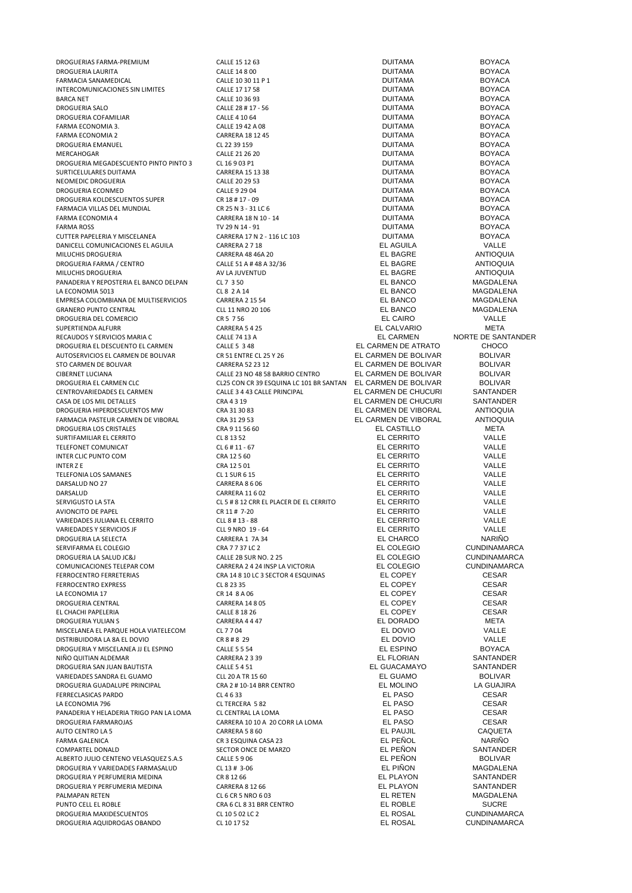DROGUERIAS FARMA-PREMIUM CALLE 15 12 63 DUITAMA BOYACA DROGUERIA LAURITA CALLE 14 8 00 DUITAMA BOYACA FARMACIA SANAMEDICAL CALLE 10 30 11 P 1 DUITAMA BOYACA INTERCOMUNICACIONES SIN LIMITES CALLE 17 17 58<br>
CALLE 17 17 58 DUITAMA BOYACA<br>
CALLE 10 36 93 DUITAMA DUITAMA BOYACA BARCA NET CALLE 10 36 93 DUITAMA BOYACA DROGUERIA SALO CALLE 28 # 17 - 56 DUITAMA BOYACA DROGUERIA COFAMILIAR CALLE 4 10 64 DUITAMA BOYACA FARMA ECONOMIA 3. CALLE 19 42 A 08 DUITAMA BOYACA FARMA ECONOMIA 2 CARRERA 18 12 45 DUITAMA BOYACA DROGUERIA EMANUEL CL 22 39 159 DUITAMA BOYACA MERCAHOGAR CALLE 21 26 20 DUITAMA BOYACA DROGUERIA MEGADESCUENTO PINTO PINTO 3 CL 16 9 03 P1 DUITAMA DUITAMA DOYACA DE DE ROYACA<br>SURTICELULARES DUITAMA BOYACA CARRERA 15 13 38 DUITAMA DUITAMA DOYACA SURTICELULARES DUITAMA CARRERA 15 13 38 DUITAMA BOYACA NEOMEDIC DROGUERIA CALLE 20 29 53 DUITAMA BOYACA DROGUERIA ECONMED CALLE 9 29 04 DUITAMA BOYACA DROGUERIA KOLDESCUENTOS SUPER CR 18 # 17 - 09 DUITAMA BOYACA FARMACIA VILLAS DEL MUNDIAL CR 25 N 3 - 31 LC 6 DUITAMA BOYACA FARMA ECONOMIA 4 CARRERA 18 N 10 - 14 DUITAMA BOYACA FARMA ROSS TV 29 N 14 - 91 DUITAMA BOYACA CUTTER PAPELERIA Y MISCELANEA CARRERA 17 N 2 - 116 LC 103 DUITAMA BOYACA DANICELL COMUNICACIONES EL AGUILA CARRERA 2 7 18 EL AGUILA VALLE MILUCHIS DROGUERIA CARRERA 48 46A 20 **CARRERA 48 46A 20** EL BAGRE ANTIOQUIA DROGUERIA FARMA / CENTRO CALLE 51 A # 48 A 32/36 EL BAGRE ANTIOQUIA MILUCHIS DROGUERIA PANADERIA Y REPOSTERIA EL BANCO DELPAN CL 7 3 50 EL BANCO MAGDALENA LA ECONOMIA 5013 CL 8 2 A 14 EL BANCO MAGDALENA EMPRESA COLOMBIANA DE MULTISERVICIOS CARRERA 2 15 54 EL BANCO MAGDALENA GRANERO PUNTO CENTRAL CLL 11 NRO 20 106 EL BANCO MAGDALENA DROGUERIA DEL COMERCIO CR 5 7 56 EL CAIRO VALLE SUPERTIENDA ALFURR CHESTA CARRERA 5 4 25 CARRERA 5 4 25 CALVARIO META CARRERA SANTA CHESTA CHESTA CHESTA CONTR<br>RECAUDOS Y SERVICIOS MARIA C RECAUDOS Y SERVICIOS MARIA C CALLE 74 13 A EL CARMEN NORTE DE SANTANDER DROGUERIA EL DESCUENTO EL CARMEN CALLE 5 3 48 EL CARMEN DE ATRATO CHOCO AUTOSERVICIOS EL CARMEN DE BOLIVAR CR 51 ENTRE CL 25 Y 26 EL CARMEN DE BOLIVAR BOLIVAR CIBERNET LUCIANA CALLE 23 NO 48 58 BARRIO CENTRO EL CARMEN DE BOLIVAR BOLIVAR DROGUERIA EL CARMEN CLC<br>CALLES CON CR 39 ESQUINA LC 101 BR SANTAND DE BOLIVAR BOLIVAR DE CARMEN DE CHUCURI SANTANDER CENTROVARIEDADES EL CARMEN CALLE 3 4 43 CALLE PRINCIPAL EL CARMEN DE CHUCURI SANTANDER<br>CASA DE LOS MIL DETALLES CRA A 3 14 CRA 4 3 14 CARMEN DE CHUCURI SANTANDER DROGUERIA HIPERDESCUENTOS MW CRA 31 30 83 CRA 21 30 83 EL CARMEN DE VIBORAL ANTIOQUIA<br>FARMACIA PASTEUR CARMEN DE VIBORAL CRA 31 29 53 CRA EL CARMEN DE VIBORAL ANTIOQUIA FARMACIA PASTEUR CARMEN DE VIBORAL CRA 31 29 53 EL CARMEN DE VIBORAL ANTIOQUIA DROGUERIA LOS CRISTALES CRA 9 11 56 60 EL CASTILLO META SURTIFAMILIAR EL CERRITO CL 8 13 52 EL CERRITO VALLE TELEFONET COMUNICAT CL 6 # 11 - 67 EL CERRITO VALLE INTER CLIC PUNTO COM **CRA 12 5 60**<br>INTER 2 FLOERRITO COM CRA 12 5 01 CRA 12 5 01 EL CERRITO VALLE INTER Z E CRA 12 5 01 EL CERRITO VALLE TELEFONIA LOS SAMANES CL 1 SUR 6 15 EL CERRITO VALLE DARSALUD NO 27 CARRERA 8 6 06 EL CERRITO VALLE DARSALUD CARRERA 11 6 02 EL CERRITO VALLE SERVIGUSTO LA 5TA CL 5 + 8 12 CRR EL PLACER DE EL CERRITO EL CERRITO VALLE AVIONCITO DE PAPEL CR 11 # 7-20 EL CERRITO VALLE VARIEDADES JULIANA EL CERRITO CLL 8 # 13 - 88 EL CERRITO VALLE VARIEDADES Y SERVICIOS JF CLL 9 NRO 19 - 64 EL CERRITO VALLE DROGUERIA LA SELECTA CARRERA 1 7A 34 EL CHARCO NARIÑO SERVIFARMA EL COLEGIO CRA 7 7 37 LC 2 EL COLEGIO CUNDINAMARCA DROGUERIA LA SALUD JC&J CALLE 2B SUR NO. 2 25 EL COLEGIO CUNDINAMARCA<br>COMUNICACIONES TELEPAR COM CARRERA 2 4 24 INSP LA VICTORIA EL COLEGIO CUNDINAMARCA COMUNICACIONES TELEPAR COM CARRERA 2 4 24 INSP LA VICTORIA EL COLEGIO CUNDINAMARCA FERROCENTRO EXPRESS CL 8 23 35 CL 8 23 35 EL COPEY CESAR<br>TA ECONOMIA 17 CESAR CESAR CR 14 8 A 06 CESAR EL COPEY CESAR LA ECONOMIA 17 CR 14 8 A 06 CR 14 8 A 06 EL COPEY CESAR DROGUERIA CENTRAL CESAR CONTRAL CARRERA 14 8 05 CESAR EL COPEY CESAR EL CHACHI PAPELERIA CALLE 8 18 26 EL COPEY CESAR DROGUERIA YULIAN S CARRERA 4 4 47 EL DORADO META MISCELANEA EL PARQUE HOLA VIATELECOM CL 7 7 04 CL 7 2 LA EL DOVIO VALLE<br>DISTRIBUIDORA LA 8A EL DOVIO CR 8 # 8 29 CR 8 # 8 29 CR 8 # 8 29 CALLE DISTRIBUIDORA LA 8A EL DOVIO CR 8 # 8 29 EL DOVIO VALLE DROGUERIA Y MISCELANEA JJ EL ESPINO CALLE 5 5 54 EL ESPINO BOYACA NIÑO QUITIAN ALDEMAR CARRERA 2 3 39 EL FLORIAN SANTANDER DROGUERIA SAN JUAN BAUTISTA<br>
URA PEL GUADO CALLE 5 4 51 CALLE 5 4 51 CLL 20 A TR 15 60 EL GUAMO EL GUAMO BOLIVAR VARIEDADES SANDRA EL GUAMO CLL 20 A TR 15 60 EL GUAMO BOLIVAR DROGUERIA GUADALUPE PRINCIPAL CRA 2 # 10-14 BRR CENTRO EL MOLINO LA GUAJIRA FERRECLASICAS PARDO CL 4 6 33 EL PASO CESAR LA ECONOMIA 796 CL TERCERA 5 82 EL PASO CESAR PANADERIA Y HELADERIA TRIGO PAN LA LOMA CL CENTRAL LA LOMA CONSUMANTE EL PASO CESAR CESAR<br>CARRERA 10.10 A 20 CORRIA LOMA CL CENTRAL CARRERA DE LA 20 CORRIA LOMA CESAR CESAR DROGUERIA FARMAROJAS CARRERA 10 10 A 20 CORR LA LOMA AUTO CENTRO LA 5 CARRERA 5 8 60 EL PAUJIL CAQUETA FARMA GALENICA CR 3 ESQUINA CASA 23 EL PEÑOL NARIÑO COMPARTEL DONALD<br>
SANTANDER
SANTANDER
SANTANDER
SANTANDER
SANTANDER
SANTANDER
SANTANDER
SANTANDER
SANTANDER
SANTANDER
SANTANDER
SANTANDER
SANTANDER
SANTANDER
SANTANDER
SANTANDER
SANTANDER
SANTANDER
SANTANDER
SANTANDER
SANT ALBERTO JULIO CENTENO VELASQUEZ S.A.S CALLE 5 9 06 EL PEÑON BOLIVAR DROGUERIA Y VARIEDADES FARMASALUD CL 13 # 3-06 EL PIÑON MAGDALENA DROGUERIA Y PERFUMERIA MEDINA CR 8 12 66 EL PLAYON SANTANDER DROGUERIA Y PERFUMERIA MEDINA CARRERA 8 12 66 EL PLAYON SANTANDER PALMAPAN RETEN MAGDALE<br>PUNTO CELL EL ROBLE CLOSEN CRA 6 CL 8 31 BRR CENTRO CLOSEN CRA 6 CL 8 31 BRR CENTRO CLOSEN CLOSEN CONTROL CRA DROGUERIA MAXIDESCUENTOS CL 10 5 02 LC 2 EL ROSAL CUNDINAMARCA DROGUERIA AQUIDROGAS OBANDO CL 10 17 52 CL 10 17 52

CRA 4 3 19 EL CARMEN DE CHUCURI SANTANDER<br>CRA 31 30 83 EL CARMEN DE VIBORAI ANTIOQUIA FERROR FERRET ROCESS CRA 14 8 10 LC 3 SECTOR 4 ESQUINAS EL COPEY CESAR<br>CL 8 23 35 CESAR PUNTO CRA 6 CL 8 31 BRR CENTRO CONTRO EL ROBLE SUCRE SUCRE SUCRE SUCRE SUCRE SUCRE SUCRE SUCRE SUCRE SUCRE SUCRE

STO CARMEN DE BOLIVAR EL CARMEN DE BOLIVAR<br>EL CARMEN DE BOLIVAR BOLIVAR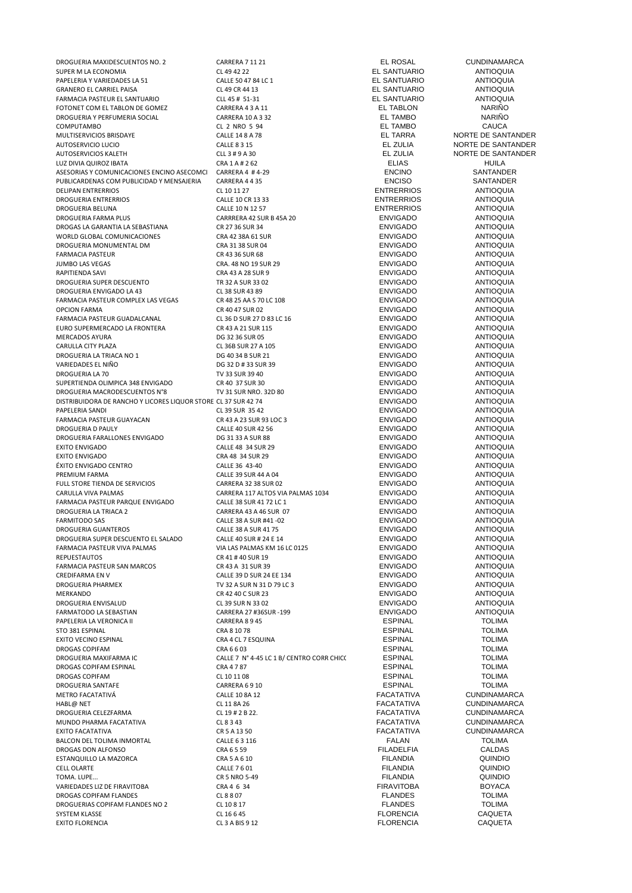DROGUERIA MAXIDESCUENTOS NO. 2 CARRERA 7 11 21 EL ROSAL CUNDINAMARCA SUPER M LA ECONOMIA<br>PAPELERIA Y VARIEDADES LA 51 CALLE SO 47 84 LC 1 CALLE SO 47 84 LC 1 CALLE EL SANTUARIO CONTIOQUIA PAPELERIA Y VARIEDADES LA 51 CALLE 50 47 84 LC 1 CALLE EN CALLE 50 47 84 LC 1 CALLE EN CALLE 50 47 84 LC 1 CAR<br>GRANERO EL CARRIEL PAISA CLASS COM CLASS CR 44 13 CR 44 13 CR HA LE SANTUARIO CLASS CONTINUARIO GRANERO EL CARRIEL PAISA CLORET EL 19 CR 44 13 CL 49 CR 44 13 EL SANTUARIO ANTIOQUIA<br>FARMACIA PASTEUR EL SANTUARIO CLL 45 # 51-31 EL SANTUARIO ANTIOQUIA FARMACIA PASTEUR EL SANTUARIO<br>FOTONET COM EL TABLON DE GOMEZ<br>FOTONET COM EL TABLON DE GOMEZ CARRERA 4 3 A 11 LE TABLON BLITABLON NARIÑO FOTONET COM EL TABLON DE GOMEZ<br>DROGUERIA Y PERFUMERIA SOCIAL CARRERA 10 A 3 32 A 20 A 20 H LE TAMBO COM CARRIÑO DROGUERIA Y PERFUMERIA SOCIAL CARRERA 10 A 3 32 CARRERA 10 A 3 32 COMPUTAMBO NARIÑO<br>COMPUTAMBO COLO CL 2 NRO 5 94 CL 2 NRO 5 94 EL TAMBO COMPUTAMBO CL 2 NRO 5 94 EL TAMBO CAUCA MULTISERVICIOS BRISDAYE CALLE 14 8 A 78 EL TARRA NORTE DE SANTANDER AUTOSERVICIO LUCIO CALLE 8 3 15 EL ZULIA NORTE DE SANTANDER AUTOSERVICIOS KALETH CLL 3 # 9 A 30 CLL 3 # 9 A 30 CLL 3 H 9 A 30 CLL 3 H 2 ULIA NORTE DE SANTANDER LUZ DIVIA QUIROZ IBATA CRA 1 A # 2 62 ELIAS HUILA ASESORIAS Y COMUNICACIONES ENCINO ASECOMCIONALE A 44-29 ANNO 1999 ENCINO A SANTANDER<br>A BROGRO BON PUBLICIDAD Y MENSAJERIA CARRERA 4 4 35 ANNO 1999 ENCISO PUBLICARDENAS COM PUBLICIDAD Y MENSAJERIA CARRERA 4 4 35 ENCISO ENTRERRIOS COM PUBLICARDO DEL 27 CL 10 11 27 CL 27 ENTRERRIOS ANTIOQUIA DELIPAN ENTRERRIOS CL 10 11 27 ENTRERRIOS ANTIOQUIA DROGUERIA ENTRERRIOS CALLE 10 CR 13 33 ENTRERRIOS ANTIOQUIA DROGUERIA BELUNA CALLE 10 N 12 57 ENTRERRIOS ANTIOQUIA DROGAS LA GARANTIA LA SEBASTIANA CR 27 36 SUR 34 ENVIGADO ANTIOQUIA WORLD GLOBAL COMUNICACIONES CRA 42 38A 61 SUR ENVIGADO ANTIOQUIA DROGUERIA MONUMENTAL DM CRA 31 38 SUR 04 ENVIGADO ANTIOQUIA FARMACIA PASTEUR CR 43 36 SUR 68 ENVIGADO ANTIOQUIA JUMBO LAS VEGAS CRA. 48 NO 19 SUR 29 ENVIGADO ANTIOQUIA RAPITIENDA SAVI CRA 43 A 28 SUR 9 ENVIGADO ANTIOQUIA DROGUERIA SUPER DESCUENTO TR 32 A SUR 33 02 ENVIGADO ANTIOQUIA DROGUERIA ENVIGADO LA 43 CL 38 SUR 43 89 ENVIGADO ANTIOQUIA FARMACIA PASTEUR COMPLEX LAS VEGAS CR 48 25 AA S 70 LC 108 ENVIGADO ANTIOQUIA<br>CR 40 47 SUR 02 ENVIGADO ANTIOQUIA OPCION FARMA CR 40 47 SUR 02 ENVIGADO ANTIOQUIA FARMACIA PASTEUR GUADALCANAL CL 36 D SUR 27 D 83 LC 16 ENVIGADO ANTIOQUIA EURO SUPERMERCADO LA FRONTERA 
CRIA EN ANTIOQUIA<br>
DE 32 36 SUR 05 DE SANTIOQUIA ENVIGADO ANTIOQUIA MERCADOS AYURA DG 32 36 SUR 05 ENVIGADO ANTIOQUIA CARULLA CITY PLAZA CLONICLO CLONICLO CLONICLO CLONICLO CLONICLO CLONICLO CLONICLO CLONICLO CLONICLO CLONICLO CLONICLO CLONICLO CLONICLO CLONICLO CLONICLO CLONICLO CLONICLO CLONICLO CLONICLO CLONICLO CLONICLO CLONICLO CLONI DROGUERIA LA TRIACA NO 1 DE 40 34 B SUR 21 DE 40 34 B SUR 21 DE ANTIOQUIA<br>DE 42 DE 42 DE 42 SUR 39 DE 42 DE 42 DE 42 DE ANTIOQUIA VARIEDADES EL NIÑO CONTRADO DE 1990 DE 32 D # 33 SUR 39 ENVIGADO ANTIOQUIA DROGUERIA LA 70 CONTROLLERIA DE SEGUIDO EN 1999 ANTIOQUIA ENTRE ENVIGADO ANTIOQUIA SUPERTIENDA OLIMPICA 348 ENVIGADO CR 40 37 SUR 30 ENVIGADO ENVIGADO ANTIOQUIA<br>DROGLIERIA MACRODESCLIENTOS Nº8 TV 31 SUR NRO 32D 80 ENVIGADO ENVIGADO ANTIOQUIA DROGUERIA MACRODESCUENTOS N°8 TV 31 SUR NRO. 32D 80 ENVIGADO ANTIOQUIA<br>DISTRIBUIDORA DE RANCHO Y LICORES LIQUOR STORE CL 37 SUR 42 74 ENVIGADO ANTIOQUIA DISTRIBUIDORA DE RANCHO Y LICORES LIQUOR STORE CL 37 SUR 42 74 ENVIGADO ANTIOQUIA PAPELERIA SANDI CL 39 SUR 35 42 ENVIGADO ANTIOQUIA FARMACIA PASTEUR GUAYACAN CR 43 A 23 SUR 93 LOC 3 ENVIGADO ANTIOQUIA DROGUERIA D'PAULY DE ENVIGADO DE CALLE 40 SUR 42 56 ENVIGADO ANTIOQUIA<br>DROGUERIA FARALLONES ENVIGADO DE 1333 A SUR 88 DE ENVIGADO ANTIOQUIA DROGUERIA FARALLONES ENVIGADO DG 31 33 A SUR 88 ENVIGADO ANTIOQUIA exito envigado contra en el contra calle 48 34 sur 29 en el contra en el contra en el contra en el contra en e<br>Exito envigado calcantería en el crata de seu el crata de estado en el crata de envigado contra en el crata de EXITO ENVIGADO CRA 48 34 SUR 29 ENVIGADO ANTIOQUIA ÉXITO ENVIGADO CENTRO CALLE 36 43-40 ENVIGADO ANTIOQUIA PREMIUM FARMA CALLE 39 SUR 44 A 04 ENVIGADO ANTIOQUIA FULL STORE TIENDA DE SERVICIOS CARRERA 32 38 SUR 02 ENVIGADO **ENVIGADO** ANTIOQUIA CARULLA VIVA PALMAS CARRERA 117 ALTOS VIA PALMAS 1034 ENVIGADO ANTIOQUIA FARMACIA PASTEUR PARQUE ENVIGADO CALLE 38 SUR 41 72 LC 1 ENVIGADO **ENVIGADO** ANTIOQUIA DROGUERIA LA TRIACA 2 CARRERA 43 A 46 SUR 07 ENVIGADO ANTIOQUIA FARMITODO SAS CALLE 38 A SUR #41 -02 ENVIGADO ANTIOQUIA DROGUERIA GUANTEROS CALLE 38 A SUR 41 75 ENVIGADO ANTIOQUIA DROGUERIA SUPER DESCUENTO EL SALADO CALLE 40 SUR # 24 E 14 ENVIGADO ENVIGADO ANTIOQUIA<br>FARMACIA PASTEUR VIVA PALMAS ANTIOQUIA CALLAS PALMAS KM 16 I.C.0125 ENVIGADO ANTIOQUIA FARMACIA PASTEUR VIVA PALMAS VIA LAS PALMAS KM 16 LC 0125 ENVIGADO ANTIOQUIA FARMACIA PASTEUR SAN MARCOS CRASA 31 SUR 39 ENVIGADO ANTIOQUIA<br>CREDIFARMA EN VIGADO CREDITANA ANTIOQUIA CREDITANA ANTIOQUIA CREDIFARMA EN V CALLE 39 D SUR 24 EE 134 ENVIGADO ANTIOQUIA MERKANDO CR 42 40 C SUR 23 ENVIGADO ANTIOQUIA DROGUERIA ENVISALUD CL 39 SUR N 33 02 ENVIGADO ANTIOQUIA FARMATODO LA SEBASTIAN CARRERA 27 #36SUR -199 ENVIGADO ANTIOQUIA PAPELERIA LA VERONICA II CARRERA 8 9 45 ESPINAL TOLIMA STO 381 ESPINAL CRA 8 10 78 ESPINAL TOLIMA EXITO VECINO ESPINAL EN ENGLES DE LA CRA 4 CL 7 ESQUINA EN ENGLES EN ESPINAL ESPINAL ESPINAL TOLIMA<br>ESPINAL ESPINAL ESPINAL TOLIMA DROGAS COPIFAM CRA 6 6 03 ESPINAL TOLIMA DROGAS COPIFAM ESPINAL CRA 47 87 CRA 47 87 CRA 47 87 COM ESPINAL TOLIMA<br>DROGAS COPIFAM CL10 11 08 CL10 11 08 CL10 11 08 DROGAS COPIFAM CL 10 11 08 ESPINAL TOLIMA DROGUERIA SANTAFE CARRERA 6 9 10 ESPINAL TOLIMA METRO FACATATIVÁ CALLE 10 8A 12 FACATATIVA CUNDINAMARCA HABL@ NET CL 11 8A 26 FACATATIVA CUNDINAMARCA DROGUERIA CELEZFARMA CL 19 # 2 B 22. CL 19 # 2 B 22. FACATATIVA CUNDINAMARCA<br>MUNDO PHARMA FACATATIVA CL 8 2 A 23 A 23 A 24 CL INDINAMARCA MUNDO PHARMA FACATATIVA CL 8 3 43 FACATATIVA CL 8 3 43 EXITO FACATATIVA CR 5 A 13 50 FACATATIVA CUNDINAMARCA BALCON DEL TOLIMA INMORTAL CALLE 6 3 116 FALAN TOLIMA DROGAS DON ALFONSO CRA 6 5 59 FILADELFIA CALDAS estanquillo la mazorca a crasi de crasi de la crasi de la crasi de la crasi de la crasi de la crasi de la crasi<br>Crista de la crista de la calle 7 6 01 de la crasi de la crasi de la crista de la crista de la quindio de la c CELL OLARTE CONTROLLE 7 6 01 CALLE 7 6 01 CALLE 7 6 01 CALLE 7 6 01 CALLE 7 6 01 COUNDIO TOMA. LUPE... CR 5 NRO 5-49 FILANDIA QUINDIO VARIEDADES LIZ DE FIRAVITOBA CRA 4 6 34 FIRAVITOBA BOYACA DROGAS COPIFAM FLANDES<br>
DROGUERIAS COPIFAM FLANDES NO 2 CL 10 8 17 CL 10 8 17 CL 10 8 17 CL 10 8 17 CL 10 8 17 DROGUERIAS COPIFAM FLANDES NO 2 CL 10 8 17<br>
CL 10 8 17 CL 10 8 17 CL 10 8 17 CL 10 8 17 CL 10 B FLANDES SYSTEM KLASSE CL 16 6 45 FLORENCIA CAQUETA EXITO FLORENCIA CL 3 A BIS 9 12 FLORENCIA CAQUETA

DROGUERIA FARMA PLUS CARRRERA 42 SUR B 45A 20 ENVIGADO ANTIOQUIA CR 41 # 40 SUR 19 ENVIGADO ANTIOQUIA<br>CR 43 A 31 SUR 39 CR 43 ENVIGADO ANTIOQUIA  $TV 32 A SUR N 31 D 79 LC 3$ <br>CR42 40 C SUR 23 ENVIGADO CALLE 7 N° 4-45 LC 1 B/ CENTRO CORR CHICORAL ESPINAL TOLIMA IC RA 4 7 B7<br>CRA 4 7 B7 COLIMA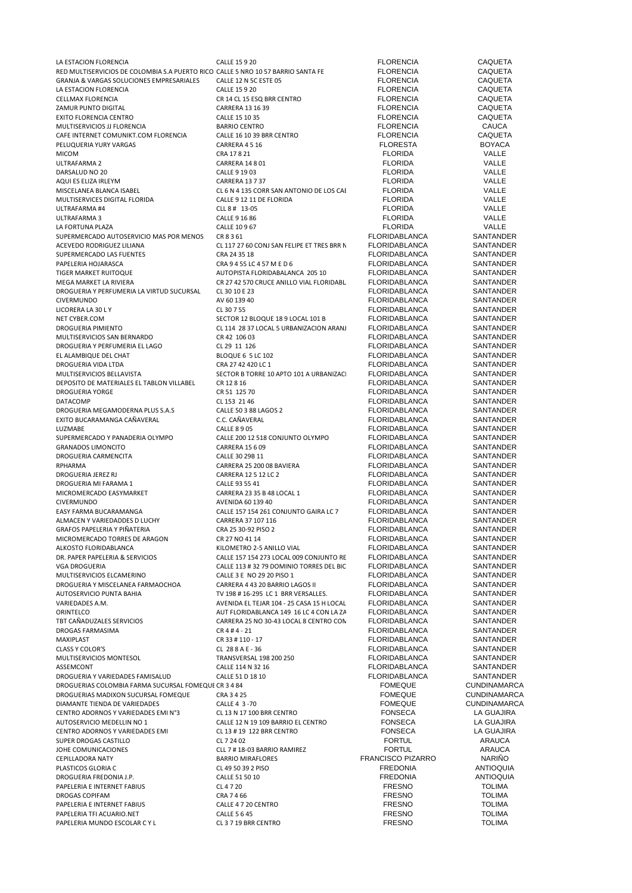| LA ESTACION FLORENCIA                                                            | <b>CALLE 15 9 20</b>                       | <b>FLORENCIA</b>         | <b>CAQUETA</b>      |
|----------------------------------------------------------------------------------|--------------------------------------------|--------------------------|---------------------|
| RED MULTISERVICIOS DE COLOMBIA S.A PUERTO RICO CALLE 5 NRO 10 57 BARRIO SANTA FE |                                            | <b>FLORENCIA</b>         | CAQUETA             |
| GRANJA & VARGAS SOLUCIONES EMPRESARIALES                                         | CALLE 12 N 5C ESTE 05                      | <b>FLORENCIA</b>         | <b>CAQUETA</b>      |
| LA ESTACION FLORENCIA                                                            | <b>CALLE 15 9 20</b>                       | <b>FLORENCIA</b>         | <b>CAQUETA</b>      |
| CELLMAX FLORENCIA                                                                | CR 14 CL 15 ESQ BRR CENTRO                 | <b>FLORENCIA</b>         | <b>CAQUETA</b>      |
|                                                                                  |                                            | <b>FLORENCIA</b>         |                     |
| ZAMUR PUNTO DIGITAL                                                              | CARRERA 13 16 39                           |                          | <b>CAQUETA</b>      |
| <b>EXITO FLORENCIA CENTRO</b>                                                    | CALLE 15 10 35                             | <b>FLORENCIA</b>         | <b>CAQUETA</b>      |
| MULTISERVICIOS JJ FLORENCIA                                                      | <b>BARRIO CENTRO</b>                       | <b>FLORENCIA</b>         | <b>CAUCA</b>        |
| CAFE INTERNET COMUNIKT.COM FLORENCIA                                             | CALLE 16 10 39 BRR CENTRO                  | <b>FLORENCIA</b>         | <b>CAQUETA</b>      |
| PELUQUERIA YURY VARGAS                                                           | CARRERA 4516                               | <b>FLORESTA</b>          | <b>BOYACA</b>       |
| <b>MICOM</b>                                                                     | CRA 17821                                  | <b>FLORIDA</b>           | VALLE               |
| ULTRAFARMA 2                                                                     | <b>CARRERA 14 8 01</b>                     | <b>FLORIDA</b>           | VALLE               |
| DARSALUD NO 20                                                                   | CALLE 9 19 03                              | <b>FLORIDA</b>           | VALLE               |
|                                                                                  |                                            |                          | VALLE               |
| AQUI ES ELIZA IRLEYM                                                             | <b>CARRERA 13 7 37</b>                     | <b>FLORIDA</b>           |                     |
| MISCELANEA BLANCA ISABEL                                                         | CL 6 N 4 135 CORR SAN ANTONIO DE LOS CAI   | <b>FLORIDA</b>           | VALLE               |
| MULTISERVICES DIGITAL FLORIDA                                                    | CALLE 9 12 11 DE FLORIDA                   | <b>FLORIDA</b>           | VALLE               |
| ULTRAFARMA#4                                                                     | CLL 8 # 13-05                              | <b>FLORIDA</b>           | VALLE               |
| ULTRAFARMA 3                                                                     | CALLE 9 16 86                              | <b>FLORIDA</b>           | VALLE               |
| LA FORTUNA PLAZA                                                                 | CALLE 10967                                | <b>FLORIDA</b>           | VALLE               |
| SUPERMERCADO AUTOSERVICIO MAS POR MENOS                                          | CR 8 3 61                                  | <b>FLORIDABLANCA</b>     | SANTANDER           |
| ACEVEDO RODRIGUEZ LILIANA                                                        | CL 117 27 60 CONJ SAN FELIPE ET TRES BRR N | <b>FLORIDABLANCA</b>     | SANTANDER           |
|                                                                                  |                                            |                          |                     |
| SUPERMERCADO LAS FUENTES                                                         | CRA 24 35 18                               | <b>FLORIDABLANCA</b>     | SANTANDER           |
| PAPELERIA HOJARASCA                                                              | CRA 9 4 55 LC 4 57 M E D 6                 | <b>FLORIDABLANCA</b>     | <b>SANTANDER</b>    |
| TIGER MARKET RUITOQUE                                                            | AUTOPISTA FLORIDABALANCA 205 10            | <b>FLORIDABLANCA</b>     | SANTANDER           |
| MEGA MARKET LA RIVIERA                                                           | CR 27 42 570 CRUCE ANILLO VIAL FLORIDABL   | <b>FLORIDABLANCA</b>     | SANTANDER           |
| DROGUERIA Y PERFUMERIA LA VIRTUD SUCURSAL                                        | CL 30 10 E 23                              | <b>FLORIDABLANCA</b>     | SANTANDER           |
| <b>CIVERMUNDO</b>                                                                | AV 60 139 40                               | <b>FLORIDABLANCA</b>     | SANTANDER           |
| LICORERA LA 30 L Y                                                               | CL 30 7 55                                 | <b>FLORIDABLANCA</b>     | SANTANDER           |
|                                                                                  |                                            | <b>FLORIDABLANCA</b>     | SANTANDER           |
| NET CYBER.COM                                                                    | SECTOR 12 BLOQUE 18 9 LOCAL 101 B          |                          |                     |
| DROGUERIA PIMIENTO                                                               | CL 114 28 37 LOCAL 5 URBANIZACION ARANJ    | <b>FLORIDABLANCA</b>     | SANTANDER           |
| MULTISERVICIOS SAN BERNARDO                                                      | CR 42 106 03                               | <b>FLORIDABLANCA</b>     | SANTANDER           |
| DROGUERIA Y PERFUMERIA EL LAGO                                                   | CL 29 11 126                               | <b>FLORIDABLANCA</b>     | SANTANDER           |
| EL ALAMBIQUE DEL CHAT                                                            | BLOQUE 6 5 LC 102                          | <b>FLORIDABLANCA</b>     | SANTANDER           |
| DROGUERIA VIDA LTDA                                                              | CRA 27 42 420 LC 1                         | <b>FLORIDABLANCA</b>     | SANTANDER           |
| MULTISERVICIOS BELLAVISTA                                                        | SECTOR B TORRE 10 APTO 101 A URBANIZAC     | <b>FLORIDABLANCA</b>     | SANTANDER           |
| DEPOSITO DE MATERIALES EL TABLON VILLABEL                                        | CR 12 8 16                                 | <b>FLORIDABLANCA</b>     | SANTANDER           |
|                                                                                  |                                            | <b>FLORIDABLANCA</b>     | SANTANDER           |
| <b>DROGUERIA YORGE</b>                                                           | CR 51 125 70                               |                          |                     |
| DATACOMP                                                                         | CL 153 21 46                               | <b>FLORIDABLANCA</b>     | SANTANDER           |
| DROGUERIA MEGAMODERNA PLUS S.A.S                                                 | CALLE 50 3 88 LAGOS 2                      | <b>FLORIDABLANCA</b>     | SANTANDER           |
| EXITO BUCARAMANGA CAÑAVERAL                                                      | C.C. CAÑAVERAL                             | <b>FLORIDABLANCA</b>     | SANTANDER           |
| LUZMABE                                                                          | <b>CALLE 8 9 05</b>                        | <b>FLORIDABLANCA</b>     | SANTANDER           |
| SUPERMERCADO Y PANADERIA OLYMPO                                                  | CALLE 200 12 518 CONJUNTO OLYMPO           | <b>FLORIDABLANCA</b>     | SANTANDER           |
| <b>GRANADOS LIMONCITO</b>                                                        | <b>CARRERA 15 6 09</b>                     | <b>FLORIDABLANCA</b>     | SANTANDER           |
| DROGUERIA CARMENCITA                                                             | CALLE 30 29B 11                            | <b>FLORIDABLANCA</b>     | SANTANDER           |
| RPHARMA                                                                          | CARRERA 25 200 08 BAVIERA                  | <b>FLORIDABLANCA</b>     | SANTANDER           |
|                                                                                  |                                            | <b>FLORIDABLANCA</b>     | SANTANDER           |
| DROGUERIA JEREZ RJ                                                               | CARRERA 12 5 12 LC 2                       |                          |                     |
| DROGUERIA MI FARAMA 1                                                            | CALLE 93 55 41                             | <b>FLORIDABLANCA</b>     | SANTANDER           |
| MICROMERCADO EASYMARKET                                                          | CARRERA 23 35 B 48 LOCAL 1                 | <b>FLORIDABLANCA</b>     | SANTANDER           |
| <b>CIVERMUNDO</b>                                                                | AVENIDA 60 139 40                          | <b>FLORIDABLANCA</b>     | <b>SANTANDER</b>    |
| EASY FARMA BUCARAMANGA                                                           | CALLE 157 154 261 CONJUNTO GAIRA LC 7      | <b>FLORIDABLANCA</b>     | SANTANDER           |
| ALMACEN Y VARIEDADDES D LUCHY                                                    | CARRERA 37 107 116                         | <b>FLORIDABLANCA</b>     | SANTANDER           |
| GRAFOS PAPELERIA Y PIÑATERIA                                                     | CRA 25 30-92 PISO 2                        | <b>FLORIDABLANCA</b>     | SANTANDER           |
| MICROMERCADO TORRES DE ARAGON                                                    | CR 27 NO 41 14                             | <b>FLORIDABLANCA</b>     | SANTANDER           |
|                                                                                  |                                            |                          |                     |
| ALKOSTO FLORIDABLANCA                                                            | KILOMETRO 2-5 ANILLO VIAL                  | <b>FLORIDABLANCA</b>     | SANTANDER           |
| DR. PAPER PAPELERIA & SERVICIOS                                                  | CALLE 157 154 273 LOCAL 009 CONJUNTO RE    | <b>FLORIDABLANCA</b>     | SANTANDER           |
| <b>VGA DROGUERIA</b>                                                             | CALLE 113 # 32 79 DOMINIO TORRES DEL BIC   | <b>FLORIDABLANCA</b>     | SANTANDER           |
| MULTISERVICIOS ELCAMERINO                                                        | CALLE 3 E NO 29 20 PISO 1                  | <b>FLORIDABLANCA</b>     | SANTANDER           |
| DROGUERIA Y MISCELANEA FARMAOCHOA                                                | CARRERA 4 43 20 BARRIO LAGOS II            | <b>FLORIDABLANCA</b>     | SANTANDER           |
| AUTOSERVICIO PUNTA BAHIA                                                         | TV 198 # 16-295 LC 1 BRR VERSALLES.        | FLORIDABLANCA            | SANTANDER           |
| VARIEDADES A.M.                                                                  | AVENIDA EL TEJAR 104 - 25 CASA 15 H LOCAL  | <b>FLORIDABLANCA</b>     | SANTANDER           |
| ORINTELCO                                                                        | AUT FLORIDABLANCA 149 16 LC 4 CON LA ZA    | <b>FLORIDABLANCA</b>     | SANTANDER           |
| TBT CAÑADUZALES SERVICIOS                                                        | CARRERA 25 NO 30-43 LOCAL 8 CENTRO CON     | <b>FLORIDABLANCA</b>     | SANTANDER           |
| DROGAS FARMASIMA                                                                 | $CR4#4-21$                                 | <b>FLORIDABLANCA</b>     | SANTANDER           |
|                                                                                  |                                            |                          |                     |
| MAXIPLAST                                                                        | CR 33 # 110 - 17                           | <b>FLORIDABLANCA</b>     | SANTANDER           |
| <b>CLASS Y COLOR'S</b>                                                           | CL 28 8 A E - 36                           | <b>FLORIDABLANCA</b>     | SANTANDER           |
| MULTISERVICIOS MONTESOL                                                          | TRANSVERSAL 198 200 250                    | <b>FLORIDABLANCA</b>     | SANTANDER           |
| ASSEMCONT                                                                        | CALLE 114 N 32 16                          | <b>FLORIDABLANCA</b>     | SANTANDER           |
| DROGUERIA Y VARIEDADES FAMISALUD                                                 | CALLE 51 D 18 10                           | <b>FLORIDABLANCA</b>     | SANTANDER           |
| DROGUERIAS COLOMBIA FARMA SUCURSAL FOMEQUE CR 3 4 84                             |                                            | <b>FOMEQUE</b>           | <b>CUNDINAMARCA</b> |
| DROGUERIAS MADIXON SUCURSAL FOMEQUE                                              | CRA 3 4 25                                 | <b>FOMEQUE</b>           | <b>CUNDINAMARCA</b> |
| DIAMANTE TIENDA DE VARIEDADES                                                    | CALLE 4 3-70                               | <b>FOMEQUE</b>           | <b>CUNDINAMARCA</b> |
| CENTRO ADORNOS Y VARIEDADES EMI Nº3                                              | CL 13 N 17 100 BRR CENTRO                  | <b>FONSECA</b>           | LA GUAJIRA          |
|                                                                                  |                                            |                          |                     |
| AUTOSERVICIO MEDELLIN NO 1                                                       | CALLE 12 N 19 109 BARRIO EL CENTRO         | <b>FONSECA</b>           | LA GUAJIRA          |
| CENTRO ADORNOS Y VARIEDADES EMI                                                  | CL 13 # 19 122 BRR CENTRO                  | <b>FONSECA</b>           | LA GUAJIRA          |
| SUPER DROGAS CASTILLO                                                            | CL 7 24 02                                 | <b>FORTUL</b>            | ARAUCA              |
| JOHE COMUNICACIONES                                                              | CLL 7 # 18-03 BARRIO RAMIREZ               | <b>FORTUL</b>            | ARAUCA              |
| CEPILLADORA NATY                                                                 | <b>BARRIO MIRAFLORES</b>                   | <b>FRANCISCO PIZARRO</b> | NARIÑO              |
| PLASTICOS GLORIA C                                                               | CL 49 50 39 2 PISO                         | <b>FREDONIA</b>          | <b>ANTIOQUIA</b>    |
| DROGUERIA FREDONIA J.P.                                                          | CALLE 51 50 10                             | <b>FREDONIA</b>          | <b>ANTIOQUIA</b>    |
| PAPELERIA E INTERNET FABIUS                                                      | CL 4 7 20                                  | <b>FRESNO</b>            | <b>TOLIMA</b>       |
|                                                                                  | CRA 7 4 66                                 |                          |                     |
| DROGAS COPIFAM                                                                   |                                            | <b>FRESNO</b>            | <b>TOLIMA</b>       |
| PAPELERIA E INTERNET FABIUS                                                      | CALLE 4 7 20 CENTRO                        | <b>FRESNO</b>            | <b>TOLIMA</b>       |
| PAPELERIA TFI ACUARIO.NET                                                        | <b>CALLE 5 6 45</b>                        | <b>FRESNO</b>            | <b>TOLIMA</b>       |
| PAPELERIA MUNDO ESCOLAR CYL                                                      | CL 3 7 19 BRR CENTRO                       | <b>FRESNO</b>            | <b>TOLIMA</b>       |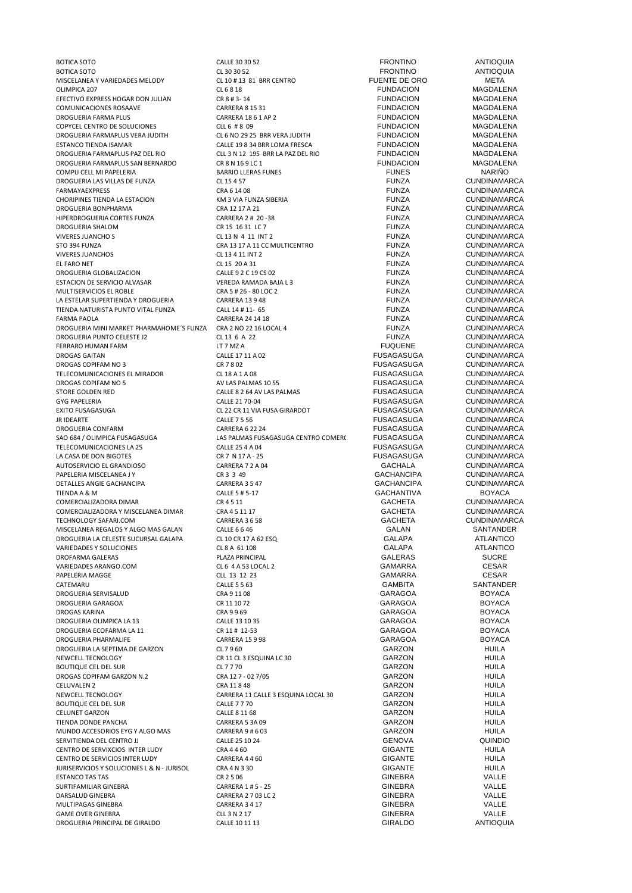BOTICA SOTO CALLE 30 30 52 FRONTINO ANTIOQUIA BOTICA SOTO CL 30 30 52 FRONTINO ANTIOQUIA MISCELANEA Y VARIEDADES MELODY CL 10 # 13 81 BRR CENTRO FUENTE DE ORO META OLIMPICA 207 CL 6 8 18 FUNDACION MAGDALENA EFECTIVO EXPRESS HOGAR DON JULIAN CR 8 # 3- 14 FUNDACION MAGDALENA COMUNICACIONES ROSAAVE CARRERA 8 15 31 FUNDACION MAGDALENA DROGUERIA FARMA PLUS CARRERA 18 6 1 AP 2 FUNDACION MAGDALENA COPYCEL CENTRO DE SOLUCIONES<br>
DROGUERIA FARMAPLUS VERA JUDITH CL 6 NO 29 25 BRR VERA JUDITH DROGUERIA FARMAPLUS VERA JUDITH CL 6 NO 29 25 BRR VERA JUDITH FUNDACION MAGDALENA ESTANCO TIENDA ISAMAR CALLE 19 8 34 BRR LOMA FRESCA FUNDACION MAGDALENA DROGUERIA FARMAPLUS PAZ DEL RIO CLL 3 N 12 195 BRR LA PAZ DEL RIO FUNDACION MAGDALENA DROGUERIA FARMAPLUS SAN BERNARDO CR 8 N 16 9 LC 1 FUNDACION MAGDALENA COMPU CELL MI PAPELERIA BARRIO LLERAS FUNES FUNES NARIÑO DROGUERIA LAS VILLAS DE FUNZA CL 15 4 57 FUNZA CUNDINAMARCA CHORIPINES TIENDA LA ESTACION KM 3 VIA FUNZA SIBERIA FUNZA CUNDINAMARCA DROGUERIA BONPHARMA CRA 12 17 A 21 FUNZA CUNDINAMARCA HIPERDROGUERIA CORTES FUNZA CARRERA 2 # 20 -38 FUNZA CUNDINAMARCA DROGUERIA SHALOM CR 15 16 31 LC 7 FUNZA CUNDINAMARCA STO 394 FUNZA CRA 13 17 A 11 CC MULTICENTRO FUNZA CUNDINAMARCA VIVERES JUANCHOS CL 13 4 11 INT 2 FUNZA CUNDINAMARCA EL FARO NET CL 15 20 A 31 FUNZA CUNDINAMARCA DROGUERIA GLOBALIZACION CALLE 9 2 C 19 CS 02 FUNZA CUNDINAMARCA ESTACION DE SERVICIO ALVASAR VEREDA RAMADA BAJA L 3 FUNZA CUNDINAMARCA MULTISERVICIOS EL ROBLE CRA 5 # 26 - 80 LOC 2 FUNZA CUNDINAMARCA LA ESTELAR SUPERTIENDA Y DROGUERIA CARRERA 13 9 48 FUNZA CUNDINAMARCA TIENDA NATURISTA PUNTO VITAL FUNZA CALL 14 # 11- 65 FUNZA CUNDINAMARCA DROGUERIA MINI MARKET PHARMAHOME´S FUNZA CRA 2 NO 22 16 LOCAL 4 FUNZA CUNDINAMARCA<br>DROGUERIA PUNTO CELESTE J2 CL 13 6 A 22 CL 13 6 A 22 CL 13 G A 22 CUNDINAMARCA DROGUERIA PUNTO CELESTE J2 CL 13 6 A 22 FUNZA CUNDINAMARCA FERRARO HUMAN FARM LT 7 MZ A FUQUENE CUNDINAMARCA DROGAS GAITAN CALLE 17 11 A 02 FUSAGASUGA CUNDINAMARCA DROGAS COPIFAM NO 3 CR 7 8 02 FUSAGASUGA CUNDINAMARCA TELECOMUNICACIONES EL MIRADOR CL 18 A 1 A 08 FUSAGASUGA DROGAS COPIFAM NO 5 AV LAS PALMAS 10 55 FUSAGASUGA CUNDINAMARCA STORE GOLDEN RED CALLE 8 2 64 AV LAS PALMAS FUSAGASUGA CUNDINAMARCA GYG PAPELERIA CALLE 21 70-04 FUSAGASUGA CUNDINAMARCA JR IDEARTE CALLE 7 5 56 FUSAGASUGA CUNDINAMARCA DROGUERIA CONFARM CUNDINAMARCA CONFARM CONFARM CARRERA 6 22 24 FUSAGASUGA CENTRO COMERO CONFARE CONFORMATION CONFARM CONFORMATION CONFORMATION CONFORMATION CONFORMATION CONFORMATION CONFORMATION CONFORMATION CONFORMATION C TELECOMUNICACIONES LA 25 CALLE 25 4 A 04 FUSAGASUGA CUNDINAMARCA<br>LA CASA DE DON BIGOTES CR 7 N 17 A - 25 FUSAGASUGA CUNDINAMARCA LA CASA DE DON BIGOTES CR 7 N 17 A - 25 FUSAGASUGA CUNDINAMARCA AUTOSERVICIO EL GRANDIOSO CARRERA 7 2 A 04 GACHALA CUNDINAMARCA PAPELERIA MISCELANEA I Y CR 3 3 49 DETALLES ANGIE GACHANCIPA CARRERA 3 5 47 GACHANCIPA CUNDINAMARCA TIENDA A & M GACHANTIVA BOYACA GACHANTIVA BOYACA GACHANTIVA COMERCIALIZADORA DIMAR CR 4 5 11 CR 4 5 11 CR 4 5 11 COMERCIALIZADORA DIMARCA COMERCIALIZADORA Y MISCELANEA DIMAR 
CRA 45 11 17

CARRERA 3 6 58

COMERCIA 
COMONO CONDINAMARCA

COMONO CORRERA 3 6 58

COMONO CONDINAMARCA

COMONO CONDINAMARCA

COMONO CONDINAMARCA

COMONO CONDINAMARCA

COMONO CONDINAMAR TECHNOLOGY SAFARI.COM CARRERA 3 6 58 GACHETA CUNDINAMARCA MISCELANEA REGALOS Y ALGO MAS GALAN CALLE 6 6 46 CALAN CALAN CALAN SANTANDEF<br>DROGUERIA LA CELESTE SUCURSAL GALAPA CL 10 CR 17 A 62 ESQ GALAPA GALAPA ATLANTICO DROGUERIA LA CELESTE SUCURSAL GALAPA CL 10 CR 17 A 62 ESQ CL CONSIDERED ADDITIONAL CONSIDERATION CL 17 A 62 ESQ<br>
CL 8 A 61 108 CL 17 A CL 17 A CL 17 A CL 17 A CL 17 A CL 17 A TLANTICO VARIEDADES Y SOLUCIONES CL 8 A 61 108 GALAPA ATLANTICO الساب المسلم المسلم المسلم المسلم المسلم المسلم المسلم المسلم المسلم المسلم المسلم المسلم المسلم المسلم المسلم<br>19 GAMARRA CESAR CESAR CESAR CESAR CESAR CESAR CESAR CESAR CESAR CESAR CESAR CESAR CESAR CESAR CESAR CESAR CES VARIEDADES ARANGO.COM CL 6 4 A 53 LOCAL 2 GAMARRA CESAR PAPELERIA MAGGE CLL 13 12 23 GAMARRA CESAR CATEMARU CALLE 5 5 63 GAMBITA SANTANDER DROGUERIA SERVISALUD CRA 9 11 08 GARAGOA BOYACA DROGUERIA GARAGOA CR 11 10 72 GARAGOA BOYACA DROGAS KARINA CRA 9 9 69 GARAGOA BOYACA DROGUERIA OLIMPICA LA 13 CALLE 13 10 135 CALLE 13 10 35 CARAGOA CALLE 13 10 135 CARAGOA CARAGOA CARAGOA CARAGOA CARAGOA CARAGOA CARAGOA CARAGOA CARAGOA CARAGOA CARAGOA CARAGOA CARAGOA CARAGOA CARAGOA CARAGOA CARAGOA CARAGO DROGUERIA ECOFARMA LA 11 CR 11 # 12-53 CARAGOA CARAGOA BOYACA BOYACA CARAGOA CARAGOA CARAGOA DROGUERIA PHARMALIFE DROGUERIA PHARMALIFE CARRERA 15 9 98 GARAGOA BOYACA DROGUERIA LA SEPTIMA DE GARZON CL 7 9 60 GARZON HUILA BOUTIQUE CEL DEL SUR CL 7 7 70 GARZON HUILA DROGAS COPIFAM GARZON N.2 CRA 12 7 - 02 7/05 GARZON HUILA CELUVALEN 2 CRA 11 8 48 GARZON HUILA NEWCELL TECNOLOGY CARRERA 11 CALLE 3 ESQUINA LOCAL 30 GARZON HUILA BOUTIQUE CEL DEL SUR CALLE 7 7 70 CALLE 7 7 70 CALLE 7 7 70 CALLE 7 7 70 CALLE 7 7 70 CARZON GARZON GARZON GARZON CELUNET GARZON CALLE 8 11 68 GARZON HUILA TIENDA DONDE PANCHA CARRERA 5 3A 09 GARZON HUILA MUNDO ACCESORIOS EYG Y ALGO MAS CARRERA 9 # 6 03 GARZON GARZON HUILA<br>CALLE 25 10 24 GARERA CALLE 25 10 24 GENOVA GENOVA CANOVA SERVITIENDA DEL CENTRO JJ CALLE 25 10 24 GENOVA QUINDIO CENTRO DE SERVIXCIOS INTER LUDY CRA 4 4 60 GIGANTE HUILA CENTRO DE SERVICIOS INTER LUDY CARRERA 44 4 4 4 GO CONTRO DE SERVICIOS INTER LUDILA<br>CARRER EN ENGLIS CONTROL CRA 4 N 3 30 GOGANTE CIGANTE JURISERVICIOS Y SOLUCIONES L & N - JURISOL CRA 4 N 3 30 GIGANTE HUILA ESTANCO TAS TAS GALLERA DE CR 2 5 06 GINEBRA CONFERENCE ESTANCO TAS TAS CALLERA DE CR 2 5 06 GINEBRA CONFERENCE ESTANDO DE CR 2 5 06 GINEBRA SURTIFAMILIAR GINEBRA CARRERA 1 # 5 - 25 GINEBRA VALLE MULTIPAGAS GINEBRA GAME OVER GINEBRA VALLE<br>
CLL 3 N 2 17 CLL 3 N 2 17 GINEBRA VALLE<br>
CALLE 10 11 13 GIRAL DO GIRAL DO ANTIOQUILA DROGUERIA PRINCIPAL DE GIRALDO CALLE 10 11 13 GIRALDO ANTIOQUIA

FARMAYAEXPRESS CRA 6 14 08 FUNZA CUNDINAMARCA CL 13 N 4 11 INT 2<br>
CL 13 N 4 11 INT 2 CL INTERES TO CLINDINAMARCA<br>
FUNZA CLINDINAMARCA FARMA PAOLA CARRERA 24 14 18 FUNZA CUNDINAMARCA CL 22 CR 11 VIA FUSA GIRARDOT FUSAGASUGA CALLE 7 5 56 LAS PALMAS FUSAGASUGA CENTRO COMERCNEREN COMERCIAL ESTA CUNDINAMARCA<br>CALLE 25 4 A 04 CUNDINAMARCA CR 11 CL 3 ESQUINA LC 30 GARZON GARZON HUILA<br>CL 7 7 70 GARZON HUILA DARSALUD GINEBRA CARRERA 2 7 03 LC 2 GINEBRA VALLE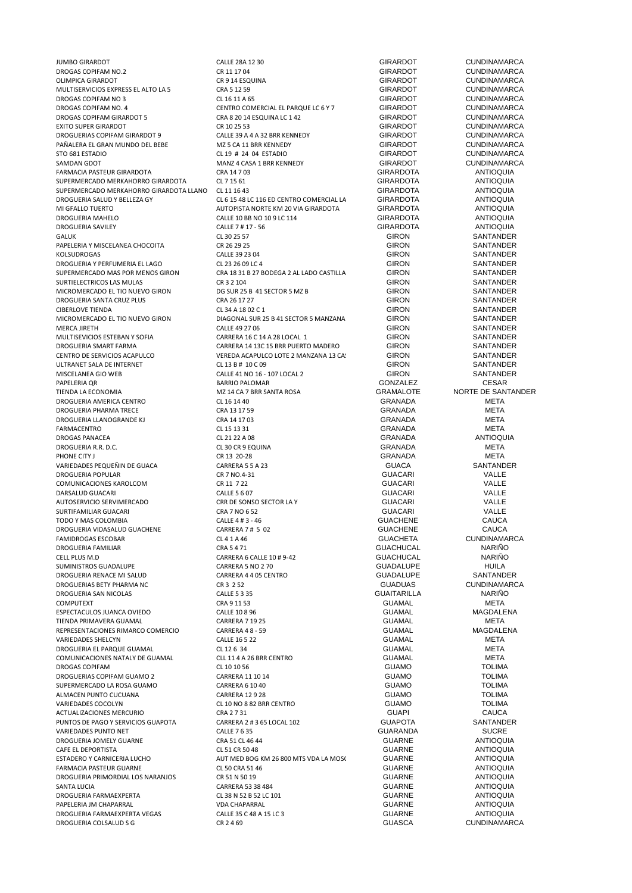DROGAS COPIFAM NO.2 CR 11 17 04 GIRARDOT CUNDINAMARCA MULTISERVICIOS EXPRESS EL ALTO LA 5<br>
MULTISERVICIOS EXPRESS EL ALTO LA 5 CRA 5 12 59 GIRARDOT CUNDINAMARCA<br>
CLIARINA DROGAS COPIFAM NO 3 CLIARINA CLIARINA CLIARINA CUNDINAMARCA DROGAS COPIFAM NO 3 CL 16 11 A 65 CL 16 11 A 65 GIRARDOT CUNDINAMARCA<br>DROGAS COPIFAM NO. 4 CENTRO COMERCIAL EL PARQUE LC 6 Y 7 GIRARDOT CUNDINAMARCA DROGAS COPIFAM GIRARDOT 5 CRA 8 20 14 ESQUINA LC 1 42 GIRARDOT CUNDINAMARCA EXITO SUPER GIRARDOT CR 10 25 53 GIRARDOT CUNDINAMARCA DROGUERIAS COPIFAM GIRARDOT 9 CALLE 39 A 4 A 32 BRR KENNEDY GIRARDOT CUNDINAMARCA PAÑALERA EL GRAN MUNDO DEL BEBE MZ 5 CA 11 BRR KENNEDY STO 681 ESTADIO CL 19 # 24 04 ESTADIO GIRARDOT CUNDINAMARCA SAMDAN GDOT MANZ 4 CASA 1 BRR KENNEDY GIRARDOT CUNDINAMARCA FARMACIA PASTEUR GIRARDOTA CRA 14 7 03 GIRARDOTA ANTIOQUIA SUPERMERCADO MERKAHORRO GIRARDOTA CL 7 15 61 GIRARDOTA ANTIOQUIA SUPERMERCADO MERKAHORRO GIRARDOTA LLANO CL 11 16 43 GIRARDOTA ANTIOQUIA DROGUERIA SALUD Y BELLEZA GY CL 6 15 48 LC 116 ED CENTRO COMERCIAL LAS PLAZAS GIRARDOTA ANTIOQUIA MI GFALLO TUERTO AUTOPISTA NORTE KM 20 VIA GIRARDOTA GIRARDOTA ANTIOQUIA DROGUERIA SAVILEY 

CALLE 7 # 17 - 56 GIRARDOTA 

CALLE 7 # 17 - 56 GIRARDOTA 

CALLE 7 # 17 - 56 GIRON GIRON SANTANDER GALUK CL 30 25 57 GIRON SANTANDER PAPELERIA Y MISCELANEA CHOCOITA CR 26 29 25<br>CALLE 39 23 O4 CALLE 39 23 O4 GIRON SANTANDER KOLSUDROGAS CALLE 39 23 04 GIRON SANTANDER DROGUERIA Y PERFUMERIA EL LAGO CL 23 26 09 LC 4 GIRON SANTANDER SURTIELECTRICOS LAS MULAS CR 3 2 104 GIRON SANTANDER MICROMERCADO EL TIO NUEVO GIRON DE SANTANDER<br>DROGUERIA SANTA CRUZ PLUS CRA 26 A 26 A 26 A 27 Z GIRON GIRON SANTANDER DROGUERIA SANTA CRUZ PLUS CRA 26 17 27 GIRON SANTANDER CIBERLOVE TIENDA CLOSOFICO COM CLOSOFICO CON CONCRETE CON CONTRINDER CON CONTRINUER CONTRINUER CONTRINUER CONTR<br>CIRO SANTANDER CONTRINUER DIAGONAL SUR 25 B 41 SECTOR 5 MANZANA GIRON SANTANDER MICROMERCADO EL TIO NUEVO GIRON DIAGONAL SUR 25 B 41 SECTOR 5 MANZANA GIRON SANTANDER<br>CALLE 49 27 06 GIRON GIRON SANTANDER MERCA JIRETH CALLE 49 27 06 GIRON SANTANDER MULTISEVICIOS ESTEBAN Y SOFIA CARRERA 16 C 14 A 28 LOCAL 1 GIRON SANTANDER DROGUERIA SMART FARMA CARRERA 14 13C 15 BRR PUERTO MADERO GIRON SANTANDER<br>CENTRO DE SERVICIOS ACAPULCO CEREDA ACAPULCO LOTE 2 MANZANA 13 CA: GIRON SANTANDER ULTRANET SALA DE INTERNET CL 13 B # 10 C 09<br>MISCELANEA GIO WER CALLETAN CALLE ALLETAN O 16 - 107 LOCAL 2 GIRON GIRON SANTANDER MISCELANEA GIO WEB CALLE 41 NO 16 - 107 LOCAL 2 PAPELERIA QR BARRIO PALOMAR GONZALEZ CESAR GESAR TIENDA LA ECONOMIA MZ 14 CA 7 BRR SANTA ROSA GRAMALOTE NORTE DE SANTANDER DROGUERIA AMERICA CENTRO CL 16 14 40 GRANADA META DROGUERIA PHARMA TRECE CRA 13 17 59 GRANADA META DROGUERIA LLANOGRANDE KJ CRA 14 17 03 GRANADA META FARMACENTRO CL 15 13 31 GRANADA META DROGAS PANACEA CL 21 22 A 08 GRANADA ANTIOQUIA DROGUERIA R.R. D.C. CL 30 CR 9 EQUINA GRANADA META PHONE CITY JUNIOR 2009 CR 13 20-28 CR 13 20-28 GRANADA GRANADA META VARIEDADES PEQUEÑIN DE GUACA CARRERA 5 5 A 23 GUACA SANTANDER DROGUERIA POPULAR CR 7 NO.4-31 GUACARI VALLE COMUNICACIONES KAROLCOM CR 11 7 22 GUACARI VALLE DARSALUD GUACARI CALLE 5 6 07 GUACARI VALLE AUTOSERVICIO SERVIMERCADO CRR DE SONSO SECTOR LA Y GUACARI GUACARI VALLE SURTIFAMILIAR GUACARI CRA 7 NO 6 52 GUACARI VALLE TODO Y MAS COLOMBIA CALLE 4 # 3 - 46 GUACHENE CAUCA DROGUERIA VIDASALUD GUACHENE CARRERA 7 # 5 02 GUACHENE CAUCA FAMIDROGAS ESCOBAR CL 4 1 A 46 GUACHETA CUNDINAMARCA DROGUERIA FAMILIAR CRA 5 4 71 GUACHUCAL NARIÑO SUMINISTROS GUADALUPE CARRERA 5 NO 2 70 GUADALUPE CONDENSIGUES AND LOCAL CONSIDER SANTANDER<br>CONSIDERED A CARRERA 4 4 05 CENTRO CONSIDER CONDENSIGUES SANTANDER DROGUERIA RENACE MI SALUD CORRERA 4 4 05 CENTRO CONDENSIBLE CONDENSIBLE SANTANDER<br>DROGUERIAS BETY PHARMA NC CR 3 C S 2 52 CONDINAMARCA DROGUERIAS BETY PHARMA NC<br>
DROGUERIA SAN NICOLAS<br>
CALLE 5.3.35 CALLE 5.3.35 CALLE SAN CALLE CALLE ES 3.35 CALLE CALLE CALLE CALLE CALLE CALLE CALLE CALLE CALLE DROGUERIA SAN NICOLAS CALLE 5 3 35 GUAITARILLA NARIÑO COMPUTEXT CRA 9 11 53 GUAMAL META ESPECTACULOS JUANCA OVIEDO CALLE 10 8 96 GUAMAL MAGDALENA TIENDA PRIMAVERA GUAMAL CARRERA 7 19 25 GUAMAL META REPRESENTACIONES RIMARCO COMERCIO CARRERA 4 8 - 59 GUAMAL MAGDALENA VARIEDADES SHELCYN CALLE 16 5 22 GUAMAL META DROGUERIA EL PARQUE GUAMAL CL 12 6 34 GUAMAL META COMUNICACIONES NATALY DE GUAMAL 
CLL 11 4 A 26 BRR CENTRO

CLE 10 10 56

CLL 10 10 56

CLL 10 10 56

CLL 10 10 56

CLL 10 10 56

CLL 10 10 56

CLL 10 10 56 DROGAS COPIFAM CL 10 10 56 CL 10 10 56 COPIFAM CL 10 10 56 CUAMO DROGUERIAS COPIFAM GUAMO 2 CARRERA 11 10 14 CARRERA 11 10 14<br>
2 CARRERA 6 10 40 CARRERA 6 10 40 GUAMO GUAMO TOLIMA SUPERMERCADO LA ROSA GUAMO CARRERA 6 10 40 GUAMO TOLIMA ALMACEN PUNTO CUCUANA CARRERA 12 9 28 GUAMO TOLIMA VARIEDADES COCOLYN CL 10 NO 8 82 BRR CENTRO GUAMO TOLIMA ACTUALIZACIONES MERCURIO CRA 2 7 31 GUAPI CAUCA PUNTOS DE PAGO Y SERVICIOS GUAPOTA CARRERA 2 # 3 65 LOCAL 102 GUAPOTA SANTANDER VARIEDADES PUNTO NET CALLE 7 6 35 GUARANDA SUCRE DROGUERIA JOMELY GUARNE CRA 51 CL 46 44 GUARNE ANTIOQUIA CAFE EL DEPORTISTA CARRICOLOUIA CL 51 CR 50 48 CL 51 CR 50 48 CUARNE CARRICOLOUIA<br>CL 51 CR 50 48 GUARNE COMPRESSION CONTRACTO CONTRACTO CONTRACTO CONTRACTO CONTRACTO ANTIOQUIA FARMACIA PASTEUR GUARNE CL 50 CRA 51 46 GUARNE ANTIOQUIA DROGUERIA PRIMORDIAL LOS NARANJOS CR 51 N 50 19<br>CARRERA 53 38 484 GARRERA 53 38 484 GUARNE ANTIOQUIA DROGUERIA FARMAEXPERTA CL 38 N 52 B 52 LC 101 GUARNE ANTIOQUIA PAPELERIA JM CHAPARRAL VDA CHAPARRAL GUARNE ANTIOQUIA DROGUERIA FARMAEXPERTA VEGAS CALLE 35 C 48 A 15 LC 3 CONTRIBUTION CONTRIBUTION CONTRIBUTION CONTRIBUTION CONTR<br>CONTRIBUTION CONTRIBUTION CRESS CRESS CRESS CRESS CONTRIBUTION CONTRIBUTION CONTRIBUTION CONTRIBUTION CONTRIBU DROGUERIA COLSALUD S G CR 2 4 69

JUMBO GIRARDOT CALLE 28A 12 30 GIRARDOT CUNDINAMARCA CR 9 14 ESQUINA CONDINAMARCA CR A CONDINAMARCA<br>CRA 5 12 59 CRARDOT CUNDINAMARCA CENTRO COMERCIAL EL PARQUE LC 6 Y 7 GIRARDOT CHA SUNDINAMARCA<br>
CRA 8 20 14 ESQUINA LC 1 42 GIRARDOT CUNDINAMARCA CALLE 10 BB NO 10 9 LC 114 GIRARDOTA ANTIOQUIA<br>CALLE 7 # 17 - 56 GIRARDOTA ANTIOQUIA CRA 18 31 B 27 BODEGA 2 AL LADO CASTILLA VEREDA ACAPULCO LOTE 2 MANZANA 13 CANNO CONTRO CHE SANTANDER<br>CLI3 B # 10 C 09 CARRERA 6 CALLE 10 # 9-42 GUACHUCAL CARRERA 6 CALLE 10 # 9-42 GUACHUCAL GUACHUCAL CARRERA 5 NO 2 70 ESTADERO Y CARNICERIA LUCHO AUT MED BOG KM 26 800 MTS VDA LA MOSCA GUARNE ANTIOQUIA SANTA LUCIA CARRERA 53 38 484 GUARNE ANTIOQUIA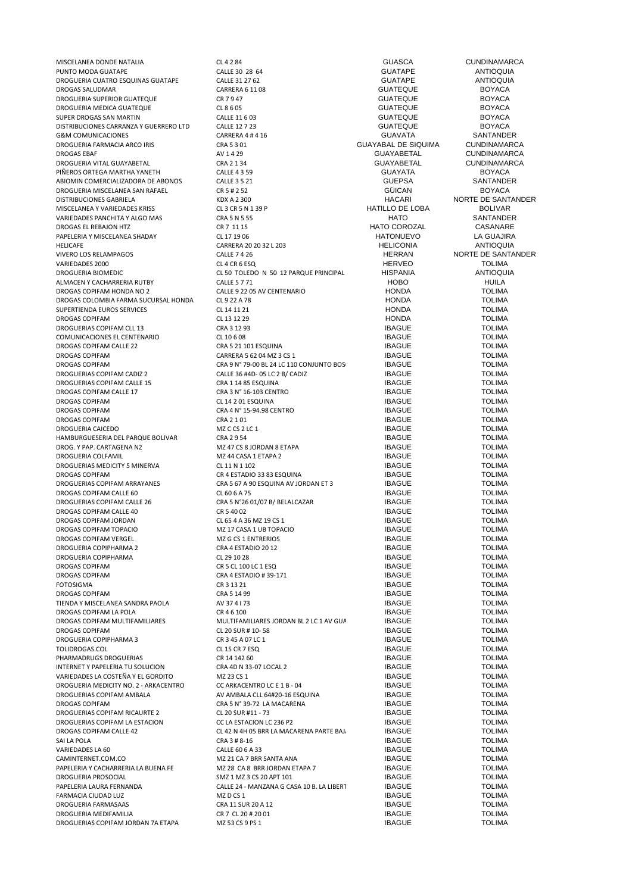PUNTO MODA GUATAPE CALLE 30 28 64 GUATAPE ANTIOQUIA DROGUERIA CUATRO ESQUINAS GUATAPE CALLE 31 27 62 GUATAPE ANTIOQUIA DROGAS SALUDMAR CARRERA 6 11 08 GUATEQUE BOYACA DROGUERIA SUPERIOR GUATEQUE CR 7 9 47 GUATEQUE BOYACA DROGUERIA MEDICA GUATEQUE CL 8 6 05 GUATEQUE BOYACA SUPER DROGAS SAN MARTIN CALLE 11 6 03 GUATEQUE BOYACA DISTRIBUCIONES CARRANZA Y GUERRERO LTD CALLE 12 7 23 CUATEQUE BOYACA<br>
GRAM COMUNICACIONES CARRERO LTD CARRERA 4 # 4 16 CUATA GUATA GUATA SANTANDER G&M COMUNICACIONES CARRERA 4 # 4 16 GUAVATA SANTANDER DROGUERIA FARMACIA ARCO IRIS CRA 5 3 01 DROGAS EBAF AV 1 4 29 GUAYABETAL CUNDINAMARCA DROGUERIA VITAL GUAYABETAL CRA 2 1 34 GUAYABETAL CUNDINAMARCA PIÑEROS ORTEGA MARTHA YANETH CALLE 4 3 59 GUAYATA BOYACA ABIOMIN COMERCIALIZADORA DE ABONOS CALLE 3 5 21 GUEPSA SANTANDER DROGUERIA MISCELANEA SAN RAFAEL CR 5 # 2 52 GÜICAN BOYACA DISTRIBUCIONES GABRIELA KDX A 2 300 HACARI NORTE DE SANTANDER MISCELANEA Y VARIEDADES KRISS CL 3 CR 5 N 1 39 P HATILLO DE LOBA BOLIVAR VARIEDADES PANCHITA Y ALGO MAS CRA 5 N 5 55 CRA 5 N 5 55 HATO HATO SANTANDER SANTANDER<br>DROGAS EL REBAJON HTZ CASANARE CRETITIS DROGAS EL REBAJON HTZ CR 7 11 15 HATO COROZAL CASANARE PAPELERIA Y MISCELANEA SHADAY CL 17 19 06 HATONUEVO LA GUAJIRA HELICAFE CARRERA 20 20 32 L 203 HELICONIA HELICONIA ANTIOQUE CARRERA 20 20 32 L 203 HELICONIA ANTIOQUIA ANTIOQUE<br>CALLEZ 1 26 HELICONIA ANTIOQUE CALLEZ 1 26 VARIEDADES 2000 CL 4 CR 6 ESQ HERVEO TOLIMA DROGUERIA BIOMEDIC CL 50 TOLEDO N 50 12 PARQUE PRINCIPAL LOS SAMANESHISPANIA ANTIOQUIA ALMACEN Y CACHARRERIA RUTBY CALLE 5 7 71 HOBO HUILA DROGAS COPIFAM HONDA NO 2 CALLE 9 22 05 AV CENTENARIO COPIFAM HONDA TOLIMA<br>DROGAS COLOMBIA FARMA SUCURSAL HONDA CL 9 22 A 78 CHA CORPORA HONDA TOLIMA DROGAS COLOMBIA FARMA SUCURSAL HONDA CL 9 22 A 78 HONDA TOLIMA SUPERTIENDA EUROS SERVICES CL 14 11 21 HONDA TOLIMA DROGAS COPIFAM CL 13 12 29 HONDA TOLIMA DROGUERIAS COPIFAM CLL 13 CRA 3 12 93 IBAGUE TOLIMA COMUNICACIONES EL CENTENARIO CL 10 6 08 IBAGUE TOLIMA DROGAS COPIFAM CALLE 22 CRA 5 21 101 ESQUINA IDAGAS COPIFAM CALLE 22 CRA 5 21 101 ESQUINA<br>DROGAS COPIFAM IDAGUE TOLIMA DROGAS COPIFAM CARRERA 5 62 04 MZ 3 CS 1 DBAGUE TOLIMA<br>DROGAS COPIFAM CRA 9 N° 79-00 BI 24 I C 110 CONIUNTO ROS IBAGUE TOI IMA DROGAS COPIFAM CRA 9 N° 79-00 BL 24 LC 110 CONJUNTO BOS BAGUE TOLIMA<br>CRA 1 E 2 BAGILE 26 HAD, OS LC 2 BAGILE LARGO IBAGILE TOLIMA DROGUERIAS COPIFAM CALLE 15 CRA 1 14 85 ESQUINA IDROGUERIAS COPIFAM CALLE 15 CRA 2 Nº 16-103 CENTRO IDROGAS COPIFAM CALLE TOLIMA DROGAS COPIFAM CALLE 17 CRA 3 N° 16-103 CENTRO IBAGUE TOLIMA DROGAS COPIFAM CL 14 2 01 ESQUINA IBAGUE TOLIMA DROGAS COPIFAM CRA 2 1 01 IBAGUE TOLIMA DROGUERIA CAICEDO MZ C CS 2 LC 1 IBAGUE TOLIMA HAMBURGUESERIA DEL PARQUE BOLIVAR CRA 2 9 54 IBAGUE TOLIMA DROG. Y PAP. CARTAGENA N2 MZ 47 CS 8 JORDAN 8 ETAPA IBAGUE TOLIMA DROGUERIAS MEDICITY 5 MINERVA CL 11 N 1 102 DROGAS COPIFAM CR 4 ESTADIO 33 83 ESQUINA DROGAS COPIFAM TOLIMA CR 4 ESTADIO 33 83 ESQUINA<br>DROGUERIAS COPIFAM ARRAYANES CRA 5 67 A 90 ESQUINA AV JORDAN ET 3 IBAGUE TOLIMA DROGAS COPIFAM CALLE 60 CL 60 6 A 75 IBAGUE TOLIMA DROGUERIAS COPIFAM CALLE 26 CRA 5 N°26 01/07 B/ BELALCAZAR **IBAGUE** TOLIMA DROGAS COPIFAM CALLE 40 CR 5 40 02 IBAGUE TOLIMA DROGAS COPIFAM JORDAN CL 65 4 A 36 MZ 19 CS 1 CL 15 A 4 A 36 MZ 19 CS 1 COLORAN COPIFAM TOPACIO<br>DROGAS COPIFAM TOPACIO DE COLORADO DE 2 MZ 17 CASA 1 UB TOPACIO COPIESA DE LA COPIESA DE COLORAN TOPACIO DROGAS COPIFAM TOPACIO MZ 17 CASA 1 UB TOPACIO IBAGUE TOLIMA DROGUERIA COPIPHARMA 2 CRA 4 ESTADIO 20 12 IBAGUE TOLIMA DROGUERIA COPIPHARMA CL 29 10 28 IBAGUE TOLIMA DROGAS COPIFAM CR 5 CL 100 LC 1 ESQ IBAGUE TOLIMA DROGAS COPIFAM CRA 4 ESTADIO # 39-171 IBAGUE TOLIMA FOTOSIGMA CR 3 13 21 IBAGUE TOLIMA DROGAS COPIFAM CRA 5 14 99 IBAGUE TOLIMA TIENDA Y MISCELANEA SANDRA PAOLA AV 37 4 I 73 IBAGUE TOLIMA DROGAS COPIFAM LA POLA CR 46 100 CR 46 100 CR 46 100 IBAGUE TOLIMA<br>DROGAS COPIFAM MULTIFAMILIARES MULTIFAMILIARES JORDAN BL 2 LC 1 AV GUA DROGAS COPIFAM MULTIFAMILIARES DROGAS COPIFAM MULTIFAMILIARES MULTIFAMILIARES JORDAN BL 2 LC 1 AV GUABINAL IBAGUE TOLIMA<br>DROGAS COPIFAM CL 20 SUR # 10-58 CL 20 SUR # 10-58 IBAGUE DROGAS COPIFAM CL 20 SUR # 10- 58 IBAGUE TOLIMA DROGUERIA COPIPHARMA 3 CR 3 45 A 07 LC 1 IBAGUE TOLIMA TOLIDROGAS.COL CL 15 CR 7 ESQ IBAGUE TOLIMA PHARMADRUGS DROGUERIAS CR 14 142 60 IBAGUE TOLIMA INTERNET Y PAPELERIA TU SOLUCION CRA 4D N 33-07 LOCAL 2 IDA CONTRA CONTRA ANNO 1999 COLIMA<br>IBAGUE TOLIMA CONDITO MIZ 23 CS 1 VARIEDADES LA COSTEÑA Y EL GORDITO MEZ 23 CS 1<br>DROGUERIA MEDICITY NO. 2 - ARKACENTRO CO ARKACENTRO LC E 1 B - 04 IBAGUE IBAGUE TOLIMA DROGUERIA MEDICITY NO. 2 - ARKACENTRO CONTRO LE 1 B - 04 IBAGUE IN A ANGUERIA ANGLÉ E 1 B - O CONTRO LO E 1 B - 04 IBAGUE TOLIMA<br>DROGUERIAS COPIFAM AMBALA ANGUERIA ANGUERIA ANGLÉ ANGUERIA ANGUERIA ANGUERIA ANGUERIA ANGUERI DROGAS COPIFAM **CRA 5 N° 39-72 LA MACARENA** IBAGUE TOLIMA<br>DROGUERIAS COPIFAM RICAURTE 2 CL 20 SUR #11 - 73 CL 20 SUR #11 - 73 CL INA DROGUERIAS COPIFAM RICAURTE 2 CL 20 SUR #11 - 73 IBAGUE TOLIMA<br>DROGUERIAS COPIFAM LA ESTACION CCLA ESTACION LC 236 P2 IBAGUE TOLIMA DROGUERIAS COPIFAM LA ESTACION DROGAS COPIFAM CALLE 42<br>CL 42 N 4H 05 BRR LA MACARENA PARTE BAJA ANG AGLIE TOLIMA<br>CRA 3 # 8-16 CRA 1990 TOLIMA SAI LA POLA CRA 3 # 8-16 IBAGUE TOLIMA VARIEDADES LA 60 CALLE 60 6 A 33 CALLE 60 6 A 33 CALLE 60 6 A 33 CALLE 60 6 A 33 CALLE 60 6 A 33 CALLE 60 G A 33 CALLE 60 G A 33 CALLE 60 G A 33 CALLE 60 G A 33 CALLE 60 G A 33 CALLE 60 G A 33 CALLE 60 G A 33 CALLE 60 G A PAPELERIA Y CACHARRERIA LA BUENA FE MZ 28 CA 8 BRR JORDAN ETAPA 7 ISBN 1984-1984 ENGLE TOLIMA<br>DROGUERIA PROSOCIAL TOLIMA ISMZ 1 MZ 3 CS 20 APT 101 ISBN 1984-1985 IBAGUE TOLIMA DROGUERIA PROSOCIAL SMZ 1 MZ 3 CS 20 APT 101 IBAGUE TOLIMA FARMACIA CIUDAD LUZ MZ D CS 1 IBAGUE TOLIMA DROGUERIA FARMASAAS DROGUERIA MEDIFAMILIA CR 7 CL 20 # 20 01 IBAGUE TOLIMA DROGUERIAS COPIFAM JORDAN 7A ETAPA MZ 53 CS 9 PS 1 2 UNIVERSIDADE TOLIMA

MISCELANEA DONDE NATALIA CL 4 2 84 GUASCA CUNDINAMARCA  $CALIE 36 #AD-05 IC 2 B/ CADI$ CRA 4 N° 15-94.98 CENTRO COPIERA ANN CRA 2 1 OLIMA<br>
CRA 2 1 01 CRA 2 1 OLIMA MZ 44 CASA 1 ETAPA 2 IBAGUE<br>CI 11 N 1 102 IBAGUE TOLIMA CRA 5 67 A 90 ESQUINA AV JORDAN ET 3 IBAGUE DROGAS COPIFAM VERGEL MZ G CS 1 ENTRERIOS IBAGUE TOLIMA DROGUERIAS COPIFAM AMBALA AV AMBALA CLL 64#20-16 ESQUINA IBAGUE TOLIMA MZ 21 CA 7 BRR SANTA ANA 1999 AND COMENTAL COMENTATION OF TOLIMA<br>MZ 28 CA 8 BRR JORDAN ETAPA 7 ANA IBAGUE TOLIMA PALLE 24 - MANZANA G CASA 10 B. LA LIBERT FERNANDA CALLE 24 - MANZANA G CASA 10 B. LA LIBERT FERNANDA IBAGUE TOLIMA

VICER HERRAN MORTE DE SANTANDER<br>HERVEO TOLIMA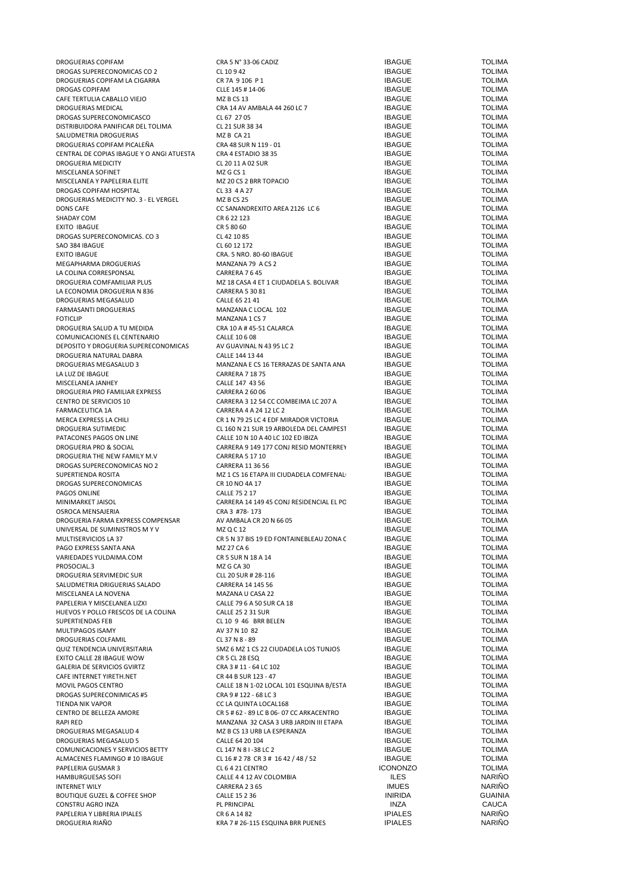| DROGUERIAS COPIFAM                                                  | CRA 5 N° 33-06 CADIZ                                  | <b>IBAGUE</b>   | <b>TOLIMA</b>  |
|---------------------------------------------------------------------|-------------------------------------------------------|-----------------|----------------|
| DROGAS SUPERECONOMICAS CO 2                                         | CL 10942                                              | <b>IBAGUE</b>   | <b>TOLIMA</b>  |
| DROGUERIAS COPIFAM LA CIGARRA                                       | CR 7A 9 106 P 1                                       | <b>IBAGUE</b>   | <b>TOLIMA</b>  |
| DROGAS COPIFAM                                                      | CLLE 145 # 14-06                                      | <b>IBAGUE</b>   | <b>TOLIMA</b>  |
| CAFE TERTULIA CABALLO VIEJO                                         | MZ B CS 13                                            | <b>IBAGUE</b>   | <b>TOLIMA</b>  |
| DROGUERIAS MEDICAL                                                  | CRA 14 AV AMBALA 44 260 LC 7                          | <b>IBAGUE</b>   | <b>TOLIMA</b>  |
| DROGAS SUPERECONOMICASCO                                            | CL 67 27 05                                           | <b>IBAGUE</b>   | <b>TOLIMA</b>  |
|                                                                     |                                                       |                 | <b>TOLIMA</b>  |
| DISTRIBUIDORA PANIFICAR DEL TOLIMA                                  | CL 21 SUR 38 34                                       | <b>IBAGUE</b>   |                |
| SALUDMETRIA DROGUERIAS                                              | MZB CA 21                                             | <b>IBAGUE</b>   | <b>TOLIMA</b>  |
| DROGUERIAS COPIFAM PICALEÑA                                         | CRA 48 SUR N 119 - 01                                 | <b>IBAGUE</b>   | <b>TOLIMA</b>  |
| CENTRAL DE COPIAS IBAGUE Y O ANGI ATUESTA                           | CRA 4 ESTADIO 38 35                                   | <b>IBAGUE</b>   | <b>TOLIMA</b>  |
| <b>DROGUERIA MEDICITY</b>                                           | CL 20 11 A 02 SUR                                     | <b>IBAGUE</b>   | <b>TOLIMA</b>  |
| MISCELANEA SOFINET                                                  | MZ G CS 1                                             | <b>IBAGUE</b>   | <b>TOLIMA</b>  |
| MISCELANEA Y PAPELERIA ELITE                                        | MZ 20 CS 2 BRR TOPACIO                                | <b>IBAGUE</b>   | <b>TOLIMA</b>  |
|                                                                     | CL 33 4 A 27                                          | <b>IBAGUE</b>   | <b>TOLIMA</b>  |
| DROGAS COPIFAM HOSPITAL                                             |                                                       |                 |                |
| DROGUERIAS MEDICITY NO. 3 - EL VERGEL                               | <b>MZ B CS 25</b>                                     | <b>IBAGUE</b>   | <b>TOLIMA</b>  |
| <b>DONS CAFE</b>                                                    | CC SANANDREXITO AREA 2126 LC 6                        | <b>IBAGUE</b>   | <b>TOLIMA</b>  |
| SHADAY COM                                                          | CR 6 22 123                                           | <b>IBAGUE</b>   | <b>TOLIMA</b>  |
| EXITO IBAGUE                                                        | CR 5 80 60                                            | <b>IBAGUE</b>   | <b>TOLIMA</b>  |
| DROGAS SUPERECONOMICAS. CO 3                                        | CL 42 10 85                                           | <b>IBAGUE</b>   | <b>TOLIMA</b>  |
| SAO 384 IBAGUE                                                      | CL 60 12 172                                          | <b>IBAGUE</b>   | <b>TOLIMA</b>  |
| <b>EXITO IBAGUE</b>                                                 |                                                       | <b>IBAGUE</b>   | <b>TOLIMA</b>  |
|                                                                     | CRA. 5 NRO. 80-60 IBAGUE                              |                 |                |
| MEGAPHARMA DROGUERIAS                                               | MANZANA 79 A CS 2                                     | <b>IBAGUE</b>   | <b>TOLIMA</b>  |
| LA COLINA CORRESPONSAL                                              | CARRERA 7645                                          | <b>IBAGUE</b>   | <b>TOLIMA</b>  |
| DROGUERIA COMFAMILIAR PLUS                                          | MZ 18 CASA 4 ET 1 CIUDADELA S. BOLIVAR                | <b>IBAGUE</b>   | <b>TOLIMA</b>  |
| LA ECONOMIA DROGUERIA N 836                                         | <b>CARRERA 5 30 81</b>                                | <b>IBAGUE</b>   | <b>TOLIMA</b>  |
| DROGUERIAS MEGASALUD                                                | CALLE 65 21 41                                        | <b>IBAGUE</b>   | <b>TOLIMA</b>  |
| FARMASANTI DROGUERIAS                                               | MANZANA C LOCAL 102                                   | <b>IBAGUE</b>   | <b>TOLIMA</b>  |
| <b>FOTICLIP</b>                                                     | MANZANA 1 CS 7                                        | <b>IBAGUE</b>   | <b>TOLIMA</b>  |
|                                                                     |                                                       |                 | <b>TOLIMA</b>  |
| DROGUERIA SALUD A TU MEDIDA                                         | CRA 10 A # 45-51 CALARCA                              | <b>IBAGUE</b>   |                |
| COMUNICACIONES EL CENTENARIO                                        | CALLE 10 6 08                                         | <b>IBAGUE</b>   | <b>TOLIMA</b>  |
| DEPOSITO Y DROGUERIA SUPERECONOMICAS                                | AV GUAVINAL N 43 95 LC 2                              | <b>IBAGUE</b>   | <b>TOLIMA</b>  |
| DROGUERIA NATURAL DABRA                                             | CALLE 144 13 44                                       | <b>IBAGUE</b>   | <b>TOLIMA</b>  |
| DROGUERIAS MEGASALUD 3                                              | MANZANA E CS 16 TERRAZAS DE SANTA ANA                 | <b>IBAGUE</b>   | <b>TOLIMA</b>  |
| LA LUZ DE IBAGUE                                                    | <b>CARRERA 7 18 75</b>                                | <b>IBAGUE</b>   | <b>TOLIMA</b>  |
| MISCELANEA JANHEY                                                   | CALLE 147 43 56                                       | <b>IBAGUE</b>   | <b>TOLIMA</b>  |
|                                                                     |                                                       |                 |                |
| DROGUERIA PRO FAMILIAR EXPRESS                                      | <b>CARRERA 2 60 06</b>                                | <b>IBAGUE</b>   | <b>TOLIMA</b>  |
| CENTRO DE SERVICIOS 10                                              | CARRERA 3 12 54 CC COMBEIMA LC 207 A                  | <b>IBAGUE</b>   | <b>TOLIMA</b>  |
| FARMACEUTICA 1A                                                     | CARRERA 4 A 24 12 LC 2                                | <b>IBAGUE</b>   | <b>TOLIMA</b>  |
| MERCA EXPRESS LA CHILI                                              | CR 1 N 79 25 LC 4 EDF MIRADOR VICTORIA                | <b>IBAGUE</b>   | <b>TOLIMA</b>  |
| DROGUERIA SUTIMEDIC                                                 | CL 160 N 21 SUR 19 ARBOLEDA DEL CAMPEST               | <b>IBAGUE</b>   | <b>TOLIMA</b>  |
| PATACONES PAGOS ON LINE                                             | CALLE 10 N 10 A 40 LC 102 ED IBIZA                    | <b>IBAGUE</b>   | <b>TOLIMA</b>  |
| DROGUERIA PRO & SOCIAL                                              | CARRERA 9 149 177 CONJ RESID MONTERREY                | <b>IBAGUE</b>   | <b>TOLIMA</b>  |
| DROGUERIA THE NEW FAMILY M.V                                        | <b>CARRERA 5 17 10</b>                                | <b>IBAGUE</b>   | <b>TOLIMA</b>  |
|                                                                     |                                                       |                 |                |
| DROGAS SUPERECONOMICAS NO 2                                         | CARRERA 11 36 56                                      | <b>IBAGUE</b>   | <b>TOLIMA</b>  |
| SUPERTIENDA ROSITA                                                  | MZ 1 CS 16 ETAPA III CIUDADELA COMFENAL               | <b>IBAGUE</b>   | <b>TOLIMA</b>  |
| DROGAS SUPERECONOMICAS                                              | CR 10 NO 4A 17                                        | <b>IBAGUE</b>   | <b>TOLIMA</b>  |
| PAGOS ONLINE                                                        | <b>CALLE 75 2 17</b>                                  | <b>IBAGUE</b>   | <b>TOLIMA</b>  |
| MINIMARKET JAISOL                                                   | CARRERA 14 149 45 CONJ RESIDENCIAL EL PC              | <b>IBAGUE</b>   | <b>TOLIMA</b>  |
| OSROCA MENSAJERIA                                                   | CRA 3 #78-173                                         | <b>IBAGUE</b>   | <b>TOLIMA</b>  |
| DROGUERIA FARMA EXPRESS COMPENSAR                                   | AV AMBALA CR 20 N 66 05                               | <b>IBAGUE</b>   | <b>TOLIMA</b>  |
| UNIVERSAL DE SUMINISTROS M Y V                                      | MZ Q C 12                                             | <b>IBAGUE</b>   | <b>TOLIMA</b>  |
|                                                                     |                                                       |                 |                |
| MULTISERVICIOS LA 37                                                | CR 5 N 37 BIS 19 ED FONTAINEBLEAU ZONA (              | <b>IBAGUE</b>   | <b>TOLIMA</b>  |
| PAGO EXPRESS SANTA ANA                                              | MZ 27 CA 6                                            | <b>IBAGUE</b>   | <b>TOLIMA</b>  |
| VARIEDADES YULDAIMA.COM                                             | CR 5 SUR N 18 A 14                                    | <b>IBAGUE</b>   | <b>TOLIMA</b>  |
| PROSOCIAL.3                                                         | MZ G CA 30                                            | <b>IBAGUE</b>   | <b>TOLIMA</b>  |
| DROGUERIA SERVIMEDIC SUR                                            | CLL 20 SUR # 28-116                                   | <b>IBAGUE</b>   | <b>TOLIMA</b>  |
| SALUDMETRIA DRIGUERIAS SALADO                                       | CARRERA 14 145 56                                     | <b>IBAGUE</b>   | <b>TOLIMA</b>  |
| MISCELANEA LA NOVENA                                                | MAZANA U CASA 22                                      | <b>IBAGUE</b>   | <b>TOLIMA</b>  |
|                                                                     |                                                       | <b>IBAGUE</b>   | <b>TOLIMA</b>  |
| PAPELERIA Y MISCELANEA LIZXI<br>HUEVOS Y POLLO FRESCOS DE LA COLINA | CALLE 79 6 A 50 SUR CA 18<br><b>CALLE 25 2 31 SUR</b> | <b>IBAGUE</b>   | <b>TOLIMA</b>  |
|                                                                     |                                                       |                 |                |
| SUPERTIENDAS FEB                                                    | CL 10 9 46 BRR BELEN                                  | <b>IBAGUE</b>   | <b>TOLIMA</b>  |
| MULTIPAGOS ISAMY                                                    | AV 37 N 10 82                                         | <b>IBAGUE</b>   | <b>TOLIMA</b>  |
| DROGUERIAS COLFAMIL                                                 | CL 37 N 8 - 89                                        | <b>IBAGUE</b>   | <b>TOLIMA</b>  |
| QUIZ TENDENCIA UNIVERSITARIA                                        | SMZ 6 MZ 1 CS 22 CIUDADELA LOS TUNJOS                 | <b>IBAGUE</b>   | <b>TOLIMA</b>  |
| EXITO CALLE 28 IBAGUE WOW                                           | CR 5 CL 28 ESQ                                        | <b>IBAGUE</b>   | <b>TOLIMA</b>  |
| GALERIA DE SERVICIOS GVIRTZ                                         | CRA 3 # 11 - 64 LC 102                                | <b>IBAGUE</b>   | <b>TOLIMA</b>  |
| CAFE INTERNET YIRETH.NET                                            | CR 44 B SUR 123 - 47                                  | <b>IBAGUE</b>   | <b>TOLIMA</b>  |
|                                                                     |                                                       |                 |                |
| MOVIL PAGOS CENTRO                                                  | CALLE 18 N 1-02 LOCAL 101 ESQUINA B/ESTA              | <b>IBAGUE</b>   | <b>TOLIMA</b>  |
| DROGAS SUPERECONIMICAS #5                                           | CRA 9 # 122 - 68 LC 3                                 | <b>IBAGUE</b>   | <b>TOLIMA</b>  |
| TIENDA NIK VAPOR                                                    | CC LA QUINTA LOCAL168                                 | <b>IBAGUE</b>   | <b>TOLIMA</b>  |
| CENTRO DE BELLEZA AMORE                                             | CR 5 # 62 - 89 LC B 06- 07 CC ARKACENTRO              | <b>IBAGUE</b>   | <b>TOLIMA</b>  |
| RAPI RED                                                            | MANZANA 32 CASA 3 URB JARDIN III ETAPA                | <b>IBAGUE</b>   | <b>TOLIMA</b>  |
| DROGUERIAS MEGASALUD 4                                              | MZ B CS 13 URB LA ESPERANZA                           | <b>IBAGUE</b>   | <b>TOLIMA</b>  |
| DROGUERIAS MEGASALUD 5                                              | CALLE 64 20 104                                       | <b>IBAGUE</b>   | <b>TOLIMA</b>  |
|                                                                     |                                                       | <b>IBAGUE</b>   | <b>TOLIMA</b>  |
| COMUNICACIONES Y SERVICIOS BETTY                                    | CL 147 N 81-38 LC 2                                   |                 |                |
| ALMACENES FLAMINGO #10 IBAGUE                                       | CL 16 # 2 78 CR 3 # 16 42 / 48 / 52                   | <b>IBAGUE</b>   | <b>TOLIMA</b>  |
| PAPELERIA GUSMAR 3                                                  | CL 6 4 21 CENTRO                                      | <b>ICONONZO</b> | <b>TOLIMA</b>  |
| HAMBURGUESAS SOFI                                                   | CALLE 4 4 12 AV COLOMBIA                              | <b>ILES</b>     | <b>NARIÑO</b>  |
| <b>INTERNET WILY</b>                                                | CARRERA 2 3 65                                        | <b>IMUES</b>    | <b>NARIÑO</b>  |
| <b>BOUTIQUE GUZEL &amp; COFFEE SHOP</b>                             | CALLE 15 2 36                                         | <b>INIRIDA</b>  | <b>GUAINIA</b> |
| CONSTRU AGRO INZA                                                   | PL PRINCIPAL                                          | INZA            | CAUCA          |
| PAPELERIA Y LIBRERIA IPIALES                                        | CR 6 A 14 82                                          | <b>IPIALES</b>  | <b>NARIÑO</b>  |
|                                                                     |                                                       |                 |                |
| DROGUERIA RIAÑO                                                     | KRA 7 # 26-115 ESQUINA BRR PUENES                     | <b>IPIALES</b>  | <b>NARIÑO</b>  |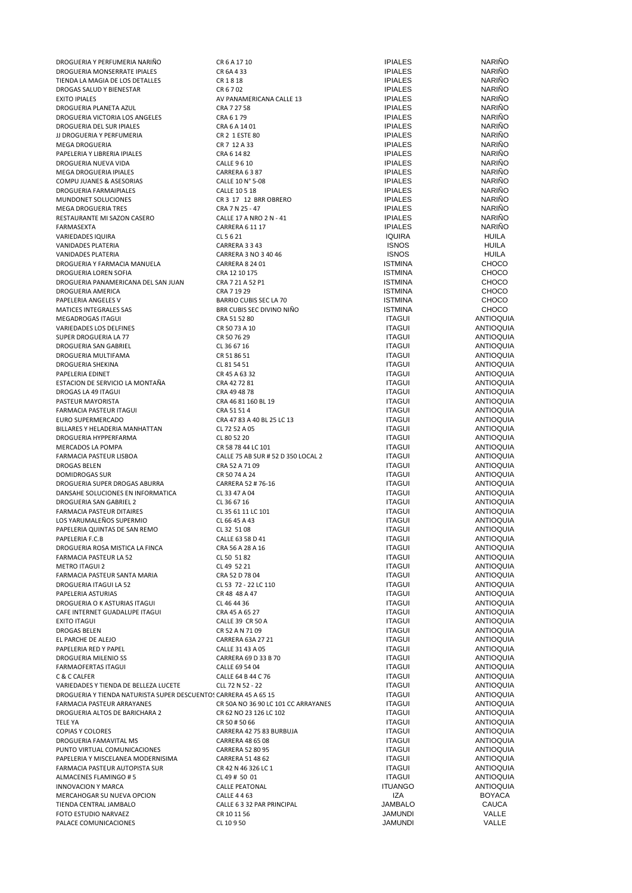| DROGUERIA Y PERFUMERIA NARIÑO                                    | CR 6 A 17 10                        | <b>IPIALES</b> | <b>NARINO</b>    |
|------------------------------------------------------------------|-------------------------------------|----------------|------------------|
| DROGUERIA MONSERRATE IPIALES                                     | CR 6A 4 33                          | <b>IPIALES</b> | <b>NARIÑO</b>    |
| TIENDA LA MAGIA DE LOS DETALLES                                  | CR1818                              | <b>IPIALES</b> | <b>NARIÑO</b>    |
|                                                                  |                                     |                |                  |
| DROGAS SALUD Y BIENESTAR                                         | CR 6 7 02                           | <b>IPIALES</b> | <b>NARIÑO</b>    |
| EXITO IPIALES                                                    | AV PANAMERICANA CALLE 13            | <b>IPIALES</b> | <b>NARIÑO</b>    |
| DROGUERIA PLANETA AZUL                                           | CRA 7 27 58                         | <b>IPIALES</b> | <b>NARIÑO</b>    |
| DROGUERIA VICTORIA LOS ANGELES                                   | CRA 6 1 79                          | <b>IPIALES</b> | <b>NARIÑO</b>    |
| DROGUERIA DEL SUR IPIALES                                        | CRA 6 A 14 01                       | <b>IPIALES</b> | <b>NARIÑO</b>    |
|                                                                  |                                     |                |                  |
| JJ DROGUERIA Y PERFUMERIA                                        | CR 2 1 ESTE 80                      | <b>IPIALES</b> | <b>NARIÑO</b>    |
| MEGA DROGUERIA                                                   | CR 7 12 A 33                        | <b>IPIALES</b> | <b>NARIÑO</b>    |
| PAPELERIA Y LIBRERIA IPIALES                                     | CRA 6 14 82                         | <b>IPIALES</b> | <b>NARIÑO</b>    |
| DROGUERIA NUEVA VIDA                                             | <b>CALLE 9 6 10</b>                 | <b>IPIALES</b> | <b>NARIÑO</b>    |
|                                                                  |                                     |                |                  |
| MEGA DROGUERIA IPIALES                                           | CARRERA 6387                        | <b>IPIALES</b> | <b>NARIÑO</b>    |
| COMPU JUANES & ASESORIAS                                         | CALLE 10 N° 5-08                    | <b>IPIALES</b> | <b>NARIÑO</b>    |
| DROGUERIA FARMAIPIALES                                           | CALLE 10 5 18                       | <b>IPIALES</b> | <b>NARIÑO</b>    |
| MUNDONET SOLUCIONES                                              |                                     | <b>IPIALES</b> | <b>NARIÑO</b>    |
|                                                                  | CR 3 17 12 BRR OBRERO               |                |                  |
| MEGA DROGUERIA TRES                                              | CRA 7 N 25 - 47                     | <b>IPIALES</b> | <b>NARIÑO</b>    |
| RESTAURANTE MI SAZON CASERO                                      | CALLE 17 A NRO 2 N - 41             | <b>IPIALES</b> | <b>NARIÑO</b>    |
| FARMASEXTA                                                       | <b>CARRERA 6 11 17</b>              | <b>IPIALES</b> | <b>NARIÑO</b>    |
|                                                                  |                                     |                |                  |
| VARIEDADES IQUIRA                                                | CL 5 6 21                           | <b>IQUIRA</b>  | <b>HUILA</b>     |
| VANIDADES PLATERIA                                               | CARRERA 3 3 43                      | <b>ISNOS</b>   | <b>HUILA</b>     |
| VANIDADES PLATERIA                                               | CARRERA 3 NO 3 40 46                | <b>ISNOS</b>   | HUILA            |
|                                                                  |                                     |                |                  |
| DROGUERIA Y FARMACIA MANUELA                                     | <b>CARRERA 8 24 01</b>              | <b>ISTMINA</b> | <b>CHOCO</b>     |
| DROGUERIA LOREN SOFIA                                            | CRA 12 10 175                       | <b>ISTMINA</b> | <b>CHOCO</b>     |
| DROGUERIA PANAMERICANA DEL SAN JUAN                              | CRA 7 21 A 52 P1                    | <b>ISTMINA</b> | <b>CHOCO</b>     |
| DROGUERIA AMERICA                                                | CRA 7 19 29                         | <b>ISTMINA</b> | <b>CHOCO</b>     |
|                                                                  |                                     |                |                  |
| PAPELERIA ANGELES V                                              | BARRIO CUBIS SEC LA 70              | <b>ISTMINA</b> | <b>CHOCO</b>     |
| MATICES INTEGRALES SAS                                           | BRR CUBIS SEC DIVINO NIÑO           | <b>ISTMINA</b> | <b>CHOCO</b>     |
| MEGADROGAS ITAGUI                                                | CRA 51 52 80                        | <b>ITAGUI</b>  | <b>ANTIOQUIA</b> |
|                                                                  |                                     |                |                  |
| VARIEDADES LOS DELFINES                                          | CR 50 73 A 10                       | <b>ITAGUI</b>  | <b>ANTIOQUIA</b> |
| SUPER DROGUERIA LA 77                                            | CR 50 76 29                         | <b>ITAGUI</b>  | <b>ANTIOQUIA</b> |
| DROGUERIA SAN GABRIEL                                            | CL 36 67 16                         | <b>ITAGUI</b>  | <b>ANTIOQUIA</b> |
| DROGUERIA MULTIFAMA                                              | CR 51 86 51                         | <b>ITAGUI</b>  | <b>ANTIOQUIA</b> |
|                                                                  |                                     |                |                  |
| DROGUERIA SHEKINA                                                | CL 81 54 51                         | <b>ITAGUI</b>  | <b>ANTIOQUIA</b> |
| PAPELERIA EDINET                                                 | CR 45 A 63 32                       | <b>ITAGUI</b>  | <b>ANTIOQUIA</b> |
| ESTACION DE SERVICIO LA MONTAÑA                                  | CRA 42 72 81                        | <b>ITAGUI</b>  | <b>ANTIOQUIA</b> |
|                                                                  |                                     |                |                  |
| DROGAS LA 49 ITAGUI                                              | CRA 49 48 78                        | <b>ITAGUI</b>  | <b>ANTIOQUIA</b> |
| PASTEUR MAYORISTA                                                | CRA 46 81 160 BL 19                 | <b>ITAGUI</b>  | <b>ANTIOQUIA</b> |
| FARMACIA PASTEUR ITAGUI                                          | CRA 51 51 4                         | <b>ITAGUI</b>  | <b>ANTIOQUIA</b> |
| EURO SUPERMERCADO                                                | CRA 47 83 A 40 BL 25 LC 13          | <b>ITAGUI</b>  | <b>ANTIOQUIA</b> |
|                                                                  |                                     |                |                  |
| BILLARES Y HELADERIA MANHATTAN                                   | CL 72 52 A 05                       | <b>ITAGUI</b>  | <b>ANTIOQUIA</b> |
| DROGUERIA HYPPERFARMA                                            | CL 80 52 20                         | <b>ITAGUI</b>  | <b>ANTIOQUIA</b> |
| MERCADOS LA POMPA                                                | CR 58 78 44 LC 101                  | <b>ITAGUI</b>  | <b>ANTIOQUIA</b> |
| FARMACIA PASTEUR LISBOA                                          | CALLE 75 AB SUR # 52 D 350 LOCAL 2  | <b>ITAGUI</b>  | <b>ANTIOQUIA</b> |
|                                                                  |                                     |                |                  |
| DROGAS BELEN                                                     | CRA 52 A 71 09                      | <b>ITAGUI</b>  | <b>ANTIOQUIA</b> |
| DOMIDROGAS SUR                                                   | CR 50 74 A 24                       | <b>ITAGUI</b>  | <b>ANTIOQUIA</b> |
| DROGUERIA SUPER DROGAS ABURRA                                    | CARRERA 52 # 76-16                  | <b>ITAGUI</b>  | <b>ANTIOQUIA</b> |
|                                                                  |                                     |                |                  |
| DANSAHE SOLUCIONES EN INFORMATICA                                | CL 33 47 A 04                       | <b>ITAGUI</b>  | <b>ANTIOQUIA</b> |
| DROGUERIA SAN GABRIEL 2                                          | CL 36 67 16                         | <b>ITAGUI</b>  | <b>ANTIOQUIA</b> |
| FARMACIA PASTEUR DITAIRES                                        | CL 35 61 11 LC 101                  | <b>ITAGUI</b>  | <b>ANTIOQUIA</b> |
| LOS YARUMALEÑOS SUPERMIO                                         | CL 66 45 A 43                       | <b>ITAGUI</b>  | <b>ANTIOQUIA</b> |
|                                                                  |                                     |                |                  |
| PAPELERIA QUINTAS DE SAN REMO                                    | CL 32 51 08                         | <b>ITAGUI</b>  | <b>ANTIOQUIA</b> |
| PAPELERIA F.C.B                                                  | CALLE 63 58 D 41                    | <b>ITAGUI</b>  | <b>ANTIOQUIA</b> |
| DROGUERIA ROSA MISTICA LA FINCA                                  | CRA 56 A 28 A 16                    | <b>ITAGUI</b>  | <b>ANTIOQUIA</b> |
|                                                                  |                                     |                |                  |
| FARMACIA PASTEUR LA 52                                           | CL 50 51 82                         | <b>ITAGUI</b>  | <b>ANTIOQUIA</b> |
| <b>METRO ITAGUI 2</b>                                            | CL 49 52 21                         | <b>ITAGUI</b>  | <b>ANTIOQUIA</b> |
| FARMACIA PASTEUR SANTA MARIA                                     | CRA 52 D 78 04                      | <b>ITAGUI</b>  | <b>ANTIOQUIA</b> |
| DROGUERIA ITAGUI LA 52                                           | CL 53 72 - 22 LC 110                | <b>ITAGUI</b>  | <b>ANTIOQUIA</b> |
| PAPELERIA ASTURIAS                                               | CR 48 48 A 47                       | <b>ITAGUI</b>  | <b>ANTIOQUIA</b> |
|                                                                  |                                     |                |                  |
| DROGUERIA O K ASTURIAS ITAGUI                                    | CL 46 44 36                         | <b>ITAGUI</b>  | <b>ANTIOQUIA</b> |
| CAFE INTERNET GUADALUPE ITAGUI                                   | CRA 45 A 65 27                      | <b>ITAGUI</b>  | <b>ANTIOQUIA</b> |
| EXITO ITAGUI                                                     | CALLE 39 CR 50 A                    | <b>ITAGUI</b>  | <b>ANTIOQUIA</b> |
|                                                                  |                                     |                |                  |
| DROGAS BELEN                                                     | CR 52 A N 71 09                     | <b>ITAGUI</b>  | <b>ANTIOQUIA</b> |
| EL PARCHE DE ALEJO                                               | CARRERA 63A 27 21                   | <b>ITAGUI</b>  | <b>ANTIOQUIA</b> |
| PAPELERIA RED Y PAPEL                                            | CALLE 31 43 A 05                    | <b>ITAGUI</b>  | <b>ANTIOQUIA</b> |
| DROGUERIA MILENIO SS                                             | CARRERA 69 D 33 B 70                | <b>ITAGUI</b>  | <b>ANTIOQUIA</b> |
|                                                                  |                                     |                |                  |
| FARMAOFERTAS ITAGUI                                              | CALLE 69 54 04                      | <b>ITAGUI</b>  | <b>ANTIOQUIA</b> |
| C & C CALFER                                                     | CALLE 64 B 44 C 76                  | <b>ITAGUI</b>  | <b>ANTIOQUIA</b> |
| VARIEDADES Y TIENDA DE BELLEZA LUCETE                            | CLL 72 N 52 - 22                    | <b>ITAGUI</b>  | <b>ANTIOQUIA</b> |
| DROGUERIA Y TIENDA NATURISTA SUPER DESCUENTO! CARRERA 45 A 65 15 |                                     | <b>ITAGUI</b>  | <b>ANTIOQUIA</b> |
|                                                                  |                                     |                |                  |
| FARMACIA PASTEUR ARRAYANES                                       | CR 50A NO 36 90 LC 101 CC ARRAYANES | <b>ITAGUI</b>  | <b>ANTIOQUIA</b> |
| DROGUERIA ALTOS DE BARICHARA 2                                   | CR 62 NO 23 126 LC 102              | <b>ITAGUI</b>  | <b>ANTIOQUIA</b> |
| TELE YA                                                          | CR 50 # 50 66                       | <b>ITAGUI</b>  | <b>ANTIOQUIA</b> |
|                                                                  |                                     |                |                  |
| COPIAS Y COLORES                                                 | CARRERA 42 75 83 BURBUJA            | <b>ITAGUI</b>  | <b>ANTIOQUIA</b> |
| DROGUERIA FAMAVITAL MS                                           | CARRERA 48 65 08                    | <b>ITAGUI</b>  | <b>ANTIOQUIA</b> |
| PUNTO VIRTUAL COMUNICACIONES                                     | <b>CARRERA 52 80 95</b>             | <b>ITAGUI</b>  | <b>ANTIOQUIA</b> |
| PAPELERIA Y MISCELANEA MODERNISIMA                               | CARRERA 51 48 62                    | <b>ITAGUI</b>  | <b>ANTIOQUIA</b> |
|                                                                  |                                     |                |                  |
| FARMACIA PASTEUR AUTOPISTA SUR                                   | CR 42 N 46 326 LC 1                 | <b>ITAGUI</b>  | <b>ANTIOQUIA</b> |
| ALMACENES FLAMINGO # 5                                           | CL 49 # 50 01                       | <b>ITAGUI</b>  | <b>ANTIOQUIA</b> |
| INNOVACION Y MARCA                                               | <b>CALLE PEATONAL</b>               | <b>ITUANGO</b> | <b>ANTIOQUIA</b> |
|                                                                  |                                     |                |                  |
| MERCAHOGAR SU NUEVA OPCION                                       | <b>CALLE 4 4 63</b>                 | IZA            | BOYACA           |
| TIENDA CENTRAL JAMBALO                                           | CALLE 6 3 32 PAR PRINCIPAL          | <b>JAMBALO</b> | CAUCA            |
| FOTO ESTUDIO NARVAEZ                                             | CR 10 11 56                         | <b>JAMUNDI</b> | VALLE            |
| PALACE COMUNICACIONES                                            | CL 10950                            | JAMUNDI        | VALLE            |
|                                                                  |                                     |                |                  |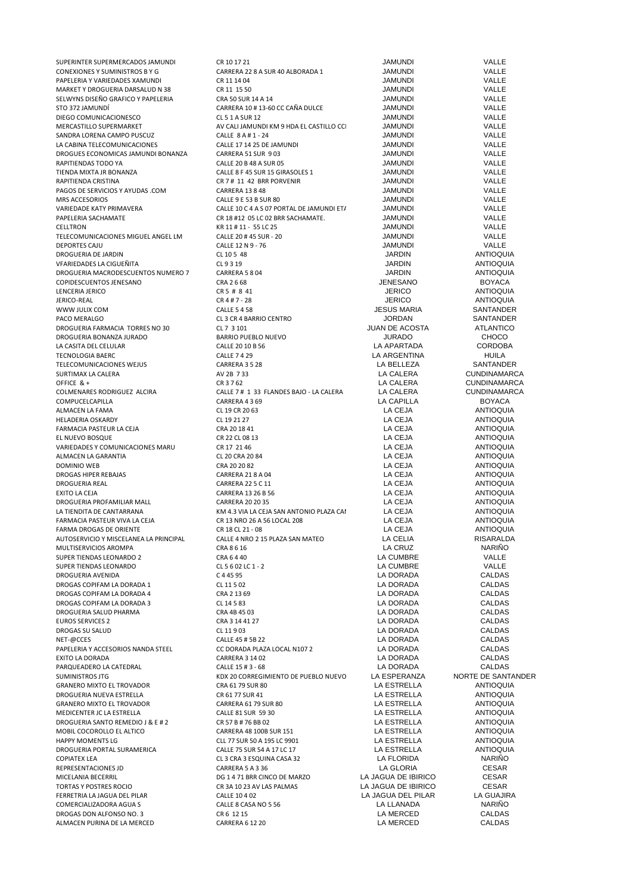| SUPERINTER SUPERMERCADOS JAMUNDI       | CR 10 17 21                               | <b>JAMUNDI</b>        | VALLE               |
|----------------------------------------|-------------------------------------------|-----------------------|---------------------|
| CONEXIONES Y SUMINISTROS B Y G         | CARRERA 22 8 A SUR 40 ALBORADA 1          | <b>JAMUNDI</b>        | VALLE               |
| PAPELERIA Y VARIEDADES XAMUNDI         | CR 11 14 04                               | <b>JAMUNDI</b>        | VALLE               |
| MARKET Y DROGUERIA DARSALUD N 38       | CR 11 15 50                               | <b>JAMUNDI</b>        | VALLE               |
| SELWYNS DISEÑO GRAFICO Y PAPELERIA     | CRA 50 SUR 14 A 14                        | <b>JAMUNDI</b>        | VALLE               |
| STO 372 JAMUNDÍ                        | CARRERA 10 # 13-60 CC CAÑA DULCE          | JAMUNDI               | VALLE               |
|                                        |                                           |                       |                     |
| DIEGO COMUNICACIONESCO                 | CL 5 1 A SUR 12                           | <b>JAMUNDI</b>        | VALLE               |
| MERCASTILLO SUPERMARKET                | AV CALI JAMUNDI KM 9 HDA EL CASTILLO CCI  | <b>JAMUNDI</b>        | VALLE               |
| SANDRA LORENA CAMPO PUSCUZ             | CALLE 8 A # 1 - 24                        | <b>JAMUNDI</b>        | VALLE               |
| LA CABINA TELECOMUNICACIONES           | CALLE 17 14 25 DE JAMUNDI                 | <b>JAMUNDI</b>        | VALLE               |
| DROGUES ECONOMICAS JAMUNDI BONANZA     | CARRERA 51 SUR 903                        | <b>JAMUNDI</b>        | VALLE               |
| RAPITIENDAS TODO YA                    | CALLE 20 B 48 A SUR 05                    | <b>JAMUNDI</b>        | VALLE               |
| TIENDA MIXTA JR BONANZA                | CALLE 8 F 45 SUR 15 GIRASOLES 1           | <b>JAMUNDI</b>        | VALLE               |
| RAPITIENDA CRISTINA                    | CR 7 # 11 42 BRR PORVENIR                 | JAMUNDI               | VALLE               |
| PAGOS DE SERVICIOS Y AYUDAS .COM       |                                           | <b>JAMUNDI</b>        | VALLE               |
|                                        | <b>CARRERA 13 8 48</b>                    |                       |                     |
| MRS ACCESORIOS                         | CALLE 9 E 53 B SUR 80                     | <b>JAMUNDI</b>        | VALLE               |
| VARIEDADE KATY PRIMAVERA               | CALLE 10 C 4 A S 07 PORTAL DE JAMUNDI ET/ | <b>JAMUNDI</b>        | VALLE               |
| PAPELERIA SACHAMATE                    | CR 18 #12 05 LC 02 BRR SACHAMATE.         | <b>JAMUNDI</b>        | VALLE               |
| CELLTRON                               | KR 11 # 11 - 55 LC 25                     | <b>JAMUNDI</b>        | VALLE               |
| TELECOMUNICACIONES MIGUEL ANGEL LM     | CALLE 20 # 45 SUR - 20                    | <b>JAMUNDI</b>        | VALLE               |
| <b>DEPORTES CAJU</b>                   | CALLE 12 N 9 - 76                         | <b>JAMUNDI</b>        | VALLE               |
| DROGUERIA DE JARDIN                    | CL 10 5 48                                | JARDIN                | <b>ANTIOQUIA</b>    |
| VFARIEDADES LA CIGUEÑITA               | CL 9 3 19                                 | <b>JARDIN</b>         | <b>ANTIOQUIA</b>    |
|                                        | CARRERA 5 8 04                            | <b>JARDIN</b>         | <b>ANTIOQUIA</b>    |
| DROGUERIA MACRODESCUENTOS NUMERO 7     |                                           |                       |                     |
| COPIDESCUENTOS JENESANO                | CRA 2 6 68                                | <b>JENESANO</b>       | <b>BOYACA</b>       |
| LENCERIA JERICO                        | CR 5 # 8 41                               | <b>JERICO</b>         | <b>ANTIOQUIA</b>    |
| JERICO-REAL                            | CR 4#7 - 28                               | <b>JERICO</b>         | <b>ANTIOQUIA</b>    |
| WWW JULIX COM                          | <b>CALLE 5 4 58</b>                       | <b>JESUS MARIA</b>    | SANTANDER           |
| PACO MERALGO                           | CL 3 CR 4 BARRIO CENTRO                   | <b>JORDAN</b>         | SANTANDER           |
| DROGUERIA FARMACIA TORRES NO 30        | CL 7 3 101                                | <b>JUAN DE ACOSTA</b> | <b>ATLANTICO</b>    |
| DROGUERIA BONANZA JURADO               | BARRIO PUEBLO NUEVO                       | <b>JURADO</b>         | <b>CHOCO</b>        |
| LA CASITA DEL CELULAR                  | CALLE 20 10 B 56                          | <b>LA APARTADA</b>    | <b>CORDOBA</b>      |
| <b>TECNOLOGIA BAERC</b>                | <b>CALLE 7 4 29</b>                       | LA ARGENTINA          | <b>HUILA</b>        |
|                                        |                                           |                       |                     |
| TELECOMUNICACIONES WEJUS               | CARRERA 3 5 28                            | LA BELLEZA            | SANTANDER           |
| SURTIMAX LA CALERA                     | AV 2B 733                                 | LA CALERA             | <b>CUNDINAMARCA</b> |
| OFFICE & +                             | CR 3 7 62                                 | LA CALERA             | <b>CUNDINAMARCA</b> |
| COLMENARES RODRIGUEZ ALCIRA            | CALLE 7 # 1 33 FLANDES BAJO - LA CALERA   | LA CALERA             | <b>CUNDINAMARCA</b> |
| COMPUCELCAPILLA                        | CARRERA 4369                              | LA CAPILLA            | <b>BOYACA</b>       |
| ALMACEN LA FAMA                        | CL 19 CR 20 63                            | LA CEJA               | <b>ANTIOQUIA</b>    |
| <b>HELADERIA OSKARDY</b>               | CL 19 21 27                               | LA CEJA               | <b>ANTIOQUIA</b>    |
| FARMACIA PASTEUR LA CEJA               | CRA 20 18 41                              | LA CEJA               | <b>ANTIOQUIA</b>    |
| EL NUEVO BOSQUE                        | CR 22 CL 08 13                            | LA CEJA               | <b>ANTIOQUIA</b>    |
| VARIEDADES Y COMUNICACIONES MARU       | CR 17 21 46                               | LA CEJA               | <b>ANTIOQUIA</b>    |
| ALMACEN LA GARANTIA                    | CL 20 CRA 20 84                           | LA CEJA               | <b>ANTIOQUIA</b>    |
| DOMINIO WEB                            | CRA 20 20 82                              | LA CEJA               | <b>ANTIOQUIA</b>    |
| DROGAS HIPER REBAJAS                   | CARRERA 21 8 A 04                         | LA CEJA               | <b>ANTIOQUIA</b>    |
| DROGUERIA REAL                         | <b>CARRERA 22 5 C 11</b>                  | LA CEJA               | <b>ANTIOQUIA</b>    |
| <b>EXITO LA CEJA</b>                   | CARRERA 13 26 B 56                        | LA CEJA               | <b>ANTIOQUIA</b>    |
| DROGUERIA PROFAMILIAR MALL             | <b>CARRERA 20 20 35</b>                   | LA CEJA               | <b>ANTIOQUIA</b>    |
| LA TIENDITA DE CANTARRANA              | KM 4.3 VIA LA CEJA SAN ANTONIO PLAZA CAI  | LA CEJA               | <b>ANTIOQUIA</b>    |
| FARMACIA PASTEUR VIVA LA CEJA          | CR 13 NRO 26 A 56 LOCAL 208               | LA CEJA               | <b>ANTIOQUIA</b>    |
| FARMA DROGAS DE ORIENTE                | CR 18 CL 21 - 08                          | LA CEJA               | <b>ANTIOQUIA</b>    |
|                                        |                                           |                       |                     |
| AUTOSERVICIO Y MISCELANEA LA PRINCIPAL | CALLE 4 NRO 2 15 PLAZA SAN MATEO          | LA CELIA              | RISARALDA           |
| MULTISERVICIOS AROMPA                  | CRA 8 6 16                                | LA CRUZ               | <b>NARIÑO</b>       |
| SUPER TIENDAS LEONARDO 2               | CRA 6440                                  | LA CUMBRE             | VALLE               |
| SUPER TIENDAS LEONARDO                 | CL 5 6 02 LC 1 - 2                        |                       |                     |
| DROGUERIA AVENIDA                      |                                           | LA CUMBRE             | VALLE               |
|                                        | C 4 45 95                                 | LA DORADA             | <b>CALDAS</b>       |
| DROGAS COPIFAM LA DORADA 1             | CL 11 5 02                                | LA DORADA             | <b>CALDAS</b>       |
| DROGAS COPIFAM LA DORADA 4             | CRA 2 13 69                               | LA DORADA             | CALDAS              |
|                                        |                                           |                       |                     |
| DROGAS COPIFAM LA DORADA 3             | CL 14 5 83                                | LA DORADA             | CALDAS              |
| DROGUERIA SALUD PHARMA                 | CRA 4B 45 03                              | LA DORADA             | <b>CALDAS</b>       |
| <b>EUROS SERVICES 2</b>                | CRA 3 14 41 27                            | LA DORADA             | <b>CALDAS</b>       |
| DROGAS SU SALUD                        | CL 11903                                  | LA DORADA             | CALDAS              |
| NET-@CCES                              | CALLE 45 # 5B 22                          | LA DORADA             | CALDAS              |
| PAPELERIA Y ACCESORIOS NANDA STEEL     | CC DORADA PLAZA LOCAL N107 2              | LA DORADA             | CALDAS              |
| EXITO LA DORADA                        | <b>CARRERA 3 14 02</b>                    | LA DORADA             | CALDAS              |
| PARQUEADERO LA CATEDRAL                | CALLE 15 # 3 - 68                         | LA DORADA             | CALDAS              |
| <b>SUMINISTROS JTG</b>                 | KDX 20 CORREGIMIENTO DE PUEBLO NUEVO      | LA ESPERANZA          | NORTE DE SANTANI    |
| <b>GRANERO MIXTO EL TROVADOR</b>       | CRA 61 79 SUR 80                          | LA ESTRELLA           | <b>ANTIOQUIA</b>    |
| DROGUERIA NUEVA ESTRELLA               | CR 61 77 SUR 41                           | LA ESTRELLA           | <b>ANTIOQUIA</b>    |
| <b>GRANERO MIXTO EL TROVADOR</b>       | CARRERA 61 79 SUR 80                      | LA ESTRELLA           | <b>ANTIOQUIA</b>    |
| MEDICENTER JC LA ESTRELLA              | CALLE 81 SUR 59 30                        | LA ESTRELLA           | <b>ANTIOQUIA</b>    |
|                                        |                                           |                       |                     |
| DROGUERIA SANTO REMEDIO J & E # 2      | CR 57 B # 76 BB 02                        | LA ESTRELLA           | <b>ANTIOQUIA</b>    |
| MOBIL COCOROLLO EL ALTICO              | CARRERA 48 100B SUR 151                   | LA ESTRELLA           | <b>ANTIOQUIA</b>    |
| <b>HAPPY MOMENTS LG</b>                | CLL 77 SUR 50 A 195 LC 9901               | LA ESTRELLA           | <b>ANTIOQUIA</b>    |
| DROGUERIA PORTAL SURAMERICA            | CALLE 75 SUR 54 A 17 LC 17                | LA ESTRELLA           | <b>ANTIOQUIA</b>    |
| <b>COPIATEX LEA</b>                    | CL 3 CRA 3 ESQUINA CASA 32                | LA FLORIDA            | NARIÑO              |
| REPRESENTACIONES JD                    | CARRERA 5 A 3 36                          | LA GLORIA             | CESAR               |
| MICELANIA BECERRIL                     | DG 1 4 71 BRR CINCO DE MARZO              | LA JAGUA DE IBIRICO   | CESAR               |
| TORTAS Y POSTRES ROCIO                 | CR 3A 10 23 AV LAS PALMAS                 | LA JAGUA DE IBIRICO   | <b>CESAR</b>        |
| FERRETRIA LA JAGUA DEL PILAR           | CALLE 10 4 02                             | LA JAGUA DEL PILAR    | LA GUAJIRA          |
| COMERCIALIZADORA AGUA S                | CALLE 8 CASA NO 5 56                      | LA LLANADA            | <b>NARIÑO</b>       |
| DROGAS DON ALFONSO NO. 3               | CR 6 12 15                                | LA MERCED             | CALDAS              |
| ALMACEN PURINA DE LA MERCED            | CARRERA 6 12 20                           | LA MERCED             | CALDAS              |

JUAN DE ACOSTA ATLANTICO<br>JURADO CHOCO LA CALERA CUNDINAMARCA<br>I A CALERA CUNDINAMARCA UEVO LA ESPERANZA NORTE DE SANTANDER<br>LA ESTRELLA ANTIOQUIA LA ESTRELLA ANTIOQUIA<br>LA ESTRELLA ANTIOQUIA DROGUERIA PORTAL SURAMERICA CALLE 75 SUR 54 A 17 LC 17 LA ESTRELLA ANTIOQUIA LA JAGUA DE IBIRICO CESAR<br>LA JAGUA DE IBIRICO CESAR TORTAS IN ANGLIA DE IBIRICO CESAR<br>TARTAS LA GUAJIRA LA GUAJIRA ERRETRIA LA JAGUA DEL PILAR LA GUAJIR<br>LA LLANADA NARIÑO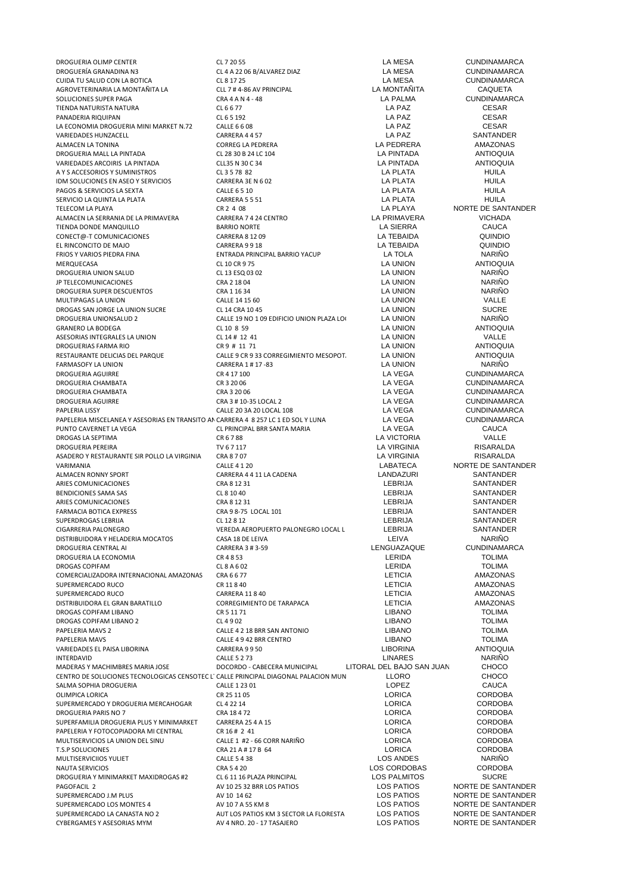| DROGUERIA OLIMP CENTER                                                              | CL 7 20 55                               | LA MESA                   | <b>CUNDINAMARCA</b> |
|-------------------------------------------------------------------------------------|------------------------------------------|---------------------------|---------------------|
| DROGUERÍA GRANADINA N3                                                              | CL 4 A 22 06 B/ALVAREZ DIAZ              | LA MESA                   | <b>CUNDINAMARCA</b> |
| CUIDA TU SALUD CON LA BOTICA                                                        | CL 8 17 25                               | LA MESA                   | <b>CUNDINAMARCA</b> |
| AGROVETERINARIA LA MONTAÑITA LA                                                     | CLL 7 # 4-86 AV PRINCIPAL                | LA MONTAÑITA              | <b>CAQUETA</b>      |
| SOLUCIONES SUPER PAGA                                                               | CRA 4 A N 4 - 48                         | <b>LA PALMA</b>           | <b>CUNDINAMARCA</b> |
| TIENDA NATURISTA NATURA                                                             | CL 6 6 77                                | LA PAZ                    | <b>CESAR</b>        |
| PANADERIA RIQUIPAN                                                                  | CL 6 5 192                               | LA PAZ                    | <b>CESAR</b>        |
| LA ECONOMIA DROGUERIA MINI MARKET N.72                                              | CALLE 6 6 08                             | LA PAZ                    | <b>CESAR</b>        |
| VARIEDADES HUNZACELL                                                                | CARRERA 4457                             | LA PAZ                    | SANTANDER           |
| ALMACEN LA TONINA                                                                   | <b>CORREG LA PEDRERA</b>                 | LA PEDRERA                | AMAZONAS            |
| DROGUERIA MALL LA PINTADA                                                           | CL 28 30 B 24 LC 104                     | <b>LA PINTADA</b>         | <b>ANTIOQUIA</b>    |
| VARIEDADES ARCOIRIS LA PINTADA                                                      | CLL35 N 30 C 34                          | <b>LA PINTADA</b>         | <b>ANTIOQUIA</b>    |
| A Y S ACCESORIOS Y SUMINISTROS                                                      | CL 3 5 78 82                             | <b>LA PLATA</b>           | <b>HUILA</b>        |
| IDM SOLUCIONES EN ASEO Y SERVICIOS                                                  | CARRERA 3E N 6 02                        | LA PLATA                  | <b>HUILA</b>        |
| PAGOS & SERVICIOS LA SEXTA                                                          | <b>CALLE 6510</b>                        | <b>LA PLATA</b>           | <b>HUILA</b>        |
| SERVICIO LA QUINTA LA PLATA                                                         | CARRERA 5 5 51                           | LA PLATA                  | <b>HUILA</b>        |
| TELECOM LA PLAYA                                                                    | CR 2 4 08                                | LA PLAYA                  | NORTE DE SANTANDER  |
| ALMACEN LA SERRANIA DE LA PRIMAVERA                                                 | CARRERA 7 4 24 CENTRO                    | LA PRIMAVERA              | <b>VICHADA</b>      |
| TIENDA DONDE MANQUILLO                                                              | <b>BARRIO NORTE</b>                      | <b>LA SIERRA</b>          | <b>CAUCA</b>        |
| CONECT@-T COMUNICACIONES                                                            | <b>CARRERA 8 12 09</b>                   | LA TEBAIDA                | QUINDIO             |
| EL RINCONCITO DE MAJO                                                               | CARRERA 9918                             | LA TEBAIDA                | QUINDIO             |
| FRIOS Y VARIOS PIEDRA FINA                                                          | ENTRADA PRINCIPAL BARRIO YACUP           | LA TOLA                   | <b>NARIÑO</b>       |
| MERQUECASA                                                                          | CL 10 CR 9 75                            | <b>LA UNION</b>           | <b>ANTIOQUIA</b>    |
| DROGUERIA UNION SALUD                                                               | CL 13 ESQ 03 02                          | LA UNION                  | <b>NARIÑO</b>       |
| JP TELECOMUNICACIONES                                                               | CRA 2 18 04                              | LA UNION                  | <b>NARIÑO</b>       |
| DROGUERIA SUPER DESCUENTOS                                                          | CRA 1 16 34                              | LA UNION                  | <b>NARIÑO</b>       |
|                                                                                     |                                          | <b>LA UNION</b>           | VALLE               |
| MULTIPAGAS LA UNION                                                                 | CALLE 14 15 60                           |                           | <b>SUCRE</b>        |
| DROGAS SAN JORGE LA UNION SUCRE                                                     | CL 14 CRA 10 45                          | LA UNION                  |                     |
| DROGUERIA UNIONSALUD 2                                                              | CALLE 19 NO 1 09 EDIFICIO UNION PLAZA LO | <b>LA UNION</b>           | <b>NARIÑO</b>       |
| <b>GRANERO LA BODEGA</b>                                                            | CL 10 8 59                               | <b>LA UNION</b>           | <b>ANTIOQUIA</b>    |
| ASESORIAS INTEGRALES LA UNION                                                       | CL 14 # 12 41                            | <b>LA UNION</b>           | VALLE               |
| DROGUERIAS FARMA RIO                                                                | CR 9 # 11 71                             | LA UNION                  | <b>ANTIOQUIA</b>    |
| RESTAURANTE DELICIAS DEL PARQUE                                                     | CALLE 9 CR 9 33 CORREGIMIENTO MESOPOT.   | LA UNION                  | <b>ANTIOQUIA</b>    |
| <b>FARMASOFY LA UNION</b>                                                           | CARRERA 1 # 17 -83                       | LA UNION                  | <b>NARIÑO</b>       |
| DROGUERIA AGUIRRE                                                                   | CR 4 17 100                              | LA VEGA                   | <b>CUNDINAMARCA</b> |
| DROGUERIA CHAMBATA                                                                  | CR 3 20 06                               | LA VEGA                   | <b>CUNDINAMARCA</b> |
| DROGUERIA CHAMBATA                                                                  | CRA 3 20 06                              | <b>LA VEGA</b>            | <b>CUNDINAMARCA</b> |
| DROGUERIA AGUIRRE                                                                   | CRA 3 # 10-35 LOCAL 2                    | LA VEGA                   | <b>CUNDINAMARCA</b> |
| PAPLERIA LISSY                                                                      | CALLE 20 3A 20 LOCAL 108                 | LA VEGA                   | <b>CUNDINAMARCA</b> |
| PAPELERIA MISCELANEA Y ASESORIAS EN TRANSITO AN CARRERA 4 8 257 LC 1 ED SOL Y LUNA  |                                          | LA VEGA                   | <b>CUNDINAMARCA</b> |
| PUNTO CAVERNET LA VEGA                                                              | CL PRINCIPAL BRR SANTA MARIA             | LA VEGA                   | CAUCA               |
| DROGAS LA SEPTIMA                                                                   | CR 6 7 88                                | <b>LA VICTORIA</b>        | VALLE               |
| DROGUERIA PEREIRA                                                                   | TV 6 7 117                               | <b>LA VIRGINIA</b>        | RISARALDA           |
| ASADERO Y RESTAURANTE SIR POLLO LA VIRGINIA                                         | CRA 8707                                 | <b>LA VIRGINIA</b>        | <b>RISARALDA</b>    |
| VARIMANIA                                                                           | <b>CALLE 4120</b>                        | LABATECA                  | NORTE DE SANTANDER  |
| ALMACEN RONNY SPORT                                                                 | CARRERA 4 4 11 LA CADENA                 | LANDAZURI                 | SANTANDER           |
| ARIES COMUNICACIONES                                                                | CRA 8 12 31                              | <b>LEBRIJA</b>            | SANTANDER           |
| BENDICIONES SAMA SAS                                                                | CL 8 10 40                               | LEBRIJA                   | <b>SANTANDER</b>    |
| ARIES COMUNICACIONES                                                                | CRA 8 12 31                              | LEBRIJA                   | SANTANDER           |
| <b>FARMACIA BOTICA EXPRESS</b>                                                      | CRA 9 8-75 LOCAL 101                     | LEBRIJA                   | SANTANDER           |
| SUPERDROGAS LEBRIJA                                                                 | CL 12 8 12                               | <b>LEBRIJA</b>            | SANTANDER           |
| <b>CIGARRERIA PALONEGRO</b>                                                         | VEREDA AEROPUERTO PALONEGRO LOCAL L      | LEBRIJA                   | <b>SANTANDER</b>    |
| DISTRIBUIDORA Y HELADERIA MOCATOS                                                   | CASA 18 DE LEIVA                         | LEIVA                     | <b>NARINO</b>       |
| DROGUERIA CENTRAL AI                                                                | CARRERA 3 # 3-59                         | LENGUAZAQUE               | <b>CUNDINAMARCA</b> |
| DROGUERIA LA ECONOMIA                                                               | CR4853                                   | LERIDA                    | <b>TOLIMA</b>       |
| <b>DROGAS COPIFAM</b>                                                               | CL 8 A 6 02                              | LERIDA                    | <b>TOLIMA</b>       |
| COMERCIALIZADORA INTERNACIONAL AMAZONAS                                             | CRA 6 6 77                               | <b>LETICIA</b>            | AMAZONAS            |
| SUPERMERCADO RUCO                                                                   | CR 11 8 40                               | <b>LETICIA</b>            | AMAZONAS            |
| SUPERMERCADO RUCO                                                                   | <b>CARRERA 11 8 40</b>                   | <b>LETICIA</b>            | AMAZONAS            |
| DISTRIBUIDORA EL GRAN BARATILLO                                                     | CORREGIMIENTO DE TARAPACA                | <b>LETICIA</b>            | AMAZONAS            |
| DROGAS COPIFAM LIBANO                                                               | CR 5 11 71                               | <b>LIBANO</b>             | <b>TOLIMA</b>       |
| DROGAS COPIFAM LIBANO 2                                                             | CL 4902                                  | <b>LIBANO</b>             | <b>TOLIMA</b>       |
| PAPELERIA MAVS 2                                                                    | CALLE 4 2 18 BRR SAN ANTONIO             | <b>LIBANO</b>             | <b>TOLIMA</b>       |
| PAPELERIA MAVS                                                                      | CALLE 4 9 42 BRR CENTRO                  | <b>LIBANO</b>             | <b>TOLIMA</b>       |
| VARIEDADES EL PAISA LIBORINA                                                        | CARRERA 9950                             | <b>LIBORINA</b>           | <b>ANTIOQUIA</b>    |
| <b>INTERDAVID</b>                                                                   | <b>CALLE 5 2 73</b>                      | LINARES                   | <b>NARIÑO</b>       |
| MADERAS Y MACHIMBRES MARIA JOSE                                                     | DOCORDO - CABECERA MUNICIPAL             | LITORAL DEL BAJO SAN JUAN | <b>CHOCO</b>        |
| CENTRO DE SOLUCIONES TECNOLOGICAS CENSOTEC L' CALLE PRINCIPAL DIAGONAL PALACION MUN |                                          | <b>LLORO</b>              | <b>CHOCO</b>        |
| SALMA SOPHIA DROGUERIA                                                              | CALLE 1 23 01                            | LOPEZ                     | <b>CAUCA</b>        |
| OLIMPICA LORICA                                                                     | CR 25 11 05                              | <b>LORICA</b>             | <b>CORDOBA</b>      |
| SUPERMERCADO Y DROGUERIA MERCAHOGAR                                                 | CL 4 22 14                               | <b>LORICA</b>             | <b>CORDOBA</b>      |
| DROGUERIA PARIS NO 7                                                                | CRA 18472                                | <b>LORICA</b>             | <b>CORDOBA</b>      |
| SUPERFAMILIA DROGUERIA PLUS Y MINIMARKET                                            | <b>CARRERA 25 4 A 15</b>                 | <b>LORICA</b>             | <b>CORDOBA</b>      |
| PAPELERIA Y FOTOCOPIADORA MI CENTRAL                                                | CR 16# 2 41                              | <b>LORICA</b>             | <b>CORDOBA</b>      |
| MULTISERVICIOS LA UNION DEL SINU                                                    | CALLE 1 #2 - 66 CORR NARIÑO              | LORICA                    | <b>CORDOBA</b>      |
| T.S.P SOLUCIONES                                                                    | CRA 21 A # 17 B 64                       | <b>LORICA</b>             | <b>CORDOBA</b>      |
| MULTISERVICIIOS YULIET                                                              | <b>CALLE 5 4 38</b>                      | <b>LOS ANDES</b>          | <b>NARIÑO</b>       |
| <b>NAUTA SERVICIOS</b>                                                              | CRA 5420                                 | LOS CORDOBAS              | <b>CORDOBA</b>      |
| DROGUERIA Y MINIMARKET MAXIDROGAS #2                                                | CL 6 11 16 PLAZA PRINCIPAL               | <b>LOS PALMITOS</b>       | <b>SUCRE</b>        |
| PAGOFACIL 2                                                                         | AV 10 25 32 BRR LOS PATIOS               | LOS PATIOS                | NORTE DE SANTANDER  |
| SUPERMERCADO J.M PLUS                                                               | AV 10 14 62                              | LOS PATIOS                | NORTE DE SANTANDER  |
| SUPERMERCADO LOS MONTES 4                                                           | AV 10 7 A 55 KM 8                        | LOS PATIOS                | NORTE DE SANTANDER  |
| SUPERMERCADO LA CANASTA NO 2                                                        | AUT LOS PATIOS KM 3 SECTOR LA FLORESTA   | LOS PATIOS                | NORTE DE SANTANDER  |
| CYBERGAMES Y ASESORIAS MYM                                                          | AV 4 NRO. 20 - 17 TASAJERO               | LOS PATIOS                | NORTE DE SANTANDER  |
|                                                                                     |                                          |                           |                     |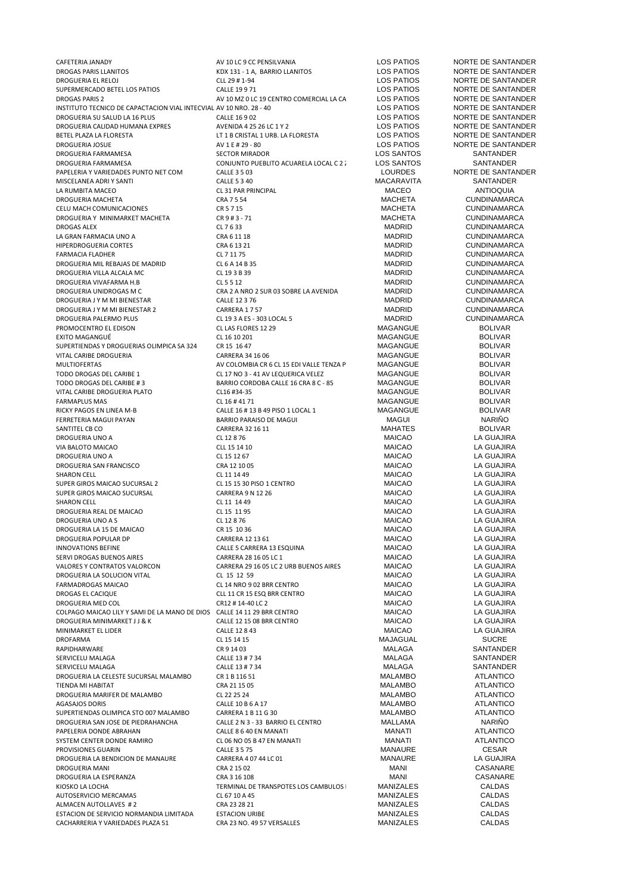| CAFETERIA JANADY                                                        | AV 10 LC 9 CC PENSILVANIA                | LOS PATIOS        | NORTE DE SANTANDER  |
|-------------------------------------------------------------------------|------------------------------------------|-------------------|---------------------|
|                                                                         |                                          | LOS PATIOS        | NORTE DE SANTANDER  |
| DROGAS PARIS LLANITOS                                                   | KDX 131 - 1 A, BARRIO LLANITOS           | <b>LOS PATIOS</b> | NORTE DE SANTANDER  |
| DROGUERIA EL RELOJ                                                      | CLL 29 # 1-94                            |                   | NORTE DE SANTANDER  |
| SUPERMERCADO BETEL LOS PATIOS                                           | CALLE 19971                              | LOS PATIOS        |                     |
| <b>DROGAS PARIS 2</b>                                                   | AV 10 MZ 0 LC 19 CENTRO COMERCIAL LA CA  | <b>LOS PATIOS</b> | NORTE DE SANTANDER  |
| INSTITUTO TECNICO DE CAPACTACION VIAL INTECVIAL AV 10 NRO. 28 - 40      |                                          | <b>LOS PATIOS</b> | NORTE DE SANTANDER  |
| DROGUERIA SU SALUD LA 16 PLUS                                           | CALLE 16 9 02                            | <b>LOS PATIOS</b> | NORTE DE SANTANDER  |
| DROGUERIA CALIDAD HUMANA EXPRES                                         | AVENIDA 4 25 26 LC 1 Y 2                 | <b>LOS PATIOS</b> | NORTE DE SANTANDER  |
| BETEL PLAZA LA FLORESTA                                                 | LT 1 B CRISTAL 1 URB. LA FLORESTA        | LOS PATIOS        | NORTE DE SANTANDER  |
| <b>DROGUERIA JOSUE</b>                                                  | AV 1 E # 29 - 80                         | LOS PATIOS        | NORTE DE SANTANDER  |
| DROGUERIA FARMAMESA                                                     | <b>SECTOR MIRADOR</b>                    | LOS SANTOS        | SANTANDER           |
| DROGUERIA FARMAMESA                                                     | CONJUNTO PUEBLITO ACUARELA LOCAL C 2:    | <b>LOS SANTOS</b> | <b>SANTANDER</b>    |
| PAPELERIA Y VARIEDADES PUNTO NET COM                                    | <b>CALLE 3 5 03</b>                      | <b>LOURDES</b>    | NORTE DE SANTANDER  |
| MISCELANEA ADRI Y SANTI                                                 |                                          |                   | SANTANDER           |
|                                                                         | <b>CALLE 5 3 40</b>                      | MACARAVITA        |                     |
| LA RUMBITA MACEO                                                        | CL 31 PAR PRINCIPAL                      | <b>MACEO</b>      | <b>ANTIOQUIA</b>    |
| DROGUERIA MACHETA                                                       | CRA 7 5 54                               | <b>MACHETA</b>    | <b>CUNDINAMARCA</b> |
| CELU MACH COMUNICACIONES                                                | CR 5 7 15                                | <b>MACHETA</b>    | <b>CUNDINAMARCA</b> |
| DROGUERIA Y MINIMARKET MACHETA                                          | CR 9 # 3 - 71                            | <b>MACHETA</b>    | <b>CUNDINAMARCA</b> |
| DROGAS ALEX                                                             | CL 7 6 33                                | MADRID            | <b>CUNDINAMARCA</b> |
| LA GRAN FARMACIA UNO A                                                  | CRA 6 11 18                              | MADRID            | <b>CUNDINAMARCA</b> |
| HIPERDROGUERIA CORTES                                                   | CRA 6 13 21                              | MADRID            | <b>CUNDINAMARCA</b> |
| <b>FARMACIA FLADHER</b>                                                 | CL 7 11 75                               | MADRID            | <b>CUNDINAMARCA</b> |
| DROGUERIA MIL REBAJAS DE MADRID                                         | CL 6 A 14 B 35                           | <b>MADRID</b>     | <b>CUNDINAMARCA</b> |
|                                                                         | CL 19 3 B 39                             | <b>MADRID</b>     | <b>CUNDINAMARCA</b> |
| DROGUERIA VILLA ALCALA MC                                               |                                          |                   |                     |
| DROGUERIA VIVAFARMA H.B                                                 | CL 5 5 12                                | <b>MADRID</b>     | <b>CUNDINAMARCA</b> |
| DROGUERIA UNIDROGAS M C                                                 | CRA 2 A NRO 2 SUR 03 SOBRE LA AVENIDA    | <b>MADRID</b>     | <b>CUNDINAMARCA</b> |
| DROGUERIA J Y M MI BIENESTAR                                            | CALLE 12 3 76                            | MADRID            | <b>CUNDINAMARCA</b> |
| DROGUERIA J Y M MI BIENESTAR 2                                          | CARRERA 1757                             | MADRID            | <b>CUNDINAMARCA</b> |
| DROGUERIA PALERMO PLUS                                                  | CL 19 3 A ES - 303 LOCAL 5               | <b>MADRID</b>     | <b>CUNDINAMARCA</b> |
| PROMOCENTRO EL EDISON                                                   | CL LAS FLORES 12 29                      | MAGANGUE          | <b>BOLIVAR</b>      |
| EXITO MAGANGUÉ                                                          | CL 16 10 201                             | MAGANGUE          | <b>BOLIVAR</b>      |
| SUPERTIENDAS Y DROGUERIAS OLIMPICA SA 324                               | CR 15 16 47                              | MAGANGUE          | <b>BOLIVAR</b>      |
| VITAL CARIBE DROGUERIA                                                  | CARRERA 34 16 06                         | MAGANGUE          | <b>BOLIVAR</b>      |
|                                                                         |                                          |                   |                     |
| <b>MULTIOFERTAS</b>                                                     | AV COLOMBIA CR 6 CL 15 EDI VALLE TENZA P | MAGANGUE          | <b>BOLIVAR</b>      |
| TODO DROGAS DEL CARIBE 1                                                | CL 17 NO 3 - 41 AV LEQUERICA VELEZ       | MAGANGUE          | <b>BOLIVAR</b>      |
| TODO DROGAS DEL CARIBE #3                                               | BARRIO CORDOBA CALLE 16 CRA 8 C - 85     | MAGANGUE          | <b>BOLIVAR</b>      |
| VITAL CARIBE DROGUERIA PLATO                                            | CL16 #34-35                              | MAGANGUE          | <b>BOLIVAR</b>      |
| <b>FARMAPLUS MAS</b>                                                    | CL 16 #4171                              | MAGANGUE          | <b>BOLIVAR</b>      |
| RICKY PAGOS EN LINEA M-B                                                | CALLE 16 # 13 B 49 PISO 1 LOCAL 1        | MAGANGUE          | <b>BOLIVAR</b>      |
| FERRETERIA MAGUI PAYAN                                                  | BARRIO PARAISO DE MAGUI                  | <b>MAGUI</b>      | <b>NARIÑO</b>       |
| SANTITEL CB CO                                                          | CARRERA 32 16 11                         | <b>MAHATES</b>    | <b>BOLIVAR</b>      |
| DROGUERIA UNO A                                                         | CL 12 8 76                               | <b>MAICAO</b>     | LA GUAJIRA          |
| VIA BALOTO MAICAO                                                       | CLL 15 14 10                             | <b>MAICAO</b>     | LA GUAJIRA          |
|                                                                         |                                          | <b>MAICAO</b>     | LA GUAJIRA          |
| DROGUERIA UNO A                                                         | CL 15 12 67                              | <b>MAICAO</b>     |                     |
| DROGUERIA SAN FRANCISCO                                                 | CRA 12 10 05                             |                   | LA GUAJIRA          |
| SHARON CELL                                                             | CL 11 14 49                              | <b>MAICAO</b>     | LA GUAJIRA          |
| SUPER GIROS MAICAO SUCURSAL 2                                           | CL 15 15 30 PISO 1 CENTRO                | <b>MAICAO</b>     | LA GUAJIRA          |
| SUPER GIROS MAICAO SUCURSAL                                             | <b>CARRERA 9 N 12 26</b>                 | <b>MAICAO</b>     | LA GUAJIRA          |
| <b>SHARON CELL</b>                                                      | CL 11 14 49                              | <b>MAICAO</b>     | <b>LA GUAJIRA</b>   |
| DROGUERIA REAL DE MAICAO                                                | CL 15 11 95                              | <b>MAICAO</b>     | LA GUAJIRA          |
| DROGUERIA UNO A S                                                       | CL 12 8 76                               | <b>MAICAO</b>     | LA GUAJIRA          |
| DROGUERIA LA 15 DE MAICAO                                               | CR 15 10 36                              | <b>MAICAO</b>     | LA GUAJIRA          |
| DROGUERIA POPULAR DP                                                    | CARRERA 12 13 61                         | <b>MAICAO</b>     | LA GUAJIRA          |
|                                                                         |                                          |                   |                     |
| <b>INNOVATIONS BEFINE</b>                                               | CALLE 5 CARRERA 13 ESQUINA               | <b>MAICAO</b>     | LA GUAJIRA          |
| SERVI DROGAS BUENOS AIRES                                               | CARRERA 28 16 05 LC 1                    | <b>MAICAO</b>     | LA GUAJIRA          |
| VALORES Y CONTRATOS VALORCON                                            | CARRERA 29 16 05 LC 2 URB BUENOS AIRES   | <b>MAICAO</b>     | LA GUAJIRA          |
| DROGUERIA LA SOLUCION VITAL                                             | CL 15 12 59                              | <b>MAICAO</b>     | LA GUAJIRA          |
| FARMADROGAS MAICAO                                                      | CL 14 NRO 9 02 BRR CENTRO                | <b>MAICAO</b>     | LA GUAJIRA          |
| DROGAS EL CACIQUE                                                       | CLL 11 CR 15 ESQ BRR CENTRO              | <b>MAICAO</b>     | LA GUAJIRA          |
| DROGUERIA MED COL                                                       | CR12 #14-40 LC 2                         | <b>MAICAO</b>     | LA GUAJIRA          |
| COLPAGO MAICAO LILY Y SAMI DE LA MANO DE DIOS CALLE 14 11 29 BRR CENTRO |                                          | <b>MAICAO</b>     | LA GUAJIRA          |
| DROGUERIA MINIMARKET J J & K                                            | CALLE 12 15 08 BRR CENTRO                | <b>MAICAO</b>     | <b>LA GUAJIRA</b>   |
| MINIMARKET EL LIDER                                                     | CALLE 12 8 43                            | <b>MAICAO</b>     | LA GUAJIRA          |
| DROFARMA                                                                | CL 15 14 15                              | MAJAGUAL          | <b>SUCRE</b>        |
|                                                                         |                                          |                   |                     |
| RAPIDHARWARE                                                            | CR 9 14 03                               | MALAGA            | SANTANDER           |
| SERVICELU MALAGA                                                        | CALLE 13 # 7 34                          | MALAGA            | SANTANDER           |
| SERVICELU MALAGA                                                        | CALLE 13 # 7 34                          | MALAGA            | SANTANDER           |
| DROGUERIA LA CELESTE SUCURSAL MALAMBO                                   | CR 1 B 116 51                            | MALAMBO           | ATLANTICO           |
| TIENDA MI HABITAT                                                       | CRA 21 15 05                             | MALAMBO           | <b>ATLANTICO</b>    |
| DROGUERIA MARIFER DE MALAMBO                                            | CL 22 25 24                              | MALAMBO           | <b>ATLANTICO</b>    |
| <b>AGASAJOS DORIS</b>                                                   | CALLE 10 B 6 A 17                        | <b>MALAMBO</b>    | <b>ATLANTICO</b>    |
| SUPERTIENDAS OLIMPICA STO 007 MALAMBO                                   | CARRERA 1 B 11 G 30                      | MALAMBO           | <b>ATLANTICO</b>    |
| DROGUERIA SAN JOSE DE PIEDRAHANCHA                                      | CALLE 2 N 3 - 33 BARRIO EL CENTRO        | MALLAMA           | <b>NARIÑO</b>       |
| PAPELERIA DONDE ABRAHAN                                                 | CALLE 8 6 40 EN MANATI                   | MANATI            | <b>ATLANTICO</b>    |
| SYSTEM CENTER DONDE RAMIRO                                              |                                          |                   | <b>ATLANTICO</b>    |
|                                                                         | CL 06 NO 05 B 47 EN MANATI               | MANATI            |                     |
| PROVISIONES GUARIN                                                      | <b>CALLE 3 5 75</b>                      | MANAURE           | <b>CESAR</b>        |
| DROGUERIA LA BENDICION DE MANAURE                                       | CARRERA 4 07 44 LC 01                    | MANAURE           | LA GUAJIRA          |
| DROGUERIA MANI                                                          | CRA 2 15 02                              | MANI              | CASANARE            |
| DROGUERIA LA ESPERANZA                                                  | CRA 3 16 108                             | MANI              | CASANARE            |
| KIOSKO LA LOCHA                                                         | TERMINAL DE TRANSPOTES LOS CAMBULOS      | MANIZALES         | CALDAS              |
| AUTOSERVICIO MERCAMAS                                                   | CL 67 10 A 45                            | MANIZALES         | CALDAS              |
| ALMACEN AUTOLLAVES #2                                                   | CRA 23 28 21                             | MANIZALES         | CALDAS              |
| ESTACION DE SERVICIO NORMANDIA LIMITADA                                 | <b>ESTACION URIBE</b>                    | MANIZALES         | CALDAS              |
|                                                                         |                                          |                   |                     |
| CACHARRERIA Y VARIEDADES PLAZA 51                                       | CRA 23 NO. 49 57 VERSALLES               | MANIZALES         | CALDAS              |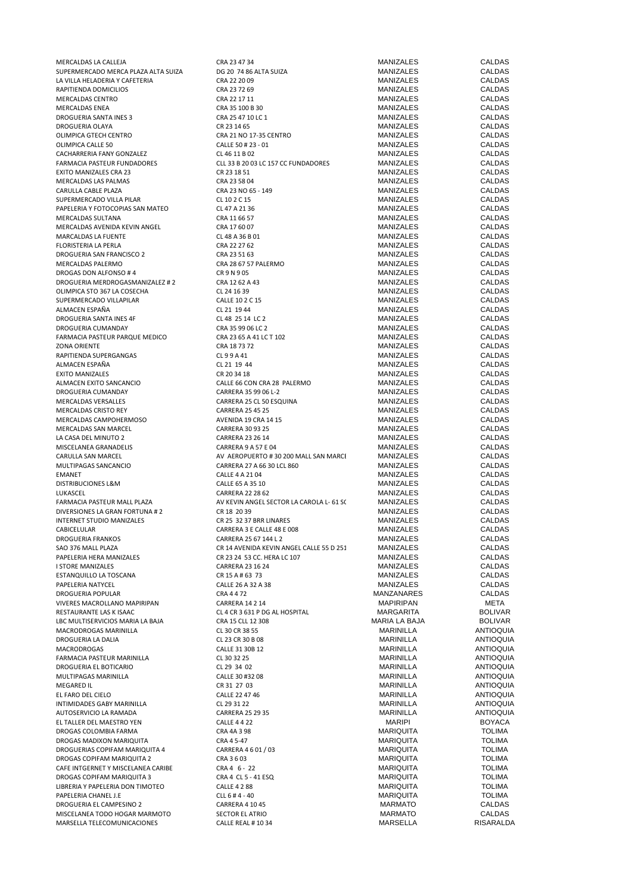| MERCALDAS LA CALLEJA                | CRA 23 47 34                             | MANIZALES            | CALDAS           |
|-------------------------------------|------------------------------------------|----------------------|------------------|
| SUPERMERCADO MERCA PLAZA ALTA SUIZA | DG 20 74 86 ALTA SUIZA                   | <b>MANIZALES</b>     | <b>CALDAS</b>    |
| LA VILLA HELADERIA Y CAFETERIA      | CRA 22 20 09                             | MANIZALES            | <b>CALDAS</b>    |
| RAPITIENDA DOMICILIOS               | CRA 23 72 69                             | MANIZALES            | CALDAS           |
| MERCALDAS CENTRO                    | CRA 22 17 11                             | <b>MANIZALES</b>     | <b>CALDAS</b>    |
| MERCALDAS ENEA                      | CRA 35 100 B 30                          | MANIZALES            | CALDAS           |
| DROGUERIA SANTA INES 3              | CRA 25 47 10 LC 1                        | <b>MANIZALES</b>     | <b>CALDAS</b>    |
|                                     |                                          |                      |                  |
| DROGUERIA OLAYA                     | CR 23 14 65                              | MANIZALES            | <b>CALDAS</b>    |
| OLIMPICA GTECH CENTRO               | CRA 21 NO 17-35 CENTRO                   | MANIZALES            | <b>CALDAS</b>    |
| OLIMPICA CALLE 50                   | CALLE 50 # 23 - 01                       | MANIZALES            | <b>CALDAS</b>    |
| CACHARRERIA FANY GONZALEZ           | CL 46 11 B 02                            | <b>MANIZALES</b>     | <b>CALDAS</b>    |
| FARMACIA PASTEUR FUNDADORES         | CLL 33 B 20 03 LC 157 CC FUNDADORES      | MANIZALES            | CALDAS           |
| EXITO MANIZALES CRA 23              | CR 23 18 51                              | <b>MANIZALES</b>     | CALDAS           |
| MERCALDAS LAS PALMAS                | CRA 23 58 04                             | MANIZALES            | CALDAS           |
| CARULLA CABLE PLAZA                 | CRA 23 NO 65 - 149                       | MANIZALES            | CALDAS           |
| SUPERMERCADO VILLA PILAR            | CL 10 2 C 15                             | <b>MANIZALES</b>     | CALDAS           |
|                                     |                                          |                      |                  |
| PAPELERIA Y FOTOCOPIAS SAN MATEO    | CL 47 A 21 36                            | MANIZALES            | <b>CALDAS</b>    |
| MERCALDAS SULTANA                   | CRA 11 66 57                             | MANIZALES            | <b>CALDAS</b>    |
| MERCALDAS AVENIDA KEVIN ANGEL       | CRA 17 60 07                             | MANIZALES            | <b>CALDAS</b>    |
| MARCALDAS LA FUENTE                 | CL 48 A 36 B 01                          | MANIZALES            | <b>CALDAS</b>    |
| FLORISTERIA LA PERLA                | CRA 22 27 62                             | MANIZALES            | CALDAS           |
| DROGUERIA SAN FRANCISCO 2           | CRA 23 51 63                             | MANIZALES            | CALDAS           |
| MERCALDAS PALERMO                   | CRA 28 67 57 PALERMO                     | MANIZALES            | CALDAS           |
|                                     |                                          |                      |                  |
| DROGAS DON ALFONSO #4               | CR 9 N 9 05                              | MANIZALES            | <b>CALDAS</b>    |
| DROGUERIA MERDROGASMANIZALEZ # 2    | CRA 12 62 A 43                           | MANIZALES            | <b>CALDAS</b>    |
| OLIMPICA STO 367 LA COSECHA         | CL 24 16 39                              | MANIZALES            | <b>CALDAS</b>    |
| SUPERMERCADO VILLAPILAR             | CALLE 10 2 C 15                          | <b>MANIZALES</b>     | <b>CALDAS</b>    |
| ALMACEN ESPAÑA                      | CL 21 19 44                              | <b>MANIZALES</b>     | <b>CALDAS</b>    |
| DROGUERIA SANTA INES 4F             | CL 48 25 14 LC 2                         | MANIZALES            | CALDAS           |
| DROGUERIA CUMANDAY                  | CRA 35 99 06 LC 2                        | MANIZALES            | <b>CALDAS</b>    |
|                                     |                                          |                      |                  |
| FARMACIA PASTEUR PARQUE MEDICO      | CRA 23 65 A 41 LC T 102                  | MANIZALES            | CALDAS           |
| <b>ZONA ORIENTE</b>                 | CRA 187372                               | MANIZALES            | CALDAS           |
| RAPITIENDA SUPERGANGAS              | CL99A41                                  | MANIZALES            | CALDAS           |
| ALMACEN ESPAÑA                      | CL 21 19 44                              | MANIZALES            | <b>CALDAS</b>    |
| <b>EXITO MANIZALES</b>              | CR 20 34 18                              | MANIZALES            | <b>CALDAS</b>    |
| ALMACEN EXITO SANCANCIO             | CALLE 66 CON CRA 28 PALERMO              | MANIZALES            | <b>CALDAS</b>    |
|                                     |                                          | MANIZALES            | <b>CALDAS</b>    |
| DROGUERIA CUMANDAY                  | CARRERA 35 99 06 L-2                     |                      |                  |
| MERCALDAS VERSALLES                 | CARRERA 25 CL 50 ESQUINA                 | MANIZALES            | CALDAS           |
| MERCALDAS CRISTO REY                | <b>CARRERA 25 45 25</b>                  | MANIZALES            | CALDAS           |
| MERCALDAS CAMPOHERMOSO              | AVENIDA 19 CRA 14 15                     | MANIZALES            | CALDAS           |
| MERCALDAS SAN MARCEL                | <b>CARRERA 30 93 25</b>                  | MANIZALES            | CALDAS           |
| LA CASA DEL MINUTO 2                | <b>CARRERA 23 26 14</b>                  | MANIZALES            | CALDAS           |
| MISCELANEA GRANADELIS               | <b>CARRERA 9 A 57 E 04</b>               | <b>MANIZALES</b>     | <b>CALDAS</b>    |
| CARULLA SAN MARCEL                  | AV AEROPUERTO #30 200 MALL SAN MARCI     | MANIZALES            | <b>CALDAS</b>    |
|                                     |                                          |                      |                  |
| MULTIPAGAS SANCANCIO                | CARRERA 27 A 66 30 LCL 860               | <b>MANIZALES</b>     | <b>CALDAS</b>    |
| <b>EMANET</b>                       | CALLE 4 A 21 04                          | MANIZALES            | CALDAS           |
| DISTRIBUCIONES L&M                  | CALLE 65 A 35 10                         | <b>MANIZALES</b>     | <b>CALDAS</b>    |
| LUKASCEL                            | <b>CARRERA 22 28 62</b>                  | <b>MANIZALES</b>     | CALDAS           |
| FARMACIA PASTEUR MALL PLAZA         | AV KEVIN ANGEL SECTOR LA CAROLA L- 61 SC | MANIZALES            | CALDAS           |
| DIVERSIONES LA GRAN FORTUNA # 2     | CR 18 20 39                              | MANIZALES            | CALDAS           |
| INTERNET STUDIO MANIZALES           | CR 25 32 37 BRR LINARES                  | MANIZALES            | <b>CALDAS</b>    |
|                                     |                                          |                      | <b>CALDAS</b>    |
| CABICELULAR                         | CARRERA 3 E CALLE 48 E 008               | <b>MANIZALES</b>     |                  |
| <b>DROGUERIA FRANKOS</b>            | CARRERA 25 67 144 L 2                    | MANIZALES            | CALDAS           |
| SAO 376 MALL PLAZA                  | CR 14 AVENIDA KEVIN ANGEL CALLE 55 D 251 | MANIZALES            | CALDAS           |
| PAPELERIA HERA MANIZALES            | CR 23 24 53 CC. HERA LC 107              | MANIZALES            | CALDAS           |
| I STORE MANIZALES                   | CARRERA 23 16 24                         | <b>MANIZALES</b>     | CALDAS           |
| ESTANQUILLO LA TOSCANA              | CR 15 A # 63 73                          | MANIZALES            | CALDAS           |
| PAPELERIA NATYCEL                   | CALLE 26 A 32 A 38                       | MANIZALES            | CALDAS           |
|                                     | CRA 4472                                 | <b>MANZANARES</b>    | CALDAS           |
| DROGUERIA POPULAR                   |                                          |                      |                  |
| VIVERES MACROLLANO MAPIRIPAN        | CARRERA 14 2 14                          | <b>MAPIRIPAN</b>     | META             |
| RESTAURANTE LAS K ISAAC             | CL 4 CR 3 631 P DG AL HOSPITAL           | <b>MARGARITA</b>     | <b>BOLIVAR</b>   |
| LBC MULTISERVICIOS MARIA LA BAJA    | CRA 15 CLL 12 308                        | <b>MARIA LA BAJA</b> | <b>BOLIVAR</b>   |
| MACRODROGAS MARINILLA               | CL 30 CR 38 55                           | <b>MARINILLA</b>     | <b>ANTIOQUIA</b> |
| DROGUERIA LA DALIA                  | CL 23 CR 30 B 08                         | <b>MARINILLA</b>     | <b>ANTIOQUIA</b> |
| MACRODROGAS                         | CALLE 31 30B 12                          | <b>MARINILLA</b>     | <b>ANTIOQUIA</b> |
| FARMACIA PASTEUR MARINILLA          | CL 30 32 25                              | <b>MARINILLA</b>     | <b>ANTIOQUIA</b> |
|                                     |                                          |                      |                  |
| DROGUERIA EL BOTICARIO              | CL 29 34 02                              | <b>MARINILLA</b>     | <b>ANTIOQUIA</b> |
| MULTIPAGAS MARINILLA                | CALLE 30 #32 08                          | <b>MARINILLA</b>     | <b>ANTIOQUIA</b> |
| <b>MEGARED IL</b>                   | CR 31 27 03                              | <b>MARINILLA</b>     | <b>ANTIOQUIA</b> |
| EL FARO DEL CIELO                   | CALLE 22 47 46                           | MARINILLA            | <b>ANTIOQUIA</b> |
| INTIMIDADES GABY MARINILLA          | CL 29 31 22                              | <b>MARINILLA</b>     | <b>ANTIOQUIA</b> |
| AUTOSERVICIO LA RAMADA              | <b>CARRERA 25 29 35</b>                  | MARINILLA            | <b>ANTIOQUIA</b> |
| EL TALLER DEL MAESTRO YEN           | <b>CALLE 4 4 22</b>                      | MARIPI               | BOYACA           |
|                                     |                                          |                      |                  |
| DROGAS COLOMBIA FARMA               | CRA 4A 3 98                              | <b>MARIQUITA</b>     | TOLIMA           |
| DROGAS MADIXON MARIQUITA            | CRA 4 5-47                               | <b>MARIQUITA</b>     | <b>TOLIMA</b>    |
| DROGUERIAS COPIFAM MARIQUITA 4      | CARRERA 4 6 01 / 03                      | <b>MARIQUITA</b>     | <b>TOLIMA</b>    |
| DROGAS COPIFAM MARIQUITA 2          | CRA 3 6 03                               | <b>MARIQUITA</b>     | <b>TOLIMA</b>    |
| CAFE INTGERNET Y MISCELANEA CARIBE  | CRA 4 6 - 22                             | <b>MARIQUITA</b>     | <b>TOLIMA</b>    |
| DROGAS COPIFAM MARIQUITA 3          | CRA 4 CL 5 - 41 ESQ                      | <b>MARIQUITA</b>     | <b>TOLIMA</b>    |
|                                     |                                          |                      |                  |
| LIBRERIA Y PAPELERIA DON TIMOTEO    | <b>CALLE 4 2 88</b>                      | <b>MARIQUITA</b>     | <b>TOLIMA</b>    |
| PAPELERIA CHANEL J.E                | CLL 6 # 4 - 40                           | <b>MARIQUITA</b>     | TOLIMA           |
| DROGUERIA EL CAMPESINO 2            | CARRERA 4 10 45                          | <b>MARMATO</b>       | CALDAS           |
| MISCELANEA TODO HOGAR MARMOTO       | SECTOR EL ATRIO                          | <b>MARMATO</b>       | CALDAS           |
| MARSELLA TELECOMUNICACIONES         | CALLE REAL #1034                         | MARSELLA             | RISARALDA        |
|                                     |                                          |                      |                  |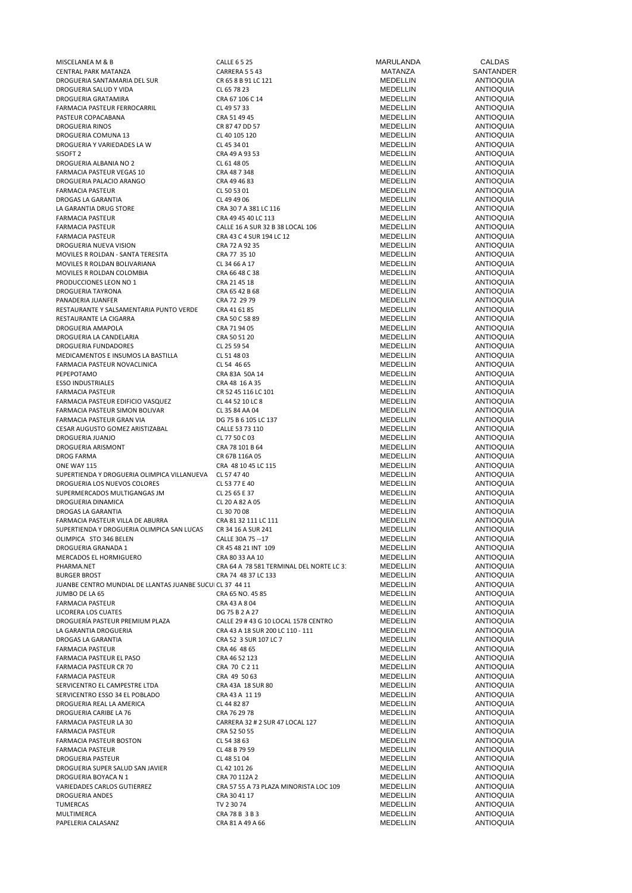| MISCELANEA M & B                                          | <b>CALLE 6 5 25</b>                     | MARULANDA       | CALDAS           |
|-----------------------------------------------------------|-----------------------------------------|-----------------|------------------|
| CENTRAL PARK MATANZA                                      | CARRERA 5 5 43                          | MATANZA         | SANTANDER        |
| DROGUERIA SANTAMARIA DEL SUR                              | CR 65 8 B 91 LC 121                     | MEDELLIN        | <b>ANTIOQUIA</b> |
| DROGUERIA SALUD Y VIDA                                    | CL 65 78 23                             | <b>MEDELLIN</b> | <b>ANTIOQUIA</b> |
| DROGUERIA GRATAMIRA                                       | CRA 67 106 C 14                         | MEDELLIN        | <b>ANTIOQUIA</b> |
| FARMACIA PASTEUR FERROCARRIL                              | CL 49 57 33                             | MEDELLIN        | <b>ANTIOQUIA</b> |
| PASTEUR COPACABANA                                        | CRA 51 49 45                            | MEDELLIN        | <b>ANTIOQUIA</b> |
|                                                           |                                         |                 |                  |
| DROGUERIA RINOS                                           | CR 87 47 DD 57                          | MEDELLIN        | <b>ANTIOQUIA</b> |
| DROGUERIA COMUNA 13                                       | CL 40 105 120                           | MEDELLIN        | <b>ANTIOQUIA</b> |
| DROGUERIA Y VARIEDADES LA W                               | CL 45 34 01                             | MEDELLIN        | <b>ANTIOQUIA</b> |
| SISOFT <sub>2</sub>                                       | CRA 49 A 93 53                          | MEDELLIN        | <b>ANTIOQUIA</b> |
| DROGUERIA ALBANIA NO 2                                    | CL 61 48 05                             | MEDELLIN        | <b>ANTIOQUIA</b> |
| FARMACIA PASTEUR VEGAS 10                                 | CRA 48 7 348                            | MEDELLIN        | <b>ANTIOQUIA</b> |
| DROGUERIA PALACIO ARANGO                                  | CRA 49 46 83                            | MEDELLIN        | <b>ANTIOQUIA</b> |
|                                                           |                                         |                 |                  |
| <b>FARMACIA PASTEUR</b>                                   | CL 50 53 01                             | MEDELLIN        | <b>ANTIOQUIA</b> |
| DROGAS LA GARANTIA                                        | CL 49 49 06                             | MEDELLIN        | <b>ANTIOQUIA</b> |
| LA GARANTIA DRUG STORE                                    | CRA 30 7 A 381 LC 116                   | MEDELLIN        | <b>ANTIOQUIA</b> |
| <b>FARMACIA PASTEUR</b>                                   | CRA 49 45 40 LC 113                     | MEDELLIN        | <b>ANTIOQUIA</b> |
| <b>FARMACIA PASTEUR</b>                                   | CALLE 16 A SUR 32 B 38 LOCAL 106        | MEDELLIN        | <b>ANTIOQUIA</b> |
| <b>FARMACIA PASTEUR</b>                                   | CRA 43 C 4 SUR 194 LC 12                | MEDELLIN        | <b>ANTIOQUIA</b> |
|                                                           |                                         | MEDELLIN        | <b>ANTIOQUIA</b> |
| DROGUERIA NUEVA VISION                                    | CRA 72 A 92 35                          |                 |                  |
| MOVILES R ROLDAN - SANTA TERESITA                         | CRA 77 35 10                            | MEDELLIN        | <b>ANTIOQUIA</b> |
| MOVILES R ROLDAN BOLIVARIANA                              | CL 34 66 A 17                           | MEDELLIN        | <b>ANTIOQUIA</b> |
| MOVILES R ROLDAN COLOMBIA                                 | CRA 66 48 C 38                          | MEDELLIN        | <b>ANTIOQUIA</b> |
| PRODUCCIONES LEON NO 1                                    | CRA 21 45 18                            | MEDELLIN        | <b>ANTIOQUIA</b> |
| DROGUERIA TAYRONA                                         | CRA 65 42 B 68                          | MEDELLIN        | <b>ANTIOQUIA</b> |
| PANADERIA JUANFER                                         | CRA 72 29 79                            | <b>MEDELLIN</b> | <b>ANTIOQUIA</b> |
| RESTAURANTE Y SALSAMENTARIA PUNTO VERDE                   | CRA 41 61 85                            | MEDELLIN        | <b>ANTIOQUIA</b> |
|                                                           |                                         |                 |                  |
| RESTAURANTE LA CIGARRA                                    | CRA 50 C 58 89                          | MEDELLIN        | <b>ANTIOQUIA</b> |
| DROGUERIA AMAPOLA                                         | CRA 71 94 05                            | MEDELLIN        | <b>ANTIOQUIA</b> |
| DROGUERIA LA CANDELARIA                                   | CRA 50 51 20                            | MEDELLIN        | <b>ANTIOQUIA</b> |
| DROGUERIA FUNDADORES                                      | CL 25 59 54                             | MEDELLIN        | <b>ANTIOQUIA</b> |
| MEDICAMENTOS E INSUMOS LA BASTILLA                        | CL 51 48 03                             | MEDELLIN        | <b>ANTIOQUIA</b> |
| FARMACIA PASTEUR NOVACLINICA                              | CL 54 46 65                             | MEDELLIN        | <b>ANTIOQUIA</b> |
|                                                           |                                         |                 |                  |
| PEPEPOTAMO                                                | CRA 83A 50A 14                          | MEDELLIN        | <b>ANTIOQUIA</b> |
| <b>ESSO INDUSTRIALES</b>                                  | CRA 48 16 A 35                          | MEDELLIN        | <b>ANTIOQUIA</b> |
| FARMACIA PASTEUR                                          | CR 52 45 116 LC 101                     | MEDELLIN        | <b>ANTIOQUIA</b> |
| FARMACIA PASTEUR EDIFICIO VASQUEZ                         | CL 44 52 10 LC 8                        | MEDELLIN        | <b>ANTIOQUIA</b> |
| FARMACIA PASTEUR SIMON BOLIVAR                            | CL 35 84 AA 04                          | MEDELLIN        | <b>ANTIOQUIA</b> |
| FARMACIA PASTEUR GRAN VIA                                 | DG 75 B 6 105 LC 137                    | MEDELLIN        | <b>ANTIOQUIA</b> |
| CESAR AUGUSTO GOMEZ ARISTIZABAL                           | CALLE 53 73 110                         | MEDELLIN        | <b>ANTIOQUIA</b> |
|                                                           |                                         |                 |                  |
| DROGUERIA JUANJO                                          | CL 77 50 C 03                           | MEDELLIN        | <b>ANTIOQUIA</b> |
| DROGUERIA ARISMONT                                        | CRA 78 101 B 64                         | MEDELLIN        | <b>ANTIOQUIA</b> |
| DROG FARMA                                                | CR 67B 116A 05                          | MEDELLIN        | <b>ANTIOQUIA</b> |
| ONE WAY 115                                               | CRA 48 10 45 LC 115                     | MEDELLIN        | <b>ANTIOQUIA</b> |
| SUPERTIENDA Y DROGUERIA OLIMPICA VILLANUEVA               | CL 57 47 40                             | MEDELLIN        | <b>ANTIOQUIA</b> |
| DROGUERIA LOS NUEVOS COLORES                              | CL 53 77 E 40                           | MEDELLIN        | <b>ANTIOQUIA</b> |
| SUPERMERCADOS MULTIGANGAS JM                              |                                         |                 | <b>ANTIOQUIA</b> |
|                                                           | CL 25 65 E 37                           | MEDELLIN        |                  |
| DROGUERIA DINAMICA                                        | CL 20 A 82 A 05                         | MEDELLIN        | <b>ANTIOQUIA</b> |
| DROGAS LA GARANTIA                                        | CL 30 70 08                             | MEDELLIN        | <b>ANTIOQUIA</b> |
| FARMACIA PASTEUR VILLA DE ABURRA                          | CRA 81 32 111 LC 111                    | MEDELLIN        | <b>ANTIOQUIA</b> |
| SUPERTIENDA Y DROGUERIA OLIMPICA SAN LUCAS                | CR 34 16 A SUR 241                      | MEDELLIN        | <b>ANTIOQUIA</b> |
| OLIMPICA STO 346 BELEN                                    | CALLE 30A 75 -- 17                      | MEDELLIN        | <b>ANTIOQUIA</b> |
| DROGUERIA GRANADA 1                                       | CR 45 48 21 INT 109                     | MEDELLIN        | <b>ANTIOQUIA</b> |
|                                                           |                                         |                 |                  |
| MERCADOS EL HORMIGUERO                                    | CRA 80 33 AA 10                         | <b>MEDELLIN</b> | <b>ANTIOQUIA</b> |
| PHARMA.NET                                                | CRA 64 A 78 581 TERMINAL DEL NORTE LC 3 | MEDELLIN        | <b>ANTIOQUIA</b> |
| <b>BURGER BROST</b>                                       | CRA 74 48 37 LC 133                     | MEDELLIN        | <b>ANTIOQUIA</b> |
| JUANBE CENTRO MUNDIAL DE LLANTAS JUANBE SUCUI CL 37 44 11 |                                         | MEDELLIN        | <b>ANTIOQUIA</b> |
| JUMBO DE LA 65                                            | CRA 65 NO. 45 85                        | MEDELLIN        | <b>ANTIOQUIA</b> |
| FARMACIA PASTEUR                                          | CRA 43 A 8 04                           | MEDELLIN        | <b>ANTIOQUIA</b> |
| LICORERA LOS CUATES                                       | DG 75 B 2 A 27                          | MEDELLIN        | <b>ANTIOQUIA</b> |
| DROGUERÍA PASTEUR PREMIUM PLAZA                           |                                         |                 |                  |
|                                                           | CALLE 29 # 43 G 10 LOCAL 1578 CENTRO    | MEDELLIN        | <b>ANTIOQUIA</b> |
| LA GARANTIA DROGUERIA                                     | CRA 43 A 18 SUR 200 LC 110 - 111        | MEDELLIN        | <b>ANTIOQUIA</b> |
| DROGAS LA GARANTIA                                        | CRA 52 3 SUR 107 LC 7                   | MEDELLIN        | <b>ANTIOQUIA</b> |
| <b>FARMACIA PASTEUR</b>                                   | CRA 46 48 65                            | MEDELLIN        | <b>ANTIOQUIA</b> |
| <b>FARMACIA PASTEUR EL PASO</b>                           | CRA 46 52 123                           | <b>MEDELLIN</b> | <b>ANTIOQUIA</b> |
| FARMACIA PASTEUR CR 70                                    | CRA 70 C 2 11                           | MEDELLIN        | <b>ANTIOQUIA</b> |
| FARMACIA PASTEUR                                          | CRA 49 50 63                            | MEDELLIN        | <b>ANTIOQUIA</b> |
| SERVICENTRO EL CAMPESTRE LTDA                             | CRA 43A 18 SUR 80                       | MEDELLIN        | <b>ANTIOQUIA</b> |
|                                                           |                                         |                 |                  |
| SERVICENTRO ESSO 34 EL POBLADO                            | CRA 43 A 11 19                          | MEDELLIN        | <b>ANTIOQUIA</b> |
| DROGUERIA REAL LA AMERICA                                 | CL 44 82 87                             | MEDELLIN        | <b>ANTIOQUIA</b> |
| DROGUERIA CARIBE LA 76                                    | CRA 76 29 78                            | MEDELLIN        | <b>ANTIOQUIA</b> |
| FARMACIA PASTEUR LA 30                                    | CARRERA 32 # 2 SUR 47 LOCAL 127         | MEDELLIN        | <b>ANTIOQUIA</b> |
| FARMACIA PASTEUR                                          | CRA 52 50 55                            | MEDELLIN        | <b>ANTIOQUIA</b> |
| <b>FARMACIA PASTEUR BOSTON</b>                            | CL 54 38 63                             | MEDELLIN        | <b>ANTIOQUIA</b> |
|                                                           |                                         | MEDELLIN        | <b>ANTIOQUIA</b> |
| FARMACIA PASTEUR                                          | CL 48 B 79 59                           |                 |                  |
| DROGUERIA PASTEUR                                         | CL 48 51 04                             | MEDELLIN        | <b>ANTIOQUIA</b> |
| DROGUERIA SUPER SALUD SAN JAVIER                          | CL 42 101 26                            | MEDELLIN        | <b>ANTIOQUIA</b> |
| DROGUERIA BOYACA N 1                                      | CRA 70 112A 2                           | MEDELLIN        | <b>ANTIOQUIA</b> |
| VARIEDADES CARLOS GUTIERREZ                               | CRA 57 55 A 73 PLAZA MINORISTA LOC 109  | MEDELLIN        | <b>ANTIOQUIA</b> |
| DROGUERIA ANDES                                           | CRA 30 41 17                            | MEDELLIN        | <b>ANTIOQUIA</b> |
| TUMERCAS                                                  | TV 2 30 74                              | MEDELLIN        | <b>ANTIOQUIA</b> |
|                                                           |                                         |                 |                  |
| MULTIMERCA                                                | CRA 78 B 3 B 3                          | MEDELLIN        | <b>ANTIOQUIA</b> |
| PAPELERIA CALASANZ                                        | CRA 81 A 49 A 66                        | MEDELLIN        | ANTIOQUIA        |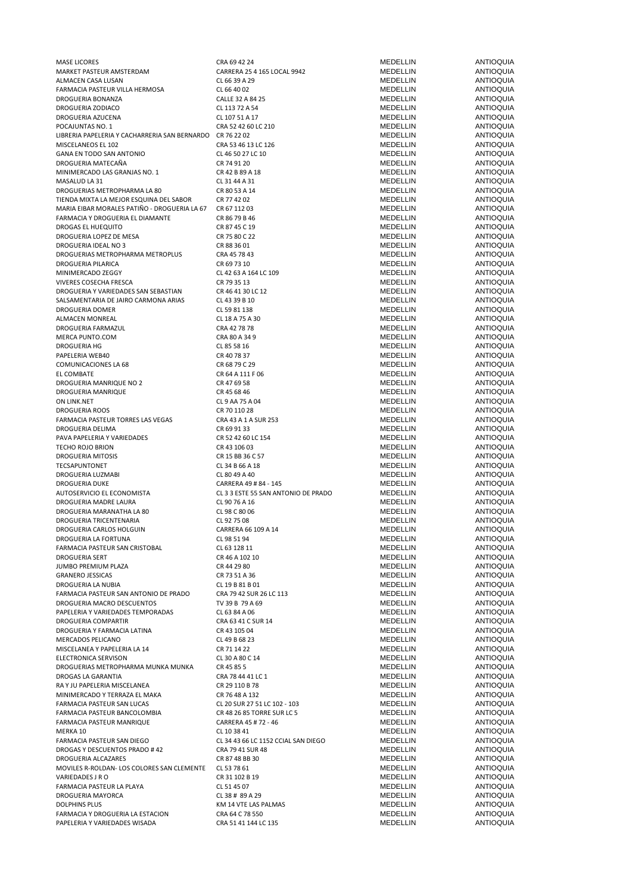| <b>MASE LICORES</b>                                       | CRA 69 42 24                        | MEDELLIN        | ANTIOQUIA        |
|-----------------------------------------------------------|-------------------------------------|-----------------|------------------|
| MARKET PASTEUR AMSTERDAM                                  | CARRERA 25 4 165 LOCAL 9942         | MEDELLIN        | ANTIOQUIA        |
|                                                           |                                     |                 |                  |
| ALMACEN CASA LUSAN                                        | CL 66 39 A 29                       | MEDELLIN        | ANTIOQUIA        |
| FARMACIA PASTEUR VILLA HERMOSA                            | CL 66 40 02                         | MEDELLIN        | <b>ANTIOQUIA</b> |
| DROGUERIA BONANZA                                         | CALLE 32 A 84 25                    | MEDELLIN        | ANTIOQUIA        |
|                                                           |                                     |                 |                  |
| DROGUERIA ZODIACO                                         | CL 113 72 A 54                      | MEDELLIN        | ANTIOQUIA        |
| DROGUERIA AZUCENA                                         | CL 107 51 A 17                      | MEDELLIN        | <b>ANTIOQUIA</b> |
| POCAJUNTAS NO. 1                                          | CRA 52 42 60 LC 210                 | MEDELLIN        | <b>ANTIOQUIA</b> |
|                                                           |                                     |                 |                  |
| LIBRERIA PAPELERIA Y CACHARRERIA SAN BERNARDO CR 76 22 02 |                                     | MEDELLIN        | ANTIOQUIA        |
| MISCELANEOS EL 102                                        | CRA 53 46 13 LC 126                 | MEDELLIN        | <b>ANTIOQUIA</b> |
| GANA EN TODO SAN ANTONIO                                  | CL 46 50 27 LC 10                   | MEDELLIN        | <b>ANTIOQUIA</b> |
|                                                           |                                     |                 |                  |
| DROGUERIA MATECAÑA                                        | CR 74 91 20                         | MEDELLIN        | ANTIOQUIA        |
| MINIMERCADO LAS GRANJAS NO. 1                             | CR 42 B 89 A 18                     | MEDELLIN        | ANTIOQUIA        |
| MASALUD LA 31                                             | CL 31 44 A 31                       | MEDELLIN        | ANTIOQUIA        |
|                                                           |                                     |                 |                  |
| DROGUERIAS METROPHARMA LA 80                              | CR 80 53 A 14                       | <b>MEDELLIN</b> | <b>ANTIOQUIA</b> |
| TIENDA MIXTA LA MEJOR ESQUINA DEL SABOR                   | CR 77 42 02                         | MEDELLIN        | ANTIOQUIA        |
| MARIA EIBAR MORALES PATIÑO - DROGUERIA LA 67              |                                     | MEDELLIN        | <b>ANTIOQUIA</b> |
|                                                           | CR 67 112 03                        |                 |                  |
| FARMACIA Y DROGUERIA EL DIAMANTE                          | CR 86 79 B 46                       | MEDELLIN        | ANTIOQUIA        |
| DROGAS EL HUEQUITO                                        | CR 87 45 C 19                       | MEDELLIN        | <b>ANTIOQUIA</b> |
|                                                           |                                     |                 | <b>ANTIOQUIA</b> |
| DROGUERIA LOPEZ DE MESA                                   | CR 75 80 C 22                       | MEDELLIN        |                  |
| DROGUERIA IDEAL NO 3                                      | CR 88 36 01                         | MEDELLIN        | ANTIOQUIA        |
| DROGUERIAS METROPHARMA METROPLUS                          | CRA 45 78 43                        | MEDELLIN        | ANTIOQUIA        |
|                                                           |                                     |                 |                  |
| DROGUERIA PILARICA                                        | CR 69 73 10                         | MEDELLIN        | ANTIOQUIA        |
| MINIMERCADO ZEGGY                                         | CL 42 63 A 164 LC 109               | MEDELLIN        | <b>ANTIOQUIA</b> |
| VIVERES COSECHA FRESCA                                    | CR 79 35 13                         | MEDELLIN        | <b>ANTIOQUIA</b> |
|                                                           |                                     |                 |                  |
| DROGUERIA Y VARIEDADES SAN SEBASTIAN                      | CR 46 41 30 LC 12                   | MEDELLIN        | ANTIOQUIA        |
| SALSAMENTARIA DE JAIRO CARMONA ARIAS                      | CL 43 39 B 10                       | MEDELLIN        | <b>ANTIOQUIA</b> |
| DROGUERIA DOMER                                           | CL 59 81 138                        | MEDELLIN        | ANTIOQUIA        |
|                                                           |                                     |                 |                  |
| ALMACEN MONREAL                                           | CL 18 A 75 A 30                     | MEDELLIN        | ANTIOQUIA        |
| DROGUERIA FARMAZUL                                        | CRA 42 78 78                        | MEDELLIN        | ANTIOQUIA        |
| MERCA PUNTO.COM                                           | CRA 80 A 34 9                       | MEDELLIN        | ANTIOQUIA        |
|                                                           |                                     |                 |                  |
| DROGUERIA HG                                              | CL 85 58 16                         | <b>MEDELLIN</b> | <b>ANTIOQUIA</b> |
| PAPELERIA WEB40                                           | CR 40 78 37                         | MEDELLIN        | ANTIOQUIA        |
| COMUNICACIONES LA 68                                      | CR 68 79 C 29                       | MEDELLIN        | <b>ANTIOQUIA</b> |
|                                                           |                                     |                 |                  |
| EL COMBATE                                                | CR 64 A 111 F 06                    | MEDELLIN        | ANTIOQUIA        |
| DROGUERIA MANRIQUE NO 2                                   | CR 47 69 58                         | MEDELLIN        | <b>ANTIOQUIA</b> |
|                                                           |                                     |                 |                  |
| DROGUERIA MANRIQUE                                        | CR 45 68 46                         | MEDELLIN        | ANTIOQUIA        |
| ON LINK.NET                                               | CL 9 AA 75 A 04                     | MEDELLIN        | ANTIOQUIA        |
| <b>DROGUERIA ROOS</b>                                     | CR 70 110 28                        | MEDELLIN        | ANTIOQUIA        |
|                                                           |                                     |                 |                  |
| FARMACIA PASTEUR TORRES LAS VEGAS                         | CRA 43 A 1 A SUR 253                | MEDELLIN        | ANTIOQUIA        |
| DROGUERIA DELIMA                                          | CR 69 91 33                         | <b>MEDELLIN</b> | <b>ANTIOQUIA</b> |
| PAVA PAPELERIA Y VARIEDADES                               | CR 52 42 60 LC 154                  | MEDELLIN        | <b>ANTIOQUIA</b> |
|                                                           |                                     |                 |                  |
| TECHO ROJO BRION                                          | CR 43 106 03                        | MEDELLIN        | ANTIOQUIA        |
| DROGUERIA MITOSIS                                         | CR 15 BB 36 C 57                    | MEDELLIN        | ANTIOQUIA        |
|                                                           |                                     |                 | <b>ANTIOQUIA</b> |
|                                                           |                                     |                 |                  |
| TECSAPUNTONET                                             | CL 34 B 66 A 18                     | MEDELLIN        |                  |
| DROGUERIA LUZMABI                                         | CL 80 49 A 40                       | MEDELLIN        | ANTIOQUIA        |
|                                                           |                                     |                 |                  |
| <b>DROGUERIA DUKE</b>                                     | CARRERA 49 # 84 - 145               | MEDELLIN        | ANTIOQUIA        |
| AUTOSERVICIO EL ECONOMISTA                                | CL 3 3 ESTE 55 SAN ANTONIO DE PRADO | MEDELLIN        | ANTIOQUIA        |
| DROGUERIA MADRE LAURA                                     | CL 90 76 A 16                       | MEDELLIN        | <b>ANTIOQUIA</b> |
|                                                           |                                     |                 |                  |
| DROGUERIA MARANATHA LA 80                                 | CL 98 C 80 06                       | <b>MEDELLIN</b> | <b>ANTIOQUIA</b> |
| <b>DROGUERIA TRICENTENARIA</b>                            | CL 92 75 08                         | MEDELLIN        | ANTIOQUIA        |
| DROGUERIA CARLOS HOLGUIN                                  | CARRERA 66 109 A 14                 | <b>MEDELLIN</b> | <b>ANTIOQUIA</b> |
|                                                           |                                     |                 |                  |
| DROGUERIA LA FORTUNA                                      | CL 98 51 94                         | MEDELLIN        | ANTIOQUIA        |
| FARMACIA PASTEUR SAN CRISTOBAL                            | CL 63 128 11                        | MEDELLIN        | <b>ANTIOQUIA</b> |
| DROGUERIA SERT                                            | CR 46 A 102 10                      | MEDELLIN        | <b>ANTIOQUIA</b> |
|                                                           |                                     |                 |                  |
| JUMBO PREMIUM PLAZA                                       | CR 44 29 80                         | MEDELLIN        | <b>ANTIOQUIA</b> |
| <b>GRANERO JESSICAS</b>                                   | CR 73 51 A 36                       | MEDELLIN        | <b>ANTIOQUIA</b> |
| DROGUERIA LA NUBIA                                        | CL 19 B 81 B 01                     | MEDELLIN        | <b>ANTIOQUIA</b> |
|                                                           |                                     |                 |                  |
| FARMACIA PASTEUR SAN ANTONIO DE PRADO                     | CRA 79 42 SUR 26 LC 113             | MEDELLIN        | <b>ANTIOQUIA</b> |
| DROGUERIA MACRO DESCUENTOS                                | TV 39 B 79 A 69                     | MEDELLIN        | <b>ANTIOQUIA</b> |
| PAPELERIA Y VARIEDADES TEMPORADAS                         | CL 63 84 A 06                       | MEDELLIN        | <b>ANTIOQUIA</b> |
|                                                           |                                     |                 |                  |
| <b>DROGUERIA COMPARTIR</b>                                | CRA 63 41 C SUR 14                  | <b>MEDELLIN</b> | <b>ANTIOQUIA</b> |
| DROGUERIA Y FARMACIA LATINA                               | CR 43 105 04                        | MEDELLIN        | <b>ANTIOQUIA</b> |
|                                                           |                                     |                 |                  |
| MERCADOS PELICANO                                         | CL 49 B 68 23                       | MEDELLIN        | ANTIOQUIA        |
| MISCELANEA Y PAPELERIA LA 14                              | CR 71 14 22                         | MEDELLIN        | <b>ANTIOQUIA</b> |
| ELECTRONICA SERVISON                                      | CL 30 A 80 C 14                     | MEDELLIN        | <b>ANTIOQUIA</b> |
| DROGUERIAS METROPHARMA MUNKA MUNKA                        | CR 45 85 5                          | MEDELLIN        | <b>ANTIOQUIA</b> |
|                                                           |                                     |                 |                  |
| DROGAS LA GARANTIA                                        | CRA 78 44 41 LC 1                   | MEDELLIN        | <b>ANTIOQUIA</b> |
| RAY JU PAPELERIA MISCELANEA                               | CR 29 110 B 78                      | MEDELLIN        | <b>ANTIOQUIA</b> |
| MINIMERCADO Y TERRAZA EL MAKA                             | CR 76 48 A 132                      | MEDELLIN        | <b>ANTIOQUIA</b> |
|                                                           |                                     |                 |                  |
| FARMACIA PASTEUR SAN LUCAS                                | CL 20 SUR 27 51 LC 102 - 103        | MEDELLIN        | <b>ANTIOQUIA</b> |
| FARMACIA PASTEUR BANCOLOMBIA                              | CR 48 26 85 TORRE SUR LC 5          | MEDELLIN        | <b>ANTIOQUIA</b> |
|                                                           |                                     |                 |                  |
| FARMACIA PASTEUR MANRIQUE                                 | CARRERA 45 # 72 - 46                | MEDELLIN        | ANTIOQUIA        |
| MERKA 10                                                  | CL 10 38 41                         | MEDELLIN        | <b>ANTIOQUIA</b> |
| FARMACIA PASTEUR SAN DIEGO                                | CL 34 43 66 LC 1152 CCIAL SAN DIEGO | MEDELLIN        | <b>ANTIOQUIA</b> |
|                                                           |                                     |                 |                  |
| DROGAS Y DESCUENTOS PRADO #42                             | CRA 79 41 SUR 48                    | MEDELLIN        | <b>ANTIOQUIA</b> |
| DROGUERIA ALCAZARES                                       | CR 87 48 BB 30                      | MEDELLIN        | <b>ANTIOQUIA</b> |
| MOVILES R-ROLDAN- LOS COLORES SAN CLEMENTE                | CL 53 78 61                         | MEDELLIN        | <b>ANTIOQUIA</b> |
|                                                           |                                     |                 |                  |
| VARIEDADES J R O                                          | CR 31 102 B 19                      | MEDELLIN        | <b>ANTIOQUIA</b> |
| FARMACIA PASTEUR LA PLAYA                                 | CL 51 45 07                         | MEDELLIN        | <b>ANTIOQUIA</b> |
| DROGUERIA MAYORCA                                         | CL 38 # 89 A 29                     | MEDELLIN        | <b>ANTIOQUIA</b> |
|                                                           |                                     |                 |                  |
| <b>DOLPHINS PLUS</b>                                      | KM 14 VTE LAS PALMAS                | MEDELLIN        | <b>ANTIOQUIA</b> |
| FARMACIA Y DROGUERIA LA ESTACION                          | CRA 64 C 78 550                     | MEDELLIN        | <b>ANTIOQUIA</b> |
| PAPELERIA Y VARIEDADES WISADA                             | CRA 51 41 144 LC 135                | MEDELLIN        | <b>ANTIOQUIA</b> |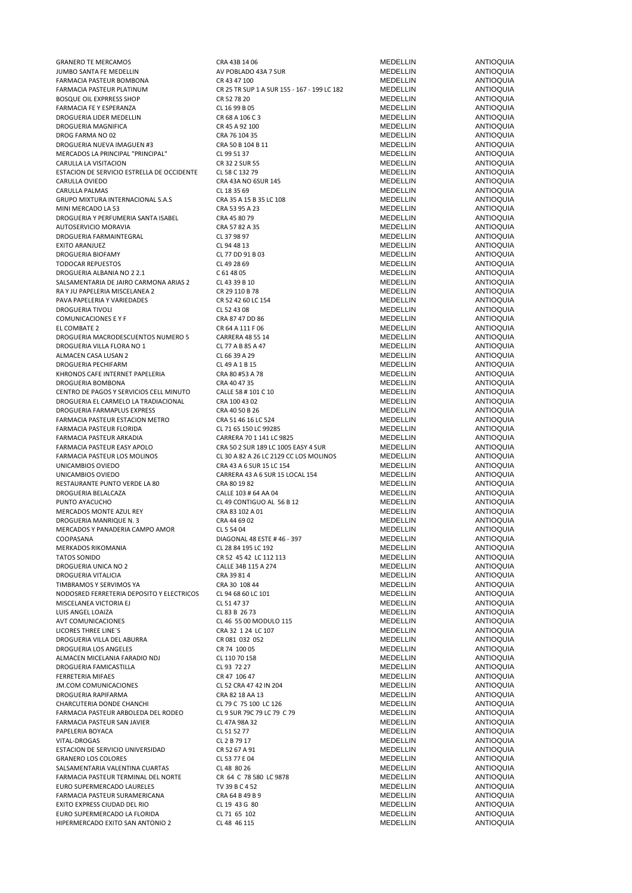GRANERO TE MERCAMOS CRA 43B 14 06 MEDELLIN ANTIOQUIA JUMBO SANTA FE MEDELLIN AV POBLADO 43A 7 SUR MEDELLIN ANTIOQUIA FARMACIA PASTEUR BOMBONA CR 43 47 100 MEDELLIN ANTIOQUIA BOSQUE OIL EXPRRESS SHOP CR 52 78 20 MEDELLIN ANTIOQUIA FARMACIA FE Y ESPERANZA CL 16 99 B 05 MEDELLIN ANTIOQUIA DROGUERIA LIDER MEDELLIN CR 68 A 106 C 3 MEDELLIN ANTIOQUIA DROGUERIA MAGNIFICA CR 45 A 92 100 DROG FARMA NO 02 CRA 76 104 35 CRA 76 104 35 MEDELLIN ANTIOQUIA DROGUERIA NUEVA IMAGUEN #3 CRA 50 B 104 B 11 MEDELLIN MEDELLIN ANTIOQUIA MERCADOS LA PRINCIPAL "PRINCIPAL" CL 99 51 37 MEDELLIN ANTIOQUIA CARULLA LA VISITACION CARULLA LA VISITACION CARULLA LA VISITACION CARULLA LA VISITACION CARULLA LA VISITACION CRESSO CON CARULLA LA VISITACION CARULLA LA VISITACION CARULLA LA VISITACION CARE DE SUR SECOLO CON LA CARE DE S ESTACION DE SERVICIO ESTRELLA DE OCCIDENTE LE SE CIENS CARABA NO ESSE EN ENTRE DE LA CARABA DE DE LA CARABA NO<br>CARABA CARABA DE SER A AS ANO ESUR 145 MEDELLIN ANTIOQUIA CARULLA OVIEDO CRA 43A NO 6SUR 145 MEDELLIN ANTIOQUIA CARULLA PALMAS CL 18 35 69 MEDELLIN ANTIOQUIA GRUPO MIXTURA INTERNACIONAL S.A.S CRA 35 A 15 B 35 LC 108 MEDELLIN ANTIOQUIA<br>MINI MERCADO LA 53 CRA 53 OS A 23 A 23 ANTIOQUIA MINI MERCADO LA 53 CRA 53 95 A 23 MEDELLIN ANTIOQUIA DROGUERIA Y PERFUMERIA SANTA ISABEL CRA 45 80 79 MEDELLIN ANTIOQUIA AUTOSERVICIO MORAVIA CRA 57 82 A 35 MEDELLIN ANTIOQUIA DROGUERIA FARMAINTEGRAL CL 37 98 97 MEDELLIN ANTIOQUIA EXITO ARANJUEZ CL 94 48 13 MEDELLIN ANTIOQUIA DROGUERIA BIOFAMY CL 77 DD 91 B 03 MEDELLIN ANTIOQUIA TODOCAR REPUESTOS CL 49 28 69 MEDELLIN ANTIOQUIA DROGUERIA ALBANIA NO 2 2.1 C 61 48 05 C 61 48 05 C 61 48 05 C 61 MEDELLIN ANTIOQUIA SALSAMENTARIA DE JAIRO CARMONA ARIAS 2 CL 43 39 B 10 MEDELLIN ANTIOQUIA RA Y JU PAPELERIA MISCELANEA 2 CR 29 110 B 78 MEDELLIN ANTIOQUIA PAVA PAPELERIA Y VARIEDADES CR 52 42 60 LC 154 MEDELLIN ANTIOQUIA DROGUERIA TIVOLI CL 52 43 08 MEDELLIN ANTIOQUIA COMUNICACIONES E Y F CRA 87 47 DD 86 COMUNICACIONES E Y F CRA 87 47 DD 86 COMUNICACIONES E COMBATE 2 CRA 47 ON CRA 47 11 F 06 CRA 47 ON THE COMBATE 2 EL COMBATE 2 CR 64 A 111 F 06 MEDELLIN ANTIOQUIA DROGUERIA MACRODESCUENTOS NUMERO 5 CARRERA 48 55 14 CARRERA 48 55 14 MEDELLIN ANTIOQUIA<br>DROGUERIA VILLA FLORA NO 1 CL 77 A B 85 A 47 CL 77 A B 85 A 47 MEDELLIN ANTIOQUIA DROGUERIA VILLA FLORA NO 1 CL 77 A B 85 A 47 MEDELLIN ANTIOQUIA ALMACEN CASA LUSAN 2 CL 66 39 A 29 MEDELLIN ANTIOQUIA DROGUERIA PECHIFARM CL 49 A 1 B 15 MEDELLIN ANTIOQUIA KHRONOS CAFE INTERNET PAPELERIA CRA 80 #53 A 78 DROGUERIA BOMBONA CRA 40 47 35 MEDELLIN ANTIOQUIA CENTRO DE PAGOS Y SERVICIOS CELL MINUTO CALLE 58 # 101 C 10 MEDELLIN MEDELLIN ANTIOQUIA<br>CRA 100 ANTIOQUIA CRA 100 43 02 MEDELLIN MEDELLIN ANTIOQUIA DROGUERIA EL CARMELO LA TRADIACIONAL CRA 100 43 02 MEDELLIN ANTIOQUIA DROGUERIA FARMAPLUS EXPRESS CRA 40 50 B 26 MEDELLIN ANTIOQUIA FARMACIA PASTEUR ESTACION METRO CRA 51 46 16 LC 524 MEDELLIN ANTIOQUIA FARMACIA PASTEUR FLORIDA CL 71 65 150 LC 99285 MEDELLIN ANTIOQUIA FARMACIA PASTEUR ARKADIA CARRERA 70 1 141 LC 9825 MEDELLIN ANTIOQUIA FARMACIA PASTEUR EASY APOLO<br>FARMACIA PASTEUR LOS MOLINOS CLOS A 26 LC 2129 CC LOS MOLINOS MEDELLIN ANTIOQUIA UNICAMBIOS OVIEDO CRA 43 A 6 SUR 15 LC 154 MEDELLIN ANTIOQUIA UNICAMBIOS OVIEDO CARRERA 43 A 6 SUR 15 LOCAL 154 MEDELLIN ANTIOQUIA RESTAURANTE PUNTO VERDE LA 80 CRA 80 19 82 CRA 80 19 82 CRA 80 19 82 MEDELLIN MEDELLIN ANTIOQUIA DROGUERIA BELALCAZA CALLE 103 # 64 AA 04 MEDELLIN ANTIOQUIA PUNTO AYACUCHO CLASS CLASS CONTIGUO AL 56 B 12 MEDELLIN ANTIOQUIA MERCADOS MONTE AZUL REY CRA 83 102 A 01 MEDELLIN ANTIOQUIA DROGUERIA MANRIQUE N. 3<br>DROGUERIA MANRIQUE N. 3 CRA 44 64 44 64 04 MEDELLIN ANTIOQUIA<br>MEDELLIN ANTIOQUIA MERCADOS Y PANADERIA CAMPO AMOR CL 5 54 04<br>COOPASANA COOPASANA COOPASANA COOPASANA COOPASANA COOPASANA COOPASANA COOPASANA COOPASANA COOPASANA COOPASANA MERKADOS RIKOMANIA CL 28 84 195 LC 192 MEDELLIN ANTIOQUIA DROGUERIA UNICA NO 2 CALLE 34B 115 A 274 MEDELLIN ANTIOQUIA DROGUERIA VITALICIA CRA 39 81 4 MEDELLIN ANTIOQUIA TIMBRAMOS Y SERVIMOS YA CRA 30 108 44<br>NODOSRED EFRRETERIA DEPOSITO Y ELECTRICOS CI 94 68 60 I C 101 NODOSRED FERRETERIA DEPOSITO Y ELECTRICOS CL 94 68 60 LC 101 MEDELLIN MEDELLIN ANTIOQUIA<br>MESCELANEA VICTORIA EL CL 94 68 00 LC 151 47 37 MISCELANEA VICTORIA EJ CL 51 47 37 LUIS ANGEL LOAIZA CL 83 B 26 73 MEDELLIN ANTIOQUIA AVT COMUNICACIONES CL 46 55 00 MODULO 115 MEDELLIN ANTIOQUIA DROGUERIA VILLA DEL ABURRA CR 081 032 052 MEDELLIN ANTIOQUIA DROGUERIA LOS ANGELES CR 74 100 05 MEDELLIN ANTIOQUIA ALMACEN MICELANIA FARADIO NDJ CL 110 70 158 MEDELLIN ANTIOQUIA DROGUERIA FAMICASTILLA CL 93 72 27 MEDELLIN ANTIOQUIA FERRETERIA MIFAES CR 47 106 47 MEDELLIN ANTIOQUIA JM.COM COMUNICACIONES CL 52 CRA 47 42 IN 204 MEDELLIN ANTIOQUIA DROGUERIA RAPIFARMA<br>CHARCUTERIA DONDE CHANCHI CHARCUTERIA DONDE CHARCUTERIA DONDE CHANCHI CHARCUTERIA DONDE CHANCHI IN CHARCUTERIA DONDE CHANCHI CL 79 C 75 100 LC 126 MEDELLIN ANTIOQUIA<br>CL 79 C 19 SIR 79 C 79 C 79 MEDELLIN ANTIOQUIA FARMACIA PASTEUR ARBOLEDA DEL RODEO CL 9 SUR 79C 79 LC 79 C 79 COMENTE DEL MEDELLIN CL 47A 98A 32 FARMACIA PASTEUR SAN JAVIER CL 47A 98A 32 MEDELLIN ANTIOQUIA PAPELERIA BOYACA CL 51 52 77 MEDELLIN ANTIOQUIA VITAL-DROGAS CL 2 B 79 17 MEDELLIN ANTIOQUIA ESTACION DE SERVICIO UNIVERSIDAD CR 52 67 A 91 MEDELLIN ANTIOQUIA SANERO LOS COLORES (GRANERO LOS COLORES CLESS ON CLESS 77 E 04 MEDELLIN ANTIOQUIA<br>CLESS CLESS CLESS CLESS CLESS CLESS CLESS CONTRA DE MEDELLIN ANTIOQUIA SALSAMENTARIA VALENTINA CUARTAS CL 48 80 26 MEDELLIN ANTIOQUIA FARMACIA PASTEUR TERMINAL DEL NORTE CR 64 C 78 580 LC 9878 MEDELLIN ANTIOQUIA EURO SUPERMERCADO LAURELES TV 39 B C 4 52 MEDELLIN ANTIOQUIA FARMACIA PASTEUR SURAMERICANA CRA 64 B 49 B 9 MEDELLIN ANTIOQUIA EXITO EXPRESS CIUDAD DEL RIO CL 19 43 G 80 MEDELLIN ANTIOQUIA EURO SUPERMERCADO LA FLORIDA CL 71 65 102 MEDELLIN ANTIOCALE MEDELLIN HIPERMERCADO EXITO SAN ANTONIO 2 CL 48 46 115 MEDELLIN ANTIOQUIA

FARMACIA PARTICULA PASTEUR PLATINUM CR 25 TR SUP 1 A SUR 155 - 167 - 199 LC 182 MEDELLIN ANTIOQUIA<br>TR S2 78 20 ANTIOQUIIA FRA 43 A 26 LC 2129 CC LOS MOLINOS MEDELLIN<br>FRA 43 A 6 SUR 15 LC 154 COLOS MOLINOS MEDELLIN DIAGONAL 48 ESTE # 46 - 397 MEDELLIN ANTIOQUIA<br>CL 28 84 195 I.C. 192 TATOS SONIDO CR 52 45 42 LC 112 113 MEDELLIN ANTIOQUIA LICORES THREE LINE´S CRA 32 1 24 LC 107 MEDELLIN ANTIOQUIA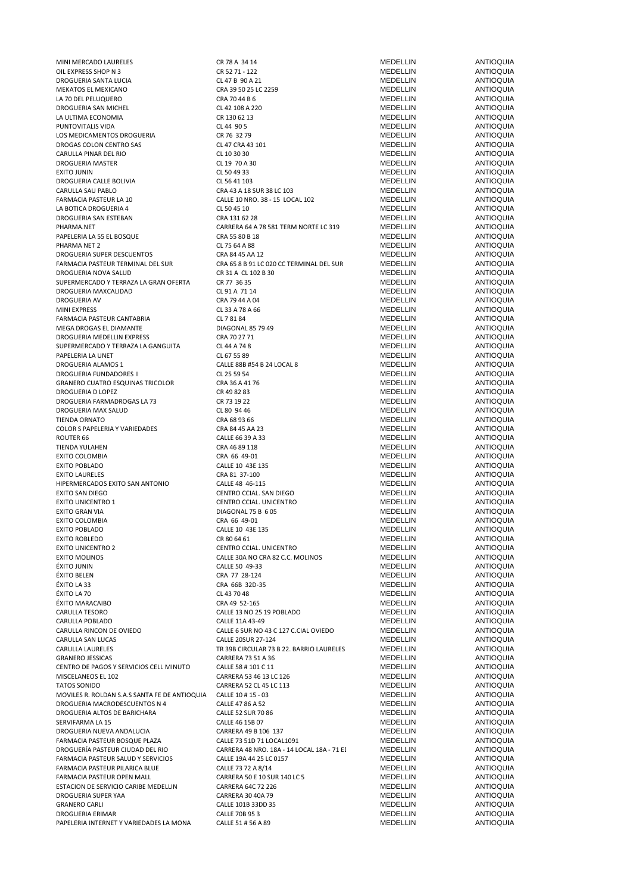| MINI MERCADO LAURELES                                       | CR 78 A 34 14                              | MEDELLIN             | ANTIOQUIA                            |
|-------------------------------------------------------------|--------------------------------------------|----------------------|--------------------------------------|
|                                                             |                                            |                      |                                      |
| OIL EXPRESS SHOP N 3                                        | CR 52 71 - 122                             | MEDELLIN             | <b>ANTIOQUIA</b>                     |
| DROGUERIA SANTA LUCIA                                       | CL 47 B 90 A 21                            | MEDELLIN             | <b>ANTIOQUIA</b>                     |
| MEKATOS EL MEXICANO                                         | CRA 39 50 25 LC 2259                       | MEDELLIN             | <b>ANTIOQUIA</b>                     |
| LA 70 DEL PELUQUERO                                         | CRA 70 44 B 6                              | MEDELLIN             | ANTIOQUIA                            |
|                                                             |                                            |                      |                                      |
| DROGUERIA SAN MICHEL                                        | CL 42 108 A 220                            | MEDELLIN             | ANTIOQUIA                            |
| LA ULTIMA ECONOMIA                                          | CR 130 62 13                               | MEDELLIN             | <b>ANTIOQUIA</b>                     |
| PUNTOVITALIS VIDA                                           | CL 44 90 5                                 | <b>MEDELLIN</b>      | <b>ANTIOQUIA</b>                     |
|                                                             |                                            |                      |                                      |
| LOS MEDICAMENTOS DROGUERIA                                  | CR 76 32 79                                | MEDELLIN             | <b>ANTIOQUIA</b>                     |
| DROGAS COLON CENTRO SAS                                     | CL 47 CRA 43 101                           | MEDELLIN             | <b>ANTIOQUIA</b>                     |
| CARULLA PINAR DEL RIO                                       | CL 10 30 30                                | MEDELLIN             | <b>ANTIOQUIA</b>                     |
|                                                             |                                            |                      |                                      |
| DROGUERIA MASTER                                            | CL 19 70 A 30                              | MEDELLIN             | ANTIOQUIA                            |
| <b>EXITO JUNIN</b>                                          | CL 50 49 33                                | MEDELLIN             | ANTIOQUIA                            |
| DROGUERIA CALLE BOLIVIA                                     | CL 56 41 103                               | <b>MEDELLIN</b>      | <b>ANTIOQUIA</b>                     |
|                                                             |                                            | MEDELLIN             | <b>ANTIOQUIA</b>                     |
| CARULLA SAU PABLO                                           | CRA 43 A 18 SUR 38 LC 103                  |                      |                                      |
| FARMACIA PASTEUR LA 10                                      | CALLE 10 NRO. 38 - 15 LOCAL 102            | <b>MEDELLIN</b>      | <b>ANTIOQUIA</b>                     |
| LA BOTICA DROGUERIA 4                                       | CL 50 45 10                                | MEDELLIN             | <b>ANTIOQUIA</b>                     |
| DROGUERIA SAN ESTEBAN                                       | CRA 131 62 28                              | MEDELLIN             | <b>ANTIOQUIA</b>                     |
|                                                             |                                            |                      |                                      |
| PHARMA.NET                                                  | CARRERA 64 A 78 581 TERM NORTE LC 319      | MEDELLIN             | <b>ANTIOQUIA</b>                     |
| PAPELERIA LA 55 EL BOSQUE                                   | CRA 55 80 B 18                             | MEDELLIN             | <b>ANTIOQUIA</b>                     |
| PHARMA NET 2                                                | CL 75 64 A 88                              | MEDELLIN             | ANTIOQUIA                            |
|                                                             |                                            |                      |                                      |
| DROGUERIA SUPER DESCUENTOS                                  | CRA 84 45 AA 12                            | MEDELLIN             | <b>ANTIOQUIA</b>                     |
| FARMACIA PASTEUR TERMINAL DEL SUR                           | CRA 65 8 B 91 LC 020 CC TERMINAL DEL SUR   | MEDELLIN             | <b>ANTIOQUIA</b>                     |
| DROGUERIA NOVA SALUD                                        | CR 31 A CL 102 B 30                        | MEDELLIN             | <b>ANTIOQUIA</b>                     |
| SUPERMERCADO Y TERRAZA LA GRAN OFERTA                       | CR 77 36 35                                | MEDELLIN             | <b>ANTIOQUIA</b>                     |
|                                                             |                                            |                      |                                      |
| DROGUERIA MAXCALIDAD                                        | CL 91 A 71 14                              | <b>MEDELLIN</b>      | <b>ANTIOQUIA</b>                     |
| <b>DROGUERIA AV</b>                                         | CRA 79 44 A 04                             | MEDELLIN             | <b>ANTIOQUIA</b>                     |
| <b>MINI EXPRESS</b>                                         | CL 33 A 78 A 66                            | MEDELLIN             | <b>ANTIOQUIA</b>                     |
|                                                             |                                            |                      |                                      |
| FARMACIA PASTEUR CANTABRIA                                  | CL 7 81 84                                 | MEDELLIN             | <b>ANTIOQUIA</b>                     |
| MEGA DROGAS EL DIAMANTE                                     | DIAGONAL 85 79 49                          | MEDELLIN             | ANTIOQUIA                            |
| DROGUERIA MEDELLIN EXPRESS                                  | CRA 70 27 71                               | MEDELLIN             | ANTIOQUIA                            |
|                                                             |                                            |                      |                                      |
| SUPERMERCADO Y TERRAZA LA GANGUITA                          | CL 44 A 74 8                               | <b>MEDELLIN</b>      | <b>ANTIOQUIA</b>                     |
| PAPELERIA LA UNET                                           | CL 67 55 89                                | MEDELLIN             | <b>ANTIOQUIA</b>                     |
| DROGUERIA ALAMOS 1                                          | CALLE 88B #54 B 24 LOCAL 8                 | MEDELLIN             | <b>ANTIOQUIA</b>                     |
| DROGUERIA FUNDADORES II                                     | CL 25 59 54                                | MEDELLIN             | <b>ANTIOQUIA</b>                     |
|                                                             |                                            |                      |                                      |
| <b>GRANERO CUATRO ESQUINAS TRICOLOR</b>                     | CRA 36 A 41 76                             | MEDELLIN             | <b>ANTIOQUIA</b>                     |
| DROGUERIA D LOPEZ                                           | CR 49 82 83                                | MEDELLIN             | ANTIOQUIA                            |
| DROGUERIA FARMADROGAS LA 73                                 | CR 73 19 22                                | MEDELLIN             | <b>ANTIOQUIA</b>                     |
|                                                             |                                            |                      |                                      |
| DROGUERIA MAX SALUD                                         | CL 80 94 46                                | MEDELLIN             | ANTIOQUIA                            |
| <b>TIENDA ORNATO</b>                                        | CRA 68 93 66                               | MEDELLIN             | ANTIOQUIA                            |
| COLOR S PAPELERIA Y VARIEDADES                              | CRA 84 45 AA 23                            | <b>MEDELLIN</b>      | <b>ANTIOQUIA</b>                     |
|                                                             |                                            |                      | <b>ANTIOQUIA</b>                     |
| ROUTER 66                                                   | CALLE 66 39 A 33                           | MEDELLIN             |                                      |
| TIENDA YULAHEN                                              | CRA 46 89 118                              | MEDELLIN             | <b>ANTIOQUIA</b>                     |
| EXITO COLOMBIA                                              | CRA 66 49-01                               | MEDELLIN             | ANTIOQUIA                            |
| <b>EXITO POBLADO</b>                                        | CALLE 10 43E 135                           | MEDELLIN             | <b>ANTIOQUIA</b>                     |
|                                                             |                                            |                      |                                      |
| <b>EXITO LAURELES</b>                                       | CRA 81 37-100                              | <b>MEDELLIN</b>      | <b>ANTIOQUIA</b>                     |
| HIPERMERCADOS EXITO SAN ANTONIO                             | CALLE 48 46-115                            | MEDELLIN             | <b>ANTIOQUIA</b>                     |
| EXITO SAN DIEGO                                             | CENTRO CCIAL. SAN DIEGO                    | MEDELLIN             | ANTIOQUIA                            |
|                                                             |                                            |                      |                                      |
| <b>EXITO UNICENTRO 1</b>                                    | CENTRO CCIAL. UNICENTRO                    | MEDELLIN             | <b>ANTIOQUIA</b>                     |
| EXITO GRAN VIA                                              | DIAGONAL 75 B 6 05                         | MEDELLIN             | <b>ANTIOQUIA</b>                     |
| <b>EXITO COLOMBIA</b>                                       | CRA 66 49-01                               | MEDELLIN             | ANTIOQUIA                            |
| <b>EXITO POBLADO</b>                                        | CALLE 10 43E 135                           | MEDELLIN             | <b>ANTIOQUIA</b>                     |
|                                                             |                                            |                      |                                      |
| <b>EXITO ROBLEDO</b>                                        | CR 80 64 61                                | MEDELLIN             | ANTIOQUIA                            |
| <b>EXITO UNICENTRO 2</b>                                    | CENTRO CCIAL. UNICENTRO                    | MEDELLIN             | <b>ANTIOQUIA</b>                     |
| <b>EXITO MOLINOS</b>                                        | CALLE 30A NO CRA 82 C.C. MOLINOS           | <b>MEDELLIN</b>      | ANTIOQUIA                            |
|                                                             |                                            |                      |                                      |
| ÉXITO JUNIN                                                 | CALLE 50 49-33                             | MEDELLIN             | ANTIOQUIA                            |
| <b>ÉXITO BELEN</b>                                          | CRA 77 28-124                              | MEDELLIN             | <b>ANTIOQUIA</b>                     |
| ÉXITO LA 33                                                 | CRA 66B 32D-35                             | MEDELLIN             | <b>ANTIOQUIA</b>                     |
|                                                             | CL 43 70 48                                |                      | <b>ANTIOQUIA</b>                     |
| ÉXITO LA 70                                                 |                                            | MEDELLIN             |                                      |
| <b>ÉXITO MARACAIBO</b>                                      | CRA 49 52-165                              | MEDELLIN             | <b>ANTIOQUIA</b>                     |
| CARULLA TESORO                                              | CALLE 13 NO 25 19 POBLADO                  | MEDELLIN             | <b>ANTIOQUIA</b>                     |
| CARULLA POBLADO                                             | CALLE 11A 43-49                            | <b>MEDELLIN</b>      | <b>ANTIOQUIA</b>                     |
|                                                             |                                            |                      | <b>ANTIOQUIA</b>                     |
| CARULLA RINCON DE OVIEDO                                    | CALLE 6 SUR NO 43 C 127 C.CIAL OVIEDO      | MEDELLIN             |                                      |
| CARULLA SAN LUCAS                                           | CALLE 20SUR 27-124                         | MEDELLIN             | <b>ANTIOQUIA</b>                     |
| CARULLA LAURELES                                            | TR 39B CIRCULAR 73 B 22. BARRIO LAURELES   | MEDELLIN             | <b>ANTIOQUIA</b>                     |
| <b>GRANERO JESSICAS</b>                                     | CARRERA 73 51 A 36                         | MEDELLIN             | <b>ANTIOQUIA</b>                     |
|                                                             |                                            |                      |                                      |
| CENTRO DE PAGOS Y SERVICIOS CELL MINUTO                     | CALLE 58 # 101 C 11                        | MEDELLIN             | <b>ANTIOQUIA</b>                     |
| MISCELANEOS EL 102                                          | CARRERA 53 46 13 LC 126                    | MEDELLIN             | <b>ANTIOQUIA</b>                     |
| <b>TATOS SONIDO</b>                                         | CARRERA 52 CL 45 LC 113                    | MEDELLIN             | <b>ANTIOQUIA</b>                     |
|                                                             |                                            |                      | <b>ANTIOQUIA</b>                     |
| MOVILES R. ROLDAN S.A.S SANTA FE DE ANTIOQUIA               | CALLE 10 # 15 - 03                         | MEDELLIN             |                                      |
| DROGUERIA MACRODESCUENTOS N 4                               | CALLE 47 86 A 52                           | MEDELLIN             | <b>ANTIOQUIA</b>                     |
| DROGUERIA ALTOS DE BARICHARA                                | <b>CALLE 52 SUR 70 86</b>                  | MEDELLIN             | <b>ANTIOQUIA</b>                     |
| SERVIFARMA LA 15                                            | CALLE 46 15B 07                            | MEDELLIN             | <b>ANTIOQUIA</b>                     |
|                                                             |                                            |                      |                                      |
| DROGUERIA NUEVA ANDALUCIA                                   | CARRERA 49 B 106 137                       | MEDELLIN             | <b>ANTIOQUIA</b>                     |
| FARMACIA PASTEUR BOSQUE PLAZA                               | CALLE 73 51D 71 LOCAL1091                  | MEDELLIN             | <b>ANTIOQUIA</b>                     |
| DROGUERÍA PASTEUR CIUDAD DEL RIO                            | CARRERA 48 NRO. 18A - 14 LOCAL 18A - 71 EI | MEDELLIN             | <b>ANTIOQUIA</b>                     |
|                                                             |                                            |                      |                                      |
| FARMACIA PASTEUR SALUD Y SERVICIOS                          | CALLE 19A 44 25 LC 0157                    | MEDELLIN             | <b>ANTIOQUIA</b>                     |
| FARMACIA PASTEUR PILARICA BLUE                              | CALLE 73 72 A 8/14                         | MEDELLIN             | <b>ANTIOQUIA</b>                     |
| FARMACIA PASTEUR OPEN MALL                                  | CARRERA 50 E 10 SUR 140 LC 5               | MEDELLIN             | <b>ANTIOQUIA</b>                     |
| ESTACION DE SERVICIO CARIBE MEDELLIN                        |                                            | MEDELLIN             | <b>ANTIOQUIA</b>                     |
|                                                             |                                            |                      |                                      |
| DROGUERIA SUPER YAA                                         | CARRERA 64C 72 226                         |                      |                                      |
|                                                             | CARRERA 30 40A 79                          | MEDELLIN             | ANTIOQUIA                            |
| <b>GRANERO CARLI</b>                                        | CALLE 101B 33DD 35                         | MEDELLIN             |                                      |
|                                                             |                                            |                      | <b>ANTIOQUIA</b>                     |
| DROGUERIA ERIMAR<br>PAPELERIA INTERNET Y VARIEDADES LA MONA | CALLE 70B 95 3<br>CALLE 51 # 56 A 89       | MEDELLIN<br>MEDELLIN | <b>ANTIOQUIA</b><br><b>ANTIOQUIA</b> |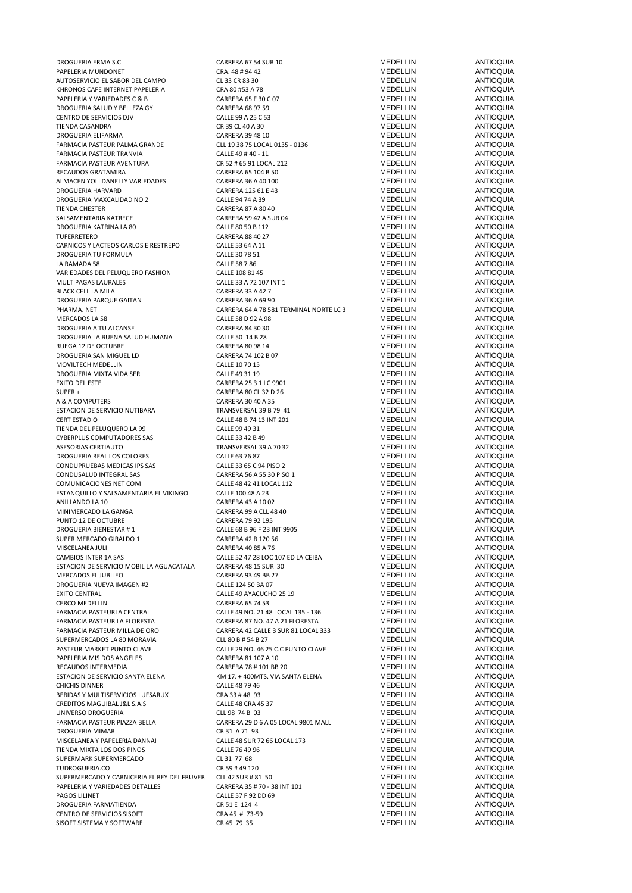DROGUERIA ERMA S.C CARRERA 67 54 SUR 10 MEDELLIN ANTIOQUIA PAPELERIA MUNDONET CRA. 48 # 94 42 MEDELLIN ANTIOQUIA AUTOSERVICIO EL SABOR DEL CAMPO CL 33 CR 83 30 MEDELLIN ANTIOQUIA KHRONOS CAFE INTERNET PAPELERIA CRA 80 #53 A 78 MEDELLIN ANTIOQUIA PAPELERIA Y VARIEDADES C & B CARRERA 65 F 30 C 07 CARRERA 65 F 30 C 07 CARRERA 65 F 30 C 07 CARRERA 68 P 75 CARRERA 68 P 759 CARRERA 68 P 759 CARRERA 68 P 759 CARRERA 68 P 759 CARRERA 68 P 759 CARRERA 68 P 759 CARRERA 68 P DROGUERIA SALUD Y BELLEZA GY CARRERA 68 97 59 MEDELLIN ANTIOQUIA CENTRO DE SERVICIOS DJV CALLE 99 A 25 C 53 MEDELLIN ANTIOQUIA TIENDA CASANDRA CR 39 CL 40 A 30 MEDELLIN ANTIOQUIA DROGUERIA ELIFARMA CARRERA 39 48 10 MEDELLIN ANTIOQUIA FARMACIA PASTEUR TRANVIA CALLE 49 # 40 - 11 MEDELLIN ANTIOQUIA FARMACIA PASTEUR AVENTURA CR 52 # 65 91 LOCAL 212 MEDELLIN ANTIOQUIA RECAUDOS GRATAMIRA CARRERA 65 104 B 50 MEDELLIN ANTIOQUIA ALMACEN YOLI DANELLY VARIEDADES CARRERA 36 A 40 100 MEDELLIN ANTIOQUIA DROGUERIA HARVARD CARRERA 125 61 E 43 MEDELLIN ANTIOQUIA DROGUERIA MAXCALIDAD NO 2 CALLE 94 74 A 39 MEDELLIN ANTIOQUIA SALSAMENTARIA KATRECE CARRERA 59 42 A SUR 04 MEDELLIN ANTIOQUIA DROGUERIA KATRINA LA 80 CALLE 80 50 B 112 MEDELLIN ANTIOQUIA TUFERRETERO CARRERA 88 40 27 MEDELLIN ANTIOQUIA CARNICOS Y LACTEOS CARLOS E RESTREPO CALLE 53 64 A 11 CALLE 1 MEDELLIN ANTIOQUIA<br>CALLE 30 78 51 MEDELLIN ANTIOQUIA DROGUERIA TU FORMULA CALLE 30 78 51 LA RAMADA 58 CALLE 58 7 86 MEDELLIN ANTIOQUIA VARIEDADES DEL PELUQUERO FASHION CALLE 108 81 45 MEDELLIN MEDELLIN ANTIOQUIA MULTIPAGAS LAURALES CALLE 33 A 72 107 INT 1 MEDELLIN ANTIOQUIA e BLACK CELL LA MILA CARRERA 33 A 42 7 ANTIOQUIA<br>1999 - BRACK CELL LA MILA CARRERA 2009 ANTIOQUIA<br>1999 - DROGUERIA PARQUE GAITAN DROGUERIA PARQUE GAITAN CARRERA 36 A 69 90 MEDELLIN ANTIOQUIA<br>PHARMA. NET CARRERA 64 A 78 581 TERMINAL NORTE LC 3 MEDELLIN ANTIOQUIA PHARMA. NET CARRERA 64 A 78 581 TERMINAL NORTE LC 319 MEDELLIN ANTIOQUIA MERCADOS LA 58 ANTIOQUIA ANTIOQUIA CALLE 58 D 92 A 98 MEDELLIN ANTIOQUIA DROGUERIA A TU ALCANSE CARRERA E A SOCIALE SOLO CARRERA 84 30 30 AND ANTIOQUIA<br>DROGUERIA LA BUENA SALUD HUMANA CALLE SOLO ALLE SOLO 14 B 28 ANTIOQUIA DROGUERIA LA BUENA SALUD HUMANA CALLE 50 14 B 28 MEDELLIN ANTIOQUIA RUEGA 12 DE OCTUBRE CARRERA 80 98 14 DE LA CARRERA BO VIOLUIA DE LA CARRERA ANTIOQUIA<br>1990 DROGUERIA SAN MIGUEL LD CARRERA ANTIOQUIA DROGUERIA SAN MIGUEL LD<br>MOVILTECH MEDEL LIN CALLE 10 70 15 CALLE 10 70 15 CALLE 10 20 CALLE 10 70 15 CALLE 10 70 15 MOVILTECH MEDELLIN CALLE 10 70 15 MEDELLIN ANTIOQUIA DROGUERIA MIXTA VIDA SER EXITO DEL ESTE CARRERA 25 3 1 LC 9901 MEDELLIN ANTIOQUIA SUPER + CARRERA 80 CL 32 D 26 MEDELLIN ANTIOQUIA A & A COMPUTERS CARRERA 30 40 A 35 MEDELLIN ANTIOQUIA ESTACION DE SERVICIO NUTIBARA TRANSVERSAL 39 B 79 41 MEDELLIN ANTIOQUIA CERT ESTADIO CALLE 48 B 74 13 INT 201 MEDELLIN ANTIOQUIA TIENDA DEL PELUQUERO LA 99 CALLE 99 49 31 CALLE 99 49 31 CALLE 10 CONDUNATIOQUIA<br>CYBERPLUS COMPUTADORES SAS CALLE 33 42 B 49 CALLE 33 42 B 49 CYBERPLUS COMPUTADORES SAS CALLE 33 42 B 49 CALLE 33 42 B 49 MEDELLIN ANTIOQUIA<br>CALLE 33 42 B 49 MEDELLIN ANTIOQUIA DROGUERIA REAL LOS COLORES CALLE 63 76 87 CALLE 63 76 87 CALLE 63 76 87 CALLE 63 76 87 CALLE 63 76 87 CALLE 63 76 87 CALLE 63 76 87 CALLE 63 76 87 CALLE 63 76 87 CALLE 63 76 87 CALLE 63 76 87 CALLE 63 76 87 CALLE 63 76 87 CONDUPRUEBAS MEDICAS IPS SAS CALLE 33 65 C 94 PISO 2 MEDELLIN ANTIOQUIA CONDUSALUD INTEGRAL SAS CARRERA 56 A 55 30 PISO 1 MEDELLIN ANTIOQUIA COMUNICACIONES NET COM CALLE 48 42 41 LOCAL 112 MEDELLIN ANTIOQUIA ESTANQUILLO Y SALSAMENTARIA EL VIKINGO CALLE 100 48 A 23 MEDELLIN MEDELLIN ANTIOQUIA ANILLANDO LA 10 CARRERA 43 A 10 02 MEDELLIN ANTIOQUIA MINIMERCADO LA GANGA CARRERA 99 A CLL 48 40 MEDELLIN ANTIOQUIA PUNTO 12 DE OCTUBRE CARRERA 79 - 2000 - 2012 - CARRERA 79 92 195 MEDELLIN ANTIOQUIA<br>PROGUERIA BIENESTAR # 1 CALLE 68 B 96 F 23 INT 9905 MEDELLIN ANTIOQUIA SUPER MERCADO GIRALDO 1 CARRERA 42 B 120 56 MEDELLIN ANTIOQUIA MISCELANEA JULI CARRERA 40 85 A 76 MEDELLIN ANTIOQUIA CAMBIOS INTER 1A SAS CALLE 52 47 28 LOC 107 ED LA CEIBA MEDELLIN ANTIOQUIA<br>CALLE 52 47 28 LOC 107 ED LA CEIBA MEDELLIN ANTIOQUIA ESTACION DE SERVICIO MOBIL LA AGUACATALA CARRERA 48 15 SUR 30 MEDELLIN ANTIOQUIA MERCADOS EL JUBILEO CARRERA 93 49 BB 27 MEDELLIN ANTIOQUIA DROGUERIA NUEVA IMAGEN #2 EXITO CENTRAL CALLE 49 AYACUCHO 25 19 MEDELLIN ANTIOQUIA<br>CERCO MEDELLIN CARRERA ES 74 53 CARRERA ES 74 53 MEDELLIN ANTIOQUIA CERCO MEDELLIN CARRERA 65 74 53 MEDELLIN ANTIOQUIA FARMACIA PASTEURLA CENTRAL CALLE 49 NO. 21 48 LOCAL 135 - 136 MEDELLIN ANTIOQUIA FARMACIA PASTEUR LA FLORESTA CARRERA 87 NO. 47 A 21 FLORESTA MEDELLIN ANTIOQUIA SUPERMERCADOS LA 80 MORAVIA CLL 80 B # 54 B 27 MEDELLIN ANTIOQUIA PAPELERIA MIS DOS ANGELES<br>PAPELERIA MIS DOS ANGELES FOR ANTIOQUIA<br>RECAUDOS INTERMEDIA ANTIOQUIA ESTACION DE SERVICIO SANTA ELENA KM 17. + 400MTS. VIA SANTA ELENA MEDELLIN ANTIOQUIA CHICHIS DINNER CALLE 48 79 46 MEDELLIN ANTIOQUIA BEBIDAS Y MULTISERVICIOS LUFSARUX CRA 33 # 48 93 MEDELLIN ANTIOQUIA CREDITOS MAGUIBAL J&L S.A.S CALLE 48 CRA 45 37 MEDELLIN ANTIOQUIA UNIVERSO DROGUERIA CLL 98 74 B 03 CLL 98 74 B 03 MEDELLIN ANTIOCAL ANTIOQUIA ANTIOQUIA ANTIOQUIA ANTIOQUIA ANTIO<br>CARRAACIA PASTELIR PIAZZA RELLA CARRERA 29 D 6 A 05 LOCAL 9801 MALI MEDELLIN DROGUERIA MIMAR CR 31 A 71 93 MEDELLIN ANTIOQUIA MISCELANEA Y PAPELERIA DANNAI CALLE 48 SUR 72 66 LOCAL 173 MEDELLIN ANTIOQUIA TIENDA MIXTA LOS DOS PINOS CALLE 76 49 96 CALLE 76 49 96 CALLE 76 49 96 CALLE 76 49 10 CALLE 76 49 96 CALLE 76 49 10 CALLE 76 49 10 CALLE 76 49 10 CALLE 76 49 10 CALLE 76 49 10 CALLE 76 49 10 CALLE 76 49 10 CALLE 77 68 CAL SUPERMARK SUPERMERCADO CL 31 77 68 MEDELLIN ANTIOQUIA TUDROGUERIA.CO CR 59 # 49 120 MEDELLIN ANTIOQUIA SUPERMERCADO Y CARNICERIA EL REY DEL FRUVER CLL 42 SUR # 81 50 MEDELLIN ANTIOQUIA<br>PAPELERIA Y VARIEDADES DETALLES CARRERA 35 # 70 - 38 INT 101 MEDELLIN ANTIOQUIA PAGOS LILINET CALLE 57 F 92 DD 69 MEDELLIN ANTIOQUIA DROGUERIA FARMATIENDA CR 51 E 124 4 MEDELLIN ANTIOQUIA CENTRO DE SERVICIOS SISOFT CRA 45 # 73-59 MEDELLIN SISOFT SISTEMA Y SOFTWARE CR 45 79 35 CR 45 79 35 MEDELLIN ANTIOQUIA

FARMACIA PASTEUR PALMA GRANDE CLL 19 38 75 LOCAL 0135 - 0136 MEDELLIN ANTIOQUIA THE CARRERA 87 A 80 40 ANTIOQUIA<br>TIENDA CARRERA 59 42 A SUR 04 ANTIOQUIA ASESORIAS CERTIAUTO TRANSVERSAL 39 A 70 32 MEDELLIN ANTIOQUIA CALLE 68 B 96 F 23 INT 9905 ANTIOQUIA<br>CARRERA 42 B 120 56 CARRERA 42 B 120 56 FARMACIA PASTEUR DE ORO CARRERA AZ CALLE 3 SUR 81 LOCAL 333 MEDELLIN ANTIOQUIA<br>TELE 30 B # 54 B 27 MEDELLIN ANTIOQUIA PAILE 29 NO. 46 25 C.C PUNTO CLAVE CALLE 29 NO. 46 25 C.C PUNTO CLAVE MEDELLIN CARRERA 81 107 A 10 CARRERA 78 # 101 BB 20 MEDELLIN ANTIOQUIA<br>
KM 17. + 400MTS. VIA SANTA ELENA MEDELLIN ANTIOQUIA FARMACIA PASTEUR PIAZZA BELLA CARRERA 29 D 6 A 05 LOCAL 9801 MALL MEDELLIN ANTIOQUIA PARERA 35 # 70 - 38 INT 101 MEDELLIN ANTIOQUIA<br>PARERA 35 # 70 - 38 INT 101 MEDELLIN ANTIOQUIA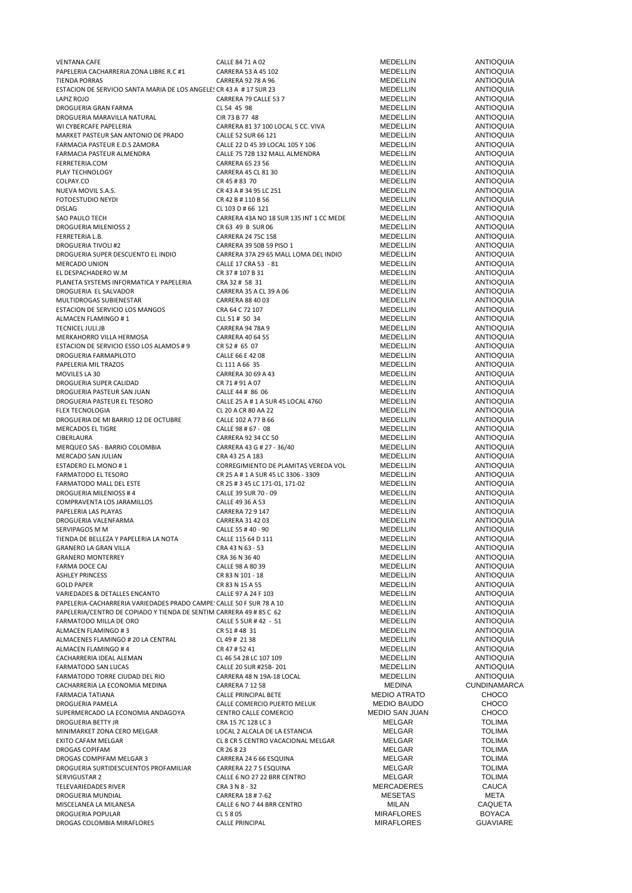| <b>VENTANA CAFE</b>                                                  | CALLE 84 71 A 02                        | MEDELLIN              | ANTIOQUIA           |
|----------------------------------------------------------------------|-----------------------------------------|-----------------------|---------------------|
| PAPELERIA CACHARRERIA ZONA LIBRE R.C #1                              | CARRERA 53 A 45 102                     | MEDELLIN              | <b>ANTIOQUIA</b>    |
| <b>TIENDA PORRAS</b>                                                 | CARRERA 92 78 A 96                      | MEDELLIN              | <b>ANTIOQUIA</b>    |
|                                                                      |                                         | MEDELLIN              | <b>ANTIOQUIA</b>    |
| ESTACION DE SERVICIO SANTA MARIA DE LOS ANGELES CR 43 A # 17 SUR 23  |                                         |                       |                     |
| LAPIZ ROJO                                                           | CARRERA 79 CALLE 53 7                   | MEDELLIN              | <b>ANTIOQUIA</b>    |
| DROGUERIA GRAN FARMA                                                 | CL 54 45 98                             | <b>MEDELLIN</b>       | <b>ANTIOQUIA</b>    |
| DROGUERIA MARAVILLA NATURAL                                          | CIR 73 B 77 48                          | MEDELLIN              | <b>ANTIOQUIA</b>    |
|                                                                      |                                         |                       |                     |
| WI CYBERCAFE PAPELERIA                                               | CARRERA 81 37 100 LOCAL 5 CC. VIVA      | MEDELLIN              | <b>ANTIOQUIA</b>    |
| MARKET PASTEUR SAN ANTONIO DE PRADO                                  | CALLE 52 SUR 66 121                     | MEDELLIN              | <b>ANTIOQUIA</b>    |
| FARMACIA PASTEUR E.D.S ZAMORA                                        | CALLE 22 D 45 39 LOCAL 105 Y 106        | MEDELLIN              | <b>ANTIOQUIA</b>    |
| FARMACIA PASTEUR ALMENDRA                                            | CALLE 75 72B 132 MALL ALMENDRA          | MEDELLIN              | <b>ANTIOQUIA</b>    |
|                                                                      |                                         |                       |                     |
| FERRETERIA.COM                                                       | <b>CARRERA 65 23 56</b>                 | MEDELLIN              | <b>ANTIOQUIA</b>    |
| PLAY TECHNOLOGY                                                      | CARRERA 45 CL 81 30                     | MEDELLIN              | <b>ANTIOQUIA</b>    |
| COLPAY.CO                                                            | CR 45 # 83 70                           | <b>MEDELLIN</b>       | <b>ANTIOQUIA</b>    |
| NUEVA MOVIL S.A.S.                                                   | CR 43 A # 34 95 LC 251                  | MEDELLIN              | <b>ANTIOQUIA</b>    |
|                                                                      |                                         |                       |                     |
| <b>FOTOESTUDIO NEYDI</b>                                             | CR 42 B # 110 B 56                      | MEDELLIN              | <b>ANTIOQUIA</b>    |
| <b>DISLAG</b>                                                        | CL 103 D # 66 121                       | MEDELLIN              | <b>ANTIOQUIA</b>    |
| SAO PAULO TECH                                                       | CARRERA 43A NO 18 SUR 135 INT 1 CC MEDE | MEDELLIN              | <b>ANTIOQUIA</b>    |
|                                                                      |                                         |                       |                     |
| DROGUERIA MILENIOSS 2                                                | CR 63 49 B SUR 06                       | MEDELLIN              | <b>ANTIOQUIA</b>    |
| FERRETERIA L.B.                                                      | CARRERA 24 75C 158                      | MEDELLIN              | <b>ANTIOQUIA</b>    |
| <b>DROGUERIA TIVOLI #2</b>                                           | CARRERA 39 50B 59 PISO 1                | MEDELLIN              | <b>ANTIOQUIA</b>    |
| DROGUERIA SUPER DESCUENTO EL INDIO                                   | CARRERA 37A 29 65 MALL LOMA DEL INDIO   | MEDELLIN              | <b>ANTIOQUIA</b>    |
|                                                                      |                                         |                       |                     |
| <b>MERCADO UNION</b>                                                 | CALLE 17 CRA 53 - 81                    | <b>MEDELLIN</b>       | <b>ANTIOQUIA</b>    |
| EL DESPACHADERO W.M                                                  | CR 37 # 107 B 31                        | MEDELLIN              | <b>ANTIOQUIA</b>    |
| PLANETA SYSTEMS INFORMATICA Y PAPELERIA                              | CRA 32 # 58 31                          | <b>MEDELLIN</b>       | <b>ANTIOQUIA</b>    |
| DROGUERIA EL SALVADOR                                                | CARRERA 35 A CL 39 A 06                 | <b>MEDELLIN</b>       | <b>ANTIOQUIA</b>    |
|                                                                      |                                         |                       |                     |
| MULTIDROGAS SUBIENESTAR                                              | CARRERA 88 40 03                        | <b>MEDELLIN</b>       | <b>ANTIOQUIA</b>    |
| ESTACION DE SERVICIO LOS MANGOS                                      | CRA 64 C 72 107                         | MEDELLIN              | <b>ANTIOQUIA</b>    |
| ALMACEN FLAMINGO #1                                                  | CLL 51 # 50 34                          | MEDELLIN              | <b>ANTIOQUIA</b>    |
| <b>TECNICEL JULI.JB</b>                                              |                                         |                       |                     |
|                                                                      | CARRERA 94 78A 9                        | MEDELLIN              | <b>ANTIOQUIA</b>    |
| MERKAHORRO VILLA HERMOSA                                             | CARRERA 40 64 55                        | <b>MEDELLIN</b>       | <b>ANTIOQUIA</b>    |
| ESTACION DE SERVICIO ESSO LOS ALAMOS # 9                             | CR 52 # 65 07                           | MEDELLIN              | <b>ANTIOQUIA</b>    |
| DROGUERIA FARMAPILOTO                                                | CALLE 66 E 42 08                        | MEDELLIN              | <b>ANTIOQUIA</b>    |
|                                                                      |                                         |                       |                     |
| PAPELERIA MIL TRAZOS                                                 | CL 111 A 66 35                          | MEDELLIN              | <b>ANTIOQUIA</b>    |
| MOVILES LA 30                                                        | CARRERA 30 69 A 43                      | MEDELLIN              | <b>ANTIOQUIA</b>    |
| DROGUERIA SUPER CALIDAD                                              | CR 71 # 91 A 07                         | MEDELLIN              | <b>ANTIOQUIA</b>    |
| DROGUERIA PASTEUR SAN JUAN                                           | CALLE 44 # 86 06                        | MEDELLIN              | <b>ANTIOQUIA</b>    |
|                                                                      |                                         |                       |                     |
| DROGUERIA PASTEUR EL TESORO                                          | CALLE 25 A # 1 A SUR 45 LOCAL 4760      | MEDELLIN              | <b>ANTIOQUIA</b>    |
| <b>FLEX TECNOLOGIA</b>                                               | CL 20 A CR 80 AA 22                     | MEDELLIN              | <b>ANTIOQUIA</b>    |
| DROGUERIA DE MI BARRIO 12 DE OCTUBRE                                 | CALLE 102 A 77 B 66                     | MEDELLIN              | <b>ANTIOQUIA</b>    |
|                                                                      |                                         | MEDELLIN              |                     |
| MERCADOS EL TIGRE                                                    | CALLE 98 # 67 - 08                      |                       | <b>ANTIOQUIA</b>    |
| CIBERLAURA                                                           | CARRERA 92 34 CC 50                     | MEDELLIN              | <b>ANTIOQUIA</b>    |
| MERQUEO SAS - BARRIO COLOMBIA                                        | CARRERA 43 G # 27 - 36/40               | MEDELLIN              | <b>ANTIOQUIA</b>    |
| MERCADO SAN JULIAN                                                   | CRA 43 25 A 183                         | MEDELLIN              | <b>ANTIOQUIA</b>    |
|                                                                      |                                         |                       |                     |
| ESTADERO EL MONO #1                                                  | CORREGIMIENTO DE PLAMITAS VEREDA VOL    | MEDELLIN              | <b>ANTIOQUIA</b>    |
| <b>FARMATODO EL TESORO</b>                                           | CR 25 A # 1 A SUR 45 LC 3306 - 3309     | MEDELLIN              | ANTIOQUIA           |
| FARMATODO MALL DEL ESTE                                              | CR 25 # 3 45 LC 171-01, 171-02          | MEDELLIN              | <b>ANTIOQUIA</b>    |
| DROGUERIA MILENIOSS #4                                               | CALLE 39 SUR 70 - 09                    | MEDELLIN              | <b>ANTIOQUIA</b>    |
|                                                                      |                                         |                       |                     |
| COMPRAVENTA LOS JARAMILLOS                                           | CALLE 49 36 A 53                        | MEDELLIN              | <b>ANTIOQUIA</b>    |
| PAPELERIA LAS PLAYAS                                                 | <b>CARRERA 72 9 147</b>                 | <b>MEDELLIN</b>       | <b>ANTIOQUIA</b>    |
| DROGUERIA VALENFARMA                                                 | CARRERA 31 42 03                        | <b>MEDELLIN</b>       | <b>ANTIOQUIA</b>    |
| SERVIPAGOS M M                                                       | CALLE 55 # 40 - 90                      | MEDELLIN              | <b>ANTIOQUIA</b>    |
|                                                                      |                                         |                       |                     |
| TIENDA DE BELLEZA Y PAPELERIA LA NOTA                                | CALLE 115 64 D 111                      | MEDELLIN              | <b>ANTIOQUIA</b>    |
| <b>GRANERO LA GRAN VILLA</b>                                         | CRA 43 N 63 - 53                        | MEDELLIN              | <b>ANTIOQUIA</b>    |
| <b>GRANERO MONTERREY</b>                                             | CRA 36 N 36 40                          | MEDELLIN              | <b>ANTIOQUIA</b>    |
|                                                                      |                                         | <b>MEDELLIN</b>       |                     |
| FARMA DOCE CAJ                                                       | CALLE 98 A 80 39                        |                       | <b>ANTIOQUIA</b>    |
| <b>ASHLEY PRINCESS</b>                                               | CR 83 N 101 - 18                        | <b>MEDELLIN</b>       | <b>ANTIOQUIA</b>    |
| <b>GOLD PAPER</b>                                                    | CR 83 N 15 A 55                         | MEDELLIN              | <b>ANTIOQUIA</b>    |
| VARIEDADES & DETALLES ENCANTO                                        | CALLE 97 A 24 F 103                     | <b>MEDELLIN</b>       | <b>ANTIOQUIA</b>    |
| PAPELERIA-CACHARRERIA VARIEDADES PRADO CAMPE: CALLE 50 F SUR 78 A 10 |                                         | <b>MEDELLIN</b>       | <b>ANTIOQUIA</b>    |
|                                                                      |                                         |                       |                     |
| PAPELERIA/CENTRO DE COPIADO Y TIENDA DE SENTIM CARRERA 49 # 85 C 62  |                                         | MEDELLIN              | <b>ANTIOQUIA</b>    |
| FARMATODO MILLA DE ORO                                               | CALLE 5 SUR # 42 - 51                   | MEDELLIN              | <b>ANTIOQUIA</b>    |
| ALMACEN FLAMINGO #3                                                  | CR 51#48 31                             | MEDELLIN              | <b>ANTIOQUIA</b>    |
| ALMACENES FLAMINGO # 20 LA CENTRAL                                   | CL 49 # 21 38                           | MEDELLIN              | <b>ANTIOQUIA</b>    |
|                                                                      |                                         |                       |                     |
| ALMACEN FLAMINGO #4                                                  | CR 47 # 52 41                           | <b>MEDELLIN</b>       | <b>ANTIOQUIA</b>    |
| CACHARRERIA IDEAL ALEMAN                                             | CL 46 54 28 LC 107 109                  | MEDELLIN              | <b>ANTIOQUIA</b>    |
| FARMATODO SAN LUCAS                                                  | CALLE 20 SUR #25B-201                   | MEDELLIN              | <b>ANTIOQUIA</b>    |
| FARMATODO TORRE CIUDAD DEL RIO                                       | CARRERA 48 N 19A-18 LOCAL               | MEDELLIN              | <b>ANTIOQUIA</b>    |
|                                                                      |                                         |                       |                     |
| CACHARRERIA LA ECONOMIA MEDINA                                       | <b>CARRERA 7 12 58</b>                  | MEDINA                | <b>CUNDINAMARCA</b> |
| FARMACIA TATIANA                                                     | CALLE PRINCIPAL BETE                    | <b>MEDIO ATRATO</b>   | CHOCO               |
| DROGUERIA PAMELA                                                     | CALLE COMERCIO PUERTO MELUK             | <b>MEDIO BAUDO</b>    | <b>CHOCO</b>        |
|                                                                      |                                         |                       |                     |
| SUPERMERCADO LA ECONOMIA ANDAGOYA                                    | CENTRO CALLE COMERCIO                   | <b>MEDIO SAN JUAN</b> | <b>CHOCO</b>        |
| DROGUERIA BETTY JR                                                   | CRA 15 7C 128 LC 3                      | MELGAR                | <b>TOLIMA</b>       |
| MINIMARKET ZONA CERO MELGAR                                          | LOCAL 2 ALCALA DE LA ESTANCIA           | MELGAR                | <b>TOLIMA</b>       |
| EXITO CAFAM MELGAR                                                   | CL 8 CR 5 CENTRO VACACIONAL MELGAR      | MELGAR                | <b>TOLIMA</b>       |
|                                                                      |                                         |                       |                     |
| DROGAS COPIFAM                                                       | CR 26 8 23                              | MELGAR                | <b>TOLIMA</b>       |
| DROGAS COMPIFAM MELGAR 3                                             | CARRERA 24 6 66 ESQUINA                 | MELGAR                | <b>TOLIMA</b>       |
| DROGUERIA SURTIDESCUENTOS PROFAMILIAR                                | CARRERA 22 7 5 ESQUINA                  | MELGAR                | <b>TOLIMA</b>       |
| SERVIGUSTAR 2                                                        | CALLE 6 NO 27 22 BRR CENTRO             | MELGAR                | <b>TOLIMA</b>       |
|                                                                      |                                         |                       |                     |
| TELEVARIEDADES RIVER                                                 | CRA 3 N 8 - 32                          | <b>MERCADERES</b>     | CAUCA               |
| DROGUERIA MUNDIAL                                                    | CARRERA 18 # 7-62                       | <b>MESETAS</b>        | META                |
| MISCELANEA LA MILANESA                                               | CALLE 6 NO 7 44 BRR CENTRO              | MILAN                 | CAQUETA             |
| DROGUERIA POPULAR                                                    | CL 5 8 05                               | <b>MIRAFLORES</b>     | <b>BOYACA</b>       |
|                                                                      |                                         |                       |                     |
| DROGAS COLOMBIA MIRAFLORES                                           | CALLE PRINCIPAL                         | <b>MIRAFLORES</b>     | <b>GUAVIARE</b>     |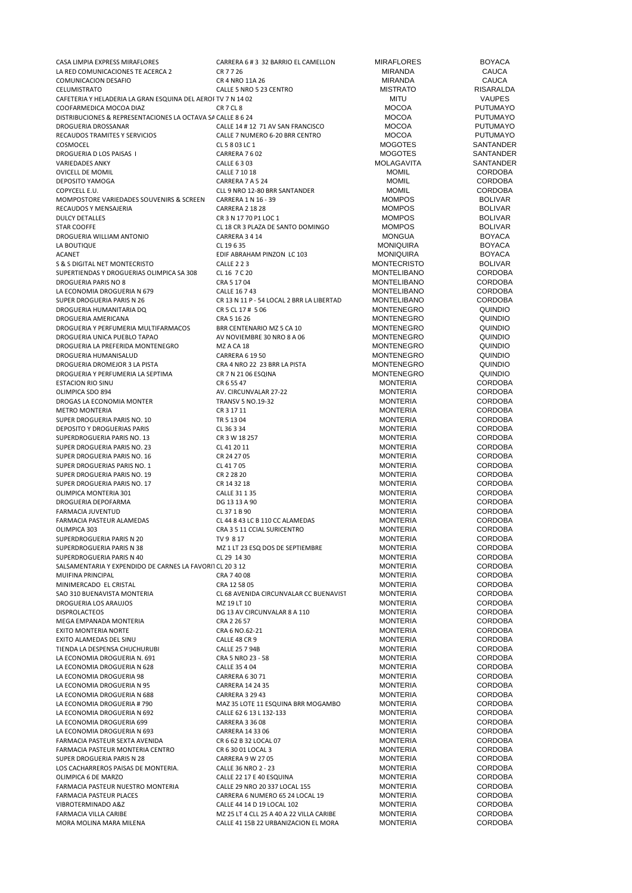| CASA LIMPIA EXPRESS MIRAFLORES                                                     | CARRERA 6 # 3 32 BARRIO EL CAMELLON                     | <b>MIRAFLORES</b>                      | <b>BOYACA</b>                      |
|------------------------------------------------------------------------------------|---------------------------------------------------------|----------------------------------------|------------------------------------|
| LA RED COMUNICACIONES TE ACERCA 2                                                  | CR 7 7 26                                               | <b>MIRANDA</b>                         | <b>CAUCA</b>                       |
| COMUNICACION DESAFIO                                                               | CR 4 NRO 11A 26                                         | <b>MIRANDA</b>                         | <b>CAUCA</b>                       |
| CELUMISTRATO                                                                       | CALLE 5 NRO 5 23 CENTRO                                 | <b>MISTRATO</b>                        | RISARALDA                          |
| CAFETERIA Y HELADERIA LA GRAN ESQUINA DEL AEROI TV 7 N 14 02                       |                                                         | <b>MITU</b>                            | <b>VAUPES</b>                      |
| COOFARMEDICA MOCOA DIAZ                                                            | CR 7 CL 8                                               | <b>MOCOA</b>                           | <b>PUTUMAYO</b><br><b>PUTUMAYO</b> |
| DISTRIBUCIONES & REPRESENTACIONES LA OCTAVA SA CALLE 8 6 24<br>DROGUERIA DROSSANAR | CALLE 14 # 12 71 AV SAN FRANCISCO                       | <b>MOCOA</b><br><b>MOCOA</b>           | <b>PUTUMAYO</b>                    |
| RECAUDOS TRAMITES Y SERVICIOS                                                      | CALLE 7 NUMERO 6-20 BRR CENTRO                          | <b>MOCOA</b>                           | <b>PUTUMAYO</b>                    |
| COSMOCEL                                                                           | CL 5 8 03 LC 1                                          | <b>MOGOTES</b>                         | SANTANDER                          |
| DROGUERIA D LOS PAISAS I                                                           | CARRERA 7602                                            | <b>MOGOTES</b>                         | SANTANDER                          |
| <b>VARIEDADES ANKY</b>                                                             | CALLE 6303                                              | <b>MOLAGAVITA</b>                      | SANTANDER                          |
| <b>OVICELL DE MOMIL</b>                                                            | CALLE 7 10 18                                           | <b>MOMIL</b>                           | <b>CORDOBA</b>                     |
| DEPOSITO YAMOGA                                                                    | CARRERA 7 A 5 24                                        | <b>MOMIL</b>                           | <b>CORDOBA</b>                     |
| COPYCELL E.U.                                                                      | CLL 9 NRO 12-80 BRR SANTANDER                           | <b>MOMIL</b>                           | <b>CORDOBA</b>                     |
| MOMPOSTORE VARIEDADES SOUVENIRS & SCREEN                                           | CARRERA 1 N 16 - 39                                     | <b>MOMPOS</b>                          | <b>BOLIVAR</b>                     |
| RECAUDOS Y MENSAJERIA                                                              | <b>CARRERA 2 18 28</b>                                  | <b>MOMPOS</b>                          | <b>BOLIVAR</b>                     |
| <b>DULCY DETALLES</b><br><b>STAR COOFFE</b>                                        | CR 3 N 17 70 P1 LOC 1                                   | <b>MOMPOS</b><br><b>MOMPOS</b>         | <b>BOLIVAR</b><br><b>BOLIVAR</b>   |
| DROGUERIA WILLIAM ANTONIO                                                          | CL 18 CR 3 PLAZA DE SANTO DOMINGO<br>CARRERA 3 4 14     | <b>MONGUA</b>                          | <b>BOYACA</b>                      |
| LA BOUTIQUE                                                                        | CL 19635                                                | <b>MONIQUIRA</b>                       | <b>BOYACA</b>                      |
| <b>ACANET</b>                                                                      | EDIF ABRAHAM PINZON LC 103                              | <b>MONIQUIRA</b>                       | <b>BOYACA</b>                      |
| S & S DIGITAL NET MONTECRISTO                                                      | <b>CALLE 2 2 3</b>                                      | <b>MONTECRISTO</b>                     | <b>BOLIVAR</b>                     |
| SUPERTIENDAS Y DROGUERIAS OLIMPICA SA 308                                          | CL 16 7 C 20                                            | <b>MONTELIBANO</b>                     | <b>CORDOBA</b>                     |
| DROGUERIA PARIS NO 8                                                               | CRA 5 17 04                                             | <b>MONTELIBANO</b>                     | <b>CORDOBA</b>                     |
| LA ECONOMIA DROGUERIA N 679                                                        | CALLE 16 7 43                                           | <b>MONTELIBANO</b>                     | <b>CORDOBA</b>                     |
| SUPER DROGUERIA PARIS N 26                                                         | CR 13 N 11 P - 54 LOCAL 2 BRR LA LIBERTAD               | <b>MONTELIBANO</b>                     | <b>CORDOBA</b>                     |
| DROGUERIA HUMANITARIA DQ                                                           | CR 5 CL 17 # 5 06                                       | <b>MONTENEGRO</b>                      | QUINDIO                            |
| DROGUERIA AMERICANA                                                                | CRA 5 16 26                                             | <b>MONTENEGRO</b>                      | QUINDIO                            |
| DROGUERIA Y PERFUMERIA MULTIFARMACOS<br>DROGUERIA UNICA PUEBLO TAPAO               | BRR CENTENARIO MZ 5 CA 10<br>AV NOVIEMBRE 30 NRO 8 A 06 | <b>MONTENEGRO</b><br><b>MONTENEGRO</b> | QUINDIO<br>QUINDIO                 |
| DROGUERIA LA PREFERIDA MONTENEGRO                                                  | MZ A CA 18                                              | <b>MONTENEGRO</b>                      | QUINDIO                            |
| DROGUERIA HUMANISALUD                                                              | <b>CARRERA 6 19 50</b>                                  | <b>MONTENEGRO</b>                      | QUINDIO                            |
| DROGUERIA DROMEJOR 3 LA PISTA                                                      | CRA 4 NRO 22 23 BRR LA PISTA                            | <b>MONTENEGRO</b>                      | <b>QUINDIO</b>                     |
| DROGUERIA Y PERFUMERIA LA SEPTIMA                                                  | CR 7 N 21 06 ESQINA                                     | <b>MONTENEGRO</b>                      | QUINDIO                            |
| <b>ESTACION RIO SINU</b>                                                           | CR 6 55 47                                              | <b>MONTERIA</b>                        | <b>CORDOBA</b>                     |
| OLIMPICA SDO 894                                                                   | AV. CIRCUNVALAR 27-22                                   | <b>MONTERIA</b>                        | <b>CORDOBA</b>                     |
| DROGAS LA ECONOMIA MONTER                                                          | TRANSV 5 NO.19-32                                       | <b>MONTERIA</b>                        | <b>CORDOBA</b>                     |
| <b>METRO MONTERIA</b>                                                              | CR 3 17 11                                              | <b>MONTERIA</b>                        | <b>CORDOBA</b>                     |
| SUPER DROGUERIA PARIS NO. 10                                                       | TR 5 13 04                                              | <b>MONTERIA</b>                        | <b>CORDOBA</b>                     |
| DEPOSITO Y DROGUERIAS PARIS                                                        | CL 36 3 34                                              | <b>MONTERIA</b>                        | <b>CORDOBA</b>                     |
| SUPERDROGUERIA PARIS NO. 13<br>SUPER DROGUERIA PARIS NO. 23                        | CR 3 W 18 257<br>CL 41 20 11                            | <b>MONTERIA</b><br><b>MONTERIA</b>     | <b>CORDOBA</b><br><b>CORDOBA</b>   |
| SUPER DROGUERIA PARIS NO. 16                                                       | CR 24 27 05                                             | <b>MONTERIA</b>                        | <b>CORDOBA</b>                     |
| SUPER DROGUERIAS PARIS NO. 1                                                       | CL 41 7 05                                              | <b>MONTERIA</b>                        | <b>CORDOBA</b>                     |
| SUPER DROGUERIA PARIS NO. 19                                                       | CR 2 28 20                                              | <b>MONTERIA</b>                        | <b>CORDOBA</b>                     |
| SUPER DROGUERIA PARIS NO. 17                                                       | CR 14 32 18                                             | <b>MONTERIA</b>                        | <b>CORDOBA</b>                     |
| OLIMPICA MONTERIA 301                                                              | CALLE 31 1 35                                           | <b>MONTERIA</b>                        | <b>CORDOBA</b>                     |
| DROGUERIA DEPOFARMA                                                                | DG 13 13 A 90                                           | <b>MONTERIA</b>                        | <b>CORDOBA</b>                     |
| FARMACIA JUVENTUD                                                                  | CL 37 1 B 90                                            | <b>MONTERIA</b>                        | <b>CORDOBA</b>                     |
| FARMACIA PASTEUR ALAMEDAS                                                          | CL 44 8 43 LC B 110 CC ALAMEDAS                         | <b>MONTERIA</b>                        | <b>CORDOBA</b>                     |
| OLIMPICA 303                                                                       | CRA 3 5 11 CCIAL SURICENTRO                             | <b>MONTERIA</b>                        | <b>CORDOBA</b>                     |
| SUPERDROGUERIA PARIS N 20<br>SUPERDROGUERIA PARIS N 38                             | TV 9 8 17<br>MZ 1 LT 23 ESQ DOS DE SEPTIEMBRE           | <b>MONTERIA</b><br><b>MONTERIA</b>     | <b>CORDOBA</b><br><b>CORDOBA</b>   |
| SUPERDROGUERIA PARIS N 40                                                          | CL 29 14 30                                             | <b>MONTERIA</b>                        | <b>CORDOBA</b>                     |
| SALSAMENTARIA Y EXPENDIDO DE CARNES LA FAVORIT CL 20 3 12                          |                                                         | <b>MONTERIA</b>                        | <b>CORDOBA</b>                     |
| MUIFINA PRINCIPAL                                                                  | CRA 7 40 08                                             | <b>MONTERIA</b>                        | <b>CORDOBA</b>                     |
| MINIMERCADO EL CRISTAL                                                             | CRA 12 58 05                                            | <b>MONTERIA</b>                        | <b>CORDOBA</b>                     |
| SAO 310 BUENAVISTA MONTERIA                                                        | CL 68 AVENIDA CIRCUNVALAR CC BUENAVIST                  | <b>MONTERIA</b>                        | <b>CORDOBA</b>                     |
| DROGUERIA LOS ARAUJOS                                                              | MZ 19 LT 10                                             | <b>MONTERIA</b>                        | <b>CORDOBA</b>                     |
| <b>DISPROLACTEOS</b>                                                               | DG 13 AV CIRCUNVALAR 8 A 110                            | <b>MONTERIA</b>                        | <b>CORDOBA</b>                     |
| MEGA EMPANADA MONTERIA                                                             | CRA 2 26 57                                             | <b>MONTERIA</b>                        | <b>CORDOBA</b>                     |
| EXITO MONTERIA NORTE                                                               | CRA 6 NO.62-21                                          | <b>MONTERIA</b>                        | <b>CORDOBA</b>                     |
| EXITO ALAMEDAS DEL SINU                                                            | CALLE 48 CR 9<br><b>CALLE 25 7 94B</b>                  | <b>MONTERIA</b>                        | CORDOBA                            |
| TIENDA LA DESPENSA CHUCHURUBI<br>LA ECONOMIA DROGUERIA N. 691                      | CRA 5 NRO 23 - 58                                       | <b>MONTERIA</b><br><b>MONTERIA</b>     | <b>CORDOBA</b><br><b>CORDOBA</b>   |
| LA ECONOMIA DROGUERIA N 628                                                        | CALLE 35 4 04                                           | <b>MONTERIA</b>                        | <b>CORDOBA</b>                     |
| LA ECONOMIA DROGUERIA 98                                                           | CARRERA 6 30 71                                         | <b>MONTERIA</b>                        | <b>CORDOBA</b>                     |
| LA ECONOMIA DROGUERIA N 95                                                         | <b>CARRERA 14 24 35</b>                                 | <b>MONTERIA</b>                        | <b>CORDOBA</b>                     |
| LA ECONOMIA DROGUERIA N 688                                                        | <b>CARRERA 3 29 43</b>                                  | <b>MONTERIA</b>                        | <b>CORDOBA</b>                     |
| LA ECONOMIA DROGUERIA #790                                                         | MAZ 35 LOTE 11 ESQUINA BRR MOGAMBO                      | <b>MONTERIA</b>                        | <b>CORDOBA</b>                     |
| LA ECONOMIA DROGUERIA N 692                                                        | CALLE 62 6 13 L 132-133                                 | <b>MONTERIA</b>                        | <b>CORDOBA</b>                     |
| LA ECONOMIA DROGUERIA 699                                                          | CARRERA 3 36 08                                         | <b>MONTERIA</b>                        | CORDOBA                            |
| LA ECONOMIA DROGUERIA N 693                                                        | CARRERA 14 33 06                                        | <b>MONTERIA</b>                        | <b>CORDOBA</b>                     |
| FARMACIA PASTEUR SEXTA AVENIDA                                                     | CR 6 62 B 32 LOCAL 07                                   | <b>MONTERIA</b>                        | <b>CORDOBA</b>                     |
| FARMACIA PASTEUR MONTERIA CENTRO                                                   | CR 6 30 01 LOCAL 3                                      | <b>MONTERIA</b>                        | <b>CORDOBA</b>                     |
| SUPER DROGUERIA PARIS N 28<br>LOS CACHARREROS PAISAS DE MONTERIA.                  | CARRERA 9 W 27 05<br>CALLE 36 NRO 2 - 23                | <b>MONTERIA</b><br><b>MONTERIA</b>     | <b>CORDOBA</b><br><b>CORDOBA</b>   |
| OLIMPICA 6 DE MARZO                                                                | CALLE 22 17 E 40 ESQUINA                                | <b>MONTERIA</b>                        | <b>CORDOBA</b>                     |
| FARMACIA PASTEUR NUESTRO MONTERIA                                                  | CALLE 29 NRO 20 337 LOCAL 155                           | <b>MONTERIA</b>                        | <b>CORDOBA</b>                     |
| FARMACIA PASTEUR PLACES                                                            | CARRERA 6 NUMERO 65 24 LOCAL 19                         | <b>MONTERIA</b>                        | <b>CORDOBA</b>                     |
| VIBROTERMINADO A&Z                                                                 | CALLE 44 14 D 19 LOCAL 102                              | <b>MONTERIA</b>                        | CORDOBA                            |
| FARMACIA VILLA CARIBE                                                              | MZ 25 LT 4 CLL 25 A 40 A 22 VILLA CARIBE                | <b>MONTERIA</b>                        | <b>CORDOBA</b>                     |
| MORA MOLINA MARA MILENA                                                            | CALLE 41 15B 22 URBANIZACION EL MORA                    | <b>MONTERIA</b>                        | <b>CORDOBA</b>                     |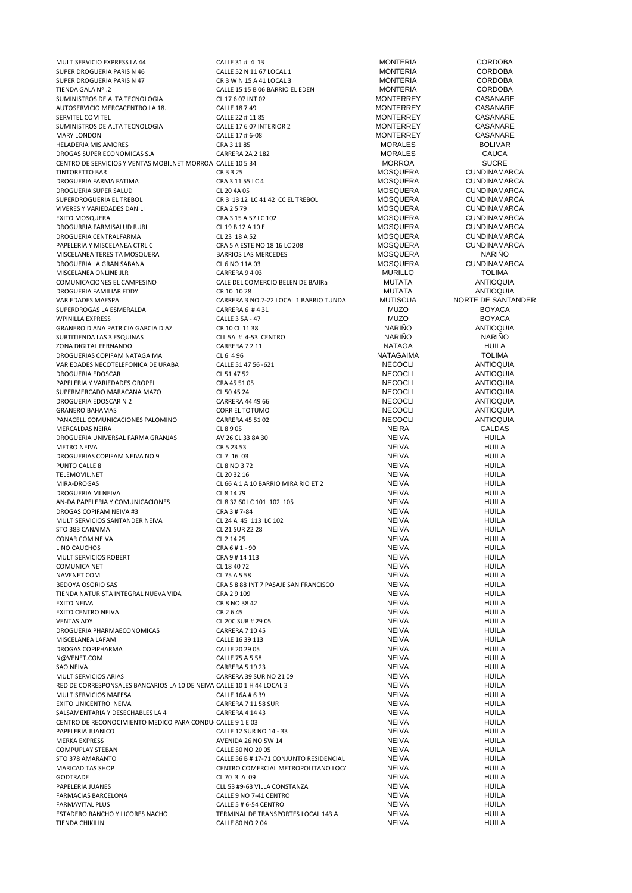MULTISERVICIO EXPRESS LA 44 CALLE 31 # 4 13 MONTERIA CORDOBA<br>SUPER DROGUERIA PARIS N 46 CALLE 52 N 11 67 LOCAL 1 CORDOBA SUPER DROGUERIA PARIS N 46 CALLE 52 N 11 67 LOCAL 1 MONTERIA CORDOBA SUPER DROGUERIA PARIS N 47 CR 3 W N 15 A 41 LOCAL 3 MONTERIA CORDOBA TRIENDA GALA NO EL ERRETA SUR L'ANNO EL EDEN MONTERIA CORDOBA CITATA DE CORDOBA CORDOBA CORDOBALA CORDOBALA CORDOBALA CORDOBALA CORDOBALA CORDOBALA CORDOBALA CORDOBALA CORDOBALA CORDOBALA CORDOBALA CORDOBALA CORDOBALA CORD SUMINISTROS DE ALTA TECNOLOGIA CL 17 6 07 INT 02 MONTERREY CASANARE AUTOSERVICIO MERCACENTRO LA 18. CALLE 18 7 49 MONTERREY CASANARE SERVITEL COM TEL **SERVITEL COM TELE COM TELE 22 # 11 85** MONTERREY CASANARE SUMINISTROS DE ALTA TECNOLOGIA 
CALLE 17 6 07 INTERIOR 2

CALLE 17 # 6-08

CALLE 17 # 6-08

CALLE 17 # 6-08

CALLE 17 # 6-08

CALLE 17 # 6-08

CALLE 17 # 6-08 MARY LONDON CALLE 17 # 6-08 MONTERREY CASANARE HELADERIA MIS AMORES CRA 3 11 85 MORALES BOLIVAR DROGAS SUPER ECONOMICAS S.A CARRERA 2A 2 182 MORALES CAUCA CENTRO DE SERVICIOS Y VENTAS MOBILNET MORROA CALLE 10 5 34 MORROA MORROA CHILE 10 5 34 CUNDINAMENTO BAR CUNDINAMENTO BAR CUNDINAME TINTORETTO BAR CR 3 3 25 MOSQUERA CUNDINAMARCA DROGUERIA FARMA FATIMA CRA 3 11 55 LC 4 MOSQUERA CUNDINAMARCA DROGUERIA SUPER SALUD CL 20 4A 05 MOSQUERA CUNDINAMARCA CR 3 13 12 LC 41 42 CC EL TREBOL MOSQUERA CUNDINAMARCA<br>
CRA 2 5 79 CUNDINAMARCA VIVERES Y VARIEDADES DANILI CRA 2 5 79 MOSQUERA CUNDINAMARCA CRA 3 15 A 57 LC 102 CRA 3 15 A 57 LC 102<br>CL 19 B 12 A 10 E CLINDINAMARCA MOSQUERA CUNDINAMARCA DROGURRIA FARMISALUD RUBI CL 19 B 12 A 10 E MOSQUERA CUNDINAMARCA DROGUERIA CENTRALFARMA CL 23 18 A 52 MOSQUERA CUNDINAMARCA PAPELERIA Y MISCELANEA CTRL C<br>MISCELANEA TERESITA MOSQUERA CUNDINAMA CUNDINAMA<br>DARRÍO DE REGIONALES DE RARRIOS LAS MERCEDES CONDENANTO DE MOSQUERA NA RIÑO MISCELANEA TERESITA MOSQUERA BARRIOS LAS MERCEDES MOSQUERA NARIÑO DROGUERIA LA GRAN SABANA CL 6 NO 11A 03 MOSQUERA CUNDINAMARCA MISCELANEA ONLINE JLR COMUNICACIONES EL CAMPESINO COLE DEL COMERCIO BELEN DE BAJIRa COMUNICACIONES EL CAMPESINO COLE DEL COMERCIO BELEN DE BAJIRA COMUNICACIONES EL CAMPEOLOLIA<br>CR 10 10 28 CR 10 10 28 MUTATA MUTATA ANTIOQUIA DROGUERIA FAMILIAR EDDY CR 10 10 28 MUTATA ANTIOQUIA VARIEDADES MAESPA CARRERA 3 NO.7-22 LOCAL 1 BARRIO TUNDAMA MUTISCUA NORTE DE SANTANDER SUPERDROGAS LA ESMERALDA CARRERA 6 # 4 31 MUZO BOYACA WPINILLA EXPRESS CALLE 3 5A - 47 MUZO BOYACA GRANERO DIANA PATRICIA GARCIA DIAZ CR 10 CL 11 38 NARIÑO ANTIOQUIA SURTITIENDA LAS 3 ESQUINAS CLL 5A # 4-53 CENTRO NARIÑO NARIÑO ZONA DIGITAL FERNANDO CARRERA 7 2 11 NATAGA HUILA DROGUERIAS COPIFAM NATAGAIMA CL 6 4 96 NATAGAIMA TOLIMA VARIEDADES NECOTELEFONICA DE URABA CALLE 51 47 56 -621 NECOCLI ANTIOQUIA DROGUERIA EDOSCAR CL 51 47 52 NECOCLI ANTIOQUIA PAPELERIA Y VARIEDADES OROPEL<br>CILIDERMERCADO MARACANA MAZO CO CO CO CO CO CO CO CONTRADO DE CONTRADO DE CONTRADO DE CONTRADO DE CONTRADO DE<br>NECOCLI ANTIOQUILA SUPERMERCADO MARACANA MAZO CL 50 45 24 NECOCLI ANTIOQUIA DROGUERIA EDOSCAR N 2 CARRERA 44 49 66 NECOCLI ANTIOQUIA GRANERO BAHAMAS CORR EL TOTUMO NECOCLI ANTIOQUIA PANACELL COMUNICACIONES PALOMINO CARRERA 45 51 02 NECOCLI ANTIOQUIA MERCALDAS NEIRA CL 8 9 05 NEIRA CALDAS DROGUERIA UNIVERSAL FARMA GRANJAS AV 26 CL 33 8A 30 NEIVA HUILA METRO NEIVA CR 5 23 53 NEIVA HUILA DROGUERIAS COPIFAM NEIVA NO 9 CL 7 16 03 CL 7 16 03<br>PIINTO CALIF 8 CL 7 NO 9 CL 7 NO 9 72 CL 8 NO 9 72 CL 8 NO 9 72 CL 8 NO 9 72 CL 8 NO 9 72 CL 8 NO 9 72 CL 7 NE PUNTO CALLE 8 NO 372 NEIVA NEIVA HUILA TELEMOVIL.NET CL 20 32 16 NEIVA HUILA MIRA-DROGAS CL 66 A 1 A 10 BARRIO MIRA RIO ET 2 NEIVA HUILA DROGUERIA MI NEIVA CL 8 14 79 NEIVA HUILA AN-DA PAPELERIA Y COMUNICACIONES CL 8 32 60 LC 101 102 105 NEIVA NEIVA HUILA DROGAS COPIFAM NEIVA #3 CRA 3 # 7-84 NEIVA HUILA MULTISERVICIOS SANTANDER NEIVA CL 24 A 45 113 LC 102 NEIVA HUILA STO 383 CANAIMA<br>CONAR COM NEIVA CONNEIVA CON CL 21 SUR 22 28 NEIVA NEIVA NEIVA HUILA<br>CONAR COM NEIVA HUILA CONAR COM NEIVA CL 2 14 25 CL 2 14 25 NEIVA REIVA LINO CAUCHOS CRA 6 # 1 - 90 NEIVA HUILA MULTISERVICIOS ROBERT CRA 9 # 14 113 NEIVA HUILA COMUNICA NET CL 18 40 72 NEIVA HUILA NAVENET COM CL 75 A 5 58 NEIVA HUILA BEDOYA OSORIO SAS CRA 5 8 88 INT 7 PASAJE SAN FRANCISCO NEIVA HUILA TIENDA NATURISTA INTEGRAL NUEVA VIDA CRA 2 9 109<br>EXITO NEIVA HUILA CRA DE SANO 38.42 NEIVA NEIVA NEIVA HUILA HUILA EXITO NEIVA CR 8 NO 38 42 NEIVA HUILA EXITO CENTRO NEIVA CR 2 6 45 NEIVA HUILA VENTAS ADY CL 20C SUR # 29 05 NEIVA HUILA DROGUERIA PHARMAECONOMICAS CARRERA 7 10 45<br>MISCELANEA LAFAM CALLE 16 39 113 NEIVA MISCELANEA LAFAM CALLE 16 39 113 NEIVA HUILA DROGAS COPIPHARMA CALLE 20 29 05 NEIVA HUILA N@VENET.COM CALLE 75 A 5 58 NEIVA HUILA SAO NEIVA CARRERA 5 19 23 NEIVA NEIVA HUILA HUILA CARRERA 5 19 23 MULTISERVICIOS ARIAS CARRERA 39 SUR NO 21 09 NEIVA HUILA RED DE CORRESPONSALES BANCARIOS LA 10 DE NEIVA CALLE 10 1 H 44 LOCAL 3 NEIVA NEIVA NEIVA POLOGO E HUILA CALLE 16A # 6 39<br>MULTISERVICIOS MAFESA NEIVA CALLE 16A # 6 39 MULTISERVICIOS MAFESA CALLE 16A # 6 39 NEIVA HUILA EXITO UNICENTRO NEIVA<br>CARRERA 7 11 58 SUR NEIVA NEIVA HUILA HUILA HUILA HUILA HUILA HUILA HUILA HUILA HUILA HUILA HUILA HUILA HUILA<br>CARRERA 4 14 43 SALSAMENTARIA Y DESECHABLES LA 4 CARRERA 4 14 43 NEIVA NEIVA CENTRO DE RECONOCIMIENTO MEDICO PARA CONDUI CALLE 9 1 E 03 NEIVA NEIVA NEIVA PAPELERIA JUANICO CALLE 12 SUR NO 14 - 33 NEIVA HUILA AVENIDA 26 NO 5W 14 NEIVA NEIVA NEIVA HUILA CALLE 50 NO 20 05 COMPUPLAY STEBAN CALLE 50 NO 20 05 NEIVA HUILA STO 378 AMARANTO AND THE SERVICE SERVICE SO AN ARANTO CALLE S AND HOULD A LATE CONJUNTO RESIDENCIAL AMARANTO CLU<br>CENTRO COMERCIAL METROPOLITANO LOC/ AMARINA HOUSE. NEIVA HUILA MARICADITAS SHOP CENTRO COMERCIAL METROPOLITANO LOCAL 213 NEIVA HUILA GODTRADE CL 70 3 A 09 NEIVA HUILA PAPELERIA JUANES CLL 53 #9-63 VILLA CONSTANZA NEIVA HUILA FARMACIAS BARCELONA CALLE 9 NO 7-41 CENTRO NEIVA HUILA  $CALLE 5 # 6-54 CENTRO$ ESTADERO RANCHO Y LICORES NACHO TERMINAL DE TRANSPORTES LOCAL 143 A NEIVA HUILA TIENDA CHIKILIN CALLE 80 NO 2 04 NEIVA HUILA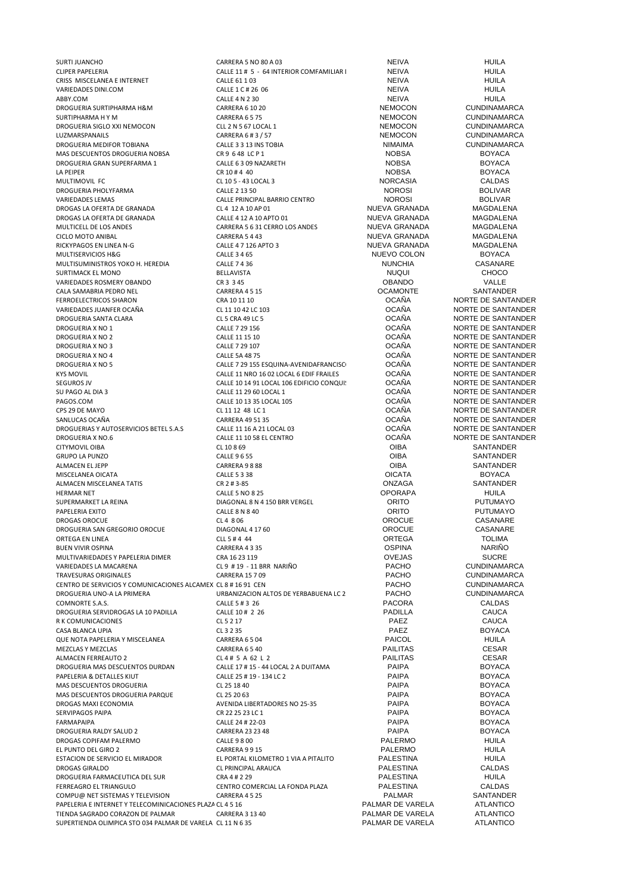SURTI JUANCHO CARRERA 5 NO 80 A 03 NEIVA HUILA CRISS MISCELANEA E INTERNET CALLE 61 1 03 NEIVA HUILA VARIEDADES DINI.COM CALLE 1 C # 26 06 NEIVA HUILA ABBY.COM CALLE 4 N 2 30 NEIVA HUILA DROGUERIA SURTIPHARMA H&M CARRERA 6 10 20 NEMOCON CUNDINAMARCA SURTIPHARMA H Y M CARRERA 6 5 75 NEMOCON CUNDINAMARCA DROGUERIA SIGLO XXI NEMOCON CLL 2 N 5 67 LOCAL 1 NEMOCON CUNDINAMARCA LUZMARSPANAILS CARRERA 6 # 3 / 57 NEMOCON CUNDINAMARCA DROGUERIA MEDIFOR TOBIANA CALLE 3 3 13 INS TOBIA NIMAIMA CUNDINAMARCA MAS DESCUENTOS DROGUERIA NOBSA CR 9 6 48 LC P 1 NOBSA BOYACA DROGUERIA GRAN SUPERFARMA 1 CALLE 6 3 09 NAZARETH NOBSA BOYACA CALLE 6 3 09 NAZARETH NOBSA BOYACA LA PEIPER CR 10 # 4 40 NOBSA BOYACA MULTIMOVIL FC CL 10 5 - 43 LOCAL 3 NORCASIA CALDAS DROGUERIA PHOLYFARMA CALLE 2 13 50 NOROSI BOLIVAR DROGAS LA OFERTA DE GRANADA CL 4 12 A 10 AP 01 NUEVA GRANADA MAGDALENA DROGAS LA OFERTA DE GRANADA CALLE 4 12 A 10 APTO 01 NUEVA GRANADA MAGDALENA MULTICELL DE LOS ANDES<br>CARRERA 5 6 31 CERRO LOS ANDES NUEVA GRANADA MAGDALENA<br>CICLO MOTO ANIBAL MAGDALENA CARRERA 5 4 43 RICKYPAGOS EN LINEA N-G CALLE 4 7 126 APTO 3 NUEVA GRANADA MAGDALENA MULTISERVICIOS H&G CALLE 3 4 65 CALLE 3 4 65 NUEVO COLON BOYACA MULTISUMINISTROS YOKO H. HEREDIA CALLE 7 4 36 NUNCHIA CASANARE<br>SURTIMACK EL MONO CHOCO SURTIMACK EL MONO SURTIMACK EL MONO SURTIMACK EL MONO SURTIMACK EL MONO SURTIMACK EL MONO SURTIMACK EL MONO SU VARIEDADES ROSMERY OBANDO CR 3 3 45 OBANDO VALLE CALA SAMABRIA PEDRO NEL CARRERA 4 5 15 CARRERA 4 5 15 COAMONTE SANTANDER COAMONTE SANTANDER CARRERA 4 5 15 COAMONTE SANTANDER COAMONTE SANTANDER COAMONTE SANTANDER COAMONTE SANTANDER COAMONTE SANTANDER COAMONTE SANTANDER C FERROELECTRICOS SHARON CRA 10 11 10 OCAÑA NORTE DE SANTANDER VARIEDADES JUANFER OCAÑA CL 11 10 42 LC 103 DE SANTANDES JUANER OCAÑA CL 11 10 42 LC 103 DE SANTANDER DE SANTA<br>DROGUERIA SANTA CLARA CL 10 ANDERETADO DE SANTANDER DE SANTANDER DE SANTANDER DE SANTANDER DE SANTANDER DE SAN DROGUERIA SANTA CLARA CLOROGUERIA SANTA CLOROGUERIA CLOROGUERIA CLOROGUERIA ANORTE DE SANTANDER<br>DROGUERIA XINO 1 CALLE 7 29 156 CALLE 7 29 156 CAÑA NORTE DE SANTANDER DROGUERIA X NO 1 CALLE 7 29 156 CALLE 7 29 156 COAÑA NORTE DE SANTANDER<br>DROGUERIA X NO 2 CALLE 11 15 10 CAÑA OCAÑA NORTE DE SANTANDER DROGUERIA X NO 2 CALLE 11 15 10 CALLE 11 15 10<br>DROGUERIA X NO 3 CALLE 7 29 107 CALLE 7 29 107 COAÑA NORTE DE SANTANDER DROGUERIA X NO 3 CALLE 7 29 107 CALLE 7 29 107<br>DROGUERIA X NO 4 CALLE 5A 48 75 CALLE 5A 48 75 CALIF SANTANDER DROGUERIA X NO 4 CALLE 5A 48 75 CALLE SANTANDER<br>DROGUERIA X NO 5 CALLE 7.29 155 ESOUINA-AVENIDAFRANCISC COCAÑA NORTE DE SANTANDER KYS MOVIL CALLE 11 NRO 16.02 LOCAL 6 EDIF FRAILES SEGUROS JV CALLE 10 14 91 LOCAL 106 EDIFICIO CONQUI: COCAÑA NORTE DE SANTANDER<br>SLI PAGO AL DIA 3 CALLE 11 29 60 LOCAL 1 SU PAGO AL DIA 3 CALLE 11 29 60 LOCAL 1 CALLE 11 29 60 LOCAL 1<br>PAGOS.COM CALLE 10 13 35 LOCAL 105 COLORE DO CAÑA NORTE DE SANTANDER PAGOS.COM CALLE 10 13 35 LOCAL 105 COCAÑA NORTE DE SANTANDER<br>CPS 29 DE MAYO COLOREGIA DE LA CITATA ARICA DE LA CITATA DE SANTANDER SANLUCAS OCAÑA CARRERA 49 51 35 COLOÑA DE CARRERA AND EN CARRERA AND EN COLOÑA COLOÑA DE SANTANDER<br>DROGUERIAS Y AUTOSERVICIOS BETEL S.A.S CALLE 11 16 A 21 LOCAL 03 COLOÑA DORTE DE SANTANDER DROGUERIAS Y AUTOSERVICIOS BETEL S.A.S CALLE 11 16 A 21 LOCAL 03 COAÑA NORTE DE SANTANDER<br>DROGUERIA X NO.6 CALLE 11 10 58 EL CENTRO COCAÑA NORTE DE SANTANDER DROGUERIA X NO.6 CALLE 11 10 58 EL CENTRO OCAÑA NORTE DE SANTANDER CITYMOVIL OIBA CL 10 8 69 OIBA SANTANDER GRUPO LA PUNZO CALLE 96 55 CALLE 96 55 CALLE 96 55 CALLE 96 55 COIBA SANTANDER ALMACEN EL JEPP CARRERA 9 8 88 CARRERA 198 88 CARRERA SANTANDER CARRERA SANTANDER MISCELANEA OICATA CALLE 5 3 38 OICATA BOYACA ALMACEN MISCELANEA TATIS CR 2 # 3-85 ONZAGA SANTANDER HERMAR NET CALLE 5 NO 8 25 OPORAPA HUILA SUPERMARKET LA REINA DER REINA DIAGONAL 8 N 4 150 BRR VERGEL AND TO PUTUMAYO PAPELERIA EXITO CALLE 8 N 8 40 CALLE 8 N 8 40 CALLE 8 N 8 40 CALLE 8 ORITO PUTUMAYO DROGAS OROCUE CL 4 8 06 OROCUE CASANARE DROGUERIA SAN GREGORIO OROCUE DIAGONAL 417 60 CONSTRUIT DIAGONAL ANNO 2009 DE DESENIO DE DESENIORE DE LA CASANAR<br>ORTEGA EN LINEA CASANARE DE LA CILIS # 4 44 ORTEGA DE LA CORTEGA DE TOLIMA ORTEGA EN LINEA CONTENTINA CONTENTER A CLL 5 # 4 44 ORTEGA CONTEGA TOLIMA BUEN VIVIR OSPINA NARIÑO EN 1989. CARRERA 4 3 35 OSPINA NARIÑO EN 1989. CARRERA 4 3 35 OSPINA NARIÑO EN 1989. D MULTIVARIEDADES Y PAPELERIA DIMER CRA 16 23 119 OVEJAS SUCRE variedades la macarena de la componentación de la francesa de la componentación de la componentación de la com<br>Travesuras originales de la componentación de la carrera 15 7 09 de la componentación de la componentación de TRAVESURAS ORIGINALES CARRERA 15 7 09 PACHO CUNDINAMARCA CENTRO DE SERVICIOS Y COMUNICACIONES ALCAMEX CL 8 # 16 91 CEN PACHO CONDINAMARCA<br>DROGLIFRIA I INO-A LA PRIMERA CANDINAMARCA URBANIZACION ALTOS DE YERBABUENA LC 2 PACHO CUNDINAMARCA DROGUERIA UNO-A LA PRIMERA URBANIZACION ALTOS DE YERBABUENA LC 2 PACHO CUNDINAMAI<br>COMNORTES A SALIDAS CALES HI 2.26 PACORA PACORA CALDAS COMNORTE S.A.S. CALLE 5 # 3 26 PACORA CALDAS DROGUERIA SERVIDROGAS LA 10 PADILLA CALLE 10 # 2 26 PADILLA CAUCA R K COMUNICACIONES CL 5 2 17 PAEZ CAUCA CASA BLANCA UPIA GALLA COMO CONTROLLER CASA CONTROLLER CONTROLLER CONTROLLER CASA BLANCA CONTROLLER CONTROLLER QUE NOTA PAPELERIA Y MISCELANEA CARRERA 6 5 04 PAICOL HUILA MEZCLAS Y MEZCLAS CARRERA 6 5 40 PAILITAS CESAR ALMACEN FERREAUTO 2 CL 4 # 5 A 62 L 2 PAILITAS CESAR DROGUERIA MAS DESCUENTOS DURDAN CALLE 17 # 15 - 44 LOCAL 2 A DUITAMA PAIPA PAIPA BOYACA<br>PAPELERIA & DETALLES KIUT CALLE 25 # 19 - 134 LC 2 PAPELERIA & DETALLES KIUT CALLE 25 # 19 - 134 LC 2 PAIPA PAIPA BOYACA PAIPA BOYACA<br>
MAS DESCUENTOS DROGUERIA CL 25 18 40 MAS DESCUENTOS DROGUERIA CL 25 18 40 PAIPA BOYACA MAS DESCUENTOS DROGUERIA PARQUE CL 25 20 63<br>DROGAS MAXI FCONOMIA PARQUE AVENIDA LIBERTADORES NO 25-35 PAIPA PAIPA DROGAS MAXI ECONOMIA AVENIDA LIBERTADORES NO 25-35 PAIPA BOYACA SERVIPAGOS PAIPA CR 22 25 23 LC 1 PAIPA BOYACA FARMAPAIPA CALLE 24 # 22-03 PAIPA BOYACA DROGUERIA RALDY SALUD 2 CARRERA 23 23 48 PAIPA BOYACA BOYACA PROGUERIA RALDY SALUD 2 CALLE A SALUD 2 CALLE A SAN<br>CALLE A SAN CALLE A SAN PAIR PROGRAM BALDERAMO HIULA DROGAS COPIFAM PALERMO CALLE 9 8 00 PALERMO HUILA EL PUNTO DEL GIRO 2 CARRERA 9 9 15 PALERMO HUILA DROGAS GIRALDO CL PRINCIPAL ARAUCA PALESTINA CALDAS DROGUERIA FARMACEUTICA DEL SUR CRA 4 # 2 29 PALESTINA HUILA COMPU@ NET SISTEMAS Y TELEVISION CORRERA 45 25 COMPU@ NET SISTEMAS Y TELECOMINICACIONES PLAZA CL 4 5 16 CARRERA ASSANTANDER PAPELERIA E INTERNET Y TELECOMINICACIONES PLAZA CL 4 5 16 TIENDA SAGRADO CORAZON DE PALMAR CARRERA 3 13 40<br>SLIPERTIENDA OLIMPICA STO 034 PALMAR DE VARELA CL 11 N 6 35 SUPERTIENDA OLIMPICA STO 034 PALMAR DE VARELA CL 11 N 6 35 PALMAR DE VARELA ATLANTICO

CLIPER PAPELERIA CALLE 11 # 5 - 64 INTERIOR COMFAMILIAR DEL HUILA NEIVA HUILA VARIEDADES LEMAS CALLE PRINCIPAL BARRIO CENTRO NOROSI BOLIVAR CALLE 7 29 155 ESQUINA-AVENIDAFRANCISCO OCAÑA NORTE DE SANTANDER<br>CALLE 11 NRO 16.02 LOCAL 6 EDIE FRAILES OCAÑA NORTE DE SANTANDER CL 11 12 48 LC 1<br>
CAÑA NORTE DE SANTANDER<br>
CAÑA NORTE DE SANTANDER ESTACION DE SERVICIO EL MIRADOR EL PORTAL KILOMETRO 1 VIA A PITALITO PALESTINA HUILA FERREAGRO EL TRIANGULO CENTRO COMERCIAL LA FONDA PLAZA PALESTINA CALDAS

NUEVA GRANADA MAGDALENA<br>NUEVA GRANADA MAGDALENA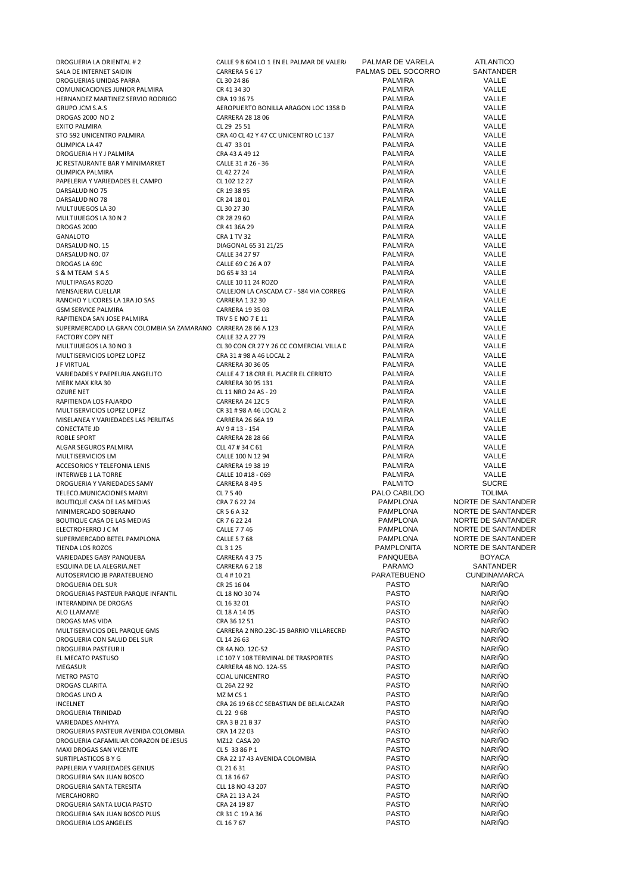| DROGUERIA LA ORIENTAL #2                                                                     | CALLE 9 8 604 LO 1 EN EL PALMAR DE VALER/                     | PALMAR DE VARELA                 | ATLANTICO           |
|----------------------------------------------------------------------------------------------|---------------------------------------------------------------|----------------------------------|---------------------|
| SALA DE INTERNET SAIDIN                                                                      | CARRERA 5 6 17                                                | PALMAS DEL SOCORRO               | SANTANDER           |
| DROGUERIAS UNIDAS PARRA                                                                      | CL 30 24 86                                                   | <b>PALMIRA</b>                   | VALLE               |
| COMUNICACIONES JUNIOR PALMIRA                                                                | CR 41 34 30                                                   | <b>PALMIRA</b>                   | VALLE               |
| HERNANDEZ MARTINEZ SERVIO RODRIGO                                                            | CRA 19 36 75                                                  | <b>PALMIRA</b>                   | VALLE               |
| <b>GRUPO JCM S.A.S</b>                                                                       | AEROPUERTO BONILLA ARAGON LOC 1358 D                          | <b>PALMIRA</b>                   | VALLE               |
| DROGAS 2000 NO 2                                                                             | CARRERA 28 18 06                                              | <b>PALMIRA</b>                   | VALLE               |
| <b>EXITO PALMIRA</b>                                                                         | CL 29 25 51                                                   | <b>PALMIRA</b>                   | VALLE               |
| STO 592 UNICENTRO PALMIRA                                                                    | CRA 40 CL 42 Y 47 CC UNICENTRO LC 137                         | <b>PALMIRA</b>                   | VALLE               |
| OLIMPICA LA 47                                                                               | CL 47 33 01                                                   | <b>PALMIRA</b>                   | VALLE<br>VALLE      |
| DROGUERIA HY J PALMIRA                                                                       | CRA 43 A 49 12                                                | <b>PALMIRA</b>                   | VALLE               |
| JC RESTAURANTE BAR Y MINIMARKET                                                              | CALLE 31 # 26 - 36                                            | <b>PALMIRA</b>                   | VALLE               |
| OLIMPICA PALMIRA<br>PAPELERIA Y VARIEDADES EL CAMPO                                          | CL 42 27 24                                                   | <b>PALMIRA</b><br><b>PALMIRA</b> | VALLE               |
|                                                                                              | CL 102 12 27                                                  | <b>PALMIRA</b>                   | VALLE               |
| DARSALUD NO 75<br>DARSALUD NO 78                                                             | CR 19 38 95<br>CR 24 18 01                                    | <b>PALMIRA</b>                   | VALLE               |
|                                                                                              |                                                               | <b>PALMIRA</b>                   | VALLE               |
| MULTIJUEGOS LA 30                                                                            | CL 30 27 30<br>CR 28 29 60                                    | <b>PALMIRA</b>                   | VALLE               |
| MULTIJUEGOS LA 30 N 2                                                                        | CR 41 36A 29                                                  | <b>PALMIRA</b>                   | VALLE               |
| DROGAS 2000<br>GANALOTO                                                                      | CRA 1 TV 32                                                   | <b>PALMIRA</b>                   | VALLE               |
| DARSALUD NO. 15                                                                              | DIAGONAL 65 31 21/25                                          | <b>PALMIRA</b>                   | VALLE               |
| DARSALUD NO. 07                                                                              | CALLE 34 27 97                                                | <b>PALMIRA</b>                   | VALLE               |
| DROGAS LA 69C                                                                                | CALLE 69 C 26 A 07                                            | <b>PALMIRA</b>                   | VALLE               |
| S & M TEAM S A S                                                                             | DG 65 # 33 14                                                 | <b>PALMIRA</b>                   | VALLE               |
| MULTIPAGAS ROZO                                                                              | CALLE 10 11 24 ROZO                                           | <b>PALMIRA</b>                   | VALLE               |
| MENSAJERIA CUELLAR                                                                           | CALLEJON LA CASCADA C7 - 584 VIA CORREG                       | <b>PALMIRA</b>                   | VALLE               |
| RANCHO Y LICORES LA 1RA JO SAS                                                               | <b>CARRERA 1 32 30</b>                                        | <b>PALMIRA</b>                   | VALLE               |
| <b>GSM SERVICE PALMIRA</b>                                                                   | CARRERA 19 35 03                                              | <b>PALMIRA</b>                   | VALLE               |
|                                                                                              | <b>TRV 5 E NO 7 E 11</b>                                      | <b>PALMIRA</b>                   | VALLE               |
| RAPITIENDA SAN JOSE PALMIRA<br>SUPERMERCADO LA GRAN COLOMBIA SA ZAMARANO CARRERA 28 66 A 123 |                                                               | <b>PALMIRA</b>                   | VALLE               |
|                                                                                              |                                                               | <b>PALMIRA</b>                   | VALLE               |
| <b>FACTORY COPY NET</b><br>MULTIJUEGOS LA 30 NO 3                                            | CALLE 32 A 27 79<br>CL 30 CON CR 27 Y 26 CC COMERCIAL VILLA D | <b>PALMIRA</b>                   | VALLE               |
|                                                                                              |                                                               | <b>PALMIRA</b>                   |                     |
| MULTISERVICIOS LOPEZ LOPEZ                                                                   | CRA 31 # 98 A 46 LOCAL 2                                      | <b>PALMIRA</b>                   | VALLE               |
| J F VIRTUAL                                                                                  | CARRERA 30 36 05                                              |                                  | VALLE<br>VALLE      |
| VARIEDADES Y PAEPELRIA ANGELITO                                                              | CALLE 4 7 18 CRR EL PLACER EL CERRITO                         | <b>PALMIRA</b>                   | VALLE               |
| MERK MAX KRA 30                                                                              | CARRERA 30 95 131                                             | <b>PALMIRA</b><br><b>PALMIRA</b> | VALLE               |
| <b>OZURE NET</b>                                                                             | CL 11 NRO 24 AS - 29                                          | <b>PALMIRA</b>                   | VALLE               |
| RAPITIENDA LOS FAJARDO                                                                       | <b>CARRERA 24 12C 5</b><br>CR 31 # 98 A 46 LOCAL 2            | <b>PALMIRA</b>                   | VALLE               |
| MULTISERVICIOS LOPEZ LOPEZ<br>MISELANEA Y VARIEDADES LAS PERLITAS                            | CARRERA 26 66A 19                                             | <b>PALMIRA</b>                   | VALLE               |
| CONECTATE JD                                                                                 | AV 9 # 13 - 154                                               | <b>PALMIRA</b>                   | VALLE               |
| ROBLE SPORT                                                                                  | <b>CARRERA 28 28 66</b>                                       | <b>PALMIRA</b>                   | VALLE               |
| ALGAR SEGUROS PALMIRA                                                                        | CLL 47 # 34 C 61                                              | <b>PALMIRA</b>                   | VALLE               |
| MULTISERVICIOS LM                                                                            | CALLE 100 N 12 94                                             | <b>PALMIRA</b>                   | VALLE               |
| ACCESORIOS Y TELEFONIA LENIS                                                                 | CARRERA 19 38 19                                              | <b>PALMIRA</b>                   | VALLE               |
| INTERWEB 1 LA TORRE                                                                          | CALLE 10 #18 - 069                                            | <b>PALMIRA</b>                   | VALLE               |
| DROGUERIA Y VARIEDADES SAMY                                                                  | CARRERA 8495                                                  | <b>PALMITO</b>                   | <b>SUCRE</b>        |
| TELECO.MUNICACIONES MARYI                                                                    | CL 7 5 40                                                     | PALO CABILDO                     | <b>TOLIMA</b>       |
| BOUTIQUE CASA DE LAS MEDIAS                                                                  | CRA 7 6 22 24                                                 | PAMPLONA                         | NORTE DE SANTANDER  |
| MINIMERCADO SOBERANO                                                                         | CR 5 6 A 32                                                   | PAMPLONA                         | NORTE DE SANTANDER  |
| BOUTIQUE CASA DE LAS MEDIAS                                                                  | CR 7 6 22 24                                                  | <b>PAMPLONA</b>                  | NORTE DE SANTANDER  |
| ELECTROFERRO J C M                                                                           | <b>CALLE 7746</b>                                             | <b>PAMPLONA</b>                  | NORTE DE SANTANDER  |
| SUPERMERCADO BETEL PAMPLONA                                                                  | <b>CALLE 5 7 68</b>                                           | PAMPLONA                         | NORTE DE SANTANDER  |
| <b>TIENDA LOS ROZOS</b>                                                                      | CL 3 1 25                                                     | <b>PAMPLONITA</b>                | NORTE DE SANTANDER  |
| VARIEDADES GABY PANQUEBA                                                                     | CARRERA 4375                                                  | <b>PANQUEBA</b>                  | <b>BOYACA</b>       |
| ESQUINA DE LA ALEGRIA.NET                                                                    | CARRERA 6218                                                  | <b>PARAMO</b>                    | SANTANDER           |
| AUTOSERVICIO JB PARATEBUENO                                                                  | CL 4 # 10 21                                                  | PARATEBUENO                      | <b>CUNDINAMARCA</b> |
| DROGUERIA DEL SUR                                                                            | CR 25 16 04                                                   | <b>PASTO</b>                     | <b>NARINO</b>       |
| DROGUERIAS PASTEUR PARQUE INFANTIL                                                           | CL 18 NO 30 74                                                | <b>PASTO</b>                     | <b>NARIÑO</b>       |
| <b>INTERANDINA DE DROGAS</b>                                                                 | CL 16 32 01                                                   | <b>PASTO</b>                     | <b>NARIÑO</b>       |
| ALO LLAMAME                                                                                  | CL 18 A 14 05                                                 | <b>PASTO</b>                     | <b>NARIÑO</b>       |
| DROGAS MAS VIDA                                                                              | CRA 36 12 51                                                  | <b>PASTO</b>                     | <b>NARIÑO</b>       |
| MULTISERVICIOS DEL PARQUE GMS                                                                | CARRERA 2 NRO.23C-15 BARRIO VILLARECRE                        | <b>PASTO</b>                     | <b>NARIÑO</b>       |
| DROGUERIA CON SALUD DEL SUR                                                                  | CL 14 26 63                                                   | <b>PASTO</b>                     | <b>NARIÑO</b>       |
| DROGUERIA PASTEUR II                                                                         | CR 4A NO. 12C-52                                              | <b>PASTO</b>                     | <b>NARIÑO</b>       |
| EL MECATO PASTUSO                                                                            | LC 107 Y 108 TERMINAL DE TRASPORTES                           | <b>PASTO</b>                     | <b>NARIÑO</b>       |
| MEGASUR                                                                                      | CARRERA 48 NO. 12A-55                                         | <b>PASTO</b>                     | <b>NARIÑO</b>       |
| <b>METRO PASTO</b>                                                                           | <b>CCIAL UNICENTRO</b>                                        | <b>PASTO</b>                     | <b>NARIÑO</b>       |
| <b>DROGAS CLARITA</b>                                                                        | CL 26A 22 92                                                  | <b>PASTO</b>                     | <b>NARIÑO</b>       |
| DROGAS UNO A                                                                                 | MZ M CS 1                                                     | <b>PASTO</b>                     | <b>NARIÑO</b>       |
| <b>INCELNET</b>                                                                              | CRA 26 19 68 CC SEBASTIAN DE BELALCAZAR                       | <b>PASTO</b>                     | <b>NARIÑO</b>       |
| DROGUERIA TRINIDAD                                                                           | CL 22 9 68                                                    | <b>PASTO</b>                     | <b>NARIÑO</b>       |
| VARIEDADES ANHYYA                                                                            | CRA 3 B 21 B 37                                               | <b>PASTO</b>                     | <b>NARIÑO</b>       |
| DROGUERIAS PASTEUR AVENIDA COLOMBIA                                                          | CRA 14 22 03                                                  | <b>PASTO</b>                     | <b>NARIÑO</b>       |
| DROGUERIA CAFAMILIAR CORAZON DE JESUS                                                        | MZ12 CASA 20                                                  | <b>PASTO</b>                     | <b>NARIÑO</b>       |
| MAXI DROGAS SAN VICENTE                                                                      | CL 5 33 86 P 1                                                | <b>PASTO</b>                     | <b>NARIÑO</b>       |
| SURTIPLASTICOS B Y G                                                                         | CRA 22 17 43 AVENIDA COLOMBIA                                 | <b>PASTO</b>                     | <b>NARIÑO</b>       |
| PAPELERIA Y VARIEDADES GENIUS                                                                | CL 21 6 31                                                    | <b>PASTO</b>                     | <b>NARIÑO</b>       |
| DROGUERIA SAN JUAN BOSCO                                                                     | CL 18 16 67                                                   | <b>PASTO</b>                     | <b>NARIÑO</b>       |
| DROGUERIA SANTA TERESITA                                                                     | CLL 18 NO 43 207                                              | <b>PASTO</b>                     | <b>NARIÑO</b>       |
| MERCAHORRO                                                                                   | CRA 21 13 A 24                                                | <b>PASTO</b>                     | <b>NARIÑO</b>       |
| DROGUERIA SANTA LUCIA PASTO                                                                  | CRA 24 19 87                                                  | <b>PASTO</b>                     | <b>NARIÑO</b>       |
| DROGUERIA SAN JUAN BOSCO PLUS                                                                | CR 31 C 19 A 36                                               | <b>PASTO</b>                     | <b>NARIÑO</b>       |
| DROGUERIA LOS ANGELES                                                                        | CL 16 7 67                                                    | <b>PASTO</b>                     | <b>NARIÑO</b>       |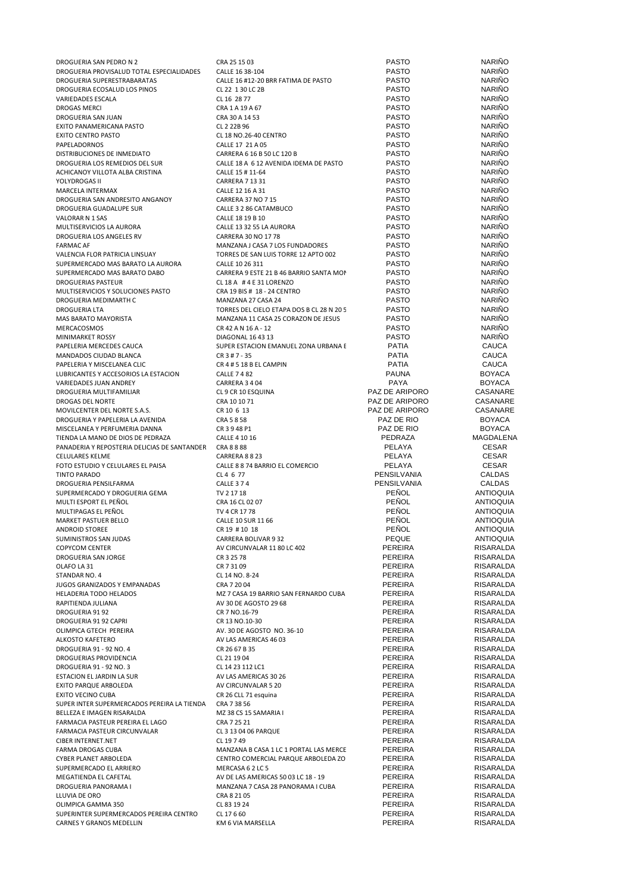| DROGUERIA SAN PEDRO N 2                                          | CRA 25 15 03                                            | <b>PASTO</b>                     | <b>NARIÑO</b>                  |
|------------------------------------------------------------------|---------------------------------------------------------|----------------------------------|--------------------------------|
| DROGUERIA PROVISALUD TOTAL ESPECIALIDADES                        | CALLE 16 38-104                                         | <b>PASTO</b>                     | <b>NARIÑO</b><br><b>NARIÑO</b> |
| DROGUERIA SUPERESTRABARATAS<br>DROGUERIA ECOSALUD LOS PINOS      | CALLE 16 #12-20 BRR FATIMA DE PASTO<br>CL 22 1 30 LC 2B | <b>PASTO</b><br><b>PASTO</b>     | <b>NARIÑO</b>                  |
| <b>VARIEDADES ESCALA</b>                                         | CL 16 28 77                                             | <b>PASTO</b>                     | <b>NARIÑO</b>                  |
| DROGAS MERCI                                                     | CRA 1 A 19 A 67                                         | <b>PASTO</b>                     | <b>NARIÑO</b>                  |
| DROGUERIA SAN JUAN                                               | CRA 30 A 14 53                                          | <b>PASTO</b>                     | <b>NARIÑO</b>                  |
| EXITO PANAMERICANA PASTO                                         | CL 2 22B 96                                             | <b>PASTO</b>                     | <b>NARIÑO</b>                  |
| <b>EXITO CENTRO PASTO</b>                                        | CL 18 NO.26-40 CENTRO                                   | <b>PASTO</b>                     | <b>NARIÑO</b>                  |
| PAPELADORNOS                                                     | CALLE 17 21 A 05                                        | <b>PASTO</b>                     | <b>NARIÑO</b>                  |
| DISTRIBUCIONES DE INMEDIATO                                      | CARRERA 6 16 B 50 LC 120 B                              | <b>PASTO</b>                     | NARIÑO                         |
| DROGUERIA LOS REMEDIOS DEL SUR                                   | CALLE 18 A 6 12 AVENIDA IDEMA DE PASTO                  | <b>PASTO</b>                     | <b>NARIÑO</b>                  |
| ACHICANOY VILLOTA ALBA CRISTINA<br>YOLYDROGAS II                 | CALLE 15 # 11-64                                        | <b>PASTO</b><br><b>PASTO</b>     | <b>NARIÑO</b><br><b>NARIÑO</b> |
| MARCELA INTERMAX                                                 | <b>CARRERA 7 13 31</b><br>CALLE 12 16 A 31              | <b>PASTO</b>                     | <b>NARIÑO</b>                  |
| DROGUERIA SAN ANDRESITO ANGANOY                                  | CARRERA 37 NO 7 15                                      | <b>PASTO</b>                     | <b>NARIÑO</b>                  |
| DROGUERIA GUADALUPE SUR                                          | CALLE 3 2 86 CATAMBUCO                                  | <b>PASTO</b>                     | <b>NARIÑO</b>                  |
| VALORAR N 1 SAS                                                  | CALLE 18 19 B 10                                        | <b>PASTO</b>                     | <b>NARIÑO</b>                  |
| MULTISERVICIOS LA AURORA                                         | CALLE 13 32 55 LA AURORA                                | <b>PASTO</b>                     | <b>NARIÑO</b>                  |
| DROGUERIA LOS ANGELES RV                                         | CARRERA 30 NO 17 78                                     | <b>PASTO</b>                     | NARIÑO                         |
| <b>FARMAC AF</b>                                                 | MANZANA J CASA 7 LOS FUNDADORES                         | <b>PASTO</b>                     | <b>NARIÑO</b>                  |
| VALENCIA FLOR PATRICIA LINSUAY                                   | TORRES DE SAN LUIS TORRE 12 APTO 002                    | <b>PASTO</b>                     | <b>NARIÑO</b>                  |
| SUPERMERCADO MAS BARATO LA AURORA                                | CALLE 10 26 311                                         | <b>PASTO</b>                     | <b>NARIÑO</b>                  |
| SUPERMERCADO MAS BARATO DABO                                     | CARRERA 9 ESTE 21 B 46 BARRIO SANTA MOI                 | <b>PASTO</b>                     | <b>NARIÑO</b><br><b>NARIÑO</b> |
| DROGUERIAS PASTEUR<br>MULTISERVICIOS Y SOLUCIONES PASTO          | CL 18 A # 4 E 31 LORENZO<br>CRA 19 BIS # 18 - 24 CENTRO | <b>PASTO</b><br><b>PASTO</b>     | <b>NARIÑO</b>                  |
| DROGUERIA MEDIMARTH C                                            | MANZANA 27 CASA 24                                      | <b>PASTO</b>                     | <b>NARIÑO</b>                  |
| <b>DROGUERIA LTA</b>                                             | TORRES DEL CIELO ETAPA DOS B CL 28 N 20 5               | <b>PASTO</b>                     | NARIÑO                         |
| MAS BARATO MAYORISTA                                             | MANZANA 11 CASA 25 CORAZON DE JESUS                     | <b>PASTO</b>                     | <b>NARIÑO</b>                  |
| MERCACOSMOS                                                      | CR 42 A N 16 A - 12                                     | <b>PASTO</b>                     | <b>NARIÑO</b>                  |
| MINIMARKET ROSSY                                                 | <b>DIAGONAL 16 43 13</b>                                | <b>PASTO</b>                     | <b>NARIÑO</b>                  |
| PAPELERIA MERCEDES CAUCA                                         | SUPER ESTACION EMANUEL ZONA URBANA E                    | PATIA                            | CAUCA                          |
| MANDADOS CIUDAD BLANCA                                           | $CR3#7-35$                                              | PATIA                            | CAUCA                          |
| PAPELERIA Y MISCELANEA CLIC                                      | CR 4 # 5 18 B EL CAMPIN                                 | PATIA                            | <b>CAUCA</b>                   |
| LUBRICANTES Y ACCESORIOS LA ESTACION                             | <b>CALLE 7 4 82</b>                                     | <b>PAUNA</b>                     | <b>BOYACA</b>                  |
| VARIEDADES JUAN ANDREY                                           | CARRERA 3 4 04                                          | PAYA                             | <b>BOYACA</b>                  |
| DROGUERIA MULTIFAMILIAR                                          | CL 9 CR 10 ESQUINA                                      | PAZ DE ARIPORO                   | CASANARE                       |
| DROGAS DEL NORTE<br>MOVILCENTER DEL NORTE S.A.S.                 | CRA 10 10 71<br>CR 10 6 13                              | PAZ DE ARIPORO<br>PAZ DE ARIPORO | CASANARE<br>CASANARE           |
| DROGUERIA Y PAPELERIA LA AVENIDA                                 | CRA 5 8 58                                              | PAZ DE RIO                       | <b>BOYACA</b>                  |
| MISCELANEA Y PERFUMERIA DANNA                                    | CR 3948 P1                                              | PAZ DE RIO                       | <b>BOYACA</b>                  |
| TIENDA LA MANO DE DIOS DE PEDRAZA                                | CALLE 4 10 16                                           | PEDRAZA                          | MAGDALENA                      |
| PANADERIA Y REPOSTERIA DELICIAS DE SANTANDER                     | CRA 8 8 88                                              | PELAYA                           | <b>CESAR</b>                   |
| <b>CELULARES KELME</b>                                           | CARRERA 8823                                            | PELAYA                           | <b>CESAR</b>                   |
| FOTO ESTUDIO Y CELULARES EL PAISA                                | CALLE 8 8 74 BARRIO EL COMERCIO                         | PELAYA                           | <b>CESAR</b>                   |
| TINTO PARADO                                                     | CL 4 6 77                                               | PENSILVANIA                      | <b>CALDAS</b>                  |
| <b>DROGUERIA PENSILFARMA</b>                                     | <b>CALLE 374</b>                                        | PENSILVANIA                      | <b>CALDAS</b>                  |
| SUPERMERCADO Y DROGUERIA GEMA<br>MULTI ESPORT EL PEÑOL           | TV 2 17 18                                              | <b>PENOL</b><br><b>PENOL</b>     | <b>ANTIOQUIA</b>               |
| MULTIPAGAS EL PEÑOL                                              | CRA 16 CL 02 07<br>TV 4 CR 17 78                        | <b>PENOL</b>                     | <b>ANTIOQUIA</b><br>ANTIOQUIA  |
| <b>MARKET PASTUER BELLO</b>                                      | CALLE 10 SUR 11 66                                      | PEÑOL                            | <b>ANTIOQUIA</b>               |
| <b>ANDROID STOREE</b>                                            | CR 19 # 10 18                                           | PEÑOL                            | <b>ANTIOQUIA</b>               |
| SUMINISTROS SAN JUDAS                                            | CARRERA BOLIVAR 932                                     | PEQUE                            | <b>ANTIOQUIA</b>               |
| COPYCOM CENTER                                                   | AV CIRCUNVALAR 11 80 LC 402                             | PEREIRA                          | <b>RISARALDA</b>               |
| DROGUERIA SAN JORGE                                              | CR 3 25 78                                              | <b>PEREIRA</b>                   | RISARALDA                      |
| OLAFO LA 31                                                      | CR 7 31 09                                              | PEREIRA                          | RISARALDA                      |
| STANDAR NO. 4                                                    | CL 14 NO. 8-24                                          | PEREIRA                          | RISARALDA                      |
| JUGOS GRANIZADOS Y EMPANADAS                                     | CRA 7 20 04                                             | PEREIRA                          | RISARALDA                      |
| <b>HELADERIA TODO HELADOS</b>                                    | MZ 7 CASA 19 BARRIO SAN FERNARDO CUBA                   | <b>PEREIRA</b><br><b>PEREIRA</b> | RISARALDA                      |
| RAPITIENDA JULIANA<br>DROGUERIA 91 92                            | AV 30 DE AGOSTO 29 68<br>CR 7 NO.16-79                  | PEREIRA                          | RISARALDA<br>RISARALDA         |
| DROGUERIA 91 92 CAPRI                                            | CR 13 NO.10-30                                          | PEREIRA                          | RISARALDA                      |
| OLIMPICA GTECH PEREIRA                                           | AV. 30 DE AGOSTO NO. 36-10                              | PEREIRA                          | RISARALDA                      |
| ALKOSTO KAFETERO                                                 | AV LAS AMERICAS 46 03                                   | PEREIRA                          | RISARALDA                      |
| DROGUERIA 91 - 92 NO. 4                                          | CR 26 67 B 35                                           | PEREIRA                          | RISARALDA                      |
| DROGUERIAS PROVIDENCIA                                           | CL 21 19 04                                             | PEREIRA                          | RISARALDA                      |
| DROGUERIA 91 - 92 NO. 3                                          | CL 14 23 112 LC1                                        | PEREIRA                          | <b>RISARALDA</b>               |
| ESTACION EL JARDIN LA SUR                                        | AV LAS AMERICAS 30 26                                   | PEREIRA                          | RISARALDA                      |
| EXITO PARQUE ARBOLEDA                                            | AV CIRCUNVALAR 5 20                                     | PEREIRA                          | RISARALDA                      |
| EXITO VECINO CUBA                                                | CR 26 CLL 71 esquina                                    | PEREIRA                          | RISARALDA                      |
| SUPER INTER SUPERMERCADOS PEREIRA LA TIENDA                      | CRA 7 38 56                                             | PEREIRA                          | RISARALDA                      |
| BELLEZA E IMAGEN RISARALDA                                       | MZ 38 CS 15 SAMARIA I                                   | PEREIRA<br>PEREIRA               | RISARALDA<br>RISARALDA         |
| FARMACIA PASTEUR PEREIRA EL LAGO<br>FARMACIA PASTEUR CIRCUNVALAR | CRA 7 25 21<br>CL 3 13 04 06 PARQUE                     | PEREIRA                          | RISARALDA                      |
| CIBER INTERNET.NET                                               | CL 19 7 49                                              | PEREIRA                          | RISARALDA                      |
| FARMA DROGAS CUBA                                                | MANZANA B CASA 1 LC 1 PORTAL LAS MERCE                  | PEREIRA                          | RISARALDA                      |
| CYBER PLANET ARBOLEDA                                            | CENTRO COMERCIAL PARQUE ARBOLEDA ZO                     | PEREIRA                          | RISARALDA                      |
| SUPERMERCADO EL ARRIERO                                          | MERCASA 6 2 LC 5                                        | PEREIRA                          | RISARALDA                      |
| MEGATIENDA EL CAFETAL                                            | AV DE LAS AMERICAS 50 03 LC 18 - 19                     | PEREIRA                          | RISARALDA                      |
| DROGUERIA PANORAMA I                                             | MANZANA 7 CASA 28 PANORAMA I CUBA                       | PEREIRA                          | RISARALDA                      |
| LLUVIA DE ORO                                                    | CRA 8 21 05                                             | PEREIRA                          | RISARALDA                      |
| OLIMPICA GAMMA 350                                               | CL 83 19 24                                             | PEREIRA                          | RISARALDA                      |
| SUPERINTER SUPERMERCADOS PEREIRA CENTRO                          | CL 17 6 60                                              | PEREIRA                          | RISARALDA                      |
| CARNES Y GRANOS MEDELLIN                                         | KM 6 VIA MARSELLA                                       | PEREIRA                          | RISARALDA                      |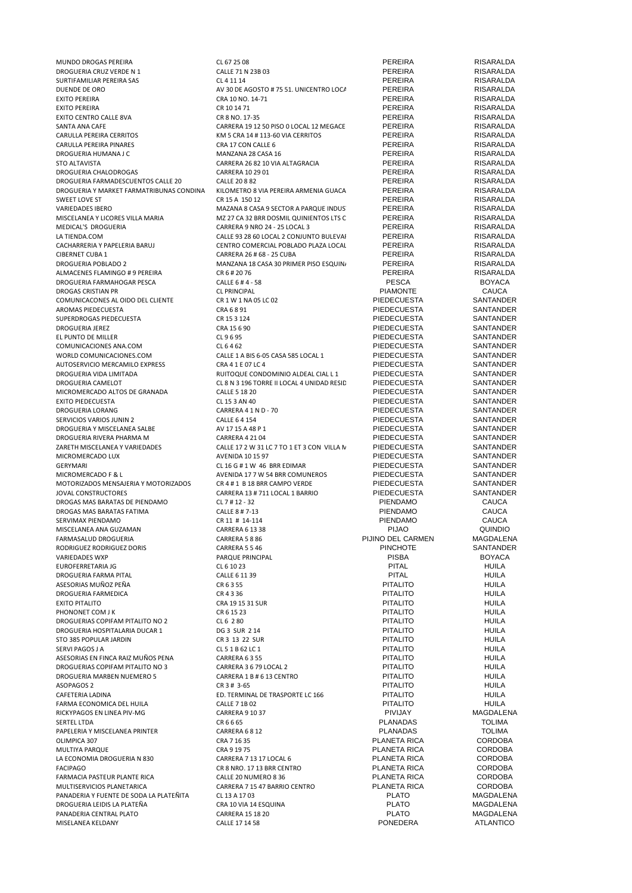| MUNDO DROGAS PEREIRA                     | CL 67 25 08                                | PEREIRA            | RISARALDA        |
|------------------------------------------|--------------------------------------------|--------------------|------------------|
| DROGUERIA CRUZ VERDE N 1                 | CALLE 71 N 23B 03                          | <b>PEREIRA</b>     | <b>RISARALDA</b> |
| SURTIFAMILIAR PEREIRA SAS                | CL 4 11 14                                 | PEREIRA            | RISARALDA        |
| DUENDE DE ORO                            | AV 30 DE AGOSTO # 75 51. UNICENTRO LOCA    | <b>PEREIRA</b>     | RISARALDA        |
| <b>EXITO PEREIRA</b>                     | CRA 10 NO. 14-71                           | <b>PEREIRA</b>     | RISARALDA        |
| <b>EXITO PEREIRA</b>                     | CR 10 14 71                                | <b>PEREIRA</b>     | <b>RISARALDA</b> |
| <b>EXITO CENTRO CALLE 8VA</b>            | CR 8 NO. 17-35                             | <b>PEREIRA</b>     | RISARALDA        |
| SANTA ANA CAFE                           | CARRERA 19 12 50 PISO 0 LOCAL 12 MEGACE    | <b>PEREIRA</b>     | RISARALDA        |
| CARULLA PEREIRA CERRITOS                 | KM 5 CRA 14 # 113-60 VIA CERRITOS          | PEREIRA            | RISARALDA        |
| CARULLA PEREIRA PINARES                  | CRA 17 CON CALLE 6                         | PEREIRA            | RISARALDA        |
| DROGUERIA HUMANA J C                     | MANZANA 28 CASA 16                         | PEREIRA            | RISARALDA        |
|                                          | CARRERA 26 82 10 VIA ALTAGRACIA            | PEREIRA            | RISARALDA        |
| <b>STO ALTAVISTA</b>                     |                                            |                    |                  |
| <b>DROGUERIA CHALODROGAS</b>             | CARRERA 10 29 01                           | <b>PEREIRA</b>     | RISARALDA        |
| DROGUERIA FARMADESCUENTOS CALLE 20       | <b>CALLE 20 8 82</b>                       | <b>PEREIRA</b>     | RISARALDA        |
| DROGUERIA Y MARKET FARMATRIBUNAS CONDINA | KILOMETRO 8 VIA PEREIRA ARMENIA GUACA      | <b>PEREIRA</b>     | RISARALDA        |
| SWEET LOVE ST                            | CR 15 A 150 12                             | <b>PEREIRA</b>     | RISARALDA        |
| VARIEDADES IBERO                         | MAZANA 8 CASA 9 SECTOR A PARQUE INDUS      | <b>PEREIRA</b>     | RISARALDA        |
| MISCELANEA Y LICORES VILLA MARIA         | MZ 27 CA 32 BRR DOSMIL QUINIENTOS LTS C    | <b>PEREIRA</b>     | <b>RISARALDA</b> |
| MEDICAL'S DROGUERIA                      | CARRERA 9 NRO 24 - 25 LOCAL 3              | <b>PEREIRA</b>     | RISARALDA        |
| LA TIENDA.COM                            | CALLE 93 28 60 LOCAL 2 CONJUNTO BULEVAI    | PEREIRA            | RISARALDA        |
| CACHARRERIA Y PAPELERIA BARUJ            | CENTRO COMERCIAL POBLADO PLAZA LOCAL       | PEREIRA            | RISARALDA        |
|                                          |                                            |                    |                  |
| <b>CIBERNET CUBA 1</b>                   | CARRERA 26 # 68 - 25 CUBA                  | <b>PEREIRA</b>     | RISARALDA        |
| <b>DROGUERIA POBLADO 2</b>               | MANZANA 18 CASA 30 PRIMER PISO ESQUIN      | <b>PEREIRA</b>     | <b>RISARALDA</b> |
| ALMACENES FLAMINGO #9 PEREIRA            | CR 6 # 20 76                               | <b>PEREIRA</b>     | RISARALDA        |
| DROGUERIA FARMAHOGAR PESCA               | CALLE 6 #4 - 58                            | <b>PESCA</b>       | <b>BOYACA</b>    |
| <b>DROGAS CRISTIAN PR</b>                | <b>CL PRINCIPAL</b>                        | <b>PIAMONTE</b>    | <b>CAUCA</b>     |
| COMUNICACONES AL OIDO DEL CLIENTE        | CR 1 W 1 NA 05 LC 02                       | PIEDECUESTA        | SANTANDER        |
| AROMAS PIEDECUESTA                       | CRA 6891                                   | PIEDECUESTA        | SANTANDER        |
| SUPERDROGAS PIEDECUESTA                  | CR 15 3 124                                | <b>PIEDECUESTA</b> | SANTANDER        |
| <b>DROGUERIA JEREZ</b>                   | CRA 15 6 90                                | <b>PIEDECUESTA</b> | SANTANDER        |
|                                          |                                            |                    |                  |
| EL PUNTO DE MILLER                       | CL 9695                                    | <b>PIEDECUESTA</b> | SANTANDER        |
| COMUNICACIONES ANA.COM                   | CL 6462                                    | <b>PIEDECUESTA</b> | SANTANDER        |
| WORLD COMUNICACIONES.COM                 | CALLE 1 A BIS 6-05 CASA 585 LOCAL 1        | PIEDECUESTA        | SANTANDER        |
| AUTOSERVICIO MERCAMILO EXPRESS           | CRA 4 1 E 07 LC 4                          | <b>PIEDECUESTA</b> | SANTANDER        |
| DROGUERIA VIDA LIMITADA                  | RUITOQUE CONDOMINIO ALDEAL CIAL L 1        | <b>PIEDECUESTA</b> | SANTANDER        |
| DROGUERIA CAMELOT                        | CL 8 N 3 196 TORRE II LOCAL 4 UNIDAD RESID | <b>PIEDECUESTA</b> | SANTANDER        |
| MICROMERCADO ALTOS DE GRANADA            |                                            |                    | SANTANDER        |
|                                          | <b>CALLE 5 18 20</b>                       | PIEDECUESTA        |                  |
| <b>EXITO PIEDECUESTA</b>                 | CL 15 3 AN 40                              | PIEDECUESTA        | SANTANDER        |
| DROGUERIA LORANG                         | CARRERA 4 1 N D - 70                       | PIEDECUESTA        | SANTANDER        |
| SERVICIOS VARIOS JUNIN 2                 | <b>CALLE 6 4 154</b>                       | PIEDECUESTA        | SANTANDER        |
| DROGUERIA Y MISCELANEA SALBE             | AV 17 15 A 48 P 1                          | PIEDECUESTA        | SANTANDER        |
| DROGUERIA RIVERA PHARMA M                | <b>CARRERA 4 21 04</b>                     | PIEDECUESTA        | SANTANDER        |
| ZARETH MISCELANEA Y VARIEDADES           | CALLE 17 2 W 31 LC 7 TO 1 ET 3 CON VILLA N | PIEDECUESTA        | SANTANDER        |
| MICROMERCADO LUX                         | <b>AVENIDA 10 15 97</b>                    | PIEDECUESTA        | SANTANDER        |
|                                          |                                            |                    |                  |
| GERYMARI                                 | CL 16 G # 1 W 46 BRR EDIMAR                | PIEDECUESTA        | <b>SANTANDER</b> |
| MICROMERCADO F & L                       | AVENIDA 17 7 W 54 BRR COMUNEROS            | PIEDECUESTA        | SANTANDER        |
| MOTORIZADOS MENSAJERIA Y MOTORIZADOS     | CR 4 # 1 B 18 BRR CAMPO VERDE              | PIEDECUESTA        | SANTANDER        |
| JOVAL CONSTRUCTORES                      | CARRERA 13 # 711 LOCAL 1 BARRIO            | <b>PIEDECUESTA</b> | SANTANDER        |
| DROGAS MAS BARATAS DE PIENDAMO           | CL 7 # 12 - 32                             | <b>PIENDAMO</b>    | <b>CAUCA</b>     |
| DROGAS MAS BARATAS FATIMA                | CALLE 8 # 7-13                             | <b>PIENDAMO</b>    | <b>CAUCA</b>     |
| SERVIMAX PIENDAMO                        | CR 11 # 14-114                             | PIENDAMO           | <b>CAUCA</b>     |
| MISCELANEA ANA GUZAMAN                   | CARRERA 6 13 38                            | <b>PIJAO</b>       | QUINDIO          |
|                                          |                                            | PIJINO DEL CARMEN  | <b>MAGDALENA</b> |
| FARMASALUD DROGUERIA                     | CARRERA 5 8 86                             |                    |                  |
| RODRIGUEZ RODRIGUEZ DORIS                | CARRERA 5 5 46                             | <b>PINCHOTE</b>    | SANTANDER        |
| <b>VARIEDADES WXP</b>                    | PARQUE PRINCIPAL                           | <b>PISBA</b>       | <b>BOYACA</b>    |
| EUROFERRETARIA JG                        | CL 6 10 23                                 | <b>PITAL</b>       | <b>HUILA</b>     |
| DROGUERIA FARMA PITAL                    | CALLE 6 11 39                              | <b>PITAL</b>       | <b>HUILA</b>     |
| ASESORIAS MUÑOZ PEÑA                     | CR 6 3 55                                  | <b>PITALITO</b>    | <b>HUILA</b>     |
| DROGUERIA FARMEDICA                      | CR 4336                                    | <b>PITALITO</b>    | <b>HUILA</b>     |
| <b>EXITO PITALITO</b>                    | CRA 19 15 31 SUR                           | <b>PITALITO</b>    | <b>HUILA</b>     |
| PHONONET COM J K                         | CR 6 15 23                                 | <b>PITALITO</b>    | HUILA            |
| DROGUERIAS COPIFAM PITALITO NO 2         | CL 6 2 80                                  | <b>PITALITO</b>    | <b>HUILA</b>     |
|                                          |                                            |                    |                  |
| DROGUERIA HOSPITALARIA DUCAR 1           | DG 3 SUR 2 14                              | <b>PITALITO</b>    | <b>HUILA</b>     |
| STO 385 POPULAR JARDIN                   | CR 3 13 22 SUR                             | <b>PITALITO</b>    | <b>HUILA</b>     |
| SERVI PAGOS J A                          | CL 5 1 B 62 LC 1                           | <b>PITALITO</b>    | <b>HUILA</b>     |
| ASESORIAS EN FINCA RAIZ MUÑOS PENA       | CARRERA 6355                               | <b>PITALITO</b>    | <b>HUILA</b>     |
| DROGUERIAS COPIFAM PITALITO NO 3         | CARRERA 3 6 79 LOCAL 2                     | <b>PITALITO</b>    | <b>HUILA</b>     |
| DROGUERIA MARBEN NUEMERO 5               | CARRERA 1 B # 6 13 CENTRO                  | <b>PITALITO</b>    | <b>HUILA</b>     |
| ASOPAGOS 2                               | CR 3 # 3-65                                | <b>PITALITO</b>    | <b>HUILA</b>     |
| CAFETERIA LADINA                         | ED. TERMINAL DE TRASPORTE LC 166           | <b>PITALITO</b>    | <b>HUILA</b>     |
|                                          |                                            |                    |                  |
| FARMA ECONOMICA DEL HUILA                | CALLE 7 1B 02                              | <b>PITALITO</b>    | <b>HUILA</b>     |
| RICKYPAGOS EN LINEA PIV-MG               | <b>CARRERA 9 10 37</b>                     | PIVIJAY            | MAGDALENA        |
| SERTEL LTDA                              | CR 6 6 65                                  | PLANADAS           | <b>TOLIMA</b>    |
| PAPELERIA Y MISCELANEA PRINTER           | CARRERA 6812                               | <b>PLANADAS</b>    | <b>TOLIMA</b>    |
| OLIMPICA 307                             | CRA 7 16 35                                | PLANETA RICA       | <b>CORDOBA</b>   |
| MULTIYA PARQUE                           | CRA 9 19 75                                | PLANETA RICA       | <b>CORDOBA</b>   |
| LA ECONOMIA DROGUERIA N 830              | CARRERA 7 13 17 LOCAL 6                    | PLANETA RICA       | <b>CORDOBA</b>   |
| <b>FACIPAGO</b>                          | CR 8 NRO. 17 13 BRR CENTRO                 | PLANETA RICA       | <b>CORDOBA</b>   |
|                                          |                                            |                    |                  |
| FARMACIA PASTEUR PLANTE RICA             | CALLE 20 NUMERO 8 36                       | PLANETA RICA       | <b>CORDOBA</b>   |
| MULTISERVICIOS PLANETARICA               | CARRERA 7 15 47 BARRIO CENTRO              | PLANETA RICA       | <b>CORDOBA</b>   |
| PANADERIA Y FUENTE DE SODA LA PLATEÑITA  | CL 13 A 17 03                              | <b>PLATO</b>       | MAGDALENA        |
| DROGUERIA LEIDIS LA PLATEÑA              | CRA 10 VIA 14 ESQUINA                      | <b>PLATO</b>       | MAGDALENA        |
|                                          |                                            |                    |                  |
| PANADERIA CENTRAL PLATO                  | <b>CARRERA 15 18 20</b>                    | <b>PLATO</b>       | MAGDALENA        |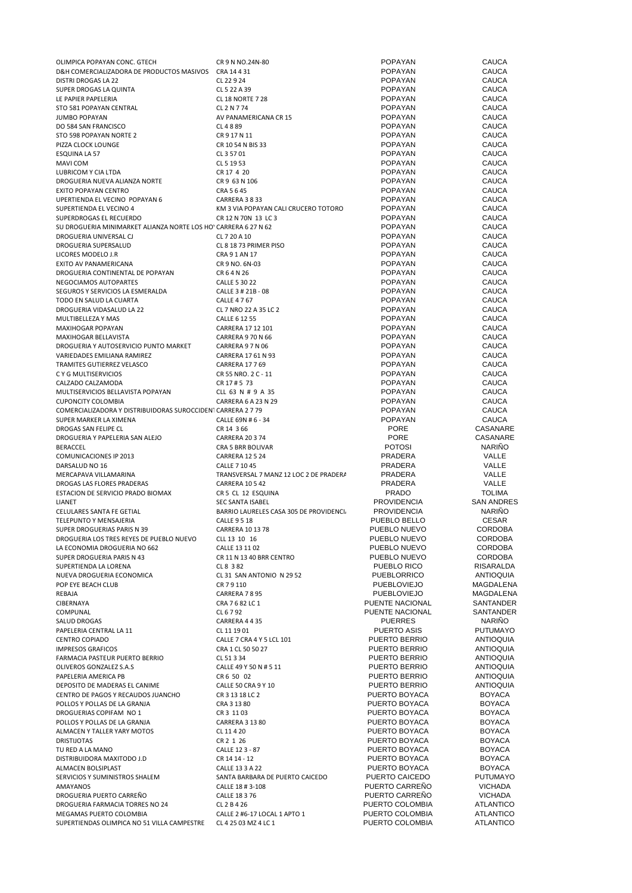| OLIMPICA POPAYAN CONC. GTECH                                    | CR 9 N NO.24N-80                        | POPAYAN            | CAUCA             |
|-----------------------------------------------------------------|-----------------------------------------|--------------------|-------------------|
| D&H COMERCIALIZADORA DE PRODUCTOS MASIVOS CRA 14 4 31           |                                         | POPAYAN            | <b>CAUCA</b>      |
| DISTRI DROGAS LA 22                                             | CL 22 9 24                              | POPAYAN            | <b>CAUCA</b>      |
| SUPER DROGAS LA QUINTA                                          | CL 5 22 A 39                            | POPAYAN            | CAUCA             |
| LE PAPIER PAPELERIA                                             | <b>CL 18 NORTE 7 28</b>                 | POPAYAN            | CAUCA             |
|                                                                 |                                         |                    |                   |
| STO 581 POPAYAN CENTRAL                                         | CL 2 N 7 74                             | POPAYAN            | CAUCA             |
| <b>JUMBO POPAYAN</b>                                            | AV PANAMERICANA CR 15                   | POPAYAN            | <b>CAUCA</b>      |
| DO 584 SAN FRANCISCO                                            | CL 4889                                 | POPAYAN            | CAUCA             |
| STO 598 POPAYAN NORTE 2                                         | CR 9 17 N 11                            | POPAYAN            | CAUCA             |
| PIZZA CLOCK LOUNGE                                              | CR 10 54 N BIS 33                       | POPAYAN            | <b>CAUCA</b>      |
| ESQUINA LA 57                                                   | CL 3 57 01                              | POPAYAN            | <b>CAUCA</b>      |
| MAVI COM                                                        | CL 5 19 53                              | POPAYAN            | CAUCA             |
| LUBRICOM Y CIA LTDA                                             | CR 17 4 20                              | <b>POPAYAN</b>     | CAUCA             |
| DROGUERIA NUEVA ALIANZA NORTE                                   | CR 9 63 N 106                           | POPAYAN            | CAUCA             |
|                                                                 |                                         | <b>POPAYAN</b>     |                   |
| EXITO POPAYAN CENTRO                                            | CRA 5 6 45                              |                    | <b>CAUCA</b>      |
| UPERTIENDA EL VECINO POPAYAN 6                                  | CARRERA 3 8 33                          | POPAYAN            | <b>CAUCA</b>      |
| SUPERTIENDA EL VECINO 4                                         | KM 3 VIA POPAYAN CALI CRUCERO TOTORO    | POPAYAN            | <b>CAUCA</b>      |
| SUPERDROGAS EL RECUERDO                                         | CR 12 N 70N 13 LC 3                     | POPAYAN            | <b>CAUCA</b>      |
| SU DROGUERIA MINIMARKET ALIANZA NORTE LOS HO' CARRERA 6 27 N 62 |                                         | POPAYAN            | <b>CAUCA</b>      |
| DROGUERIA UNIVERSAL CJ                                          | CL 7 20 A 10                            | POPAYAN            | <b>CAUCA</b>      |
| DROGUERIA SUPERSALUD                                            | CL 8 18 73 PRIMER PISO                  | POPAYAN            | CAUCA             |
| LICORES MODELO J.R                                              | CRA 9 1 AN 17                           | <b>POPAYAN</b>     | CAUCA             |
| EXITO AV PANAMERICANA                                           | CR 9 NO. 6N-03                          | <b>POPAYAN</b>     | CAUCA             |
| DROGUERIA CONTINENTAL DE POPAYAN                                | CR 6 4 N 26                             | <b>POPAYAN</b>     | <b>CAUCA</b>      |
| NEGOCIAMOS AUTOPARTES                                           | <b>CALLE 5 30 22</b>                    | POPAYAN            | <b>CAUCA</b>      |
|                                                                 |                                         |                    |                   |
| SEGUROS Y SERVICIOS LA ESMERALDA                                | CALLE 3 # 21B - 08                      | POPAYAN            | CAUCA             |
| TODO EN SALUD LA CUARTA                                         | <b>CALLE 4767</b>                       | POPAYAN            | <b>CAUCA</b>      |
| DROGUERIA VIDASALUD LA 22                                       | CL 7 NRO 22 A 35 LC 2                   | POPAYAN            | <b>CAUCA</b>      |
| MULTIBELLEZA Y MAS                                              | CALLE 6 12 55                           | <b>POPAYAN</b>     | <b>CAUCA</b>      |
| MAXIHOGAR POPAYAN                                               | CARRERA 17 12 101                       | POPAYAN            | CAUCA             |
| MAXIHOGAR BELLAVISTA                                            | CARRERA 9 70 N 66                       | POPAYAN            | CAUCA             |
| DROGUERIA Y AUTOSERVICIO PUNTO MARKET                           | CARRERA 9 7 N 06                        | <b>POPAYAN</b>     | <b>CAUCA</b>      |
| VARIEDADES EMILIANA RAMIREZ                                     | CARRERA 17 61 N 93                      | POPAYAN            | <b>CAUCA</b>      |
|                                                                 |                                         |                    |                   |
| TRAMITES GUTIERREZ VELASCO                                      | CARRERA 17 7 69                         | <b>POPAYAN</b>     | <b>CAUCA</b>      |
| C Y G MULTISERVICIOS                                            | CR 55 NRO. 2 C - 11                     | <b>POPAYAN</b>     | <b>CAUCA</b>      |
| CALZADO CALZAMODA                                               | CR 17#5 73                              | <b>POPAYAN</b>     | <b>CAUCA</b>      |
| MULTISERVICIOS BELLAVISTA POPAYAN                               | CLL 63 N # 9 A 35                       | <b>POPAYAN</b>     | <b>CAUCA</b>      |
| <b>CUPONCITY COLOMBIA</b>                                       | CARRERA 6 A 23 N 29                     | <b>POPAYAN</b>     | CAUCA             |
| COMERCIALIZADORA Y DISTRIBUIDORAS SUROCCIDENI CARRERA 2 7 79    |                                         | <b>POPAYAN</b>     | CAUCA             |
| SUPER MARKER LA XIMENA                                          | CALLE 69N # 6 - 34                      | <b>POPAYAN</b>     | CAUCA             |
| DROGAS SAN FELIPE CL                                            | CR 14 3 66                              | <b>PORE</b>        | CASANARE          |
| DROGUERIA Y PAPELERIA SAN ALEJO                                 | <b>CARRERA 20 3 74</b>                  | <b>PORE</b>        | CASANARE          |
| BERACCEL                                                        | CRA 5 BRR BOLIVAR                       | <b>POTOSI</b>      | NARIÑO            |
| <b>COMUNICACIONES IP 2013</b>                                   | <b>CARRERA 12 5 24</b>                  | PRADERA            | VALLE             |
| DARSALUD NO 16                                                  | CALLE 7 10 45                           | PRADERA            | VALLE             |
| MERCAPAVA VILLAMARINA                                           | TRANSVERSAL 7 MANZ 12 LOC 2 DE PRADER/  | PRADERA            | VALLE             |
| DROGAS LAS FLORES PRADERAS                                      | <b>CARRERA 10 5 42</b>                  | PRADERA            | VALLE             |
| ESTACION DE SERVICIO PRADO BIOMAX                               | CR 5 CL 12 ESQUINA                      | <b>PRADO</b>       | <b>TOLIMA</b>     |
| LIANET                                                          | SEC SANTA ISABEL                        | <b>PROVIDENCIA</b> | <b>SAN ANDRES</b> |
| CELULARES SANTA FE GETIAL                                       | BARRIO LAURELES CASA 305 DE PROVIDENCI. | <b>PROVIDENCIA</b> | <b>NARINO</b>     |
|                                                                 |                                         |                    |                   |
| TELEPUNTO Y MENSAJERIA                                          | <b>CALLE 9 5 18</b>                     | PUEBLO BELLO       | <b>CESAR</b>      |
| SUPER DROGUERIAS PARIS N 39                                     | CARRERA 10 13 78                        | PUEBLO NUEVO       | <b>CORDOBA</b>    |
| DROGUERIA LOS TRES REYES DE PUEBLO NUEVO                        | CLL 13 10 16                            | PUEBLO NUEVO       | CORDOBA           |
| LA ECONOMIA DROGUERIA NO 662                                    | CALLE 13 11 02                          | PUEBLO NUEVO       | <b>CORDOBA</b>    |
| SUPER DROGUERIA PARIS N 43                                      | CR 11 N 13 40 BRR CENTRO                | PUEBLO NUEVO       | CORDOBA           |
| SUPERTIENDA LA LORENA                                           | CL 8 3 82                               | PUEBLO RICO        | RISARALDA         |
| NUEVA DROGUERIA ECONOMICA                                       | CL 31 SAN ANTONIO N 29 52               | PUEBLORRICO        | ANTIOQUIA         |
| POP EYE BEACH CLUB                                              | CR 79110                                | <b>PUEBLOVIEJO</b> | MAGDALENA         |
| REBAJA                                                          | CARRERA 7895                            | <b>PUEBLOVIEJO</b> | MAGDALENA         |
| CIBERNAYA                                                       | CRA 7 6 82 LC 1                         | PUENTE NACIONAL    | SANTANDER         |
| COMPUNAL                                                        | CL 6 7 92                               | PUENTE NACIONAL    | SANTANDER         |
| SALUD DROGAS                                                    | CARRERA 4435                            | <b>PUERRES</b>     | NARIÑO            |
| PAPELERIA CENTRAL LA 11                                         | CL 11 19 01                             | PUERTO ASIS        | PUTUMAYO          |
|                                                                 |                                         | PUERTO BERRIO      | ANTIOQUIA         |
| CENTRO COPIADO                                                  | CALLE 7 CRA 4 Y 5 LCL 101               |                    |                   |
| <b>IMPRESOS GRAFICOS</b>                                        | CRA 1 CL 50 50 27                       | PUERTO BERRIO      | ANTIOQUIA         |
| <b>FARMACIA PASTEUR PUERTO BERRIO</b>                           | CL 51 3 34                              | PUERTO BERRIO      | <b>ANTIOQUIA</b>  |
| OLIVEROS GONZALEZ S.A.S                                         | CALLE 49 Y 50 N # 5 11                  | PUERTO BERRIO      | ANTIOQUIA         |
| PAPELERIA AMERICA PB                                            | CR 6 50 02                              | PUERTO BERRIO      | ANTIOQUIA         |
| DEPOSITO DE MADERAS EL CANIME                                   | CALLE 50 CRA 9 Y 10                     | PUERTO BERRIO      | <b>ANTIOQUIA</b>  |
| CENTRO DE PAGOS Y RECAUDOS JUANCHO                              | CR 3 13 18 LC 2                         | PUERTO BOYACA      | <b>BOYACA</b>     |
| POLLOS Y POLLAS DE LA GRANJA                                    | CRA 3 13 80                             | PUERTO BOYACA      | <b>BOYACA</b>     |
| DROGUERIAS COPIFAM NO 1                                         | CR 3 11 03                              | PUERTO BOYACA      | <b>BOYACA</b>     |
| POLLOS Y POLLAS DE LA GRANJA                                    | CARRERA 3 13 80                         | PUERTO BOYACA      | BOYACA            |
| ALMACEN Y TALLER YARY MOTOS                                     | CL 11 4 20                              | PUERTO BOYACA      | <b>BOYACA</b>     |
| <b>DRISTIJOTAS</b>                                              | CR 2 1 26                               | PUERTO BOYACA      | <b>BOYACA</b>     |
| TU RED A LA MANO                                                | CALLE 12 3 - 87                         | PUERTO BOYACA      | <b>BOYACA</b>     |
| DISTRIBUIDORA MAXITODO J.D                                      | CR 14 14 - 12                           | PUERTO BOYACA      | <b>BOYACA</b>     |
| ALMACEN BOLSIPLAST                                              | CALLE 13 3 A 22                         | PUERTO BOYACA      | BOYACA            |
|                                                                 |                                         | PUERTO CAICEDO     | PUTUMAYO          |
| SERVICIOS Y SUMINISTROS SHALEM                                  | SANTA BARBARA DE PUERTO CAICEDO         |                    |                   |
| AMAYANOS                                                        | CALLE 18 # 3-108                        | PUERTO CARREÑO     | <b>VICHADA</b>    |
| DROGUERIA PUERTO CARREÑO                                        | CALLE 18 3 76                           | PUERTO CARREÑO     | VICHADA           |
| DROGUERIA FARMACIA TORRES NO 24                                 | CL 2 B 4 26                             | PUERTO COLOMBIA    | ATLANTICO         |
| MEGAMAS PUERTO COLOMBIA                                         | CALLE 2 #6-17 LOCAL 1 APTO 1            | PUERTO COLOMBIA    | ATLANTICO         |
| SUPERTIENDAS OLIMPICA NO 51 VILLA CAMPESTRE                     | CL 4 25 03 MZ 4 LC 1                    | PUERTO COLOMBIA    | ATLANTICO         |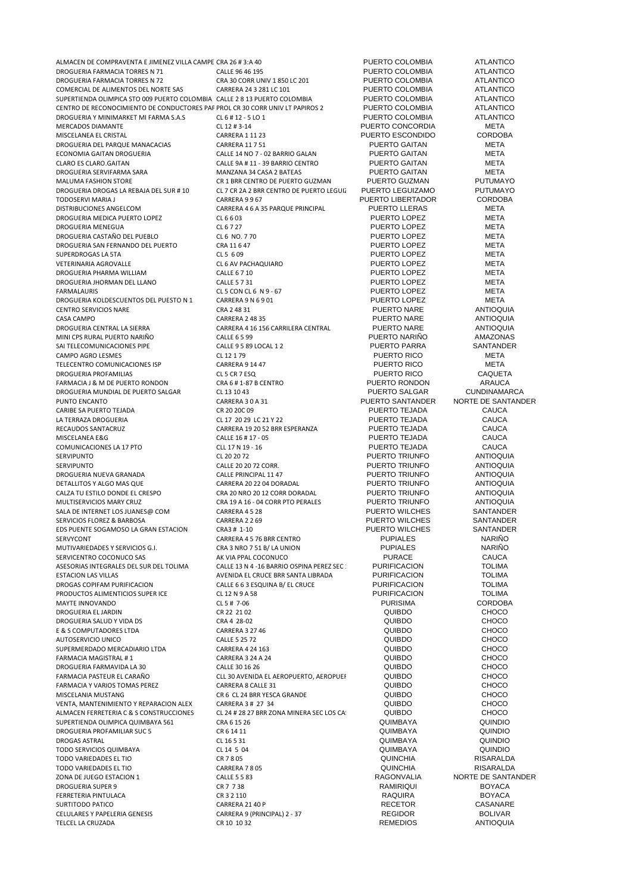| ALMACEN DE COMPRAVENTA E JIMENEZ VILLA CAMPE CRA 26 # 3:A 40                  |                                          | PUERTO COLOMBIA                  | <b>ATLANTICO</b>   |
|-------------------------------------------------------------------------------|------------------------------------------|----------------------------------|--------------------|
| DROGUERIA FARMACIA TORRES N 71                                                | CALLE 96 46 195                          | PUERTO COLOMBIA                  | <b>ATLANTICO</b>   |
| DROGUERIA FARMACIA TORRES N 72                                                | CRA 30 CORR UNIV 1 850 LC 201            | PUERTO COLOMBIA                  | <b>ATLANTICO</b>   |
| COMERCIAL DE ALIMENTOS DEL NORTE SAS                                          | CARRERA 24 3 281 LC 101                  | PUERTO COLOMBIA                  | <b>ATLANTICO</b>   |
| SUPERTIENDA OLIMPICA STO 009 PUERTO COLOMBIA CALLE 2 8 13 PUERTO COLOMBIA     |                                          | PUERTO COLOMBIA                  | <b>ATLANTICO</b>   |
| CENTRO DE RECONOCIMIENTO DE CONDUCTORES PAF PROL CR 30 CORR UNIV LT PAPIROS 2 |                                          | PUERTO COLOMBIA                  | ATLANTICO          |
| DROGUERIA Y MINIMARKET MI FARMA S.A.S                                         | CL 6 # 12 - 5 LO 1                       | PUERTO COLOMBIA                  | <b>ATLANTICO</b>   |
| <b>MERCADOS DIAMANTE</b>                                                      | CL 12 # 3-14                             | PUERTO CONCORDIA                 | <b>META</b>        |
| MISCELANEA EL CRISTAL                                                         | <b>CARRERA 1 11 23</b>                   | PUERTO ESCONDIDO                 | <b>CORDOBA</b>     |
| DROGUERIA DEL PARQUE MANACACIAS                                               | CARRERA 11 7 51                          | PUERTO GAITAN                    | <b>META</b>        |
| ECONOMIA GAITAN DROGUERIA                                                     |                                          | PUERTO GAITAN                    | META               |
|                                                                               | CALLE 14 NO 7 - 02 BARRIO GALAN          |                                  | <b>META</b>        |
| CLARO ES CLARO.GAITAN                                                         | CALLE 9A # 11 - 39 BARRIO CENTRO         | <b>PUERTO GAITAN</b>             |                    |
| DROGUERIA SERVIFARMA SARA                                                     | MANZANA 34 CASA 2 BATEAS                 | PUERTO GAITAN                    | <b>META</b>        |
| MALUMA FASHION STORE                                                          | CR 1 BRR CENTRO DE PUERTO GUZMAN         | PUERTO GUZMAN                    | <b>PUTUMAYO</b>    |
| DROGUERIA DROGAS LA REBAJA DEL SUR # 10                                       | CL 7 CR 2A 2 BRR CENTRO DE PUERTO LEGUI. | PUERTO LEGUIZAMO                 | <b>PUTUMAYO</b>    |
| TODOSERVI MARIA J                                                             | CARRERA 9967                             | PUERTO LIBERTADOR                | <b>CORDOBA</b>     |
| DISTRIBUCIONES ANGELCOM                                                       | CARRERA 4 6 A 35 PARQUE PRINCIPAL        | <b>PUERTO LLERAS</b>             | <b>META</b>        |
| DROGUERIA MEDICA PUERTO LOPEZ                                                 | CL 6 6 03                                | PUERTO LOPEZ                     | <b>META</b>        |
| DROGUERIA MENEGUA                                                             | CL 6727                                  | PUERTO LOPEZ                     | <b>META</b>        |
| DROGUERIA CASTAÑO DEL PUEBLO                                                  | CL 6 NO. 7 70                            | PUERTO LOPEZ                     | META               |
| DROGUERIA SAN FERNANDO DEL PUERTO                                             | CRA 11 6 47                              | PUERTO LOPEZ                     | META               |
| SUPERDROGAS LA 5TA                                                            | CL 5 6 09                                | PUERTO LOPEZ                     | <b>META</b>        |
| VETERINARIA AGROVALLE                                                         | CL 6 AV PACHAQUIARO                      | PUERTO LOPEZ                     | <b>META</b>        |
| DROGUERIA PHARMA WILLIAM                                                      | CALLE 6 7 10                             | PUERTO LOPEZ                     | <b>META</b>        |
| DROGUERIA JHORMAN DEL LLANO                                                   | <b>CALLE 5 7 31</b>                      | PUERTO LOPEZ                     | META               |
| <b>FARMALAURIS</b>                                                            | CL 5 CON CL 6 N 9 - 67                   | PUERTO LOPEZ                     | <b>META</b>        |
| DROGUERIA KOLDESCUENTOS DEL PUESTO N 1                                        | CARRERA 9 N 6 9 01                       | PUERTO LOPEZ                     | <b>META</b>        |
| CENTRO SERVICIOS NARE                                                         | CRA 2 48 31                              | PUERTO NARE                      | <b>ANTIOQUIA</b>   |
| <b>CASA CAMPO</b>                                                             | <b>CARRERA 2 48 35</b>                   | PUERTO NARE                      | <b>ANTIOQUIA</b>   |
| DROGUERIA CENTRAL LA SIERRA                                                   | CARRERA 4 16 156 CARRILERA CENTRAL       | PUERTO NARE                      | <b>ANTIOQUIA</b>   |
| MINI CPS RURAL PUERTO NARIÑO                                                  | <b>CALLE 6 5 99</b>                      | PUERTO NARIÑO                    | AMAZONAS           |
|                                                                               |                                          | PUERTO PARRA                     | SANTANDER          |
| SAI TELECOMUNICACIONES PIPE                                                   | CALLE 9 5 89 LOCAL 1 2                   |                                  | <b>META</b>        |
| CAMPO AGRO LESMES                                                             | CL 12 1 79                               | PUERTO RICO                      |                    |
| TELECENTRO COMUNICACIONES ISP                                                 | CARRERA 9 14 47                          | <b>PUERTO RICO</b>               | <b>META</b>        |
| DROGUERIA PROFAMILIAS                                                         | CL 5 CR 7 ESQ                            | PUERTO RICO                      | <b>CAQUETA</b>     |
| FARMACIA J & M DE PUERTO RONDON                                               | CRA 6 # 1-87 B CENTRO                    | PUERTO RONDON                    | <b>ARAUCA</b>      |
| DROGUERIA MUNDIAL DE PUERTO SALGAR                                            | CL 13 10 43                              | PUERTO SALGAR                    | CUNDINAMARCA       |
| PUNTO ENCANTO                                                                 | CARRERA 30A31                            | PUERTO SANTANDER                 | NORTE DE SANTANDER |
| CARIBE SA PUERTO TEJADA                                                       | CR 20 20C 09                             | PUERTO TEJADA                    | <b>CAUCA</b>       |
| LA TERRAZA DROGUERIA                                                          | CL 17 20 29 LC 21 Y 22                   | PUERTO TEJADA                    | <b>CAUCA</b>       |
| RECAUDOS SANTACRUZ                                                            | CARRERA 19 20 52 BRR ESPERANZA           | PUERTO TEJADA                    | <b>CAUCA</b>       |
| MISCELANEA E&G                                                                | CALLE 16 # 17 - 05                       | PUERTO TEJADA                    | <b>CAUCA</b>       |
| COMUNICACIONES LA 17 PTO                                                      | CLL 17 N 19 - 16                         | PUERTO TEJADA                    | <b>CAUCA</b>       |
| SERVIPUNTO                                                                    | CL 20 20 72                              | PUERTO TRIUNFO                   | <b>ANTIOQUIA</b>   |
| SERVIPUNTO                                                                    | CALLE 20 20 72 CORR.                     | PUERTO TRIUNFO                   | <b>ANTIOQUIA</b>   |
| DROGUERIA NUEVA GRANADA                                                       | <b>CALLE PRINCIPAL 11 47</b>             | PUERTO TRIUNFO                   | <b>ANTIOQUIA</b>   |
| DETALLITOS Y ALGO MAS QUE                                                     | CARRERA 20 22 04 DORADAL                 | PUERTO TRIUNFO                   | <b>ANTIOQUIA</b>   |
| CALZA TU ESTILO DONDE EL CRESPO                                               | CRA 20 NRO 20 12 CORR DORADAL            | PUERTO TRIUNFO                   | <b>ANTIOQUIA</b>   |
| MULTISERVICIOS MARY CRUZ                                                      | CRA 19 A 16 - 04 CORR PTO PERALES        | PUERTO TRIUNFO                   | <b>ANTIOQUIA</b>   |
| SALA DE INTERNET LOS JUANES@ COM                                              | CARRERA 4528                             | PUERTO WILCHES                   | SANTANDER          |
| SERVICIOS FLOREZ & BARBOSA                                                    | CARRERA 2 2 69                           | PUERTO WILCHES                   | SANTANDER          |
| EDS PUENTE SOGAMOSO LA GRAN ESTACION                                          | CRA3 # 1-10                              | PUERTO WILCHES                   | SANTANDER          |
|                                                                               |                                          | <b>PUPIALES</b>                  | <b>NARIÑO</b>      |
| SERVYCONT<br>MUTIVARIEDADES Y SERVICIOS G.I.                                  | CARRERA 4 5 76 BRR CENTRO                |                                  | <b>NARIÑO</b>      |
|                                                                               | CRA 3 NRO 7 51 B/LA UNION                | <b>PUPIALES</b><br><b>PURACE</b> |                    |
| SERVICENTRO COCONUCO SAS                                                      | AK VIA PPAL COCONUCO                     |                                  | CAUCA              |
| ASESORIAS INTEGRALES DEL SUR DEL TOLIMA                                       | CALLE 13 N 4 -16 BARRIO OSPINA PEREZ SEC | <b>PURIFICACION</b>              | <b>TOLIMA</b>      |
| <b>ESTACION LAS VILLAS</b>                                                    | AVENIDA EL CRUCE BRR SANTA LIBRADA       | <b>PURIFICACION</b>              | <b>TOLIMA</b>      |
| DROGAS COPIFAM PURIFICACION                                                   | CALLE 6 6 3 ESQUINA B/ EL CRUCE          | <b>PURIFICACION</b>              | <b>TOLIMA</b>      |
| PRODUCTOS ALIMENTICIOS SUPER ICE                                              | CL 12 N 9 A 58                           | <b>PURIFICACION</b>              | <b>TOLIMA</b>      |
| MAYTE INNOVANDO                                                               | CL 5 # 7-06                              | <b>PURISIMA</b>                  | <b>CORDOBA</b>     |
| DROGUERIA EL JARDIN                                                           | CR 22 21 02                              | QUIBDO                           | <b>CHOCO</b>       |
| DROGUERIA SALUD Y VIDA DS                                                     | CRA 4 28-02                              | QUIBDO                           | <b>CHOCO</b>       |
| E & S COMPUTADORES LTDA                                                       | CARRERA 3 27 46                          | QUIBDO                           | <b>CHOCO</b>       |
| AUTOSERVICIO UNICO                                                            | <b>CALLE 5 25 72</b>                     | QUIBDO                           | <b>CHOCO</b>       |
| SUPERMERDADO MERCADIARIO LTDA                                                 | CARRERA 4 24 163                         | QUIBDO                           | <b>CHOCO</b>       |
| FARMACIA MAGISTRAL #1                                                         | CARRERA 3 24 A 24                        | QUIBDO                           | <b>CHOCO</b>       |
| DROGUERIA FARMAVIDA LA 30                                                     | CALLE 30 16 26                           | QUIBDO                           | <b>CHOCO</b>       |
| FARMACIA PASTEUR EL CARAÑO                                                    | CLL 30 AVENIDA EL AEROPUERTO, AEROPUEI   | QUIBDO                           | <b>CHOCO</b>       |
| FARMACIA Y VARIOS TOMAS PEREZ                                                 | CARRERA 8 CALLE 31                       | QUIBDO                           | <b>CHOCO</b>       |
| MISCELANIA MUSTANG                                                            | CR 6 CL 24 BRR YESCA GRANDE              | QUIBDO                           | <b>CHOCO</b>       |
| VENTA, MANTENIMIENTO Y REPARACION ALEX                                        | CARRERA 3 # 27 34                        | QUIBDO                           | CHOCO              |
| ALMACEN FERRETERIA C & S CONSTRUCCIONES                                       | CL 24 # 28 27 BRR ZONA MINERA SEC LOS CA | QUIBDO                           | <b>CHOCO</b>       |
| SUPERTIENDA OLIMPICA QUIMBAYA 561                                             | CRA 6 15 26                              | QUIMBAYA                         | QUINDIO            |
| DROGUERIA PROFAMILIAR SUC 5                                                   | CR 6 14 11                               | QUIMBAYA                         | QUINDIO            |
| DROGAS ASTRAL                                                                 | CL 16 5 31                               | QUIMBAYA                         | QUINDIO            |
| TODO SERVICIOS QUIMBAYA                                                       | CL 14 5 04                               | QUIMBAYA                         | QUINDIO            |
| TODO VARIEDADES EL TIO                                                        | CR 7 8 05                                | <b>QUINCHIA</b>                  | RISARALDA          |
| TODO VARIEDADES EL TIO                                                        | CARRERA 7 8 05                           | <b>QUINCHIA</b>                  | RISARALDA          |
| ZONA DE JUEGO ESTACION 1                                                      | <b>CALLE 5 5 83</b>                      | RAGONVALIA                       | NORTE DE SANTANDER |
| DROGUERIA SUPER 9                                                             | CR 7 7 38                                | RAMIRIQUI                        | <b>BOYACA</b>      |
| FERRETERIA PINTULACA                                                          | CR 3 2 110                               | RAQUIRA                          | <b>BOYACA</b>      |
| SURTITODO PATICO                                                              | CARRERA 21 40 P                          | <b>RECETOR</b>                   | CASANARE           |
|                                                                               |                                          |                                  |                    |
| CELULARES Y PAPELERIA GENESIS                                                 | CARRERA 9 (PRINCIPAL) 2 - 37             | <b>REGIDOR</b>                   | <b>BOLIVAR</b>     |
| TELCEL LA CRUZADA                                                             | CR 10 10 32                              | <b>REMEDIOS</b>                  | <b>ANTIOQUIA</b>   |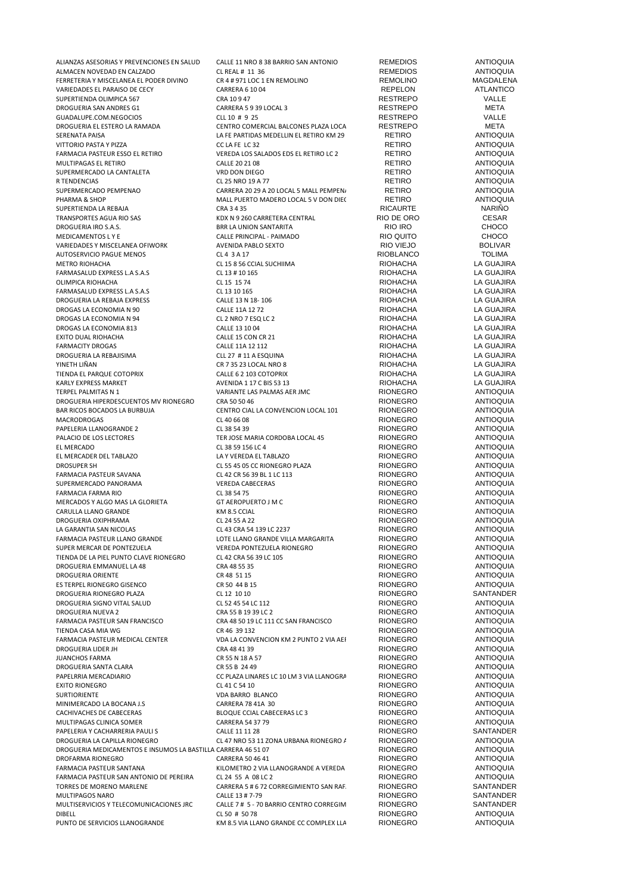| ALIANZAS ASESORIAS Y PREVENCIONES EN SALUD                    | CALLE 11 NRO 8 38 BARRIO SAN ANTONIO     | <b>REMEDIOS</b>  | <b>ANTIOQUIA</b> |
|---------------------------------------------------------------|------------------------------------------|------------------|------------------|
| ALMACEN NOVEDAD EN CALZADO                                    | CL REAL # 11 36                          | <b>REMEDIOS</b>  | <b>ANTIOQUIA</b> |
| FERRETERIA Y MISCELANEA EL PODER DIVINO                       | CR 4 # 971 LOC 1 EN REMOLINO             | <b>REMOLINO</b>  | MAGDALENA        |
| VARIEDADES EL PARAISO DE CECY                                 | <b>CARRERA 6 10 04</b>                   | REPELON          | <b>ATLANTICO</b> |
|                                                               |                                          | <b>RESTREPO</b>  | VALLE            |
| SUPERTIENDA OLIMPICA 567                                      | CRA 10947                                |                  |                  |
| DROGUERIA SAN ANDRES G1                                       | CARRERA 5 9 39 LOCAL 3                   | <b>RESTREPO</b>  | META             |
| GUADALUPE.COM.NEGOCIOS                                        | CLL 10 # 9 25                            | <b>RESTREPO</b>  | VALLE            |
| DROGUERIA EL ESTERO LA RAMADA                                 | CENTRO COMERCIAL BALCONES PLAZA LOCA     | <b>RESTREPO</b>  | META             |
| SERENATA PAISA                                                | LA FE PARTIDAS MEDELLIN EL RETIRO KM 29  | RETIRO           | <b>ANTIOQUIA</b> |
| VITTORIO PASTA Y PIZZA                                        | CC LA FE LC 32                           | <b>RETIRO</b>    | <b>ANTIOQUIA</b> |
| FARMACIA PASTEUR ESSO EL RETIRO                               | VEREDA LOS SALADOS EDS EL RETIRO LC 2    | <b>RETIRO</b>    | <b>ANTIOQUIA</b> |
| MULTIPAGAS EL RETIRO                                          | CALLE 20 21 08                           | RETIRO           | <b>ANTIOQUIA</b> |
| SUPERMERCADO LA CANTALETA                                     | VRD DON DIEGO                            | <b>RETIRO</b>    | <b>ANTIOQUIA</b> |
| R TENDENCIAS                                                  | CL 25 NRO 19 A 77                        | <b>RETIRO</b>    | <b>ANTIOQUIA</b> |
| SUPERMERCADO PEMPENAO                                         | CARRERA 20 29 A 20 LOCAL 5 MALL PEMPEN   | <b>RETIRO</b>    | <b>ANTIOQUIA</b> |
|                                                               |                                          |                  |                  |
| PHARMA & SHOP                                                 | MALL PUERTO MADERO LOCAL 5 V DON DIE(    | <b>RETIRO</b>    | <b>ANTIOQUIA</b> |
| SUPERTIENDA LA REBAJA                                         | CRA 3 4 35                               | <b>RICAURTE</b>  | <b>NARIÑO</b>    |
| TRANSPORTES AGUA RIO SAS                                      | KDX N 9 260 CARRETERA CENTRAL            | RIO DE ORO       | <b>CESAR</b>     |
| DROGUERIA IRO S.A.S.                                          | <b>BRR LA UNION SANTARITA</b>            | RIO IRO          | <b>CHOCO</b>     |
| MEDICAMENTOS L Y E                                            | CALLE PRINCIPAL - PAIMADO                | RIO QUITO        | <b>CHOCO</b>     |
| VARIEDADES Y MISCELANEA OFIWORK                               | AVENIDA PABLO SEXTO                      | RIO VIEJO        | <b>BOLIVAR</b>   |
| AUTOSERVICIO PAGUE MENOS                                      | CL 4 3 A 17                              | <b>RIOBLANCO</b> | <b>TOLIMA</b>    |
| METRO RIOHACHA                                                | CL 15 8 56 CCIAL SUCHIIMA                | <b>RIOHACHA</b>  | LA GUAJIRA       |
|                                                               |                                          |                  |                  |
| FARMASALUD EXPRESS L.A S.A.S                                  | CL 13 # 10 165                           | <b>RIOHACHA</b>  | LA GUAJIRA       |
| OLIMPICA RIOHACHA                                             | CL 15 15 74                              | <b>RIOHACHA</b>  | LA GUAJIRA       |
| FARMASALUD EXPRESS L.A S.A.S                                  | CL 13 10 165                             | <b>RIOHACHA</b>  | LA GUAJIRA       |
| DROGUERIA LA REBAJA EXPRESS                                   | CALLE 13 N 18-106                        | <b>RIOHACHA</b>  | LA GUAJIRA       |
| DROGAS LA ECONOMIA N 90                                       | CALLE 11A 12 72                          | <b>RIOHACHA</b>  | LA GUAJIRA       |
| DROGAS LA ECONOMIA N 94                                       | CL 2 NRO 7 ESQ LC 2                      | <b>RIOHACHA</b>  | LA GUAJIRA       |
| DROGAS LA ECONOMIA 813                                        | CALLE 13 10 04                           | <b>RIOHACHA</b>  | LA GUAJIRA       |
| EXITO DUAL RIOHACHA                                           | CALLE 15 CON CR 21                       | <b>RIOHACHA</b>  | LA GUAJIRA       |
| <b>FARMACITY DROGAS</b>                                       | CALLE 11A 12 112                         | <b>RIOHACHA</b>  | LA GUAJIRA       |
|                                                               |                                          |                  |                  |
| DROGUERIA LA REBAJISIMA                                       | CLL 27 # 11 A ESQUINA                    | <b>RIOHACHA</b>  | LA GUAJIRA       |
| YINETH LIÑAN                                                  | CR 7 35 23 LOCAL NRO 8                   | <b>RIOHACHA</b>  | LA GUAJIRA       |
| TIENDA EL PARQUE COTOPRIX                                     | CALLE 6 2 103 COTOPRIX                   | <b>RIOHACHA</b>  | LA GUAJIRA       |
| KARLY EXPRESS MARKET                                          | AVENIDA 1 17 C BIS 53 13                 | <b>RIOHACHA</b>  | LA GUAJIRA       |
| TERPEL PALMITAS N 1                                           | VARIANTE LAS PALMAS AER JMC              | <b>RIONEGRO</b>  | <b>ANTIOQUIA</b> |
| DROGUERIA HIPERDESCUENTOS MV RIONEGRO                         | CRA 50 50 46                             | <b>RIONEGRO</b>  | <b>ANTIOQUIA</b> |
| BAR RICOS BOCADOS LA BURBUJA                                  | CENTRO CIAL LA CONVENCION LOCAL 101      | <b>RIONEGRO</b>  | <b>ANTIOQUIA</b> |
| MACRODROGAS                                                   | CL 40 66 08                              | <b>RIONEGRO</b>  | <b>ANTIOQUIA</b> |
|                                                               |                                          |                  |                  |
| PAPELERIA LLANOGRANDE 2                                       | CL 38 54 39                              | <b>RIONEGRO</b>  | <b>ANTIOQUIA</b> |
| PALACIO DE LOS LECTORES                                       | TER JOSE MARIA CORDOBA LOCAL 45          | <b>RIONEGRO</b>  | <b>ANTIOQUIA</b> |
| EL MERCADO                                                    | CL 38 59 156 LC 4                        | <b>RIONEGRO</b>  | <b>ANTIOQUIA</b> |
| EL MERCADER DEL TABLAZO                                       | LA Y VEREDA EL TABLAZO                   | <b>RIONEGRO</b>  | <b>ANTIOQUIA</b> |
| DROSUPER SH                                                   | CL 55 45 05 CC RIONEGRO PLAZA            | <b>RIONEGRO</b>  | <b>ANTIOQUIA</b> |
| FARMACIA PASTEUR SAVANA                                       | CL 42 CR 56 39 BL 1 LC 113               | <b>RIONEGRO</b>  | <b>ANTIOQUIA</b> |
| SUPERMERCADO PANORAMA                                         | <b>VEREDA CABECERAS</b>                  | <b>RIONEGRO</b>  | <b>ANTIOQUIA</b> |
| FARMACIA FARMA RIO                                            | CL 38 54 75                              | <b>RIONEGRO</b>  | <b>ANTIOQUIA</b> |
|                                                               |                                          |                  |                  |
| MERCADOS Y ALGO MAS LA GLORIETA                               | GT AEROPUERTO J M C                      | <b>RIONEGRO</b>  | <b>ANTIOQUIA</b> |
| CARULLA LLANO GRANDE                                          | KM 8.5 CCIAL                             | <b>RIONEGRO</b>  | <b>ANTIOQUIA</b> |
| DROGUERIA OXIPHRAMA                                           | CL 24 55 A 22                            | <b>RIONEGRO</b>  | <b>ANTIOQUIA</b> |
| LA GARANTIA SAN NICOLAS                                       | CL 43 CRA 54 139 LC 2237                 | <b>RIONEGRO</b>  | <b>ANTIOQUIA</b> |
| FARMACIA PASTEUR LLANO GRANDE                                 | LOTE LLANO GRANDE VILLA MARGARITA        | <b>RIONEGRO</b>  | <b>ANTIOQUIA</b> |
| SUPER MERCAR DE PONTEZUELA                                    | VEREDA PONTEZUELA RIONEGRO               | <b>RIONEGRO</b>  | <b>ANTIOQUIA</b> |
| TIENDA DE LA PIEL PUNTO CLAVE RIONEGRO                        | CL 42 CRA 56 39 LC 105                   | <b>RIONEGRO</b>  | <b>ANTIOQUIA</b> |
| DROGUERIA EMMANUEL LA 48                                      |                                          | <b>RIONEGRO</b>  | <b>ANTIOQUIA</b> |
|                                                               | CRA 48 55 35                             |                  |                  |
| <b>DROGUERIA ORIENTE</b>                                      | CR 48 51 15                              | <b>RIONEGRO</b>  | <b>ANTIOQUIA</b> |
| ES TERPEL RIONEGRO GISENCO                                    | CR 50 44 B 15                            | <b>RIONEGRO</b>  | <b>ANTIOQUIA</b> |
| DROGUERIA RIONEGRO PLAZA                                      | CL 12 10 10                              | <b>RIONEGRO</b>  | SANTANDER        |
| DROGUERIA SIGNO VITAL SALUD                                   | CL 52 45 54 LC 112                       | <b>RIONEGRO</b>  | <b>ANTIOQUIA</b> |
| DROGUERIA NUEVA 2                                             | CRA 55 B 19 39 LC 2                      | <b>RIONEGRO</b>  | <b>ANTIOQUIA</b> |
| FARMACIA PASTEUR SAN FRANCISCO                                | CRA 48 50 19 LC 111 CC SAN FRANCISCO     | <b>RIONEGRO</b>  | <b>ANTIOQUIA</b> |
| TIENDA CASA MIA WG                                            | CR 46 39 132                             | <b>RIONEGRO</b>  | <b>ANTIOQUIA</b> |
| FARMACIA PASTEUR MEDICAL CENTER                               | VDA LA CONVENCION KM 2 PUNTO 2 VIA AEI   | <b>RIONEGRO</b>  | <b>ANTIOQUIA</b> |
|                                                               |                                          |                  |                  |
| DROGUERIA LIDER JH                                            | CRA 48 41 39                             | <b>RIONEGRO</b>  | <b>ANTIOQUIA</b> |
| <b>JUANCHOS FARMA</b>                                         | CR 55 N 18 A 57                          | <b>RIONEGRO</b>  | <b>ANTIOQUIA</b> |
| DROGUERIA SANTA CLARA                                         | CR 55 B 24 49                            | <b>RIONEGRO</b>  | <b>ANTIOQUIA</b> |
| PAPELRRIA MERCADIARIO                                         | CC PLAZA LINARES LC 10 LM 3 VIA LLANOGRA | <b>RIONEGRO</b>  | <b>ANTIOQUIA</b> |
| EXITO RIONEGRO                                                | CL 41 C 54 10                            | <b>RIONEGRO</b>  | <b>ANTIOQUIA</b> |
| SURTIORIENTE                                                  | VDA BARRO BLANCO                         | <b>RIONEGRO</b>  | <b>ANTIOQUIA</b> |
| MINIMERCADO LA BOCANA J.S                                     | CARRERA 78 41A 30                        | <b>RIONEGRO</b>  | <b>ANTIOQUIA</b> |
| CACHIVACHES DE CABECERAS                                      | BLOQUE CCIAL CABECERAS LC 3              | <b>RIONEGRO</b>  | <b>ANTIOQUIA</b> |
|                                                               |                                          |                  |                  |
| MULTIPAGAS CLINICA SOMER                                      | CARRERA 54 37 79                         | <b>RIONEGRO</b>  | <b>ANTIOQUIA</b> |
| PAPELERIA Y CACHARRERIA PAULI S                               | CALLE 11 11 28                           | <b>RIONEGRO</b>  | SANTANDER        |
| DROGUERIA LA CAPILLA RIONEGRO                                 | CL 47 NRO 53 11 ZONA URBANA RIONEGRO /   | <b>RIONEGRO</b>  | <b>ANTIOQUIA</b> |
| DROGUERIA MEDICAMENTOS E INSUMOS LA BASTILLA CARRERA 46 51 07 |                                          | <b>RIONEGRO</b>  | <b>ANTIOQUIA</b> |
| DROFARMA RIONEGRO                                             | CARRERA 50 46 41                         | <b>RIONEGRO</b>  | <b>ANTIOQUIA</b> |
| FARMACIA PASTEUR SANTANA                                      | KILOMETRO 2 VIA LLANOGRANDE A VEREDA     | <b>RIONEGRO</b>  | <b>ANTIOQUIA</b> |
| FARMACIA PASTEUR SAN ANTONIO DE PEREIRA                       | CL 24 55 A 08 LC 2                       | <b>RIONEGRO</b>  | <b>ANTIOQUIA</b> |
|                                                               |                                          |                  | SANTANDER        |
| TORRES DE MORENO MARLENE                                      | CARRERA 5 # 6 72 CORREGIMIENTO SAN RAF   | <b>RIONEGRO</b>  |                  |
| MULTIPAGOS NARO                                               | CALLE 13 # 7-79                          | <b>RIONEGRO</b>  | SANTANDER        |
| MULTISERVICIOS Y TELECOMUNICACIONES JRC                       | CALLE 7 # 5 - 70 BARRIO CENTRO CORREGIM  | <b>RIONEGRO</b>  | SANTANDER        |
| DIBELL                                                        | CL 50 # 50 78                            | <b>RIONEGRO</b>  | <b>ANTIOQUIA</b> |
| PUNTO DE SERVICIOS LLANOGRANDE                                | KM 8.5 VIA LLANO GRANDE CC COMPLEX LLA   | <b>RIONEGRO</b>  | <b>ANTIOQUIA</b> |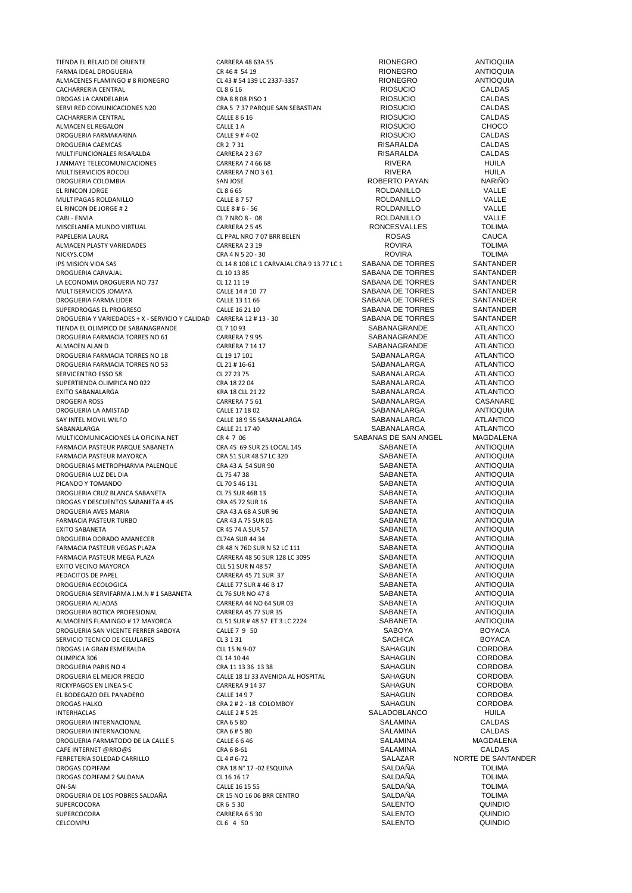FARMA IDEAL DROGUERIA CR 46 # 54 19 RIONEGRO ANTIOQUIA ALMACENES FLAMINGO # 8 RIONEGRO CL 43 # 54 139 LC 2337-3357 RIONEGRO ANTIOQUIA CACHARRERIA CENTRAL CL 8 6 16 RIOSUCIO CALDAS DROGAS LA CANDELARIA<br>
CRA 8 3 8 PISO 1 CALDAS CALDAS CALDAS CALDAS CALDAS CALDAS CALDAS CALDAS CALDAS CACHARRERIA CENTRAL CALLE 8 6 16 RIOSUCIO CALDAS ALMACEN EL REGALON CALLE 1 A RIOSUCIO CHOCO CHOCO CHOCO CHOCO DROGUERIA FARMAKARINA CALLE 9 # 4-02 RIOSUCIO CALDAS DROGUERIA CAEMCAS CR 2 7 31 RISARALDA CALDAS MULTIFUNCIONALES RISARALDA CARRERA 2 3 67 RISARALDA CALDAS J ANMAYE TELECOMUNICACIONES CARRERA 7 4 66 68 RIVERA HUILA MULTISERVICIOS ROCOLI CARRERA 7 NO 3 61 RIVERA HUILA DROGUERIA COLOMBIA SAN JOSE SAN JOSE ROBERTO PAYAN NARIÑO NARIÑO EL RINCON JORGE RE RINCON DROGUERIA DE REGIONALE E RINCON JORGE DE REGIONALE E RINCON JORGE DE REGIONALE E RINCON JORGE DE REGIONALE E LA BREGO DE LA BREGO D EL RINCON JORGE CL 8 6 65 ROLDANILLO VALLE MULTIPAGAS ROLDANILLO<br>
EL RINCON DE JORGE #2 CLE 2 #6 -56 ROLDANILLO EL RINCON DE JORGE # 2 CLLE 8 # 6 - 56 ROLDANILLO CABI - ENCORDANILLO CABI - ENCORDANILLO VALLE<br>CABI - ENVIA CABI - CABI - CABI - CABI - CABI - CABI - CABI - CABI - CABI - CABI - CABI - CABI - CABI - CABI -CABI - ENVIA CABI - CL 7 NRO 8 - 08 CL 7 NRO 8 - OS CABI - ROLDANILLO CABI - VALLE MISCELANEA MUNDO VIRTUAL CARRERA 2 5 45 RONCESVALLES TOLIMA ALMACEN PLASTY VARIEDADES CARRERA 2 3 19 ROVIRA TOLIMA NICKYS.COM CRA 4 N 5 20 - 30 ROVIRA TOLIMA IPS MISION VIDA SAS CL 14 8 108 LC 1 CARVAJAL CRA 9 13 77 LC 1 SABANA DE TORRES SANTANDER<br>CL 10 13 85 CL 10 13 85 CL 10 13 85 LA ECONOMIA DROGUERIA NO 737 CL 12 11 19<br>
CALLE 14 # 10 77 SABANA DE TORRES SANTANDER<br>
SABANA DE TORRES SANTANDER MULTISERVICIOS JOMAYA CALLE 14 # 10 77 SABANA DE TORRES SANTANDER DROGUERIA FARMA LIDER CALLE 13 11 66 SABANA DE TORRES SANTANDER SUPERDROGAS EL PROGRESO CALLE 16 21 10 SABANA DE TORRES SANTANDER DROGUERIA Y VARIEDADES + X - SERVICIO Y CALIDAD CARRERA 12 # 13 - 30 SABANA DE TORRES SANTANDER<br>TIENDA EL OLIMPICO DE SABANAGRANDE CL 7 10 93 SABANAGRANDE SABANAGRANDE ATLANTICO TIENDA EL OLIMPICO DE SABANAGRANDE CL 7 10 93 SABANAGRANDE ATLANTICO DROGUERIA FARMACIA TORRES NO 61 CARRERA 7 9 95 SABANAGRANDE ATLANTICO CONSERVATO CONSERVATO CONSERVATO CONSERV<br>CARRERA 7 14 17 CARRES SABANAGRANDE ATLANTICO ALMACEN ALAN D CARRERA 7 14 17 SABANAGRANDE ATLANTICO DROGUERIA FARMACIA TORRES NO 18 CL 19 17 101<br>DROGUERIA FARMACIA TORRES NO 53 CL 19 17 16-61 SABANALARGA SABANALARGA ATLANTICO DROGUERIA FARMACIA TORRES NO 53 CL 21 # 16-61 SABANALARGA SABANALARGA ATLANTICO<br>CERVICENTRO ESSO SR CL 27 23 75 SABANALARGA ATLANTICO SERVICENTRO ESSO 58 CL 27 23 75 CL 27 23 75 SABANALARGA ATLANTICO SUPERTIENDA OLIMPICA NO 022 CRA 18 22 04 SABANALARGA ATLANTICO EXITO SABANALARGA KRA 18 CLL 21 22 SABANALARGA ATLANTICO DROGERIA ROSS CARRERA 7 5 61 SABANALARGA CASANARE DROGUERIA LA AMISTAD CALLE 17 18 02 SABANALARGA ANTIOQUIA SAY INTEL MOVIL WILFO CALLE 18 9 55 SABANALARGA SABANALARGA ATLANTICO SABANALARGA CALLE 21 17 40 SABANALARGA ATLANTICO MULTICOMUNICACIONES LA OFICINA.NET CR 4 7 06 SABANAS DE SAN ANGEL MAGDALENA FARMACIA PASTEUR PARQUE SABANETA CRA 45 69 SUR 25 LOCAL 145 SABANETA ANTIOQUIA FARMACIA PASTEUR MAYORCA CRA 51 SUR 48 57 LC 320 SABANETA ANTIOQUIA DROGUERIAS METROPHARMA PALENQUE CRA 43 A 54 SUR 90 DROGUERIA LUZ DEL DIA CL 75 47 38 SABANETA ANTIOQUIA PICANDO Y TOMANDO CL 70 S 46 131 SABANETA DROGUERIA CRUZ BLANCA SABANETA CL 75 SUR 46B 13 SABANETA SABANETA ANTIOQUIA DROGAS Y DESCUENTOS SABANETA # 45 CRA 45 72 SUR 16 SABANETA SABANETA ANTIOQUIA DROGUERIA AVES MARIA CRA 43 A 68 A SUR 96 SABANETA ANTIOQUIA FARMACIA PASTEUR TURBO CAR 43 A 75 SUR 05 SABANETA ANTIOQUIA DROGUERIA DORADO AMANECER CL74A SUR 44 34 SABANETA SABANETA ANTIOQUIA<br>CRABANACIA PASTEUR VEGAS PLAZA CRABIN 76D SUR IN S2 LC 111 SABANETA SABANETA ANTIOQUIA FARMACIA PASTEUR MEGA PLAZA CARRERA 48 50 SUR 128 LC 3095 SABANETA ANTIOQUIA EXITO VECINO MAYORCA CLL 51 SUR N 48 57 SABANETA ANTIOQUIA DROGUERIA ECOLOGICA CALLE 77 SUR # 46 B 17 SABANETA ANTIOQUIA DROGUERIA SERVIFARMA J.M.N # 1 SABANETA CL 76 SUR NO 47 8 SABANETA SABANETA ANTIOQUIA<br>CABRERA 44 NO 64 SUR O3 SABANETA SABANETA ANTIOQUIA DROGUERIA ALIADAS CARRERA 44 NO 64 SUR 03 SABANETA ANTIOQUIA DROGUERIA BOTICA PROFESIONAL CARRERA 45 77 SUR 35 SABANETA ANTIOQUIA ALMACENES FLAMINGO # 17 MAYORCA CL 51 SUR # 48 57 ET 3 LC 2224 SABANETA ANTIOQUIA DROGUERIA SAN VICENTE FERRER SABOYA CALLE 7 9 50 SABOYA SABOYA BOYACA BOYACA CALLE 7 9 50 SABOYA SERVICIO TECNICO DE CELULARES CL 3 1 31 SABOYACA SERVICIO TECNICO DE CELULARES SERVICIO TECNICO DE CELULARES CL 3 1 31 SACHICA BOYACA DROGAS LA GRAN ESMERALDA CLL 15 N.9-07 SAHAGUN CORDOBA OLIMPICA 306 CL 14 10 44 SAHAGUN CORDOBA DROGUERIA PARIS NO 4 CORDOBA<br>DROGUERIA EL MEJOR PRECIO CALLE 18 11 33 AVENIDA AL HOSPITAL SAHAGUN CORDOBA CORDOBA RICKYPAGOS EN LINEA S-C<br>RICKYPAGOS EN LINEA S-C<br>EL BODEGAZO DEL PANADERO SALLA SALLA SALLE 14 9 7 SAHAGUN SAHAGUN SAHAGUN CORDOBA EL BODEGAZO DEL PANADERO CALLE 14 9 7 SAHAGUN CORDOBA DROGAS HALKO CRA 2 # 2 - 18 COLOMBOY<br>
INTERHACLAS INTERHACLAS CALLE 2 # 5 25 SALADOBLANCO HUILA DROGUERIA INTERNACIONAL CRA 6 5 80 SALAMINA CALDAS DROGUERIA INTERNACIONAL CRA 6 # 5 80 SALAMINA CALDAS DROGUERIA FARMATODO DE LA CALLE 5 CALLE 6 6 46 SALAMINA SALAMINA SALAMINA CALDAS<br>CALE INTERNET @RRO@S CRA 6 8-61 CRA 6 8-61 SALAMINA SALAMINA SALAMINA CAFE INTERNET @RRO@S CRA 6 8-61 SALAMINA CALDAS<br>FERRETERIA SOLEDAD CARRILLO CL 4 # 6-72 SALAZAR NORTE DE SANTANDER FERRETERIA SOLEDAD CARRILLO CL 4 # 6-72 SALAZAR NORTE DE SANTANDER DROGAS COPIFAM CRA 18 N° 17 -02 ESQUINA SALDAÑA TOLIMA DROGAS COPIFAM 2 SALDANA CL 16 16 17 CL 16 16 17<br>ON-SAI CALL 16 15 15 SALDAÑA SALDAÑA TOLIMA ON-SAI CALLE 16 15 55 SALDAÑA TOLIMA DROGUERIA DE LOS POBRES SALDAÑA CR 15 NO 16 06 BRR CENTRO CONSIDADA ESTA DE LOS POBRES SALDAÑA CR 6 5 30 DE LO<br>CR 6 5 30 SALENTO SUL QUINDIO SUPERCOCORA CR 6 5 30 SALENTO QUINDIO SUPERCOCORA CARRERA 6 5 30 SALENTO QUINDIO

TIENDA EL RELAJO DE ORIENTE CARRERA 48 63A 55 CARRERA 48 63A 55 RIONEGRO ANTIOQUIA<br>FARMA IDEAL DROGUERIA CRASE CRAGE 54 19 CRAGE E ANTIOQUIA SERVI RED COMUNICACIONES NO COMUNICACIONES NA SEBASTIAN RED RED RED ROSUCIO COLORENTE CALDAS CONTRA SERVICIO CALDAS CL PPAL NRO 7 07 BRR BELEN ROSAS CAUCA<br>CARRERA 2 3 19 CAUCA CARRERA 2 3 19 COVIRA EXTREM CR 45 74 A SUR 57 SABANETA SABANETA SABANETA SABANETA ANTIOQUIA<br>CL 74 A SUR 44 34 SABANETA SABANETA SABANETA ANTIOQUIA FARMACIA PASTEUR IN 12 LC 111 SABANETA ANTIOQUIA<br>
CARRERA 48 SO SUR 128 LC 3095 SABANETA ANTIOQUIA PERDACITOS DE PAPEL CARRERA 45 71 SUR 37 SABANETA DE PAPEL CALLE ANTIOQUIA<br>PEDACITOS DE PAPEL CALLE 77 SUR 46 B 17 SABANETA SABANETA DE PANTIOQUIA CALLE 18 1J 33 AVENIDA AL HOSPITAL SAHAGUN SAHAGUN CORDOBA<br>CARRERA 9 14 37 CORDOBA CELCOMPU CL 6 4 50 SALENTO QUINDIO

SABANA DE TORRES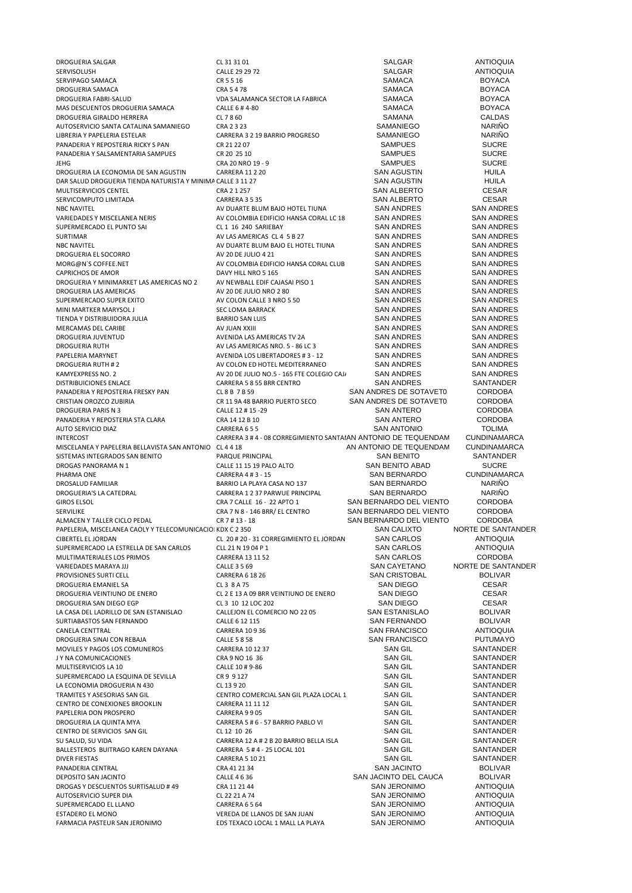| DROGUERIA SALGAR                                            | CL 31 31 01                                                    | SALGAR                             | <b>ANTIOQUIA</b>    |
|-------------------------------------------------------------|----------------------------------------------------------------|------------------------------------|---------------------|
| SERVISOLUSH                                                 | CALLE 29 29 72                                                 | <b>SALGAR</b>                      | <b>ANTIOQUIA</b>    |
| SERVIPAGO SAMACA                                            | CR 5 5 16                                                      | <b>SAMACA</b>                      | <b>BOYACA</b>       |
| DROGUERIA SAMACA                                            | CRA 5478                                                       | <b>SAMACA</b>                      | <b>BOYACA</b>       |
| DROGUERIA FABRI-SALUD                                       | VDA SALAMANCA SECTOR LA FABRICA                                | SAMACA                             | <b>BOYACA</b>       |
| MAS DESCUENTOS DROGUERIA SAMACA                             | CALLE 6 #4-80                                                  | <b>SAMACA</b>                      | <b>BOYACA</b>       |
| DROGUERIA GIRALDO HERRERA                                   | CL 7 8 60                                                      | SAMANA                             | <b>CALDAS</b>       |
| AUTOSERVICIO SANTA CATALINA SAMANIEGO                       | CRA 2323                                                       | SAMANIEGO                          | <b>NARIÑO</b>       |
| LIBRERIA Y PAPELERIA ESTELAR                                | CARRERA 3 2 19 BARRIO PROGRESO                                 | SAMANIEGO                          | <b>NARIÑO</b>       |
| PANADERIA Y REPOSTERIA RICKY S PAN                          | CR 21 22 07                                                    | <b>SAMPUES</b>                     | <b>SUCRE</b>        |
| PANADERIA Y SALSAMENTARIA SAMPUES                           | CR 20 25 10                                                    | <b>SAMPUES</b>                     | <b>SUCRE</b>        |
| <b>JEHG</b>                                                 | CRA 20 NRO 19 - 9                                              | <b>SAMPUES</b>                     | <b>SUCRE</b>        |
| DROGUERIA LA ECONOMIA DE SAN AGUSTIN                        | <b>CARRERA 11 2 20</b>                                         | <b>SAN AGUSTIN</b>                 | HUILA               |
|                                                             |                                                                | <b>SAN AGUSTIN</b>                 | <b>HUILA</b>        |
| DAR SALUD DROGUERIA TIENDA NATURISTA Y MINIMA CALLE 3 11 27 |                                                                |                                    |                     |
| MULTISERVICIOS CENTEL                                       | CRA 2 1 257                                                    | <b>SAN ALBERTO</b>                 | <b>CESAR</b>        |
| SERVICOMPUTO LIMITADA                                       | CARRERA 3 5 35                                                 | <b>SAN ALBERTO</b>                 | <b>CESAR</b>        |
| <b>NBC NAVITEL</b>                                          | AV DUARTE BLUM BAJO HOTEL TIUNA                                | <b>SAN ANDRES</b>                  | <b>SAN ANDRES</b>   |
| VARIEDADES Y MISCELANEA NERIS                               | AV COLOMBIA EDIFICIO HANSA CORAL LC 18                         | <b>SAN ANDRES</b>                  | <b>SAN ANDRES</b>   |
| SUPERMERCADO EL PUNTO SAI                                   | CL1 16 240 SARIEBAY                                            | <b>SAN ANDRES</b>                  | <b>SAN ANDRES</b>   |
| <b>SURTIMAR</b>                                             | AV LAS AMERICAS CL 4 5 B 27                                    | <b>SAN ANDRES</b>                  | <b>SAN ANDRES</b>   |
| <b>NBC NAVITEL</b>                                          | AV DUARTE BLUM BAJO EL HOTEL TIUNA                             | <b>SAN ANDRES</b>                  | <b>SAN ANDRES</b>   |
| DROGUERIA EL SOCORRO                                        | AV 20 DE JULIO 4 21                                            | <b>SAN ANDRES</b>                  | <b>SAN ANDRES</b>   |
| MORG@N'S COFFEE.NET                                         | AV COLOMBIA EDIFICIO HANSA CORAL CLUB                          | <b>SAN ANDRES</b>                  | <b>SAN ANDRES</b>   |
| <b>CAPRICHOS DE AMOR</b>                                    | DAVY HILL NRO 5 165                                            | <b>SAN ANDRES</b>                  | <b>SAN ANDRES</b>   |
| DROGUERIA Y MINIMARKET LAS AMERICAS NO 2                    | AV NEWBALL EDIF CAJASAI PISO 1                                 | <b>SAN ANDRES</b>                  | <b>SAN ANDRES</b>   |
| DROGUERIA LAS AMERICAS                                      | AV 20 DE JULIO NRO 280                                         | <b>SAN ANDRES</b>                  | <b>SAN ANDRES</b>   |
| SUPERMERCADO SUPER EXITO                                    | AV COLON CALLE 3 NRO 5 50                                      | <b>SAN ANDRES</b>                  | <b>SAN ANDRES</b>   |
|                                                             | <b>SEC LOMA BARRACK</b>                                        | <b>SAN ANDRES</b>                  | <b>SAN ANDRES</b>   |
| MINI MARTKER MARYSOL J                                      |                                                                |                                    |                     |
| TIENDA Y DISTRIBUIDORA JULIA                                | <b>BARRIO SAN LUIS</b>                                         | <b>SAN ANDRES</b>                  | <b>SAN ANDRES</b>   |
| MERCAMAS DEL CARIBE                                         | <b>AV JUAN XXIII</b>                                           | <b>SAN ANDRES</b>                  | <b>SAN ANDRES</b>   |
| <b>DROGUERIA JUVENTUD</b>                                   | AVENIDA LAS AMERICAS TV 2A                                     | <b>SAN ANDRES</b>                  | <b>SAN ANDRES</b>   |
| <b>DROGUERIA RUTH</b>                                       | AV LAS AMERICAS NRO. 5 - 86 LC 3                               | <b>SAN ANDRES</b>                  | <b>SAN ANDRES</b>   |
| PAPELERIA MARYNET                                           | AVENIDA LOS LIBERTADORES #3 - 12                               | <b>SAN ANDRES</b>                  | <b>SAN ANDRES</b>   |
| <b>DROGUERIA RUTH #2</b>                                    | AV COLON ED HOTEL MEDITERRANEO                                 | <b>SAN ANDRES</b>                  | <b>SAN ANDRES</b>   |
| KAMYEXPRESS NO. 2                                           | AV 20 DE JULIO NO.5 - 165 FTE COLEGIO CAJ,                     | <b>SAN ANDRES</b>                  | <b>SAN ANDRES</b>   |
| DISTRIBUICIONES ENLACE                                      | CARRERA 5 8 55 BRR CENTRO                                      | <b>SAN ANDRES</b>                  | SANTANDER           |
| PANADERIA Y REPOSTERIA FRESKY PAN                           | CL8B7B59                                                       | SAN ANDRES DE SOTAVET0             | <b>CORDOBA</b>      |
| CRISTIAN OROZCO ZUBIRIA                                     | CR 11 9A 48 BARRIO PUERTO SECO                                 | SAN ANDRES DE SOTAVET0             | <b>CORDOBA</b>      |
| DROGUERIA PARIS N 3                                         | CALLE 12 # 15 -29                                              | <b>SAN ANTERO</b>                  | <b>CORDOBA</b>      |
| PANADERIA Y REPOSTERIA STA CLARA                            | CRA 14 12 B 10                                                 | <b>SAN ANTERO</b>                  | <b>CORDOBA</b>      |
| AUTO SERVICIO DIAZ                                          | CARRERA 655                                                    | <b>SAN ANTONIO</b>                 | <b>TOLIMA</b>       |
| <b>INTERCOST</b>                                            | CARRERA 3 # 4 - 08 CORREGIMIENTO SANTAIAN ANTONIO DE TEQUENDAM |                                    | <b>CUNDINAMARCA</b> |
|                                                             |                                                                | AN ANTONIO DE TEQUENDAM            | <b>CUNDINAMARCA</b> |
| MISCELANEA Y PAPELERIA BELLAVISTA SAN ANTONIO CL 4 4 18     |                                                                |                                    |                     |
| SISTEMAS INTEGRADOS SAN BENITO                              | PARQUE PRINCIPAL                                               | SAN BENITO                         | SANTANDER           |
| DROGAS PANORAMA N 1                                         | CALLE 11 15 19 PALO ALTO                                       | <b>SAN BENITO ABAD</b>             | <b>SUCRE</b>        |
| PHARMA ONE                                                  | CARRERA 4 # 3 - 15                                             | <b>SAN BERNARDO</b>                | <b>CUNDINAMARCA</b> |
| DROSALUD FAMILIAR                                           | BARRIO LA PLAYA CASA NO 137                                    | <b>SAN BERNARDO</b>                | <b>NARIÑO</b>       |
| DROGUERIA'S LA CATEDRAL                                     | CARRERA 1 2 37 PARWUE PRINCIPAL                                | <b>SAN BERNARDO</b>                | <b>NARIÑO</b>       |
| <b>GIROS ELSOL</b>                                          | CRA 7 CALLE 16 - 22 APTO 1                                     | SAN BERNARDO DEL VIENTO            | <b>CORDOBA</b>      |
| SERVILIKE                                                   | CRA 7 N 8 - 146 BRR/ EL CENTRO                                 | SAN BERNARDO DEL VIENTO            | <b>CORDOBA</b>      |
| ALMACEN Y TALLER CICLO PEDAL                                | CR 7 # 13 - 18                                                 | SAN BERNARDO DEL VIENTO            | <b>CORDOBA</b>      |
| PAPELERIA, MISCELANEA CAOLY Y TELECOMUNICACIOI KDX C 2 350  |                                                                | <b>SAN CALIXTO</b>                 | NORTE DE SANTANDER  |
| CIBERTEL EL JORDAN                                          | CL 20 # 20 - 31 CORREGIMIENTO EL JORDAN                        | <b>SAN CARLOS</b>                  | <b>ANTIOQUIA</b>    |
| SUPERMERCADO LA ESTRELLA DE SAN CARLOS                      | CLL 21 N 19 04 P 1                                             | <b>SAN CARLOS</b>                  | <b>ANTIOQUIA</b>    |
| MULTIMATERIALES LOS PRIMOS                                  | CARRERA 13 11 52                                               | <b>SAN CARLOS</b>                  | <b>CORDOBA</b>      |
| VARIEDADES MARAYA JJJ                                       | <b>CALLE 3 5 69</b>                                            | <b>SAN CAYETANO</b>                | NORTE DE SANTANDER  |
| PROVISIONES SURTI CELL                                      | <b>CARRERA 6 18 26</b>                                         | <b>SAN CRISTOBAL</b>               | <b>BOLIVAR</b>      |
| <b>DROGUERIA EMANIEL SA</b>                                 | CL 3 8 A 75                                                    | <b>SAN DIEGO</b>                   | <b>CESAR</b>        |
| DROGUERIA VEINTIUNO DE ENERO                                | CL 2 E 13 A 09 BRR VEINTIUNO DE ENERO                          | <b>SAN DIEGO</b>                   | <b>CESAR</b>        |
|                                                             |                                                                |                                    |                     |
| DROGUERIA SAN DIEGO EGP                                     | CL 3 10 12 LOC 202<br>CALLEJON EL COMERCIO NO 22 05            | SAN DIEGO<br><b>SAN ESTANISLAO</b> | <b>CESAR</b>        |
| LA CASA DEL LADRILLO DE SAN ESTANISLAO                      |                                                                |                                    | <b>BOLIVAR</b>      |
| SURTIABASTOS SAN FERNANDO                                   | CALLE 6 12 115                                                 | <b>SAN FERNANDO</b>                | <b>BOLIVAR</b>      |
| <b>CANELA CENTTRAL</b>                                      | <b>CARRERA 10936</b>                                           | <b>SAN FRANCISCO</b>               | <b>ANTIOQUIA</b>    |
| DROGUERIA SINAI CON REBAJA                                  | <b>CALLE 5 8 58</b>                                            | <b>SAN FRANCISCO</b>               | <b>PUTUMAYO</b>     |
| MOVILES Y PAGOS LOS COMUNEROS                               | CARRERA 10 12 37                                               | <b>SAN GIL</b>                     | SANTANDER           |
| JY NA COMUNICACIONES                                        | CRA 9 NO 16 36                                                 | <b>SAN GIL</b>                     | SANTANDER           |
| MULTISERVICIOS LA 10                                        | CALLE 10 # 9-86                                                | <b>SAN GIL</b>                     | SANTANDER           |
| SUPERMERCADO LA ESQUINA DE SEVILLA                          | CR 9 9 127                                                     | <b>SAN GIL</b>                     | SANTANDER           |
| LA ECONOMIA DROGUERIA N 430                                 | CL 13 9 20                                                     | <b>SAN GIL</b>                     | SANTANDER           |
| TRAMITES Y ASESORIAS SAN GIL                                | CENTRO COMERCIAL SAN GIL PLAZA LOCAL 1                         | <b>SAN GIL</b>                     | SANTANDER           |
| CENTRO DE CONEXIONES BROOKLIN                               | CARRERA 11 11 12                                               | <b>SAN GIL</b>                     | SANTANDER           |
| PAPELERIA DON PROSPERO                                      | CARRERA 9905                                                   | <b>SAN GIL</b>                     | SANTANDER           |
| DROGUERIA LA QUINTA MYA                                     | CARRERA 5 # 6 - 57 BARRIO PABLO VI                             | SAN GIL                            | SANTANDER           |
| CENTRO DE SERVICIOS SAN GIL                                 | CL 12 10 26                                                    | <b>SAN GIL</b>                     | SANTANDER           |
|                                                             | CARRERA 12 A # 2 B 20 BARRIO BELLA ISLA                        | <b>SAN GIL</b>                     | SANTANDER           |
| SU SALUD, SU VIDA                                           |                                                                | <b>SAN GIL</b>                     |                     |
| BALLESTEROS BUITRAGO KAREN DAYANA                           | CARRERA 5 # 4 - 25 LOCAL 101                                   |                                    | SANTANDER           |
| <b>DIVER FIESTAS</b>                                        | CARRERA 5 10 21                                                | <b>SAN GIL</b>                     | SANTANDER           |
| PANADERIA CENTRAL                                           |                                                                | <b>SAN JACINTO</b>                 | <b>BOLIVAR</b>      |
| DEPOSITO SAN JACINTO                                        | CRA 41 21 34                                                   |                                    |                     |
| DROGAS Y DESCUENTOS SURTISALUD # 49                         | CALLE 4 6 36                                                   | SAN JACINTO DEL CAUCA              | <b>BOLIVAR</b>      |
|                                                             | CRA 11 21 44                                                   | <b>SAN JERONIMO</b>                | <b>ANTIOQUIA</b>    |
| AUTOSERVICIO SUPER DIA                                      | CL 22 21 A 74                                                  | <b>SAN JERONIMO</b>                | <b>ANTIOQUIA</b>    |
| SUPERMERCADO EL LLANO                                       | CARRERA 6564                                                   | <b>SAN JERONIMO</b>                | <b>ANTIOQUIA</b>    |
| ESTADERO EL MONO                                            | VEREDA DE LLANOS DE SAN JUAN                                   | <b>SAN JERONIMO</b>                | <b>ANTIOQUIA</b>    |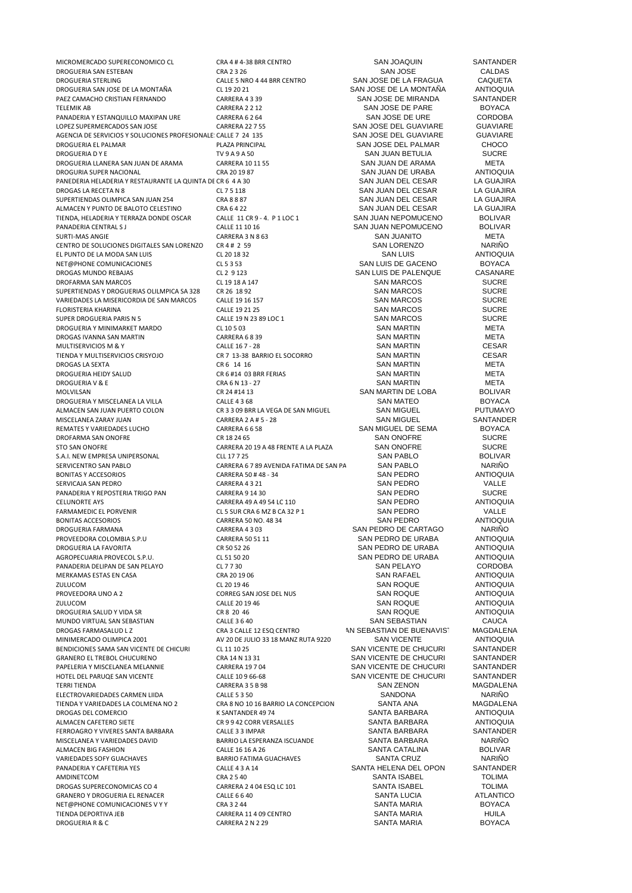MICROMERCADO SUPERECONOMICO CL CRA 4 # 4-38 BRR CENTRO SAN JOAQUIN SANTANDER DROGUERIA SAN ESTEBAN CALDAS (CRA 2 3 26 SAN JOSE SAN JOSE CALDAS CALDAS CALDAS CALDAS CALDAS CALDAS CALDAS CALDAS CALDAS CALDAS DROGUERIA SAN JOSE DE LA MONTAÑA CL 19 20 21<br>DROGUERIA SAN JOSE DE LA MONTAÑA CL 19 20 21 SAN JOSE DE LA MONTAÑA ANTIOQUIA<br>PAEZ CAMACHO CRISTIAN FERNANDO CARRERA 4 3 39 SAN JOSE DE MIRANDA SANTANDER PAEZ CAMACHO CRISTIAN FERNANDO CARRERA 4 3 39 SAN JOSE DE MIRANDA SANTANDER TELEMIK AB CORPORATION CONSTRUCTED MANUSER OF A CARRERA 2 2 12<br>PANADERIA Y ESTANQUILLO MAXIPAN URE CARRERA 6 2 64 SAN JOSE DE URE CORDOBA PANADERIA Y ESTANQUILLO MAXIPAN URE CARRERA 6 2 64 SAN JOSE DE URE CORDOBA<br>CARRERA 22 7 55 SAN JOSE DEL GUAVIARE GUAVIARE CORDOBA AGENCIA DE SERVICIOS Y SOLUCIONES PROFESIONALE: CALLE 7 24 135 DROGUERIA EL PALMAR PLAZA PRINCIPAL SAN JOSE DEL PALMAR CHOCO DROGUERIA D Y E TV 9 A 9 A 50 SAN JUAN BETULIA SUCRE DROGUERIA LLANERA SAN JUAN DE ARAMA CARRERA 10 11 55 SAN JUAN DE ARAMA META DROGURIA SUPER NACIONAL DROGUIA CRA 20 19 87 SAN JUAN DE URABA ANTIOQUIA DROGURIA SUPER NACIONAL CRA 2019 87 CRA 2019 87<br>PANEDERIA HELADERIA Y RESTAURANTE LA QUINTA DE CR 6 4 A 30 SAN JUAN DEL CESAR LA GUAJIRA PANEDERIA HELADERIA Y RESTAURANTE LA QUINTA DE CR 6 4 A 30 SAN JUAN DEL CESAR LA GUAJIRA<br>DROGAS LA RECETA N 8 CL 7 5 118 CL 7 5 118 SAN JUAN DEL CESAR LA GUAJIRA SUPERTIENDAS OLIMPICA SAN JUAN 254 CRA 8 8 87 CRA 8 8 87 SAN JUAN DEL CESAR LA GUAJIRA<br>ALMACEN Y PUNTO DE BALOTO CELESTINO CRA 6 4 22 CRA SAN JUAN DEL CESAR LA GUAJIRA ALMACEN Y PUNTO DE BALOTO CELESTINO CRA 6 4 22 SAN JUAN DEL CESAR LA GUAJIR.<br>TIENDA, HELADERIA Y TERRAZA DONDE OSCAR CALLE 11 CR 9 - 4. P 1 LOC 1 SAN JUAN NEPOMUCENO BOLIVAR TIENDA, HELADERIA Y TERRAZA DONDE OSCAR CALLE 11 CR 9 - 4. P 1 LOC 1 SAN JUAN NEPOMUCENO BOLIVAR<br>PANADERIA CENTRAL S JOLIVAR CALLE 11 10 16 SAN JUAN NEPOMUCENO BOLIVAR PANADERIA CENTRAL SI CALLE 11 10 16<br>SAN JUAN NEPOMUCENO BOLIVA<br>SAN JUAN TO META SURTI-MAS ANGIE CARRERA 3 N 8 63 SAN JUANITO META CENTRO DE SOLUCIONES DIGITALES SAN LORENZO CR 4 # 2 59 SAN LORENZO NARIÑO<br>EL PUNTO DE LA MODA SAN LUIS CLORENZO CLORENZO CLORENZO CLORENZO SAN LUIS ANTIOQUILA EL PUNTO DE LA MODA SAN LUIS<br>
CL 20 18 32 SAN LUIS SAN LUIS CL 5 3 53<br>
CL 5 3 53 SAN LUIS DE GACENO NET@PHONE COMUNICACIONES CL 5 3 53 SAN LUIS DE GACENO BOYACA DROFARMA SAN MARCOS CL 19 18 A 147 CL 19 18 A 147 SAN MARCOS SUCRE<br>SUCRE SUPERTIENDAS Y DROGUERIAS OLILMPICA SA 328 CR 26 18 92 SAN MARCOS SAN MARCOS SUPERTIENDAS Y DROGUERIAS OLILMPICA SA 328 CR 26 18 92 SAN MARCOS SAN MARCOS SUCRE<br>
VARIEDADES LA MISERICORDIA DE SAN MARCOS CALLE 19 16 157 SAN SAN MARCOS SUCRE VARIEDADES LA MISERICORDIA DE SAN MARCOS CALLE 19 16 157 SAN SAN MARCOS SUCRE<br>FLORISTERIA KHARINA SUCRE SUCRE SUCRE CALLE 19 21 25 SAN MARCOS SUCRE FLORISTERIA KHARINA CALLE 19 21 25 SAN MARCOS SUCRE SUPER DROGUERIA PARIS N 5 CALLE 19 N 23 89 LOC 1 SAN MARCOS SAN MARCOS DROGUERIA Y MINIMARKET MARDO DROGUERIA Y MINIMARKET MARDO CL 10 5 03 SAN MARTIN META DROGAS IVANNA SAN MARTIN CARRERA 6 8 39 SAN MARTIN META MULTISERVICIOS M & Y CESAR (CHE 167 - 28 CALLE 167 - 28 SAN MARTIN CESAR (CHE 167 - 28 CESAR )<br>TIENDA Y MULTISERVICIOS CRISYOJO CR 7 13-38 BARRIO EL SOCORRO SAN MARTIN CESAR (CESAR DROGAS LA SEXTA CR 6 14 16 SAN MARTIN META DROGUERIA HEIDY SALUD CR 6 #14 03 BRR FERIAS SAN MARTIN META DROGUERIA V & E CRA 6 N 13 - 27 SAN MARTIN META MOLVILSAN CR 24 #14 13 CR 24 #14 13 SAN MARTIN DE LOBA BOLIVAR<br>DROGUERIA Y MISCELANEA LA VILLA CALLE 4 3 68 SAN MATEO BOYACA DROGUERIA Y MISCELANEA LA VILLA 
CALLE 4 3 68 CALLE 4 3 68 CALLE 4 3 68 CALLE 4 2 GAN MIGUEL COLON CR 3 3 09 BRR LA VEGA DE SAN MIGUEL SAN MIGUEL PUTUMAYO MISCELANEA ZARAY JUAN CARRERA 2 A # 5 - 28 SAN MIGUEL SANTANDE<br>REMATES Y VARIEDADES LUCHO CARRERA 6 6 58 SANTANDER SANTANDER SEMA SANTANDER SEMA RED YACA REMATES Y VARIEDADES LUCHO<br>1990 - CARRERA 6 6 58 SAN MIGUEL DE SEMA BOYACA ROBOTA E CRESA CARRERA 6 6 58 SAN SAN ONOFRE<br>1990 - SAN ONOFRE SUCRE DROFARMA SAN ONOFRE<br>
SUCRE STO SAN ONOFRE STO SAN ONOFRE SUCRE STO SAN ONOFRE SUCRE SUCRE SUCRE SUCRE SUCRE SUCRE S.A.I. NEW EMPRESA UNIPERSONAL CLL 17725<br>SAN PABLO SERVICENTRO SAN PABLO CARRERA 6.7.89 AVENIDA FATIMA DE SAN PABLO SAN PABLO NARIÑO SERVICENTRO SAN PABLO<br>RONITAS Y ACCESORIOS CARRERA SOLO CARRERA SOLO 40 ARA - 34 AND FORO SAN PEDRO BONITAS Y ACCESORIOS CARRERA 50 # 48 - 34 SAN PEDRO ANTIOQUIA SERVICAJA SAN PEDRO CARRERA 4 3 21 SAN PEDRO CARRERA 4 3 21 PANADERIA Y REPOSTERIA TRIGO PAN CARRERA 9 14 30 SAN PEDRO SUCRE CELUNORTE AYS CARRERA 49 A 49 54 LC 110 SAN PEDRO ANTIOQUIA FARMAMEDIC EL PORVENIR CL 5 SUR CRA 6 MZ B CA 32 P 1 SAN PEDRO VALLE BONITAS ACCESORIOS CARRERA 50 NO. 48 34 SAN PEDRO ANTIOQUIA DROGUERIA FARMANA CARRERA 4 3 03 SAN PEDRO DE CARTAGO NARIÑO PROVEEDORA COLOMBIA S.P.U CARRERA 50 51 11 SAN PEDRO DE URABA ANTIOQUIA<br>DROGUERIA LA FAVORITA CRESO 52 26 CR 50 52 26 CR 50 52 26 CR 50 52 CR 50 52 CR 50 52 CR 50 52 CR 50 CR 50 CR 5 AGROPECUARIA PROVECOL S.P.U. CL 51 50 20 SAN PEDRO DE URABA ANTIOQUIA PANADERIA DELIPAN DE SAN PELAYO<br>1999 - DELIPAN DE SAN PELAYO DEL 2019 - CRA 2019 OG SAN SAN RATAEL ANTIOQUIA<br>1999 - DEREKAMAS ESTAS EN CASA DEL CRA 2019 OG SAN SAN RATAEL DEL ANTIOQUIA MERKAMAS ESTAS EN CASA CRA 20 19 06 SAN RAFAEL ANTIOQUIA ZULUCOM CL 20 19 46 SAN ROQUE ANTIOQUIA PROVEEDORA UNO A 2 CORREG SAN JOSE DEL NUS<br>
CALLE 20 19 46<br>
CALLE 20 19 46 CALLE 20 19 46 ZULUCOM CALLE 20 19 46 SAN ROQUE ANTIOQUIA DROGUERIA SALUD Y VIDA SR CR 8 20 46 SAN ROQUE ANTIOQUIA MUNDO VIRTUAL SAN SEBASTIAN CALLE 3 6 40 SAN SEBASTIAN CAUCA<br>DROGAS FARMASALUD L Z CRA 3 CALLE 12 ESQ CENTRO NA SEBASTIAN DE BUENAVIST MAGDALENA MINIMERCADO OLIMPICA 2001 **AV 20 DE JULIO 33 18 MANZ RUTA 9220** SAN VICENTE ANTIOQUIA<br>BENDICIONES SAMA SAN VICENTE DE CHICURI CL 11 10 25 SAN VICENTE DE CHUCURI SANTANDER BENDICIONES SAMA SAN VICENTE DE CHICURI CL 11 10 25 SAN VICENTE DE CHUCURI SANTANDER GRANERO EL TREBOL CHUCURENO CRA 14 N 13 31 SAN VICENTE DE CHUCURI SANTANDER PAPELERIA Y MISCELANEA MELANNIE CARRERA 19 7 04 SAN VICENTE DE CHUCURI SANTANDER HOTEL DEL PARUQE SAN VICENTE<br>
CALLE 10 9 66-68 SAN VICENTE DE CHUCURI SANTANDER<br>
CARRERA 3 5 B 98 SAN ZENON SANTANDIN MAGDALENA TERRI TIENDA CARRERA 3 5 B 98 SAN ZENON MAGDALENA ELECTROVARIEDADES CARMEN LIIDA CALLE 5 3 50 SANDONA NARIÑO DROGAS DEL COMERCIO COMERCIO COMERCIO COMERCIO COMERCIALE E ANTIOQUIIA ALMACEN CAFETERO SIETE CR 9 9 42 CORR VERSALLES SANTA BARBARA ANTIOQUIA FERROAGRO Y VIVERES SANTA BARBARA CALLE 3 3 IMPAR SANTA BARBARA SANTANDER ALMACEN BIG FASHION CALLE 16 16 A 26 SANTA CATALINA BOLIVAR VARIEDADES SOFY GUACHAVES BARRIO FATIMA GUACHAVES SANTA CRUZ NARIÑO PANADERIA Y CAFETERIA YES CALLE 4 3 A 14 SANTA HELENA DEL OPON SANTANDER AMDINETCOM CRA 2 5 40 SANTA ISABEL TOLIMA DROGAS SUPERECONOMICAS CO 4 CARRERA 2 4 04 ESQ LC 101 SANTA ISABEL TOLIMA<br>GRANERO Y DROGUERIA EL RENACER CALLE 6 6 40 SANTA LUCIA SANTA LUCIA ATLANTICO SAANERO Y DROGUERIA EL RENACER CALLE 6 6 40 SANTA LUCIA CALLE 6 6 40 SANTA LUCIA CALLE 6 6 40 SANTA CONTRACTE CON<br>SANTA MARIA BOYACA DE SOVACA CRA 3 2 44 SANTA MARIA BOYACA NET@PHONE COMUNICACIONES V Y Y CRA 3 2 44<br>TIFNDA DEPORTIVA IFR CARRERA 1 DROGUERIA R& C CARRERA 2 N 2 29 SANTA MARIA BOYACA

CALLE 5 NRO 4 44 BRR CENTRO SAN JOSE DE LA FRAGUA CAQUETA<br>CL 19 20 21 SAN JOSE DE LA MONTAÑA ANTIOQUIA LORE CARRERA 22 7 55 SAN JOSE DEL GUAVIARE GUAVIARE GUAVIARE GUAVIARE SAN JOSE DEL GUAVIARE GUAVIARE CL 7 5 118 CRA RECETA NEL SAN JUAN DEL CESAR LA GUAJIRA<br>CRA 8 8 AT CRA SAN JUAN DEL CESAR LA GUAJIRA THE SAN MARTIN CONSIDER SAN MARTIN CESAR CRISIS AND RESARVICION CONSIDERATION CONSIDER SAN MARTIN METAL SAN MARTIN CR 3 3 09 BRR LA VEGA DE SAN MIGUEL SAN MIGUEL DE TOURNATION COLON CARRERA 2 A # 5 - 28 CARRERA 20 19 A 48 FRENTE A LA PLAZA SAN ONOFRE SUCRE CLL 17 7 25 SUCRE CLL 17 7 25 CR 50 52 26 SAN PEDRO DE URABA ANTIOQUIA<br>CL 51 50 20 SAN PEDRO DE URABA ANTIOQUIA THE CRA 8 NO 10 16 BARRIO LA CONCEPCION SANTA ANA KARRAIRA NO 2 CANTA ANA MAGNETICAL SANTA RARRAIRA BARRIO LA ESPERANZA ISCUANDE SANTA BARBARA NARIÑO CALLE 16 16 A 26 CARRERA 11 4 09 CENTRO SANTA MARIA HUILA

SAN LUIS DE PALENQUE AN SEBASTIAN DE BUENAVISTAN ANGDALENA SAN VICENTE ANTIOQUIA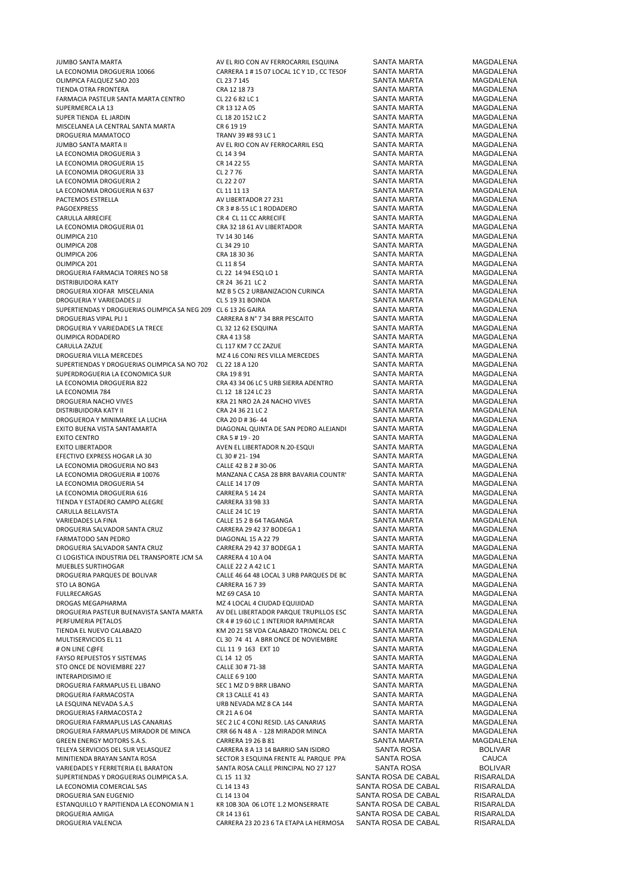| JUMBO SANTA MARTA                                                                                                                                                                                                                  | AV EL RIO CON AV FERROCARRIL ESQUINA      | SANTA MARTA         | MAGDALENA      |
|------------------------------------------------------------------------------------------------------------------------------------------------------------------------------------------------------------------------------------|-------------------------------------------|---------------------|----------------|
| LA ECONOMIA DROGUERIA 10066                                                                                                                                                                                                        | CARRERA 1 # 15 07 LOCAL 1C Y 1D, CC TESOF | SANTA MARTA         | MAGDALENA      |
| OLIMPICA FALQUEZ SAO 203                                                                                                                                                                                                           | CL 23 7 145                               | <b>SANTA MARTA</b>  | MAGDALENA      |
| TIENDA OTRA FRONTERA                                                                                                                                                                                                               | CRA 12 18 73                              | <b>SANTA MARTA</b>  | MAGDALENA      |
| FARMACIA PASTEUR SANTA MARTA CENTRO                                                                                                                                                                                                | CL 22 6 82 LC 1                           | SANTA MARTA         | MAGDALENA      |
| SUPERMERCA LA 13                                                                                                                                                                                                                   | CR 13 12 A 05                             | SANTA MARTA         | MAGDALENA      |
| SUPER TIENDA EL JARDIN                                                                                                                                                                                                             |                                           | SANTA MARTA         | MAGDALENA      |
|                                                                                                                                                                                                                                    | CL 18 20 152 LC 2                         |                     |                |
| MISCELANEA LA CENTRAL SANTA MARTA                                                                                                                                                                                                  | CR 6 19 19                                | SANTA MARTA         | MAGDALENA      |
| DROGUERIA MAMATOCO                                                                                                                                                                                                                 | TRANV 39 #8 93 LC 1                       | SANTA MARTA         | MAGDALENA      |
| JUMBO SANTA MARTA II                                                                                                                                                                                                               | AV EL RIO CON AV FERROCARRIL ESQ          | SANTA MARTA         | MAGDALENA      |
| LA ECONOMIA DROGUERIA 3                                                                                                                                                                                                            | CL 14 3 94                                | SANTA MARTA         | MAGDALENA      |
| LA ECONOMIA DROGUERIA 15                                                                                                                                                                                                           | CR 14 22 55                               | SANTA MARTA         | MAGDALENA      |
| LA ECONOMIA DROGUERIA 33                                                                                                                                                                                                           | CL 2776                                   | SANTA MARTA         | MAGDALENA      |
| LA ECONOMIA DROGUERIA 2                                                                                                                                                                                                            | CL 22 2 07                                | SANTA MARTA         | MAGDALENA      |
| LA ECONOMIA DROGUERIA N 637                                                                                                                                                                                                        | CL 11 11 13                               | SANTA MARTA         | MAGDALENA      |
| PACTEMOS ESTRELLA                                                                                                                                                                                                                  | AV LIBERTADOR 27 231                      | SANTA MARTA         | MAGDALENA      |
|                                                                                                                                                                                                                                    |                                           |                     |                |
| PAGOEXPRESS                                                                                                                                                                                                                        | CR 3 # 8-55 LC 1 RODADERO                 | <b>SANTA MARTA</b>  | MAGDALENA      |
| CARULLA ARRECIFE                                                                                                                                                                                                                   | CR 4 CL 11 CC ARRECIFE                    | SANTA MARTA         | MAGDALENA      |
| LA ECONOMIA DROGUERIA 01                                                                                                                                                                                                           | CRA 32 18 61 AV LIBERTADOR                | SANTA MARTA         | MAGDALENA      |
| OLIMPICA 210                                                                                                                                                                                                                       | TV 14 30 146                              | SANTA MARTA         | MAGDALENA      |
| OLIMPICA 208                                                                                                                                                                                                                       | CL 34 29 10                               | SANTA MARTA         | MAGDALENA      |
| OLIMPICA 206                                                                                                                                                                                                                       | CRA 18 30 36                              | SANTA MARTA         | MAGDALENA      |
| OLIMPICA 201                                                                                                                                                                                                                       | CL 11 8 54                                | SANTA MARTA         | MAGDALENA      |
|                                                                                                                                                                                                                                    |                                           | <b>SANTA MARTA</b>  | MAGDALENA      |
| DROGUERIA FARMACIA TORRES NO 58                                                                                                                                                                                                    | CL 22 14 94 ESQ LO 1                      |                     |                |
| DISTRIBUIDORA KATY                                                                                                                                                                                                                 | CR 24 36 21 LC 2                          | <b>SANTA MARTA</b>  | MAGDALENA      |
| DROGUERIA XIOFAR MISCELANIA                                                                                                                                                                                                        | MZ B 5 CS 2 URBANIZACION CURINCA          | SANTA MARTA         | MAGDALENA      |
| DROGUERIA Y VARIEDADES JJ                                                                                                                                                                                                          | <b>CL 5 19 31 BOINDA</b>                  | SANTA MARTA         | MAGDALENA      |
| SUPERTIENDAS Y DROGUERIAS OLIMPICA SA NEG 209 CL 6 13 26 GAIRA                                                                                                                                                                     |                                           | <b>SANTA MARTA</b>  | MAGDALENA      |
| DROGUERIAS VIPAL PLI 1                                                                                                                                                                                                             | CARRERA 8 N° 7 34 BRR PESCAITO            | SANTA MARTA         | MAGDALENA      |
| DROGUERIA Y VARIEDADES LA TRECE                                                                                                                                                                                                    | CL 32 12 62 ESQUINA                       | <b>SANTA MARTA</b>  |                |
|                                                                                                                                                                                                                                    |                                           |                     | MAGDALENA      |
| OLIMPICA RODADERO                                                                                                                                                                                                                  | CRA 4 13 58                               | SANTA MARTA         | MAGDALENA      |
| CARULLA ZAZUE                                                                                                                                                                                                                      | CL 117 KM 7 CC ZAZUE                      | SANTA MARTA         | MAGDALENA      |
| DROGUERIA VILLA MERCEDES                                                                                                                                                                                                           | MZ 4 L6 CONJ RES VILLA MERCEDES           | SANTA MARTA         | MAGDALENA      |
| SUPERTIENDAS Y DROGUERIAS OLIMPICA SA NO 702 CL 22 18 A 120                                                                                                                                                                        |                                           | SANTA MARTA         | MAGDALENA      |
| SUPERDROGUERIA LA ECONOMICA SUR                                                                                                                                                                                                    | CRA 19891                                 | SANTA MARTA         | MAGDALENA      |
|                                                                                                                                                                                                                                    |                                           |                     | MAGDALENA      |
| LA ECONOMIA DROGUERIA 822                                                                                                                                                                                                          | CRA 43 34 06 LC 5 URB SIERRA ADENTRO      | SANTA MARTA         |                |
| LA ECONOMIA 784                                                                                                                                                                                                                    | CL 12 18 124 LC 23                        | SANTA MARTA         | MAGDALENA      |
| DROGUERIA NACHO VIVES                                                                                                                                                                                                              | KRA 21 NRO 2A 24 NACHO VIVES              | SANTA MARTA         | MAGDALENA      |
| DISTRIBUIDORA KATY II                                                                                                                                                                                                              | CRA 24 36 21 LC 2                         | SANTA MARTA         | MAGDALENA      |
| DROGUEROA Y MINIMARKE LA LUCHA                                                                                                                                                                                                     | CRA 20 D # 36-44                          | SANTA MARTA         | MAGDALENA      |
| EXITO BUENA VISTA SANTAMARTA                                                                                                                                                                                                       | DIAGONAL QUINTA DE SAN PEDRO ALEJANDI     | SANTA MARTA         | MAGDALENA      |
| EXITO CENTRO                                                                                                                                                                                                                       | CRA 5 # 19 - 20                           | SANTA MARTA         | MAGDALENA      |
|                                                                                                                                                                                                                                    |                                           |                     |                |
| EXITO LIBERTADOR                                                                                                                                                                                                                   | AVEN EL LIBERTADOR N.20-ESQUI             | SANTA MARTA         | MAGDALENA      |
| EFECTIVO EXPRESS HOGAR LA 30                                                                                                                                                                                                       | CL 30 # 21-194                            | SANTA MARTA         | MAGDALENA      |
| LA ECONOMIA DROGUERIA NO 843                                                                                                                                                                                                       | CALLE 42 B 2 # 30-06                      | SANTA MARTA         | MAGDALENA      |
| LA ECONOMIA DROGUERIA # 10076                                                                                                                                                                                                      | MANZANA C CASA 28 BRR BAVARIA COUNTR'     | SANTA MARTA         | MAGDALENA      |
| LA ECONOMIA DROGUERIA 54                                                                                                                                                                                                           | CALLE 14 17 09                            | SANTA MARTA         | MAGDALENA      |
| LA ECONOMIA DROGUERIA 616                                                                                                                                                                                                          | <b>CARRERA 5 14 24</b>                    | SANTA MARTA         | MAGDALENA      |
|                                                                                                                                                                                                                                    |                                           |                     |                |
| TIENDA Y ESTADERO CAMPO ALEGRE                                                                                                                                                                                                     | CARRERA 33 9B 33                          | SANTA MARTA         | MAGDALENA      |
| CARULLA BELLAVISTA                                                                                                                                                                                                                 | CALLE 24 1C 19                            | <b>SANTA MARTA</b>  | MAGDALENA      |
| VARIEDADES LA FINA                                                                                                                                                                                                                 | CALLE 15 2 B 64 TAGANGA                   | SANTA MARTA         | MAGDALENA      |
| DROGUERIA SALVADOR SANTA CRUZ                                                                                                                                                                                                      | CARRERA 29 42 37 BODEGA 1                 | <b>SANTA MARTA</b>  | MAGDALENA      |
| FARMATODO SAN PEDRO                                                                                                                                                                                                                | DIAGONAL 15 A 22 79                       | SANTA MARTA         | MAGDALENA      |
| DROGUERIA SALVADOR SANTA CRUZ                                                                                                                                                                                                      | CARRERA 29 42 37 BODEGA 1                 | SANTA MARTA         | MAGDALENA      |
|                                                                                                                                                                                                                                    |                                           |                     |                |
| CI LOGISTICA INDUSTRIA DEL TRANSPORTE JCM SA                                                                                                                                                                                       | CARRERA 4 10 A 04                         | SANTA MARTA         | MAGDALENA      |
| MUEBLES SURTIHOGAR                                                                                                                                                                                                                 | CALLE 22 2 A 42 LC 1                      | <b>SANTA MARTA</b>  | MAGDALENA      |
| DROGUERIA PARQUES DE BOLIVAR                                                                                                                                                                                                       | CALLE 46 64 48 LOCAL 3 URB PARQUES DE BC  | SANTA MARTA         | MAGDALENA      |
| STO LA BONGA                                                                                                                                                                                                                       | <b>CARRERA 16 7 39</b>                    | SANTA MARTA         | MAGDALENA      |
| FULLRECARGAS                                                                                                                                                                                                                       | MZ 69 CASA 10                             | SANTA MARTA         | MAGDALENA      |
| DROGAS MEGAPHARMA                                                                                                                                                                                                                  | MZ 4 LOCAL 4 CIUDAD EQUIJIDAD             | SANTA MARTA         | MAGDALENA      |
| DROGUERIA PASTEUR BUENAVISTA SANTA MARTA                                                                                                                                                                                           | AV DEL LIBERTADOR PARQUE TRUPILLOS ESC    | <b>SANTA MARTA</b>  | MAGDALENA      |
|                                                                                                                                                                                                                                    |                                           |                     |                |
| PERFUMERIA PETALOS                                                                                                                                                                                                                 | CR 4 # 19 60 LC 1 INTERIOR RAPIMERCAR     | <b>SANTA MARTA</b>  | MAGDALENA      |
| TIENDA EL NUEVO CALABAZO                                                                                                                                                                                                           | KM 20 21 58 VDA CALABAZO TRONCAL DEL C    | <b>SANTA MARTA</b>  | MAGDALENA      |
| MULTISERVICIOS EL 11                                                                                                                                                                                                               | CL 30 74 41 A BRR ONCE DE NOVIEMBRE       | SANTA MARTA         | MAGDALENA      |
| # ON LINE C@FE                                                                                                                                                                                                                     | CLL 11 9 163 EXT 10                       | SANTA MARTA         | MAGDALENA      |
| FAYSO REPUESTOS Y SISTEMAS                                                                                                                                                                                                         | CL 14 12 05                               | SANTA MARTA         | MAGDALENA      |
| STO ONCE DE NOVIEMBRE 227                                                                                                                                                                                                          | CALLE 30 # 71-38                          | SANTA MARTA         | MAGDALENA      |
|                                                                                                                                                                                                                                    |                                           |                     | MAGDALENA      |
| INTERAPIDISIMO IE                                                                                                                                                                                                                  | CALLE 69 100                              | SANTA MARTA         |                |
| DROGUERIA FARMAPLUS EL LIBANO                                                                                                                                                                                                      | SEC 1 MZ D 9 BRR LIBANO                   | SANTA MARTA         | MAGDALENA      |
| DROGUERIA FARMACOSTA                                                                                                                                                                                                               | CR 13 CALLE 41 43                         | SANTA MARTA         | MAGDALENA      |
| LA ESQUINA NEVADA S.A.S                                                                                                                                                                                                            | URB NEVADA MZ 8 CA 144                    | SANTA MARTA         | MAGDALENA      |
| DROGUERIAS FARMACOSTA 2                                                                                                                                                                                                            | CR 21 A 6 04                              | SANTA MARTA         | MAGDALENA      |
| DROGUERIA FARMAPLUS LAS CANARIAS                                                                                                                                                                                                   | SEC 2 LC 4 CONJ RESID. LAS CANARIAS       | SANTA MARTA         | MAGDALENA      |
|                                                                                                                                                                                                                                    |                                           |                     |                |
| DROGUERIA FARMAPLUS MIRADOR DE MINCA                                                                                                                                                                                               | CRR 66 N 48 A - 128 MIRADOR MINCA         | SANTA MARTA         | MAGDALENA      |
| GREEN ENERGY MOTORS S.A.S.                                                                                                                                                                                                         |                                           | SANTA MARTA         | MAGDALENA      |
| TELEYA SERVICIOS DEL SUR VELASQUEZ                                                                                                                                                                                                 | CARRERA 19 26 B 81                        |                     | <b>BOLIVAR</b> |
|                                                                                                                                                                                                                                    | CARRERA 8 A 13 14 BARRIO SAN ISIDRO       | SANTA ROSA          |                |
|                                                                                                                                                                                                                                    | SECTOR 3 ESQUINA FRENTE AL PARQUE PPA     | SANTA ROSA          | CAUCA          |
|                                                                                                                                                                                                                                    | SANTA ROSA CALLE PRINCIPAL NO 27 127      | SANTA ROSA          | <b>BOLIVAR</b> |
|                                                                                                                                                                                                                                    |                                           |                     |                |
|                                                                                                                                                                                                                                    | CL 15 11 32                               | SANTA ROSA DE CABAL | RISARALDA      |
|                                                                                                                                                                                                                                    | CL 14 13 43                               | SANTA ROSA DE CABAL | RISARALDA      |
|                                                                                                                                                                                                                                    | CL 14 13 04                               | SANTA ROSA DE CABAL | RISARALDA      |
|                                                                                                                                                                                                                                    | KR 10B 30A 06 LOTE 1.2 MONSERRATE         | SANTA ROSA DE CABAL | RISARALDA      |
| MINITIENDA BRAYAN SANTA ROSA<br>VARIEDADES Y FERRETERIA EL BARATON<br>SUPERTIENDAS Y DROGUERIAS OLIMPICA S.A.<br>LA ECONOMIA COMERCIAL SAS<br>DROGUERIA SAN EUGENIO<br>ESTANQUILLO Y RAPITIENDA LA ECONOMIA N 1<br>DROGUERIA AMIGA | CR 14 13 61                               | SANTA ROSA DE CABAL | RISARALDA      |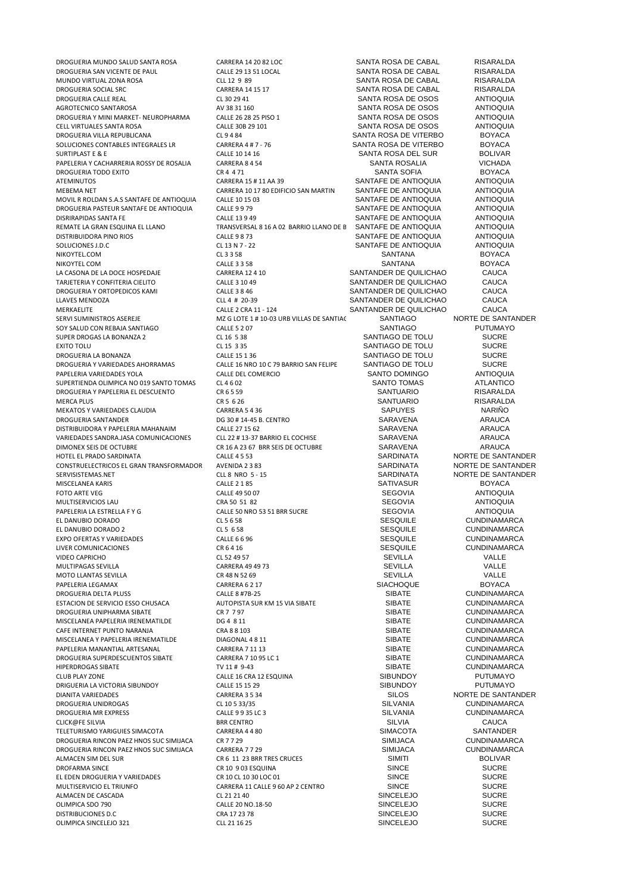DROGUERIA MUNDO SALUD SANTA ROSA CARRERA 14 20 82 LOC SANTA ROSA DE CABAL RISARALDA DROGUERIA SAN VICENTE DE PAUL CALLE 29 13 51 LOCAL SANTA ROSA DE CABAL RISARALDA<br>DRIVINDO VIRTUAL ZONA ROSA CLLO 20 29 139 MUNDO VIRTUAL ZONA ROSA CLL 12 9 89 SANTA ROSA DE CABAL RISARALDA DROGUERIA SOCIAL SRC CARRERA 14 15 17 SANTA ROSA DE CABAL RISARALDA AGROTECNICO SANTAROSA AV 38 31 160 SANTA ROSA DE OSOS ANTIOQUIA DROGUERIA Y MINI MARKET- NEUROPHARMA CALLE 26 28 25 PISO 1 SANTA ROSA DE OSOS ANTIOQUIA<br>CELL VIRTI LALES SANTA ROSA DE OSOS ANTIOQUIIA CELL VIRTUALES SANTA ROSA CALLE 30B 29 101 SANTA ROSA DE OSOS DROGUERIA VILLA REPUBLICANA CL 9 4 84 SANTA ROSA DE VITERBO BOYACA SOLUCIONES CONTABLES INTEGRALES LR CARRERA 4 # 7 - 76 SANTA ROSA DE VITERBO BOYACA SURTIPLAST E & E CALLE 10 14 16 CALLE 10 14 16 SANTA ROSA DEL SUR BOLIVAR PAPELERIA Y CACHARRERIA ROSSY DE ROSALIA CARRERA 8 4 54 SANTA ROSALIA CARRERA 8 4 54 SANTA ROSALIA CRA 4 71 SANTA SOFIA BOYACA DROGUERIA TODO EXITO CR 4 4 71 SANTA SOFIA BOYACA ATEMINUTOS CARRERA 15 # 11 AA 39 SANTAFE DE ANTIOQUIA ANTIOQUIA MOVIL R ROLDAN S.A.S SANTAFE DE ANTIOQUIA CALLE 10 15 03 SANTAFE DE ANTIOQUIA ANTIOQUIA ANTIOQUIA<br>DROGUERIA PASTEUR SANTAFE DE ANTIOQUIA CALLE 9 9 79 SANTAFE DE ANTIOQUIA ANTIOQUIA DROGUERIA PASTEUR SANTAFE DE ANTIOQUIA CALLE 9 9 79 SANTAFE DE ANTIOQUIA ANTIOQUIA<br>CALLE 13 9 49 SANTAFE DE ANTIOQUIA ANTIOQUIA DISRIRAPIDAS SANTA FE CALLE 13 949<br>TRANSVERSAL 8 16 A O2 BARRIO LLANO DE E SANTAFE DE ANTIOQUIA ANTIOQUIA ANTIOQUIA REMATE LA GRAN ESQUINA EL LLANO TRANSVERSAL 8 16 A 02 BARRIO LLANO DE BOLITANTE DE ANTIOQUIA ANTIOQUIA ANTIOQUI<br>DISTRIBUIDORA PINO RIOS CALLE 9 8 73 CALLE 9 8 73 CALLE SANTAFE DE ANTIOQUIA ANTIOQUIA DISTRIBUIDORA PINO RIOS CALLE 9 8 73 SANTAFE DE ANTIOQUIA ANTIOQUIA SOLUCIONES J.D.C CL 13 N 7 - 22 CL 13 N 7 - 22 SANTAFE DE ANTIOQUIA ANTIOQUIA<br>CL 3 3 5 SANTA SANTANA SANTANA ROYACA NIKOYTEL.COM CL 3 3 58 SANTANA BOYACA NIKOYTEL COM CALLE 3 3 58 SANTANA BOYACA LA CASONA DE LA DOCE HOSPEDAJE CARRERA 12 4 10 SANTANDER DE QUILICHAO CAUCA TARJETERIA Y CONFITERIA CIELITO CALLE 3 10 49 SANTANDER DE QUILICHAO CAUCA DROGUERIA Y ORTOPEDICOS KAMI CALLE 3 8 46 SANTANDER DE QUILICHAO CAUCA LLAVES MENDOZA CLL 4 # 20-39 SANTANDER DE QUILICHAO CAUCA MERKAELITE CALLE 2 CRA 11 - 124 SANTANDER DE QUILICHAO CAUCA<br>SERVI SUMINISTROS ASEREJE MZ G LOTE 1 # 10-03 URB VILLAS DE SANTIACO NORTE DE SANTANDER SOY SALUD CON REBAJA SANTIAGO CALLE 5 2 07 SANTIAGO PUTUMAYO SUPER DROGAS LA BONANZA 2 CL 16 5 38 SANTIAGO DE TOLU SUCRE DROGUERIA LA BONANZA CALLE 15 1 36 SANTIAGO DE TOLU SUCRE PAPELERIA VARIEDADES YOLA CALLE DEL COMERCIO SANTO DOMINGO ANTIOQUIA SUPERTIENDA OLIMPICA NO 019 SANTO TOMAS CL 4 6 02 CL 4 6 02 SANTO TOMAS ATLANTICO SANTO TOMAS SANTI ARIO SANTO TOMAS CR 6 5 59 CR 6 5 59 CR 6 5 59 CR 6 2 SANTI ARIO SANTI ARIO SANTI ARIO RISARAI DA DROGUERIA Y PAPELERIA EL DESCUENTO CR 6 5 59 SANTUARIO RISARALDA MERCA PLUS CRES 626 CR 5 626 SANTUARIO RISARALDA RISARALDA MEKATOS Y VARIEDADES CLAUDIA CARRERA 5 4 36 SAPUYES NARIÑO DROGUERIA SANTANDER DG 30 # 14-45 B. CENTRO SARAVENA ARAUCA DISTRIBUIDORA Y PAPELERIA MAHANAIM CALLE 27 15 62 SARAVENA ARAUCA VARIEDADES SANDRA.JASA COMUNICACIONES CLL 22 # 13-37 BARRIO EL COCHISE SARAVENA CHARAUCA<br>CR 16 A 23 67 BRR SEIS DE OCTUBRE SARAVENA ARAUCA DIMONEX SEIS DE OCTUBRE CR 16 A 23 67 BRR SEIS DE OCTUBRE SARAVENA ARAUCA CONSTRUELECTRICOS EL GRAN TRANSFORMADOR AVENIDA 2 3 83 SERVISISTEMAS.NET CLL 8 NRO 5 - 15 SARDINATA NORTE DE SANTANDER MISCELANEA KARIS CALLE 2 1 85 SATIVASUR BOYACA FOTO ARTE VEGNESS AND TO A CALLE 49 50 07 NOTE AND THE SEGOVIA ANTIOQUIA MULTISERVICIOS LAU CRA 50 51 82 CRA 50 51 82 SEGOVIA SEGOVIA ANTIOQUIA PAPELERIA LA ESTRELLA F Y G CALLE 50 NRO 53 51 BRR SUCRE SEGOVIA ANTIOQUIA EL DANUBIO DORADO CL 5 6 58 SESQUILE CUNDINAMARCA EL DANUBIO DORADO 2 CL 5 6 58 SESQUILE CUNDINAMARCA EXPO OFERTAS Y VARIEDADES CALLE 6 6 96 SESQUILE CUNDINAMARCA LIVER COMUNICACIONES CR 6 4 16 SESQUILE CUNDINAMARCA VIDEO CAPRICHO CL 52 49 57 SEVILLA VALLE MULTIPAGAS SEVILLA CARRERA 49 49 73 SEVILLA VALLE MOTO LLANTAS SEVILLA CR 48 N 52 69 SEVILLA VALLE PAPELERIA LEGAMAX CARRERA 6 2 17 SIACHOQUE BOYACA DROGUERIA DELTA PLUSS CALLE 8 #7B-25 SIBATE CUNDINAMARCA ESTACION DE SERVICIO ESSO CHUSACA AUTOPISTA SUR KM 15 VIA SIBATE SIBATE AUTOPISTA SUR AUTOPISTA SUR AUTOPISTA SUR A<br>DROGUERIA UNIPHARMA SIBATE AUTORIS CR 7 797 DROGUERIA UNIPHARMA SIBATE CR 7 7 97 SIBATE CUNDINAMARCA MISCELANEA PAPELERIA IRENEMATILDE DG 4 8 11 SIBATE CUNDINAMARCA CAFE INTERNET PUNTO NARANJA CRA 8 8 103 SIBATE CUNDINAMARCA MISCELANEA Y PAPELERIA IRENEMATILDE DIAGONAL 4 8 11 SIBATE CUNDINAMARCA PAPELERIA MANANTIAL ARTESANAL CARRERA 7 11 13 SIBATE CUNDINAMARCA DROGUERIA SUPERDESCUENTOS SIBATE CARRERA 7 10 95 LC 1<br>
HIPERDROGAS SIBATE TUDE TO 11 # 9-43 HIPERDROGAS SIBATE TV 11 # 9-43 SIBATE CUNDINAMARCA DRIGUERIA LA VICTORIA SIBUNDOY CALLE 15 15 29<br>DIANITA VARIEDADES SILOS CORRERA 3 5 34 DIANITA VARIEDADES CARRERA 3 5 34 SILOS NORTE DE SANTANDER DROGUERIA UNIDROGAS CL 10 5 33/35 SILVANIA CUNDINAMARCA DROGUERIA MR EXPRESS CALLE 9 9 35 LC 3 CLICK@FE SILVIA BRR CENTRO SILVIA CAUCA TELETURISMO YARIGUIES SIMACOTA CARRERA 4 4 80 CARRERA 4 4 80 SIMACOTA SANTANDER<br>DROGLIERIA RINCON PAEZ HNOS SLIC SIMILACA CR 7 7 7 9 DROGUERIA RINCON PAEZ HNOS SUC SIMIJACA CR 7 7 29 SIMIJACA SIMIJACA CUNDINAMARCA<br>DROGUERIA RINCON PAEZ HNOS SUC SIMIJACA CARRERA 7 7 29 SIMIJACA SIMIJACA CUNDINAMARCA DROGUERIA RINCON PAEZ HNOS SUC SIMIJACA CARRERA 7 7 29 SIMIJACA CUNDINAMAR<br>ALMACEN SIMI DEL SUR BOLIVAR CRESIDE CRESIDE AND CRESIDE CRESIDE CRESIDE CRESIDE CRESIDE CRESIDE ANNO ENGLY AR DROFARMA SINCE SUCRE SUCRE CR 10 9 03 ESQUINA SINCE SUCRE SUCRE SUCRE SUCRE SUCRE SUCRE SUCRE SUCRE SUCRE SUCRE<br>SINCE SUCRE SUCRE SUCRE SUCRE SUCRE SUCRE SUCRE SUCRE SUCRE SUCRE SUCRE SUCRE SUCRE SUCRE SUCRE SUCRE EL EDEN DROGUERIA Y VARIEDADES CR 10 CL 10 30 LOC 01 SINCE SUCRE ALMACEN DE CASCADA CL 21 21 40 SINCELEJO SUCRE DISTRIBUCIONES D.C CRA 17 23 78 SINCELEJO SUCRE OLIMPICA SINCELEJO 321 CLL 21 16 25 SINCELEJO SUCRE

CARRERA 10 17 80 EDIFICIO SAN MARTIN SANTAFE DE ANTIOQUIA ANTIOQUIA<br>CALLE 10 15 03 CALLE ANTIOQUIA ANTIOQUIA SERVI SUMINISTROS ASEREJE MZ G LOTE 1 # 10-03 URB VILLAS DE SANTIAGO SANTIAGO NORTE DE SANTANDER EXTENSION CLASS SANTIAGO DE TOLU SUCRE CALLENS 136 SUCRE SANTIAGO DE TOLU SUCRE SUCRE CALLE 16 NRO 10 C 79 BARRIO SAN FELIPE SANTIAGO DE TOLU SUCRE<br>CALLE DEL COMERCIO CLUB PLAY ZONE CALLE 16 CRA 12 ESQUINA SIBUNDOY PUTUMAYO ALMACEN SIM DEL SUR CR 6 11 23 BRR TRES CRUCES SIMITI BOLIVAR CARRERA 11 CALLE 9 60 AP 2 CENTRO SINCE SINCE CL 21 21 40<br>CL 21 21 40 SINCELEJO SUCRE CALLE 20 NO.18-50

SANTA ROSA DE OSOS ANTIOQUIA<br>SANTA ROSA DE OSOS ANTIOQUIA

SARDINATA NORTE DE SANTANDER<br>SARDINATA NORTE DE SANTANDER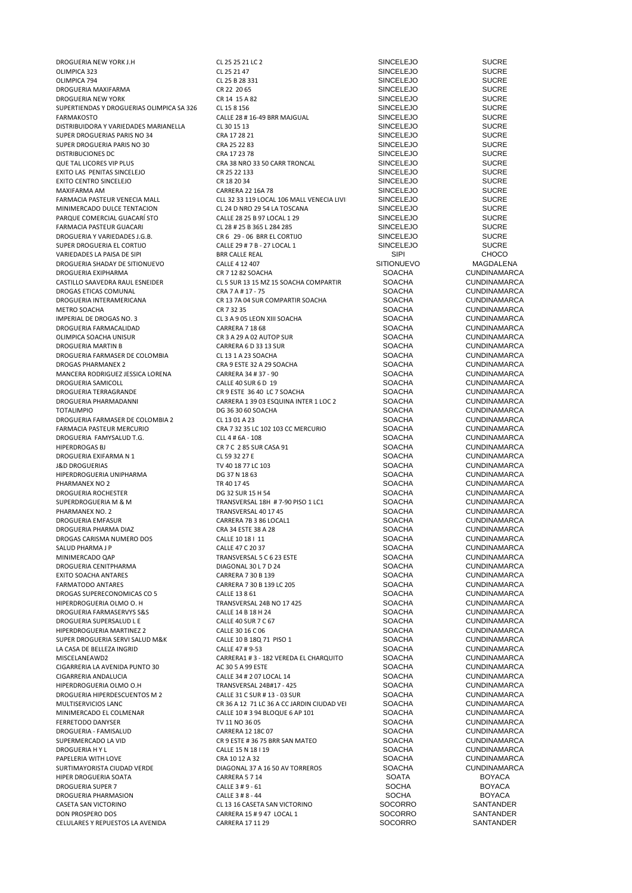OLIMPICA 323 CL 25 21 47 SINCELEJO SUCRE OLIMPICA 794 SUCRE SUCRE CL 25 B 28 331 SINCELEJO SUCRE DROGUERIA MAXIFARMA CR 22 20 65 SINCELEJO SUCRE DROGUERIA NEW YORK CR 14 15 A 82 SINCELEJO SUCRE SUPERTIENDAS Y DROGUERIAS OLIMPICA SA 326 CL 15 8 156 SINGELEJO SUCRE<br>CALLE 28 # 16-49 BRR MAJGUAL SINCELEJO SUCRE SUCRE DISTRIBUIDORA Y VARIEDADES MARIANELLA CL 30 15 13<br>SINCELEJO SUCRE SUCRE CRA 17 28 21 SINCELEJO SUCRE SUCRE SUPER DROGUERIAS PARIS NO 34 CRA 17 28 21 CRA 17 28 21 SINCELEJO SUCRE SUPER DROGUERIAS PARIS NO 30 CRA 25 22 83 SUPER DROGUERIA PARIS NO 30 CRA 25 22 83 SINCELEJO DISTRIBUCIONES DC CRA 17 23 78 SINCELEJO SUCRE QUE TAL LICORES VIP PLUS CONSUMING A CRA 38 NRO 33 50 CARR TRONCAL CONSUNCELEJO SUCRE SUCRE CONSUMING A CRA 22 133 EXITO LAS PENITAS SINCELEJO CR 25 22 133 SINCELEJO SUCRE EXITO CENTRO SINCELEJO CR 18 20 34 SINCELEJO SUCRE MAXIFARMA AM CARRERA 22 16A 78 SINCELEJO SUCRE MINIMERCADO DULCE TENTACION CL 24 D NRO 29 54 LA TOSCANA SINCELEJO SUCRE PARQUE COMERCIAL GUACARÍ STO CALLE 28 25 B 97 LOCAL 1 29 SINCELEJO SUCRE FARMACIA PASTEUR GUACARI CL 28 # 25 B 365 L 284 285 SINCELEJO SUCRE DROGUERIA Y VARIEDADES J.G.B. CR 6 29 - 06 BRR EL CORTIJO SINCELEJO SUCRE VARIEDADES LA PAISA DE SIPI BRR CALLE REAL SIPI CHOCO DROGUERIA SHADAY DE SITIONUEVO CALLE 4 12 407 SITIONUEVO MAGDALENA DROGUERIA EXIPHARMA CASTILLO SAAVEDRA RAUL ESNEIDER CL 5 SUR 13 15 MZ 15 SOACHA COMPARTIR SOACHA CORPORATIER CUNDINAMARCA<br>CRA 7 A # 17 - 75 COMUNAL CUNDINAMARCA DROGAS ETICAS COMUNAL CRA 7 A # 17 - 75 SOACHA CUNDINAMARCA DROGUERIA INTERAMERICANA CR 13 7A 04 SUR COMPARTIR SOACHA SOACHA SOACHA CR 13 7A 04 SUR COMPARTIR SOACHA SOACHA METRO SOACHA CR 7 32 35 SOACHA CUNDINAMARCA DROGUERIA FARMACALIDAD CARRERA 7 18 68 SOACHA CUNDINAMARCA OLIMPICA SOACHA UNISUR<br>ORIGI DROGUERIA MARTIN B CARRERA GO 33 13 SUR SOACHA CUNDINAMARCA DROGUERIA MARTIN B CARRERA 6 D 33 13 SUR SOACHA CUNDINAMARCA DROGUERIA FARMASER DE COLOMBIA CL 13 1 A 23 SOACHA SOACHA CUNDINAMARCA DROGAS PHARMANEX 2 CRA 9 ESTE 32 A 29 SOACHA SOACHA CUNDINAMARCA MANCERA RODRIGUEZ JESSICA LORENA CARRERA 34 # 37 - 90 SOACHA DROGUERIA SAMICOLL CALLE 40 SUR 6 D 19 SOACHA CUNDINAMARCA DROGUERIA TERRAGRANDE CR 9 ESTE 36 40 LC 7 SOACHA SOACHA CUNDINAMARCA DROGUERIA PHARMADANNI CARRERA 1 39 03 ESQUINA INTER 1 LOC 2 SOACHA TOTALIMPIO SOACHA CUSTA UNITER 1 LOC 2 DROGUERIA FARMASER DE COLOMBIA 2 CL 13 01 A 23 SOACHA CUNDINAMARCA DROGUERIA FAMYSALUD T.G. CLL 4 # 6A - 108 SOACHA CUNDINAMARCA DROGUERIA EXIFARMA N 1 J&D DROGUERIAS TV 40 18 77 LC 103 SOACHA CUNDINAMARCA HIPERDROGUERIA UNIPHARMA DG 37 N 18 63 SOACHA CUNDINAMARCA PHARMANEX NO 2 TR 40 17 45 TH 40 17 45 SOACHA CUNDINAMARCA DROGUERIA ROCHESTER DG 32 SUR 15 H 54 SOACHA CUNDINAMARCA SUPERDROGUERIA M & M TRANSVERSAL 18H # 7-90 PISO 1 LC1 SOACHA CUNDINAMARCA PHARMANEX NO. 2 TRANSVERSAL 40 17 45 SOACHA CUNDINAMARCA DROGUERIA EMFASUR CARRERA 7B 3 86 LOCAL1 SOACHA CUNDINAMARCA DROGUERIA PHARMA DIAZ<br>DROGAS CARISMA NUMERO DOS CALLE 10 18 I 11 SANTO CONDINAMARCA REGISTRATIVA CUNDINAMARCA DROGAS CARISMA NUMERO DOS CALLE 10 18 I 11 CALLE 10 18 I 11 SOACHA CUNDINAMARCA<br>CALLE 47 C 20 37 SOACHA CUNDINAMARCA SALUD PHARMA J P CALLE 47 C 20 37 SOACHA CUNDINAMARCA MINIMERCADO QAP TRANSVERSAL 5 C 6 23 ESTE SOACHA CUNDINAMARCA DROGUERIA CENITPHARMA DIAGONAL 30 L 7 D 24 SOACHA CUNDINAMARCA EXITO SOACHA ANTARES CARRERA 7 30 B 139 SOACHA CUNDINAMARCA DROGAS SUPERECONOMICAS CO 5 CALLE 13 8 61 CALLE 13 8 61 SOACHA CUNDINAMARCA<br>HIDERDROGLIERIA OLMO O. H TRANSVERSAL 24R NO 17.425 SOACHA CLINDINAMARCA HIPERDROGUERIA OLMO O. H TRANSVERSAL 24B NO 17 425 SOACHA CUNDINAMARCA CONCHERNAL ARMACA CALLE 14 B 18 H 24 SOACHA DROGUERIA FARMASERVYS S&S CALLE 14 B 18 H 24 SOACHA CUNDINAMARCA DROGUERIA SUPERSALUD L E CALLE 40 SUR 7 C 67 SOACHA CUNDINAMARCA HIPERDROGUERIA MARTINEZ 2 CALLE 30 16 C 06 SOACHA CUNDINAMARCA SUPER DROGUERIA SERVI SALUD M&K CALLE 10 B 18Q 71 PISO 1 SOACHA CUNDINAMARCA LA CASA DE BELLEZA INGRID CALLE 47 # 9-53 SOACHA CUNDINAMARCA CIGARRERIA LA AVENIDA PUNTO 30 AC 30 5 A 99 ESTE SOACHA CUNDINAMARCA HIPERDROGUERIA OLMO O.H TRANSVERSAL 24B#17 - 425 SOACHA CUNDINAMARCA DROGUERIA HIPERDESCUENTOS M 2 CALLE 31 C SUR # 13 - 03 SUR SOACHA CUNDINAMARCA<br>MILITISERVICIOS I ANC CUNDINAMARCA CR 36 A 12 71 I C 36 A CC IARDIN CIUDAD VEI SOACHA CUNDINAMARCA MULTISERVICIOS LANC<br>MINIMERCADO EL COLMENAR CARRET DE LA CALLE 10 # 3 94 BLOQUE 6 AP 101 COLORATION SOACHA CUNDINAMARCA FERRETODO DANYSER TV 11 NO 36 05 SOACHA CUNDINAMARCA DROGUERIA - FAMISALUD CARRERA 12 18C 07 SOACHA CUNDINAMARCA SUPERMERCADO LA VID<br>DROGUERIA HY LAND CALLE 15 N 18 1 19 CALLE 15 N 18 1 19 PAPELERIA WITH LOVE CONDINAMARCA CRA 10 12 A 32 SOACHA CUNDINAMARCA<br>SURTIMAYORISTA CIUDAD VERDE DIAGONAL 37 A 16 50 AV TORREROS SOACHA CUNDINAMARCA SURTIMAYORISTA CIUDAD VERDE DIAGONAL 37 A 16 50 AV TORREROS SOACHA CUNDINAMARCA HIPER DROGUERIA SOATA CARRERA 5 7 14 SOATA BOYACA DROGUERIA SUPER 7 CALLE 3 # 9 - 61 SOCHA BOYACA DROGUERIA PHARMASION CALLE 3 # 8 - 44 SOCHA SOCHA BOYACA<br>CASETA SAN VICTORINO CALLE 3 16 CASETA SAN VICTORINO SOCORRO SANTANDER DON PROSPERO DOS CARRERA 15 # 947 LOCAL 1 SOCORRO SANTANDER<br>CELLILARES Y REPUESTOS LA AVENIDA CARRERA 17 11 29 SOCORRO SANTANDER CELUI ARES Y REPUESTOS LA AVENIDA CARRERA 1711 29

DROGUERIA NEW YORK J.H CL 25 25 21 LC 2 SINCELEJO<br>OLIMPICA 323 SUCRE CL 25 21 47 CL 25 21 47 SINCELEJO SUCRE FALLE 28 # 16-49 BRR MAJGUAL SINCELEJO SUCRE CL 30 15 13<br>FARMACLE SINCELEJO SUCRE SUCRE FARMACIA PASTELL 32 33 119 LOCAL 106 MALL VENECIA LIVING SINCELEJO SUCRE CL 24 D NRO 29 54 LA TOSCANA CONTRESS SUPER DROGUERIA EL CALLE 29 # 7 B - 27 LOCAL 1 SINCELEJO SUCRE<br>
SINCELEJO SUPER CHOCO CL 3 A 9 05 LEON XIII SOACHA<br>
CARRERA 7 18 68 CARRERA TO SOACHA SOACHA CUNDINAMARCA CRA 7 32 35 LC 102 103 CC MERCURIO SOACHA CLIA # 6A - 108<br>CLIA # 6A - 108 CC MERCURIO SOACHA SOACHA CUNDINAMARCA CR 7 C 2 85 SUR CASA 91 SOACHA CUNDINAMARCA<br>CL 59 32 27 E CUNDINAMARCA CARRERA 7 30 B 139 LC 205 CARRERA1 # 3 - 182 VEREDA EL CHARQUITO SOACHA CUNDINAMARCA<br>AC 30 5 A 99 ESTE SOACHA SOACHA CUNDINAMARCA CIGARRERIA ANDALUCIA CALLE 34 # 2 07 LOCAL 14 SOACHA CUNDINAMARCA CALLE 10 # 3 94 BLOQUE 6 AP 101 DROGUERIA H Y L CALLE 15 N 18 I 19 SOACHA CUNDINAMARCA CL 13 16 CASETA SAN VICTORINO CASETA SAN VICTORINO CAREERA 15 # 9 47 I OCAL 1 SANTANDER

TOTALIMPIO SOACHA SOACHA CUNDINAMARCA<br>TOTALIMPIO SOACHA CUNDINAMARCA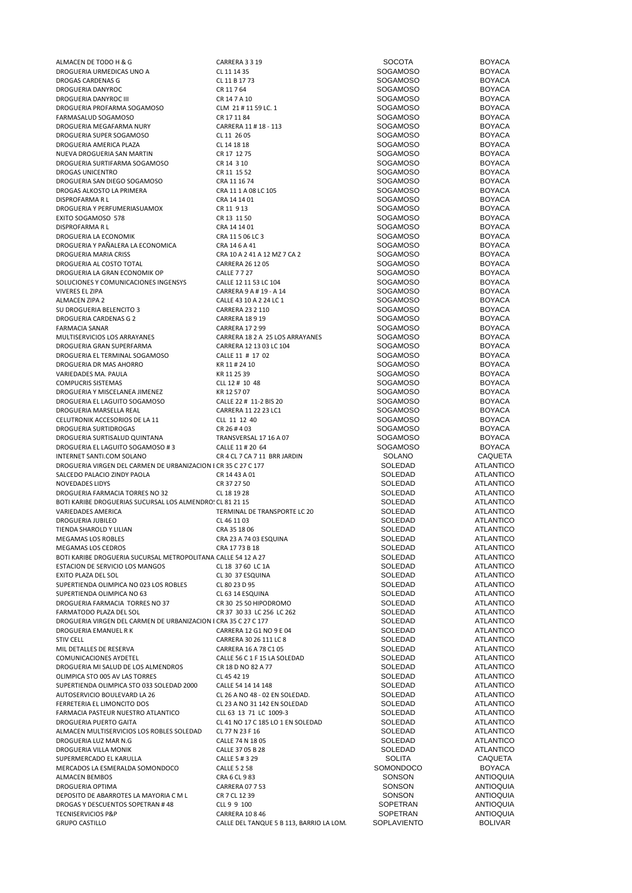| ALMACEN DE TODO H & G                                           | CARRERA 3 3 19                           | SOCOTA          | <b>BOYACA</b>                            |
|-----------------------------------------------------------------|------------------------------------------|-----------------|------------------------------------------|
| DROGUERIA URMEDICAS UNO A                                       | CL 11 14 35                              | <b>SOGAMOSO</b> | <b>BOYACA</b>                            |
| DROGAS CARDENAS G                                               | CL 11 B 17 73                            | <b>SOGAMOSO</b> | <b>BOYACA</b>                            |
| DROGUERIA DANYROC                                               | CR 11 7 64                               | <b>SOGAMOSO</b> | <b>BOYACA</b>                            |
| DROGUERIA DANYROC III                                           | CR 14 7 A 10                             | <b>SOGAMOSO</b> | <b>BOYACA</b>                            |
| DROGUERIA PROFARMA SOGAMOSO                                     | CLM 21 # 11 59 LC. 1                     | <b>SOGAMOSO</b> | <b>BOYACA</b>                            |
|                                                                 |                                          |                 |                                          |
| FARMASALUD SOGAMOSO                                             | CR 17 11 84                              | <b>SOGAMOSO</b> | <b>BOYACA</b>                            |
| DROGUERIA MEGAFARMA NURY                                        | CARRERA 11 # 18 - 113                    | <b>SOGAMOSO</b> | <b>BOYACA</b>                            |
| DROGUERIA SUPER SOGAMOSO                                        | CL 11 26 05                              | <b>SOGAMOSO</b> | <b>BOYACA</b>                            |
| DROGUERIA AMERICA PLAZA                                         | CL 14 18 18                              | <b>SOGAMOSO</b> | <b>BOYACA</b>                            |
| NUEVA DROGUERIA SAN MARTIN                                      | CR 17 12 75                              | <b>SOGAMOSO</b> | <b>BOYACA</b>                            |
| DROGUERIA SURTIFARMA SOGAMOSO                                   | CR 14 3 10                               | <b>SOGAMOSO</b> | <b>BOYACA</b>                            |
| DROGAS UNICENTRO                                                | CR 11 15 52                              | <b>SOGAMOSO</b> | <b>BOYACA</b>                            |
|                                                                 | CRA 11 16 74                             | <b>SOGAMOSO</b> | <b>BOYACA</b>                            |
| DROGUERIA SAN DIEGO SOGAMOSO                                    |                                          |                 |                                          |
| DROGAS ALKOSTO LA PRIMERA                                       | CRA 11 1 A 08 LC 105                     | <b>SOGAMOSO</b> | <b>BOYACA</b>                            |
| DISPROFARMA R L                                                 | CRA 14 14 01                             | <b>SOGAMOSO</b> | <b>BOYACA</b>                            |
| DROGUERIA Y PERFUMERIASUAMOX                                    | CR 11 9 13                               | <b>SOGAMOSO</b> | <b>BOYACA</b>                            |
| EXITO SOGAMOSO 578                                              | CR 13 11 50                              | <b>SOGAMOSO</b> | <b>BOYACA</b>                            |
| DISPROFARMA R L                                                 | CRA 14 14 01                             | <b>SOGAMOSO</b> | <b>BOYACA</b>                            |
| DROGUERIA LA ECONOMIK                                           | CRA 11 5 06 LC 3                         | <b>SOGAMOSO</b> | <b>BOYACA</b>                            |
| DROGUERIA Y PAÑALERA LA ECONOMICA                               | CRA 14 6 A 41                            | <b>SOGAMOSO</b> | <b>BOYACA</b>                            |
|                                                                 |                                          |                 |                                          |
| DROGUERIA MARIA CRISS                                           | CRA 10 A 2 41 A 12 MZ 7 CA 2             | <b>SOGAMOSO</b> | <b>BOYACA</b>                            |
| DROGUERIA AL COSTO TOTAL                                        | <b>CARRERA 26 12 05</b>                  | <b>SOGAMOSO</b> | <b>BOYACA</b>                            |
| DROGUERIA LA GRAN ECONOMIK OP                                   | <b>CALLE 7727</b>                        | <b>SOGAMOSO</b> | <b>BOYACA</b>                            |
| SOLUCIONES Y COMUNICACIONES INGENSYS                            | CALLE 12 11 53 LC 104                    | <b>SOGAMOSO</b> | <b>BOYACA</b>                            |
| VIVERES EL ZIPA                                                 | CARRERA 9 A # 19 - A 14                  | <b>SOGAMOSO</b> | <b>BOYACA</b>                            |
| <b>ALMACEN ZIPA 2</b>                                           | CALLE 43 10 A 2 24 LC 1                  | <b>SOGAMOSO</b> | <b>BOYACA</b>                            |
| SU DROGUERIA BELENCITO 3                                        | <b>CARRERA 23 2 110</b>                  | <b>SOGAMOSO</b> | <b>BOYACA</b>                            |
|                                                                 |                                          | <b>SOGAMOSO</b> |                                          |
| DROGUERIA CARDENAS G 2                                          | <b>CARRERA 18 9 19</b>                   |                 | <b>BOYACA</b>                            |
| <b>FARMACIA SANAR</b>                                           | <b>CARRERA 17 2 99</b>                   | <b>SOGAMOSO</b> | <b>BOYACA</b>                            |
| MULTISERVICIOS LOS ARRAYANES                                    | CARRERA 18 2 A 25 LOS ARRAYANES          | <b>SOGAMOSO</b> | <b>BOYACA</b>                            |
| DROGUERIA GRAN SUPERFARMA                                       | CARRERA 12 13 03 LC 104                  | <b>SOGAMOSO</b> | <b>BOYACA</b>                            |
| DROGUERIA EL TERMINAL SOGAMOSO                                  | CALLE 11 # 17 02                         | <b>SOGAMOSO</b> | <b>BOYACA</b>                            |
| DROGUERIA DR MAS AHORRO                                         | KR 11#24 10                              | <b>SOGAMOSO</b> | <b>BOYACA</b>                            |
|                                                                 |                                          |                 |                                          |
| VARIEDADES MA. PAULA                                            | KR 11 25 39                              | <b>SOGAMOSO</b> | <b>BOYACA</b>                            |
| <b>COMPUCRIS SISTEMAS</b>                                       | CLL 12 # 10 48                           | <b>SOGAMOSO</b> | <b>BOYACA</b>                            |
| DROGUERIA Y MISCELANEA JIMENEZ                                  | KR 12 57 07                              | <b>SOGAMOSO</b> | <b>BOYACA</b>                            |
| DROGUERIA EL LAGUITO SOGAMOSO                                   | CALLE 22 # 11-2 BIS 20                   | <b>SOGAMOSO</b> | <b>BOYACA</b>                            |
| DROGUERIA MARSELLA REAL                                         | CARRERA 11 22 23 LC1                     | <b>SOGAMOSO</b> | <b>BOYACA</b>                            |
| CELUTRONIK ACCESORIOS DE LA 11                                  | CLL 11 12 40                             | <b>SOGAMOSO</b> | <b>BOYACA</b>                            |
| DROGUERIA SURTIDROGAS                                           | CR 26 # 4 03                             | <b>SOGAMOSO</b> | <b>BOYACA</b>                            |
| DROGUERIA SURTISALUD QUINTANA                                   |                                          | <b>SOGAMOSO</b> | <b>BOYACA</b>                            |
|                                                                 | TRANSVERSAL 17 16 A 07                   |                 |                                          |
| DROGUERIA EL LAGUITO SOGAMOSO #3                                | CALLE 11 # 20 64                         | <b>SOGAMOSO</b> | <b>BOYACA</b>                            |
| INTERNET SANTI.COM SOLANO                                       | CR 4 CL 7 CA 7 11 BRR JARDIN             | <b>SOLANO</b>   | <b>CAQUETA</b>                           |
| DROGUERIA VIRGEN DEL CARMEN DE URBANIZACION I CR 35 C 27 C 177  |                                          | SOLEDAD         | <b>ATLANTICO</b>                         |
| SALCEDO PALACIO ZINDY PAOLA                                     | CR 14 43 A 01                            | SOLEDAD         | <b>ATLANTICO</b>                         |
| <b>NOVEDADES LIDYS</b>                                          | CR 37 27 50                              | SOLEDAD         | <b>ATLANTICO</b>                         |
| DROGUERIA FARMACIA TORRES NO 32                                 | CL 18 19 28                              | SOLEDAD         | <b>ATLANTICO</b>                         |
| BOTI KARIBE DROGUERIAS SUCURSAL LOS ALMENDRO! CL 81 21 15       |                                          | SOLEDAD         | <b>ATLANTICO</b>                         |
|                                                                 |                                          |                 | <b>ATLANTICO</b>                         |
| VARIEDADES AMERICA                                              | TERMINAL DE TRANSPORTE LC 20             | SOLEDAD         |                                          |
| DROGUERIA JUBILEO                                               | CL 46 11 03                              | <b>SOLEDAD</b>  | <b>ATLANTICO</b>                         |
| TIENDA SHAROLD Y LILIAN                                         | CRA 35 18 06                             | SOLEDAD         | <b>ATLANTICO</b>                         |
| MEGAMAS LOS ROBLES                                              | CRA 23 A 74 03 ESQUINA                   | SOLEDAD         | <b>ATLANTICO</b>                         |
| MEGAMAS LOS CEDROS                                              | CRA 1773 B 18                            | SOLEDAD         | <b>ATLANTICO</b>                         |
| BOTI KARIBE DROGUERIA SUCURSAL METROPOLITANA CALLE 54 12 A 27   |                                          | SOLEDAD         | <b>ATLANTICO</b>                         |
| ESTACION DE SERVICIO LOS MANGOS                                 | CL 18 37 60 LC 1A                        | SOLEDAD         | <b>ATLANTICO</b>                         |
| EXITO PLAZA DEL SOL                                             | CL 30 37 ESQUINA                         | SOLEDAD         | <b>ATLANTICO</b>                         |
|                                                                 |                                          |                 |                                          |
| SUPERTIENDA OLIMPICA NO 023 LOS ROBLES                          | CL 80 23 D 95                            | SOLEDAD         | <b>ATLANTICO</b>                         |
| SUPERTIENDA OLIMPICA NO 63                                      | CL 63 14 ESQUINA                         | SOLEDAD         | <b>ATLANTICO</b>                         |
| DROGUERIA FARMACIA TORRES NO 37                                 | CR 30 25 50 HIPODROMO                    | SOLEDAD         | <b>ATLANTICO</b>                         |
| FARMATODO PLAZA DEL SOL                                         | CR 37 30 33 LC 256 LC 262                | SOLEDAD         | <b>ATLANTICO</b>                         |
| DROGUERIA VIRGEN DEL CARMEN DE URBANIZACION I CRA 35 C 27 C 177 |                                          | SOLEDAD         | <b>ATLANTICO</b>                         |
| DROGUERIA EMANUEL R K                                           | CARRERA 12 G1 NO 9 E 04                  | SOLEDAD         | <b>ATLANTICO</b>                         |
| <b>STIV CELL</b>                                                | CARRERA 30 26 111 LC 8                   | SOLEDAD         | <b>ATLANTICO</b>                         |
|                                                                 |                                          |                 |                                          |
| MIL DETALLES DE RESERVA                                         | CARRERA 16 A 78 C1 05                    | SOLEDAD         | <b>ATLANTICO</b>                         |
| <b>COMUNICACIONES AYDETEL</b>                                   | CALLE 56 C 1 F 15 LA SOLEDAD             | SOLEDAD         | <b>ATLANTICO</b>                         |
| DROGUERIA MI SALUD DE LOS ALMENDROS                             | CR 18 D NO 82 A 77                       | SOLEDAD         | <b>ATLANTICO</b>                         |
| OLIMPICA STO 005 AV LAS TORRES                                  | CL 45 42 19                              | SOLEDAD         | <b>ATLANTICO</b>                         |
| SUPERTIENDA OLIMPICA STO 033 SOLEDAD 2000                       | CALLE 54 14 14 148                       | SOLEDAD         | <b>ATLANTICO</b>                         |
| AUTOSERVICIO BOULEVARD LA 26                                    | CL 26 A NO 48 - 02 EN SOLEDAD.           | SOLEDAD         | <b>ATLANTICO</b>                         |
| FERRETERIA EL LIMONCITO DOS                                     | CL 23 A NO 31 142 EN SOLEDAD             | SOLEDAD         | <b>ATLANTICO</b>                         |
|                                                                 |                                          |                 | <b>ATLANTICO</b>                         |
| FARMACIA PASTEUR NUESTRO ATLANTICO                              | CLL 63 13 71 LC 1009-3                   | SOLEDAD         |                                          |
| DROGUERIA PUERTO GAITA                                          | CL 41 NO 17 C 185 LO 1 EN SOLEDAD        | SOLEDAD         | <b>ATLANTICO</b>                         |
| ALMACEN MULTISERVICIOS LOS ROBLES SOLEDAD                       | CL 77 N 23 F 16                          | SOLEDAD         | <b>ATLANTICO</b>                         |
| DROGUERIA LUZ MAR N.G                                           | CALLE 74 N 18 05                         | SOLEDAD         | <b>ATLANTICO</b>                         |
| DROGUERIA VILLA MONIK                                           | CALLE 37 05 B 28                         | SOLEDAD         | <b>ATLANTICO</b>                         |
| SUPERMERCADO EL KARULLA                                         | CALLE 5 # 3 29                           | <b>SOLITA</b>   | <b>CAQUETA</b>                           |
| MERCADOS LA ESMERALDA SOMONDOCO                                 | <b>CALLE 5 2 58</b>                      | SOMONDOCO       | BOYACA                                   |
|                                                                 |                                          | SONSON          | <b>ANTIOQUIA</b>                         |
| <b>ALMACEN BEMBOS</b>                                           | CRA 6 CL 9 83                            |                 |                                          |
| DROGUERIA OPTIMA                                                | CARRERA 07 7 53                          | SONSON          | <b>ANTIOQUIA</b>                         |
| DEPOSITO DE ABARROTES LA MAYORIA C M L                          | CR 7 CL 12 39                            | SONSON          | <b>ANTIOQUIA</b>                         |
| DROGAS Y DESCUENTOS SOPETRAN #48                                |                                          |                 |                                          |
|                                                                 | CLL 9 9 100                              | SOPETRAN        |                                          |
| <b>TECNISERVICIOS P&amp;P</b>                                   | <b>CARRERA 10 8 46</b>                   | SOPETRAN        |                                          |
| <b>GRUPO CASTILLO</b>                                           | CALLE DEL TANQUE 5 B 113, BARRIO LA LOM. | SOPLAVIENTO     | <b>ANTIOQUIA</b><br>ANTIOQUIA<br>BOLIVAR |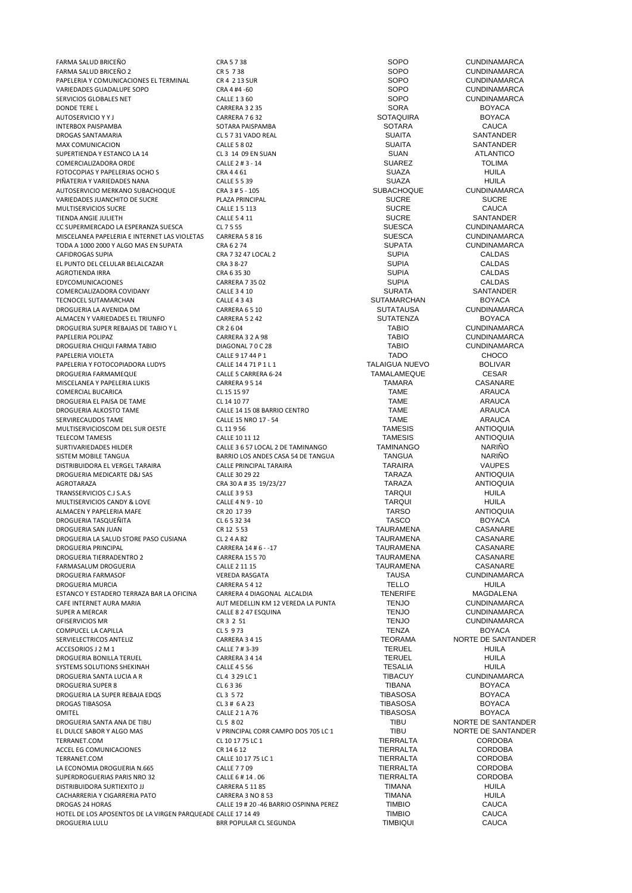FARMA SALUD BRICEÑO CRA 5 7 38 SOPO CUNDINAMARCA FARMA SALUD BRICEÑO 2 CR 5 7 38 SOPO CUNDINAMARCA PAPELERIA Y COMUNICACIONES EL TERMINAL CR 4 2 13 SUR<br>
CRA 4 #4 -60 CARLER CRA 4 +4 -60 SOPO CUNDINAMARCA VARIEDADES GUADALUPE SOPO CRA 4 #4 -60 SOPO CUNDINAMARCA SERVICIOS GLOBALES NET CALLE 1 3 60 SOPO CUNDINAMARCA DONDE TERE LETTER AND THE CARRERA 3 2 35 SORA SORA BOYACA AUTOSERVICIO Y Y JUNIOR EN 1989 EN 1999 EN 1999 EN 1999 EN 1999 EN 1999 EN 1999 EN 1999 EN 1999 EN 1999 EN 199<br>AUTOSERVICIO Y Y JUNIOR EN 1999 EN 1999 EN 1999 EN 1999 EN 1999 EN 1999 EN 1999 EN 1999 EN 1999 EN 1999 EN 19<br>A INTERBOX PAISPAMBA SOTARA PAISPAMBA SOTARA CAUCA DROGAS SANTAMARIA CL 5 7 31 VADO REAL SUAITA SANTANDER MAX COMUNICACION CALLE 5 8 02 SUAITA SUPERTIENDA Y ESTANCO LA 14 CL 3 14 09 EN SUAN SUAN SUAN SUAN SUAN ATLANTICO COMERCIALIZADORA ORDE CALLE 2 # 3 - 14 CALLE 2 # 3 - 14 SUAREZ TOLIMA<br>
FOTOCOPIAS Y PAPELERIAS OCHO S CRA 4 4 6 GRA 4 4 61 SUAZA SUAZA HUILA FOTOCOPIAS Y PAPELERIAS OCHO SAN EXERA 4 4 61 A CALLE 5 5 39 A CALLE 5 5 39 A CALLE SUAZA CHUILA<br>PIÑATERIA Y VARIEDADES NANA CALLE 5 5 39 A CALLE 5 5 39 A CALLE 5 5 39 A CALLE SUAZA CHUILA PIÑATERIA Y VARIEDADES NANA CALLE 5 5 39 SUAZA HUILA AUTOSERVICIO MERKANO SUBACHOQUE CRA 3 # 5 - 105 SUBACHOQUE CUNDINAMARCA VARIEDADES JUANCHITO DE SUCRE PLAZA PRINCIPAL SUCRE SUCRE MULTISERVICIOS SUCRE CALLE 15 113 CALLE 15 113 SUCRE CAUCA<br>TIFNDA ANGIF ILI IFTH CALLE CALLE 5 4 11 CALLE CAUCA CAUCA CAUCA CAUCA CAUCA CAUCA CAUCA TIENDA ANGIE JULIETH 
CALLE 5 4 11 CALLE 5 4 11 SANTANDER<br>
CC SUPERMERCADO LA ESPERANZA SUESCA 
CL 7 5 55 SUESCA SUESCA CUNDINAMARCA CC SUPERMERCADO LA ESPERANZA SUESCA CL 7 5 55 CL 7 5 55 SUESCA CUNDINAMARCA<br>MISCELANEA PAPELERIA E INTERNET LAS VIOLETAS CARRERA 5 8 16 SUESCA SUESCA CUNDINAMARCA MISCELANEA PAPELERIA E INTERNET LAS VIOLETAS CARRERA 5 8 16 SUESCA CUNDINAMARCA<br>TODA A 1000 2000 Y AI GO MAS EN SUPATA CRA 6 2 74 SUPATA SUPATA CUNDINAMARCA TODA A 1000 2000 Y ALGO MAS EN SUPATA CRA 6 2 74 CHA CA CA CONDINAMARCA CAFIDROGAS SUPIA CAI DAS<br>CAFIDROGAS SUPIA CAI DAS CRA 7 32 A CRA 7 32 A 7 I OCAI 2 CAFIDROGAS SUPIA CALDAS CRA 7 32 47 LOCAL 2 SUPIA SUPIA CALDAS EL PUNTO DEL CELULAR BELALCAZAR CRA 3 8-27 SUPIA CALDAS AGROTIENDA IRRA CRA 6 35 30 SUPIA CALDAS EDYCOMUNICACIONES CARRERA 7 35 02 SUPIA CALDAS COMERCIALIZADORA COVIDANY CALLE 3 4 10 SURATA SANTANDER TECNOCEL SUTAMARCHAN CALLE 4 3 43 SUTAMARCHAN BOYACA DROGUERIA LA AVENIDA DM CARRERA 6 5 10 SUTATAUSA CUNDINAMARCA ALMACEN Y VARIEDADES EL TRIUNFO CARRERA 5 2 42 SUTATENZA BOYACA DROGUERIA SUPER REBAJAS DE TABIO Y L<br>
CARRERA 3 2 A 98 CARRERA 2 A 98 TABIO CUNDINAMARCA PAPELERIA POLIPAZ CARRERA 3 2 A 98 TABIO CUNDINAMARCA DROGUERIA CHIQUI FARMA TABIO DIAGONAL 7 0 C 28 TABIO CUNDINAMARCA PAPELERIA VIOLETA CALLE 9 17 44 P 1 CALLE 9 17 44 P 1 PAPELERIA Y FOTOCOPIADORA LUDYS CALLE 14 4 71 P 1 L 1 TALAIGUA NUEVO BOLIVAR DROGUERIA FARMAMEQUE CALLE 5 CARRERA 6-24 TAMALAMEQUE CESAR MISCELANEA Y PAPELERIA LUKIS CARRERA 9 5 14 TAMARA CASANARE COMERCIAL BUCARICA COMERCIAL BUCARICA COMERCIAL BUCARICA COMERCIAL CL 15 15 97 CL 15 15 97 CL 14 10 77 TAME ARAUCA DROGUERIA EL PAISA DE TAME ARAUCA EL 14 10 77 CL 14 10 77 CL 14 10 77 CHE ARAUCA EL DROGUERIA ALKOSTO TAME ARAUCA SERVIRECAUDOS TAME CALLE 15 NRO 17 - 54 TAME ARAUCA MULTISERVICIOSCOM DEL SUR OESTE CL 11 9 56 TAMESIS ANTIOQUIA TELECOM TAMESIS ANTIOQUI CALLE 10 11 12 CALLE 10 11 12<br>SURTIVARIEDADES HILDER CALLE 3 6 5 10 CALLE 3 6 5 7 LOCAL 2 DE TAMINANGO TAMINANGO NARIÑO SURTIVARIEDADES HILDER CALLE 3 6 57 LOCAL 2 DE TAMINANGO TAMINANGO NARIÑO DISTRIBUIDORA EL VERGEL TARAIRA CALLE PRINCIPAL TARAIRA TARAIRA VAUPES DROGUERIA MEDICARTE D&J SAS CALLE 30 29 22 TARAZA ANTIOQUIA AGROTARAZA CRA 30 A # 35 19/23/27 TARAZA ANTIOQUIA TRANSSERVICIOS C.J S.A.S CALLE 3 9 53 CALLE 3 9 53 TARQUI TARQUI TARQUI HUILA MULTISERVICIOS CANDY & LOVE CALLE 4 N 9 - 10 TARQUI TARQUI TERROLLE AND LOVE HUILA ALMACEN Y PAPELERIA MAFE CR 20 17 39 TARSO ANTIOQUIA DROGUERIA TASQUEÑITA CL 6 5 32 34 TASCO BOYACA DROGUERIA SAN JUAN CASANARE CR 12 553 CR 12 553 CASANARE CASANARE CASANARE CASANARE CASANARE CR 12 553 CASANARE CASANARE CASANARE CASANARE CASANARE CASANARE CASANARE CASANARE CASANARE CASANARE CASANARE CASANARE CASANARE CA DROGUERIA LA SALUD STORE PASO CUSIANA CL 2 4 A 82 CASANARE TAURAMENA CASANARE CASANARE<br>CASANARE CASANARE CASANARE CARRERA 14 # 6 - 17 CASANARE TAURAMENA CASANARE DROGUERIA TIERRADENTRO 2 CARRERA 15 5 70 TAURAMENA CASANARE FARMASALUM DROGUERIA CALLE 2 11 15 TAURAMENA CASANARE DROGUERIA FARMASOF VEREDA RASGATA TAUSA CUNDINAMARCA DROGUERIA MURCIA CARRERA 5 4 12 TELLO HUILA ESTANCO Y ESTADERO TERRAZA BAR LA OFICINA CARRERA 4 DIAGONAL ALCALDIA TENERIFE MAGDALENA MAGDALENA<br>CARE INTERNET ALIBA MARIA ARIA ALIT MEDELLIN KM 12 VEREDA LA RIJINTA TENJO CLINDINAMARCA SUPER A MERCAR CALLE 8 2 47 ESQUINA CALLE 8 2 47 ESQUINA TENJO CUNDINAMARCA OFISERVICIOS MR CR 3 2 51 TENJO CUNDINAMARCA COMPUCEL LA CAPILLA CL 5 9 73 TENZA BOYACA ACCESORIOS J 2 M 1 CALLE 7 # 3-39 TERUEL HUILA DROGUERIA BONILLA TERUEL CARRERA 3 4 14 TERUEL HUILA SYSTEMS SOLUTIONS SHEKINAH CALLE 4 5 56 TESALIA HUILA DROGUERIA SANTA LUCIA A R CL 4 3 29 LC 1 TIBACUY CUNDINAMARCA DROGUERIA SUPER 8 CL 6 3 36 TIBANA BOYACA DROGUERIA LA SUPER REBAJA EDQS CL 3 5 72 TIBASOSA BOYACA DROGAS TIBASOSA CL 3 # 6 A 23 TIBASOSA BOYACA OMITEL CALLE 2 1 A 76 TIBASOSA BOYACA DROGUERIA SANTA ANA DE TIBU CL 5 8 02 CL 5 8 02 TIBU NORTE DE SANTANDER EL DULCE SABOR Y ALGO MAS V PRINCIPAL CORR CAMPO DOS 705 LC 1 TIBU NORTE DE SANTANDER<br>TERRANET COM CORDOBA TERRANET.COM CL 10 17 75 LC 1 TIERRALTA CORDOBA ACCEL EG COMUNICACIONES CR 14 6 12 TIERRALTA CORDOBA TERRANET.COM CALLE 10 17 75 LC 1 TIERRALTA CORDOBA LA ECONOMIA DROGUERIA N.665 CALLE 7 7 09 TIERRALTA CORDOBA SUPERDROGUERIAS PARIS NRO 32 CALLE 6 # 14 . 06 CORDOBALTA CORDOBALTA CORDOBALTA CORDOBALTA CORDOBALTA CORDOBAL<br>CARRERA 5 11 85 CARES DE TIMANA TIMANA HUILA DISTRIBUIDORA SURTIEXITO JJ CARRERA 5 11 85 TIMANA HUILA CACHARRERIA Y CIGARRERIA PATO<br>CALLE 19 # 20 -46 BARRIO OSPINNA PEREZ TIMBIO CAUCA CAUCA HOTEL DE LOS APOSENTOS DE LA VIRGEN PARQUEADE CALLE 17 14 49<br>DROGUERIA LULLI CALLO DE RESIDENTI DE RESIDENTI DE RESIDENTI DE CALLO DE CAUCA DROGUERIA LULU BRR POPULAR CL SEGUNDA TIMBIQUI CAUCA

DROGUERIA ALKOSTO TAME CALLE 14 15 08 BARRIO CENTRO TAME ARAUCA SARRIO LOS ANDES CASA 54 DE TANGUA EN TANGUA EN ARIÑO ANARIÑO EN ARIÑO EN ARIÑO EN ENGLANDO EN ENTREGADO EN EN<br>TARAIRA NA VALIPES DROGUERIA PRINCIPAL CARRERA 14 # 6 - -17 TAURAMENA CASANARE AUT MEDELLIN KM 12 VEREDA LA PUNTA TENJO CUNDINAMARCA CAILE 8.2 AUT SCUNDINAMARCA CARRERA 3 4 15 TEORAMA NORTE DE SANTANDER<br>CALLE 7 # 3-39 TERUEL HUILA CALLE 19 # 20 -46 BARRIO OSPINNA PEREZ TIMBIO CALLE 19 # 20 -46 BARRIO OSPINNA PEREZ TIMBIO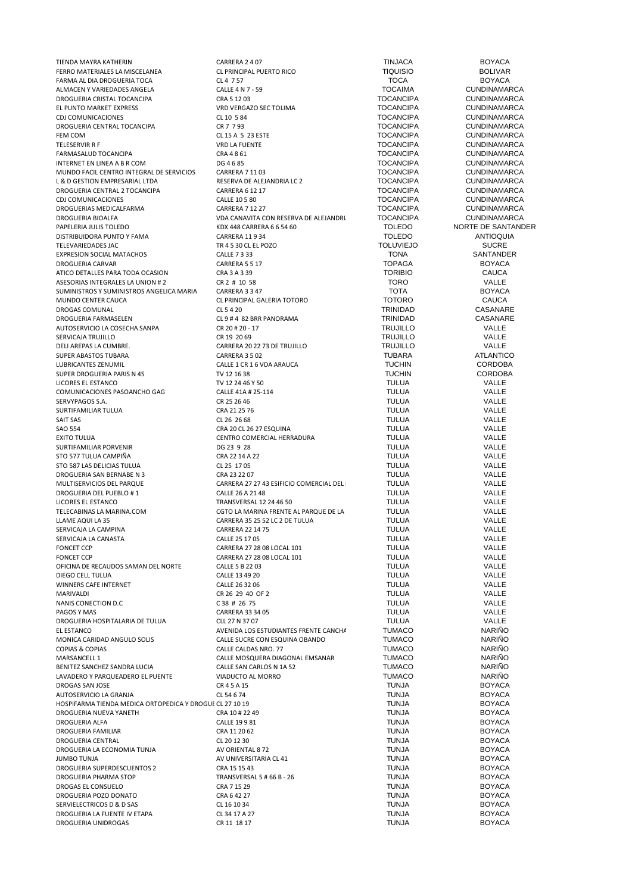TIENDA MAYRA KATHERIN CARRERA 2 4 07 TINJACA BOYACA FERRO MATERIALES LA MISCELANEA CL PRINCIPAL PUERTO RICO TIQUISIO BOLIVAR FARMA AL DIA DROGUERIA TOCA CL 4 7 57 TOCA BOYACA ALMACEN Y VARIEDADES ANGELA<br>ALMACEN Y VARIEDADES ANGELA EXACTEREDADES ANGELE 4 N 7 - 59 TOCAIMA TOCANCIPA CUNDINAMARCA<br>TOCANCIPA CUNDINAMARCA DROGUERIA CRISTAL TOCANCIPA CRA 5 12 03 TOCANCIPA CUNDINAMARCA EL PUNTO MARKET EXPRESS <sup>VRD</sup> VED VERGAZO SEC TOLIMA TOCANCIPA CONDINAMARCA<br>CDI COMUNICACIONES CL 10 5 84 CL 10 5 84 CL 10 5 84 CDJ COMUNICACIONES<br>
CL 10 5 84 COMUNICACIONES CL 10 5 84 CL 10 5 84 TOCANCIPA CUNDINAMARCA<br>
CL 10 5 84 TOCANCIPA CUNDINAMARCA DROGUERIA CENTRAL TOCANCIPA CR 7 7 93 TOCANCIPA CUNDINAMARCA FEM COM CL 15 A 5 23 ESTE TELESERVIR R F VRD LA FUENTE TOCANCIPA CUNDINAMARCA FARMASALUD TOCANCIPA CRA 4 8 61 TOCANCIPA CUNDINAMARCA INTERNET EN LINEA A B R COM DE SERVICIOS DE 46 85 DE A A BRESA DE SERVICIOS DE LA CORPORTETA DE SERVICIOS DE L<br>1999 DE ACIL CENTRO INTEGRAL DE SERVICIOS CARRERA 7 11 03 DE LA POCANCIPA DE LA CUNDINAMARCA MUNDO FACIL CENTRO INTEGRAL DE SERVICIOS CARRERA 7 11 03 TOCANCIPA CUNDINAMARCA<br>L& D GESTION EMPRESARIAL LTDA RESERVA DE ALEJANDRIA LC 2 TOCANCIPA CUNDINAMARCA L & D GESTION EMPRESARIAL LTDA RESERVA DE ALEJANDRIA LC 2 TOCANCIPA CUNDINAMARCA DROGUERIA CENTRAL 2 TOCANCIPA CARRERA 6 12 17 TOCANCIPA CUNDINAMARCA CDJ COMUNICACIONES CALLE 10 5 80 TOCANCIPA CUNDINAMARCA DROGUERIAS MEDICALFARMA<br>DROGUERIA BIOALFA CUNDINAMARCA CORRERA CON SESERVA DE ALEJANDRI TOCANCIPA CUNDINAMARCA DROGUERIA BIOALFA VDA CANAVITA CON RESERVA DE ALEJANDRIA LC 03 TOCANCIPA CUNDINAMARCA DISTRIBUIDORA PUNTO Y FAMA CARRERA 11 9 34<br>TELEVARIEDADES IAC CONTRA CARRERA TRA E SAOCI EL POZO CONTRADO ANTIOLUIVIEJO TELEVARIEDADES JAC TR 4 5 30 CL EL POZO TOLUVIEJO SUCRE EXPRESION SOCIAL MATACHOS CALLE 7 3 33 TONA SANTANDER DROGUERIA CARVAR CARRERA 5 5 17 TOPAGA BOYACA ATICO DETALLES PARA TODA OCASION ASESORIAS INTEGRALES LA UNION # 2 CR 2 # 10 58 TORO TORO VALLE<br>
SUMINISTROS Y SUMINISTROS ANGELICA MARIA CARRERA 3 3 47 TOTA TOTA BOYACA SUMINISTROS Y SUMINISTROS ANGELICA MARIA CARRERA 3 3 47 TOTA TOTA BOYACAL CALLERIA TOTORO CAUCA CAUCA MUNDO CENTER CAUCA CL PRINCIPAL GALERIA TOTORO TOTORO CAUCA DROGAS COMUNAL CONSTRUCTED AND CL 5 4 20 CL 5 4 20 CL 5 4 20 CASANARE CASANARE CASANARE COMUNAL CASANARE CL 5 4 20 CL 5 4 20 CL 5 4 20 CL 5 4 20 CL 5 4 20 CL 5 4 20 CL 5 4 20 CL 5 4 20 CL 5 4 20 CL 5 4 20 CL 5 4 20 CL 5 4 DROGUERIA FARMASELEN CL 9 # 4 82 BRR PANORAMA TRINIDAD CASANARE AUTOSERVICIO LA COSECHA SANPA CR 20 # 20 - 17 TRUJILLO VALLE SERVICAJA TRUJILLO CR 19 20 69 TRUJILLO VALLE DELI AREPAS LA CUMBRE. CARRERA 20 22 73 DE TRUJILLO TRUJILLO VALLE SUPER ABASTOS TUBARA CARRERA 3 5 02 TUBARA ATLANTICO SUPER DROGUERIA PARIS N 45 TV 12 16 38 LICORES EL ESTANCO TV 12 24 46 Y 50 TULUA VALLE COMUNICACIONES PASOANCHO GAG CALLE 41A # 25-114 CALLE 41A # 25-114 TULUA TULUA VALLE<br>CR 25 26 46 CR 25 26 46 CR 25 26 46 CR 25 26 46 TULUA SERVYPAGOS S.A. CR 25 26 46 TULUA VALLE SURTIFAMILIAR TULUA CRA 21 25 76 TULUA VALLE SAIT SAS CL 26 26 68 TULUA VALLE SAO 554 CRA 20 CL 26 27 ESQUINA TULUA VALLE SURTIFAMILIAR PORVENIR DG 23 9 28 TULUA VALLE STO 577 TULUA CAMPIÑA STO 587 LAS DELICIAS TULUA CL 25 17 05 TULUA VALLE DROGUERIA SAN BERNABE N 3<br>19 ALLE DER CONTRACT CHARGE AND CARRERA 27 27 43 FSIEICIO COMERCIAL DEI TULUA CALLE DE VALLE DROGUERIA DEL PUEBLO # 1 CALLE 26 A 21 48 TULUA VALLE LICORES EL ESTANCO CONTRA EL ESTANCO CONTRANSVERSAL 12 24 46 50 TULUA TRANSVERSAL 12 24 46 50 TULUA CONTRANSVERSAL 12 24 46 50 TELECABINAS LA MARINA.COM CGTO LA MARINA FRENTE AL PARQUE DE LA TULUA CALLE<br>CLAME AQUI LA 35 CARRERA 35 25 52 LC 2 DE TULUA TULUA TULUA VALLE LLAME AQUI LA 35 CARRERA 35 25 21 C 2 DE TULUA CARRERA 22 14 75<br>CARRERA 22 14 75 CARRERA 22 14 75 CARRERA 22 14 75 CARRERA 22 14 75 CARRERA 22 14 75 CARRERA 22 14 75 CARRERA 22 14 75 CARRERA 22 14 75 SERVICAJA LA CAMPINA CARRERA 22 14 75 TULUA VALLE SERVICAJA LA CANASTA CALLE 25 17 05 TULUA VALLE FONCET CCP CARRERA 27 28 08 LOCAL 101 TULUA VALLE OFICINA DE RECAUDOS SAMAN DEL NORTE CALLE 5 B 22 03 CALLE SOBIE CALLE SOBIE CALLE ESPAN ANNO 1999 CALLE ESPAN CALLE ESPAN ANNO 1999 CALLE ESPAN ANNO 1999 CALLE ESPAN ANNO 1999 CALLE ESPAN ANNO 1999 CALLE ESPAN ANNO 1999 CA DIEGO CELL TULUA VALLE 13 49 20 CALLE 13 49 20 CALLE 13 49 20 TULUA VALLE<br>
VALLE CALLE 26 32 06 CALLE 26 32 06 TULUA VALLE WINNERS CAFE INTERNET MARIVALDI CR 26 29 40 OF 2 TULUA VALLE NANIS CONECTION D.C CONECTION CONTRACT CONTRACT CONTRACT CONTRACT CONTRACT CONTRACT CONTRACT CONTRACT CONTRACT CONTRACT CONTRACT CONTRACT CONTRACT CONTRACT CONTRACT CONTRACT CONTRACT CONTRACT CONTRACT CONTRACT CONTRACT CON PAGOS Y MAS CARRERA 33 34 05 CARRERA 33 34 05 DROGUERIA HOSPITALARIA DE TULUA CLL 27 N 37 07 TULUA VALLE EL ESTANCO AVENIDA LOS ESTUDIANTES FRENTE CANCHA SAN JUDAS TUMACO NARIÑO MONICA CARIDAD ANGULO SOLIS CALLE SUCRE CON ESQUINA OBANDO TUMACO COPIAS ACOPIAS NARIÑO COPIAS ANGLÍÑO COPIAS NARIÑO COPIAS & COPIAS CALLE CALDAS NRO. 77 TUMACO NARIÑO BENITEZ SANCHEZ SANDRA LUCIA CALLE SAN CARLOS N 1A 52 TUMACO NARIÑO LAVADERO Y PARQUEADERO EL PUENTE VIADUCTO AL MORRO TUMACO NARIÑO DROGAS SAN JOSE CR 4 5 A 15 TUNJA BOYACA AUTOSERVICIO LA GRANJA CL 54 6 74 TUNJA BOYACA HOSPIFARMA TIENDA MEDICA ORTOPEDICA Y DROGUE CL 27 10 19<br>DROGUERIA NUEVA YANETH CRA 10 # 22 49 CRA 10 + 22 49 TUNJA TUNJA BOYACA DROGUERIA NUEVA YANETH CRA 10 # 22 49 DROGUERIA ALFA CALLE 19 9 81 TUNJA BOYACA DROGUERIA FAMILIAR CRA 11 20 62 TUNJA BOYACA DROGUERIA CENTRAL CL 20 12 30 TUNJA BOYACA DROGUERIA LA ECONOMIA TUNJA AV ORIENTAL 8 72 TUNJA BOYACA DROGUERIA SUPERDESCUENTOS 2 CRA 15 15 43 TUNJA BOYACA DROGAS EL CONSUELO CRA 7 15 29 TUNJA BOYACA DROGUERIA POZO DONATO CRA 6 42 27 TUNJA BOYACA SERVIELECTRICOS D & D SAS CL 16 10 34 DROGUERIA LA FUENTE IV ETAPA CL 34 17 A 27 TUNJA BOYACA DROGUERIA UNIDROGAS CR 11 18 17 TUNJA BOYACA

PAPELERIA JULIS TOLEDO NORTE DE SANTANDER<br>PARERA 11934 CARRERA 11934 CARRERA 11934 CALLE 1 CR 1 6 VDA ARAUCA<br>
TUCHIN CORDOBA<br>
TUCHIN CORDOBA EXTRO COMERCIAL HERRADURA CENTRO COMERCIAL HERRADURA TULUA CHARA TULUA CHARA CHARA VALLE CARRERA 27 27 43 ESIFICIO COMERCIAL DEL FONCET CCP CARRERA 27 28 08 LOCAL 101 TULUA VALLE MARSANCELL 1 CALLE MOSQUERA DIAGONAL EMSANAR TUMACO NARIÑO AV UNIVERSITARIA CL 41 **TUNJA** TUNJA **AV UNIVERSITARIA CL 41 BOYACA BOYACA** TRANSVERSAL 5 # 66 B - 26 TUNJA<br>
CRA 7 15 29 CRA 7 15 29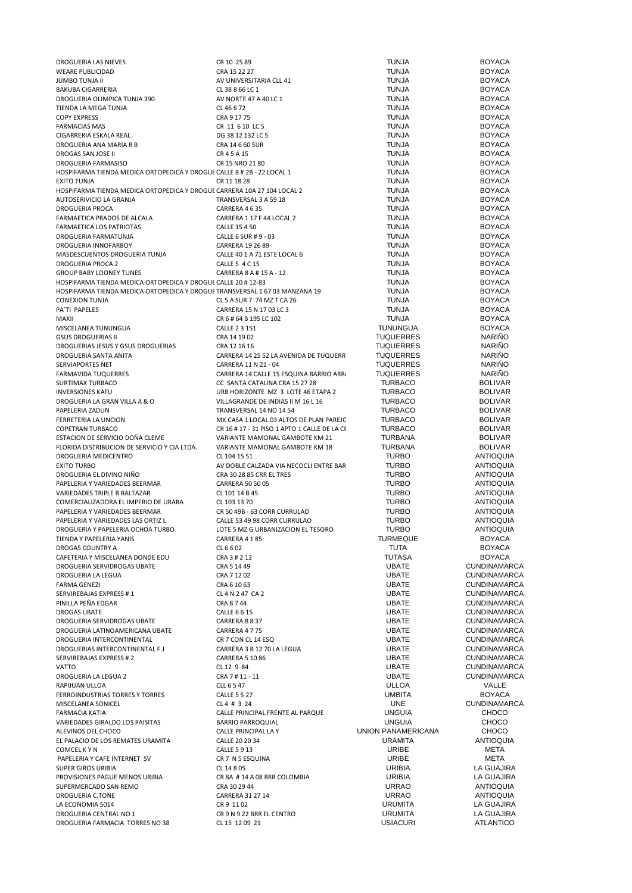| DROGUERIA LAS NIEVES                                                        | CR 10 25 89                                      | <b>TUNJA</b>       | <b>BOYACA</b>                  |
|-----------------------------------------------------------------------------|--------------------------------------------------|--------------------|--------------------------------|
| <b>WEARE PUBLICIDAD</b>                                                     | CRA 15 22 27                                     | <b>TUNJA</b>       | <b>BOYACA</b>                  |
| <b>JUMBO TUNJA II</b>                                                       | AV UNIVERSITARIA CLL 41                          | <b>TUNJA</b>       | <b>BOYACA</b>                  |
| <b>BAKUBA CIGARRERIA</b>                                                    | CL 38 8 66 LC 1                                  | <b>TUNJA</b>       | <b>BOYACA</b>                  |
| DROGUERIA OLIMPICA TUNJA 390                                                | AV NORTE 47 A 40 LC 1                            | <b>TUNJA</b>       | <b>BOYACA</b>                  |
| TIENDA LA MEGA TUNJA                                                        | CL 46 6 72                                       | <b>TUNJA</b>       | <b>BOYACA</b>                  |
| <b>COPY EXPRESS</b>                                                         | CRA 9 17 75                                      | <b>TUNJA</b>       | <b>BOYACA</b>                  |
| <b>FARMACIAS MAS</b>                                                        | CR 11 6 10 LC 5                                  | <b>TUNJA</b>       | <b>BOYACA</b>                  |
| CIGARRERIA ESKALA REAL                                                      | DG 38 12 132 LC 5                                | <b>TUNJA</b>       | <b>BOYACA</b>                  |
| DROGUERIA ANA MARIA R B                                                     | CRA 14 6 60 SUR                                  | <b>TUNJA</b>       | <b>BOYACA</b>                  |
| DROGAS SAN JOSE II                                                          | CR 4 5 A 15                                      | <b>TUNJA</b>       | <b>BOYACA</b>                  |
| DROGUERIA FARMASISO                                                         | CR 15 NRO 21 80                                  | <b>TUNJA</b>       | <b>BOYACA</b>                  |
| HOSPIFARMA TIENDA MEDICA ORTOPEDICA Y DROGUE CALLE 8 # 2B - 22 LOCAL 1      |                                                  | <b>TUNJA</b>       | <b>BOYACA</b>                  |
| <b>EXITO TUNJA</b>                                                          | CR 11 18 28                                      | <b>TUNJA</b>       | <b>BOYACA</b>                  |
| HOSPIFARMA TIENDA MEDICA ORTOPEDICA Y DROGUE CARRERA 10A 27 104 LOCAL 2     |                                                  | <b>TUNJA</b>       | <b>BOYACA</b>                  |
| AUTOSERIVICIO LA GRANJA                                                     | TRANSVERSAL 3 A 59 18                            | <b>TUNJA</b>       | <b>BOYACA</b>                  |
| <b>DROGUERIA PROCA</b>                                                      | CARRERA 4635                                     | <b>TUNJA</b>       | <b>BOYACA</b>                  |
| FARMAETICA PRADOS DE ALCALA                                                 | CARRERA 1 17 F 44 LOCAL 2                        | <b>TUNJA</b>       | <b>BOYACA</b>                  |
| FARMAETICA LOS PATRIOTAS                                                    | CALLE 15 4 50                                    | <b>TUNJA</b>       | <b>BOYACA</b>                  |
| DROGUERIA FARMATUNJA                                                        | CALLE 6 SUR # 9 - 03                             | <b>TUNJA</b>       | <b>BOYACA</b>                  |
| DROGUERIA INNOFARBOY                                                        | CARRERA 19 26 89                                 | <b>TUNJA</b>       | <b>BOYACA</b>                  |
| MASDESCUENTOS DROGUERIA TUNJA                                               | CALLE 40 1 A 71 ESTE LOCAL 6                     | <b>TUNJA</b>       | <b>BOYACA</b>                  |
| DROGUERIA PROCA 2                                                           | CALLE 5 4 C 15                                   | <b>TUNJA</b>       | <b>BOYACA</b>                  |
| <b>GROUP BABY LOONEY TUNES</b>                                              | CARRERA 8 A # 15 A - 12                          | <b>TUNJA</b>       | <b>BOYACA</b>                  |
| HOSPIFARMA TIENDA MEDICA ORTOPEDICA Y DROGUE CALLE 20 # 12-83               |                                                  | <b>TUNJA</b>       | <b>BOYACA</b>                  |
| HOSPIFARMA TIENDA MEDICA ORTOPEDICA Y DROGUE TRANSVERSAL 1 67 03 MANZANA 19 |                                                  | <b>TUNJA</b>       | <b>BOYACA</b>                  |
| <b>CONEXION TUNJA</b>                                                       | CL 5 A SUR 7 74 MZ T CA 26                       | <b>TUNJA</b>       | <b>BOYACA</b>                  |
|                                                                             |                                                  | <b>TUNJA</b>       | <b>BOYACA</b>                  |
| PA'TI PAPELES                                                               | CARRERA 15 N 17 03 LC 3                          |                    |                                |
| MAXII                                                                       | CR 6 # 64 B 195 LC 102<br>CALLE 2 3 151          | <b>TUNJA</b>       | <b>BOYACA</b><br><b>BOYACA</b> |
| MISCELANEA TUNUNGUA                                                         |                                                  | <b>TUNUNGUA</b>    |                                |
| <b>GSUS DROGUERIAS II</b>                                                   | CRA 14 19 02                                     | <b>TUQUERRES</b>   | <b>NARIÑO</b>                  |
| DROGUERIAS JESUS Y GSUS DROGUERIAS                                          | CRA 12 16 16                                     | <b>TUQUERRES</b>   | <b>NARIÑO</b>                  |
| DROGUERIA SANTA ANITA                                                       | CARRERA 14 25 52 LA AVENIDA DE TUQUERR           | <b>TUQUERRES</b>   | <b>NARIÑO</b>                  |
| <b>SERVIAPORTES NET</b>                                                     | CARRERA 11 N 21 - 04                             | <b>TUQUERRES</b>   | <b>NARIÑO</b>                  |
| FARMAVIDA TUQUERRES                                                         | CARRERA 14 CALLE 15 ESQUINA BARRIO ARR.          | <b>TUQUERRES</b>   | <b>NARIÑO</b>                  |
| SURTIMAX TURBACO                                                            | CC SANTA CATALINA CRA 15 27 28                   | <b>TURBACO</b>     | <b>BOLIVAR</b>                 |
| <b>INVERSIONES KAFU</b>                                                     | URB HORIZONTE MZ 3 LOTE 46 ETAPA 2               | <b>TURBACO</b>     | <b>BOLIVAR</b>                 |
| DROGUERIA LA GRAN VILLA A & O                                               | VILLAGRANDE DE INDIAS II M 16 L 16               | <b>TURBACO</b>     | <b>BOLIVAR</b>                 |
| PAPELERIA ZADUN                                                             | TRANSVERSAL 14 NO 14 54                          | <b>TURBACO</b>     | <b>BOLIVAR</b>                 |
| FERRETERIA LA UNCION                                                        | MX CASA 1 LOCAL 03 ALTOS DE PLAN PAREJC          | <b>TURBACO</b>     | <b>BOLIVAR</b>                 |
| COPETRAN TURBACO                                                            | CR 16 # 17 - 31 PISO 1 APTO 1 CALLE DE LA CI     | <b>TURBACO</b>     | <b>BOLIVAR</b>                 |
| ESTACION DE SERVICIO DOÑA CLEME                                             | VARIANTE MAMONAL GAMBOTE KM 21                   | <b>TURBANA</b>     | <b>BOLIVAR</b>                 |
| FLORIDA DISTRIBUCION DE SERVICIO Y CIA LTDA.                                | VARIANTE MAMONAL GAMBOTE KM 18                   | <b>TURBANA</b>     | <b>BOLIVAR</b>                 |
| DROGUERIA MEDICENTRO                                                        | CL 104 15 51                                     | <b>TURBO</b>       | <b>ANTIOQUIA</b>               |
| <b>EXITO TURBO</b>                                                          | AV DOBLE CALZADA VIA NECOCLI ENTRE BAR           | <b>TURBO</b>       | <b>ANTIOQUIA</b>               |
| DROGUERIA EL DIVINO NIÑO                                                    | CRA 30 28 85 CRR EL TRES                         | <b>TURBO</b>       | <b>ANTIOQUIA</b>               |
| PAPELERIA Y VARIEDADES BEERMAR                                              | CARRERA 50 50 05                                 | <b>TURBO</b>       | <b>ANTIOQUIA</b>               |
| VARIEDADES TRIPLE B BALTAZAR                                                | CL 101 14 B 45                                   | <b>TURBO</b>       | <b>ANTIOQUIA</b>               |
| COMERCIALIZADORA EL IMPERIO DE URABA                                        | CL 103 13 70                                     | <b>TURBO</b>       | <b>ANTIOQUIA</b>               |
| PAPELERIA Y VARIEDADES BEERMAR                                              | CR 50 49B - 63 CORR CURRULAO                     | <b>TURBO</b>       | <b>ANTIOQUIA</b>               |
| PAPELERIA Y VARIEDADES LAS ORTIZ L                                          | CALLE 53 49 98 CORR CURRULAO                     | <b>TURBO</b>       | <b>ANTIOQUIA</b>               |
| DROGUERIA Y PAPELERIA OCHOA TURBO                                           | LOTE 5 MZ G URBANIZACION EL TESORO               | <b>TURBO</b>       | <b>ANTIOQUIA</b>               |
| TIENDA Y PAPELERIA YANIS                                                    | CARRERA 4185                                     | <b>TURMEQUE</b>    | <b>BOYACA</b>                  |
| DROGAS COUNTRY A                                                            | CL 6 6 02                                        | <b>TUTA</b>        | <b>BOYACA</b>                  |
| CAFETERIA Y MISCELANEA DONDE EDU                                            | CRA 3 # 2 12                                     | <b>TUTASA</b>      | <b>BOYACA</b>                  |
| DROGUERIA SERVIDROGAS UBATE                                                 | CRA 5 14 49                                      | <b>UBATE</b>       | <b>CUNDINAMARCA</b>            |
| DROGUERIA LA LEGUA                                                          | CRA 7 12 02                                      | <b>UBATE</b>       | <b>CUNDINAMARCA</b>            |
| <b>FARMA GENEZI</b>                                                         | CRA 6 10 63                                      | <b>UBATE</b>       | <b>CUNDINAMARCA</b>            |
| SERVIREBAJAS EXPRESS #1                                                     | CL 4 N 2 47 CA 2                                 | <b>UBATE</b>       | <b>CUNDINAMARCA</b>            |
| PINILLA PEÑA EDGAR                                                          | CRA 8744                                         | <b>UBATE</b>       | <b>CUNDINAMARCA</b>            |
| <b>DROGAS UBATE</b>                                                         | CALLE 6 6 15                                     | <b>UBATE</b>       | <b>CUNDINAMARCA</b>            |
| DROGUERIA SERVIDROGAS UBATE                                                 | CARRERA 8837                                     | <b>UBATE</b>       | <b>CUNDINAMARCA</b>            |
| DROGUERIA LATINOAMERICANA UBATE                                             | CARRERA 4775                                     | <b>UBATE</b>       | <b>CUNDINAMARCA</b>            |
| DROGUERIA INTERCONTINENTAL                                                  | CR 7 CON CL 14 ESQ                               | <b>UBATE</b>       | <b>CUNDINAMARCA</b>            |
| DROGUERIAS INTERCONTINENTAL F.J.                                            | CARRERA 3 B 12 70 LA LEGUA                       | <b>UBATE</b>       | <b>CUNDINAMARCA</b>            |
| SERVIREBAJAS EXPRESS # 2                                                    | <b>CARRERA 5 10 86</b>                           | <b>UBATE</b>       | <b>CUNDINAMARCA</b>            |
| VATTO                                                                       | CL 12 9 84                                       | <b>UBATE</b>       | <b>CUNDINAMARCA</b>            |
| DROGUERIA LA LEGUA 2                                                        | CRA 7 # 11 - 11                                  | <b>UBATE</b>       | <b>CUNDINAMARCA</b>            |
| RAPIJUAN ULLOA                                                              | CLL 6 5 47                                       | <b>ULLOA</b>       | VALLE                          |
| FERROINDUSTRIAS TORRES Y TORRES                                             | <b>CALLE 5 5 27</b>                              | <b>UMBITA</b>      | <b>BOYACA</b>                  |
| MISCELANEA SONICEL                                                          | CL 4 # 3 24                                      | <b>UNE</b>         | <b>CUNDINAMARCA</b>            |
| <b>FARMACIA KATIA</b>                                                       | CALLE PRINCIPAL FRENTE AL PARQUE                 | <b>UNGUIA</b>      | <b>CHOCO</b>                   |
| VARIEDADES GIRALDO LOS PAISITAS                                             |                                                  | <b>UNGUIA</b>      | <b>CHOCO</b>                   |
| ALEVINOS DEL CHOCO                                                          | <b>BARRIO PARROQUIAL</b><br>CALLE PRINCIPAL LA Y | UNION PANAMERICANA | <b>CHOCO</b>                   |
| EL PALACIO DE LOS REMATES URAMITA                                           |                                                  | <b>URAMITA</b>     | <b>ANTIOQUIA</b>               |
|                                                                             | CALLE 20 20 34                                   |                    |                                |
| COMCEL K Y N                                                                | CALLE 5913                                       | URIBE              | META                           |
| PAPELERIA Y CAFE INTERNET SV                                                | CR 7 N 5 ESQUINA                                 | URIBE              | META                           |
| SUPER GIROS URIBIA                                                          | CL 14 8 05                                       | <b>URIBIA</b>      | LA GUAJIRA                     |
| PROVISIONES PAGUE MENOS URIBIA                                              | CR 8A #14 A 08 BRR COLOMBIA                      | <b>URIBIA</b>      | LA GUAJIRA                     |
| SUPERMERCADO SAN REMO                                                       | CRA 30 29 44                                     | <b>URRAO</b>       | <b>ANTIOQUIA</b>               |
| DROGUERIA C.TONE                                                            | CARRERA 31 27 14                                 | <b>URRAO</b>       | <b>ANTIOQUIA</b>               |
| LA ECONOMIA 5014                                                            | CR 9 11 02                                       | <b>URUMITA</b>     | LA GUAJIRA                     |
| DROGUERIA CENTRAL NO 1                                                      | CR 9 N 9 22 BRR EL CENTRO                        | <b>URUMITA</b>     | LA GUAJIRA                     |
| DROGUERIA FARMACIA TORRES NO 38                                             | CL 15 12 09 21                                   | <b>USIACURI</b>    | ATLANTICO                      |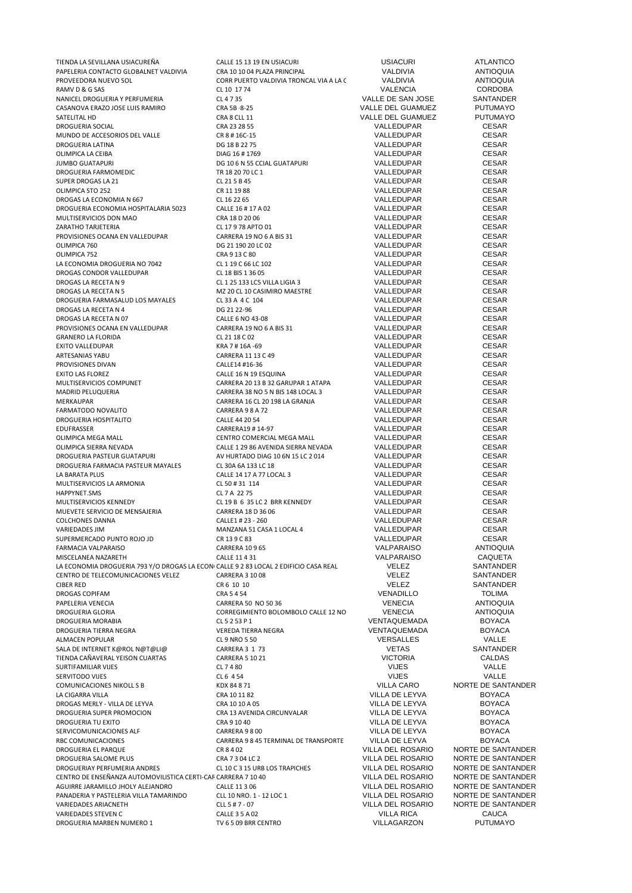| TIENDA LA SEVILLANA USIACUREÑA                                                       | CALLE 15 13 19 EN USIACURI              | <b>USIACURI</b>     | <b>ATLANTICO</b>   |
|--------------------------------------------------------------------------------------|-----------------------------------------|---------------------|--------------------|
| PAPELERIA CONTACTO GLOBALNET VALDIVIA                                                | CRA 10 10 04 PLAZA PRINCIPAL            | VALDIVIA            | <b>ANTIOQUIA</b>   |
| PROVEEDORA NUEVO SOL                                                                 | CORR PUERTO VALDIVIA TRONCAL VIA A LA ( | VALDIVIA            | <b>ANTIOQUIA</b>   |
| RAMV D & G SAS                                                                       | CL 10 17 74                             | <b>VALENCIA</b>     | <b>CORDOBA</b>     |
| NANICEL DROGUERIA Y PERFUMERIA                                                       | CL 4735                                 | VALLE DE SAN JOSE   | SANTANDER          |
| CASANOVA ERAZO JOSE LUIS RAMIRO                                                      | CRA 5B - 8-25                           | VALLE DEL GUAMUEZ   | <b>PUTUMAYO</b>    |
| SATELITAL HD                                                                         | CRA 8 CLL 11                            | VALLE DEL GUAMUEZ   | <b>PUTUMAYO</b>    |
| DROGUERIA SOCIAL                                                                     | CRA 23 28 55                            | VALLEDUPAR          | <b>CESAR</b>       |
| MUNDO DE ACCESORIOS DEL VALLE                                                        | CR 8 # 16C-15                           | VALLEDUPAR          | <b>CESAR</b>       |
| DROGUERIA LATINA                                                                     | DG 18 B 22 75                           | VALLEDUPAR          | <b>CESAR</b>       |
| OLIMPICA LA CEIBA                                                                    | DIAG 16 # 1769                          | VALLEDUPAR          | <b>CESAR</b>       |
| <b>JUMBO GUATAPURI</b>                                                               | DG 10 6 N 55 CCIAL GUATAPURI            | VALLEDUPAR          | <b>CESAR</b>       |
| DROGUERIA FARMOMEDIC                                                                 | TR 18 20 70 LC 1                        | VALLEDUPAR          | <b>CESAR</b>       |
| SUPER DROGAS LA 21                                                                   | CL 21 5 B 45                            | VALLEDUPAR          | <b>CESAR</b>       |
| OLIMPICA STO 252                                                                     | CR 11 19 88                             | VALLEDUPAR          | <b>CESAR</b>       |
| DROGAS LA ECONOMIA N 667                                                             | CL 16 22 65                             | VALLEDUPAR          | <b>CESAR</b>       |
| DROGUERIA ECONOMIA HOSPITALARIA 5023                                                 | CALLE 16 # 17 A 02                      | VALLEDUPAR          | <b>CESAR</b>       |
| MULTISERVICIOS DON MAO                                                               | CRA 18 D 20 06                          | VALLEDUPAR          | <b>CESAR</b>       |
| ZARATHO TARJETERIA                                                                   | CL 17 9 78 APTO 01                      | VALLEDUPAR          | <b>CESAR</b>       |
| PROVISIONES OCANA EN VALLEDUPAR                                                      | CARRERA 19 NO 6 A BIS 31                | VALLEDUPAR          | <b>CESAR</b>       |
| OLIMPICA 760                                                                         | DG 21 190 20 LC 02                      | VALLEDUPAR          | <b>CESAR</b>       |
| OLIMPICA 752                                                                         | CRA 9 13 C 80                           | VALLEDUPAR          | <b>CESAR</b>       |
| LA ECONOMIA DROGUERIA NO 7042                                                        | CL 1 19 C 66 LC 102                     | VALLEDUPAR          | <b>CESAR</b>       |
| DROGAS CONDOR VALLEDUPAR                                                             | CL 18 BIS 1 36 05                       | VALLEDUPAR          | <b>CESAR</b>       |
| DROGAS LA RECETA N 9                                                                 | CL 1 25 133 LC5 VILLA LIGIA 3           | VALLEDUPAR          | <b>CESAR</b>       |
| DROGAS LA RECETA N 5                                                                 | MZ 20 CL 10 CASIMIRO MAESTRE            | VALLEDUPAR          | <b>CESAR</b>       |
| DROGUERIA FARMASALUD LOS MAYALES                                                     | CL 33 A 4 C 104                         | VALLEDUPAR          | <b>CESAR</b>       |
| DROGAS LA RECETA N 4                                                                 | DG 21 22-96                             | VALLEDUPAR          | <b>CESAR</b>       |
| DROGAS LA RECETA N 07                                                                | CALLE 6 NO 43-08                        | VALLEDUPAR          | <b>CESAR</b>       |
| PROVISIONES OCANA EN VALLEDUPAR                                                      | CARRERA 19 NO 6 A BIS 31                | VALLEDUPAR          | <b>CESAR</b>       |
| <b>GRANERO LA FLORIDA</b>                                                            | CL 21 18 C 02                           | VALLEDUPAR          | <b>CESAR</b>       |
| EXITO VALLEDUPAR                                                                     | KRA 7 # 16A -69                         | VALLEDUPAR          | <b>CESAR</b>       |
| ARTESANIAS YABU                                                                      | CARRERA 11 13 C 49                      | VALLEDUPAR          | <b>CESAR</b>       |
| PROVISIONES DIVAN                                                                    | CALLE14 #16-36                          | VALLEDUPAR          | <b>CESAR</b>       |
| <b>EXITO LAS FLOREZ</b>                                                              | CALLE 16 N 19 ESQUINA                   | VALLEDUPAR          | <b>CESAR</b>       |
| MULTISERVICIOS COMPUNET                                                              | CARRERA 20 13 B 32 GARUPAR 1 ATAPA      | VALLEDUPAR          | <b>CESAR</b>       |
| MADRID PELUQUERIA                                                                    | CARRERA 38 NO 5 N BIS 148 LOCAL 3       | VALLEDUPAR          | <b>CESAR</b>       |
| MERKAUPAR                                                                            | CARRERA 16 CL 20 198 LA GRANJA          | VALLEDUPAR          | <b>CESAR</b>       |
| FARMATODO NOVALITO                                                                   | CARRERA 9 8 A 72                        | VALLEDUPAR          | <b>CESAR</b>       |
| DROGUERIA HOSPITALITO                                                                | CALLE 44 20 54                          | VALLEDUPAR          | <b>CESAR</b>       |
| <b>EDUFRASSER</b>                                                                    | CARRERA19 #14-97                        | VALLEDUPAR          | <b>CESAR</b>       |
| OLIMPICA MEGA MALL                                                                   | CENTRO COMERCIAL MEGA MALL              | VALLEDUPAR          | <b>CESAR</b>       |
| OLIMPICA SIERRA NEVADA                                                               | CALLE 1 29 86 AVENIDA SIERRA NEVADA     | VALLEDUPAR          | <b>CESAR</b>       |
| DROGUERIA PASTEUR GUATAPURI                                                          | AV HURTADO DIAG 10 6N 15 LC 2014        | VALLEDUPAR          | <b>CESAR</b>       |
| DROGUERIA FARMACIA PASTEUR MAYALES                                                   | CL 30A 6A 133 LC 18                     | VALLEDUPAR          | <b>CESAR</b>       |
| LA BARATA PLUS                                                                       | CALLE 14 17 A 77 LOCAL 3                | VALLEDUPAR          | <b>CESAR</b>       |
| MULTISERVICIOS LA ARMONIA                                                            | CL 50 # 31 114                          | VALLEDUPAR          | <b>CESAR</b>       |
| HAPPYNET.SMS                                                                         | CL 7 A 22 75                            | VALLEDUPAR          | <b>CESAR</b>       |
| MULTISERVICIOS KENNEDY                                                               | CL 19 B 6 35 LC 2 BRR KENNEDY           | VALLEDUPAR          | <b>CESAR</b>       |
| MUEVETE SERVICIO DE MENSAJERIA                                                       | CARRERA 18 D 36 06                      | VALLEDUPAR          | <b>CESAR</b>       |
| <b>COLCHONES DANNA</b>                                                               | CALLE1 # 23 - 260                       | VALLEDUPAR          | <b>CESAR</b>       |
| <b>VARIEDADES JIM</b>                                                                | MANZANA 51 CASA 1 LOCAL 4               | VALLEDUPAR          | <b>CESAR</b>       |
| SUPERMERCADO PUNTO ROJO JD                                                           | CR 139 C 83                             | VALLEDUPAR          | <b>CESAR</b>       |
| FARMACIA VALPARAISO                                                                  | <b>CARRERA 10965</b>                    | VALPARAISO          | <b>ANTIOQUIA</b>   |
| MISCELANEA NAZARETH                                                                  | CALLE 11 4 31                           | VALPARAISO          | CAQUETA            |
| LA ECONOMIA DROGUERIA 793 Y/O DROGAS LA ECON CALLE 9 2 83 LOCAL 2 EDIFICIO CASA REAL |                                         | <b>VELEZ</b>        | SANTANDER          |
| CENTRO DE TELECOMUNICACIONES VELEZ                                                   | <b>CARRERA 3 10 08</b>                  | <b>VELEZ</b>        | SANTANDER          |
| <b>CIBER RED</b>                                                                     | CR 6 10 10                              | <b>VELEZ</b>        | SANTANDER          |
| <b>DROGAS COPIFAM</b>                                                                | CRA 54 54                               | VENADILLO           | <b>TOLIMA</b>      |
| PAPELERIA VENECIA                                                                    | CARRERA 50 NO 50 36                     | <b>VENECIA</b>      | <b>ANTIOQUIA</b>   |
| DROGUERIA GLORIA                                                                     | CORREGIMIENTO BOLOMBOLO CALLE 12 NO     | <b>VENECIA</b>      | <b>ANTIOQUIA</b>   |
| <b>DROGUERIA MORABIA</b>                                                             | CL 5 2 53 P 1                           | <b>VENTAQUEMADA</b> | <b>BOYACA</b>      |
| DROGUERIA TIERRA NEGRA                                                               | VEREDA TIERRA NEGRA                     | VENTAQUEMADA        | <b>BOYACA</b>      |
| ALMACEN POPULAR                                                                      | CL 9 NRO 5 50                           | VERSALLES           | VALLE              |
| SALA DE INTERNET K@ROL N@T@LI@                                                       | CARRERA 3 1 73                          | <b>VETAS</b>        | SANTANDER          |
| TIENDA CAÑAVERAL YEISON CUARTAS                                                      | <b>CARRERA 5 10 21</b>                  | <b>VICTORIA</b>     | <b>CALDAS</b>      |
| SURTIFAMILIAR VIJES                                                                  | CL 7480                                 | <b>VIJES</b>        | VALLE              |
| SERVITODO VIJES                                                                      | CL 6 4 54                               | <b>VIJES</b>        | VALLE              |
| COMUNICACIONES NIKOLL S B                                                            | KDX 84 8 71                             | <b>VILLA CARO</b>   | NORTE DE SANTANDER |
| LA CIGARRA VILLA                                                                     | CRA 10 11 82                            | VILLA DE LEYVA      | <b>BOYACA</b>      |
| DROGAS MERLY - VILLA DE LEYVA                                                        | CRA 10 10 A 05                          | VILLA DE LEYVA      | <b>BOYACA</b>      |
| DROGUERIA SUPER PROMOCION                                                            | CRA 13 AVENIDA CIRCUNVALAR              | VILLA DE LEYVA      | <b>BOYACA</b>      |
| DROGUERIA TU EXITO                                                                   | CRA 9 10 40                             | VILLA DE LEYVA      | <b>BOYACA</b>      |
| SERVICOMUNICACIONES ALF                                                              | CARRERA 9 8 00                          | VILLA DE LEYVA      | <b>BOYACA</b>      |
| RBC COMUNICACIONES                                                                   | CARRERA 9 8 45 TERMINAL DE TRANSPORTE   | VILLA DE LEYVA      | <b>BOYACA</b>      |
| DROGUERIA EL PARQUE                                                                  | CR 8402                                 | VILLA DEL ROSARIO   | NORTE DE SANTANDER |
| DROGUERIA SALOME PLUS                                                                | CRA 7 3 04 LC 2                         | VILLA DEL ROSARIO   | NORTE DE SANTANDER |
| DROGUERIAY PERFUMERIA ANDRES                                                         | CL 10 C 3 15 URB LOS TRAPICHES          | VILLA DEL ROSARIO   | NORTE DE SANTANDER |
| CENTRO DE ENSEÑANZA AUTOMOVILISTICA CERTI-CAF CARRERA 7 10 40                        |                                         | VILLA DEL ROSARIO   | NORTE DE SANTANDER |
| AGUIRRE JARAMILLO JHOLY ALEJANDRO                                                    | CALLE 11 3 06                           | VILLA DEL ROSARIO   | NORTE DE SANTANDER |
| PANADERIA Y PASTELERIA VILLA TAMARINDO                                               | CLL 10 NRO. 1 - 12 LOC 1                | VILLA DEL ROSARIO   | NORTE DE SANTANDER |
| VARIEDADES ARIACNETH                                                                 | CLL 5 # 7 - 07                          | VILLA DEL ROSARIO   | NORTE DE SANTANDER |
| VARIEDADES STEVEN C                                                                  | CALLE 3 5 A 02                          | <b>VILLA RICA</b>   | <b>CAUCA</b>       |
| DROGUERIA MARBEN NUMERO 1                                                            | TV 6 5 09 BRR CENTRO                    | VILLAGARZON         | <b>PUTUMAYO</b>    |
|                                                                                      |                                         |                     |                    |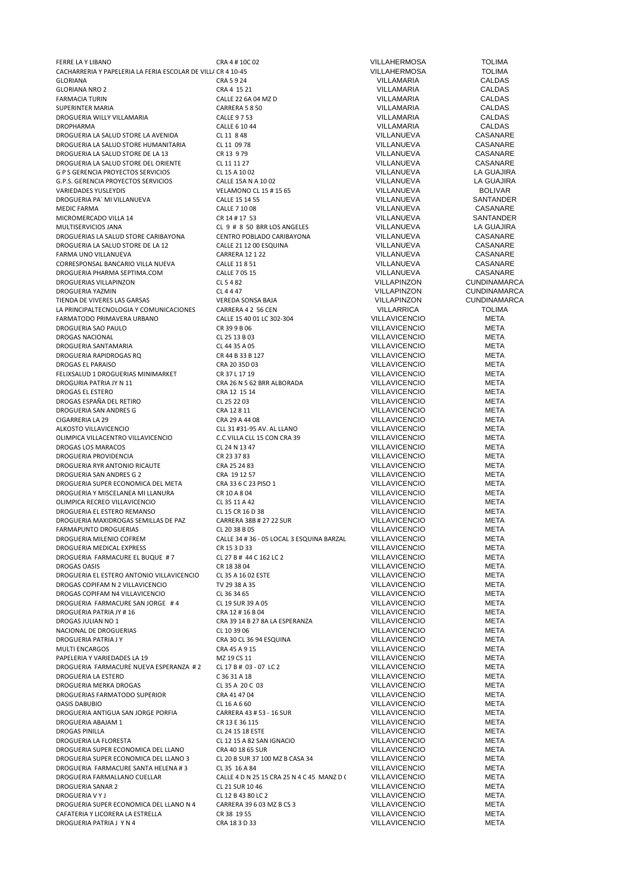FERRE LA Y LIBANO CRA 4 # 10C 02 VILLAHERMOSA TOLIMA CACHARRERIA Y PAPELERIA LA FERIA ESCOLAR DE VILLA 40-45<br>CALDAS CRAS 9 24 CALDAS CRAS CALDAS CRAS 24 CALDAS GLORIANA CRA 5 9 24 VILLAMARIA CALDAS GLORIANA NRO 2 CRA 4 15 21 VILLAMARIA CALDAS FARMACIA TURIN CALLE 22 6A 04 MZ D VILLAMARIA CALDAS SUPERINTER MARIA CALDAS (SUPERINTER MARIA CALDAS CALDAS CALDAS CALDAS CALDAS CALDAS CALDAS CALDAS CALDAS CALDAS<br>DROGUERIA VIILLY VILLAMARIA CALLE ST 53 CALLE ST 53 VILLAMARIA VILLAMARIA CALDAS CALDAS DROGUERIA WILLY VILLAMARIA CALLE 9 7 53 VILLAMARIA CALDAS DROPHARMA CALLE 6 10 44 VILLAMARIA CALDAS DROGUERIA LA SALUD STORE LA AVENIDA CL 11 8 48 VILLANUEVA CASANARE DROGUERIA LA SALUD STORE HUMANITARIA CL 11 09 78 VILLANUEVA CASANARE DROGUERIA LA SALUD STORE DE LA 13 CR 13 4 CR 13 979 CASANARE VILLANUEVA CASANARE DROGUERIA LA SALUD STORE DEL ORIENTE CL 11 11 27 CASANARE CHE CASANARE CONSUMERENT CONSUMERENT CONSUMERENT CLO<br>CL 15 A 10 02 CL 15 A 10 02 CVILLANUEVA LA GUAJIRA G P S GERENCIA PROYECTOS SERVICIOS CL 15 A 10 02 VILLANUEVA LA GUAJIRA G.P.S. GERENCIA PROYECTOS SERVICIOS CALLE 15A N A 10 02 VILLANUEVA LA GUAJIRA DROGUERIA PA´ MI VILLANUEVA CALLE 15 14 55 VILLANUEVA SANTANDER MEDIC FARMA CALLE 7 10 08 VILLANUEVA CASANARE MICROMERCADO VILLA 14 CR 14 # 17 53 VILLANUEVA SANTANDER DROGUERIAS LA SALUD STORE CARIBAYONA CENTRO POBLADO CARIBAYONA VILLANUEVA CASANARE<br>CALIFRIA LA SALUD STORE DE LA 12 CALIFRIA LA CALIFRIA CASANARE CASANARE DROGUERIA LA SALUD STORE DE LA 12 CALLE 21 12 00 ESQUINA VILLANUEVA CASANARE<br>CARLE DE LA CARLE CARLE DE LA CARLE 21 12 22 CARLE 21 12 CASANARE CASANARE FARMA UNO VILLANUEVA CARRERA 12 1 22 VILLANUEVA CASANARE CORRESPONSAL BANCARIO VILLA NUEVA CALLE 11 8 51 VILLANUEVA CASANARE DROGUERIA PHARMA SEPTIMA.COM DROGUERIAS VILLAPINZON CL 5 4 82 VILLAPINZON CUNDINAMARCA DROGUERIA YAZMIN CL 4 4 47 VILLAPINZON CUNDINAMARCA TIENDA DE VIVERES LAS GARSAS VEREDA SONSA BAJA VILLAPINZON CUNDINAMARCA LA PRINCIPALTECNOLOGIA Y COMUNICACIONES CARRERA 4 2 56 CEN VILLARRICA VILLARRICA COMUNICACIONES CALLE 15 40 01 LC 302-304 VILLAVICENCIO META FARMATODO PRIMAVERA URBANO CALLE 15 40 01 LC 302-304 VILLAVICENCIO META DROGUERIA SAO PAULO CR 39 9 B 06 VILLAVICENCIO META DROGAS NACIONAL CL 25 13 B 03 VILLAVICENCIO META DROGUERIA SANTAMARIA CL 44 35 A 05 VILLAVICENCIO META DROGUERIA RAPIDROGAS RQ CR 44 B 33 B 127 VILLAVICENCIO META DROGAS EL PARAISO CRA 20 35D 03 VILLAVICENCIO META FELIXSALUD 1 DROGUERIAS MINIMARKET CR 37 L 17 19 VILLAVICENCIO META DROGURIA PATRIA JY N. 11 CRA 26 N 5 62 BRR ALBORADA VILLAVICENCIO META META DROGAS FI ESTERO DA META CRA 12 15 14 DROGAS EL ESTERO CRA 12 15 14 VILLAVICENCIO META DROGAS ESPAÑA DEL RETIRO CL 25 22 03 VILLAVICENCIO META DROGUERIA SAN ANDRES G CIGARRERIA LA 29 CRA 29 A 44 08 VILLAVICENCIO META OLIMPICA VILLACENTRO VILLAVICENCIO CONCILA CLL 15 CON CRA 39 VILLA VILLA VICENCIO META DROGAS LOS MARACOS DE TA<br>DROGAS LOS MARACOS CL 24 N 13 47 VILLA VILLA VICENCIO META DROGAS LOS MARACOS CL 24 N 13 47 VILLAVICENCIO META DROGUERIA PROVIDENCIA DROGUERIA RYR ANTONIO RICAUTE CRA 25 24 83 VILLAVICENCIO META DROGUERIA SAN ANDRES G 2 CRA 19 12 57 VILLAVICENCIO META DROGUERIA SUPER ECONOMICA DEL META CRA 33 6 C 23 PISO 1 VILLAVICENCIO META DROGUERIA Y MISCELANEA MI LLANURA CR 10 A 8 04 VILLAVICENCIO META OLIMPICA RECREO VILLAVICENCIO CL 35 11 A 42 VILLAVICENCIO META DROGUERIA EL ESTERO REMANSO CL 15 CR 16 D 38 VILLAVICENCIO META DROGUERIA MAXIDROGAS SEMILLAS DE PAZ CARRERA 38B # 27 22 SUR VILLAVICENCIO META FARMAPUNTO DROGUERIAS CL 20 38 B 05 VILLAVICENCIO META DROGUERIA MEDICAL EXPRESS CR 15 3 D 33 VILLAVICENCIO META DROGUERIA FARMACURE EL BUQUE # 7 CL 27 B # 44 C 162 LC 2 CL 27 CHEAVICENCIO DETA<br>DROGAS OASIS DROGAS OASIS DROGAS OF 18 ANGLE AND THE ANNIVERAL DROGAS OASIS DROGUERIA EL ESTERO ANTONIO VILLAVICENCIO CL 35 A 16 02 ESTE VILLAVICENCIO VILLAVICENCIO META DROGAS COPIFAM N 2 VILLAVICENCIO TV 29 38 A 35 DROGAS COPIFAM N 2 VILLAVICENCIO DROGAS COPIFAM N4 VILLAVICENCIO CL 36 34 65 VILLAVICENCIO META DROGUERIA FARMACURE SAN JORGE #4 CL 19 SUR 39 A 05 VILLAVICENCIO<br>DROGUERIA PATRIA IY #16 CRA 12 #16 R 04 CRA 12 #16 R 04 VILLAVICENCIO DROGUERIA PATRIA JY # 16 CRA 12 # 16 B 04 CRA 12 # 16 B 04 CRA 12 # 16 B 04 CRA 12 # 16 B 04 CRA 12 # 16 B 04 CRA 12 # 16 B 04 CRA 39 14 B 27 8A LA ESPERANZA COLLAVICENCIO NACIONAL DE DROGUERIAS CL 10 39 06 VILLAVICENCIO META DROGUERIA PATRIA J Y CRA 30 CL 36 94 ESQUINA VILLAVICENCIO META PAPELERIA Y VARIEDADES LA 19 MINITA DE TA UNITA DE META DE META DE META DE META DE META DE META DE META DE MET<br>DROGUERIA FARMACURE NUEVA ESPERANZA #2 CL 17 B # 03 - 07 LC 2 CL 2 VILLAVICENCIO META META DROGUERIA FARMACURE NUEVA ESPERANZA # 2 CL 17 B # 03 - 07 LC 2 VILLAVICENCIO META DROGUERIA LA ESTERO C 36 31 A 18 VILLAVICENCIO META DROGUERIA MERKA DROGAS CL 35 A 20 C 03 VILLAVICENCIO META DROGUERIAS FARMATODO SUPERIOR CRA 41 47 04 VILLAVICENCIO META OASIS DABUBIO CL 16 A 6 60 VILLAVICENCIO META DROGUERIA ANTIGUA SAN JORGE PORFIA CARRERA 43 # 53 - 16 SUR VILLAVICENCIO META META<br>OROGUERIA ARAIAM 1 CR 13 E 36 115 - 15 - 15 - 15 A VILLAVICENCIO META DROGUERIA ABAJAM 1 CR 13 E 36 115 VILLAVICENCIO DROGAS PINILLA CL 24 15 18 ESTE VILLAVICENCIO META DROGUERIA LA FLORESTA CL 12 15 A 82 SAN IGNACIO VILLAVICENCIO META DROGUERIA SUPER ECONOMICA DEL LLANO CRA 40 18 65 SUR CASA 34 VILLAVICENCIO META DROGUERIA SUPER ECONOMICA DEL LLANO 3 CL 20 B SUR 37 100 MZ B CASA 34 VILLAVICENCIO META META DROGUERIA SUPER ECONOMICA DEL LLANO 3 CL 20 B SUR 37 100 MZ B CASA 34 VILLAVICENCIO CONTETA DE META DE META DE<br>DROGUERIA FARMACURE SANTA HELENA #3 CL 35 16 A 84 VILLAVICENCIO META DROGUERIA FARMACURE SANTA HELENA # 3 CL 35 16 A 84 VILLAVICENCIO VILLAVICENCIO META<br>DROGUERIA FARMALIANO CUFILAR CALLE A D N 25 15 CRA 25 N 4 C 45 MANZ D (VILLAVICENCIO META DROGUERIA SANAR 2 CL 21 SUR 10 46 VILLAVICENCIO META DROGUERIA SUPER ECONOMICA DEL LLANO N 4 CARRERA 39 6 03 MZ B CS 3 VILLAVICENCIO CAFATERIA Y II CORERA LA FSTREILA CAFATERIA Y LICORERA LA ESTRELLA CR 38 19 55 VILLAVICENCIO META DROGUERIA PATRIA J Y N 4 CRA 18 3 D 33 VILLAVICENCIO META

VELAMONO CL 15 # 15 65 VILLANUEVA BOLIVAR<br>CALLE 15 14 55 VILLANUEVA SANTANDER MULTISERVICIOS JANA CL 9 # 8 50 BRR LOS ANGELES VILLANUEVA LA GUAJIRA ALKOSTO VILLAVICENCIO CLL 31 #31-95 AV. AL LLANO VILLAVICENCIO META CALLE 34 # 36 - 05 LOCAL 3 ESQUINA BARZAL VILLAVICENCIO META<br>CR 15 3 D 33 00 - 10 META CR 18 38 04 DROGAS OF THE SERVICENCIO CR 18 38 04 DROGAS OF THE SERVICE OF THE SERVICE OF THE SERVICE OF THE S<br>DROGAS OF THE SERVICE OF THE SERVICE OF THE SERVICE OF THE SERVICE OF THE SERVICE OF THE SERVICE OF THE SERVICE CRA 39 14 B 27 8A LA ESPERANZA VILLAVICENCIO META<br>CL 10 39 06 META MULTI ENCARGOS CRA 45 A 9 15 VILLAVICENCIO META DROGUERIA FARMALLANO CUELLAR CALLE 4 D N 25 15 CRA 25 N 4 C 45 MANZ D CASA 29 VILLAVICENCIO META CL 12 B 43 80 LC 2 CL 12 B 43 80 LC 2 CL 12 B 43 80 LC 2 CARRERA 39 6 03 META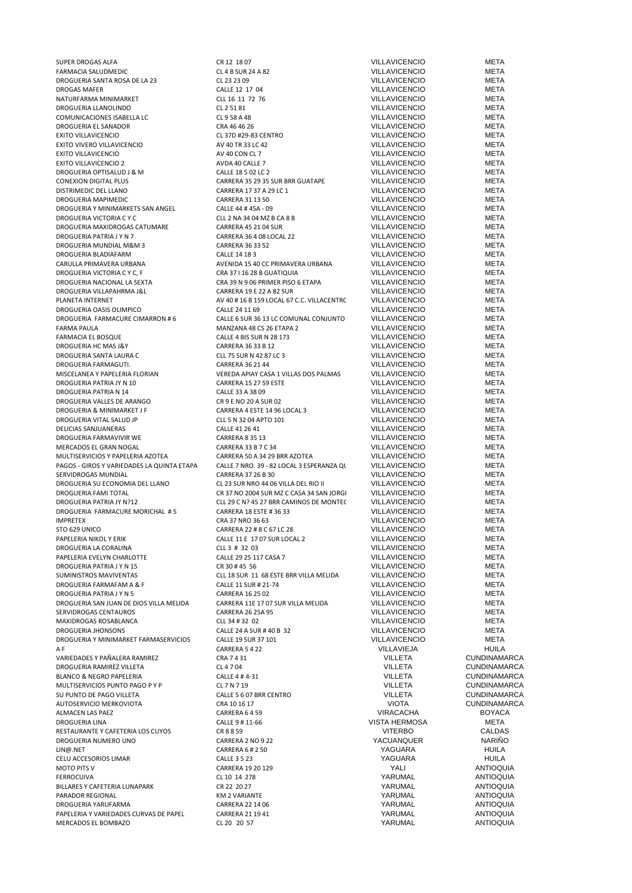SUPER DROGAS ALFA CR 12 18 07 VILLAVICENCIO META FARMACIA SALUDMEDIC CL 4 B SUR 24 A 82 VILLAVICENCIO META DROGUERIA SANTA ROSA DE LA 23 CL 23 23 09 VILLAVICENCIO META DROGAS MAFER CALLE 12 17 04 VILLAVICENCIO META NATURFARMA MINIMARKET CLL 16 11 72 76 VILLAVICENCIO META DROGUERIA LLANOLINDO CL 2 51 81 VILLAVICENCIO META COMUNICACIONES ISABELLA LC<br>
CL 9 58 A 48 VILLAVICENCIO META<br>
CRA 46 46 26 VILLAVICENCIO META META DROGUERIA EL SANADOR CRA 46 46 26 EXITO VILLAVICENCIO CL 37D #29-83 CENTRO VILLAVICENCIO META EXITO VIVERO VILLAVICENCIO AV 40 TR 33 LC 42 VILLAVICENCIO META EXITO VILLAVICENCIO CONSTRUITIVO DE TANDO AV 40 CON CL 7 VILLAVICENCIO CONSTRUITIVO DE META EXITO VILLAVICENCIO 2 AVDA 40 CALLE 7 VILLAVICENCIO META DROGUERIA OPTISALUD J & M CALLE 18 5 02 LC 2 VILLAVICENCIO META<br>CONEXION DIGITAL PLUS CONTERN AS 29 35 SUR BRR GUATAPE VILLAVICENCIO META CONEXION DIGITAL PLUS CONEXION DIGITAL PLUS CONEXION DIGITAL PLUS CONEXION DIGITAL PLUS CONEXICARERA 27 37 A 29 LC 1 VILLAVICENCIO META META CARRERA 17 37 A 29 LC 1 CARRERA 17 37 A 29 LC 1 CARRERA 17 37 A 29 LC 1 CARRERA 21 13 50 DROGUERIA MAPIMEDIC CARRERA 31 13 50 VILLAVICENCIO META DROGUERIA Y MINIMARKETS SAN ANGEL CALLE 44 # 45A - 09 VILLAVICENCIO CONTRETA<br>DROGUERIA VICTORIA CY CULO CLL 2 NA 34 04 MZ B CA 8 B VILLAVICENCIO META DROGUERIA VICTORIA C Y C CLL 2 NA 34 04 MZ B CA 8 B VILLAVICENCIO META DROGUERIA MAXIDROGAS CATUMARE CARRERA 45 21 04 SUR VILLAVICENCIO CONSTANTINO DE TA<br>CARRERA 46 4 08 1 OCAL 22 VILLAVICENCIO META META CARRERA 36 4 08 LOCAL 22 DROGUERIA MUNDIAL M&M 3 CARRERA 36 33 52 VILLAVICENCIO META DROGUERIA BLADIAFARM CALLE 14 18 3 VILLAVICENCIO META CARULLA PRIMAVERA URBANA AVENIDA 15 40 CC PRIMAVERA URBANA VILLAVICENCIO META DROGUERIA VICTORIA C Y C, F DROGUERIA NACIONAL LA SEXTA CRA 39 N 9 06 PRIMER PISO 6 ETAPA VILLAVICENCIO META DROGUERIA VILLAPAHRMA J&L CARRERA 19 E 22 A 82 SUR VILLAVICENCIO<br>PLANETA INTERNET CONTENCIO AV 40 # 16 B 159 LOCAL 67 C.C. VILLACENTR(VILLAVICENCIO PLANETA INTERNET AV 40 # 16 B 159 LOCAL 67 C.C. VILLACENTRO VILLAVICENCIO META DROGUERIA OASIS OLIMPICO<br>DROGUERIA FARMACURE CIMARRON # 6 CALLE 6 SUR 36 13 LC COMUNAL CONJUNTO VILLAVICENCIO META CALLE 6 SUR 36 13 LC COMUNAL CONJUNTO VILLAVICENCIO META<br>MANZANA 48 CS 26 ETAPA 2 VILLAVICENCIO META FARMA PAULA MANZANA 48 CS 26 ETAPA 2 VILLAVICENCIO META CALLE 4 BIS SUR N 28 173 VILLAVICENCIO META DROGUERIA HC MAS J&Y CARRERA 36 33 B 12 VILLAVICENCIO META DROGUERIA SANTA LAURA C<br>DROGUERIA FARMAGUTI CONSIDERED CONSERVATOR CARRERA 36 21 44 CONSIDERED CONSIDERATION CONSIDERED CONSIDERED CON<br>CARRERA 36 21 44 CONSIDERED VII I AVICENCIO DROGUERIA FARMAGUTI. CARRERA 36 21 44 VILLAVICENCIO META VEREDA APIAY CASA 1 VILLAS DOS PALMAS VILLAVICENCIO **META** DROGUERIA PATRIA JY N 10 CARRERA 15 27 59 ESTE VILLAVICENCIO META DROGUERIA PATRIA N 14 CALLE 33 A 38 09 VILLAVICENCIO META DROGUERIA VALLES DE ARANGO<br>DROGUERIA & MINIMARKET J F CARRERA 4 ESTE 14 96 LOCAL 3 VILLAVICENCIO META META CARRERA 4 ESTE 14 96 LOCAL 3 VILLAVICENCIO<br>CLL 5 N 32 04 APTO 101 VILLAVICENCIO DROGUERIA VITAL SALUD JP CLL 5 N 32 04 APTO 101 VILLAVICENCIO META DELICIAS SANJUANERAS CALLE 41 26 41 VILLAVICENCIO META DROGUERIA FARMAVIVIR WE CARRERA 8 35 13 VILLAVICENCIO META MERCADOS EL GRAN NOGAL CARRERA 33 B 7 C 34 VILLAVICENCIO META MULTISERVICIOS Y PAPELERIA AZOTEA CARRERA 50 A 34 29 BRR AZOTEA VILLAVICENCIO META PAGOS - GIROS Y VARIEDADES LA QUINTA ETAPA CALLE 7 NRO. 39 - 82 LOCAL 3 ESPERANZA QUINTA CILLAVICENCIO META SERVIDROGAS MUNDIAL CARRERA 37 26 B 30 VILLAVICENCIO META DROGUERIA SU ECONOMIA DEL LLANO CL 23 SUR NRO 44 06 VILLA DEL RIO II VILLAVICENCIO META DROGUERIA FAMI TOTAL CR 37 NO 2004 SUR MZ C CASA 34 SAN JORGE VILLAVICENCIO META DROGUERIA PATRIA JY N?12 CLL 29 C N? 45 27 BRR CAMINOS DE MONTEC VILLAVICENCIO META DROGUERIA FARMACURE MORICHAL # 5 CARRERA 18 ESTE # 36 33 SANTIFICATO CHARRERA 18 ESTE # 36 33 SANTIFICATO CRA 37 NRO 36 63 SANTIFICATO CRA 37 NRO 36 63 SANTIFICATO CRA 37 NRO 36 63 SANTIFICATO CHARRERA 18 ETA 37 NRO 36 63 IMPRETEX CRA 37 NRO 36 63 VILLAVICENCIO META STO 629 UNICO CARRERA 22 # 8 C 67 LC 28 VILLAVICENCIO META PALLE 11 E 17 07 SUR LOCAL 2 VILLAVICENCIO META<br>PAPELERIA NICOLAL 2 VILLAVICENCIO META DROGUERIA LA CORALINA CLL 3 # 32 03 VILLAVICENCIO META PAPELERIA EVELYN CHARLOTTE CALLE 29 25 117 CASA 7 VILLAVICENCIO META DROGUERIA PATRIA JY N. 15 CR 30 # 45 56 CR 30 # 45 56 VILLAVICENCIO META<br>SUMINISTROS MAVIVENTAS CLL 18 SUR 11 68 ESTE BRR VILLA MELIDA VILLA VICENCIO META SUMINISTROS MARVISTROS MAVILLA MELIDA SUR LA VILLA VILLA VICENCIO ANELIDA CALLE 11 SUR # 21-74 AND TA DROGUERIA FARMAFAM A & F DROGUERIA PATRIA JY N 5 CARRERA 16 25 02<br>DROGUERIA SAN ILIAN DE DIOS VILLA MELIDA CARRERA 11 E 17 07 SUR VILLA MELIDA VILLA VILLA VICENCIO META METTA DROGUERIA SAN JUAN DE DIOS VILLA MELIDA SERVIDROGAS CENTAUROS CARRERA 26 25A 95 VILLAVICENCIO META MAXIDROGAS ROSABLANCA CLL 34 # 32 02 VILLAVICENCIO META CALLE 24 A SUR # 40 B 32 VILLAVICENCIO<br>CALLE 19 SUR 37 101 VILLAVICENCIO DROGUERIA Y MINIMARKET FARMASERVICIOS CALLE 19 SUR 37 101 VILLAVICENCIO CONTETA A FUNCALLE 19 ON RETA CARRERA 5 4 22 A F CARRERA 5 4 22 VILLAVIEJA HUILA VARIEDADES Y PAÑALERA RAMIREZ CRA 7 4 31 VILLETA CUNDINAMARCA DROGUERIA RAMIREZ VILLETA CL 4 7 04 VILLETA CUNDINAMARCA BLANCO & NEGRO PAPELERIA CALLE 4 # 4-31 VILLETA CUNDINAMARCA MULTISERVICIOS PUNTO PAGO P Y P CL 7 N 7 19 VILLETA CUNDINAMARCA SU PUNTO DE PAGO VILLETA 
SUR ESTENDO DE PAGO VILLETA EN LOCALLE E A LOCALLE 5 6 07 BRR CENTRO EN ENTROPERADO E<br>ALITOSERVICIO MERKOVIOTA EN LOCAL EN LOCALIDAD EN LOCALIDADO EN LOCALIDADO EN LOCALIDADO EN LOCALIDADO EN LOCA AUTOSERVICIO MERKOVIOTA CRA 10 16 17 VIOTA CUNDINAMARCA ALMACEN LAS PAEZ CARRERA 6 4 59 VIRACACHA BOYACA DROGUERIA LINA CALLE 9 # 11-66 VISTA HERMOSA META RESTAURANTE Y CAFETERIA LOS CUYOS CARES ES ESPONDE EN ENGLIS EN EL COMPRETADO DE LOS CONDENSIONES EN EL COMPRE<br>CAREFRA A CAREFRA 2 NO 9 22 CAREGA EN ENGLIS EN ENGLIS EN ENGLIS DE NARIÑO DROGUERIA NUMERO UNO CARRERA 2 NO 9 22 YACUANQUER NARIÑO LIN@.NET CARRERA 6 # 2 50 YAGUARA HUILA CELU ACCESORIOS LIMAR CALLE 3 5 23 YAGUARA HUILA MOTO PITS V CARRERA 19 20 129 YALI ANTIOQUIA FERROCUIVA CL 10 14 278 YARUMAL ANTIOQUIA e BILLARES Y CAFETERIA LUNAPARK CR 22 20 27 CR 22 20 27 ANNOUNEL SERIES ANTIOQUIA<br>PARADOR REGIONAL PARTIOQUIA KATE ANTIOQUIA PARADOR REGIONAL KM 2 VARIANTE YARUMAL ANTIOQUIA DROGUERIA YARUFARMA<br>PAPFI FRIA Y VARIFDADES CIIRVAS DE PAPEI (CARRERA 21 19 41 CARRERA 21 19 41 VARIIMAI PAPELERIA Y VARIEDADES CURVAS DE PAPEL CARRERA 21 19 41 TABLE TRANSPORTING ANTIOQUIA MERCADOS EL BOMBAZO CL 20 20 57 YARIJMAL ANTIOQUIA